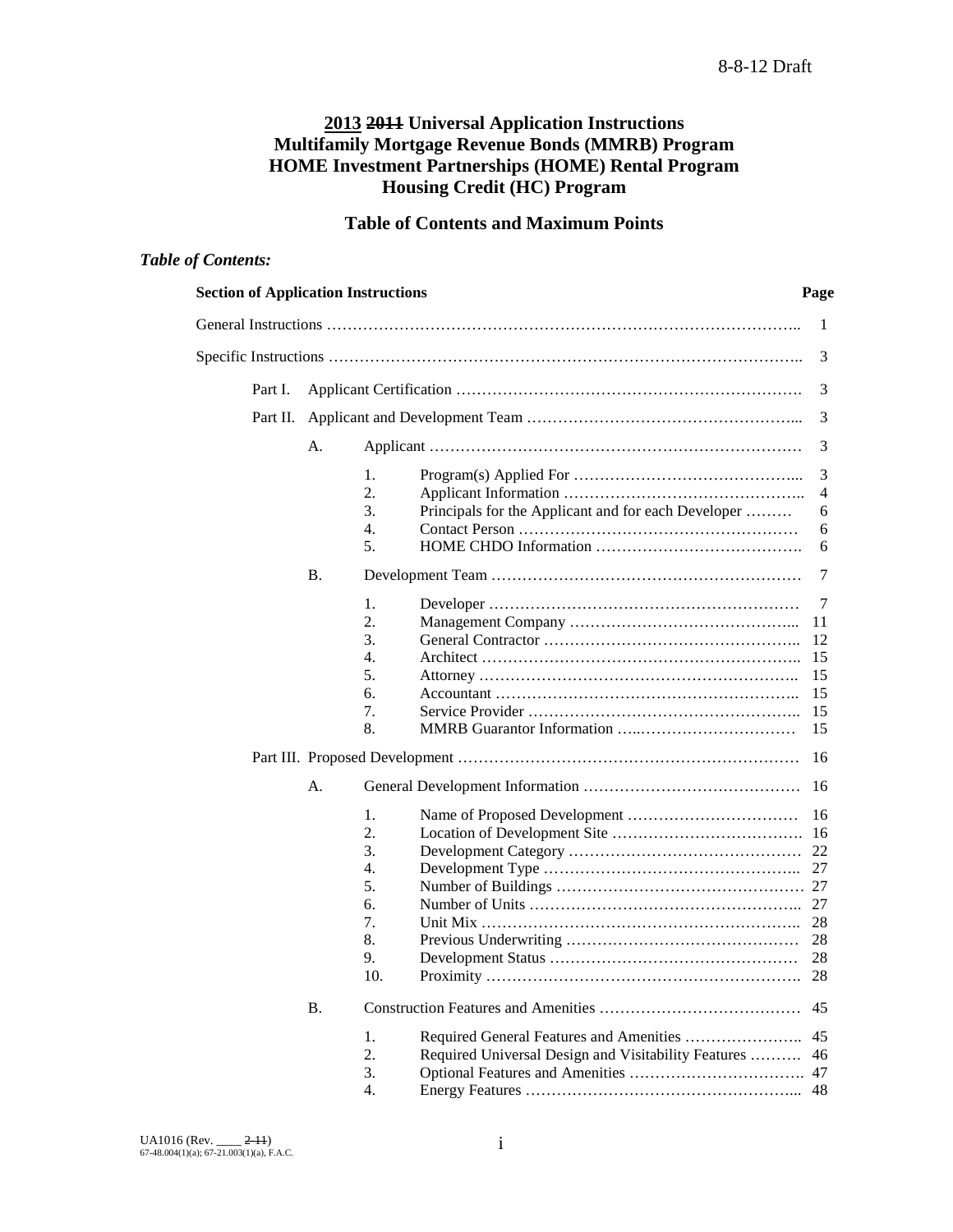## **2013 2011 Universal Application Instructions Multifamily Mortgage Revenue Bonds (MMRB) Program HOME Investment Partnerships (HOME) Rental Program Housing Credit (HC) Program**

## **Table of Contents and Maximum Points**

## *Table of Contents:*

| <b>Section of Application Instructions</b> |           |                                                                                   | Page                                        |
|--------------------------------------------|-----------|-----------------------------------------------------------------------------------|---------------------------------------------|
|                                            |           |                                                                                   | 1                                           |
|                                            |           |                                                                                   | 3                                           |
| Part I.                                    |           |                                                                                   | 3                                           |
| Part II.                                   |           |                                                                                   | 3                                           |
|                                            | А.        |                                                                                   | 3                                           |
|                                            |           | 1.<br>2.<br>3.<br>Principals for the Applicant and for each Developer<br>4.<br>5. | 3<br>$\overline{4}$<br>6<br>6<br>6          |
|                                            | Β.        |                                                                                   | 7                                           |
|                                            |           | 1.<br>2.<br>3.<br>4.<br>5.<br>6.<br>7.<br>8.                                      | 7<br>11<br>12<br>15<br>15<br>15<br>15<br>15 |
|                                            |           |                                                                                   | 16                                          |
|                                            | А.        | 1.<br>2.<br>3.<br>4.<br>5.<br>6.<br>7.<br>8.<br>9.<br>10.                         | 27                                          |
|                                            | <b>B.</b> |                                                                                   | 45                                          |
|                                            |           | 1.<br>2.<br>Required Universal Design and Visitability Features<br>3.<br>4.       | 45<br>46<br>47                              |
|                                            |           |                                                                                   |                                             |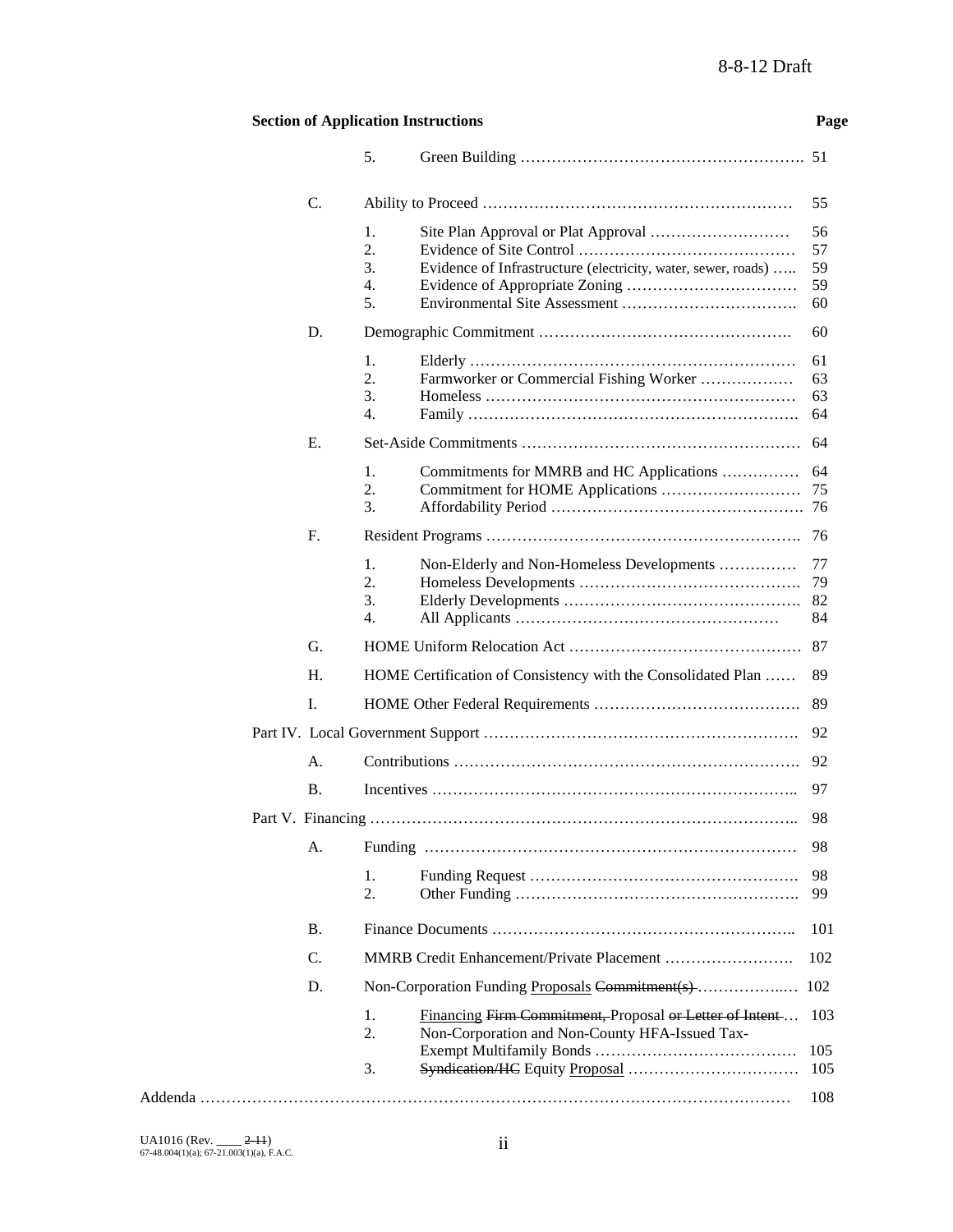## **Section of Application Instructions Page**

|           | 5.                                 |                                                                                                           |                            |
|-----------|------------------------------------|-----------------------------------------------------------------------------------------------------------|----------------------------|
| C.        |                                    |                                                                                                           | 55                         |
|           | 1.<br>2.<br>3.<br>4.<br>5.         | Evidence of Infrastructure (electricity, water, sewer, roads)                                             | 56<br>57<br>59<br>59<br>60 |
| D.        |                                    |                                                                                                           | 60                         |
|           | 1.<br>2.<br>3.<br>4.               | Farmworker or Commercial Fishing Worker                                                                   | 61<br>63<br>63<br>64       |
| Ε.        |                                    |                                                                                                           | 64                         |
|           | 1.<br>2.<br>3.                     | Commitments for MMRB and HC Applications                                                                  | 64<br>75<br>76             |
| F.        |                                    |                                                                                                           | 76                         |
|           | 1.<br>2.<br>3.<br>$\overline{4}$ . | Non-Elderly and Non-Homeless Developments                                                                 | 77<br>79<br>82<br>84       |
| G.        |                                    |                                                                                                           | 87                         |
| H.        |                                    | HOME Certification of Consistency with the Consolidated Plan                                              | 89                         |
| Ι.        |                                    |                                                                                                           | 89                         |
|           |                                    |                                                                                                           | 92                         |
| А.        |                                    |                                                                                                           | 92                         |
| В.        |                                    |                                                                                                           | 97                         |
|           |                                    |                                                                                                           | 98                         |
|           | A. Funding                         |                                                                                                           | 98                         |
|           | 1.<br>2.                           |                                                                                                           | 98<br>99                   |
| <b>B.</b> |                                    |                                                                                                           | 101                        |
| C.        |                                    |                                                                                                           | 102                        |
| D.        |                                    | Non-Corporation Funding Proposals Commitment(s)                                                           | 102                        |
|           | 1.<br>2.                           | Financing Firm Commitment, Proposal or Letter of Intent<br>Non-Corporation and Non-County HFA-Issued Tax- | 103                        |
|           | 3.                                 |                                                                                                           | 105<br>105                 |
|           |                                    |                                                                                                           | 108                        |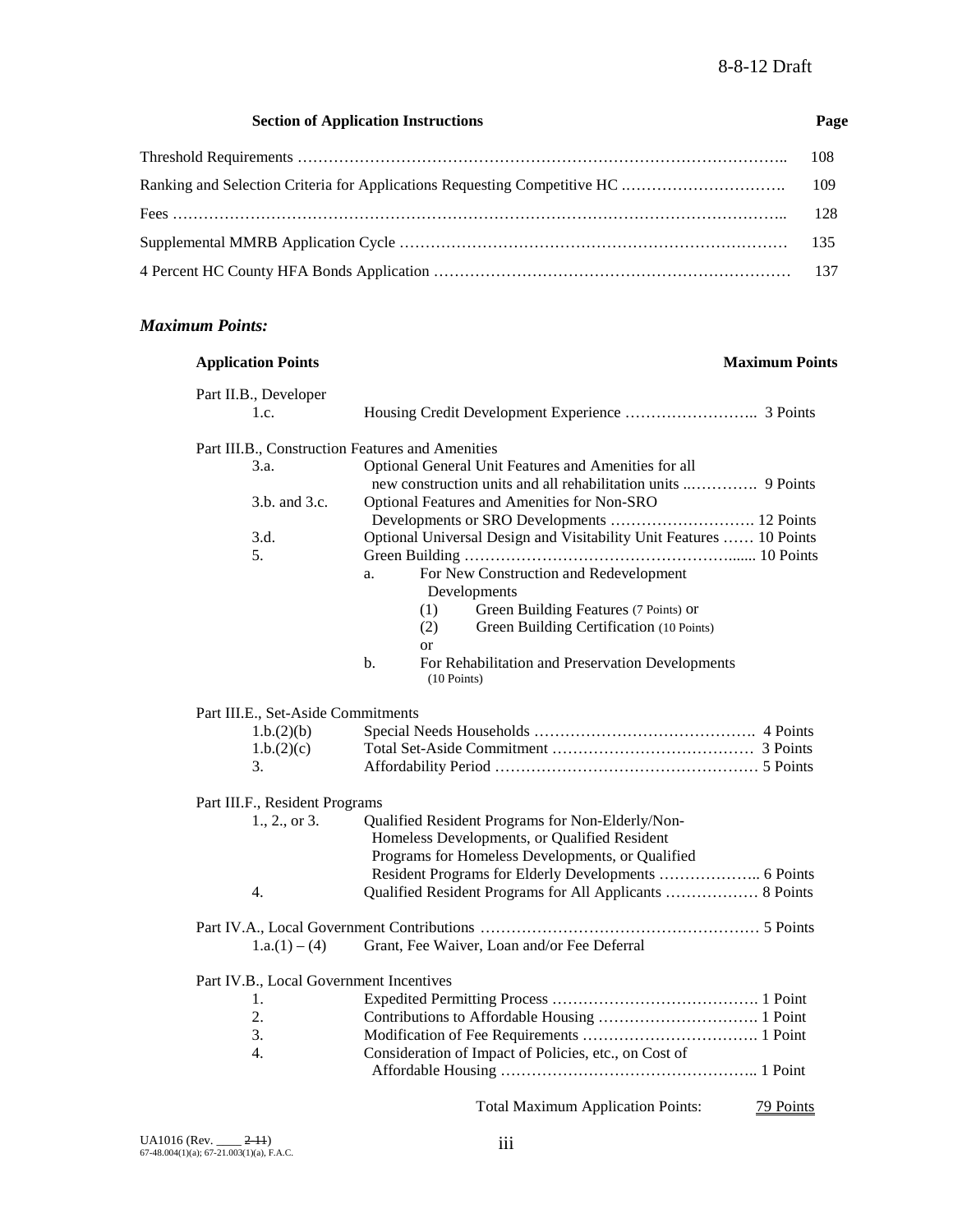#### **Section of Application Instructions Page**

#### *Maximum Points:*

## **Application Points Maximum Points** Part II.B., Developer 1.c. Housing Credit Development Experience …………………….. 3 Points Part III.B., Construction Features and Amenities 3.a. Optional General Unit Features and Amenities for all new construction units and all rehabilitation units ..…………. 9 Points 3.b. and 3.c. Optional Features and Amenities for Non-SRO Developments or SRO Developments ………………………. 12 Points 3.d. Optional Universal Design and Visitability Unit Features …… 10 Points 5. Green Building ……………………………………………....... 10 Points a. For New Construction and Redevelopment Developments (1) Green Building Features (7 Points) or (2) Green Building Certification (10 Points) or b. For Rehabilitation and Preservation Developments (10 Points) Part III.E., Set-Aside Commitments 1.b.(2)(b) Special Needs Households ……………………………………. 4 Points 1.b.(2)(c) Total Set-Aside Commitment ………………………………… 3 Points 3. Affordability Period …………………………………………… 5 Points Part III.F., Resident Programs 1., 2., or 3. Qualified Resident Programs for Non-Elderly/Non- Homeless Developments, or Qualified Resident Programs for Homeless Developments, or Qualified Resident Programs for Elderly Developments ……………….. 6 Points 4. Qualified Resident Programs for All Applicants ……………… 8 Points Part IV.A., Local Government Contributions ……………………………………………… 5 Points 1.a.(1) – (4) Grant, Fee Waiver, Loan and/or Fee Deferral Part IV.B., Local Government Incentives 1. Expedited Permitting Process …………………………………. 1 Point 2. Contributions to Affordable Housing …………………………. 1 Point 3. Modification of Fee Requirements ……………………………. 1 Point 4. Consideration of Impact of Policies, etc., on Cost of Affordable Housing ………………………………………….. 1 Point Total Maximum Application Points: 79 Points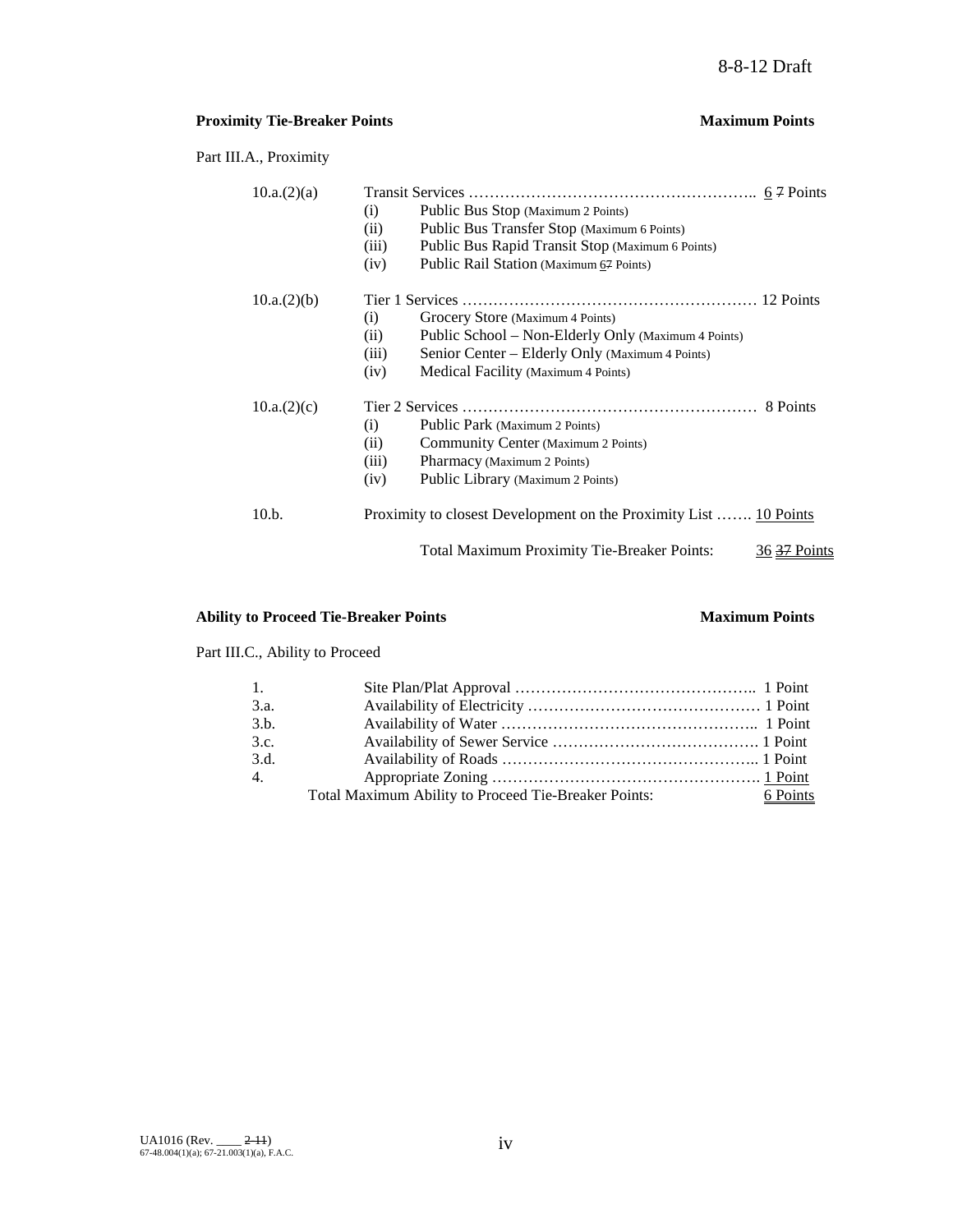## **Proximity Tie-Breaker Points Maximum Points**

Part III.A., Proximity

| 10.a.(2)(a) |                                                                               |
|-------------|-------------------------------------------------------------------------------|
|             | Public Bus Stop (Maximum 2 Points)<br>$\left( i\right)$                       |
|             | Public Bus Transfer Stop (Maximum 6 Points)<br>(ii)                           |
|             | Public Bus Rapid Transit Stop (Maximum 6 Points)<br>(iii)                     |
|             | Public Rail Station (Maximum 67 Points)<br>(iv)                               |
| 10.a.(2)(b) |                                                                               |
|             | Grocery Store (Maximum 4 Points)<br>(i)                                       |
|             | Public School – Non-Elderly Only (Maximum 4 Points)<br>(ii)                   |
|             | Senior Center – Elderly Only (Maximum 4 Points)<br>(iii)                      |
|             | Medical Facility (Maximum 4 Points)<br>(iv)                                   |
| 10.a.(2)(c) |                                                                               |
|             | Public Park (Maximum 2 Points)<br>(i)                                         |
|             | Community Center (Maximum 2 Points)<br>(ii)                                   |
|             | (iii)<br>Pharmacy (Maximum 2 Points)                                          |
|             | Public Library (Maximum 2 Points)<br>(iv)                                     |
| 10.b.       | Proximity to closest Development on the Proximity List  10 Points             |
|             | <b>Total Maximum Proximity Tie-Breaker Points:</b><br>36 <del>37</del> Points |

## **Ability to Proceed Tie-Breaker Points Maximum Points**

Part III.C., Ability to Proceed

| 6 Points |
|----------|
|          |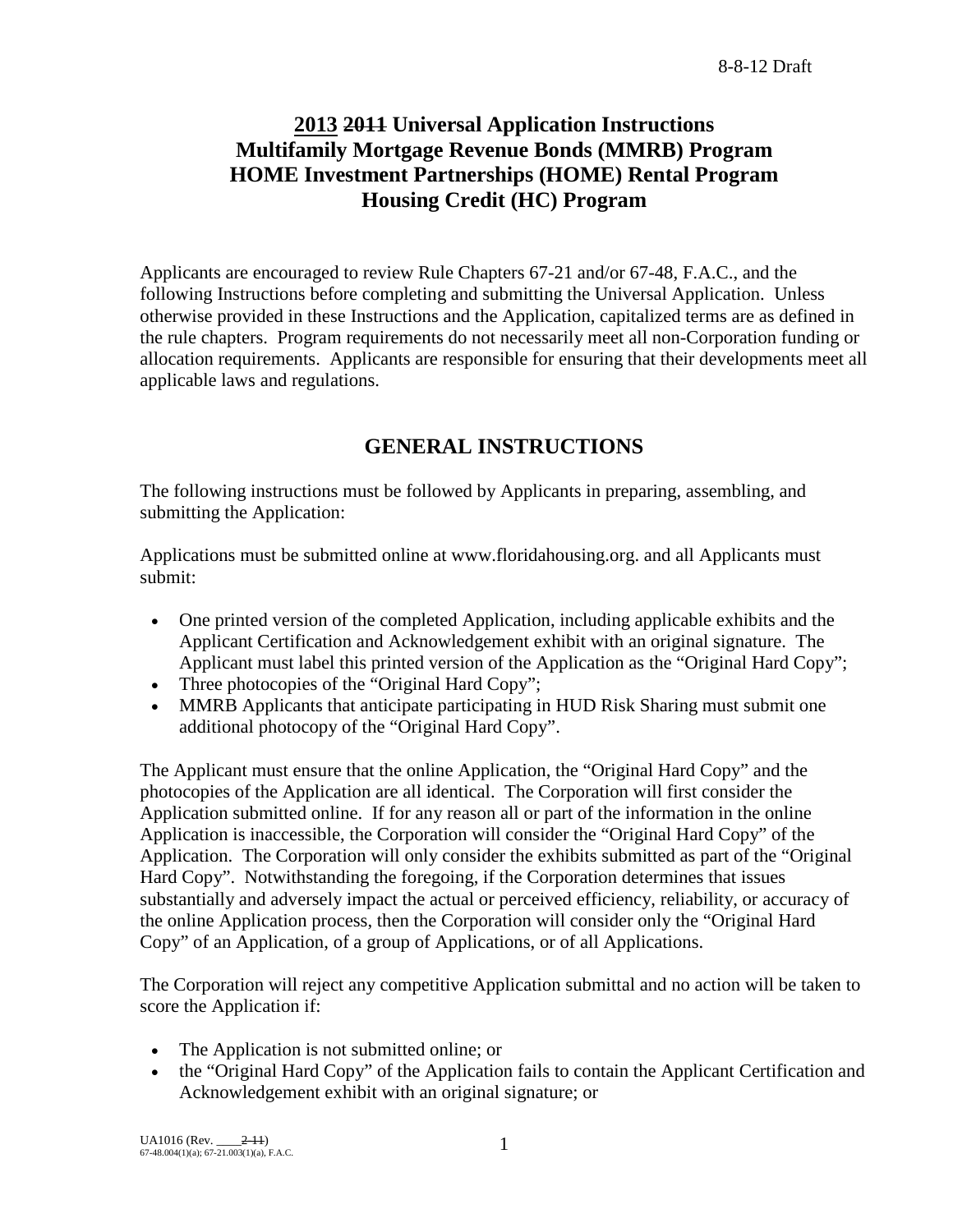# **2013 2011 Universal Application Instructions Multifamily Mortgage Revenue Bonds (MMRB) Program HOME Investment Partnerships (HOME) Rental Program Housing Credit (HC) Program**

Applicants are encouraged to review Rule Chapters 67-21 and/or 67-48, F.A.C., and the following Instructions before completing and submitting the Universal Application. Unless otherwise provided in these Instructions and the Application, capitalized terms are as defined in the rule chapters. Program requirements do not necessarily meet all non-Corporation funding or allocation requirements. Applicants are responsible for ensuring that their developments meet all applicable laws and regulations.

# **GENERAL INSTRUCTIONS**

The following instructions must be followed by Applicants in preparing, assembling, and submitting the Application:

Applications must be submitted online at www.floridahousing.org. and all Applicants must submit:

- One printed version of the completed Application, including applicable exhibits and the Applicant Certification and Acknowledgement exhibit with an original signature. The Applicant must label this printed version of the Application as the "Original Hard Copy";
- Three photocopies of the "Original Hard Copy";
- MMRB Applicants that anticipate participating in HUD Risk Sharing must submit one additional photocopy of the "Original Hard Copy".

The Applicant must ensure that the online Application, the "Original Hard Copy" and the photocopies of the Application are all identical. The Corporation will first consider the Application submitted online. If for any reason all or part of the information in the online Application is inaccessible, the Corporation will consider the "Original Hard Copy" of the Application. The Corporation will only consider the exhibits submitted as part of the "Original Hard Copy". Notwithstanding the foregoing, if the Corporation determines that issues substantially and adversely impact the actual or perceived efficiency, reliability, or accuracy of the online Application process, then the Corporation will consider only the "Original Hard Copy" of an Application, of a group of Applications, or of all Applications.

The Corporation will reject any competitive Application submittal and no action will be taken to score the Application if:

- The Application is not submitted online; or
- the "Original Hard Copy" of the Application fails to contain the Applicant Certification and Acknowledgement exhibit with an original signature; or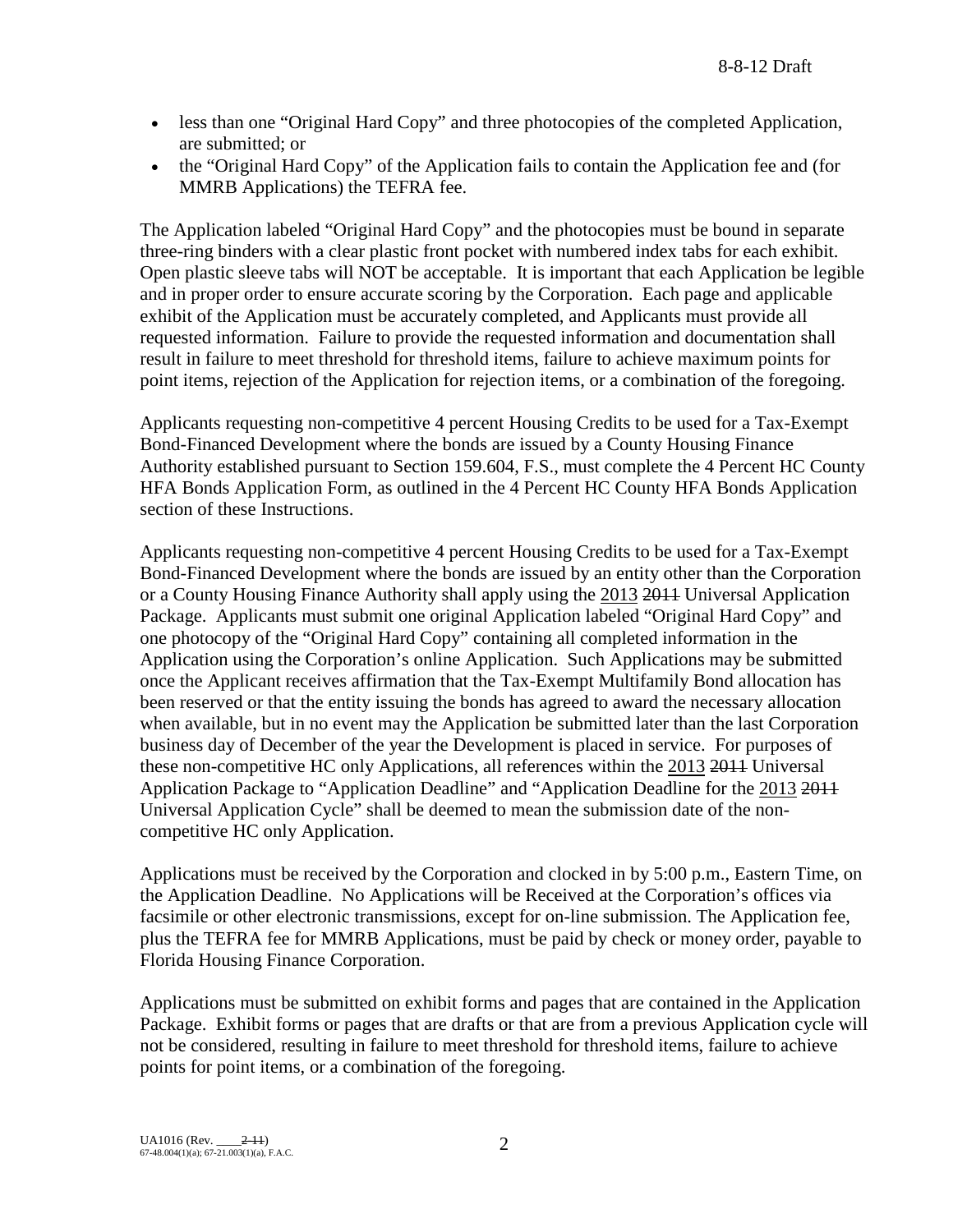- less than one "Original Hard Copy" and three photocopies of the completed Application, are submitted; or
- the "Original Hard Copy" of the Application fails to contain the Application fee and (for MMRB Applications) the TEFRA fee.

The Application labeled "Original Hard Copy" and the photocopies must be bound in separate three-ring binders with a clear plastic front pocket with numbered index tabs for each exhibit. Open plastic sleeve tabs will NOT be acceptable. It is important that each Application be legible and in proper order to ensure accurate scoring by the Corporation. Each page and applicable exhibit of the Application must be accurately completed, and Applicants must provide all requested information. Failure to provide the requested information and documentation shall result in failure to meet threshold for threshold items, failure to achieve maximum points for point items, rejection of the Application for rejection items, or a combination of the foregoing.

Applicants requesting non-competitive 4 percent Housing Credits to be used for a Tax-Exempt Bond-Financed Development where the bonds are issued by a County Housing Finance Authority established pursuant to Section 159.604, F.S., must complete the 4 Percent HC County HFA Bonds Application Form, as outlined in the 4 Percent HC County HFA Bonds Application section of these Instructions.

Applicants requesting non-competitive 4 percent Housing Credits to be used for a Tax-Exempt Bond-Financed Development where the bonds are issued by an entity other than the Corporation or a County Housing Finance Authority shall apply using the 2013 2011 Universal Application Package. Applicants must submit one original Application labeled "Original Hard Copy" and one photocopy of the "Original Hard Copy" containing all completed information in the Application using the Corporation's online Application. Such Applications may be submitted once the Applicant receives affirmation that the Tax-Exempt Multifamily Bond allocation has been reserved or that the entity issuing the bonds has agreed to award the necessary allocation when available, but in no event may the Application be submitted later than the last Corporation business day of December of the year the Development is placed in service. For purposes of these non-competitive HC only Applications, all references within the 2013 2011 Universal Application Package to "Application Deadline" and "Application Deadline for the 2013 2011 Universal Application Cycle" shall be deemed to mean the submission date of the noncompetitive HC only Application.

Applications must be received by the Corporation and clocked in by 5:00 p.m., Eastern Time, on the Application Deadline. No Applications will be Received at the Corporation's offices via facsimile or other electronic transmissions, except for on-line submission. The Application fee, plus the TEFRA fee for MMRB Applications, must be paid by check or money order, payable to Florida Housing Finance Corporation.

Applications must be submitted on exhibit forms and pages that are contained in the Application Package. Exhibit forms or pages that are drafts or that are from a previous Application cycle will not be considered, resulting in failure to meet threshold for threshold items, failure to achieve points for point items, or a combination of the foregoing.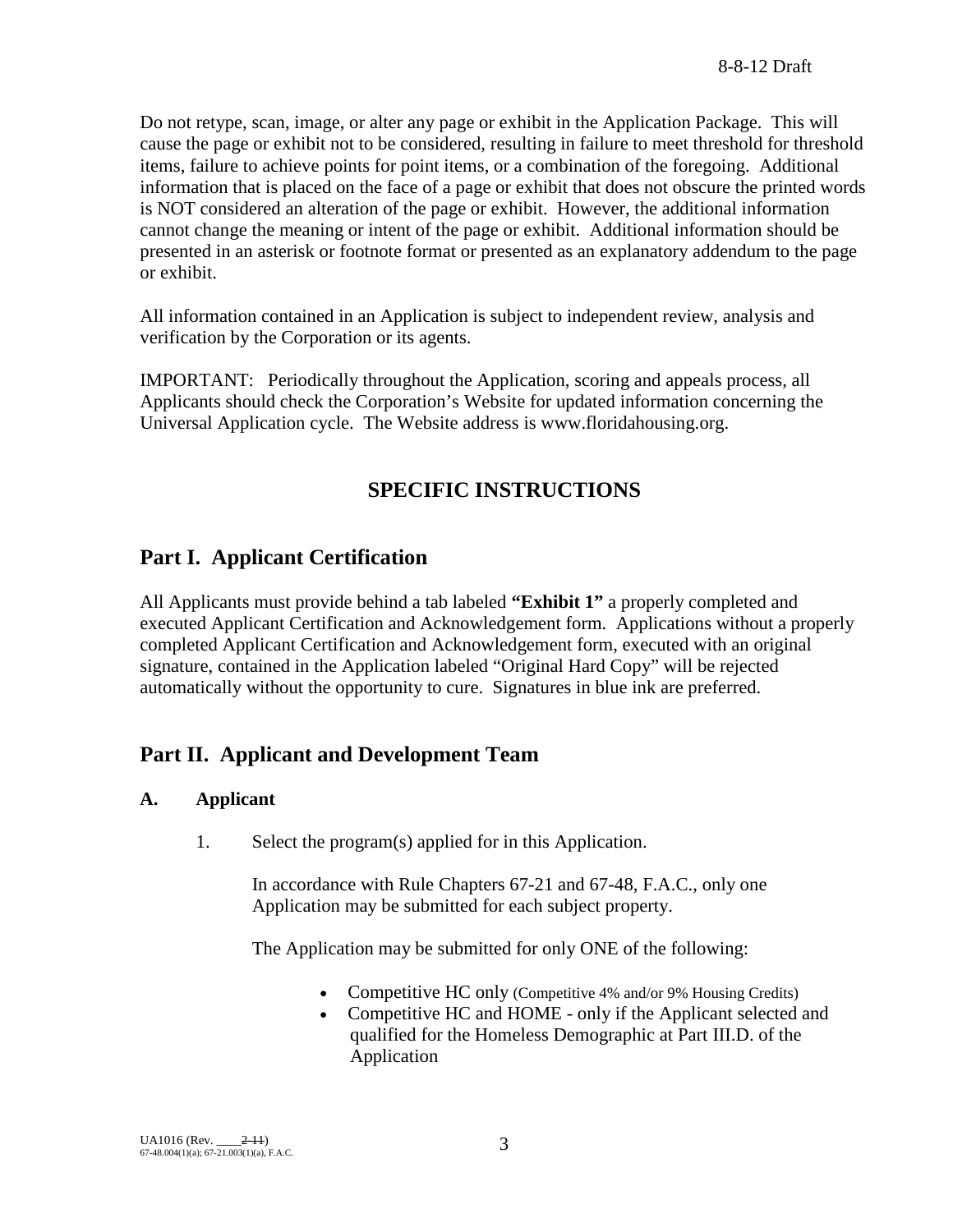Do not retype, scan, image, or alter any page or exhibit in the Application Package. This will cause the page or exhibit not to be considered, resulting in failure to meet threshold for threshold items, failure to achieve points for point items, or a combination of the foregoing. Additional information that is placed on the face of a page or exhibit that does not obscure the printed words is NOT considered an alteration of the page or exhibit. However, the additional information cannot change the meaning or intent of the page or exhibit. Additional information should be presented in an asterisk or footnote format or presented as an explanatory addendum to the page or exhibit.

All information contained in an Application is subject to independent review, analysis and verification by the Corporation or its agents.

IMPORTANT: Periodically throughout the Application, scoring and appeals process, all Applicants should check the Corporation's Website for updated information concerning the Universal Application cycle. The Website address is www.floridahousing.org.

# **SPECIFIC INSTRUCTIONS**

## **Part I. Applicant Certification**

All Applicants must provide behind a tab labeled **"Exhibit 1"** a properly completed and executed Applicant Certification and Acknowledgement form. Applications without a properly completed Applicant Certification and Acknowledgement form, executed with an original signature, contained in the Application labeled "Original Hard Copy" will be rejected automatically without the opportunity to cure. Signatures in blue ink are preferred.

## **Part II. Applicant and Development Team**

## **A. Applicant**

1. Select the program(s) applied for in this Application.

In accordance with Rule Chapters 67-21 and 67-48, F.A.C., only one Application may be submitted for each subject property.

The Application may be submitted for only ONE of the following:

- Competitive HC only (Competitive 4% and/or 9% Housing Credits)
- Competitive HC and HOME only if the Applicant selected and qualified for the Homeless Demographic at Part III.D. of the Application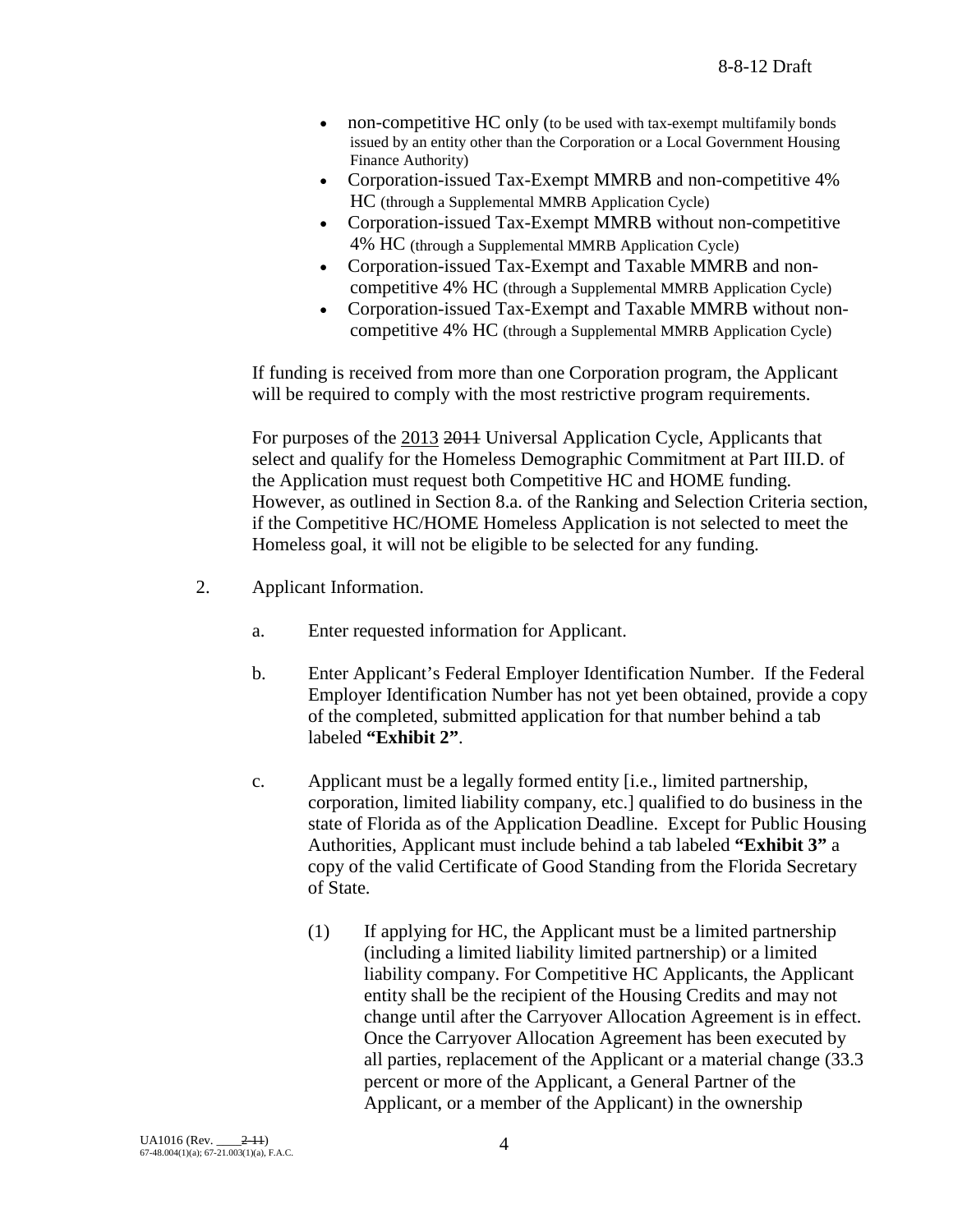- non-competitive HC only (to be used with tax-exempt multifamily bonds issued by an entity other than the Corporation or a Local Government Housing Finance Authority)
- Corporation-issued Tax-Exempt MMRB and non-competitive 4% HC (through a Supplemental MMRB Application Cycle)
- Corporation-issued Tax-Exempt MMRB without non-competitive 4% HC (through a Supplemental MMRB Application Cycle)
- Corporation-issued Tax-Exempt and Taxable MMRB and noncompetitive 4% HC (through a Supplemental MMRB Application Cycle)
- Corporation-issued Tax-Exempt and Taxable MMRB without noncompetitive 4% HC (through a Supplemental MMRB Application Cycle)

If funding is received from more than one Corporation program, the Applicant will be required to comply with the most restrictive program requirements.

For purposes of the 2013 2014 Universal Application Cycle, Applicants that select and qualify for the Homeless Demographic Commitment at Part III.D. of the Application must request both Competitive HC and HOME funding. However, as outlined in Section 8.a. of the Ranking and Selection Criteria section, if the Competitive HC/HOME Homeless Application is not selected to meet the Homeless goal, it will not be eligible to be selected for any funding.

- 2. Applicant Information.
	- a. Enter requested information for Applicant.
	- b. Enter Applicant's Federal Employer Identification Number. If the Federal Employer Identification Number has not yet been obtained, provide a copy of the completed, submitted application for that number behind a tab labeled **"Exhibit 2"**.
	- c. Applicant must be a legally formed entity [i.e., limited partnership, corporation, limited liability company, etc.] qualified to do business in the state of Florida as of the Application Deadline. Except for Public Housing Authorities, Applicant must include behind a tab labeled **"Exhibit 3"** a copy of the valid Certificate of Good Standing from the Florida Secretary of State.
		- (1) If applying for HC, the Applicant must be a limited partnership (including a limited liability limited partnership) or a limited liability company. For Competitive HC Applicants, the Applicant entity shall be the recipient of the Housing Credits and may not change until after the Carryover Allocation Agreement is in effect. Once the Carryover Allocation Agreement has been executed by all parties, replacement of the Applicant or a material change (33.3 percent or more of the Applicant, a General Partner of the Applicant, or a member of the Applicant) in the ownership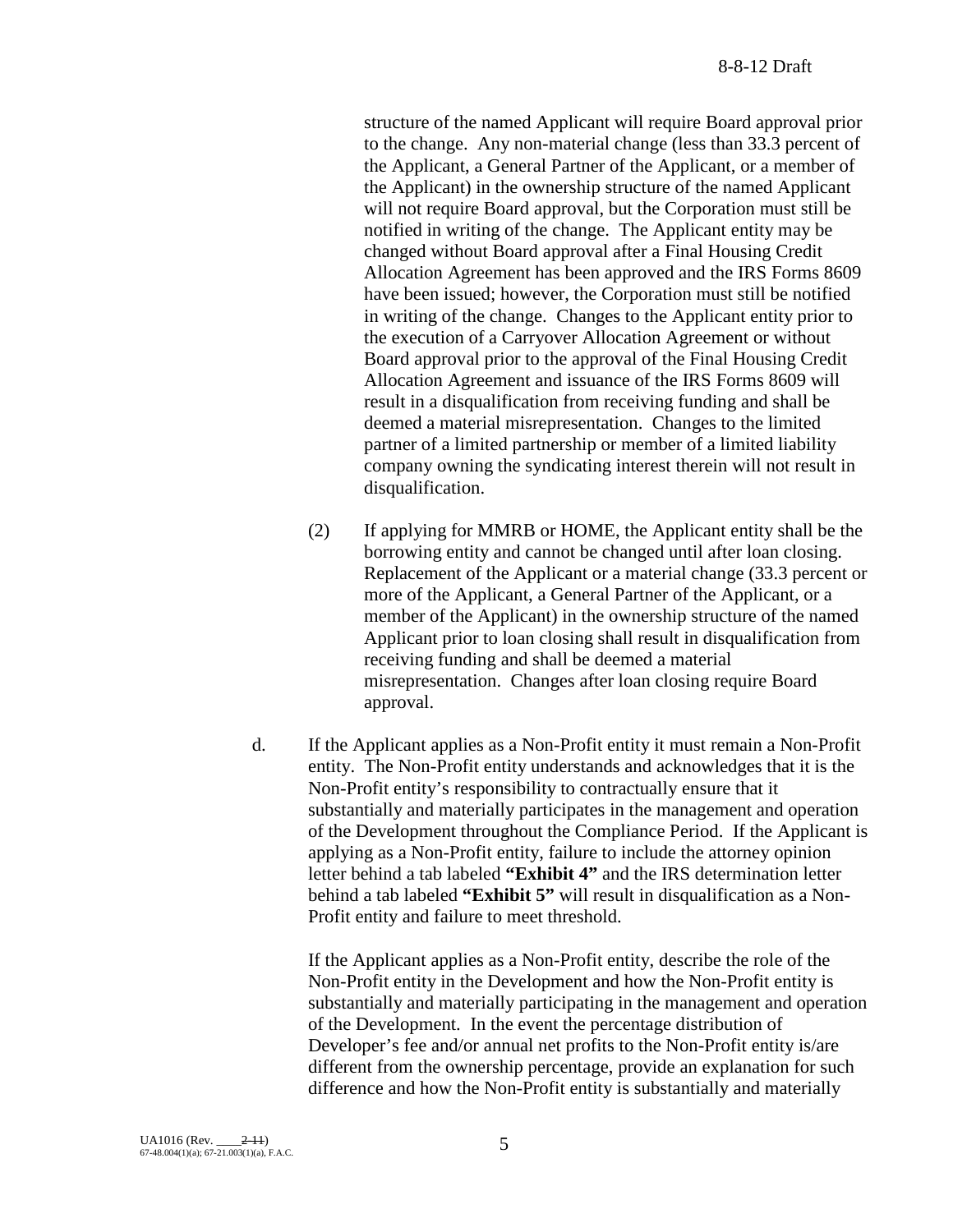structure of the named Applicant will require Board approval prior to the change. Any non-material change (less than 33.3 percent of the Applicant, a General Partner of the Applicant, or a member of the Applicant) in the ownership structure of the named Applicant will not require Board approval, but the Corporation must still be notified in writing of the change. The Applicant entity may be changed without Board approval after a Final Housing Credit Allocation Agreement has been approved and the IRS Forms 8609 have been issued; however, the Corporation must still be notified in writing of the change. Changes to the Applicant entity prior to the execution of a Carryover Allocation Agreement or without Board approval prior to the approval of the Final Housing Credit Allocation Agreement and issuance of the IRS Forms 8609 will result in a disqualification from receiving funding and shall be deemed a material misrepresentation. Changes to the limited partner of a limited partnership or member of a limited liability company owning the syndicating interest therein will not result in disqualification.

- (2) If applying for MMRB or HOME, the Applicant entity shall be the borrowing entity and cannot be changed until after loan closing. Replacement of the Applicant or a material change (33.3 percent or more of the Applicant, a General Partner of the Applicant, or a member of the Applicant) in the ownership structure of the named Applicant prior to loan closing shall result in disqualification from receiving funding and shall be deemed a material misrepresentation. Changes after loan closing require Board approval.
- d. If the Applicant applies as a Non-Profit entity it must remain a Non-Profit entity. The Non-Profit entity understands and acknowledges that it is the Non-Profit entity's responsibility to contractually ensure that it substantially and materially participates in the management and operation of the Development throughout the Compliance Period. If the Applicant is applying as a Non-Profit entity, failure to include the attorney opinion letter behind a tab labeled **"Exhibit 4"** and the IRS determination letter behind a tab labeled **"Exhibit 5"** will result in disqualification as a Non-Profit entity and failure to meet threshold.

If the Applicant applies as a Non-Profit entity, describe the role of the Non-Profit entity in the Development and how the Non-Profit entity is substantially and materially participating in the management and operation of the Development. In the event the percentage distribution of Developer's fee and/or annual net profits to the Non-Profit entity is/are different from the ownership percentage, provide an explanation for such difference and how the Non-Profit entity is substantially and materially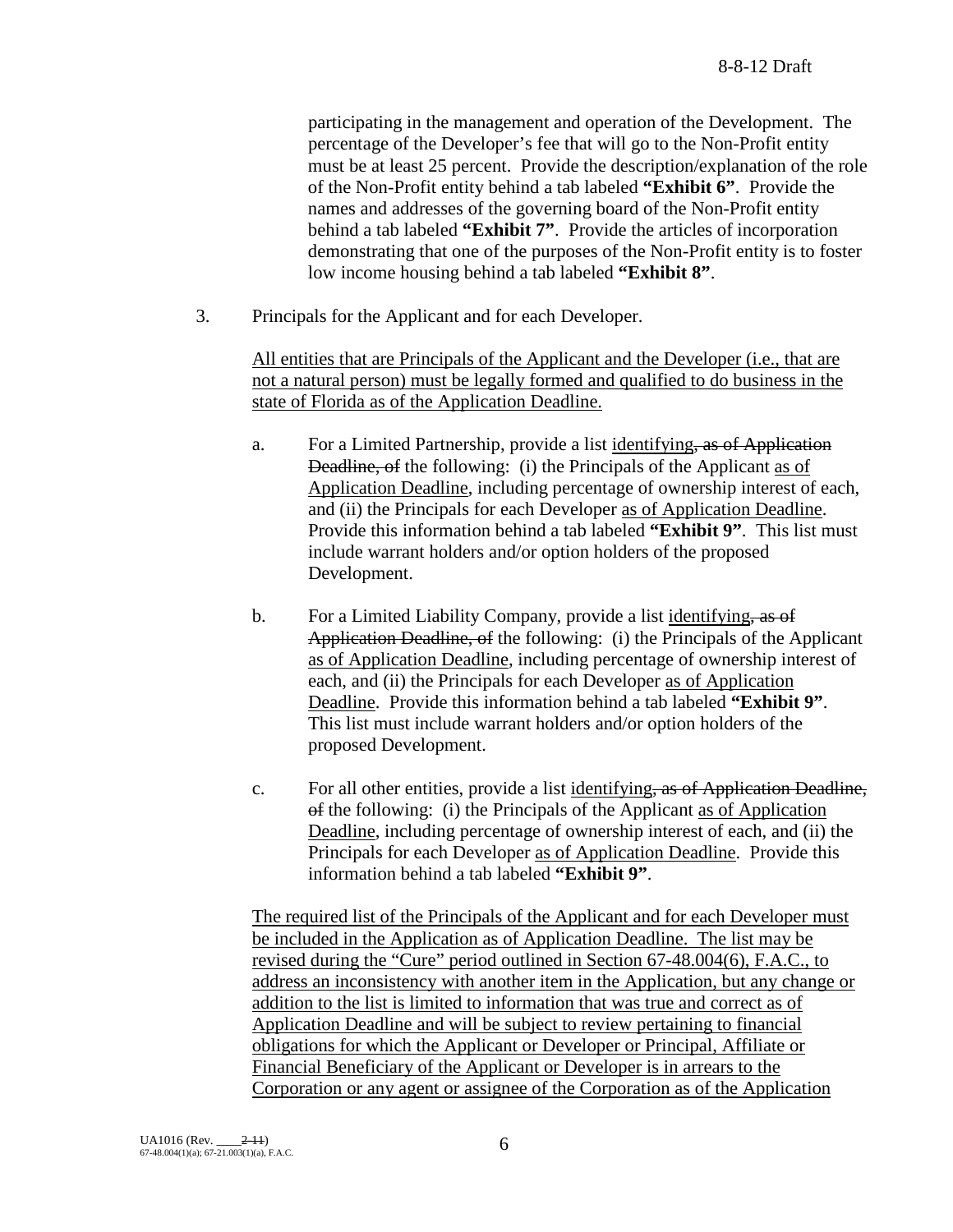participating in the management and operation of the Development. The percentage of the Developer's fee that will go to the Non-Profit entity must be at least 25 percent. Provide the description/explanation of the role of the Non-Profit entity behind a tab labeled **"Exhibit 6"**. Provide the names and addresses of the governing board of the Non-Profit entity behind a tab labeled **"Exhibit 7"**. Provide the articles of incorporation demonstrating that one of the purposes of the Non-Profit entity is to foster low income housing behind a tab labeled **"Exhibit 8"**.

3. Principals for the Applicant and for each Developer.

All entities that are Principals of the Applicant and the Developer (i.e., that are not a natural person) must be legally formed and qualified to do business in the state of Florida as of the Application Deadline.

- a. For a Limited Partnership, provide a list identifying, as of Application Deadline, of the following: (i) the Principals of the Applicant as of Application Deadline, including percentage of ownership interest of each, and (ii) the Principals for each Developer as of Application Deadline. Provide this information behind a tab labeled **"Exhibit 9"**. This list must include warrant holders and/or option holders of the proposed Development.
- b. For a Limited Liability Company, provide a list identifying, as of Application Deadline, of the following: (i) the Principals of the Applicant as of Application Deadline, including percentage of ownership interest of each, and (ii) the Principals for each Developer as of Application Deadline. Provide this information behind a tab labeled **"Exhibit 9"**. This list must include warrant holders and/or option holders of the proposed Development.
- c. For all other entities, provide a list identifying, as of Application Deadline, of the following: (i) the Principals of the Applicant as of Application Deadline, including percentage of ownership interest of each, and (ii) the Principals for each Developer as of Application Deadline. Provide this information behind a tab labeled **"Exhibit 9"**.

The required list of the Principals of the Applicant and for each Developer must be included in the Application as of Application Deadline. The list may be revised during the "Cure" period outlined in Section 67-48.004(6), F.A.C., to address an inconsistency with another item in the Application, but any change or addition to the list is limited to information that was true and correct as of Application Deadline and will be subject to review pertaining to financial obligations for which the Applicant or Developer or Principal, Affiliate or Financial Beneficiary of the Applicant or Developer is in arrears to the Corporation or any agent or assignee of the Corporation as of the Application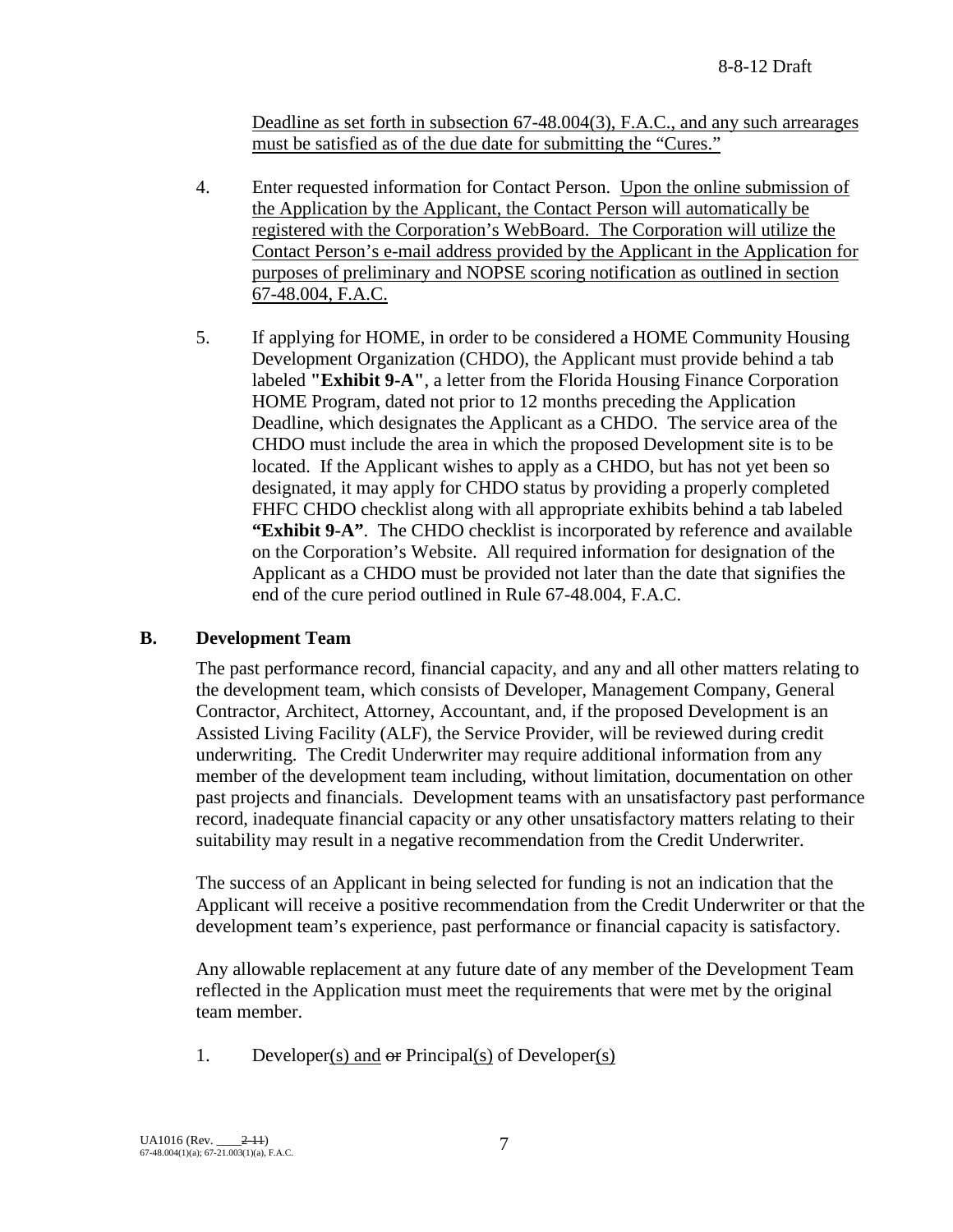Deadline as set forth in subsection 67-48.004(3), F.A.C., and any such arrearages must be satisfied as of the due date for submitting the "Cures."

- 4. Enter requested information for Contact Person. Upon the online submission of the Application by the Applicant, the Contact Person will automatically be registered with the Corporation's WebBoard. The Corporation will utilize the Contact Person's e-mail address provided by the Applicant in the Application for purposes of preliminary and NOPSE scoring notification as outlined in section 67-48.004, F.A.C.
- 5. If applying for HOME, in order to be considered a HOME Community Housing Development Organization (CHDO), the Applicant must provide behind a tab labeled **"Exhibit 9-A"**, a letter from the Florida Housing Finance Corporation HOME Program, dated not prior to 12 months preceding the Application Deadline, which designates the Applicant as a CHDO. The service area of the CHDO must include the area in which the proposed Development site is to be located. If the Applicant wishes to apply as a CHDO, but has not yet been so designated, it may apply for CHDO status by providing a properly completed FHFC CHDO checklist along with all appropriate exhibits behind a tab labeled **"Exhibit 9-A"**. The CHDO checklist is incorporated by reference and available on the Corporation's Website. All required information for designation of the Applicant as a CHDO must be provided not later than the date that signifies the end of the cure period outlined in Rule 67-48.004, F.A.C.

## **B. Development Team**

The past performance record, financial capacity, and any and all other matters relating to the development team, which consists of Developer, Management Company, General Contractor, Architect, Attorney, Accountant, and, if the proposed Development is an Assisted Living Facility (ALF), the Service Provider, will be reviewed during credit underwriting. The Credit Underwriter may require additional information from any member of the development team including, without limitation, documentation on other past projects and financials. Development teams with an unsatisfactory past performance record, inadequate financial capacity or any other unsatisfactory matters relating to their suitability may result in a negative recommendation from the Credit Underwriter.

The success of an Applicant in being selected for funding is not an indication that the Applicant will receive a positive recommendation from the Credit Underwriter or that the development team's experience, past performance or financial capacity is satisfactory.

Any allowable replacement at any future date of any member of the Development Team reflected in the Application must meet the requirements that were met by the original team member.

1. Developer(s) and  $\Theta$  Principal(s) of Developer(s)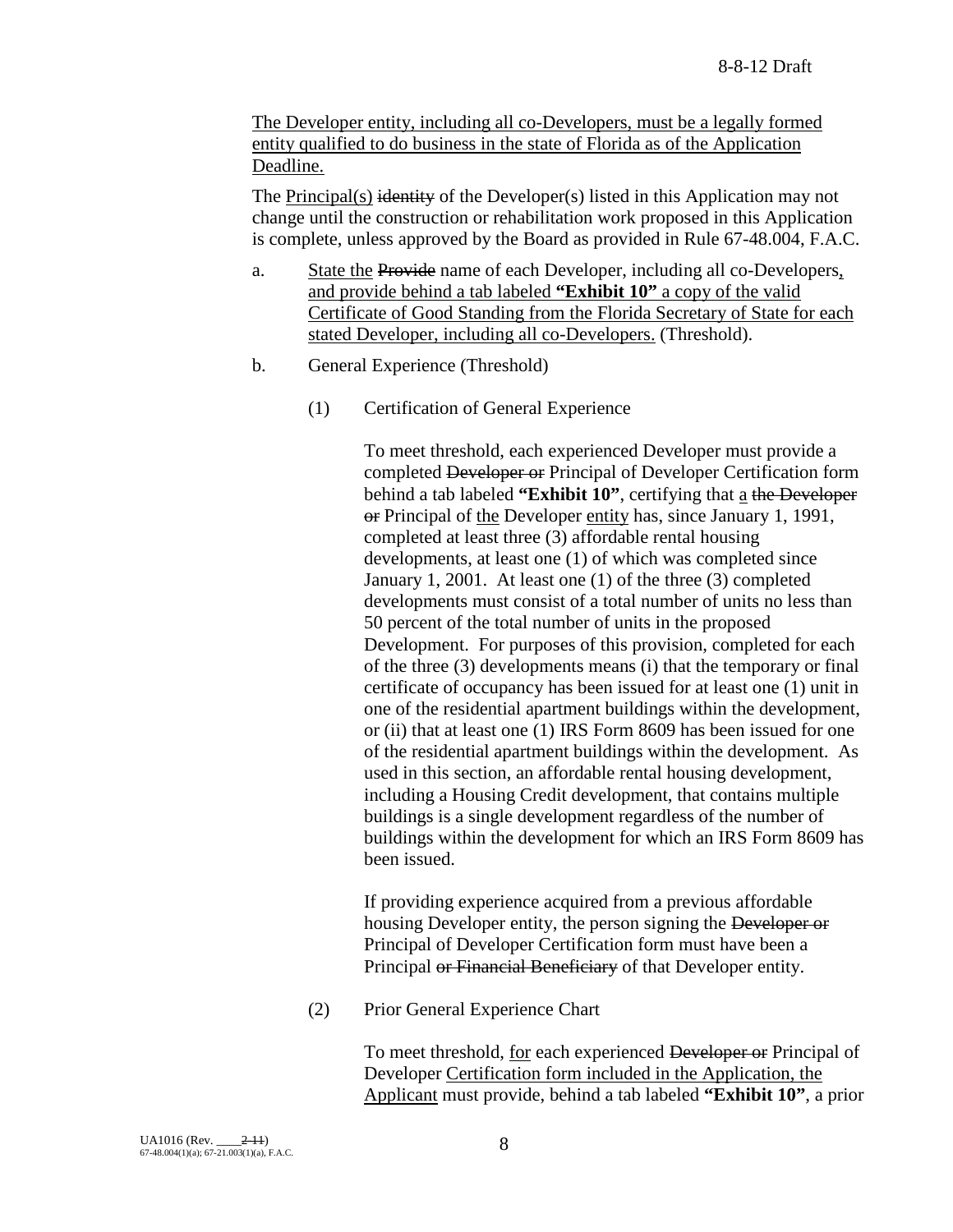The Developer entity, including all co-Developers, must be a legally formed entity qualified to do business in the state of Florida as of the Application Deadline.

The Principal(s) identity of the Developer(s) listed in this Application may not change until the construction or rehabilitation work proposed in this Application is complete, unless approved by the Board as provided in Rule 67-48.004, F.A.C.

- a. State the Provide name of each Developer, including all co-Developers, and provide behind a tab labeled **"Exhibit 10"** a copy of the valid Certificate of Good Standing from the Florida Secretary of State for each stated Developer, including all co-Developers. (Threshold).
- b. General Experience (Threshold)
	- (1) Certification of General Experience

To meet threshold, each experienced Developer must provide a completed Developer or Principal of Developer Certification form behind a tab labeled **"Exhibit 10"**, certifying that a the Developer or Principal of the Developer entity has, since January 1, 1991, completed at least three (3) affordable rental housing developments, at least one (1) of which was completed since January 1, 2001. At least one (1) of the three (3) completed developments must consist of a total number of units no less than 50 percent of the total number of units in the proposed Development. For purposes of this provision, completed for each of the three (3) developments means (i) that the temporary or final certificate of occupancy has been issued for at least one (1) unit in one of the residential apartment buildings within the development, or (ii) that at least one (1) IRS Form 8609 has been issued for one of the residential apartment buildings within the development. As used in this section, an affordable rental housing development, including a Housing Credit development, that contains multiple buildings is a single development regardless of the number of buildings within the development for which an IRS Form 8609 has been issued.

If providing experience acquired from a previous affordable housing Developer entity, the person signing the Developer or Principal of Developer Certification form must have been a Principal or Financial Beneficiary of that Developer entity.

(2) Prior General Experience Chart

To meet threshold, for each experienced Developer or Principal of Developer Certification form included in the Application, the Applicant must provide, behind a tab labeled **"Exhibit 10"**, a prior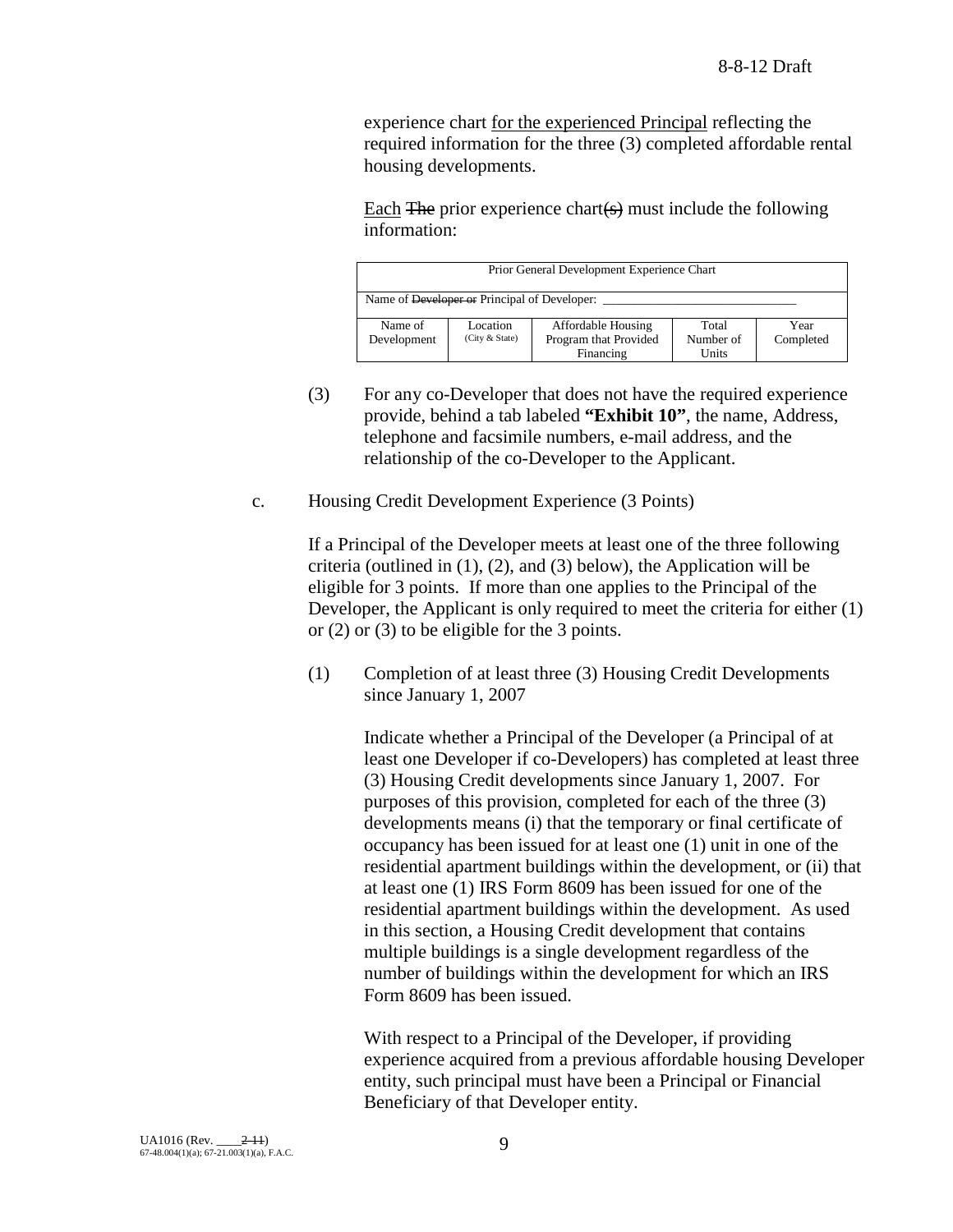experience chart for the experienced Principal reflecting the required information for the three (3) completed affordable rental housing developments.

Each  $\overline{F}$  The prior experience chart $(s)$  must include the following information:

| Prior General Development Experience Chart   |                            |                                             |                    |                   |
|----------------------------------------------|----------------------------|---------------------------------------------|--------------------|-------------------|
| Name of Developer or Principal of Developer: |                            |                                             |                    |                   |
| Name of<br>Development                       | Location<br>(City & State) | Affordable Housing<br>Program that Provided | Total<br>Number of | Year<br>Completed |
|                                              |                            | Financing                                   | Units              |                   |

- (3) For any co-Developer that does not have the required experience provide, behind a tab labeled **"Exhibit 10"**, the name, Address, telephone and facsimile numbers, e-mail address, and the relationship of the co-Developer to the Applicant.
- c. Housing Credit Development Experience (3 Points)

If a Principal of the Developer meets at least one of the three following criteria (outlined in (1), (2), and (3) below), the Application will be eligible for 3 points. If more than one applies to the Principal of the Developer, the Applicant is only required to meet the criteria for either (1) or (2) or (3) to be eligible for the 3 points.

(1) Completion of at least three (3) Housing Credit Developments since January 1, 2007

> Indicate whether a Principal of the Developer (a Principal of at least one Developer if co-Developers) has completed at least three (3) Housing Credit developments since January 1, 2007. For purposes of this provision, completed for each of the three (3) developments means (i) that the temporary or final certificate of occupancy has been issued for at least one (1) unit in one of the residential apartment buildings within the development, or (ii) that at least one (1) IRS Form 8609 has been issued for one of the residential apartment buildings within the development. As used in this section, a Housing Credit development that contains multiple buildings is a single development regardless of the number of buildings within the development for which an IRS Form 8609 has been issued.

> With respect to a Principal of the Developer, if providing experience acquired from a previous affordable housing Developer entity, such principal must have been a Principal or Financial Beneficiary of that Developer entity.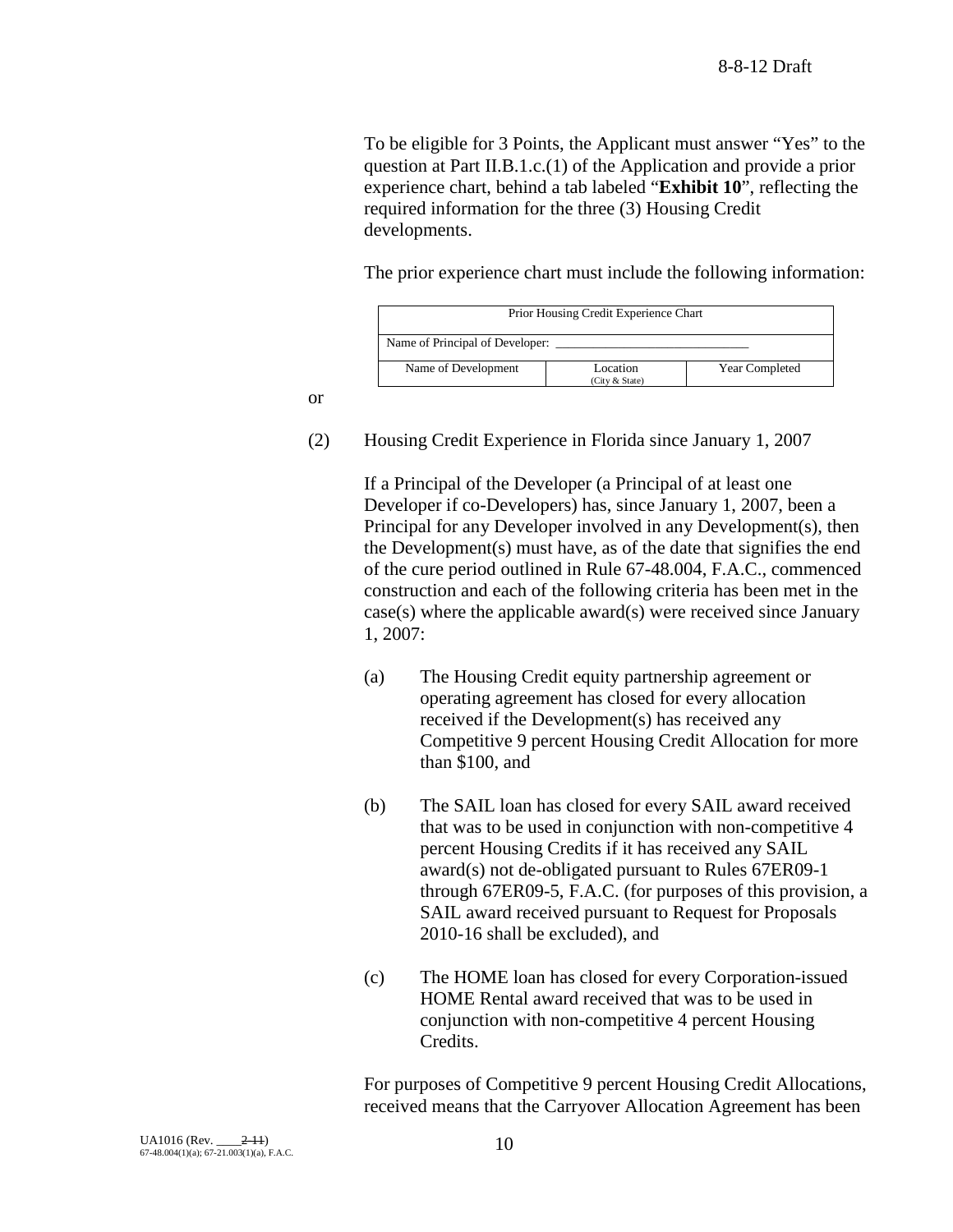To be eligible for 3 Points, the Applicant must answer "Yes" to the question at Part II.B.1.c.(1) of the Application and provide a prior experience chart, behind a tab labeled "**Exhibit 10**", reflecting the required information for the three (3) Housing Credit developments.

The prior experience chart must include the following information:

| Prior Housing Credit Experience Chart                                      |  |  |  |  |
|----------------------------------------------------------------------------|--|--|--|--|
| Name of Principal of Developer:                                            |  |  |  |  |
| Name of Development<br><b>Year Completed</b><br>Location<br>(City & State) |  |  |  |  |

or

(2) Housing Credit Experience in Florida since January 1, 2007

If a Principal of the Developer (a Principal of at least one Developer if co-Developers) has, since January 1, 2007, been a Principal for any Developer involved in any Development(s), then the Development(s) must have, as of the date that signifies the end of the cure period outlined in Rule 67-48.004, F.A.C., commenced construction and each of the following criteria has been met in the case(s) where the applicable award(s) were received since January 1, 2007:

- (a) The Housing Credit equity partnership agreement or operating agreement has closed for every allocation received if the Development(s) has received any Competitive 9 percent Housing Credit Allocation for more than \$100, and
- (b) The SAIL loan has closed for every SAIL award received that was to be used in conjunction with non-competitive 4 percent Housing Credits if it has received any SAIL award(s) not de-obligated pursuant to Rules 67ER09-1 through 67ER09-5, F.A.C. (for purposes of this provision, a SAIL award received pursuant to Request for Proposals 2010-16 shall be excluded), and
- (c) The HOME loan has closed for every Corporation-issued HOME Rental award received that was to be used in conjunction with non-competitive 4 percent Housing Credits.

For purposes of Competitive 9 percent Housing Credit Allocations, received means that the Carryover Allocation Agreement has been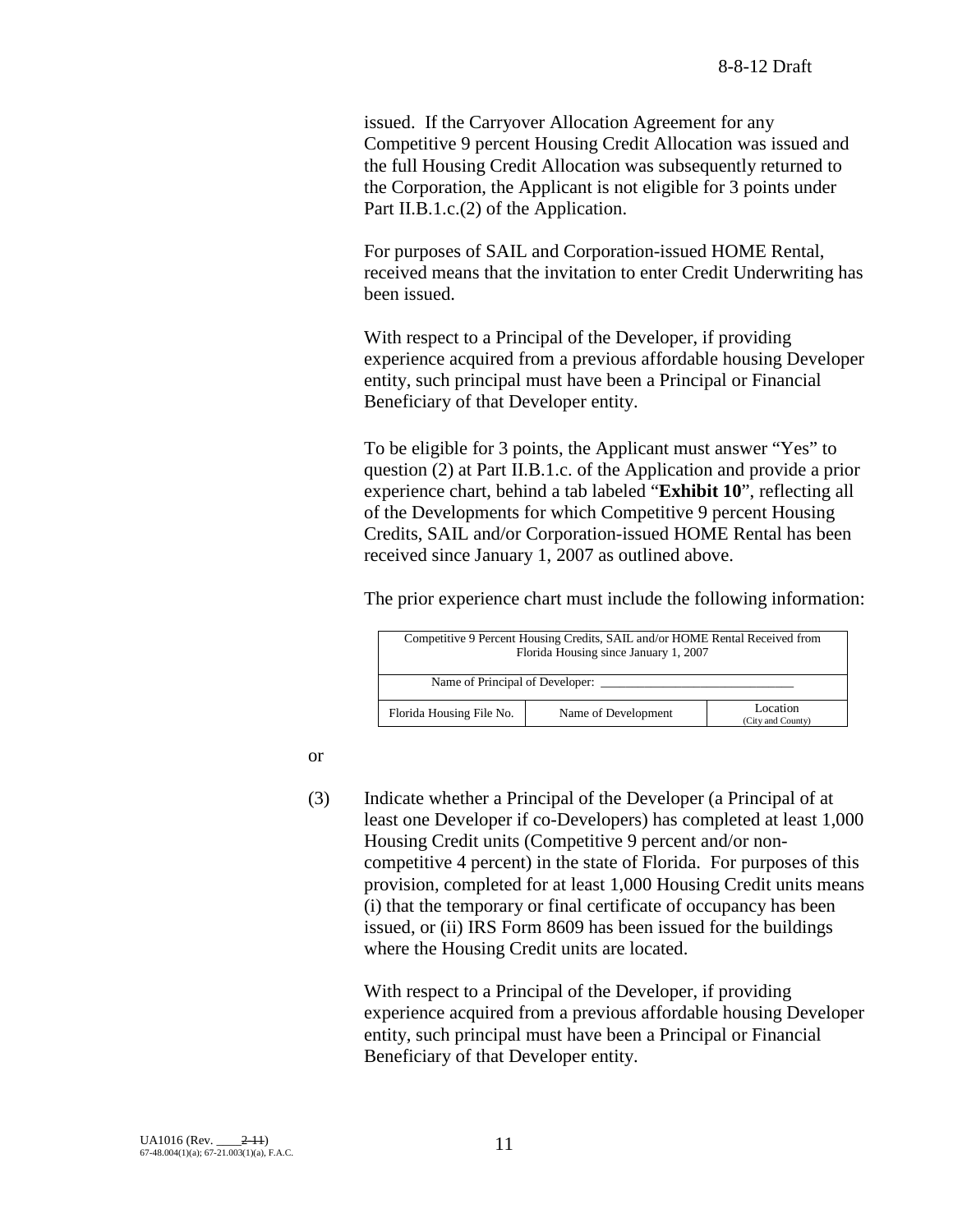issued. If the Carryover Allocation Agreement for any Competitive 9 percent Housing Credit Allocation was issued and the full Housing Credit Allocation was subsequently returned to the Corporation, the Applicant is not eligible for 3 points under Part II.B.1.c.(2) of the Application.

For purposes of SAIL and Corporation-issued HOME Rental, received means that the invitation to enter Credit Underwriting has been issued.

With respect to a Principal of the Developer, if providing experience acquired from a previous affordable housing Developer entity, such principal must have been a Principal or Financial Beneficiary of that Developer entity.

To be eligible for 3 points, the Applicant must answer "Yes" to question (2) at Part II.B.1.c. of the Application and provide a prior experience chart, behind a tab labeled "**Exhibit 10**", reflecting all of the Developments for which Competitive 9 percent Housing Credits, SAIL and/or Corporation-issued HOME Rental has been received since January 1, 2007 as outlined above.

The prior experience chart must include the following information:

| Competitive 9 Percent Housing Credits, SAIL and/or HOME Rental Received from<br>Florida Housing since January 1, 2007 |                     |                   |  |  |
|-----------------------------------------------------------------------------------------------------------------------|---------------------|-------------------|--|--|
| Name of Principal of Developer:                                                                                       |                     |                   |  |  |
|                                                                                                                       |                     |                   |  |  |
|                                                                                                                       |                     |                   |  |  |
| Florida Housing File No.                                                                                              | Name of Development | Location          |  |  |
|                                                                                                                       |                     | (City and County) |  |  |

or

(3) Indicate whether a Principal of the Developer (a Principal of at least one Developer if co-Developers) has completed at least 1,000 Housing Credit units (Competitive 9 percent and/or noncompetitive 4 percent) in the state of Florida. For purposes of this provision, completed for at least 1,000 Housing Credit units means (i) that the temporary or final certificate of occupancy has been issued, or (ii) IRS Form 8609 has been issued for the buildings where the Housing Credit units are located.

With respect to a Principal of the Developer, if providing experience acquired from a previous affordable housing Developer entity, such principal must have been a Principal or Financial Beneficiary of that Developer entity.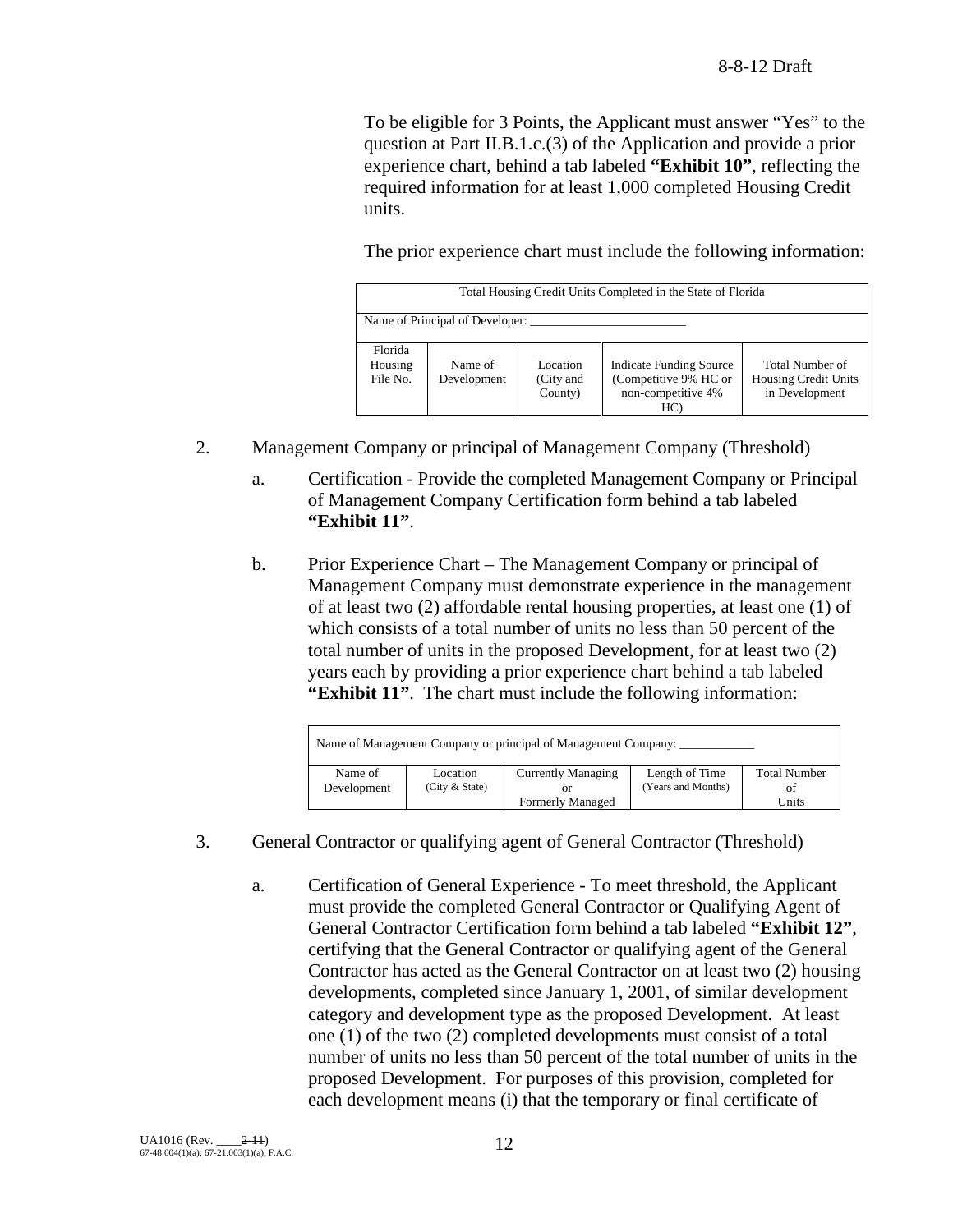To be eligible for 3 Points, the Applicant must answer "Yes" to the question at Part II.B.1.c.(3) of the Application and provide a prior experience chart, behind a tab labeled **"Exhibit 10"**, reflecting the required information for at least 1,000 completed Housing Credit units.

The prior experience chart must include the following information:

|          | Total Housing Credit Units Completed in the State of Florida |           |                                |                      |  |
|----------|--------------------------------------------------------------|-----------|--------------------------------|----------------------|--|
|          |                                                              |           |                                |                      |  |
|          | Name of Principal of Developer:                              |           |                                |                      |  |
|          |                                                              |           |                                |                      |  |
| Florida  |                                                              |           |                                |                      |  |
| Housing  | Name of                                                      | Location  | <b>Indicate Funding Source</b> | Total Number of      |  |
| File No. | Development                                                  | (City and | (Competitive 9% HC or          | Housing Credit Units |  |
|          |                                                              | County)   | non-competitive 4%             | in Development       |  |
|          |                                                              |           | HC)                            |                      |  |
|          |                                                              |           |                                |                      |  |

- 2. Management Company or principal of Management Company (Threshold)
	- a. Certification Provide the completed Management Company or Principal of Management Company Certification form behind a tab labeled **"Exhibit 11"**.
	- b. Prior Experience Chart The Management Company or principal of Management Company must demonstrate experience in the management of at least two (2) affordable rental housing properties, at least one (1) of which consists of a total number of units no less than 50 percent of the total number of units in the proposed Development, for at least two (2) years each by providing a prior experience chart behind a tab labeled **"Exhibit 11"**. The chart must include the following information:

|             |                  | Name of Management Company or principal of Management Company: |                    |                     |
|-------------|------------------|----------------------------------------------------------------|--------------------|---------------------|
| Name of     | Location         | <b>Currently Managing</b>                                      | Length of Time     | <b>Total Number</b> |
| Development | (City $&$ State) |                                                                | (Years and Months) | of                  |
|             |                  | <b>Formerly Managed</b>                                        |                    | Units               |

- 3. General Contractor or qualifying agent of General Contractor (Threshold)
	- a. Certification of General Experience To meet threshold, the Applicant must provide the completed General Contractor or Qualifying Agent of General Contractor Certification form behind a tab labeled **"Exhibit 12"**, certifying that the General Contractor or qualifying agent of the General Contractor has acted as the General Contractor on at least two (2) housing developments, completed since January 1, 2001, of similar development category and development type as the proposed Development. At least one (1) of the two (2) completed developments must consist of a total number of units no less than 50 percent of the total number of units in the proposed Development. For purposes of this provision, completed for each development means (i) that the temporary or final certificate of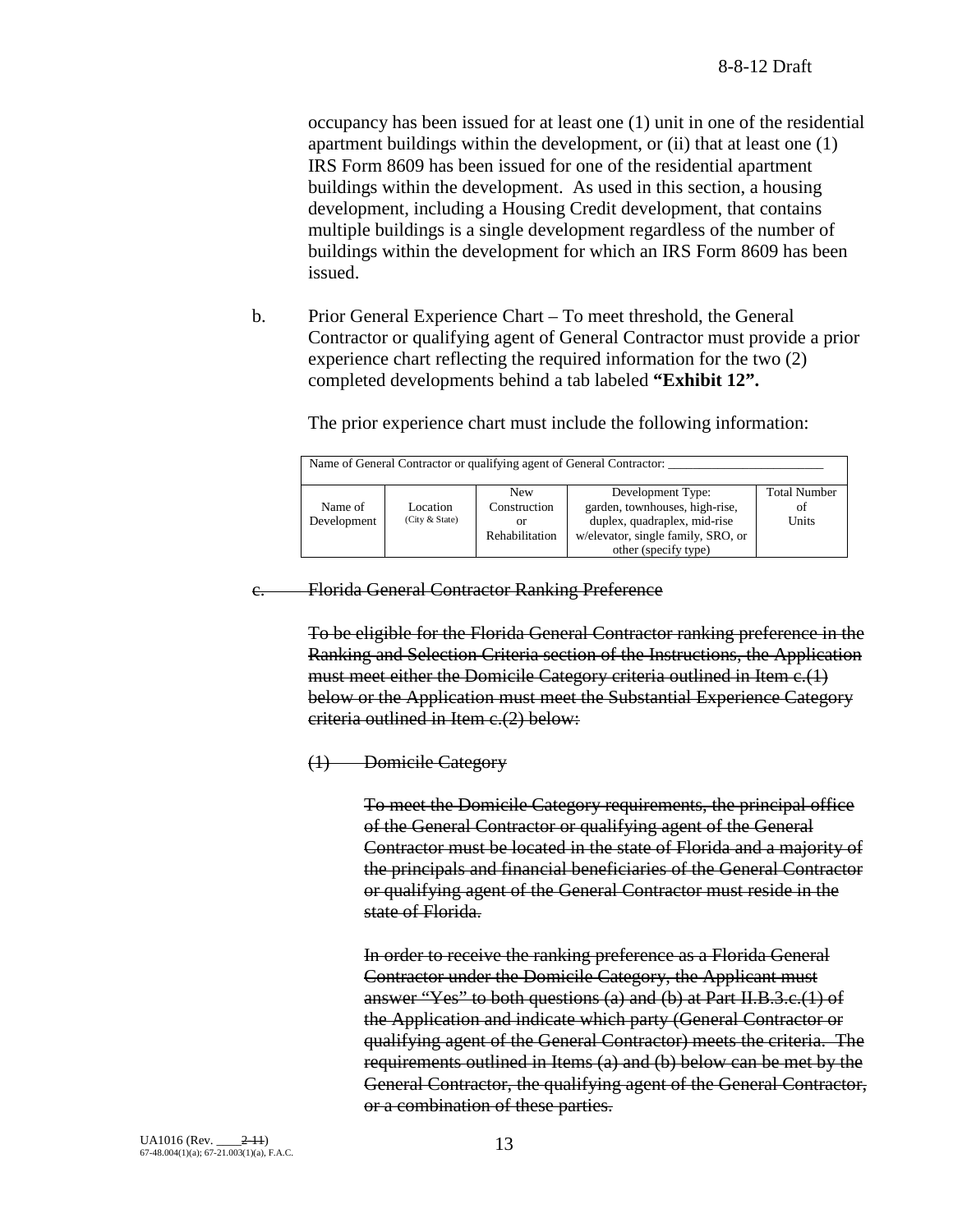occupancy has been issued for at least one (1) unit in one of the residential apartment buildings within the development, or (ii) that at least one (1) IRS Form 8609 has been issued for one of the residential apartment buildings within the development. As used in this section, a housing development, including a Housing Credit development, that contains multiple buildings is a single development regardless of the number of buildings within the development for which an IRS Form 8609 has been issued.

b. Prior General Experience Chart – To meet threshold, the General Contractor or qualifying agent of General Contractor must provide a prior experience chart reflecting the required information for the two (2) completed developments behind a tab labeled **"Exhibit 12".**

Name of General Contractor or qualifying agent of General Contractor:

The prior experience chart must include the following information:

|             |                | <b>New</b>            | Development Type:                  | <b>Total Number</b> |
|-------------|----------------|-----------------------|------------------------------------|---------------------|
| Name of     | Location       | Construction          | garden, townhouses, high-rise,     | Οİ                  |
| Development | (City & State) | or                    | duplex, quadraplex, mid-rise       | Units               |
|             |                | <b>Rehabilitation</b> | w/elevator, single family, SRO, or |                     |
|             |                |                       | other (specify type)               |                     |

Florida General Contractor Ranking Preference

To be eligible for the Florida General Contractor ranking preference in the Ranking and Selection Criteria section of the Instructions, the Application must meet either the Domicile Category criteria outlined in Item c.(1) below or the Application must meet the Substantial Experience Category criteria outlined in Item c.(2) below:

## (1) Domicile Category

To meet the Domicile Category requirements, the principal office of the General Contractor or qualifying agent of the General Contractor must be located in the state of Florida and a majority of the principals and financial beneficiaries of the General Contractor or qualifying agent of the General Contractor must reside in the state of Florida.

In order to receive the ranking preference as a Florida General Contractor under the Domicile Category, the Applicant must answer "Yes" to both questions (a) and (b) at Part II.B.3.c.(1) of the Application and indicate which party (General Contractor or qualifying agent of the General Contractor) meets the criteria. The requirements outlined in Items (a) and (b) below can be met by the General Contractor, the qualifying agent of the General Contractor, or a combination of these parties.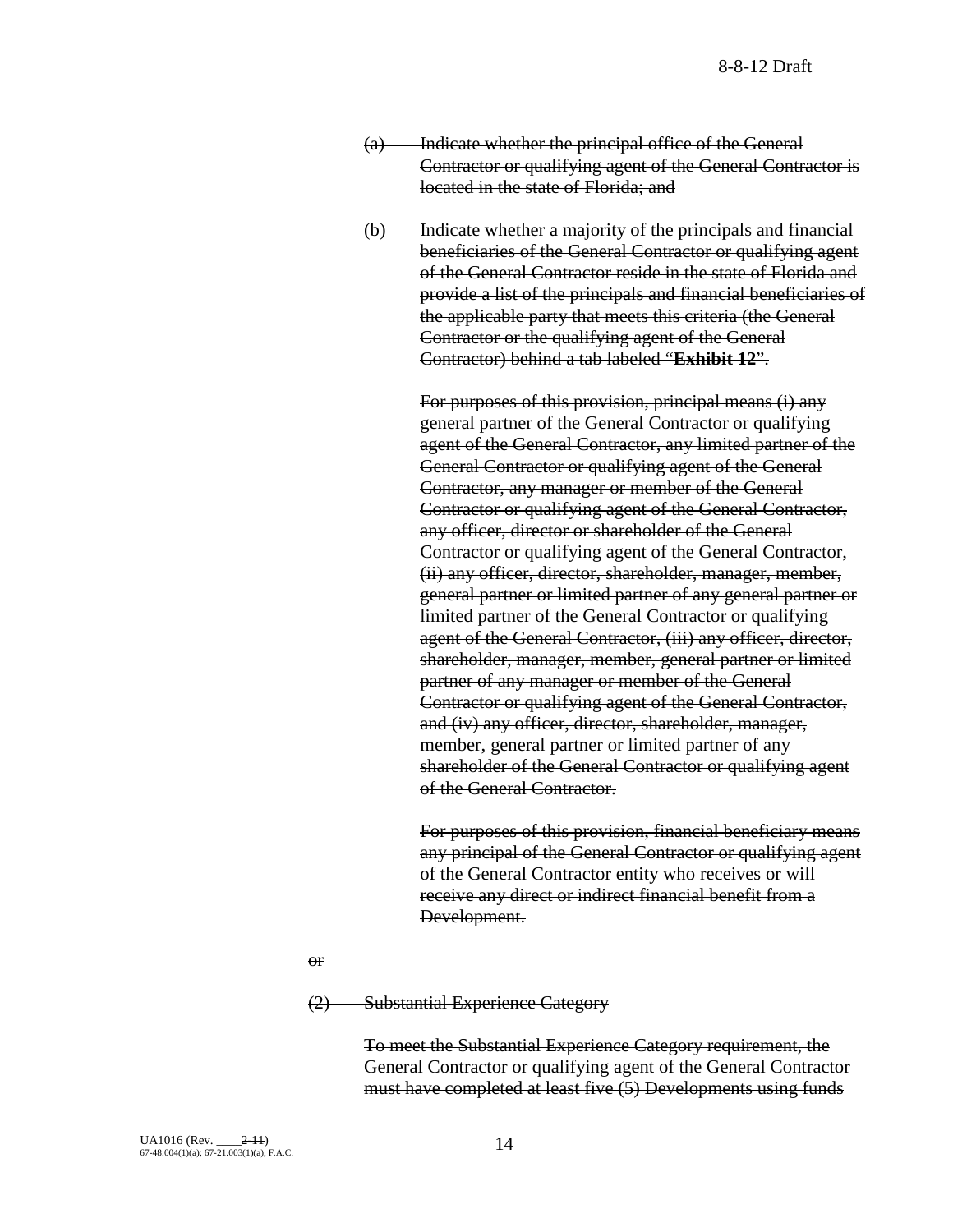- (a) Indicate whether the principal office of the General Contractor or qualifying agent of the General Contractor is located in the state of Florida; and
- (b) Indicate whether a majority of the principals and financial beneficiaries of the General Contractor or qualifying agent of the General Contractor reside in the state of Florida and provide a list of the principals and financial beneficiaries of the applicable party that meets this criteria (the General Contractor or the qualifying agent of the General Contractor) behind a tab labeled "**Exhibit 12**".

For purposes of this provision, principal means (i) any general partner of the General Contractor or qualifying agent of the General Contractor, any limited partner of the General Contractor or qualifying agent of the General Contractor, any manager or member of the General Contractor or qualifying agent of the General Contractor, any officer, director or shareholder of the General Contractor or qualifying agent of the General Contractor, (ii) any officer, director, shareholder, manager, member, general partner or limited partner of any general partner or limited partner of the General Contractor or qualifying agent of the General Contractor, (iii) any officer, director, shareholder, manager, member, general partner or limited partner of any manager or member of the General Contractor or qualifying agent of the General Contractor, and (iv) any officer, director, shareholder, manager, member, general partner or limited partner of any shareholder of the General Contractor or qualifying agent of the General Contractor.

For purposes of this provision, financial beneficiary means any principal of the General Contractor or qualifying agent of the General Contractor entity who receives or will receive any direct or indirect financial benefit from a Development.

or

(2) Substantial Experience Category

To meet the Substantial Experience Category requirement, the General Contractor or qualifying agent of the General Contractor must have completed at least five (5) Developments using funds

UA1016 (Rev. \_\_\_\_2-11) 67-48.004(1)(a); 67-21.003(1)(a), F.A.C. 14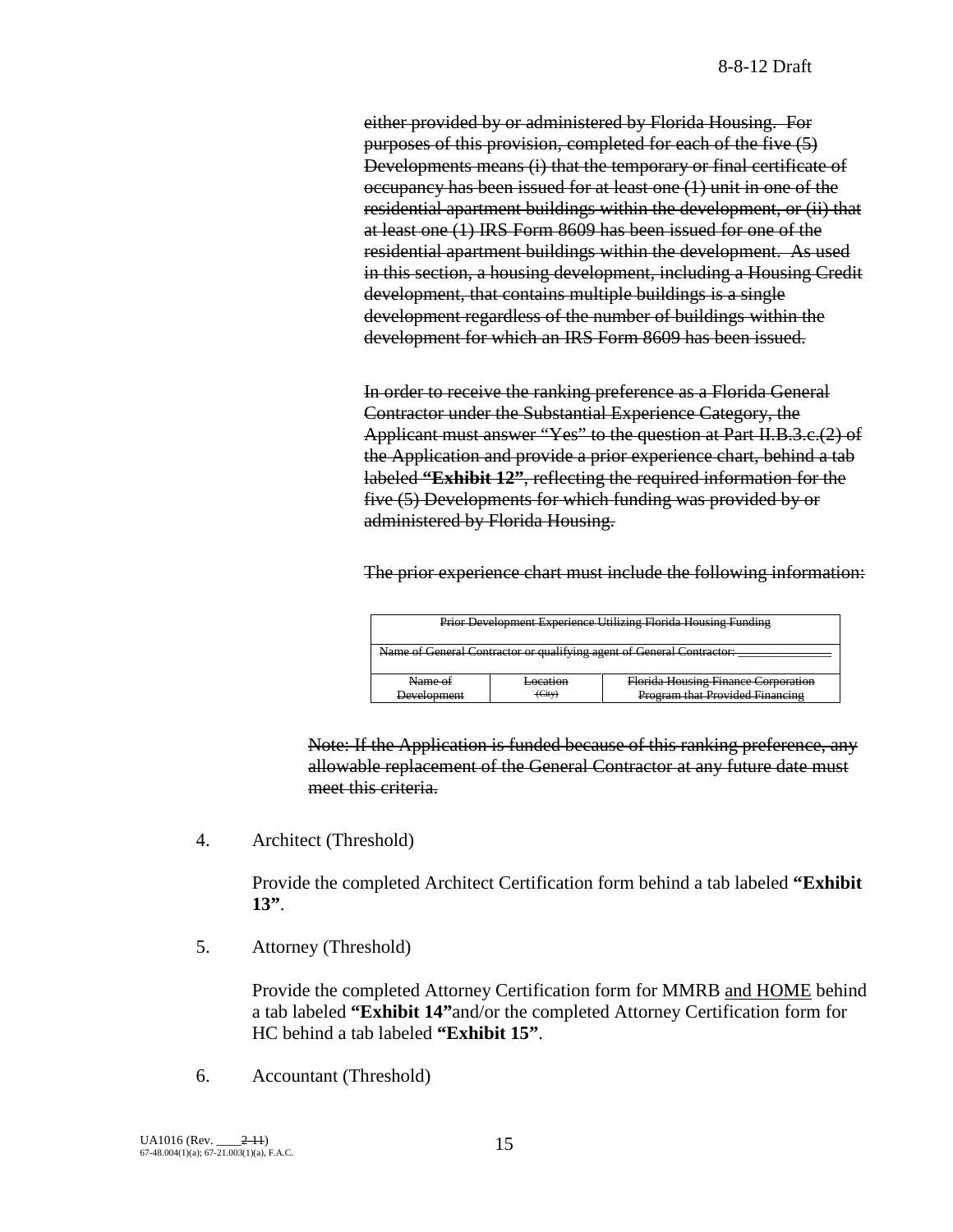either provided by or administered by Florida Housing. For purposes of this provision, completed for each of the five (5) Developments means (i) that the temporary or final certificate of occupancy has been issued for at least one (1) unit in one of the residential apartment buildings within the development, or (ii) that at least one (1) IRS Form 8609 has been issued for one of the residential apartment buildings within the development. As used in this section, a housing development, including a Housing Credit development, that contains multiple buildings is a single development regardless of the number of buildings within the development for which an IRS Form 8609 has been issued.

In order to receive the ranking preference as a Florida General Contractor under the Substantial Experience Category, the Applicant must answer "Yes" to the question at Part II.B.3.c.(2) of the Application and provide a prior experience chart, behind a tab labeled **"Exhibit 12"**, reflecting the required information for the five (5) Developments for which funding was provided by or administered by Florida Housing.

The prior experience chart must include the following information:

| <b>Prior Development Experience Utilizing Florida Housing Funding</b> |                                                            |                                 |  |  |
|-----------------------------------------------------------------------|------------------------------------------------------------|---------------------------------|--|--|
| Name of General Contractor or qualifying agent of General Contractor: |                                                            |                                 |  |  |
|                                                                       |                                                            |                                 |  |  |
| Name of                                                               | Florida Housing Finance Corporation<br><del>Location</del> |                                 |  |  |
| Development                                                           | (City)<br>Ē                                                | Program that Provided Financing |  |  |

Note: If the Application is funded because of this ranking preference, any allowable replacement of the General Contractor at any future date must meet this criteria.

4. Architect (Threshold)

Provide the completed Architect Certification form behind a tab labeled **"Exhibit 13"**.

5. Attorney (Threshold)

Provide the completed Attorney Certification form for MMRB and HOME behind a tab labeled **"Exhibit 14"**and/or the completed Attorney Certification form for HC behind a tab labeled **"Exhibit 15"**.

6. Accountant (Threshold)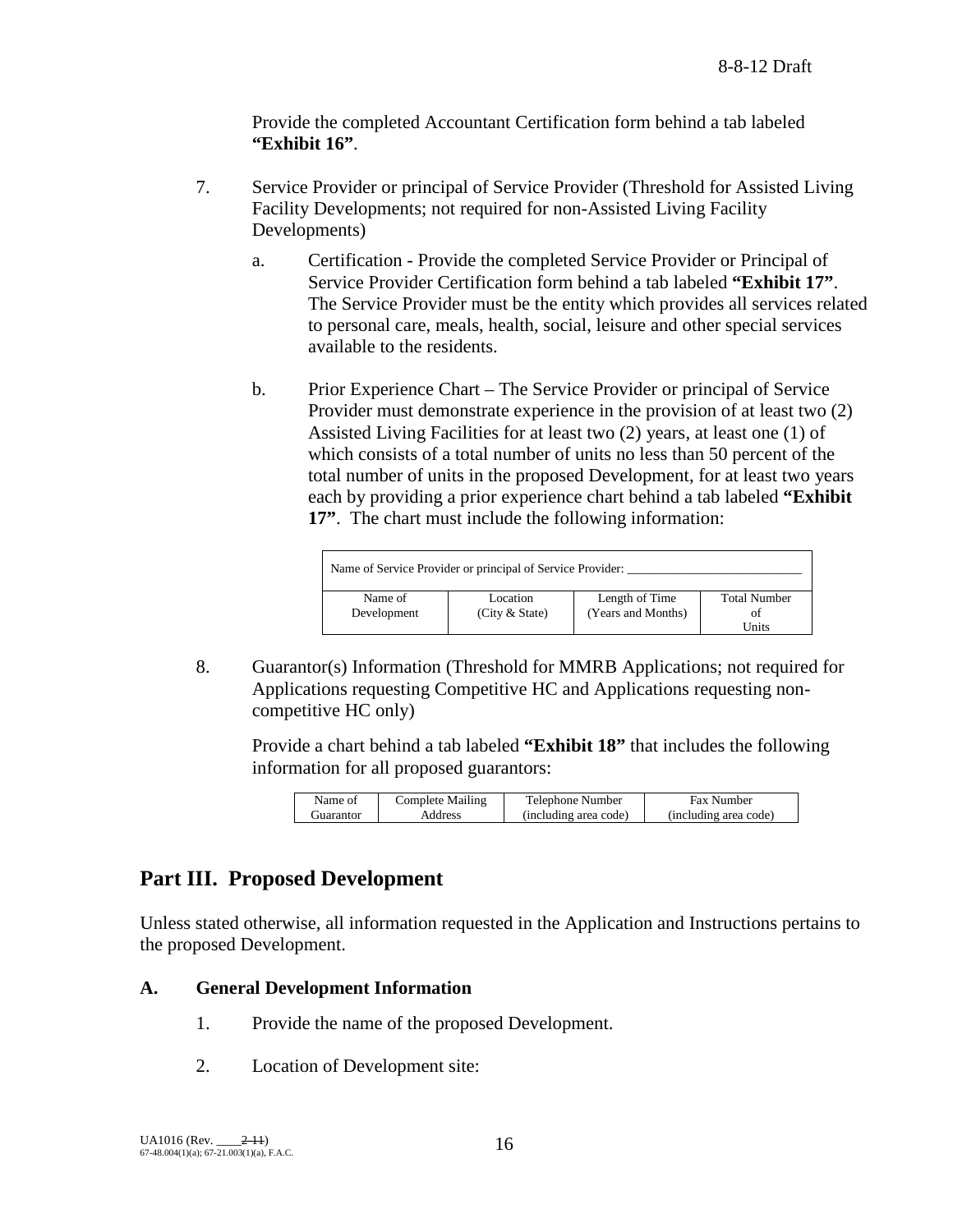Provide the completed Accountant Certification form behind a tab labeled **"Exhibit 16"**.

- 7. Service Provider or principal of Service Provider (Threshold for Assisted Living Facility Developments; not required for non-Assisted Living Facility Developments)
	- a. Certification Provide the completed Service Provider or Principal of Service Provider Certification form behind a tab labeled **"Exhibit 17"**. The Service Provider must be the entity which provides all services related to personal care, meals, health, social, leisure and other special services available to the residents.
	- b. Prior Experience Chart The Service Provider or principal of Service Provider must demonstrate experience in the provision of at least two (2) Assisted Living Facilities for at least two (2) years, at least one (1) of which consists of a total number of units no less than 50 percent of the total number of units in the proposed Development, for at least two years each by providing a prior experience chart behind a tab labeled **"Exhibit 17"**. The chart must include the following information:

| Name of Service Provider or principal of Service Provider: |                            |                                      |                           |  |
|------------------------------------------------------------|----------------------------|--------------------------------------|---------------------------|--|
| Name of<br>Development                                     | Location<br>(City & State) | Length of Time<br>(Years and Months) | <b>Total Number</b><br>ΩŤ |  |
|                                                            |                            |                                      | Units                     |  |

8. Guarantor(s) Information (Threshold for MMRB Applications; not required for Applications requesting Competitive HC and Applications requesting noncompetitive HC only)

Provide a chart behind a tab labeled **"Exhibit 18"** that includes the following information for all proposed guarantors:

| Name of                 | <b>Complete Mailing</b> | Telephone Number      | <b>Fax Number</b>     |
|-------------------------|-------------------------|-----------------------|-----------------------|
| . <del>i</del> uarantor | Address                 | (including area code) | (including area code) |
|                         |                         |                       |                       |

# **Part III. Proposed Development**

Unless stated otherwise, all information requested in the Application and Instructions pertains to the proposed Development.

## **A. General Development Information**

- 1. Provide the name of the proposed Development.
- 2. Location of Development site: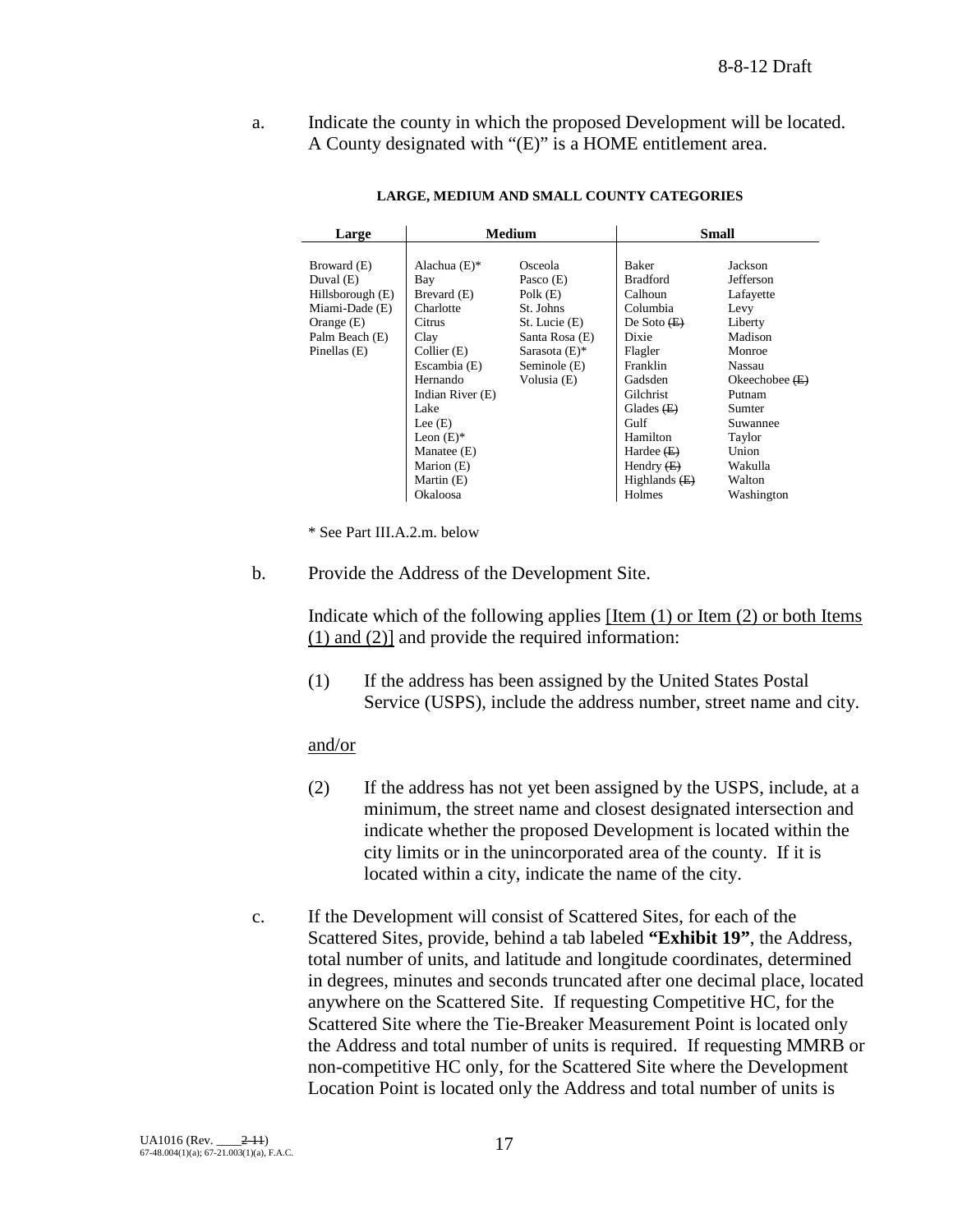a. Indicate the county in which the proposed Development will be located. A County designated with "(E)" is a HOME entitlement area.

| Large            | <b>Medium</b>    |                  | <b>Small</b>    |                  |
|------------------|------------------|------------------|-----------------|------------------|
|                  |                  |                  |                 |                  |
| Broward (E)      | Alachua $(E)$ *  | Osceola          | Baker           | Jackson          |
| Duval $(E)$      | Bay              | Pasco (E)        | <b>Bradford</b> | Jefferson        |
| Hillsborough (E) | Brevard (E)      | Polk $(E)$       | Calhoun         | Lafayette        |
| Miami-Dade (E)   | Charlotte        | St. Johns        | Columbia        | Levy             |
| Orange $(E)$     | Citrus           | St. Lucie (E)    | De Soto $(E)$   | Liberty          |
| Palm Beach (E)   | Clay             | Santa Rosa (E)   | Dixie           | Madison          |
| Pinellas (E)     | Collier (E)      | Sarasota $(E)$ * | Flagler         | Monroe           |
|                  | Escambia (E)     | Seminole (E)     | Franklin        | Nassau           |
|                  | Hernando         | Volusia (E)      | Gadsden         | Okeechobee $(E)$ |
|                  | Indian River (E) |                  | Gilchrist       | Putnam           |
|                  | Lake             |                  | Glades $(E)$    | Sumter           |
|                  | Lee $(E)$        |                  | Gulf            | Suwannee         |
|                  | Leon $(E)^*$     |                  | Hamilton        | Taylor           |
|                  | Manatee (E)      |                  | Hardee $(E)$    | Union            |
|                  | Marion (E)       |                  | Hendry $(E)$    | Wakulla          |
|                  | Martin (E)       |                  | Highlands $(E)$ | Walton           |
|                  | Okaloosa         |                  | Holmes          | Washington       |

#### **LARGE, MEDIUM AND SMALL COUNTY CATEGORIES**

\* See Part III.A.2.m. below

b. Provide the Address of the Development Site.

Indicate which of the following applies [Item (1) or Item (2) or both Items (1) and (2)] and provide the required information:

(1) If the address has been assigned by the United States Postal Service (USPS), include the address number, street name and city.

#### and/or

- (2) If the address has not yet been assigned by the USPS, include, at a minimum, the street name and closest designated intersection and indicate whether the proposed Development is located within the city limits or in the unincorporated area of the county. If it is located within a city, indicate the name of the city.
- c. If the Development will consist of Scattered Sites, for each of the Scattered Sites, provide, behind a tab labeled **"Exhibit 19"**, the Address, total number of units, and latitude and longitude coordinates, determined in degrees, minutes and seconds truncated after one decimal place, located anywhere on the Scattered Site. If requesting Competitive HC, for the Scattered Site where the Tie-Breaker Measurement Point is located only the Address and total number of units is required. If requesting MMRB or non-competitive HC only, for the Scattered Site where the Development Location Point is located only the Address and total number of units is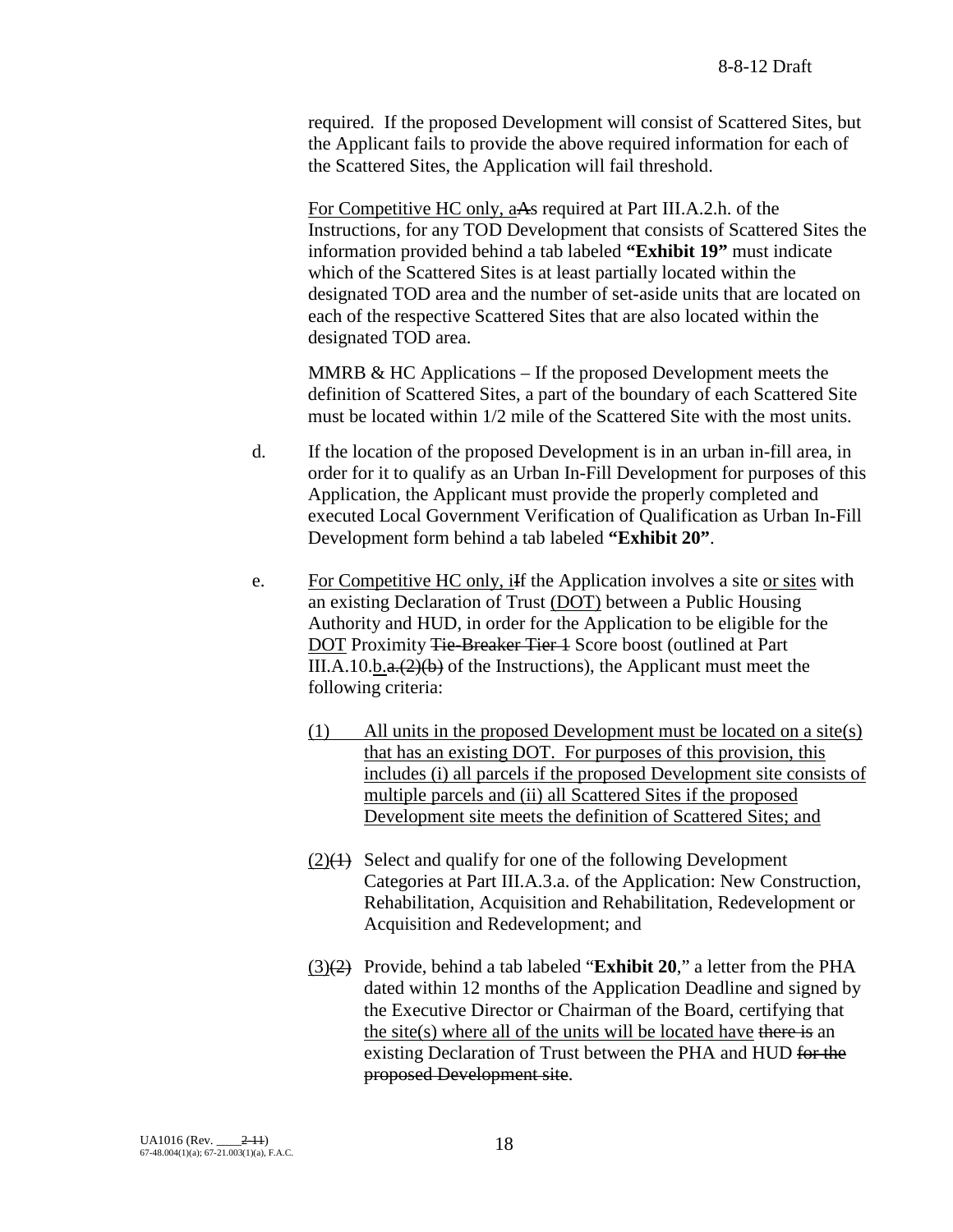required. If the proposed Development will consist of Scattered Sites, but the Applicant fails to provide the above required information for each of the Scattered Sites, the Application will fail threshold.

For Competitive HC only, aAs required at Part III.A.2.h. of the Instructions, for any TOD Development that consists of Scattered Sites the information provided behind a tab labeled **"Exhibit 19"** must indicate which of the Scattered Sites is at least partially located within the designated TOD area and the number of set-aside units that are located on each of the respective Scattered Sites that are also located within the designated TOD area.

MMRB  $&$  HC Applications – If the proposed Development meets the definition of Scattered Sites, a part of the boundary of each Scattered Site must be located within 1/2 mile of the Scattered Site with the most units.

- d. If the location of the proposed Development is in an urban in-fill area, in order for it to qualify as an Urban In-Fill Development for purposes of this Application, the Applicant must provide the properly completed and executed Local Government Verification of Qualification as Urban In-Fill Development form behind a tab labeled **"Exhibit 20"**.
- e. For Competitive HC only, if the Application involves a site or sites with an existing Declaration of Trust (DOT) between a Public Housing Authority and HUD, in order for the Application to be eligible for the DOT Proximity Tie-Breaker Tier 1 Score boost (outlined at Part III.A.10.b. $a(2)(b)$  of the Instructions), the Applicant must meet the following criteria:
	- (1) All units in the proposed Development must be located on a site(s) that has an existing DOT. For purposes of this provision, this includes (i) all parcels if the proposed Development site consists of multiple parcels and (ii) all Scattered Sites if the proposed Development site meets the definition of Scattered Sites; and
	- $(2)(1)$  Select and qualify for one of the following Development Categories at Part III.A.3.a. of the Application: New Construction, Rehabilitation, Acquisition and Rehabilitation, Redevelopment or Acquisition and Redevelopment; and
	- (3)(2) Provide, behind a tab labeled "**Exhibit 20**," a letter from the PHA dated within 12 months of the Application Deadline and signed by the Executive Director or Chairman of the Board, certifying that the site(s) where all of the units will be located have there is an existing Declaration of Trust between the PHA and HUD for the proposed Development site.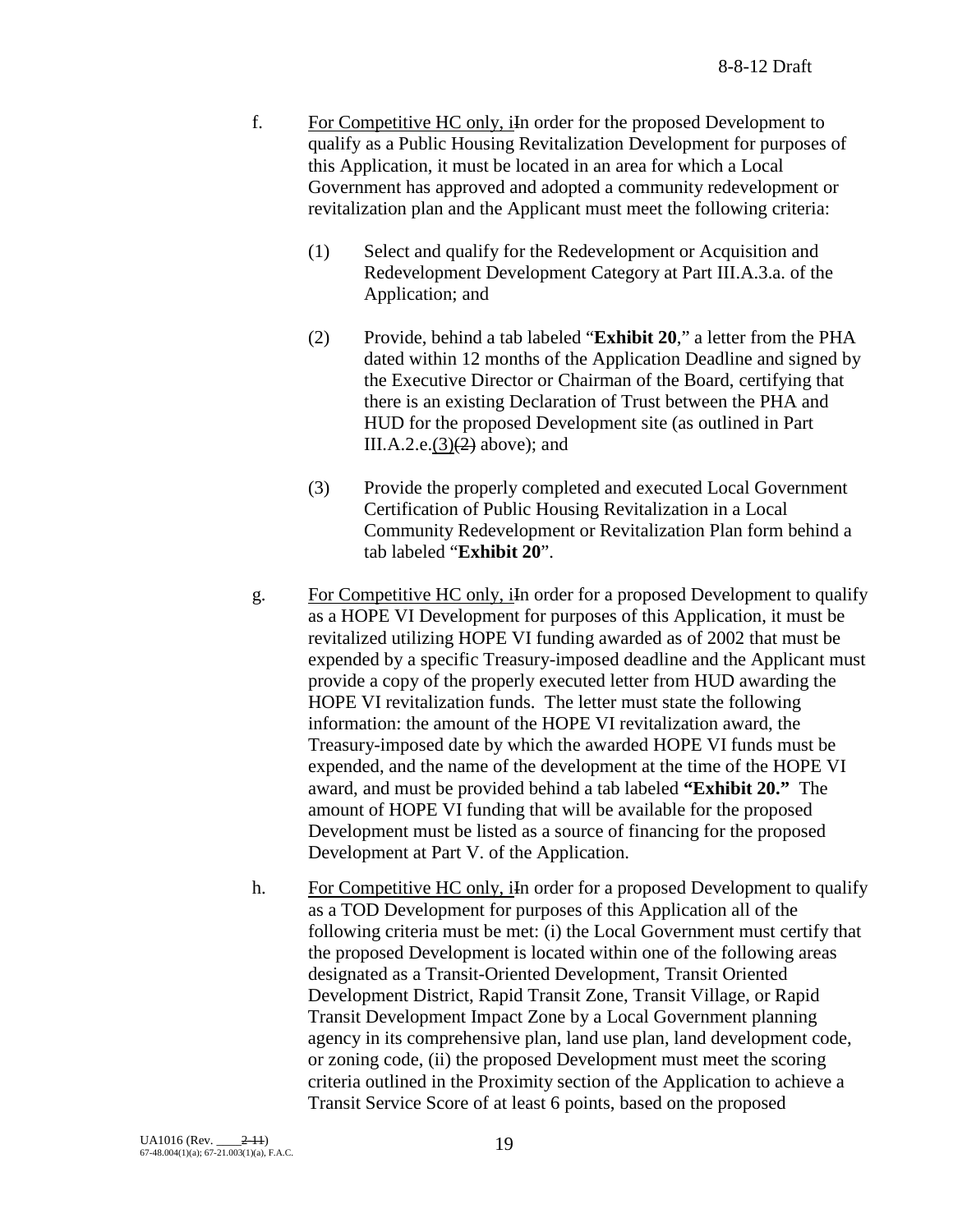- f. For Competitive HC only, iIn order for the proposed Development to qualify as a Public Housing Revitalization Development for purposes of this Application, it must be located in an area for which a Local Government has approved and adopted a community redevelopment or revitalization plan and the Applicant must meet the following criteria:
	- (1) Select and qualify for the Redevelopment or Acquisition and Redevelopment Development Category at Part III.A.3.a. of the Application; and
	- (2) Provide, behind a tab labeled "**Exhibit 20**," a letter from the PHA dated within 12 months of the Application Deadline and signed by the Executive Director or Chairman of the Board, certifying that there is an existing Declaration of Trust between the PHA and HUD for the proposed Development site (as outlined in Part III.A.2.e. $(3)(2)$  above); and
	- (3) Provide the properly completed and executed Local Government Certification of Public Housing Revitalization in a Local Community Redevelopment or Revitalization Plan form behind a tab labeled "**Exhibit 20**".
- g. For Competitive HC only, in order for a proposed Development to qualify as a HOPE VI Development for purposes of this Application, it must be revitalized utilizing HOPE VI funding awarded as of 2002 that must be expended by a specific Treasury-imposed deadline and the Applicant must provide a copy of the properly executed letter from HUD awarding the HOPE VI revitalization funds. The letter must state the following information: the amount of the HOPE VI revitalization award, the Treasury-imposed date by which the awarded HOPE VI funds must be expended, and the name of the development at the time of the HOPE VI award, and must be provided behind a tab labeled **"Exhibit 20."** The amount of HOPE VI funding that will be available for the proposed Development must be listed as a source of financing for the proposed Development at Part V. of the Application.
- h. For Competitive HC only, in order for a proposed Development to qualify as a TOD Development for purposes of this Application all of the following criteria must be met: (i) the Local Government must certify that the proposed Development is located within one of the following areas designated as a Transit-Oriented Development, Transit Oriented Development District, Rapid Transit Zone, Transit Village, or Rapid Transit Development Impact Zone by a Local Government planning agency in its comprehensive plan, land use plan, land development code, or zoning code, (ii) the proposed Development must meet the scoring criteria outlined in the Proximity section of the Application to achieve a Transit Service Score of at least 6 points, based on the proposed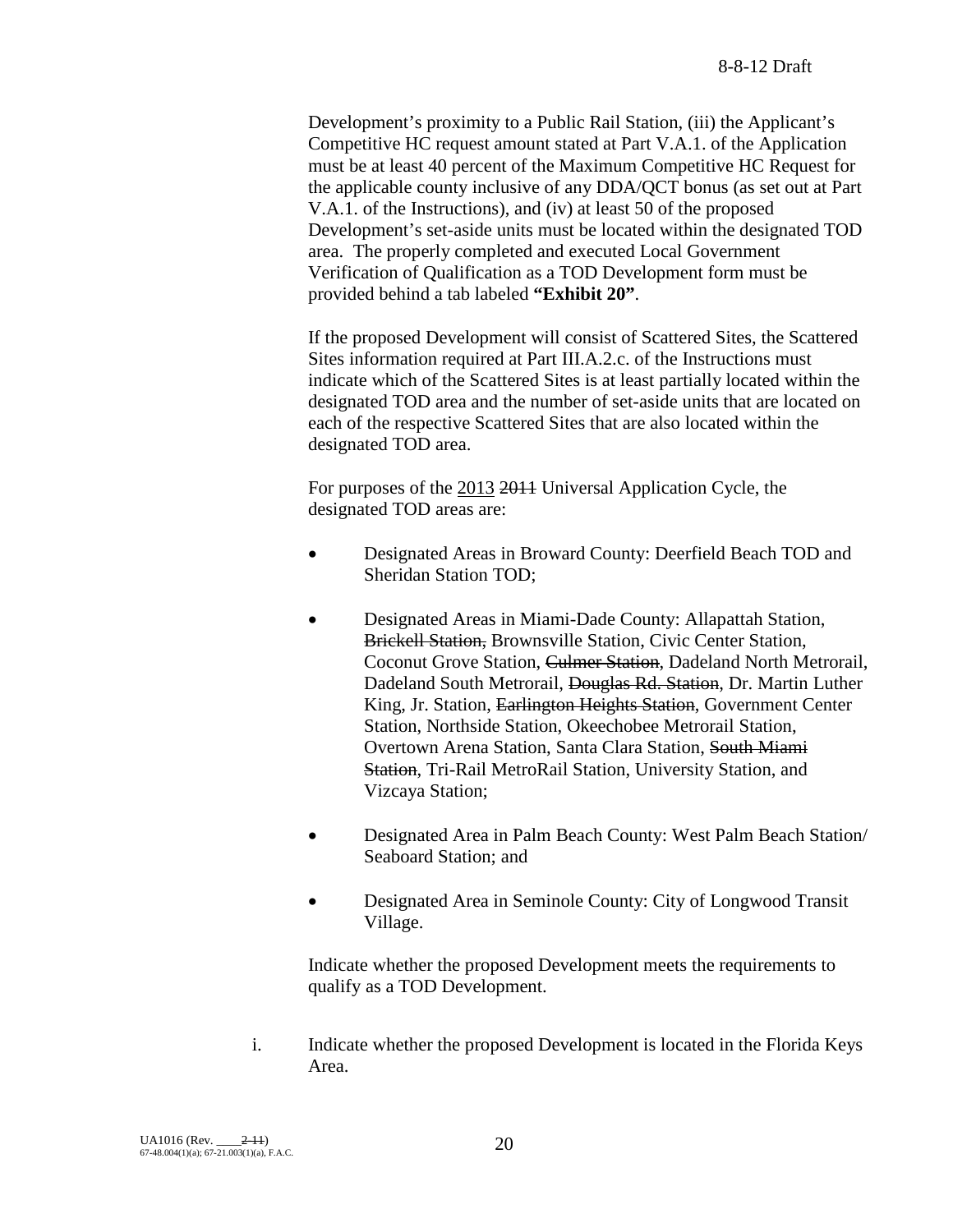Development's proximity to a Public Rail Station, (iii) the Applicant's Competitive HC request amount stated at Part V.A.1. of the Application must be at least 40 percent of the Maximum Competitive HC Request for the applicable county inclusive of any DDA/QCT bonus (as set out at Part V.A.1. of the Instructions), and (iv) at least 50 of the proposed Development's set-aside units must be located within the designated TOD area. The properly completed and executed Local Government Verification of Qualification as a TOD Development form must be provided behind a tab labeled **"Exhibit 20"**.

If the proposed Development will consist of Scattered Sites, the Scattered Sites information required at Part III.A.2.c. of the Instructions must indicate which of the Scattered Sites is at least partially located within the designated TOD area and the number of set-aside units that are located on each of the respective Scattered Sites that are also located within the designated TOD area.

For purposes of the 2013 2011 Universal Application Cycle, the designated TOD areas are:

- Designated Areas in Broward County: Deerfield Beach TOD and Sheridan Station TOD;
- Designated Areas in Miami-Dade County: Allapattah Station, Brickell Station, Brownsville Station, Civic Center Station, Coconut Grove Station, Culmer Station, Dadeland North Metrorail, Dadeland South Metrorail, Douglas Rd. Station, Dr. Martin Luther King, Jr. Station, Earlington Heights Station, Government Center Station, Northside Station, Okeechobee Metrorail Station, Overtown Arena Station, Santa Clara Station, South Miami Station, Tri-Rail MetroRail Station, University Station, and Vizcaya Station;
- Designated Area in Palm Beach County: West Palm Beach Station/ Seaboard Station; and
- Designated Area in Seminole County: City of Longwood Transit Village.

Indicate whether the proposed Development meets the requirements to qualify as a TOD Development.

i. Indicate whether the proposed Development is located in the Florida Keys Area.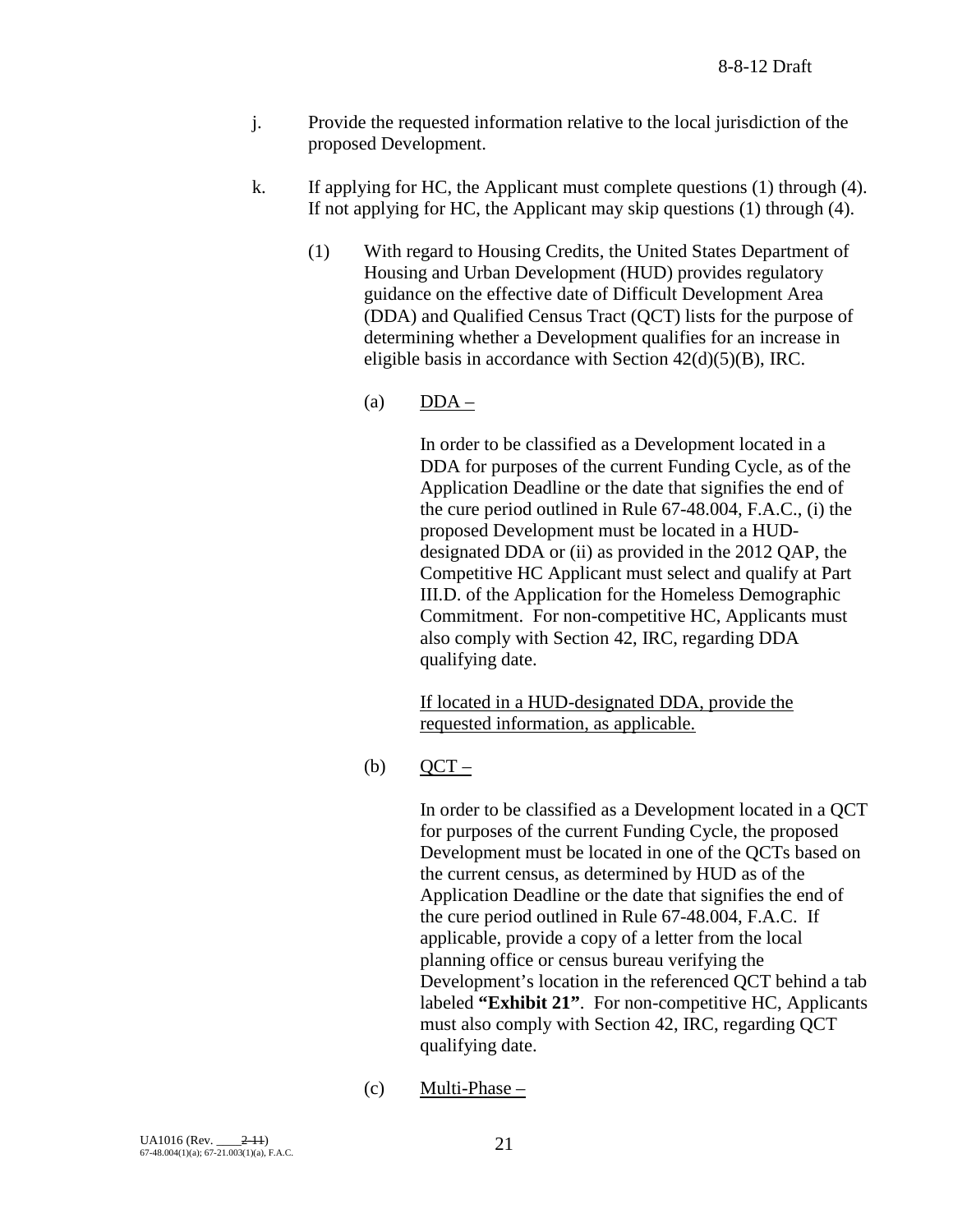- j. Provide the requested information relative to the local jurisdiction of the proposed Development.
- k. If applying for HC, the Applicant must complete questions (1) through (4). If not applying for HC, the Applicant may skip questions (1) through (4).
	- (1) With regard to Housing Credits, the United States Department of Housing and Urban Development (HUD) provides regulatory guidance on the effective date of Difficult Development Area (DDA) and Qualified Census Tract (QCT) lists for the purpose of determining whether a Development qualifies for an increase in eligible basis in accordance with Section 42(d)(5)(B), IRC.
		- (a)  $DDA -$

In order to be classified as a Development located in a DDA for purposes of the current Funding Cycle, as of the Application Deadline or the date that signifies the end of the cure period outlined in Rule 67-48.004, F.A.C., (i) the proposed Development must be located in a HUDdesignated DDA or (ii) as provided in the 2012 QAP, the Competitive HC Applicant must select and qualify at Part III.D. of the Application for the Homeless Demographic Commitment. For non-competitive HC, Applicants must also comply with Section 42, IRC, regarding DDA qualifying date.

If located in a HUD-designated DDA, provide the requested information, as applicable.

 $(b)$  OCT –

In order to be classified as a Development located in a QCT for purposes of the current Funding Cycle, the proposed Development must be located in one of the QCTs based on the current census, as determined by HUD as of the Application Deadline or the date that signifies the end of the cure period outlined in Rule 67-48.004, F.A.C. If applicable, provide a copy of a letter from the local planning office or census bureau verifying the Development's location in the referenced QCT behind a tab labeled **"Exhibit 21"**. For non-competitive HC, Applicants must also comply with Section 42, IRC, regarding QCT qualifying date.

 $(c)$  Multi-Phase –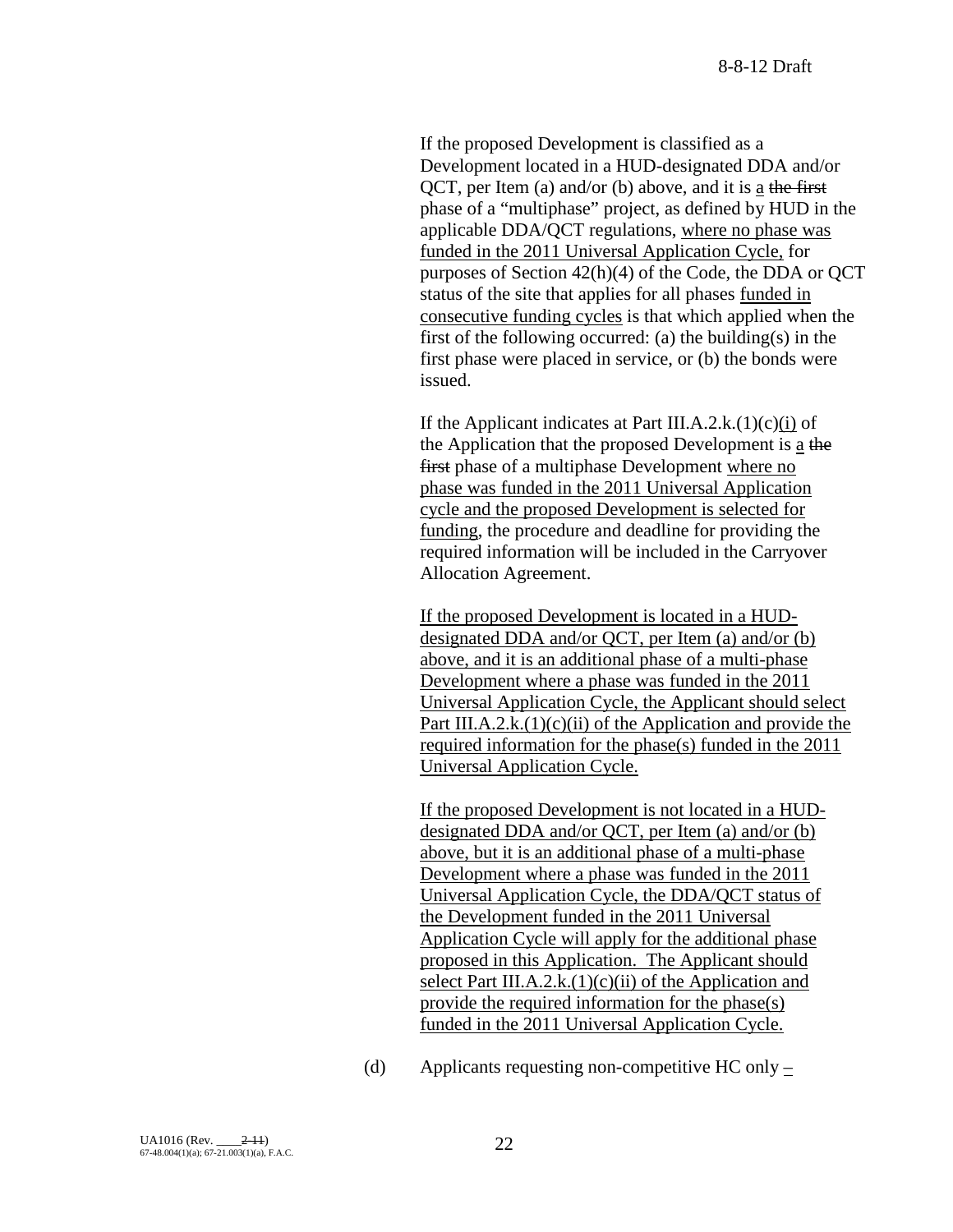If the proposed Development is classified as a Development located in a HUD-designated DDA and/or QCT, per Item (a) and/or (b) above, and it is a the first phase of a "multiphase" project, as defined by HUD in the applicable DDA/QCT regulations, where no phase was funded in the 2011 Universal Application Cycle, for purposes of Section 42(h)(4) of the Code, the DDA or QCT status of the site that applies for all phases funded in consecutive funding cycles is that which applied when the first of the following occurred: (a) the building(s) in the first phase were placed in service, or (b) the bonds were issued.

If the Applicant indicates at Part III.A.2.k. $(1)(c)(i)$  of the Application that the proposed Development is a the first phase of a multiphase Development where no phase was funded in the 2011 Universal Application cycle and the proposed Development is selected for funding, the procedure and deadline for providing the required information will be included in the Carryover Allocation Agreement.

If the proposed Development is located in a HUDdesignated DDA and/or QCT, per Item (a) and/or (b) above, and it is an additional phase of a multi-phase Development where a phase was funded in the 2011 Universal Application Cycle, the Applicant should select Part III.A.2.k. $(1)(c)(ii)$  of the Application and provide the required information for the phase(s) funded in the 2011 Universal Application Cycle.

If the proposed Development is not located in a HUDdesignated DDA and/or QCT, per Item (a) and/or (b) above, but it is an additional phase of a multi-phase Development where a phase was funded in the 2011 Universal Application Cycle, the DDA/QCT status of the Development funded in the 2011 Universal Application Cycle will apply for the additional phase proposed in this Application. The Applicant should select Part III.A.2.k. $(1)(c)(ii)$  of the Application and provide the required information for the phase(s) funded in the 2011 Universal Application Cycle.

(d) Applicants requesting non-competitive HC only –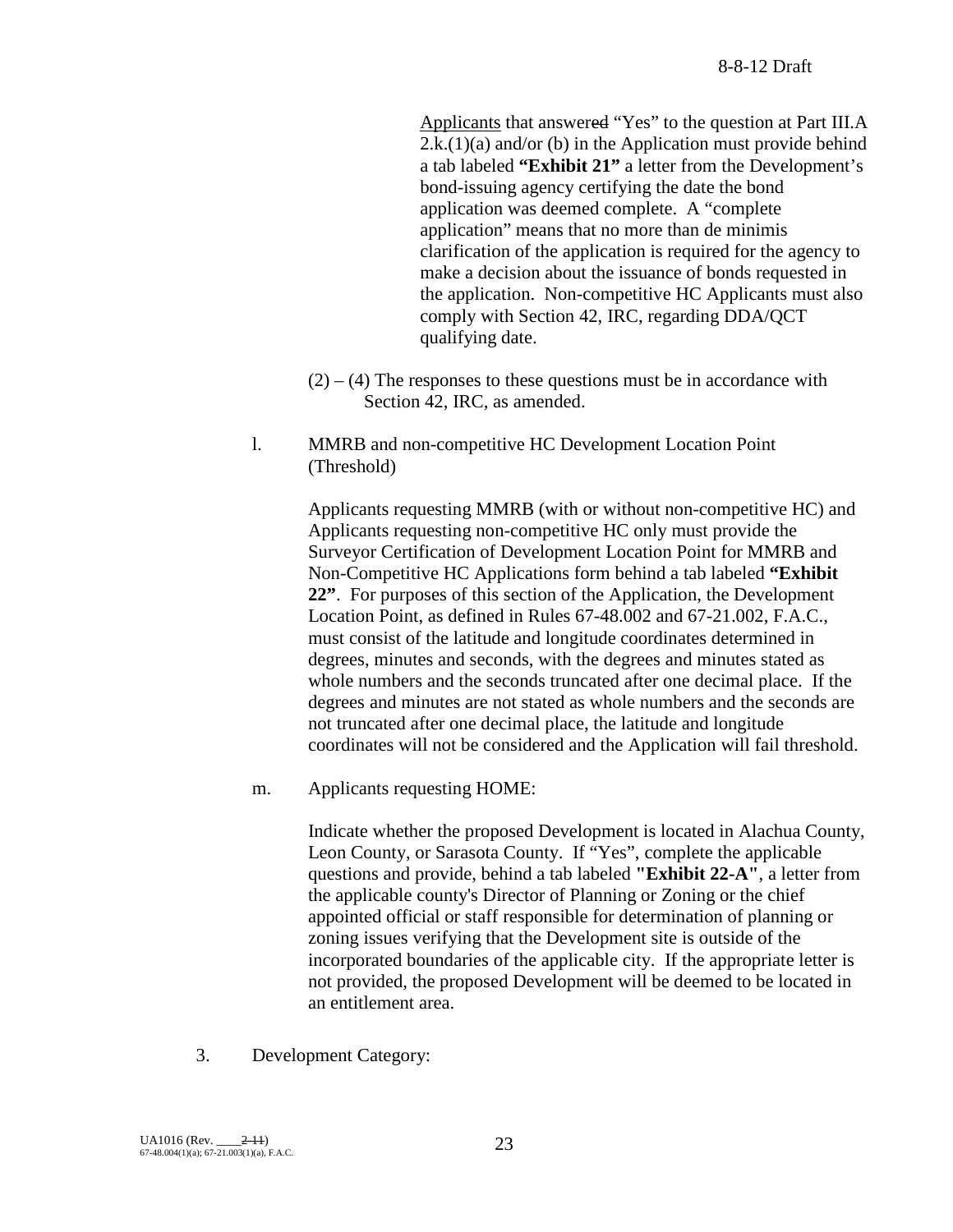Applicants that answered "Yes" to the question at Part III.A  $2.k.(1)(a)$  and/or (b) in the Application must provide behind a tab labeled **"Exhibit 21"** a letter from the Development's bond-issuing agency certifying the date the bond application was deemed complete. A "complete application" means that no more than de minimis clarification of the application is required for the agency to make a decision about the issuance of bonds requested in the application. Non-competitive HC Applicants must also comply with Section 42, IRC, regarding DDA/QCT qualifying date.

- $(2) (4)$  The responses to these questions must be in accordance with Section 42, IRC, as amended.
- l. MMRB and non-competitive HC Development Location Point (Threshold)

Applicants requesting MMRB (with or without non-competitive HC) and Applicants requesting non-competitive HC only must provide the Surveyor Certification of Development Location Point for MMRB and Non-Competitive HC Applications form behind a tab labeled **"Exhibit 22"**. For purposes of this section of the Application, the Development Location Point, as defined in Rules 67-48.002 and 67-21.002, F.A.C., must consist of the latitude and longitude coordinates determined in degrees, minutes and seconds, with the degrees and minutes stated as whole numbers and the seconds truncated after one decimal place. If the degrees and minutes are not stated as whole numbers and the seconds are not truncated after one decimal place, the latitude and longitude coordinates will not be considered and the Application will fail threshold.

m. Applicants requesting HOME:

Indicate whether the proposed Development is located in Alachua County, Leon County, or Sarasota County. If "Yes", complete the applicable questions and provide, behind a tab labeled **"Exhibit 22-A"**, a letter from the applicable county's Director of Planning or Zoning or the chief appointed official or staff responsible for determination of planning or zoning issues verifying that the Development site is outside of the incorporated boundaries of the applicable city. If the appropriate letter is not provided, the proposed Development will be deemed to be located in an entitlement area.

3. Development Category: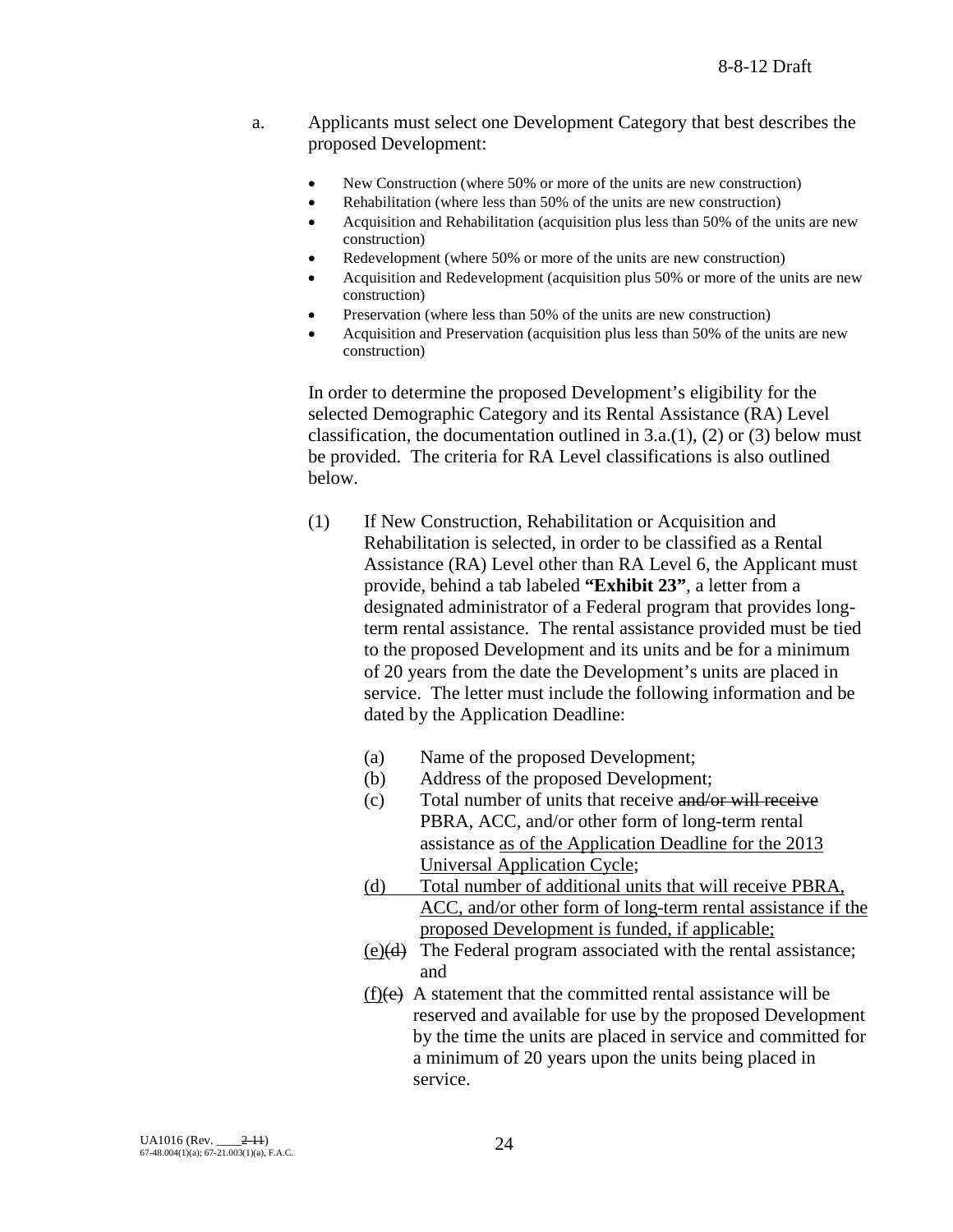- a. Applicants must select one Development Category that best describes the proposed Development:
	- New Construction (where 50% or more of the units are new construction)
	- Rehabilitation (where less than 50% of the units are new construction)
	- Acquisition and Rehabilitation (acquisition plus less than 50% of the units are new construction)
	- Redevelopment (where 50% or more of the units are new construction)
	- Acquisition and Redevelopment (acquisition plus 50% or more of the units are new construction)
	- Preservation (where less than 50% of the units are new construction)
	- Acquisition and Preservation (acquisition plus less than 50% of the units are new construction)

In order to determine the proposed Development's eligibility for the selected Demographic Category and its Rental Assistance (RA) Level classification, the documentation outlined in  $3.a.(1)$ ,  $(2)$  or  $(3)$  below must be provided. The criteria for RA Level classifications is also outlined below.

- (1) If New Construction, Rehabilitation or Acquisition and Rehabilitation is selected, in order to be classified as a Rental Assistance (RA) Level other than RA Level 6, the Applicant must provide, behind a tab labeled **"Exhibit 23"**, a letter from a designated administrator of a Federal program that provides longterm rental assistance. The rental assistance provided must be tied to the proposed Development and its units and be for a minimum of 20 years from the date the Development's units are placed in service. The letter must include the following information and be dated by the Application Deadline:
	- (a) Name of the proposed Development;
	- (b) Address of the proposed Development;
	- (c) Total number of units that receive and/or will receive PBRA, ACC, and/or other form of long-term rental assistance as of the Application Deadline for the 2013 Universal Application Cycle;
	- (d) Total number of additional units that will receive PBRA, ACC, and/or other form of long-term rental assistance if the proposed Development is funded, if applicable;
	- (e)(d) The Federal program associated with the rental assistance; and
	- $(f)(e)$  A statement that the committed rental assistance will be reserved and available for use by the proposed Development by the time the units are placed in service and committed for a minimum of 20 years upon the units being placed in service.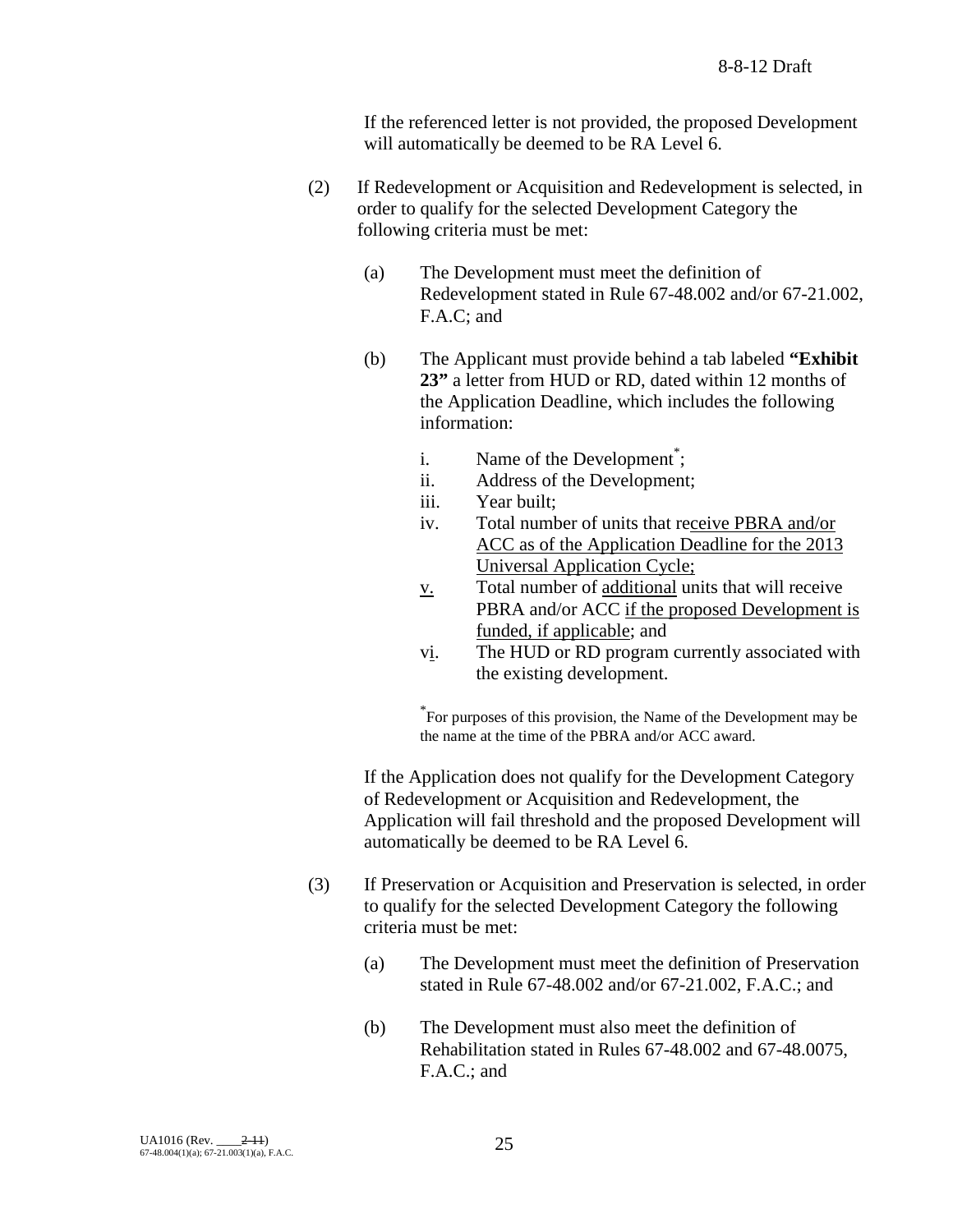If the referenced letter is not provided, the proposed Development will automatically be deemed to be RA Level 6.

- (2) If Redevelopment or Acquisition and Redevelopment is selected, in order to qualify for the selected Development Category the following criteria must be met:
	- (a) The Development must meet the definition of Redevelopment stated in Rule 67-48.002 and/or 67-21.002, F.A.C; and
	- (b) The Applicant must provide behind a tab labeled **"Exhibit 23"** a letter from HUD or RD, dated within 12 months of the Application Deadline, which includes the following information:
		- i. Name of the Development<sup>\*</sup>;
		- ii. Address of the Development;
		- iii. Year built;
		- iv. Total number of units that receive PBRA and/or ACC as of the Application Deadline for the 2013 Universal Application Cycle;
		- $\underline{v}$ . Total number of <u>additional</u> units that will receive PBRA and/or ACC if the proposed Development is funded, if applicable; and
		- vi. The HUD or RD program currently associated with the existing development.

\* For purposes of this provision, the Name of the Development may be the name at the time of the PBRA and/or ACC award.

If the Application does not qualify for the Development Category of Redevelopment or Acquisition and Redevelopment, the Application will fail threshold and the proposed Development will automatically be deemed to be RA Level 6.

- (3) If Preservation or Acquisition and Preservation is selected, in order to qualify for the selected Development Category the following criteria must be met:
	- (a) The Development must meet the definition of Preservation stated in Rule 67-48.002 and/or 67-21.002, F.A.C.; and
	- (b) The Development must also meet the definition of Rehabilitation stated in Rules 67-48.002 and 67-48.0075, F.A.C.; and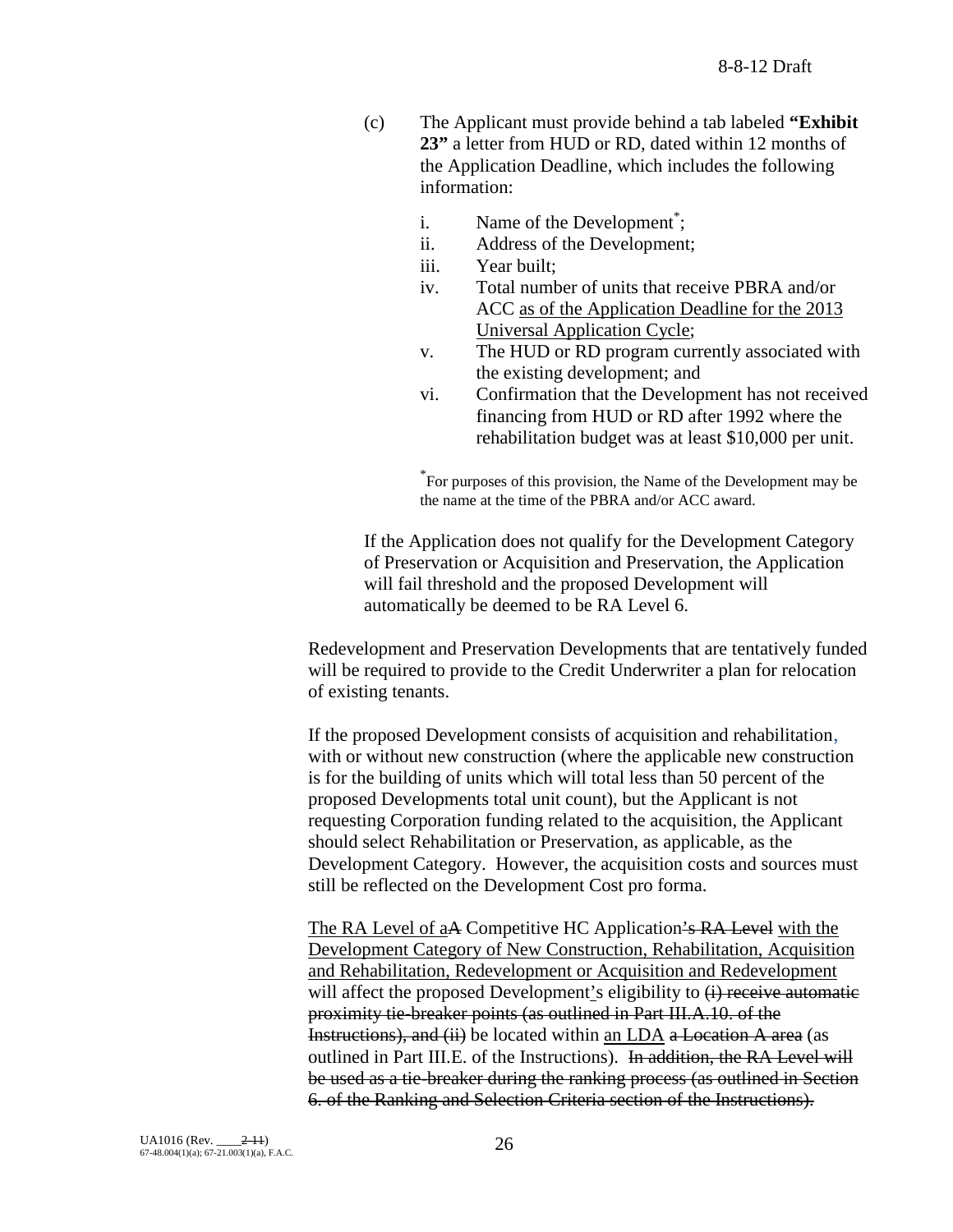- (c) The Applicant must provide behind a tab labeled **"Exhibit 23"** a letter from HUD or RD, dated within 12 months of the Application Deadline, which includes the following information:
	- i. Name of the Development<sup>\*</sup>;
	- ii. Address of the Development;
	- iii. Year built;
	- iv. Total number of units that receive PBRA and/or ACC as of the Application Deadline for the 2013 Universal Application Cycle;
	- v. The HUD or RD program currently associated with the existing development; and
	- vi. Confirmation that the Development has not received financing from HUD or RD after 1992 where the rehabilitation budget was at least \$10,000 per unit.

\* For purposes of this provision, the Name of the Development may be the name at the time of the PBRA and/or ACC award.

If the Application does not qualify for the Development Category of Preservation or Acquisition and Preservation, the Application will fail threshold and the proposed Development will automatically be deemed to be RA Level 6.

Redevelopment and Preservation Developments that are tentatively funded will be required to provide to the Credit Underwriter a plan for relocation of existing tenants.

If the proposed Development consists of acquisition and rehabilitation, with or without new construction (where the applicable new construction is for the building of units which will total less than 50 percent of the proposed Developments total unit count), but the Applicant is not requesting Corporation funding related to the acquisition, the Applicant should select Rehabilitation or Preservation, as applicable, as the Development Category. However, the acquisition costs and sources must still be reflected on the Development Cost pro forma.

The RA Level of a<del>A</del> Competitive HC Application's RA Level with the Development Category of New Construction, Rehabilitation, Acquisition and Rehabilitation, Redevelopment or Acquisition and Redevelopment will affect the proposed Development's eligibility to  $(i)$  receive automatic proximity tie-breaker points (as outlined in Part III.A.10. of the Instructions), and (ii) be located within an LDA a Location A area (as outlined in Part III.E. of the Instructions). In addition, the RA Level will be used as a tie-breaker during the ranking process (as outlined in Section 6. of the Ranking and Selection Criteria section of the Instructions).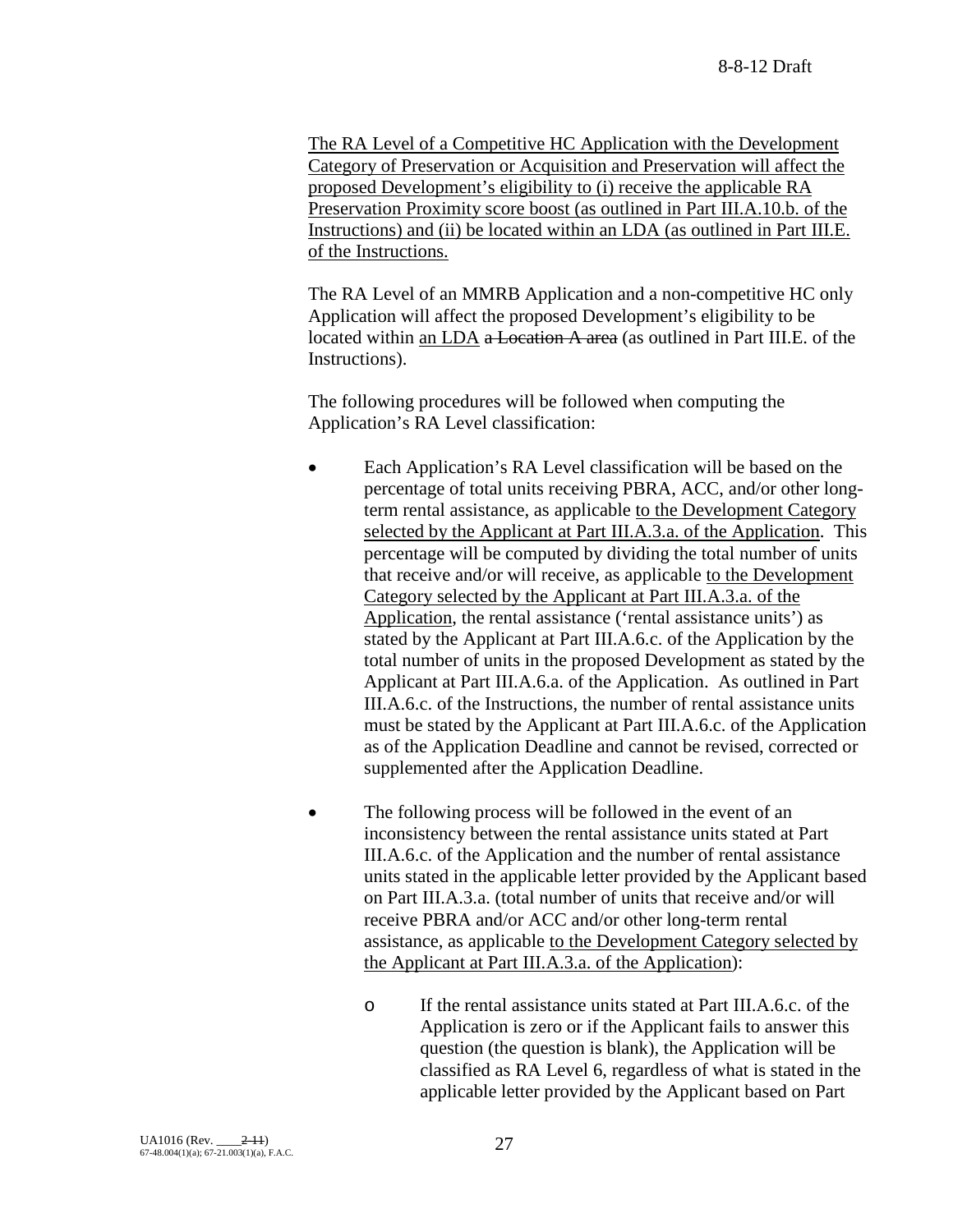The RA Level of a Competitive HC Application with the Development Category of Preservation or Acquisition and Preservation will affect the proposed Development's eligibility to (i) receive the applicable RA Preservation Proximity score boost (as outlined in Part III.A.10.b. of the Instructions) and (ii) be located within an LDA (as outlined in Part III.E. of the Instructions.

The RA Level of an MMRB Application and a non-competitive HC only Application will affect the proposed Development's eligibility to be located within an LDA a Location A area (as outlined in Part III.E. of the Instructions).

The following procedures will be followed when computing the Application's RA Level classification:

- Each Application's RA Level classification will be based on the percentage of total units receiving PBRA, ACC, and/or other longterm rental assistance, as applicable to the Development Category selected by the Applicant at Part III.A.3.a. of the Application. This percentage will be computed by dividing the total number of units that receive and/or will receive, as applicable to the Development Category selected by the Applicant at Part III.A.3.a. of the Application, the rental assistance ('rental assistance units') as stated by the Applicant at Part III.A.6.c. of the Application by the total number of units in the proposed Development as stated by the Applicant at Part III.A.6.a. of the Application. As outlined in Part III.A.6.c. of the Instructions, the number of rental assistance units must be stated by the Applicant at Part III.A.6.c. of the Application as of the Application Deadline and cannot be revised, corrected or supplemented after the Application Deadline.
- The following process will be followed in the event of an inconsistency between the rental assistance units stated at Part III.A.6.c. of the Application and the number of rental assistance units stated in the applicable letter provided by the Applicant based on Part III.A.3.a. (total number of units that receive and/or will receive PBRA and/or ACC and/or other long-term rental assistance, as applicable to the Development Category selected by the Applicant at Part III.A.3.a. of the Application):
	- o If the rental assistance units stated at Part III.A.6.c. of the Application is zero or if the Applicant fails to answer this question (the question is blank), the Application will be classified as RA Level 6, regardless of what is stated in the applicable letter provided by the Applicant based on Part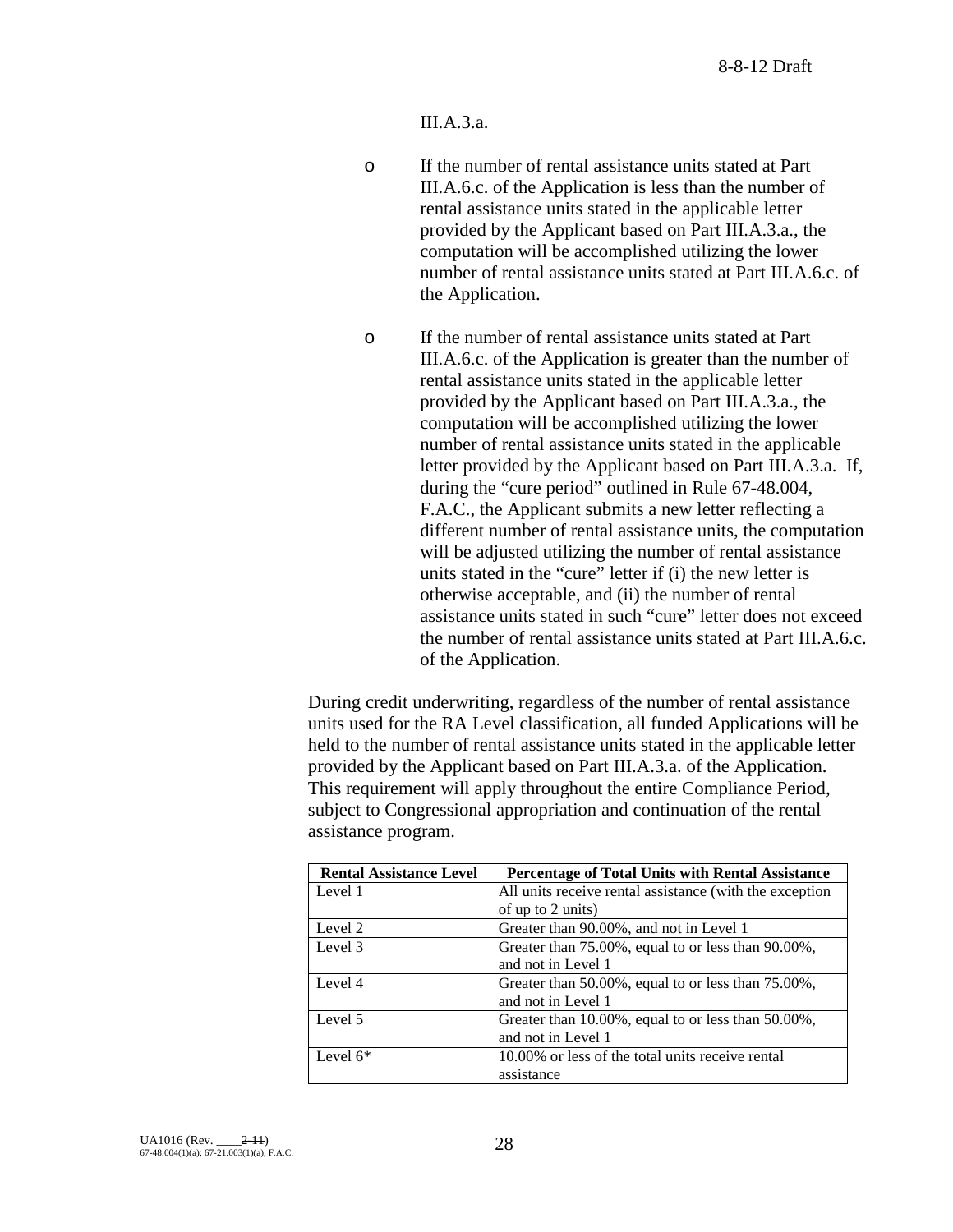III.A.3.a.

- o If the number of rental assistance units stated at Part III.A.6.c. of the Application is less than the number of rental assistance units stated in the applicable letter provided by the Applicant based on Part III.A.3.a., the computation will be accomplished utilizing the lower number of rental assistance units stated at Part III.A.6.c. of the Application.
- o If the number of rental assistance units stated at Part III.A.6.c. of the Application is greater than the number of rental assistance units stated in the applicable letter provided by the Applicant based on Part III.A.3.a., the computation will be accomplished utilizing the lower number of rental assistance units stated in the applicable letter provided by the Applicant based on Part III.A.3.a. If, during the "cure period" outlined in Rule 67-48.004, F.A.C., the Applicant submits a new letter reflecting a different number of rental assistance units, the computation will be adjusted utilizing the number of rental assistance units stated in the "cure" letter if (i) the new letter is otherwise acceptable, and (ii) the number of rental assistance units stated in such "cure" letter does not exceed the number of rental assistance units stated at Part III.A.6.c. of the Application.

During credit underwriting, regardless of the number of rental assistance units used for the RA Level classification, all funded Applications will be held to the number of rental assistance units stated in the applicable letter provided by the Applicant based on Part III.A.3.a. of the Application. This requirement will apply throughout the entire Compliance Period, subject to Congressional appropriation and continuation of the rental assistance program.

| <b>Rental Assistance Level</b> | <b>Percentage of Total Units with Rental Assistance</b> |
|--------------------------------|---------------------------------------------------------|
| Level 1                        | All units receive rental assistance (with the exception |
|                                | of up to 2 units)                                       |
| Level 2                        | Greater than 90.00%, and not in Level 1                 |
| Level 3                        | Greater than 75.00%, equal to or less than 90.00%,      |
|                                | and not in Level 1                                      |
| Level 4                        | Greater than 50.00%, equal to or less than 75.00%,      |
|                                | and not in Level 1                                      |
| Level 5                        | Greater than 10.00%, equal to or less than 50.00%,      |
|                                | and not in Level 1                                      |
| Level $6*$                     | 10.00% or less of the total units receive rental        |
|                                | assistance                                              |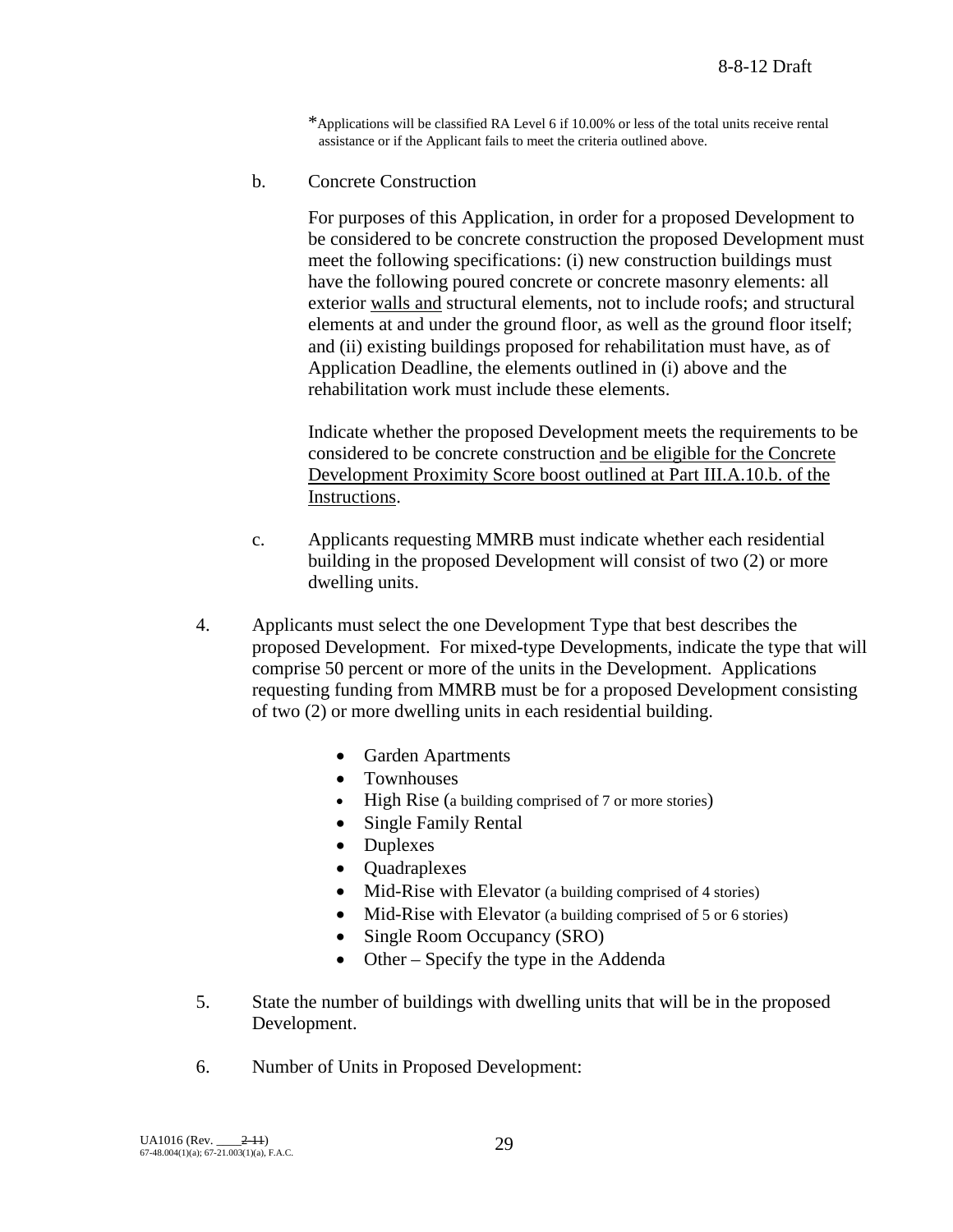\*Applications will be classified RA Level 6 if 10.00% or less of the total units receive rental assistance or if the Applicant fails to meet the criteria outlined above.

b. Concrete Construction

For purposes of this Application, in order for a proposed Development to be considered to be concrete construction the proposed Development must meet the following specifications: (i) new construction buildings must have the following poured concrete or concrete masonry elements: all exterior walls and structural elements, not to include roofs; and structural elements at and under the ground floor, as well as the ground floor itself; and (ii) existing buildings proposed for rehabilitation must have, as of Application Deadline, the elements outlined in (i) above and the rehabilitation work must include these elements.

Indicate whether the proposed Development meets the requirements to be considered to be concrete construction and be eligible for the Concrete Development Proximity Score boost outlined at Part III.A.10.b. of the Instructions.

- c. Applicants requesting MMRB must indicate whether each residential building in the proposed Development will consist of two (2) or more dwelling units.
- 4. Applicants must select the one Development Type that best describes the proposed Development. For mixed-type Developments, indicate the type that will comprise 50 percent or more of the units in the Development. Applications requesting funding from MMRB must be for a proposed Development consisting of two (2) or more dwelling units in each residential building.
	- Garden Apartments
	- Townhouses
	- High Rise (a building comprised of 7 or more stories)
	- Single Family Rental
	- Duplexes
	- Quadraplexes
	- Mid-Rise with Elevator (a building comprised of 4 stories)
	- Mid-Rise with Elevator (a building comprised of 5 or 6 stories)
	- Single Room Occupancy (SRO)
	- Other Specify the type in the Addenda
- 5. State the number of buildings with dwelling units that will be in the proposed Development.
- 6. Number of Units in Proposed Development: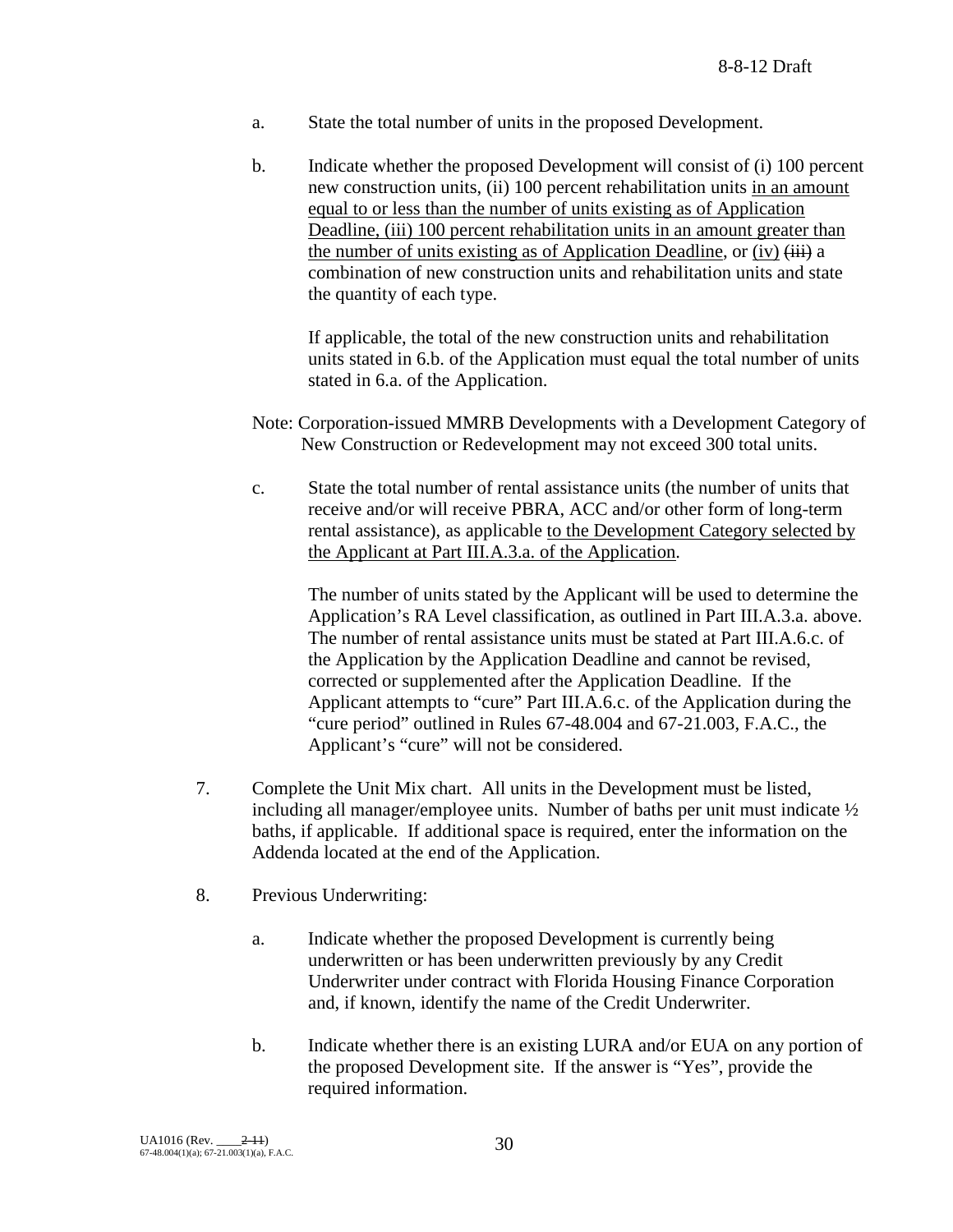- a. State the total number of units in the proposed Development.
- b. Indicate whether the proposed Development will consist of (i) 100 percent new construction units, (ii) 100 percent rehabilitation units in an amount equal to or less than the number of units existing as of Application Deadline, (iii) 100 percent rehabilitation units in an amount greater than the number of units existing as of Application Deadline, or (iv)  $\overleftrightarrow{iii}$  a combination of new construction units and rehabilitation units and state the quantity of each type.

If applicable, the total of the new construction units and rehabilitation units stated in 6.b. of the Application must equal the total number of units stated in 6.a. of the Application.

- Note: Corporation-issued MMRB Developments with a Development Category of New Construction or Redevelopment may not exceed 300 total units.
- c. State the total number of rental assistance units (the number of units that receive and/or will receive PBRA, ACC and/or other form of long-term rental assistance), as applicable to the Development Category selected by the Applicant at Part III.A.3.a. of the Application.

The number of units stated by the Applicant will be used to determine the Application's RA Level classification, as outlined in Part III.A.3.a. above. The number of rental assistance units must be stated at Part III.A.6.c. of the Application by the Application Deadline and cannot be revised, corrected or supplemented after the Application Deadline. If the Applicant attempts to "cure" Part III.A.6.c. of the Application during the "cure period" outlined in Rules 67-48.004 and 67-21.003, F.A.C., the Applicant's "cure" will not be considered.

- 7. Complete the Unit Mix chart. All units in the Development must be listed, including all manager/employee units. Number of baths per unit must indicate  $\frac{1}{2}$ baths, if applicable. If additional space is required, enter the information on the Addenda located at the end of the Application.
- 8. Previous Underwriting:
	- a. Indicate whether the proposed Development is currently being underwritten or has been underwritten previously by any Credit Underwriter under contract with Florida Housing Finance Corporation and, if known, identify the name of the Credit Underwriter.
	- b. Indicate whether there is an existing LURA and/or EUA on any portion of the proposed Development site. If the answer is "Yes", provide the required information.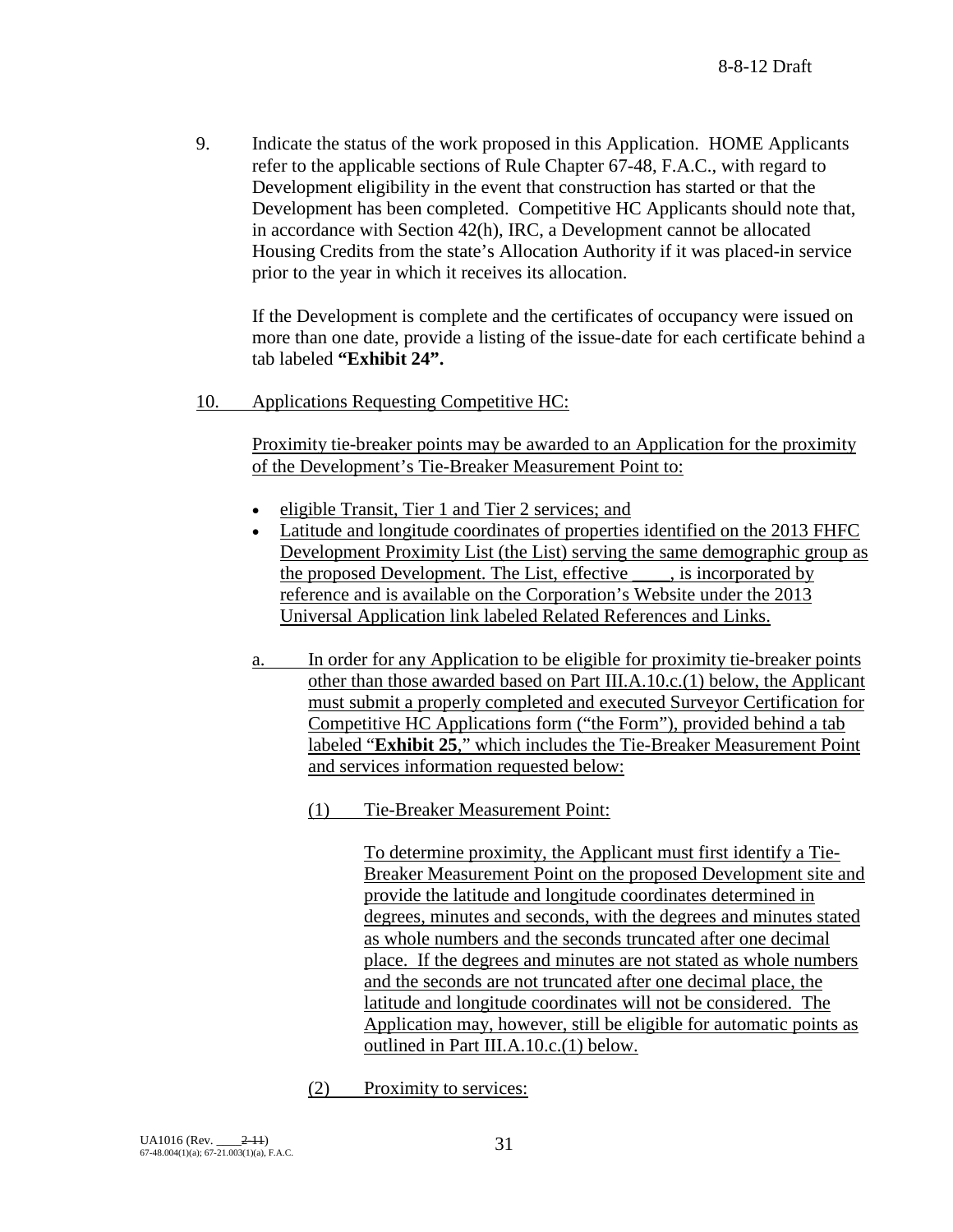9. Indicate the status of the work proposed in this Application. HOME Applicants refer to the applicable sections of Rule Chapter 67-48, F.A.C., with regard to Development eligibility in the event that construction has started or that the Development has been completed. Competitive HC Applicants should note that, in accordance with Section 42(h), IRC, a Development cannot be allocated Housing Credits from the state's Allocation Authority if it was placed-in service prior to the year in which it receives its allocation.

If the Development is complete and the certificates of occupancy were issued on more than one date, provide a listing of the issue-date for each certificate behind a tab labeled **"Exhibit 24".**

10. Applications Requesting Competitive HC:

Proximity tie-breaker points may be awarded to an Application for the proximity of the Development's Tie-Breaker Measurement Point to:

- eligible Transit, Tier 1 and Tier 2 services; and
- Latitude and longitude coordinates of properties identified on the 2013 FHFC Development Proximity List (the List) serving the same demographic group as the proposed Development. The List, effective , is incorporated by reference and is available on the Corporation's Website under the 2013 Universal Application link labeled Related References and Links.
- a. In order for any Application to be eligible for proximity tie-breaker points other than those awarded based on Part III.A.10.c.(1) below, the Applicant must submit a properly completed and executed Surveyor Certification for Competitive HC Applications form ("the Form"), provided behind a tab labeled "**Exhibit 25**," which includes the Tie-Breaker Measurement Point and services information requested below:
	- (1) Tie-Breaker Measurement Point:

To determine proximity, the Applicant must first identify a Tie-Breaker Measurement Point on the proposed Development site and provide the latitude and longitude coordinates determined in degrees, minutes and seconds, with the degrees and minutes stated as whole numbers and the seconds truncated after one decimal place. If the degrees and minutes are not stated as whole numbers and the seconds are not truncated after one decimal place, the latitude and longitude coordinates will not be considered. The Application may, however, still be eligible for automatic points as outlined in Part III.A.10.c.(1) below.

(2) Proximity to services: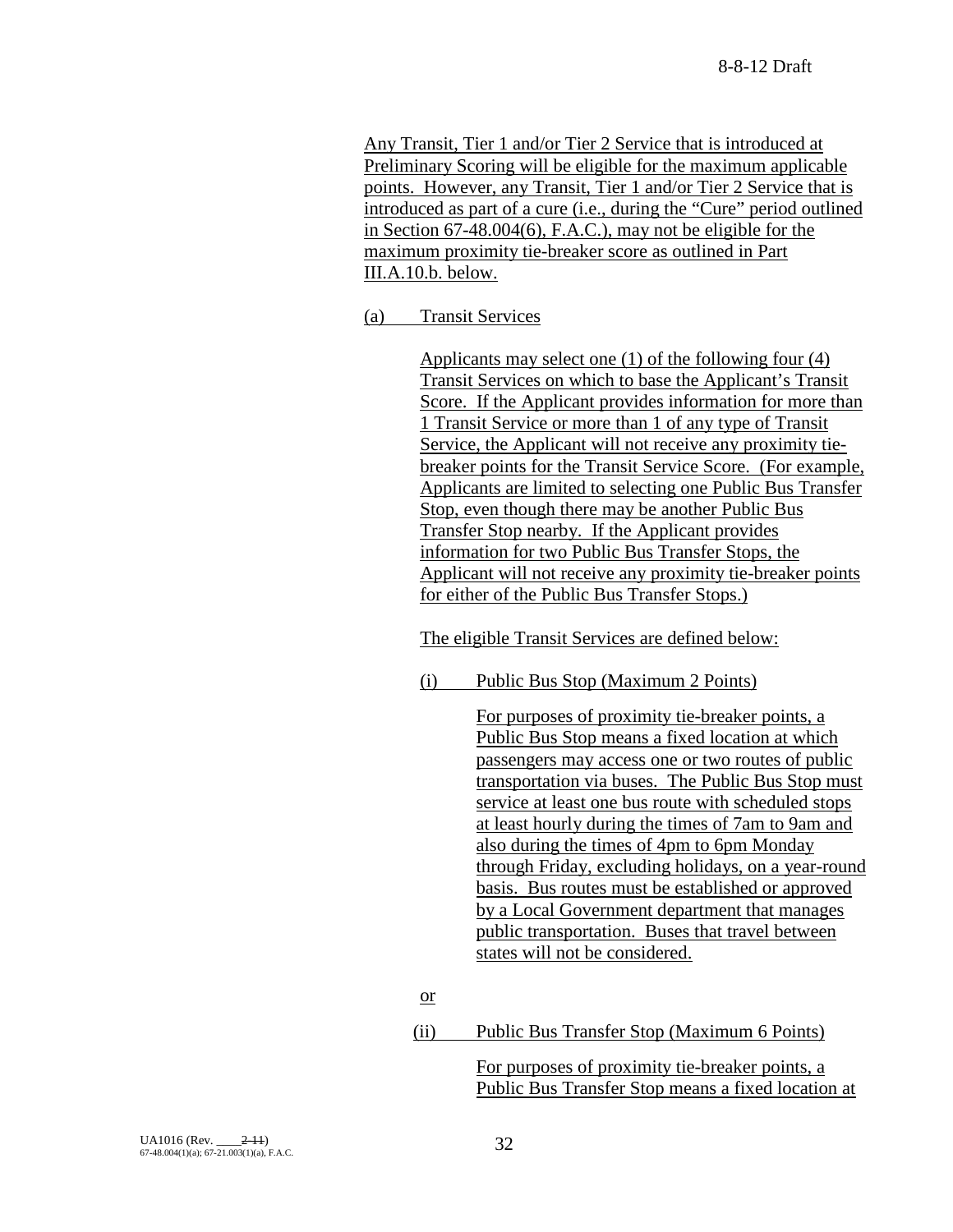Any Transit, Tier 1 and/or Tier 2 Service that is introduced at Preliminary Scoring will be eligible for the maximum applicable points. However, any Transit, Tier 1 and/or Tier 2 Service that is introduced as part of a cure (i.e., during the "Cure" period outlined in Section 67-48.004(6), F.A.C.), may not be eligible for the maximum proximity tie-breaker score as outlined in Part III.A.10.b. below.

## (a) Transit Services

Applicants may select one (1) of the following four (4) Transit Services on which to base the Applicant's Transit Score. If the Applicant provides information for more than 1 Transit Service or more than 1 of any type of Transit Service, the Applicant will not receive any proximity tiebreaker points for the Transit Service Score. (For example, Applicants are limited to selecting one Public Bus Transfer Stop, even though there may be another Public Bus Transfer Stop nearby. If the Applicant provides information for two Public Bus Transfer Stops, the Applicant will not receive any proximity tie-breaker points for either of the Public Bus Transfer Stops.)

The eligible Transit Services are defined below:

(i) Public Bus Stop (Maximum 2 Points)

For purposes of proximity tie-breaker points, a Public Bus Stop means a fixed location at which passengers may access one or two routes of public transportation via buses. The Public Bus Stop must service at least one bus route with scheduled stops at least hourly during the times of 7am to 9am and also during the times of 4pm to 6pm Monday through Friday, excluding holidays, on a year-round basis. Bus routes must be established or approved by a Local Government department that manages public transportation. Buses that travel between states will not be considered.

- or
- (ii) Public Bus Transfer Stop (Maximum 6 Points)

For purposes of proximity tie-breaker points, a Public Bus Transfer Stop means a fixed location at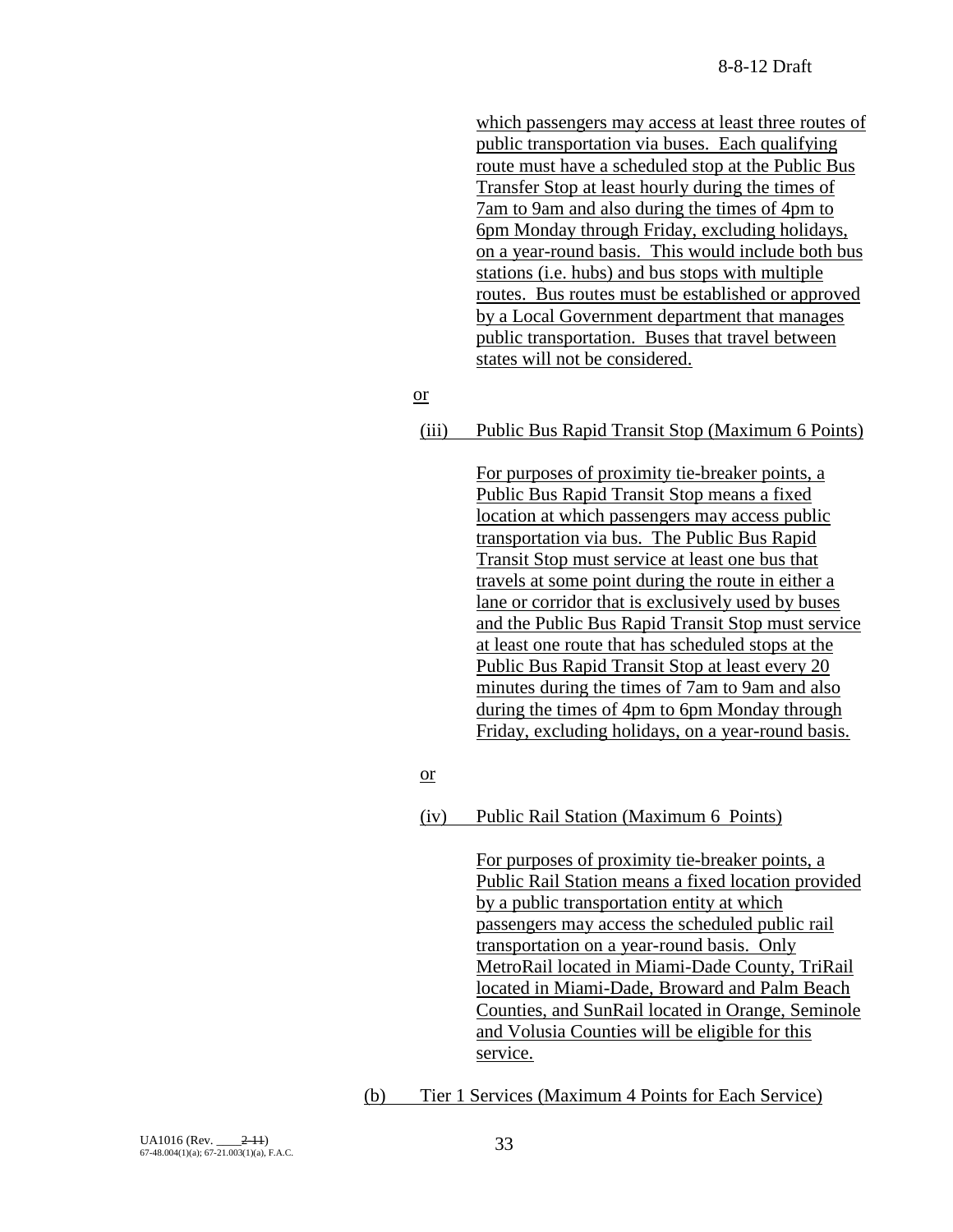which passengers may access at least three routes of public transportation via buses. Each qualifying route must have a scheduled stop at the Public Bus Transfer Stop at least hourly during the times of 7am to 9am and also during the times of 4pm to 6pm Monday through Friday, excluding holidays, on a year-round basis. This would include both bus stations (i.e. hubs) and bus stops with multiple routes. Bus routes must be established or approved by a Local Government department that manages public transportation. Buses that travel between states will not be considered.

## or

## (iii) Public Bus Rapid Transit Stop (Maximum 6 Points)

For purposes of proximity tie-breaker points, a Public Bus Rapid Transit Stop means a fixed location at which passengers may access public transportation via bus. The Public Bus Rapid Transit Stop must service at least one bus that travels at some point during the route in either a lane or corridor that is exclusively used by buses and the Public Bus Rapid Transit Stop must service at least one route that has scheduled stops at the Public Bus Rapid Transit Stop at least every 20 minutes during the times of 7am to 9am and also during the times of 4pm to 6pm Monday through Friday, excluding holidays, on a year-round basis.

#### or

## (iv) Public Rail Station (Maximum 6 Points)

For purposes of proximity tie-breaker points, a Public Rail Station means a fixed location provided by a public transportation entity at which passengers may access the scheduled public rail transportation on a year-round basis. Only MetroRail located in Miami-Dade County, TriRail located in Miami-Dade, Broward and Palm Beach Counties, and SunRail located in Orange, Seminole and Volusia Counties will be eligible for this service.

(b) Tier 1 Services (Maximum 4 Points for Each Service)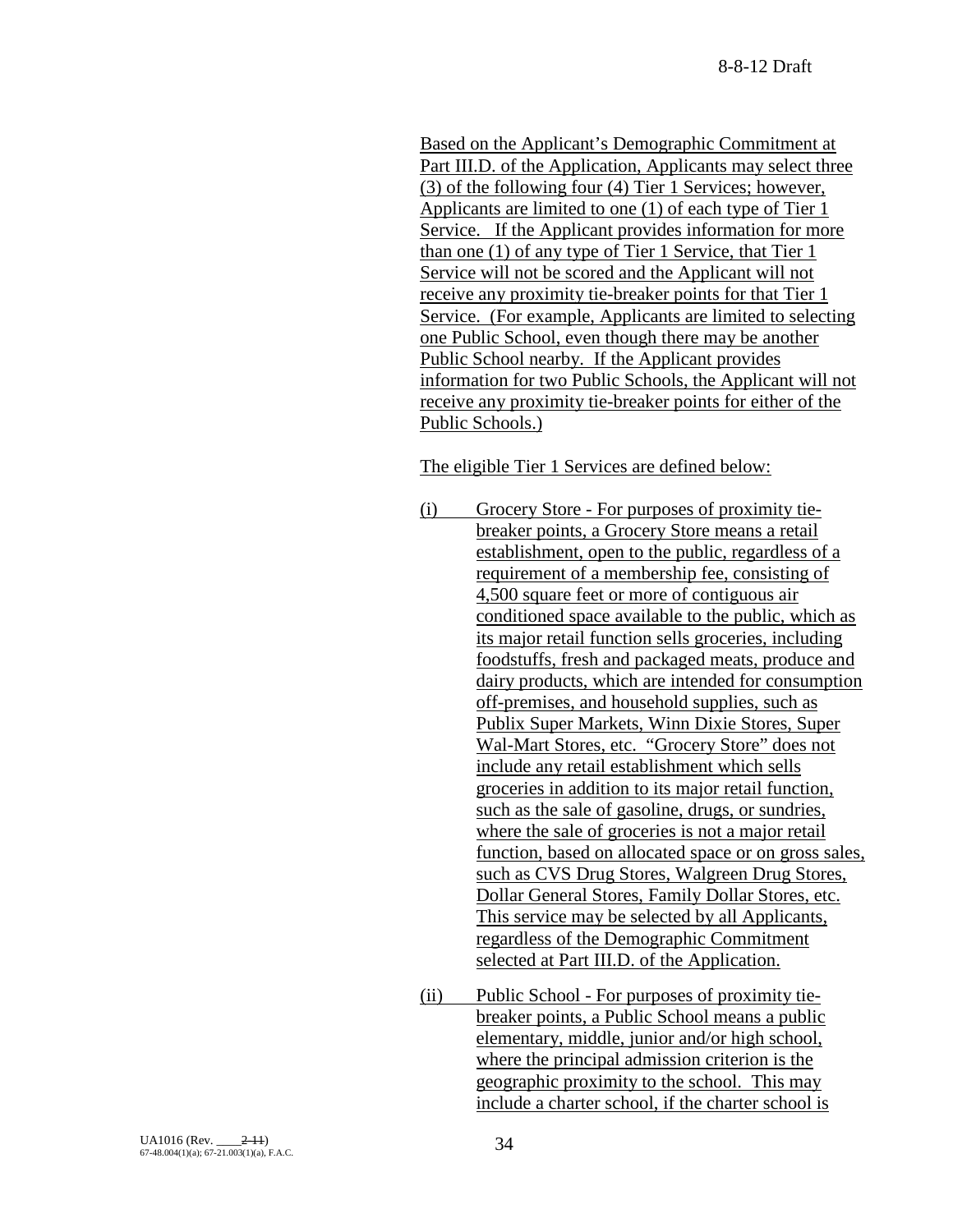Based on the Applicant's Demographic Commitment at Part III.D. of the Application, Applicants may select three (3) of the following four (4) Tier 1 Services; however, Applicants are limited to one (1) of each type of Tier 1 Service. If the Applicant provides information for more than one (1) of any type of Tier 1 Service, that Tier 1 Service will not be scored and the Applicant will not receive any proximity tie-breaker points for that Tier 1 Service. (For example, Applicants are limited to selecting one Public School, even though there may be another Public School nearby. If the Applicant provides information for two Public Schools, the Applicant will not receive any proximity tie-breaker points for either of the Public Schools.)

The eligible Tier 1 Services are defined below:

- (i) Grocery Store For purposes of proximity tiebreaker points, a Grocery Store means a retail establishment, open to the public, regardless of a requirement of a membership fee, consisting of 4,500 square feet or more of contiguous air conditioned space available to the public, which as its major retail function sells groceries, including foodstuffs, fresh and packaged meats, produce and dairy products, which are intended for consumption off-premises, and household supplies, such as Publix Super Markets, Winn Dixie Stores, Super Wal-Mart Stores, etc. "Grocery Store" does not include any retail establishment which sells groceries in addition to its major retail function, such as the sale of gasoline, drugs, or sundries, where the sale of groceries is not a major retail function, based on allocated space or on gross sales, such as CVS Drug Stores, Walgreen Drug Stores, Dollar General Stores, Family Dollar Stores, etc. This service may be selected by all Applicants, regardless of the Demographic Commitment selected at Part III.D. of the Application.
- (ii) Public School For purposes of proximity tiebreaker points, a Public School means a public elementary, middle, junior and/or high school, where the principal admission criterion is the geographic proximity to the school. This may include a charter school, if the charter school is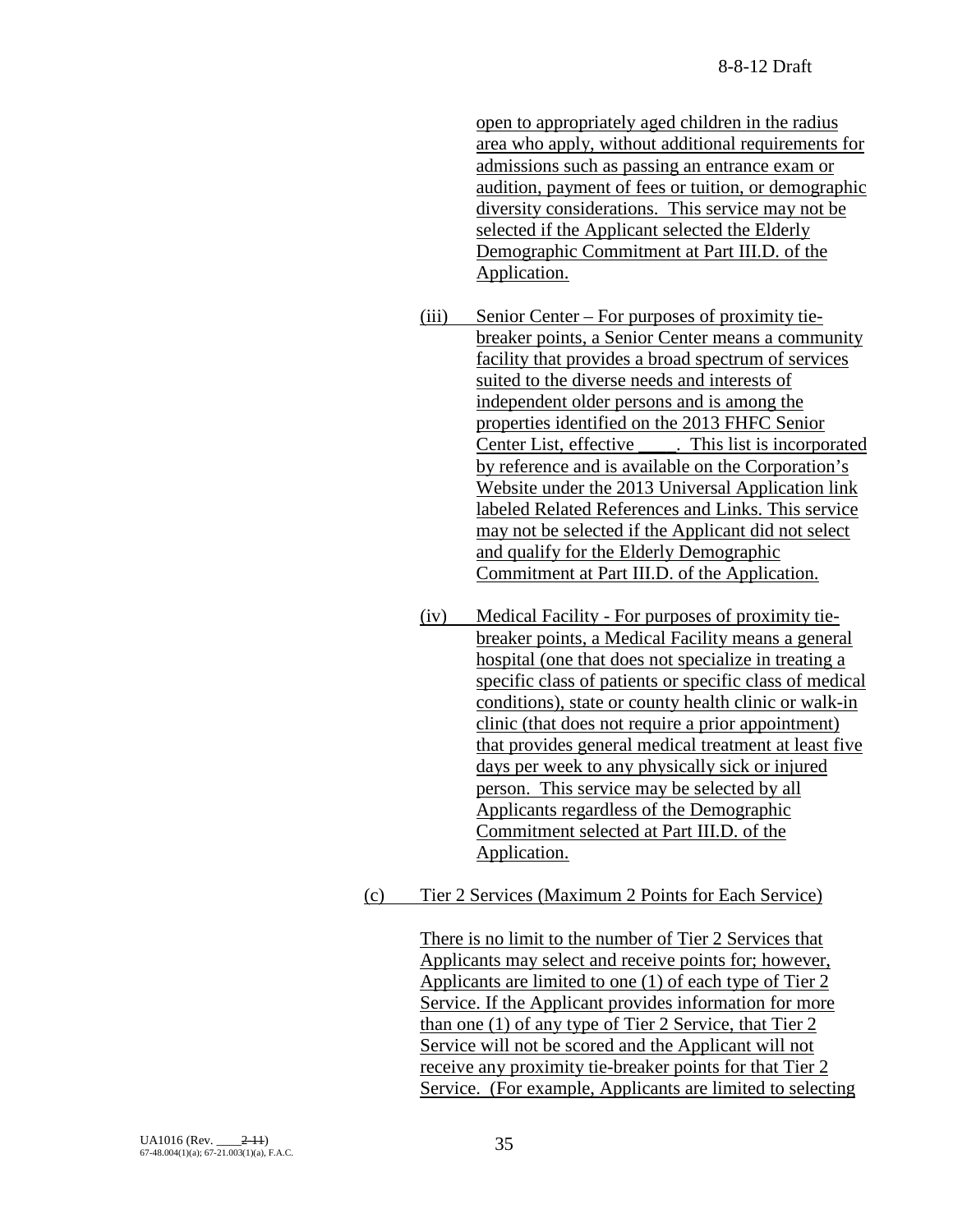open to appropriately aged children in the radius area who apply, without additional requirements for admissions such as passing an entrance exam or audition, payment of fees or tuition, or demographic diversity considerations. This service may not be selected if the Applicant selected the Elderly Demographic Commitment at Part III.D. of the Application.

- (iii) Senior Center For purposes of proximity tiebreaker points, a Senior Center means a community facility that provides a broad spectrum of services suited to the diverse needs and interests of independent older persons and is among the properties identified on the 2013 FHFC Senior Center List, effective \_\_\_\_. This list is incorporated by reference and is available on the Corporation's Website under the 2013 Universal Application link labeled Related References and Links. This service may not be selected if the Applicant did not select and qualify for the Elderly Demographic Commitment at Part III.D. of the Application.
- (iv) Medical Facility For purposes of proximity tiebreaker points, a Medical Facility means a general hospital (one that does not specialize in treating a specific class of patients or specific class of medical conditions), state or county health clinic or walk-in clinic (that does not require a prior appointment) that provides general medical treatment at least five days per week to any physically sick or injured person. This service may be selected by all Applicants regardless of the Demographic Commitment selected at Part III.D. of the Application.
- (c) Tier 2 Services (Maximum 2 Points for Each Service)

There is no limit to the number of Tier 2 Services that Applicants may select and receive points for; however, Applicants are limited to one (1) of each type of Tier 2 Service. If the Applicant provides information for more than one (1) of any type of Tier 2 Service, that Tier 2 Service will not be scored and the Applicant will not receive any proximity tie-breaker points for that Tier 2 Service. (For example, Applicants are limited to selecting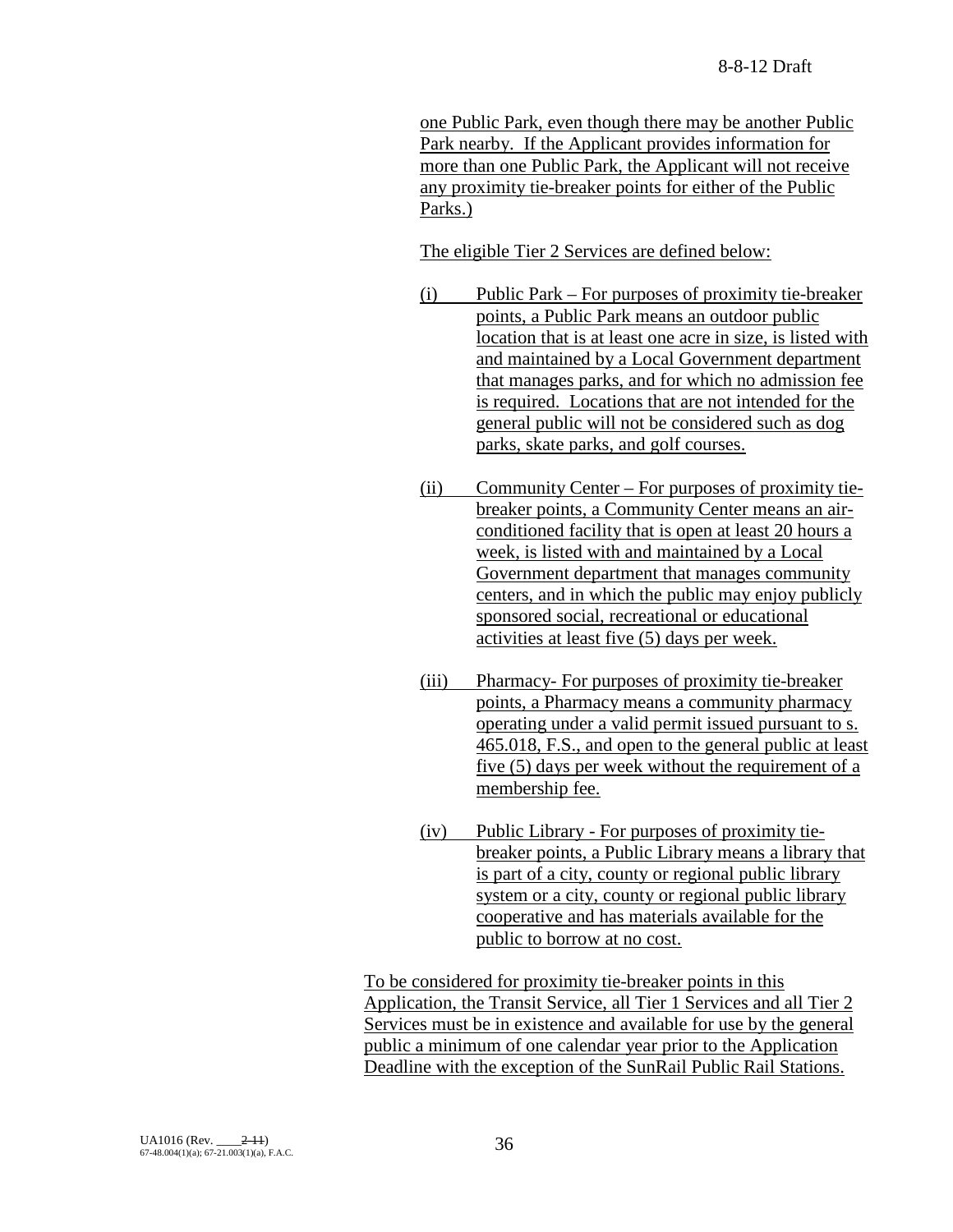one Public Park, even though there may be another Public Park nearby. If the Applicant provides information for more than one Public Park, the Applicant will not receive any proximity tie-breaker points for either of the Public Parks.)

The eligible Tier 2 Services are defined below:

- (i) Public Park For purposes of proximity tie-breaker points, a Public Park means an outdoor public location that is at least one acre in size, is listed with and maintained by a Local Government department that manages parks, and for which no admission fee is required. Locations that are not intended for the general public will not be considered such as dog parks, skate parks, and golf courses.
- (ii) Community Center For purposes of proximity tiebreaker points, a Community Center means an airconditioned facility that is open at least 20 hours a week, is listed with and maintained by a Local Government department that manages community centers, and in which the public may enjoy publicly sponsored social, recreational or educational activities at least five (5) days per week.
- (iii) Pharmacy- For purposes of proximity tie-breaker points, a Pharmacy means a community pharmacy operating under a valid permit issued pursuant to s. 465.018, F.S., and open to the general public at least five (5) days per week without the requirement of a membership fee.
- (iv) Public Library For purposes of proximity tiebreaker points, a Public Library means a library that is part of a city, county or regional public library system or a city, county or regional public library cooperative and has materials available for the public to borrow at no cost.

To be considered for proximity tie-breaker points in this Application, the Transit Service, all Tier 1 Services and all Tier 2 Services must be in existence and available for use by the general public a minimum of one calendar year prior to the Application Deadline with the exception of the SunRail Public Rail Stations.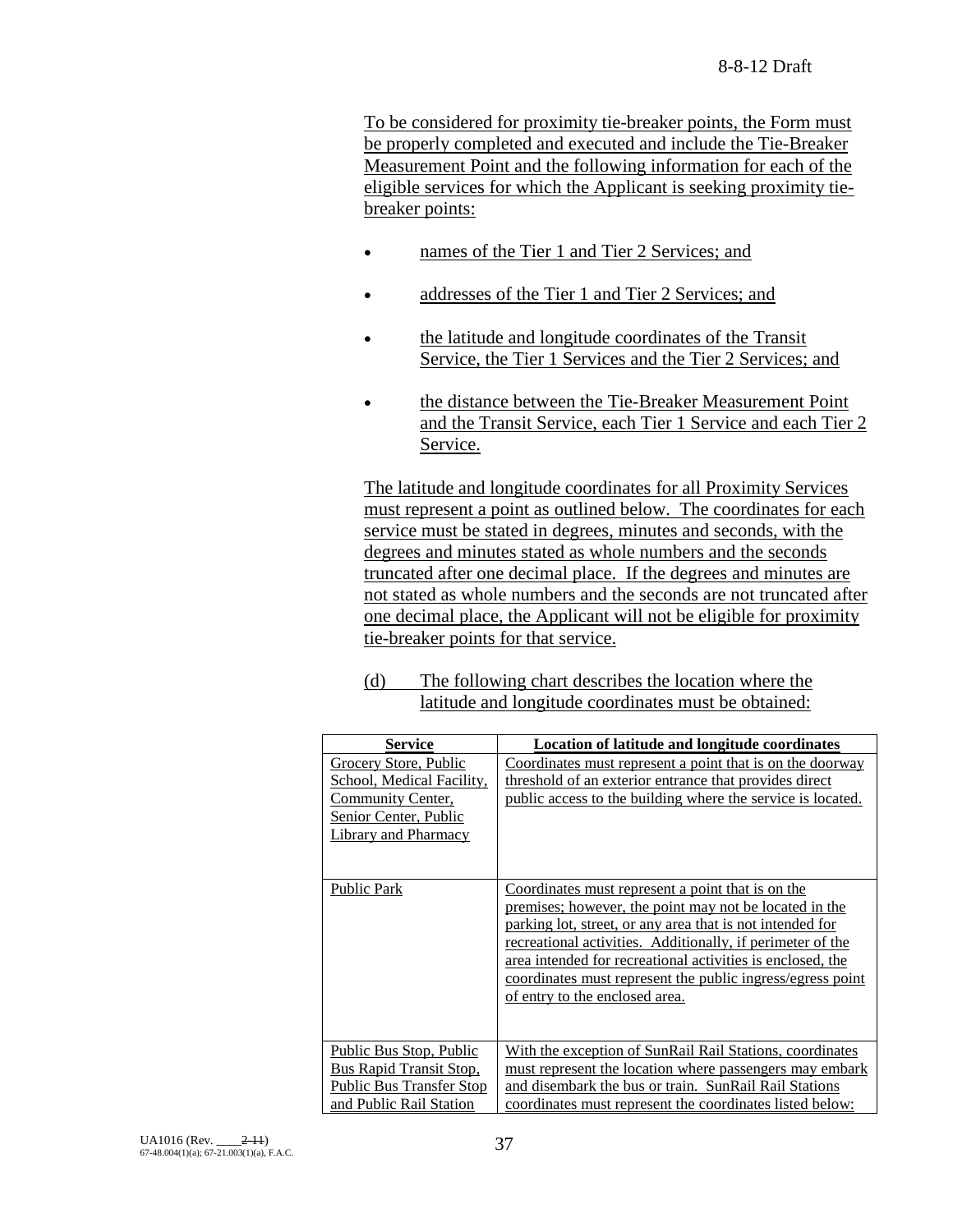To be considered for proximity tie-breaker points, the Form must be properly completed and executed and include the Tie-Breaker Measurement Point and the following information for each of the eligible services for which the Applicant is seeking proximity tiebreaker points:

- names of the Tier 1 and Tier 2 Services; and
- addresses of the Tier 1 and Tier 2 Services; and
- the latitude and longitude coordinates of the Transit Service, the Tier 1 Services and the Tier 2 Services; and
- the distance between the Tie-Breaker Measurement Point and the Transit Service, each Tier 1 Service and each Tier 2 Service.

The latitude and longitude coordinates for all Proximity Services must represent a point as outlined below. The coordinates for each service must be stated in degrees, minutes and seconds, with the degrees and minutes stated as whole numbers and the seconds truncated after one decimal place. If the degrees and minutes are not stated as whole numbers and the seconds are not truncated after one decimal place, the Applicant will not be eligible for proximity tie-breaker points for that service.

(d) The following chart describes the location where the latitude and longitude coordinates must be obtained:

| <b>Service</b>                                                                                                           | Location of latitude and longitude coordinates                                                                                                                                                                                                                                                                                                                                                       |
|--------------------------------------------------------------------------------------------------------------------------|------------------------------------------------------------------------------------------------------------------------------------------------------------------------------------------------------------------------------------------------------------------------------------------------------------------------------------------------------------------------------------------------------|
| Grocery Store, Public<br>School, Medical Facility,<br>Community Center,<br>Senior Center, Public<br>Library and Pharmacy | Coordinates must represent a point that is on the doorway<br>threshold of an exterior entrance that provides direct<br>public access to the building where the service is located.                                                                                                                                                                                                                   |
| <b>Public Park</b>                                                                                                       | Coordinates must represent a point that is on the<br>premises; however, the point may not be located in the<br>parking lot, street, or any area that is not intended for<br>recreational activities. Additionally, if perimeter of the<br>area intended for recreational activities is enclosed, the<br>coordinates must represent the public ingress/egress point<br>of entry to the enclosed area. |
| <b>Public Bus Stop, Public</b><br>Bus Rapid Transit Stop,<br><b>Public Bus Transfer Stop</b><br>and Public Rail Station  | With the exception of SunRail Rail Stations, coordinates<br>must represent the location where passengers may embark<br>and disembark the bus or train. SunRail Rail Stations<br>coordinates must represent the coordinates listed below:                                                                                                                                                             |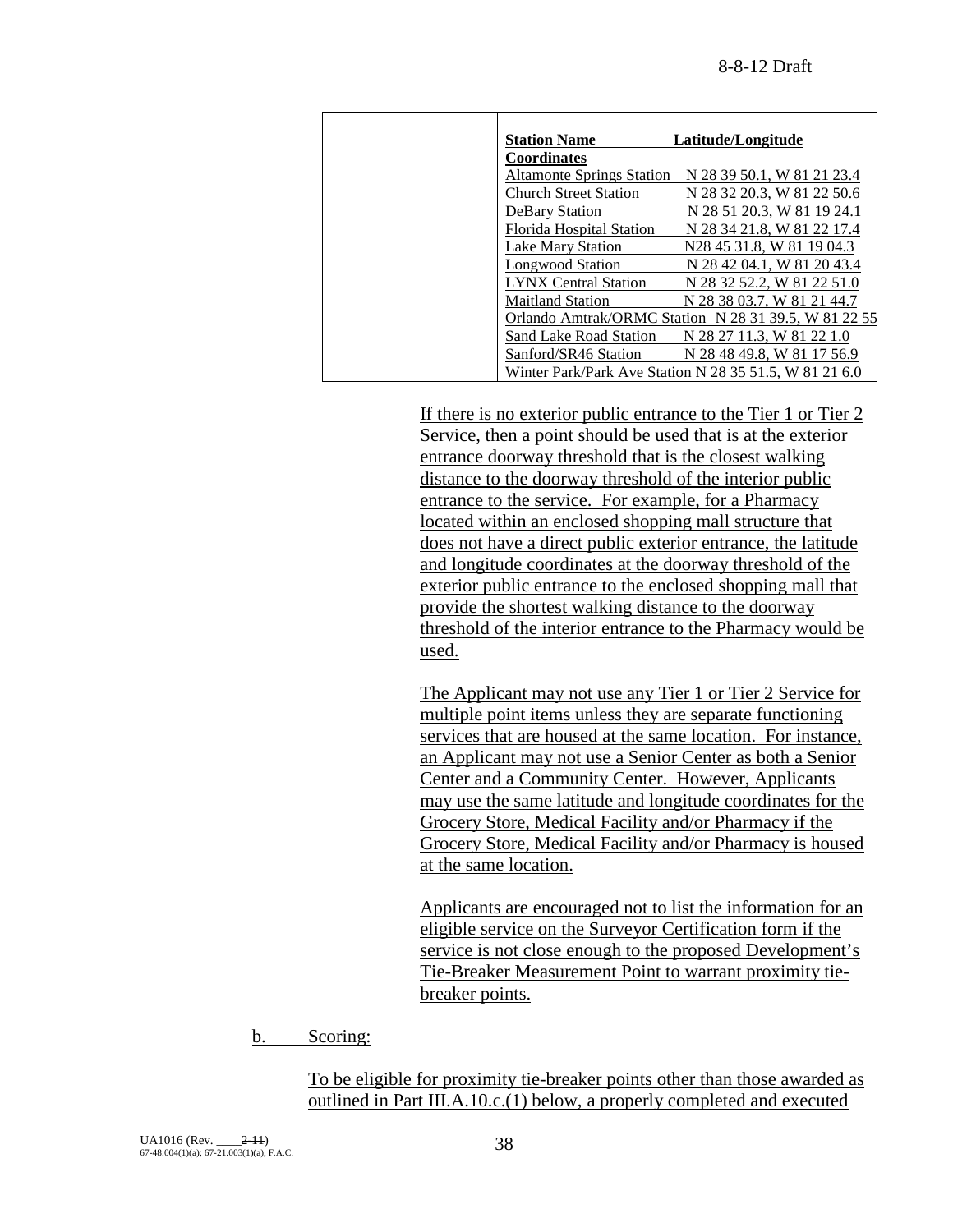| <b>Station Name</b>              | Latitude/Longitude                                     |
|----------------------------------|--------------------------------------------------------|
| <b>Coordinates</b>               |                                                        |
| <b>Altamonte Springs Station</b> | N 28 39 50.1, W 81 21 23.4                             |
| Church Street Station            | N 28 32 20.3, W 81 22 50.6                             |
| <b>DeBary Station</b>            | N 28 51 20.3. W 81 19 24.1                             |
| Florida Hospital Station         | N 28 34 21.8, W 81 22 17.4                             |
| Lake Mary Station                | N28 45 31.8, W 81 19 04.3                              |
| Longwood Station                 | N 28 42 04.1, W 81 20 43.4                             |
| <b>LYNX Central Station</b>      | N 28 32 52.2, W 81 22 51.0                             |
| <b>Maitland Station</b>          | N 28 38 03.7. W 81 21 44.7                             |
|                                  | Orlando Amtrak/ORMC Station N 28 31 39.5, W 81 22 55   |
| Sand Lake Road Station           | N 28 27 11.3, W 81 22 1.0                              |
| Sanford/SR46 Station             | N 28 48 49.8, W 81 17 56.9                             |
|                                  | Winter Park/Park Ave Station N 28 35 51.5, W 81 21 6.0 |

If there is no exterior public entrance to the Tier 1 or Tier 2 Service, then a point should be used that is at the exterior entrance doorway threshold that is the closest walking distance to the doorway threshold of the interior public entrance to the service. For example, for a Pharmacy located within an enclosed shopping mall structure that does not have a direct public exterior entrance, the latitude and longitude coordinates at the doorway threshold of the exterior public entrance to the enclosed shopping mall that provide the shortest walking distance to the doorway threshold of the interior entrance to the Pharmacy would be used.

The Applicant may not use any Tier 1 or Tier 2 Service for multiple point items unless they are separate functioning services that are housed at the same location. For instance, an Applicant may not use a Senior Center as both a Senior Center and a Community Center. However, Applicants may use the same latitude and longitude coordinates for the Grocery Store, Medical Facility and/or Pharmacy if the Grocery Store, Medical Facility and/or Pharmacy is housed at the same location.

Applicants are encouraged not to list the information for an eligible service on the Surveyor Certification form if the service is not close enough to the proposed Development's Tie-Breaker Measurement Point to warrant proximity tiebreaker points.

b. Scoring:

To be eligible for proximity tie-breaker points other than those awarded as outlined in Part III.A.10.c.(1) below, a properly completed and executed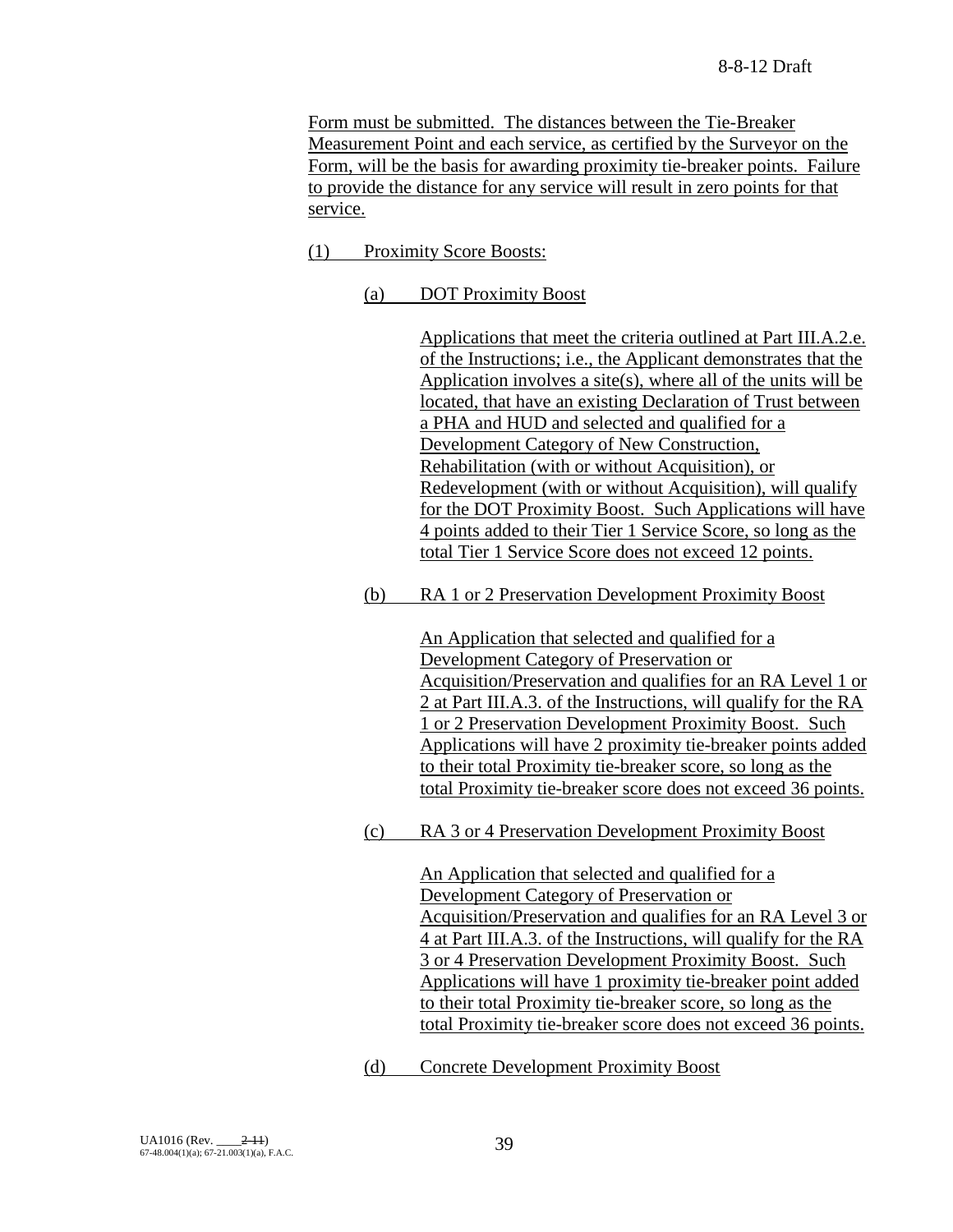Form must be submitted. The distances between the Tie-Breaker Measurement Point and each service, as certified by the Surveyor on the Form, will be the basis for awarding proximity tie-breaker points. Failure to provide the distance for any service will result in zero points for that service.

- (1) Proximity Score Boosts:
	- (a) DOT Proximity Boost

Applications that meet the criteria outlined at Part III.A.2.e. of the Instructions; i.e., the Applicant demonstrates that the Application involves a site(s), where all of the units will be located, that have an existing Declaration of Trust between a PHA and HUD and selected and qualified for a Development Category of New Construction, Rehabilitation (with or without Acquisition), or Redevelopment (with or without Acquisition), will qualify for the DOT Proximity Boost. Such Applications will have 4 points added to their Tier 1 Service Score, so long as the total Tier 1 Service Score does not exceed 12 points.

(b) RA 1 or 2 Preservation Development Proximity Boost

An Application that selected and qualified for a Development Category of Preservation or Acquisition/Preservation and qualifies for an RA Level 1 or 2 at Part III.A.3. of the Instructions, will qualify for the RA 1 or 2 Preservation Development Proximity Boost. Such Applications will have 2 proximity tie-breaker points added to their total Proximity tie-breaker score, so long as the total Proximity tie-breaker score does not exceed 36 points.

(c) RA 3 or 4 Preservation Development Proximity Boost

An Application that selected and qualified for a Development Category of Preservation or Acquisition/Preservation and qualifies for an RA Level 3 or 4 at Part III.A.3. of the Instructions, will qualify for the RA 3 or 4 Preservation Development Proximity Boost. Such Applications will have 1 proximity tie-breaker point added to their total Proximity tie-breaker score, so long as the total Proximity tie-breaker score does not exceed 36 points.

(d) Concrete Development Proximity Boost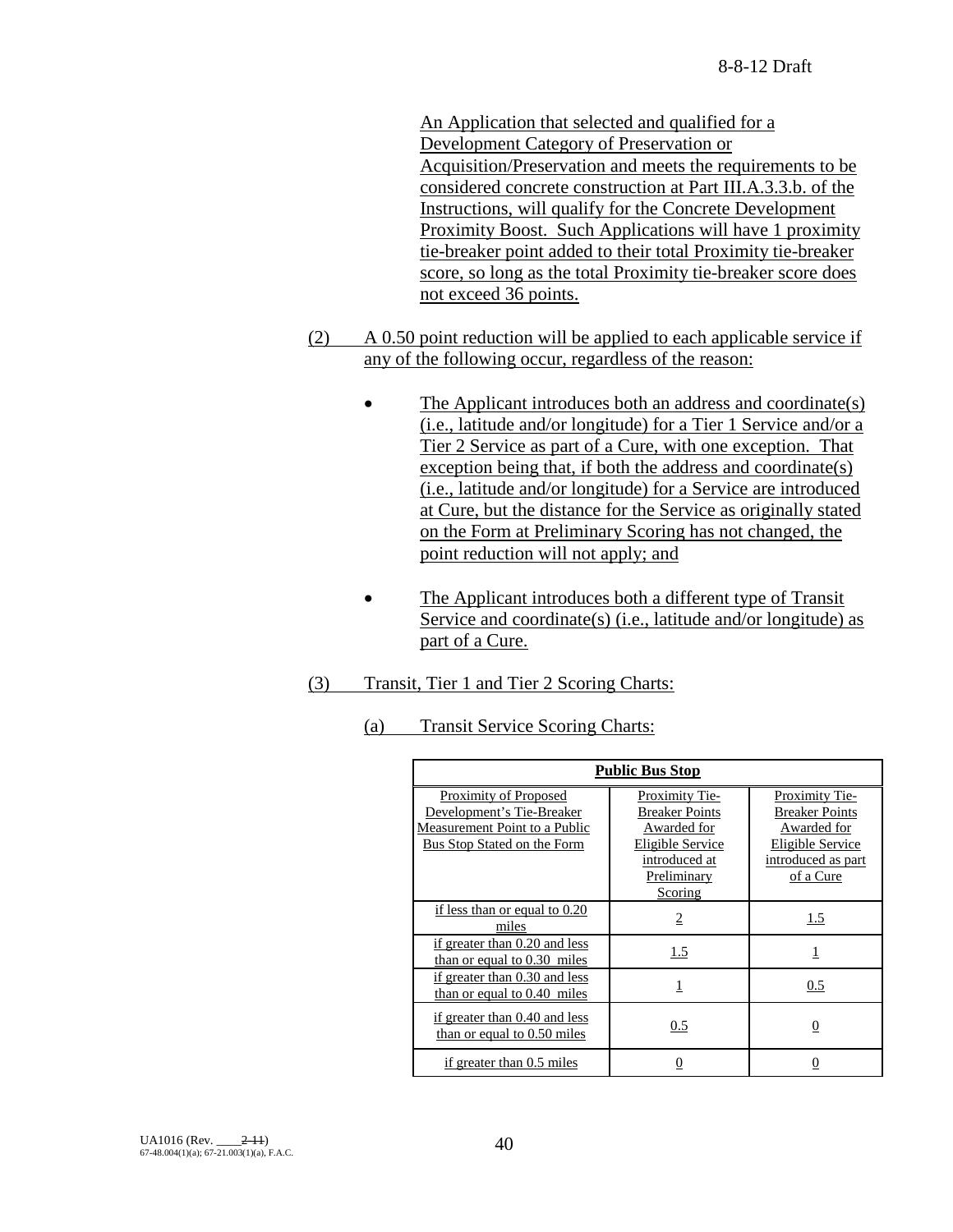An Application that selected and qualified for a Development Category of Preservation or Acquisition/Preservation and meets the requirements to be considered concrete construction at Part III.A.3.3.b. of the Instructions, will qualify for the Concrete Development Proximity Boost. Such Applications will have 1 proximity tie-breaker point added to their total Proximity tie-breaker score, so long as the total Proximity tie-breaker score does not exceed 36 points.

- (2) A 0.50 point reduction will be applied to each applicable service if any of the following occur, regardless of the reason:
	- The Applicant introduces both an address and coordinate(s) (i.e., latitude and/or longitude) for a Tier 1 Service and/or a Tier 2 Service as part of a Cure, with one exception. That exception being that, if both the address and coordinate(s) (i.e., latitude and/or longitude) for a Service are introduced at Cure, but the distance for the Service as originally stated on the Form at Preliminary Scoring has not changed, the point reduction will not apply; and
	- The Applicant introduces both a different type of Transit Service and coordinate(s) (i.e., latitude and/or longitude) as part of a Cure.
- (3) Transit, Tier 1 and Tier 2 Scoring Charts:
	- (a) Transit Service Scoring Charts:

| <b>Public Bus Stop</b>                                                                                             |                                                                                                                              |                                                                                                               |  |  |
|--------------------------------------------------------------------------------------------------------------------|------------------------------------------------------------------------------------------------------------------------------|---------------------------------------------------------------------------------------------------------------|--|--|
| Proximity of Proposed<br>Development's Tie-Breaker<br>Measurement Point to a Public<br>Bus Stop Stated on the Form | <b>Proximity Tie-</b><br><b>Breaker Points</b><br>Awarded for<br>Eligible Service<br>introduced at<br>Preliminary<br>Scoring | Proximity Tie-<br><b>Breaker Points</b><br>Awarded for<br>Eligible Service<br>introduced as part<br>of a Cure |  |  |
| if less than or equal to 0.20<br>miles                                                                             | $\overline{2}$                                                                                                               | 1.5                                                                                                           |  |  |
| if greater than 0.20 and less<br>than or equal to 0.30 miles                                                       | 1.5                                                                                                                          | $\overline{1}$                                                                                                |  |  |
| if greater than 0.30 and less<br>than or equal to $0.40$ miles                                                     | 1                                                                                                                            | 0.5                                                                                                           |  |  |
| if greater than 0.40 and less<br>than or equal to 0.50 miles                                                       | 0.5                                                                                                                          | 0                                                                                                             |  |  |
| if greater than 0.5 miles                                                                                          | 0                                                                                                                            |                                                                                                               |  |  |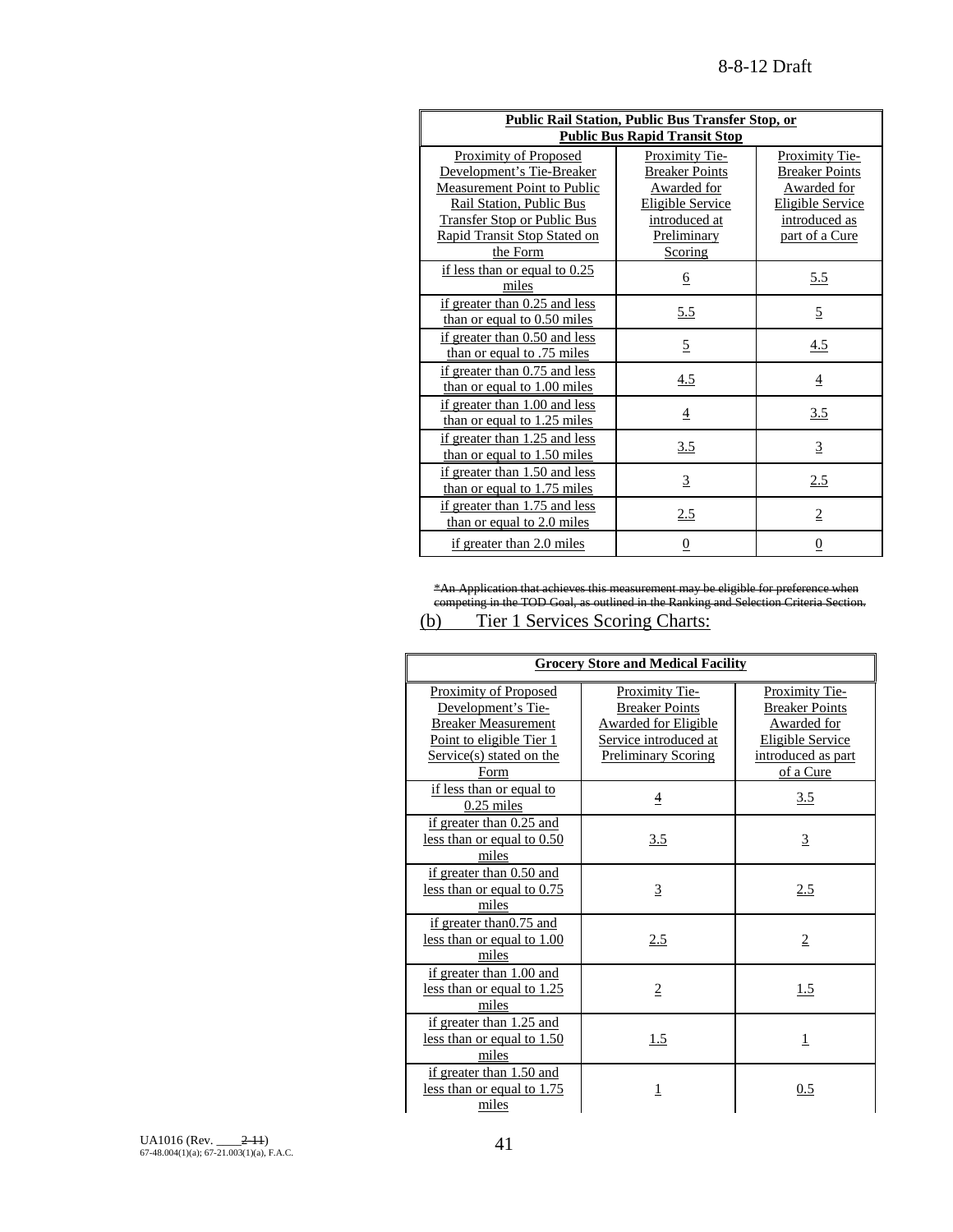| Public Rail Station, Public Bus Transfer Stop, or<br><b>Public Bus Rapid Transit Stop</b>                                                                                                       |                                                                                                                              |                                                                                                                      |  |
|-------------------------------------------------------------------------------------------------------------------------------------------------------------------------------------------------|------------------------------------------------------------------------------------------------------------------------------|----------------------------------------------------------------------------------------------------------------------|--|
| Proximity of Proposed<br>Development's Tie-Breaker<br>Measurement Point to Public<br>Rail Station, Public Bus<br><b>Transfer Stop or Public Bus</b><br>Rapid Transit Stop Stated on<br>the Form | Proximity Tie-<br><b>Breaker Points</b><br>Awarded for<br><b>Eligible Service</b><br>introduced at<br>Preliminary<br>Scoring | Proximity Tie-<br><b>Breaker Points</b><br>Awarded for<br><b>Eligible Service</b><br>introduced as<br>part of a Cure |  |
| if less than or equal to $0.25$<br>miles                                                                                                                                                        | <u>6</u>                                                                                                                     | 5.5                                                                                                                  |  |
| if greater than 0.25 and less<br>than or equal to 0.50 miles                                                                                                                                    | <u>5.5</u>                                                                                                                   | $\overline{5}$                                                                                                       |  |
| if greater than 0.50 and less<br>than or equal to .75 miles                                                                                                                                     | $\overline{5}$                                                                                                               | 4.5                                                                                                                  |  |
| if greater than 0.75 and less<br>than or equal to 1.00 miles                                                                                                                                    | 4.5                                                                                                                          | $\overline{4}$                                                                                                       |  |
| if greater than 1.00 and less<br>than or equal to $1.25$ miles                                                                                                                                  | 4                                                                                                                            | 3.5                                                                                                                  |  |
| if greater than 1.25 and less<br>than or equal to 1.50 miles                                                                                                                                    | <u>3.5</u>                                                                                                                   | $\overline{3}$                                                                                                       |  |
| if greater than 1.50 and less<br>than or equal to 1.75 miles                                                                                                                                    | $\overline{3}$                                                                                                               | 2.5                                                                                                                  |  |
| if greater than 1.75 and less<br>than or equal to 2.0 miles                                                                                                                                     | 2.5                                                                                                                          | $\overline{2}$                                                                                                       |  |
| if greater than 2.0 miles                                                                                                                                                                       | 0                                                                                                                            | 0                                                                                                                    |  |

\*An Application that achieves this measurement may be eligible for preference when competing in the TOD Goal, as outlined in the Ranking and Selection Criteria Section.

# (b) Tier 1 Services Scoring Charts:

| <b>Grocery Store and Medical Facility</b>                                                                                                        |                                                                                                                               |                                                                                                                                    |  |
|--------------------------------------------------------------------------------------------------------------------------------------------------|-------------------------------------------------------------------------------------------------------------------------------|------------------------------------------------------------------------------------------------------------------------------------|--|
| <b>Proximity of Proposed</b><br>Development's Tie-<br><b>Breaker Measurement</b><br>Point to eligible Tier 1<br>Service(s) stated on the<br>Form | Proximity Tie-<br><b>Breaker Points</b><br><b>Awarded for Eligible</b><br>Service introduced at<br><b>Preliminary Scoring</b> | <b>Proximity Tie-</b><br><b>Breaker Points</b><br><b>Awarded</b> for<br><b>Eligible Service</b><br>introduced as part<br>of a Cure |  |
| if less than or equal to<br>$0.25$ miles                                                                                                         | $\overline{4}$                                                                                                                | 3.5                                                                                                                                |  |
| if greater than 0.25 and<br>less than or equal to $0.50$<br>miles                                                                                | 3.5                                                                                                                           | 3                                                                                                                                  |  |
| if greater than 0.50 and<br>less than or equal to $0.75$<br>miles                                                                                | $\overline{3}$                                                                                                                | 2.5                                                                                                                                |  |
| if greater than0.75 and<br>less than or equal to 1.00<br>miles                                                                                   | 2.5                                                                                                                           | $\overline{2}$                                                                                                                     |  |
| if greater than 1.00 and<br>less than or equal to 1.25<br>miles                                                                                  | $\overline{2}$                                                                                                                | 1.5                                                                                                                                |  |
| if greater than 1.25 and<br>less than or equal to 1.50<br>miles                                                                                  | 1.5                                                                                                                           | 1                                                                                                                                  |  |
| if greater than 1.50 and<br>less than or equal to 1.75<br>miles                                                                                  |                                                                                                                               | 0.5                                                                                                                                |  |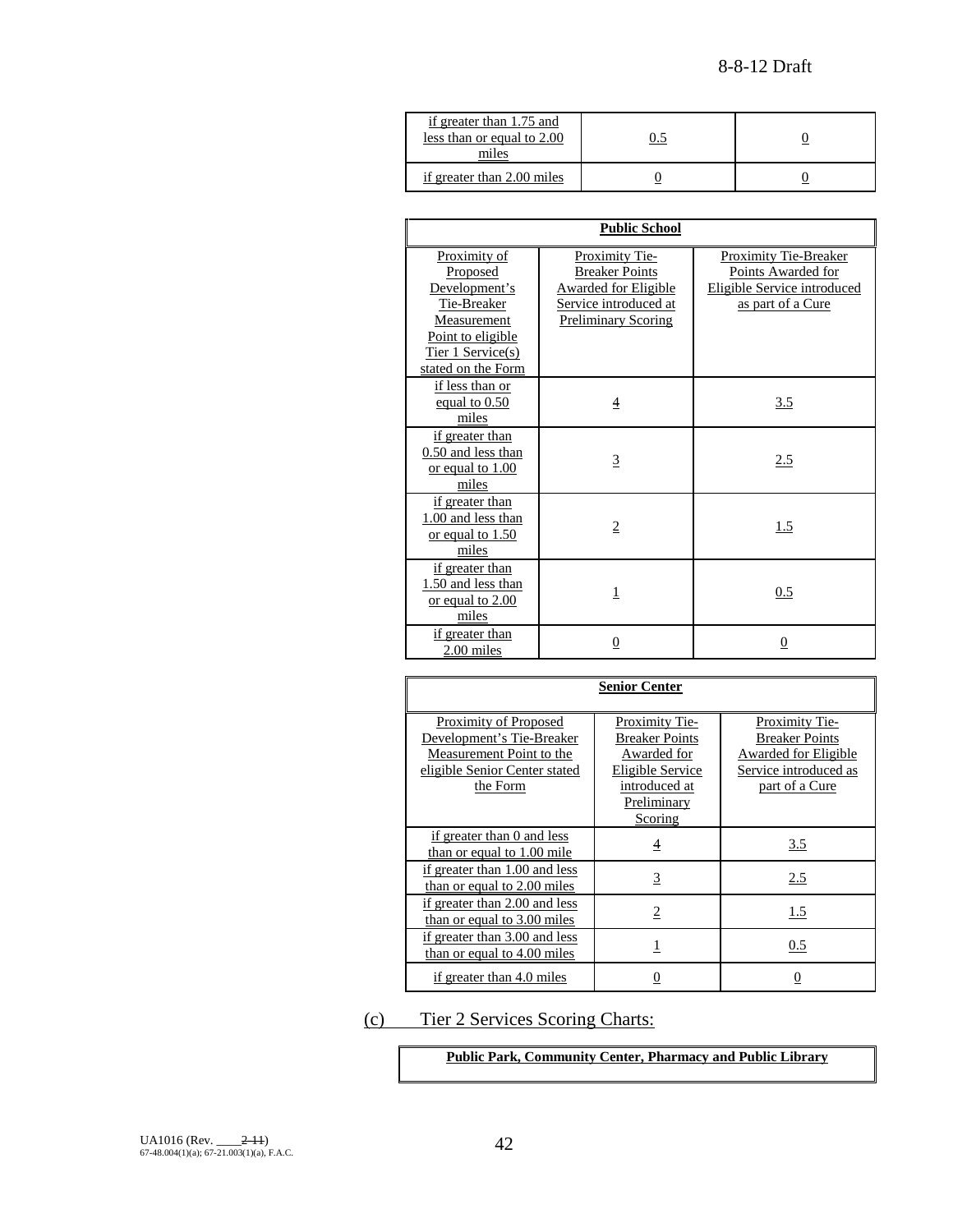| if greater than 1.75 and<br>less than or equal to 2.00<br>miles |  |
|-----------------------------------------------------------------|--|
| if greater than 2.00 miles                                      |  |

| <b>Public School</b>                                                                                                                    |                                                                                                                        |                                                                                                 |  |
|-----------------------------------------------------------------------------------------------------------------------------------------|------------------------------------------------------------------------------------------------------------------------|-------------------------------------------------------------------------------------------------|--|
| Proximity of<br>Proposed<br>Development's<br>Tie-Breaker<br>Measurement<br>Point to eligible<br>Tier 1 Service(s)<br>stated on the Form | Proximity Tie-<br><b>Breaker Points</b><br>Awarded for Eligible<br>Service introduced at<br><b>Preliminary Scoring</b> | Proximity Tie-Breaker<br>Points Awarded for<br>Eligible Service introduced<br>as part of a Cure |  |
| if less than or<br>equal to $0.50$<br>miles                                                                                             | 4                                                                                                                      | 3.5                                                                                             |  |
| if greater than<br>0.50 and less than<br>or equal to 1.00<br>miles                                                                      | 3                                                                                                                      | 2.5                                                                                             |  |
| if greater than<br>1.00 and less than<br>or equal to 1.50<br>miles                                                                      | $\overline{2}$                                                                                                         | 1.5                                                                                             |  |
| if greater than<br>1.50 and less than<br>or equal to 2.00<br>miles                                                                      | 1                                                                                                                      | 0.5                                                                                             |  |
| if greater than<br>2.00 miles                                                                                                           | 0                                                                                                                      | 0                                                                                               |  |

| <b>Senior Center</b>                                                                                                               |                                                                                                                       |                                                                                                            |  |  |
|------------------------------------------------------------------------------------------------------------------------------------|-----------------------------------------------------------------------------------------------------------------------|------------------------------------------------------------------------------------------------------------|--|--|
| <b>Proximity of Proposed</b><br>Development's Tie-Breaker<br>Measurement Point to the<br>eligible Senior Center stated<br>the Form | Proximity Tie-<br><b>Breaker Points</b><br>Awarded for<br>Eligible Service<br>introduced at<br>Preliminary<br>Scoring | Proximity Tie-<br><b>Breaker Points</b><br>Awarded for Eligible<br>Service introduced as<br>part of a Cure |  |  |
| if greater than 0 and less<br>than or equal to $1.00$ mile                                                                         | $\overline{4}$                                                                                                        | 3.5                                                                                                        |  |  |
| if greater than 1.00 and less<br>than or equal to 2.00 miles                                                                       | $\overline{3}$                                                                                                        | 2.5                                                                                                        |  |  |
| if greater than 2.00 and less<br>than or equal to 3.00 miles                                                                       | 2                                                                                                                     | 1.5                                                                                                        |  |  |
| if greater than 3.00 and less<br>than or equal to 4.00 miles                                                                       |                                                                                                                       | $0.5\,$                                                                                                    |  |  |
| if greater than 4.0 miles                                                                                                          | 0                                                                                                                     | 0                                                                                                          |  |  |

(c) Tier 2 Services Scoring Charts:

**Public Park, Community Center, Pharmacy and Public Library**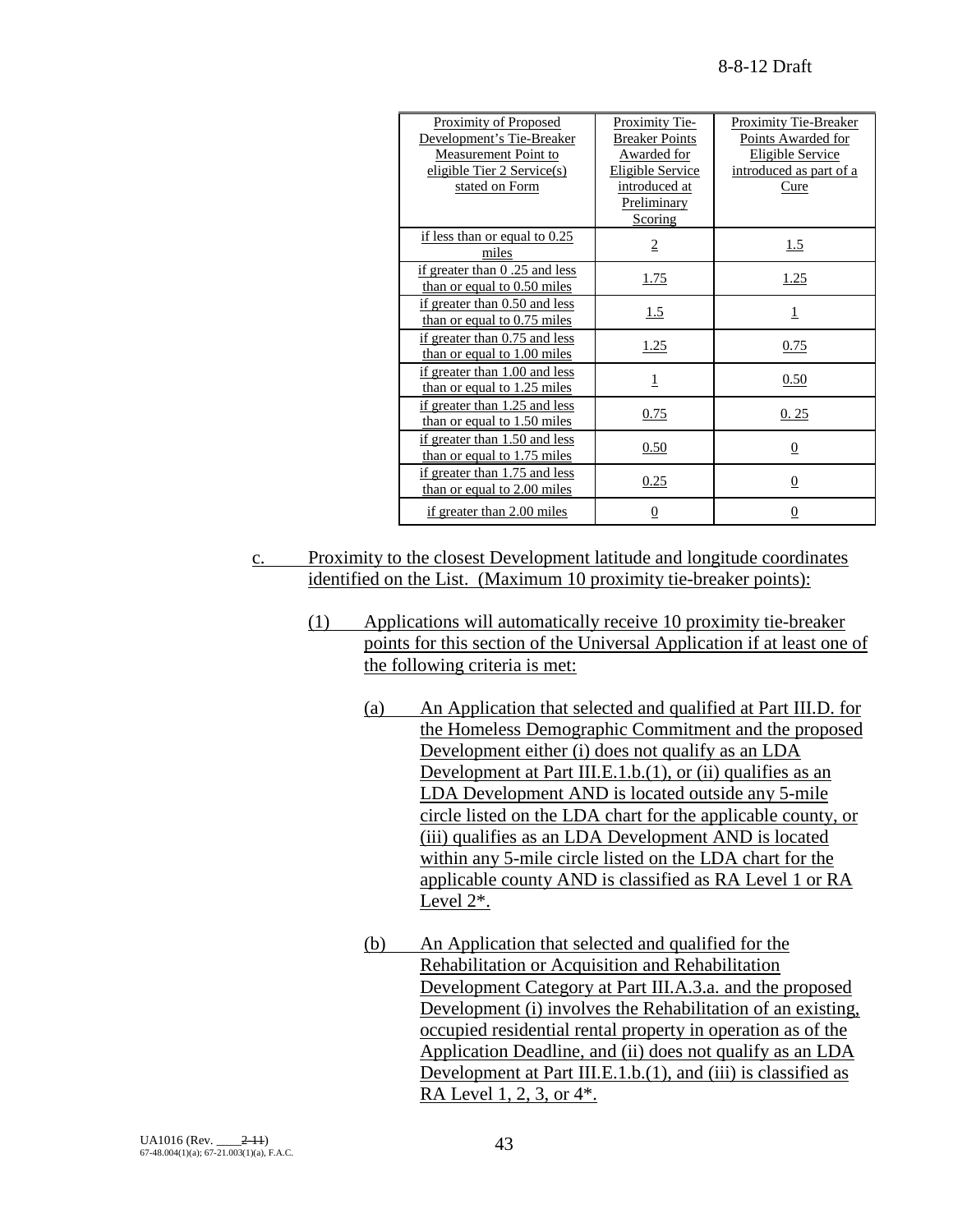| Proximity of Proposed<br>Development's Tie-Breaker<br>Measurement Point to<br>eligible Tier 2 Service(s)<br>stated on Form | Proximity Tie-<br><b>Breaker Points</b><br>Awarded for<br><b>Eligible Service</b><br>introduced at<br>Preliminary<br>Scoring | <b>Proximity Tie-Breaker</b><br>Points Awarded for<br><b>Eligible Service</b><br>introduced as part of a<br>Cure |
|----------------------------------------------------------------------------------------------------------------------------|------------------------------------------------------------------------------------------------------------------------------|------------------------------------------------------------------------------------------------------------------|
| if less than or equal to $0.25$<br>miles                                                                                   | $\overline{2}$                                                                                                               | 1.5                                                                                                              |
| if greater than 0.25 and less<br>than or equal to $0.50$ miles                                                             | <u>1.75</u>                                                                                                                  | 1.25                                                                                                             |
| if greater than 0.50 and less<br>than or equal to $0.75$ miles                                                             | 1.5                                                                                                                          | 1                                                                                                                |
| if greater than 0.75 and less<br>than or equal to 1.00 miles                                                               | <u>1.25</u>                                                                                                                  | 0.75                                                                                                             |
| if greater than 1.00 and less<br>than or equal to 1.25 miles                                                               | 1                                                                                                                            | 0.50                                                                                                             |
| if greater than 1.25 and less<br>than or equal to 1.50 miles                                                               | 0.75                                                                                                                         | 0.25                                                                                                             |
| if greater than 1.50 and less<br>than or equal to 1.75 miles                                                               | 0.50                                                                                                                         | $\overline{0}$                                                                                                   |
| if greater than 1.75 and less<br>than or equal to 2.00 miles                                                               | 0.25                                                                                                                         | $\overline{0}$                                                                                                   |
| if greater than 2.00 miles                                                                                                 | $\overline{0}$                                                                                                               | $\overline{0}$                                                                                                   |

- c. Proximity to the closest Development latitude and longitude coordinates identified on the List. (Maximum 10 proximity tie-breaker points):
	- (1) Applications will automatically receive 10 proximity tie-breaker points for this section of the Universal Application if at least one of the following criteria is met:
		- (a) An Application that selected and qualified at Part III.D. for the Homeless Demographic Commitment and the proposed Development either (i) does not qualify as an LDA Development at Part III.E.1.b.(1), or (ii) qualifies as an LDA Development AND is located outside any 5-mile circle listed on the LDA chart for the applicable county, or (iii) qualifies as an LDA Development AND is located within any 5-mile circle listed on the LDA chart for the applicable county AND is classified as RA Level 1 or RA Level 2\*.
		- (b) An Application that selected and qualified for the Rehabilitation or Acquisition and Rehabilitation Development Category at Part III.A.3.a. and the proposed Development (i) involves the Rehabilitation of an existing, occupied residential rental property in operation as of the Application Deadline, and (ii) does not qualify as an LDA Development at Part III.E.1.b.(1), and (iii) is classified as RA Level 1, 2, 3, or 4\*.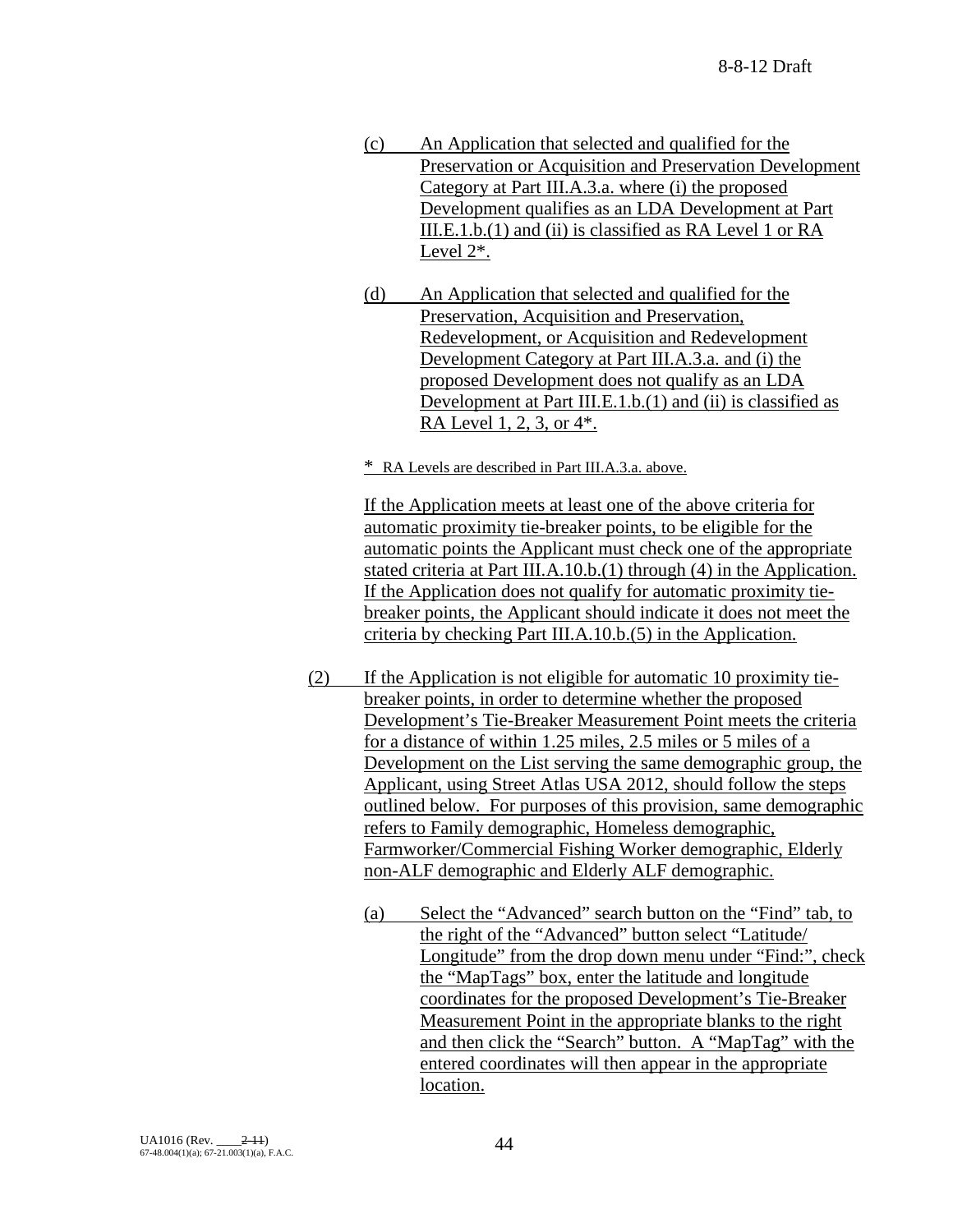- (c) An Application that selected and qualified for the Preservation or Acquisition and Preservation Development Category at Part III.A.3.a. where (i) the proposed Development qualifies as an LDA Development at Part III.E.1.b.(1) and (ii) is classified as RA Level 1 or RA Level 2\*.
- (d) An Application that selected and qualified for the Preservation, Acquisition and Preservation, Redevelopment, or Acquisition and Redevelopment Development Category at Part III.A.3.a. and (i) the proposed Development does not qualify as an LDA Development at Part III.E.1.b.(1) and (ii) is classified as RA Level 1, 2, 3, or 4\*.
- \* RA Levels are described in Part III.A.3.a. above.

If the Application meets at least one of the above criteria for automatic proximity tie-breaker points, to be eligible for the automatic points the Applicant must check one of the appropriate stated criteria at Part III.A.10.b.(1) through (4) in the Application. If the Application does not qualify for automatic proximity tiebreaker points, the Applicant should indicate it does not meet the criteria by checking Part III.A.10.b.(5) in the Application.

- (2) If the Application is not eligible for automatic 10 proximity tiebreaker points, in order to determine whether the proposed Development's Tie-Breaker Measurement Point meets the criteria for a distance of within 1.25 miles, 2.5 miles or 5 miles of a Development on the List serving the same demographic group, the Applicant, using Street Atlas USA 2012, should follow the steps outlined below. For purposes of this provision, same demographic refers to Family demographic, Homeless demographic, Farmworker/Commercial Fishing Worker demographic, Elderly non-ALF demographic and Elderly ALF demographic.
	- (a) Select the "Advanced" search button on the "Find" tab, to the right of the "Advanced" button select "Latitude/ Longitude" from the drop down menu under "Find:", check the "MapTags" box, enter the latitude and longitude coordinates for the proposed Development's Tie-Breaker Measurement Point in the appropriate blanks to the right and then click the "Search" button. A "MapTag" with the entered coordinates will then appear in the appropriate location.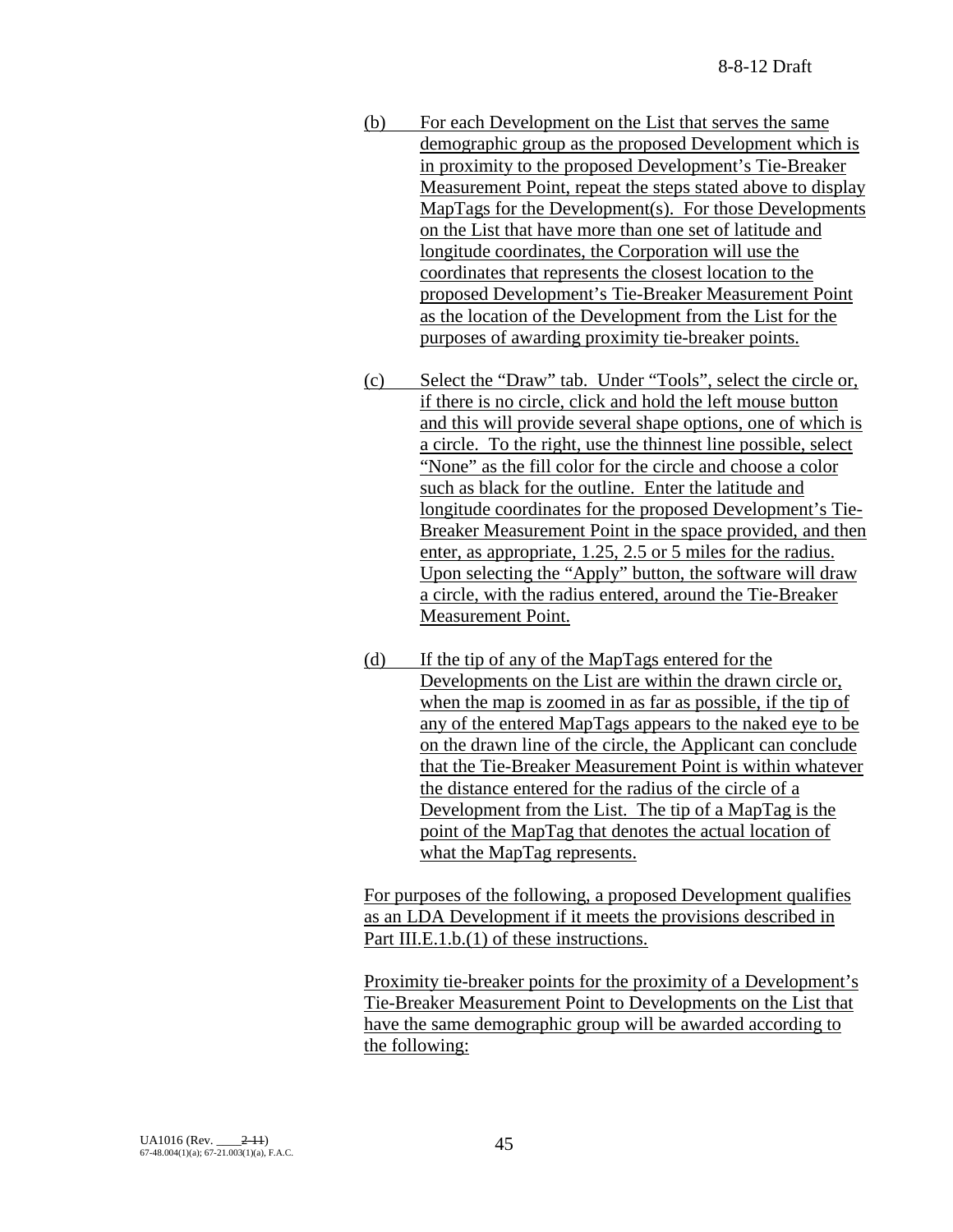- (b) For each Development on the List that serves the same demographic group as the proposed Development which is in proximity to the proposed Development's Tie-Breaker Measurement Point, repeat the steps stated above to display MapTags for the Development(s). For those Developments on the List that have more than one set of latitude and longitude coordinates, the Corporation will use the coordinates that represents the closest location to the proposed Development's Tie-Breaker Measurement Point as the location of the Development from the List for the purposes of awarding proximity tie-breaker points.
- (c) Select the "Draw" tab. Under "Tools", select the circle or, if there is no circle, click and hold the left mouse button and this will provide several shape options, one of which is a circle. To the right, use the thinnest line possible, select "None" as the fill color for the circle and choose a color such as black for the outline. Enter the latitude and longitude coordinates for the proposed Development's Tie-Breaker Measurement Point in the space provided, and then enter, as appropriate, 1.25, 2.5 or 5 miles for the radius. Upon selecting the "Apply" button, the software will draw a circle, with the radius entered, around the Tie-Breaker Measurement Point.
- (d) If the tip of any of the MapTags entered for the Developments on the List are within the drawn circle or, when the map is zoomed in as far as possible, if the tip of any of the entered MapTags appears to the naked eye to be on the drawn line of the circle, the Applicant can conclude that the Tie-Breaker Measurement Point is within whatever the distance entered for the radius of the circle of a Development from the List. The tip of a MapTag is the point of the MapTag that denotes the actual location of what the MapTag represents.

For purposes of the following, a proposed Development qualifies as an LDA Development if it meets the provisions described in Part III.E.1.b.(1) of these instructions.

Proximity tie-breaker points for the proximity of a Development's Tie-Breaker Measurement Point to Developments on the List that have the same demographic group will be awarded according to the following: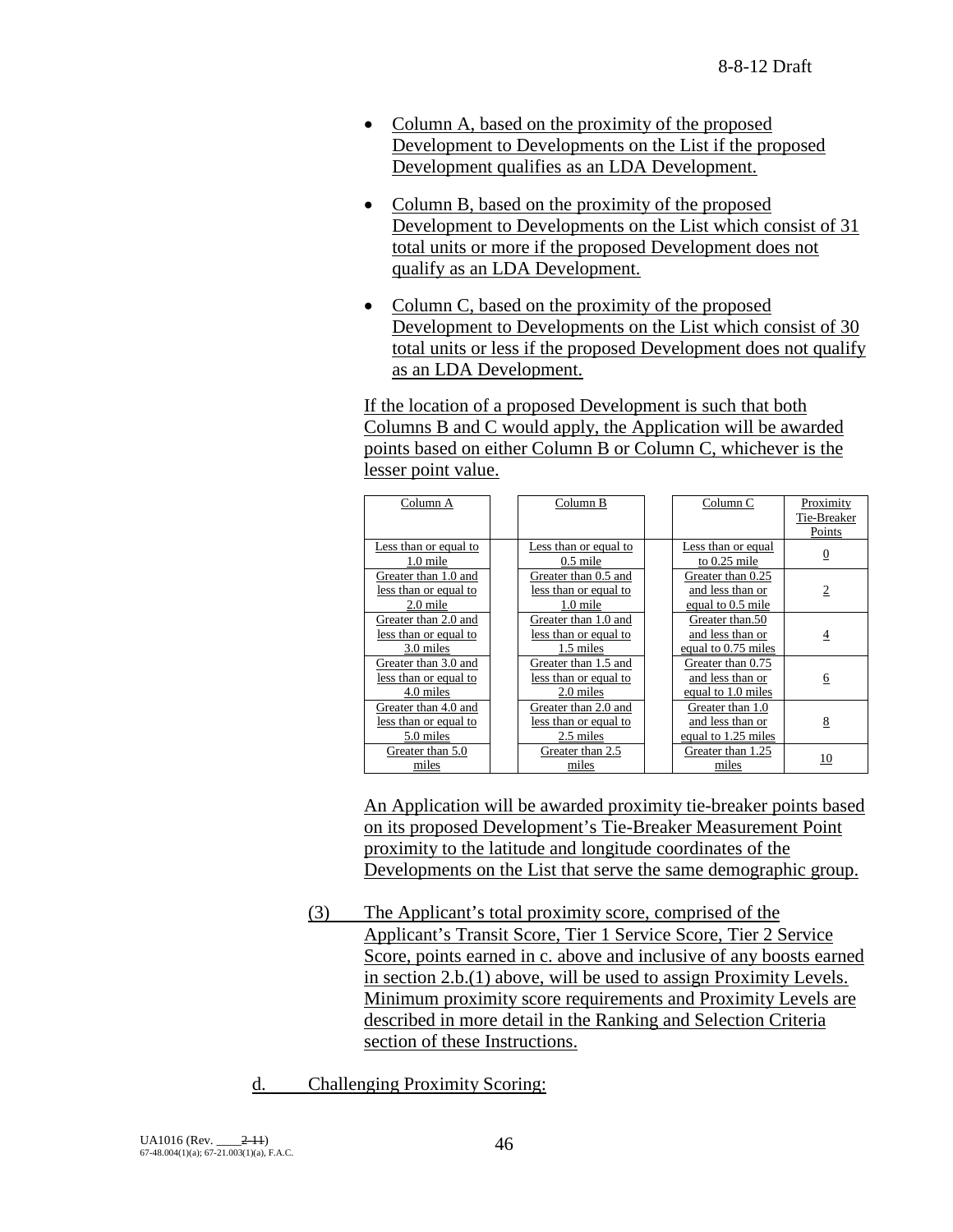- Column A, based on the proximity of the proposed Development to Developments on the List if the proposed Development qualifies as an LDA Development.
- Column B, based on the proximity of the proposed Development to Developments on the List which consist of 31 total units or more if the proposed Development does not qualify as an LDA Development.
- Column C, based on the proximity of the proposed Development to Developments on the List which consist of 30 total units or less if the proposed Development does not qualify as an LDA Development.

If the location of a proposed Development is such that both Columns B and C would apply, the Application will be awarded points based on either Column B or Column C, whichever is the lesser point value.

| Column A              | Column B              | Column C            | Proximity      |
|-----------------------|-----------------------|---------------------|----------------|
|                       |                       |                     | Tie-Breaker    |
|                       |                       |                     | Points         |
| Less than or equal to | Less than or equal to | Less than or equal  |                |
| 1.0 mile              | $0.5$ mile            | to $0.25$ mile      | $\overline{0}$ |
| Greater than 1.0 and  | Greater than 0.5 and  | Greater than 0.25   |                |
| less than or equal to | less than or equal to | and less than or    | $\overline{2}$ |
| 2.0 mile              | 1.0 mile              | equal to 0.5 mile   |                |
| Greater than 2.0 and  | Greater than 1.0 and  | Greater than.50     |                |
| less than or equal to | less than or equal to | and less than or    | $\overline{4}$ |
| 3.0 miles             | 1.5 miles             | equal to 0.75 miles |                |
| Greater than 3.0 and  | Greater than 1.5 and  | Greater than 0.75   |                |
| less than or equal to | less than or equal to | and less than or    | 6              |
| 4.0 miles             | 2.0 miles             | equal to 1.0 miles  |                |
| Greater than 4.0 and  | Greater than 2.0 and  | Greater than 1.0    |                |
| less than or equal to | less than or equal to | and less than or    | 8              |
| 5.0 miles             | 2.5 miles             | equal to 1.25 miles |                |
| Greater than 5.0      | Greater than 2.5      | Greater than 1.25   | 10             |
| miles                 | miles                 | miles               |                |

An Application will be awarded proximity tie-breaker points based on its proposed Development's Tie-Breaker Measurement Point proximity to the latitude and longitude coordinates of the Developments on the List that serve the same demographic group.

- (3) The Applicant's total proximity score, comprised of the Applicant's Transit Score, Tier 1 Service Score, Tier 2 Service Score, points earned in c. above and inclusive of any boosts earned in section 2.b.(1) above, will be used to assign Proximity Levels. Minimum proximity score requirements and Proximity Levels are described in more detail in the Ranking and Selection Criteria section of these Instructions.
- d. Challenging Proximity Scoring: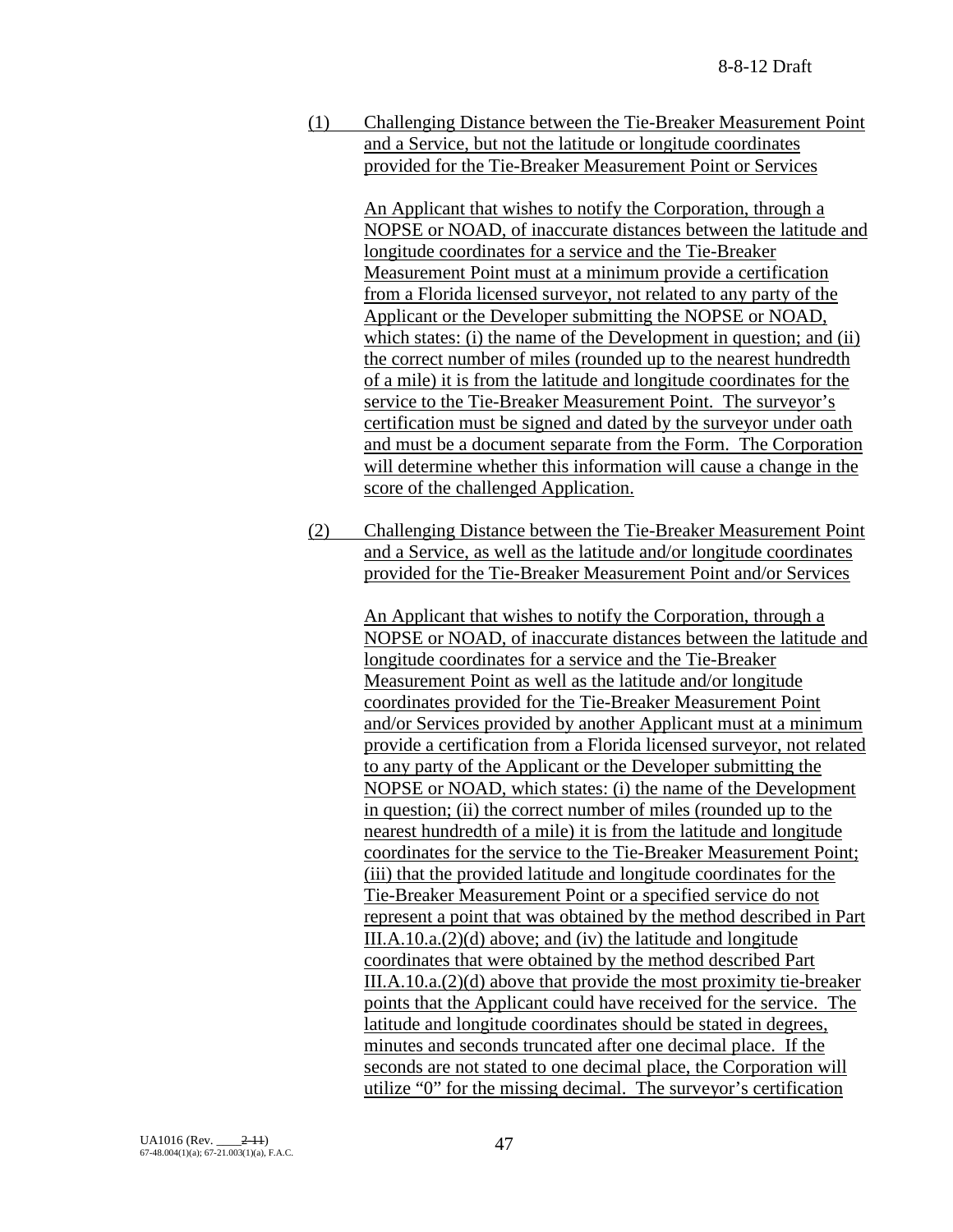(1) Challenging Distance between the Tie-Breaker Measurement Point and a Service, but not the latitude or longitude coordinates provided for the Tie-Breaker Measurement Point or Services

> An Applicant that wishes to notify the Corporation, through a NOPSE or NOAD, of inaccurate distances between the latitude and longitude coordinates for a service and the Tie-Breaker Measurement Point must at a minimum provide a certification from a Florida licensed surveyor, not related to any party of the Applicant or the Developer submitting the NOPSE or NOAD, which states: (i) the name of the Development in question; and (ii) the correct number of miles (rounded up to the nearest hundredth of a mile) it is from the latitude and longitude coordinates for the service to the Tie-Breaker Measurement Point. The surveyor's certification must be signed and dated by the surveyor under oath and must be a document separate from the Form. The Corporation will determine whether this information will cause a change in the score of the challenged Application.

(2) Challenging Distance between the Tie-Breaker Measurement Point and a Service, as well as the latitude and/or longitude coordinates provided for the Tie-Breaker Measurement Point and/or Services

> An Applicant that wishes to notify the Corporation, through a NOPSE or NOAD, of inaccurate distances between the latitude and longitude coordinates for a service and the Tie-Breaker Measurement Point as well as the latitude and/or longitude coordinates provided for the Tie-Breaker Measurement Point and/or Services provided by another Applicant must at a minimum provide a certification from a Florida licensed surveyor, not related to any party of the Applicant or the Developer submitting the NOPSE or NOAD, which states: (i) the name of the Development in question; (ii) the correct number of miles (rounded up to the nearest hundredth of a mile) it is from the latitude and longitude coordinates for the service to the Tie-Breaker Measurement Point; (iii) that the provided latitude and longitude coordinates for the Tie-Breaker Measurement Point or a specified service do not represent a point that was obtained by the method described in Part III.A.10.a.(2)(d) above; and (iv) the latitude and longitude coordinates that were obtained by the method described Part III.A.10.a.(2)(d) above that provide the most proximity tie-breaker points that the Applicant could have received for the service. The latitude and longitude coordinates should be stated in degrees, minutes and seconds truncated after one decimal place. If the seconds are not stated to one decimal place, the Corporation will utilize "0" for the missing decimal. The surveyor's certification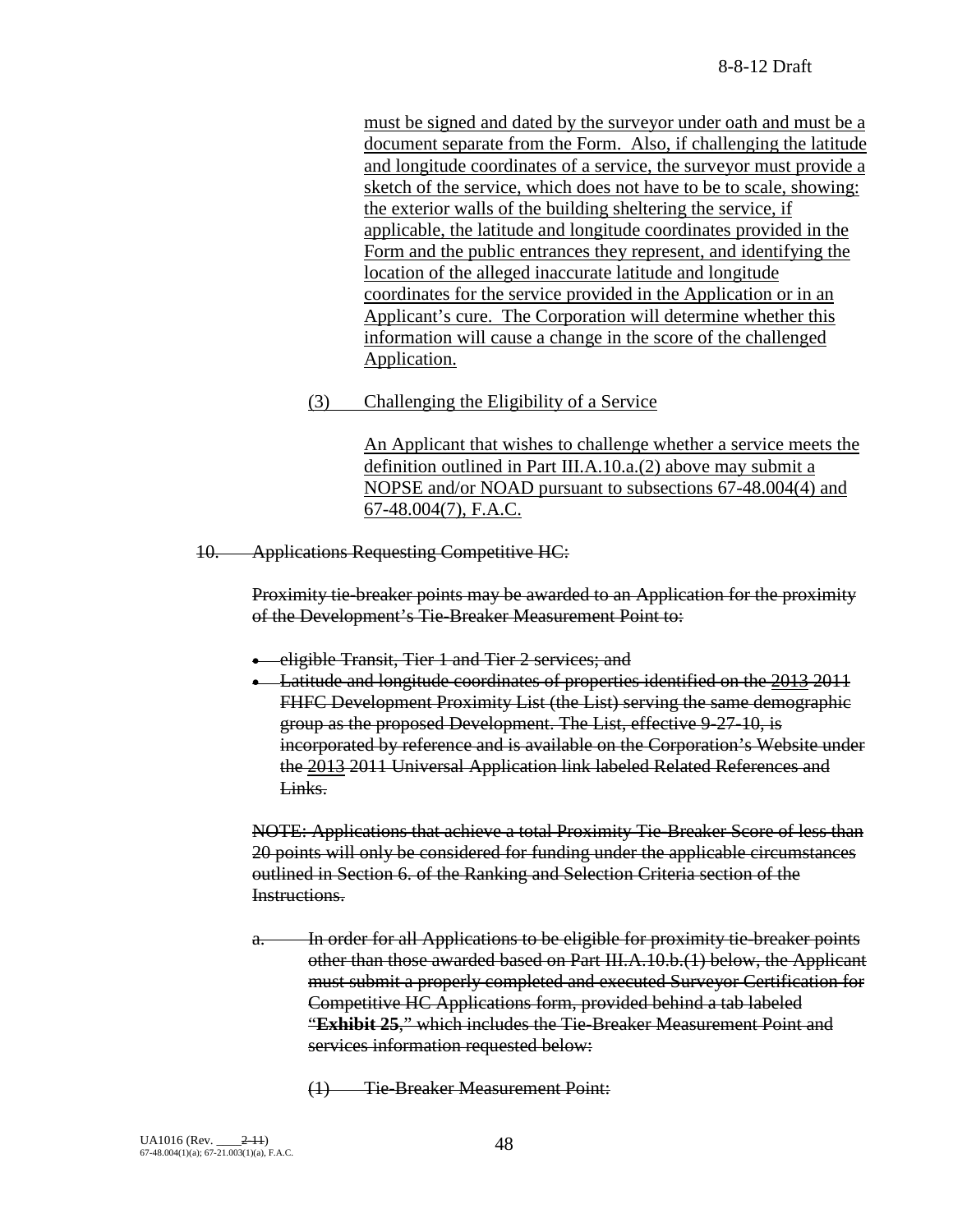must be signed and dated by the surveyor under oath and must be a document separate from the Form. Also, if challenging the latitude and longitude coordinates of a service, the surveyor must provide a sketch of the service, which does not have to be to scale, showing: the exterior walls of the building sheltering the service, if applicable, the latitude and longitude coordinates provided in the Form and the public entrances they represent, and identifying the location of the alleged inaccurate latitude and longitude coordinates for the service provided in the Application or in an Applicant's cure. The Corporation will determine whether this information will cause a change in the score of the challenged Application.

(3) Challenging the Eligibility of a Service

An Applicant that wishes to challenge whether a service meets the definition outlined in Part III.A.10.a.(2) above may submit a NOPSE and/or NOAD pursuant to subsections 67-48.004(4) and 67-48.004(7), F.A.C.

10. Applications Requesting Competitive HC:

Proximity tie-breaker points may be awarded to an Application for the proximity of the Development's Tie-Breaker Measurement Point to:

- eligible Transit, Tier 1 and Tier 2 services; and
- Latitude and longitude coordinates of properties identified on the 2013 2011 FHFC Development Proximity List (the List) serving the same demographic group as the proposed Development. The List, effective 9-27-10, is incorporated by reference and is available on the Corporation's Website under the 2013 2011 Universal Application link labeled Related References and Links.

NOTE: Applications that achieve a total Proximity Tie-Breaker Score of less than 20 points will only be considered for funding under the applicable circumstances outlined in Section 6. of the Ranking and Selection Criteria section of the Instructions.

- a. In order for all Applications to be eligible for proximity tie-breaker points other than those awarded based on Part III.A.10.b.(1) below, the Applicant must submit a properly completed and executed Surveyor Certification for Competitive HC Applications form, provided behind a tab labeled "**Exhibit 25**," which includes the Tie-Breaker Measurement Point and services information requested below:
	- (1) Tie-Breaker Measurement Point: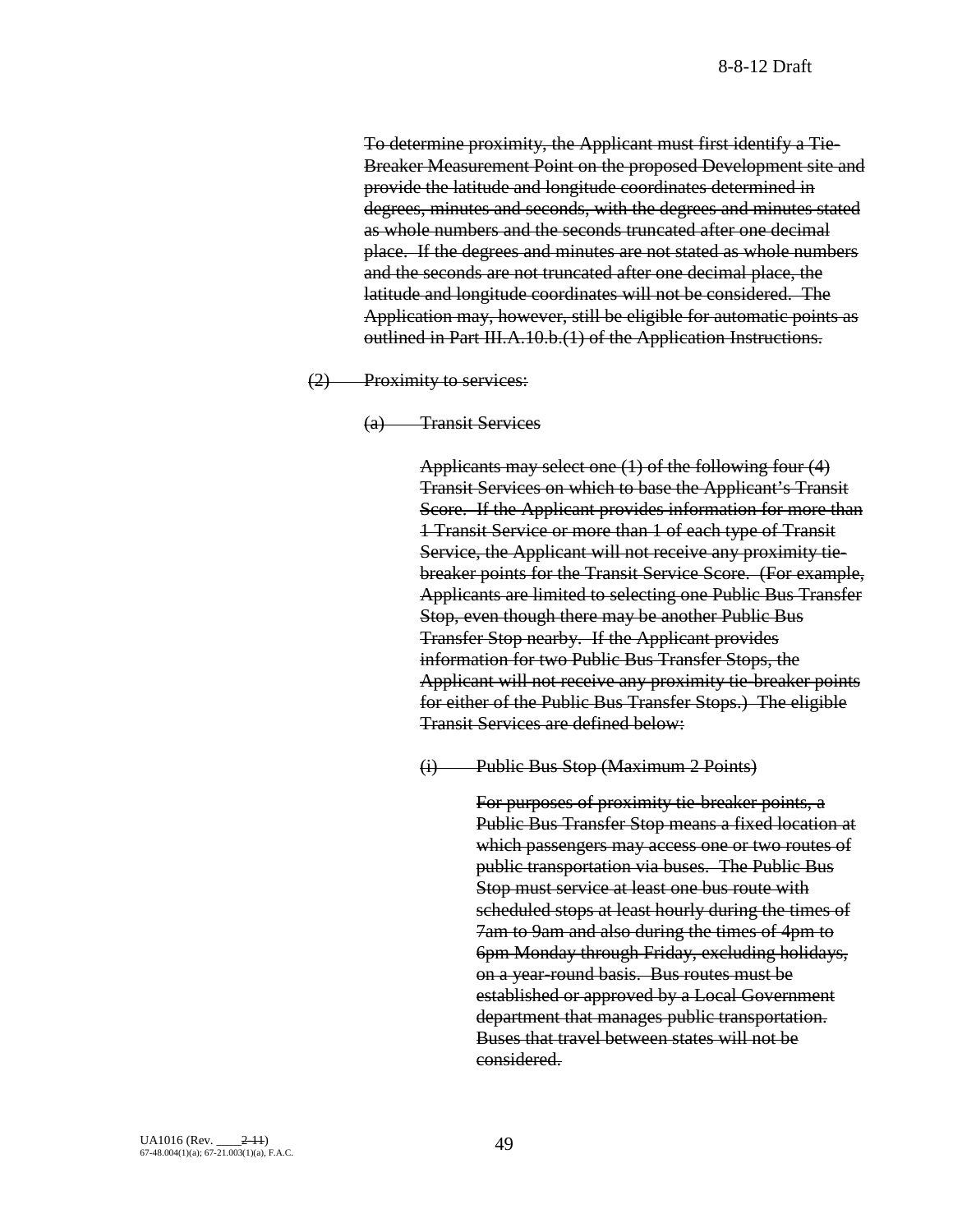To determine proximity, the Applicant must first identify a Tie-Breaker Measurement Point on the proposed Development site and provide the latitude and longitude coordinates determined in degrees, minutes and seconds, with the degrees and minutes stated as whole numbers and the seconds truncated after one decimal place. If the degrees and minutes are not stated as whole numbers and the seconds are not truncated after one decimal place, the latitude and longitude coordinates will not be considered. The Application may, however, still be eligible for automatic points as outlined in Part III.A.10.b.(1) of the Application Instructions.

(2) Proximity to services:

(a) Transit Services

Applicants may select one (1) of the following four (4) Transit Services on which to base the Applicant's Transit Score. If the Applicant provides information for more than 1 Transit Service or more than 1 of each type of Transit Service, the Applicant will not receive any proximity tiebreaker points for the Transit Service Score. (For example, Applicants are limited to selecting one Public Bus Transfer Stop, even though there may be another Public Bus Transfer Stop nearby. If the Applicant provides information for two Public Bus Transfer Stops, the Applicant will not receive any proximity tie-breaker points for either of the Public Bus Transfer Stops.) The eligible Transit Services are defined below:

(i) Public Bus Stop (Maximum 2 Points)

For purposes of proximity tie-breaker points, a Public Bus Transfer Stop means a fixed location at which passengers may access one or two routes of public transportation via buses. The Public Bus Stop must service at least one bus route with scheduled stops at least hourly during the times of 7am to 9am and also during the times of 4pm to 6pm Monday through Friday, excluding holidays, on a year-round basis. Bus routes must be established or approved by a Local Government department that manages public transportation. Buses that travel between states will not be considered.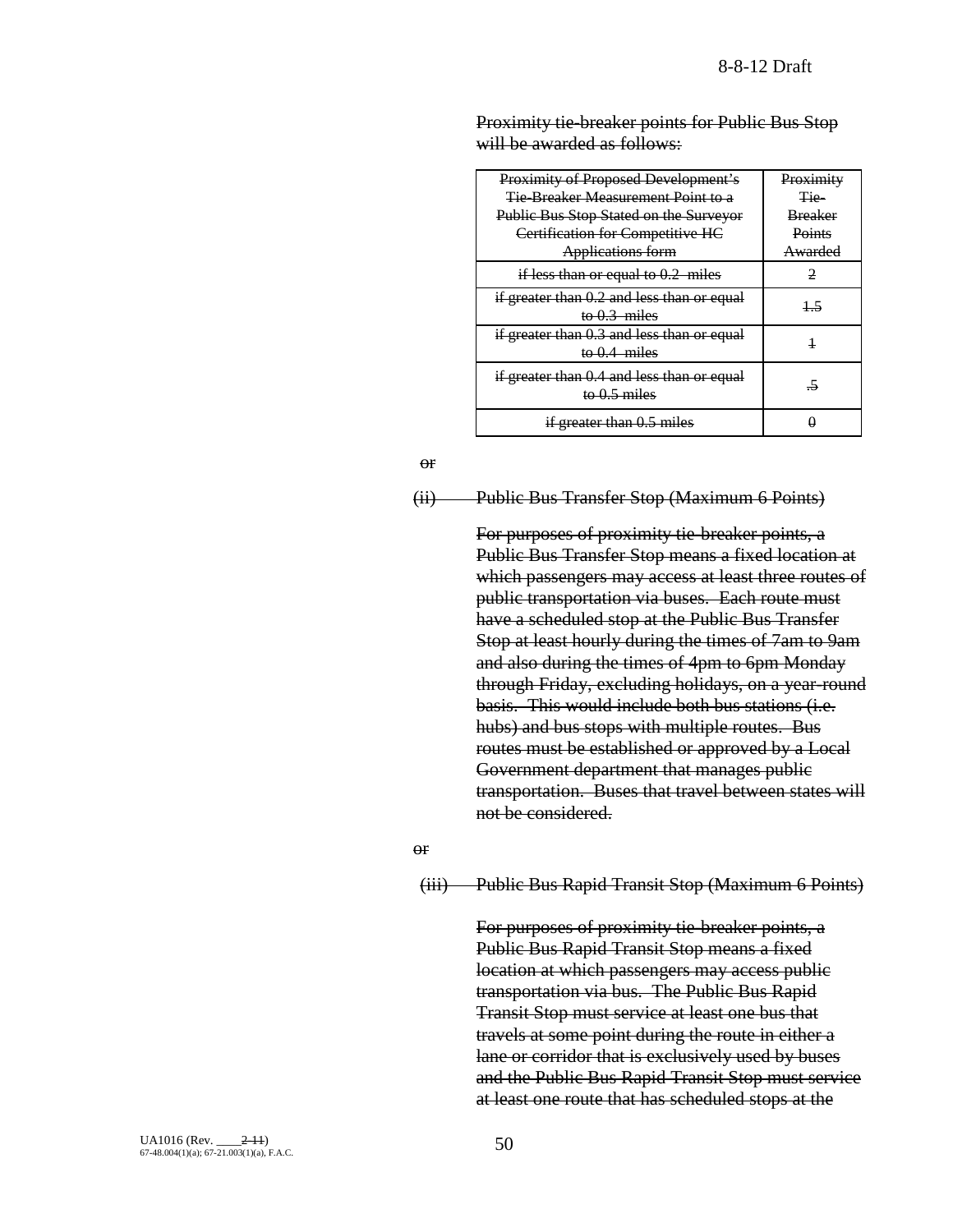| Proximity of Proposed Development's<br><b>Tie-Breaker Measurement Point to a</b><br>Public Bus Stop Stated on the Surveyor<br>Certification for Competitive HC<br>Applications form | Proximity<br>Tie-<br><b>Breaker</b><br>Points<br>Awarded |
|-------------------------------------------------------------------------------------------------------------------------------------------------------------------------------------|----------------------------------------------------------|
| if less than or equal to $0.2$ miles                                                                                                                                                |                                                          |
| if greater than 0.2 and less than or equal<br>to $0.3$ miles                                                                                                                        | 15                                                       |
| if greater than 0.3 and less than or equal<br>to $0.4$ miles                                                                                                                        |                                                          |
| if greater than 0.4 and less than or equal<br>to $0.5$ miles                                                                                                                        | -5                                                       |
| if greater than 0.5 miles                                                                                                                                                           |                                                          |

Proximity tie-breaker points for Public Bus Stop will be awarded as follows:

#### or

## (ii) Public Bus Transfer Stop (Maximum 6 Points)

For purposes of proximity tie-breaker points, a Public Bus Transfer Stop means a fixed location at which passengers may access at least three routes of public transportation via buses. Each route must have a scheduled stop at the Public Bus Transfer Stop at least hourly during the times of 7am to 9am and also during the times of 4pm to 6pm Monday through Friday, excluding holidays, on a year-round basis. This would include both bus stations (i.e. hubs) and bus stops with multiple routes. Bus routes must be established or approved by a Local Government department that manages public transportation. Buses that travel between states will not be considered.

#### or

#### (iii) Public Bus Rapid Transit Stop (Maximum 6 Points)

For purposes of proximity tie-breaker points, a Public Bus Rapid Transit Stop means a fixed location at which passengers may access public transportation via bus. The Public Bus Rapid Transit Stop must service at least one bus that travels at some point during the route in either a lane or corridor that is exclusively used by buses and the Public Bus Rapid Transit Stop must service at least one route that has scheduled stops at the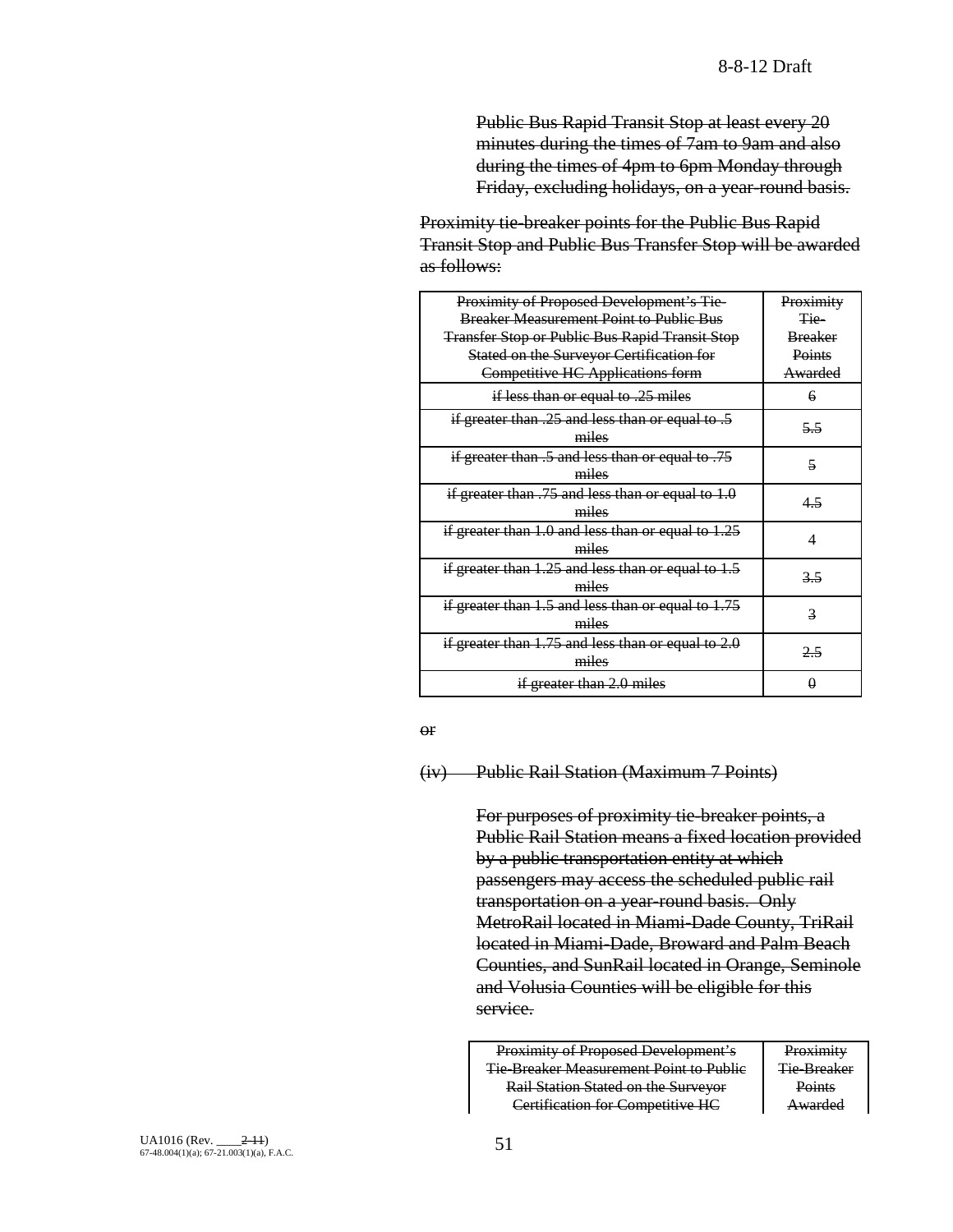Public Bus Rapid Transit Stop at least every 20 minutes during the times of 7am to 9am and also during the times of 4pm to 6pm Monday through Friday, excluding holidays, on a year-round basis.

Proximity tie-breaker points for the Public Bus Rapid Transit Stop and Public Bus Transfer Stop will be awarded as follows:

| Proximity of Proposed Development's Tie-               | Proximity      |
|--------------------------------------------------------|----------------|
| <b>Breaker Measurement Point to Public Bus</b>         | <del>Tie</del> |
| <b>Transfer Stop or Public Bus Rapid Transit Stop</b>  | <b>Breaker</b> |
| Stated on the Surveyor Certification for               | Points         |
| Competitive HC Applications form                       | Awarded        |
| if less than or equal to .25 miles                     | 6              |
| if greater than .25 and less than or equal to .5       | 5.5            |
| miles                                                  |                |
| if greater than .5 and less than or equal to .75       | 5              |
| miles                                                  |                |
| if greater than $.75$ and less than or equal to $1.0$  |                |
| miles                                                  | 4.5            |
| if greater than $1.0$ and less than or equal to $1.25$ | 4              |
| miles                                                  |                |
| if greater than $1.25$ and less than or equal to $1.5$ | 3.5            |
| miles                                                  |                |
| if greater than $1.5$ and less than or equal to $1.75$ |                |
| miles                                                  | 3              |
| if greater than $1.75$ and less than or equal to $2.0$ |                |
| miles                                                  | 2.5            |
| if greater than 2.0 miles                              | A              |

or

(iv) Public Rail Station (Maximum 7 Points)

For purposes of proximity tie-breaker points, a Public Rail Station means a fixed location provided by a public transportation entity at which passengers may access the scheduled public rail transportation on a year-round basis. Only MetroRail located in Miami-Dade County, TriRail located in Miami-Dade, Broward and Palm Beach Counties, and SunRail located in Orange, Seminole and Volusia Counties will be eligible for this service.

Proximity of Proposed Development's Tie-Breaker Measurement Point to Public Rail Station Stated on the Surveyor Certification for Competitive HC

**Proximity** Tie-Breaker **Points** Awarded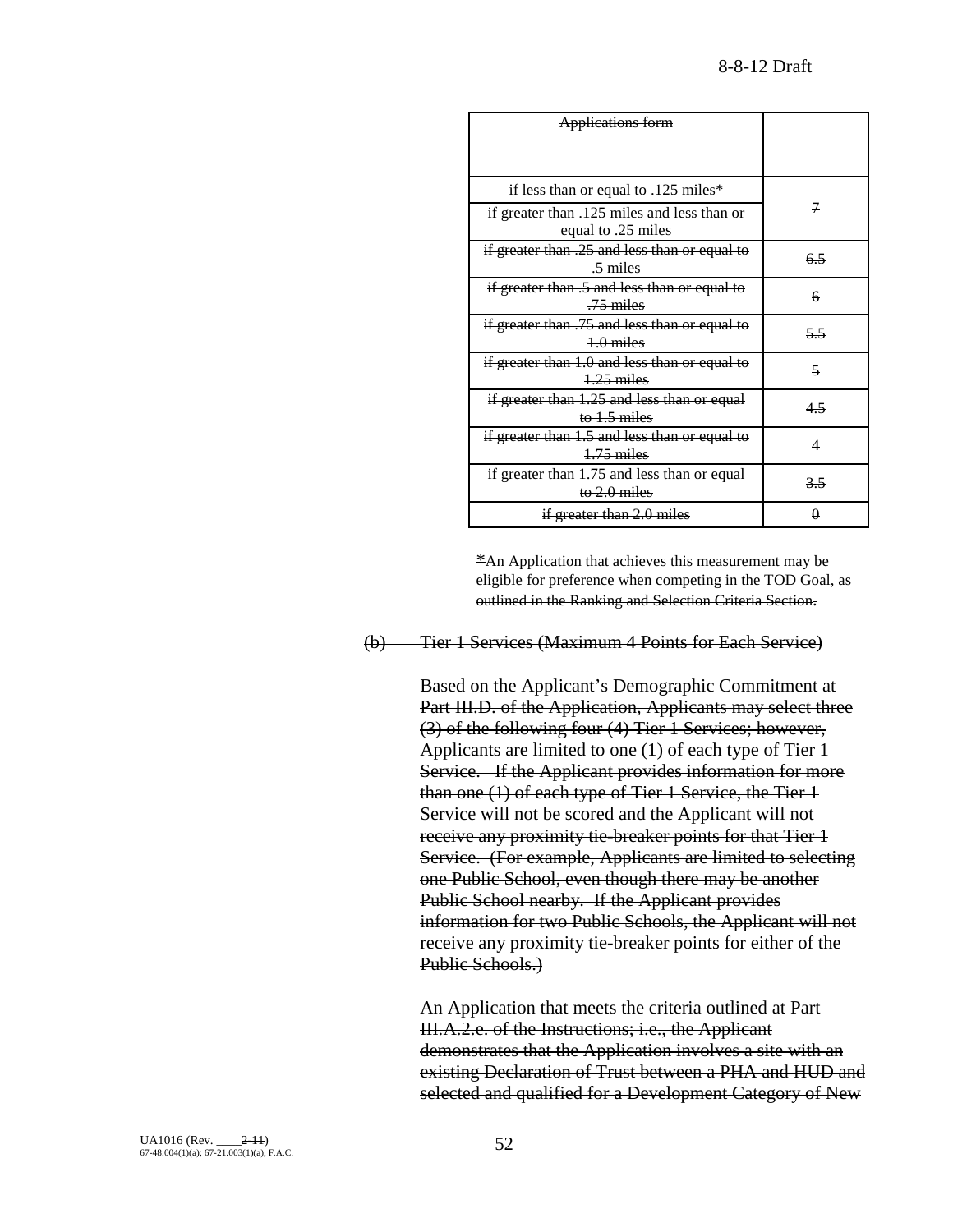| <b>Applications form</b>                                             |     |
|----------------------------------------------------------------------|-----|
|                                                                      |     |
| if less than or equal to .125 miles*                                 |     |
| if greater than .125 miles and less than or<br>equal to .25 miles    |     |
| if greater than .25 and less than or equal to<br>$\frac{5}{2}$ miles | 6.5 |
| if greater than .5 and less than or equal to<br>$.75$ miles          | 6   |
| if greater than .75 and less than or equal to<br>$1.0$ miles         | 55  |
| if greater than 1.0 and less than or equal to<br>$1.25$ miles        | 5   |
| if greater than 1.25 and less than or equal<br>to $1.5$ miles        | 4.5 |
| if greater than 1.5 and less than or equal to<br>$4.75$ miles        | 4   |
| if greater than 1.75 and less than or equal<br>to $2.0$ miles        | 3.5 |
| if greater than 2.0 miles                                            |     |

\*An Application that achieves this measurement may be eligible for preference when competing in the TOD Goal, as outlined in the Ranking and Selection Criteria Section.

(b) Tier 1 Services (Maximum 4 Points for Each Service)

Based on the Applicant's Demographic Commitment at Part III.D. of the Application, Applicants may select three (3) of the following four (4) Tier 1 Services; however, Applicants are limited to one (1) of each type of Tier 1 Service. If the Applicant provides information for more than one (1) of each type of Tier 1 Service, the Tier 1 Service will not be scored and the Applicant will not receive any proximity tie-breaker points for that Tier 1 Service. (For example, Applicants are limited to selecting one Public School, even though there may be another Public School nearby. If the Applicant provides information for two Public Schools, the Applicant will not receive any proximity tie-breaker points for either of the Public Schools.)

An Application that meets the criteria outlined at Part III.A.2.e. of the Instructions; i.e., the Applicant demonstrates that the Application involves a site with an existing Declaration of Trust between a PHA and HUD and selected and qualified for a Development Category of New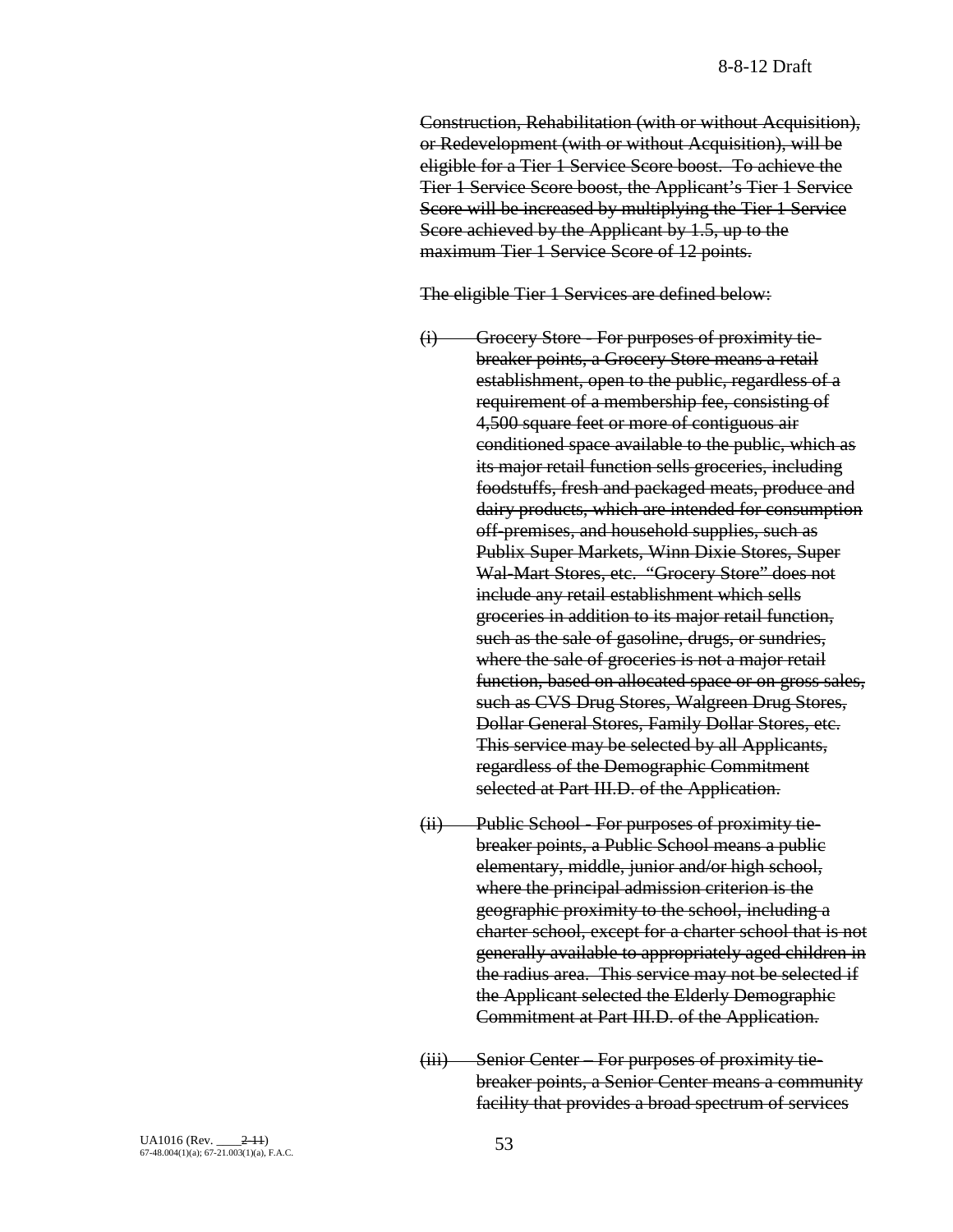Construction, Rehabilitation (with or without Acquisition), or Redevelopment (with or without Acquisition), will be eligible for a Tier 1 Service Score boost. To achieve the Tier 1 Service Score boost, the Applicant's Tier 1 Service Score will be increased by multiplying the Tier 1 Service Score achieved by the Applicant by 1.5, up to the maximum Tier 1 Service Score of 12 points.

The eligible Tier 1 Services are defined below:

- (i) Grocery Store For purposes of proximity tiebreaker points, a Grocery Store means a retail establishment, open to the public, regardless of a requirement of a membership fee, consisting of 4,500 square feet or more of contiguous air conditioned space available to the public, which as its major retail function sells groceries, including foodstuffs, fresh and packaged meats, produce and dairy products, which are intended for consumption off-premises, and household supplies, such as Publix Super Markets, Winn Dixie Stores, Super Wal-Mart Stores, etc. "Grocery Store" does not include any retail establishment which sells groceries in addition to its major retail function, such as the sale of gasoline, drugs, or sundries, where the sale of groceries is not a major retail function, based on allocated space or on gross sales, such as CVS Drug Stores, Walgreen Drug Stores, Dollar General Stores, Family Dollar Stores, etc. This service may be selected by all Applicants, regardless of the Demographic Commitment selected at Part III.D. of the Application.
- (ii) Public School For purposes of proximity tiebreaker points, a Public School means a public elementary, middle, junior and/or high school, where the principal admission criterion is the geographic proximity to the school, including a charter school, except for a charter school that is not generally available to appropriately aged children in the radius area. This service may not be selected if the Applicant selected the Elderly Demographic Commitment at Part III.D. of the Application.
- (iii) Senior Center For purposes of proximity tiebreaker points, a Senior Center means a community facility that provides a broad spectrum of services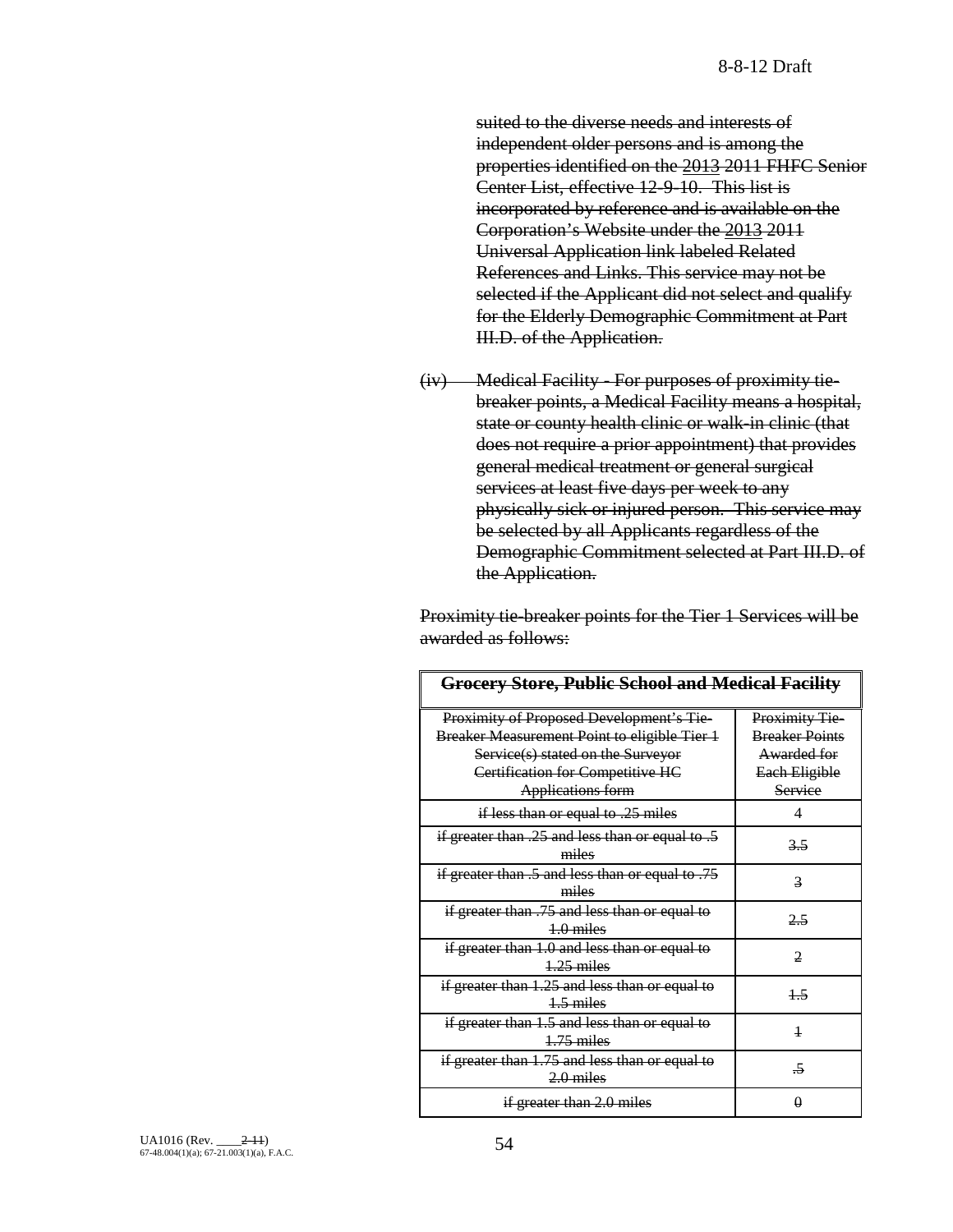suited to the diverse needs and interests of independent older persons and is among the properties identified on the 2013 2011 FHFC Senior Center List, effective 12-9-10. This list is incorporated by reference and is available on the Corporation's Website under the 2013 2011 Universal Application link labeled Related References and Links. This service may not be selected if the Applicant did not select and qualify for the Elderly Demographic Commitment at Part III.D. of the Application.

(iv) Medical Facility - For purposes of proximity tiebreaker points, a Medical Facility means a hospital, state or county health clinic or walk-in clinic (that does not require a prior appointment) that provides general medical treatment or general surgical services at least five days per week to any physically sick or injured person. This service may be selected by all Applicants regardless of the Demographic Commitment selected at Part III.D. of the Application.

Proximity tie-breaker points for the Tier 1 Services will be awarded as follows:

| <b>Grocery Store, Public School and Medical Facility</b>      |                       |  |
|---------------------------------------------------------------|-----------------------|--|
| Proximity of Proposed Development's Tie-                      | Proximity Tie-        |  |
| Breaker Measurement Point to eligible Tier 1                  | <b>Breaker Points</b> |  |
| Service(s) stated on the Surveyor                             | Awarded for           |  |
| Certification for Competitive HC                              | Each Eligible         |  |
| <b>Applications form</b>                                      | Service               |  |
| if less than or equal to .25 miles                            | 4                     |  |
| if greater than $.25$ and less than or equal to $.5$<br>miles | 3.5                   |  |
| if greater than .5 and less than or equal to .75<br>miles     | 3                     |  |
| if greater than .75 and less than or equal to<br>$4.0$ miles  | 2.5                   |  |
| if greater than 1.0 and less than or equal to<br>$1.25$ miles | 2                     |  |
| if greater than 1.25 and less than or equal to<br>$1.5$ miles | $+5$                  |  |
| if greater than 1.5 and less than or equal to<br>$+75$ miles  | $\overline{1}$        |  |
| if greater than 1.75 and less than or equal to<br>$2.0$ miles | -5                    |  |
| if greater than 2.0 miles                                     | 0                     |  |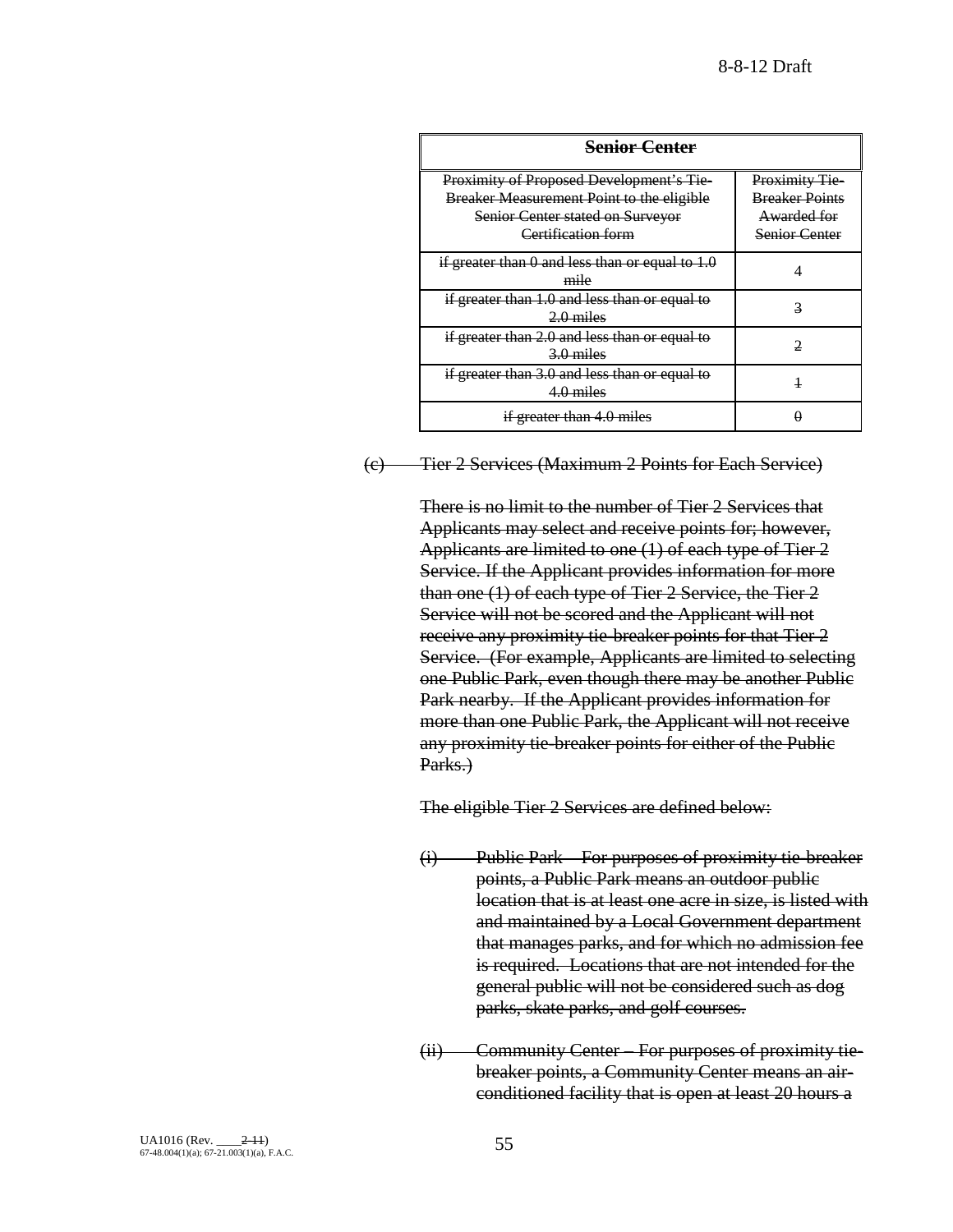| <b>Senior Center</b>                                                                                                                                          |                                                                               |
|---------------------------------------------------------------------------------------------------------------------------------------------------------------|-------------------------------------------------------------------------------|
| Proximity of Proposed Development's Tie-<br><b>Breaker Measurement Point to the eligible</b><br><b>Senior Center stated on Surveyor</b><br>Certification form | Proximity Tie<br><b>Breaker Points</b><br>Awarded for<br><b>Senior Center</b> |
| if greater than $0$ and less than or equal to $1.0$<br>mile                                                                                                   |                                                                               |
| if greater than 1.0 and less than or equal to<br>$2.0$ miles                                                                                                  |                                                                               |
| if greater than 2.0 and less than or equal to<br>$3.0$ miles                                                                                                  |                                                                               |
| if greater than 3.0 and less than or equal to<br>4.0 miles                                                                                                    |                                                                               |
| if greater than 4.0 miles                                                                                                                                     |                                                                               |

## (c) Tier 2 Services (Maximum 2 Points for Each Service)

There is no limit to the number of Tier 2 Services that Applicants may select and receive points for; however, Applicants are limited to one (1) of each type of Tier 2 Service. If the Applicant provides information for more than one (1) of each type of Tier 2 Service, the Tier 2 Service will not be scored and the Applicant will not receive any proximity tie-breaker points for that Tier 2 Service. (For example, Applicants are limited to selecting one Public Park, even though there may be another Public Park nearby. If the Applicant provides information for more than one Public Park, the Applicant will not receive any proximity tie-breaker points for either of the Public Parks.)

The eligible Tier 2 Services are defined below:

- (i) Public Park For purposes of proximity tie-breaker points, a Public Park means an outdoor public location that is at least one acre in size, is listed with and maintained by a Local Government department that manages parks, and for which no admission fee is required. Locations that are not intended for the general public will not be considered such as dog parks, skate parks, and golf courses.
- (ii) Community Center For purposes of proximity tiebreaker points, a Community Center means an airconditioned facility that is open at least 20 hours a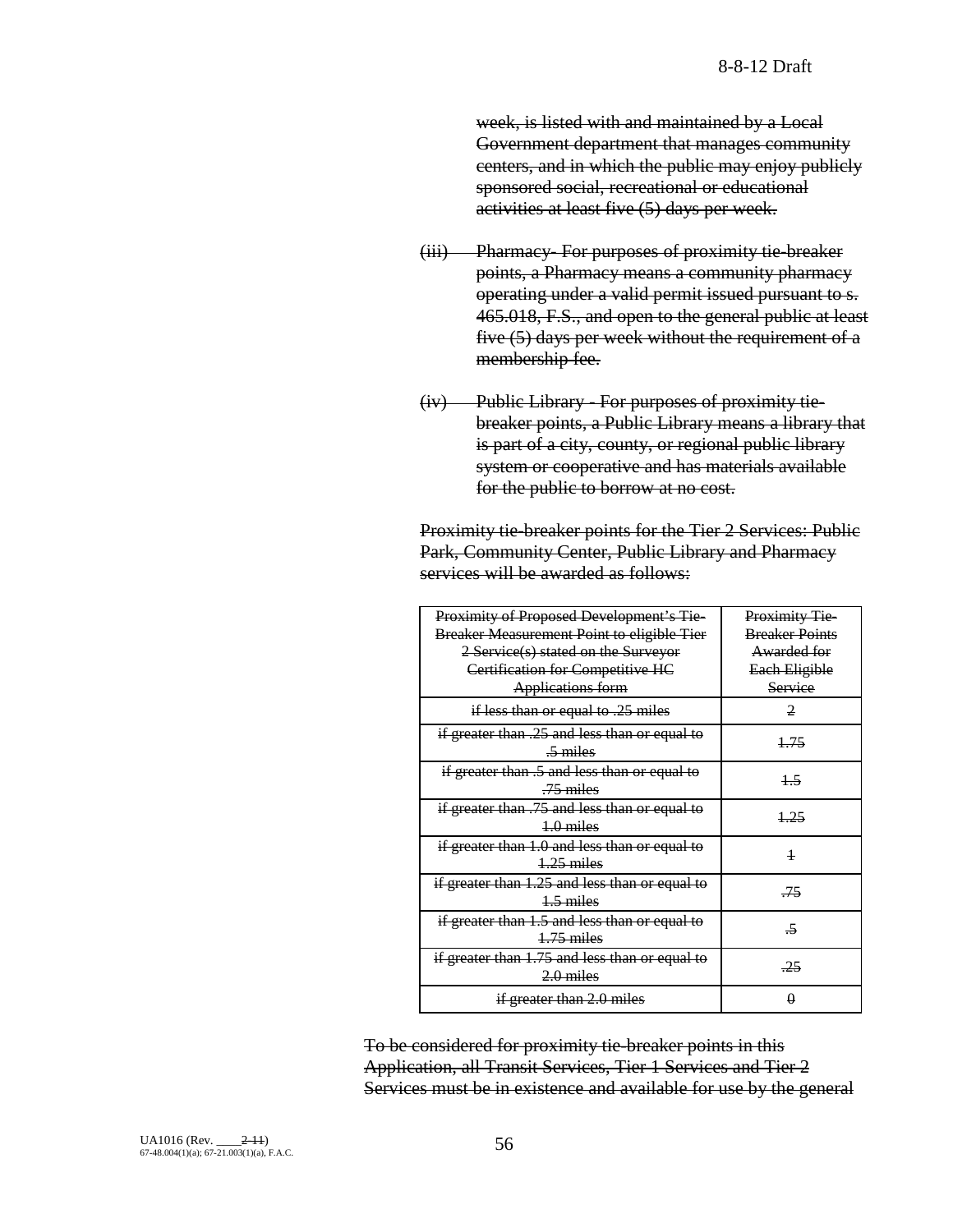week, is listed with and maintained by a Local Government department that manages community centers, and in which the public may enjoy publicly sponsored social, recreational or educational activities at least five (5) days per week.

- (iii) Pharmacy- For purposes of proximity tie-breaker points, a Pharmacy means a community pharmacy operating under a valid permit issued pursuant to s. 465.018, F.S., and open to the general public at least five (5) days per week without the requirement of a membership fee.
- (iv) Public Library For purposes of proximity tiebreaker points, a Public Library means a library that is part of a city, county, or regional public library system or cooperative and has materials available for the public to borrow at no cost.

Proximity tie-breaker points for the Tier 2 Services: Public Park, Community Center, Public Library and Pharmacy services will be awarded as follows:

| Proximity of Proposed Development's Tie-<br><b>Breaker Measurement Point to eligible Tier</b><br>2 Service(s) stated on the Surveyor<br>Certification for Competitive HC<br><b>Applications form</b> | <b>Proximity Tie-</b><br><b>Breaker Points</b><br>Awarded for<br>Each Eligible<br>Service |
|------------------------------------------------------------------------------------------------------------------------------------------------------------------------------------------------------|-------------------------------------------------------------------------------------------|
| if less than or equal to .25 miles                                                                                                                                                                   | $\mathfrak{D}$                                                                            |
| if greater than .25 and less than or equal to<br>$\frac{5}{2}$ miles                                                                                                                                 | 1.75                                                                                      |
| if greater than .5 and less than or equal to<br>$-75$ miles                                                                                                                                          | 15                                                                                        |
| if greater than .75 and less than or equal to<br>$1.0$ miles                                                                                                                                         | 1.25                                                                                      |
| if greater than 1.0 and less than or equal to<br>$1.25$ miles                                                                                                                                        | $\overline{1}$                                                                            |
| if greater than 1.25 and less than or equal to<br>$4.5$ miles                                                                                                                                        | -75                                                                                       |
| if greater than 1.5 and less than or equal to<br>$1.75$ miles                                                                                                                                        | $\overline{\rightarrow}$                                                                  |
| if greater than 1.75 and less than or equal to<br>$2.0$ miles                                                                                                                                        | -25                                                                                       |
| if greater than 2.0 miles                                                                                                                                                                            |                                                                                           |

To be considered for proximity tie-breaker points in this Application, all Transit Services, Tier 1 Services and Tier 2 Services must be in existence and available for use by the general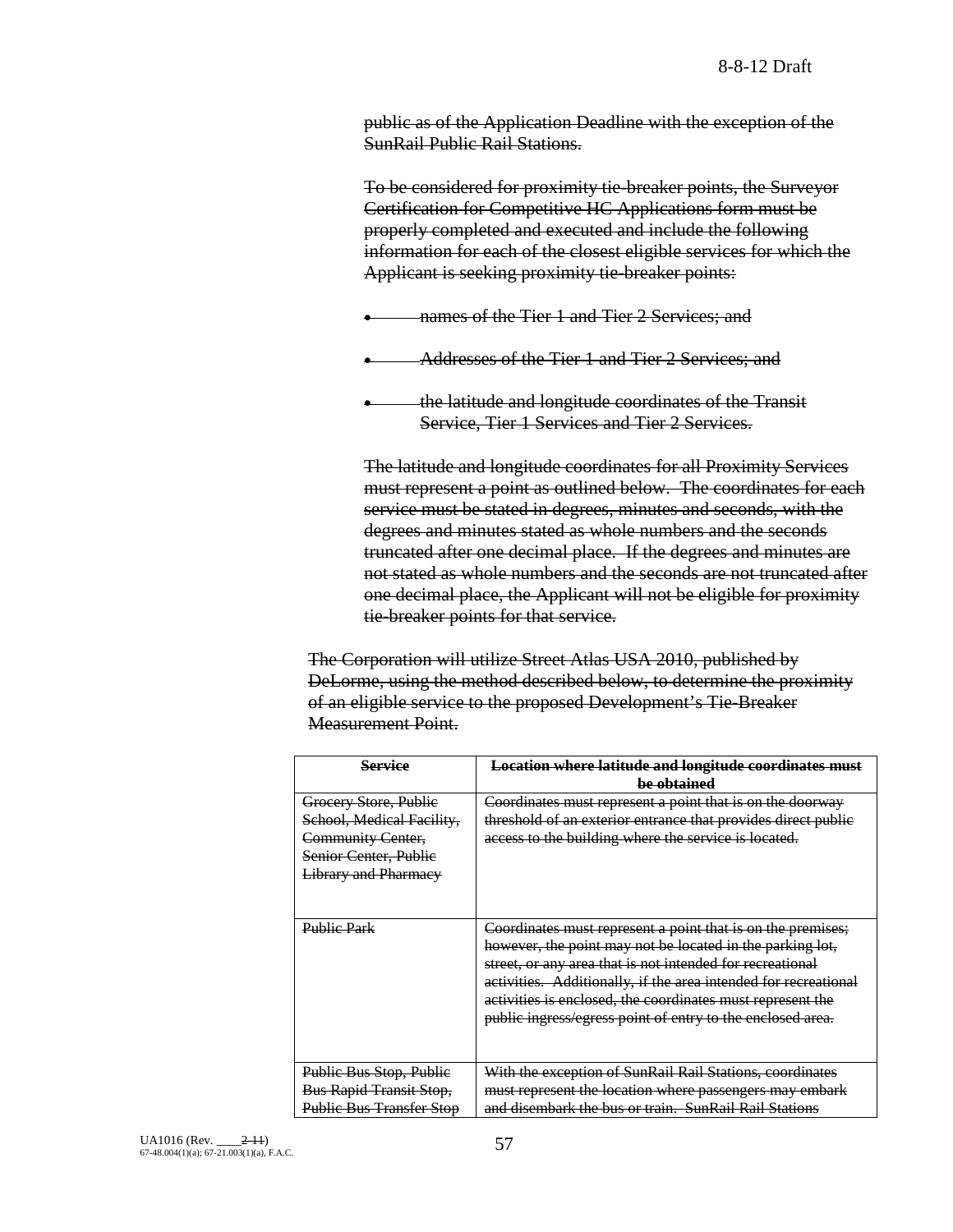public as of the Application Deadline with the exception of the SunRail Public Rail Stations.

To be considered for proximity tie-breaker points, the Surveyor Certification for Competitive HC Applications form must be properly completed and executed and include the following information for each of the closest eligible services for which the Applicant is seeking proximity tie-breaker points:

- names of the Tier 1 and Tier 2 Services; and
- Addresses of the Tier 1 and Tier 2 Services; and
- the latitude and longitude coordinates of the Transit Service, Tier 1 Services and Tier 2 Services.

The latitude and longitude coordinates for all Proximity Services must represent a point as outlined below. The coordinates for each service must be stated in degrees, minutes and seconds, with the degrees and minutes stated as whole numbers and the seconds truncated after one decimal place. If the degrees and minutes are not stated as whole numbers and the seconds are not truncated after one decimal place, the Applicant will not be eligible for proximity tie-breaker points for that service.

The Corporation will utilize Street Atlas USA 2010, published by DeLorme, using the method described below, to determine the proximity of an eligible service to the proposed Development's Tie-Breaker Measurement Point.

| Service                                                                                                                         | <b>Location where latitude and longitude coordinates must</b><br>be obtained                                                                                                                                                                                                                                                                                                         |
|---------------------------------------------------------------------------------------------------------------------------------|--------------------------------------------------------------------------------------------------------------------------------------------------------------------------------------------------------------------------------------------------------------------------------------------------------------------------------------------------------------------------------------|
| Grocery Store, Public<br>School, Medical Facility,<br>Community Center,<br>Senior Center, Publie<br><b>Library and Pharmacy</b> | Coordinates must represent a point that is on the doorway<br>threshold of an exterior entrance that provides direct public<br>access to the building where the service is located.                                                                                                                                                                                                   |
| <b>Public Park</b>                                                                                                              | Coordinates must represent a point that is on the premises;<br>however, the point may not be located in the parking lot,<br>street, or any area that is not intended for recreational<br>activities. Additionally, if the area intended for recreational<br>activities is enclosed, the coordinates must represent the<br>public ingress/egress point of entry to the enclosed area. |
| Public Bus Stop, Public<br><b>Bus Rapid Transit Stop,</b><br><b>Public Bus Transfer Stop</b>                                    | With the exception of SunRail Rail Stations, coordinates<br>must represent the location where passengers may embark<br>and disembark the bus or train. SunRail Rail Stations                                                                                                                                                                                                         |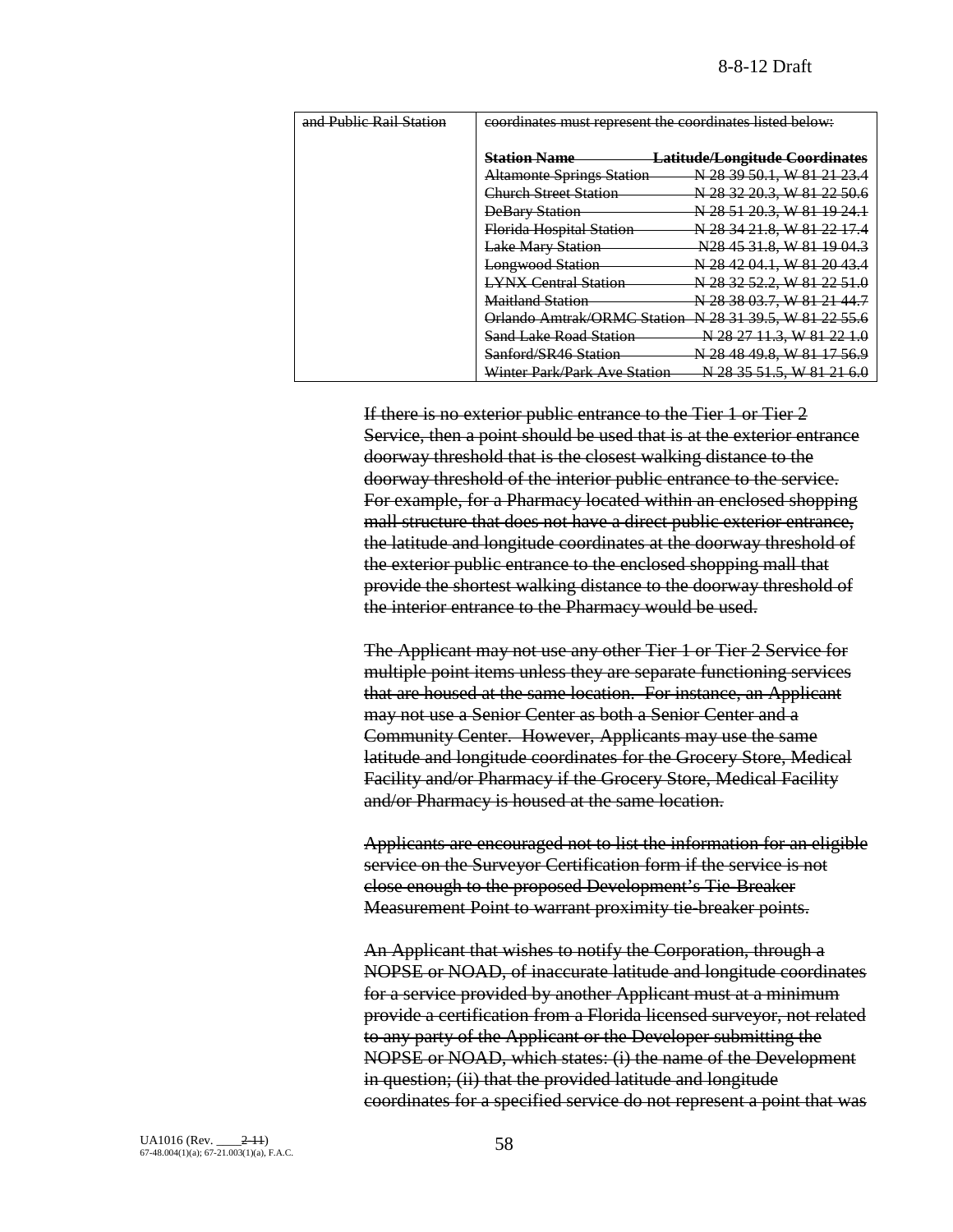| and Public Rail Station | coordinates must represent the coordinates listed below: |                                        |  |
|-------------------------|----------------------------------------------------------|----------------------------------------|--|
|                         | <b>Station Name</b>                                      | <u> Latitude/Longitude Coordinates</u> |  |
|                         | <b>Altamonte Springs Station</b>                         | N 28 39 50.1. W 81 21 23.4             |  |
|                         | Church Street Station                                    | N 28 32 20.3, W 81 22 50.6             |  |
|                         | <b>DeBary Station</b>                                    | N 28 51 20.3, W 81 19 24.1             |  |
|                         | Florida Hospital Station                                 | N 28 34 21.8. W 81 22 17.4             |  |
|                         | <b>Lake Mary Station</b>                                 | N <sub>28</sub> 45 31.8, W 81 19 04.3  |  |
|                         | <b>Longwood Station</b>                                  | N 28 42 04.1, W 81 20 43.4             |  |
|                         | <b>LYNX Central Station</b>                              | N 28 32 52.2, W 81 22 51.0             |  |
|                         | <b>Maitland Station</b>                                  | N 28 38 03.7, W 81 21 44.7             |  |
|                         | Orlando Amtrak/ORMC Station                              | N 28 31 39.5, W 81 22 55.6             |  |
|                         | <b>Sand Lake Road Station</b>                            | N 28 27 11.3, W 81 22 1.0              |  |
|                         | Sanford/SR46 Station                                     | N 28 48 49.8. W 81 17 56.9             |  |
|                         | Winter Park/Park Ave Station                             | N 28 35 51.5, W 81 21 6.0              |  |

If there is no exterior public entrance to the Tier 1 or Tier 2 Service, then a point should be used that is at the exterior entrance doorway threshold that is the closest walking distance to the doorway threshold of the interior public entrance to the service. For example, for a Pharmacy located within an enclosed shopping mall structure that does not have a direct public exterior entrance, the latitude and longitude coordinates at the doorway threshold of the exterior public entrance to the enclosed shopping mall that provide the shortest walking distance to the doorway threshold of the interior entrance to the Pharmacy would be used.

The Applicant may not use any other Tier 1 or Tier 2 Service for multiple point items unless they are separate functioning services that are housed at the same location. For instance, an Applicant may not use a Senior Center as both a Senior Center and a Community Center. However, Applicants may use the same latitude and longitude coordinates for the Grocery Store, Medical Facility and/or Pharmacy if the Grocery Store, Medical Facility and/or Pharmacy is housed at the same location.

Applicants are encouraged not to list the information for an eligible service on the Surveyor Certification form if the service is not close enough to the proposed Development's Tie-Breaker Measurement Point to warrant proximity tie-breaker points.

An Applicant that wishes to notify the Corporation, through a NOPSE or NOAD, of inaccurate latitude and longitude coordinates for a service provided by another Applicant must at a minimum provide a certification from a Florida licensed surveyor, not related to any party of the Applicant or the Developer submitting the NOPSE or NOAD, which states: (i) the name of the Development in question; (ii) that the provided latitude and longitude coordinates for a specified service do not represent a point that was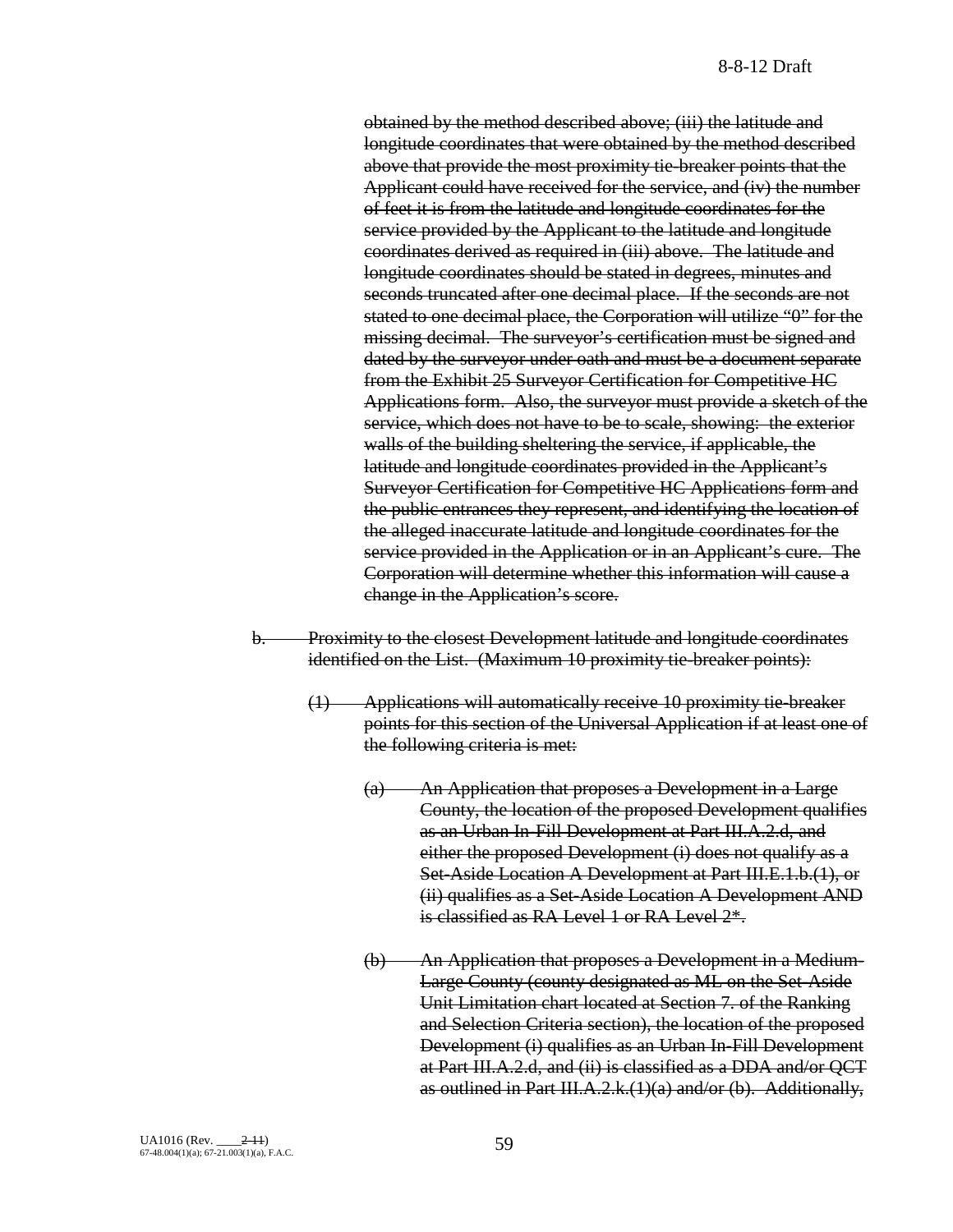obtained by the method described above; (iii) the latitude and longitude coordinates that were obtained by the method described above that provide the most proximity tie-breaker points that the Applicant could have received for the service, and (iv) the number of feet it is from the latitude and longitude coordinates for the service provided by the Applicant to the latitude and longitude coordinates derived as required in (iii) above. The latitude and longitude coordinates should be stated in degrees, minutes and seconds truncated after one decimal place. If the seconds are not stated to one decimal place, the Corporation will utilize "0" for the missing decimal. The surveyor's certification must be signed and dated by the surveyor under oath and must be a document separate from the Exhibit 25 Surveyor Certification for Competitive HC Applications form. Also, the surveyor must provide a sketch of the service, which does not have to be to scale, showing: the exterior walls of the building sheltering the service, if applicable, the latitude and longitude coordinates provided in the Applicant's Surveyor Certification for Competitive HC Applications form and the public entrances they represent, and identifying the location of the alleged inaccurate latitude and longitude coordinates for the service provided in the Application or in an Applicant's cure. The Corporation will determine whether this information will cause a change in the Application's score.

- b. Proximity to the closest Development latitude and longitude coordinates identified on the List. (Maximum 10 proximity tie-breaker points):
	- (1) Applications will automatically receive 10 proximity tie-breaker points for this section of the Universal Application if at least one of the following criteria is met:
		- (a) An Application that proposes a Development in a Large County, the location of the proposed Development qualifies as an Urban In-Fill Development at Part III.A.2.d, and either the proposed Development (i) does not qualify as a Set-Aside Location A Development at Part III.E.1.b.(1), or (ii) qualifies as a Set-Aside Location A Development AND is classified as RA Level 1 or RA Level 2\*.
		- (b) An Application that proposes a Development in a Medium-Large County (county designated as ML on the Set-Aside Unit Limitation chart located at Section 7. of the Ranking and Selection Criteria section), the location of the proposed Development (i) qualifies as an Urban In-Fill Development at Part III.A.2.d, and (ii) is classified as a DDA and/or QCT as outlined in Part III.A.2. $k(1)(a)$  and/or (b). Additionally,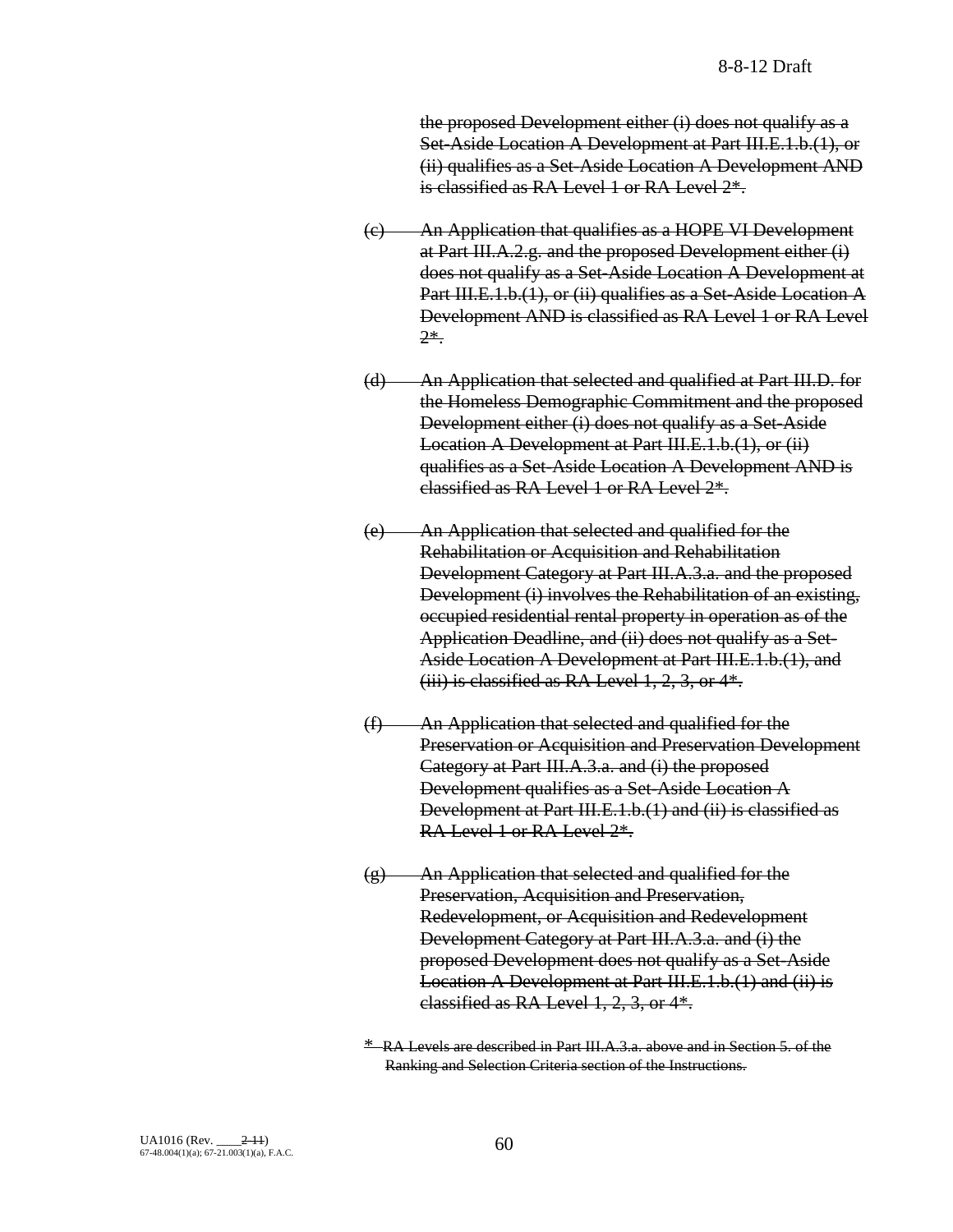the proposed Development either (i) does not qualify as a Set-Aside Location A Development at Part III.E.1.b.(1), or (ii) qualifies as a Set-Aside Location A Development AND is classified as RA Level 1 or RA Level  $2^*$ .

- (c) An Application that qualifies as a HOPE VI Development at Part III.A.2.g. and the proposed Development either (i) does not qualify as a Set-Aside Location A Development at Part III.E.1.b.(1), or (ii) qualifies as a Set-Aside Location A Development AND is classified as RA Level 1 or RA Level 2\*.
- (d) An Application that selected and qualified at Part III.D. for the Homeless Demographic Commitment and the proposed Development either (i) does not qualify as a Set-Aside Location A Development at Part III.E.1.b.(1), or (ii) qualifies as a Set-Aside Location A Development AND is classified as RA Level 1 or RA Level 2\*.
- (e) An Application that selected and qualified for the Rehabilitation or Acquisition and Rehabilitation Development Category at Part III.A.3.a. and the proposed Development (i) involves the Rehabilitation of an existing, occupied residential rental property in operation as of the Application Deadline, and (ii) does not qualify as a Set-Aside Location A Development at Part III.E.1.b.(1), and (iii) is classified as RA Level  $1, 2, 3$ , or  $4*$ .
- (f) An Application that selected and qualified for the Preservation or Acquisition and Preservation Development Category at Part III.A.3.a. and (i) the proposed Development qualifies as a Set-Aside Location A Development at Part III.E.1.b.(1) and (ii) is classified as RA Level 1 or RA Level 2\*.
- $(g)$  An Application that selected and qualified for the Preservation, Acquisition and Preservation, Redevelopment, or Acquisition and Redevelopment Development Category at Part III.A.3.a. and (i) the proposed Development does not qualify as a Set-Aside Location A Development at Part III.E.1.b.(1) and (ii) is classified as RA Level 1, 2, 3, or 4\*.

\* RA Levels are described in Part III.A.3.a. above and in Section 5. of the Ranking and Selection Criteria section of the Instructions.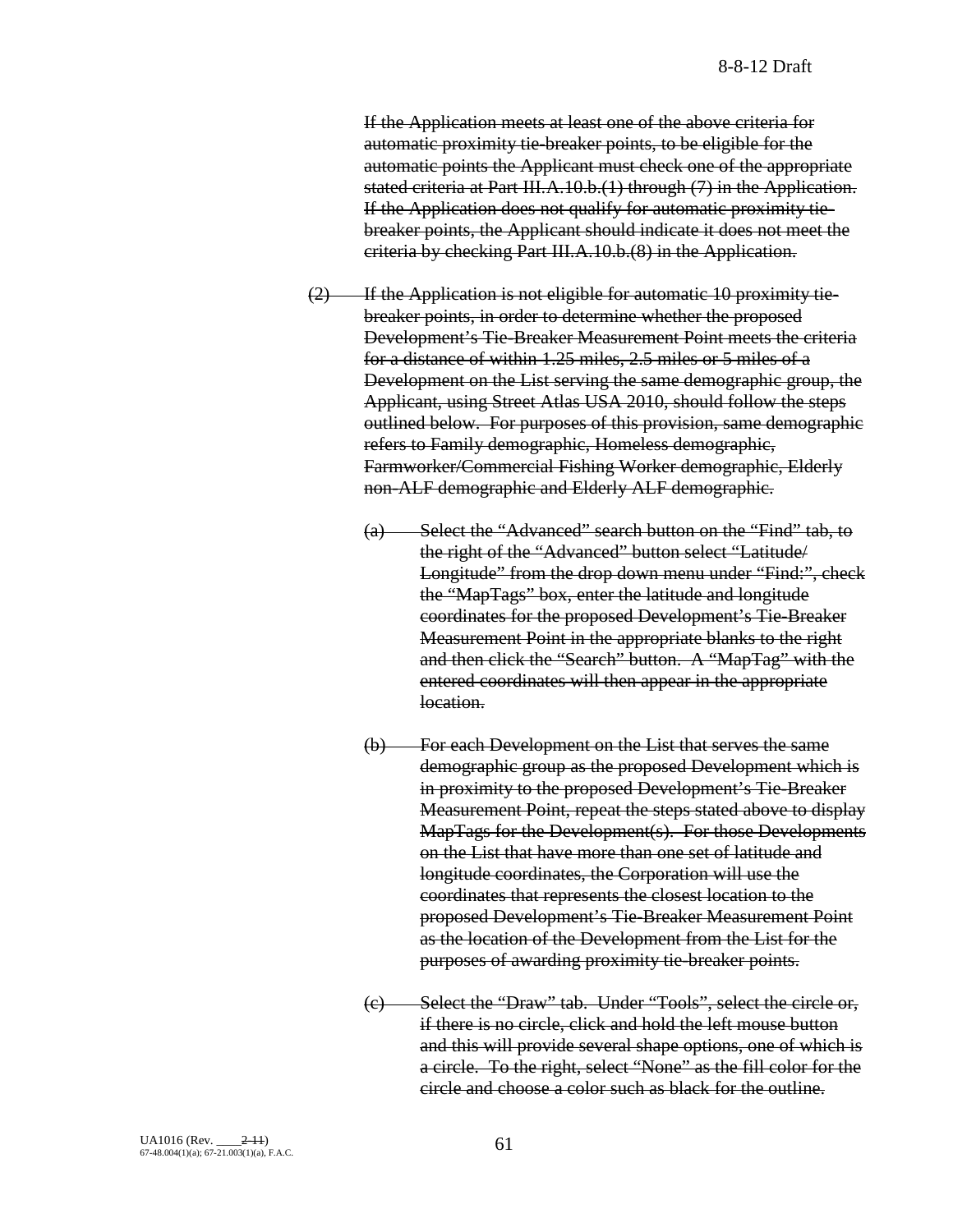If the Application meets at least one of the above criteria for automatic proximity tie-breaker points, to be eligible for the automatic points the Applicant must check one of the appropriate stated criteria at Part III.A.10.b.(1) through (7) in the Application. If the Application does not qualify for automatic proximity tiebreaker points, the Applicant should indicate it does not meet the criteria by checking Part III.A.10.b.(8) in the Application.

- $(2)$  If the Application is not eligible for automatic 10 proximity tiebreaker points, in order to determine whether the proposed Development's Tie-Breaker Measurement Point meets the criteria for a distance of within 1.25 miles, 2.5 miles or 5 miles of a Development on the List serving the same demographic group, the Applicant, using Street Atlas USA 2010, should follow the steps outlined below. For purposes of this provision, same demographic refers to Family demographic, Homeless demographic, Farmworker/Commercial Fishing Worker demographic, Elderly non-ALF demographic and Elderly ALF demographic.
	- (a) Select the "Advanced" search button on the "Find" tab, to the right of the "Advanced" button select "Latitude/ Longitude" from the drop down menu under "Find:", check the "MapTags" box, enter the latitude and longitude coordinates for the proposed Development's Tie-Breaker Measurement Point in the appropriate blanks to the right and then click the "Search" button. A "MapTag" with the entered coordinates will then appear in the appropriate location.
	- (b) For each Development on the List that serves the same demographic group as the proposed Development which is in proximity to the proposed Development's Tie-Breaker Measurement Point, repeat the steps stated above to display MapTags for the Development(s). For those Developments on the List that have more than one set of latitude and longitude coordinates, the Corporation will use the coordinates that represents the closest location to the proposed Development's Tie-Breaker Measurement Point as the location of the Development from the List for the purposes of awarding proximity tie-breaker points.
	- (c) Select the "Draw" tab. Under "Tools", select the circle or, if there is no circle, click and hold the left mouse button and this will provide several shape options, one of which is a circle. To the right, select "None" as the fill color for the circle and choose a color such as black for the outline.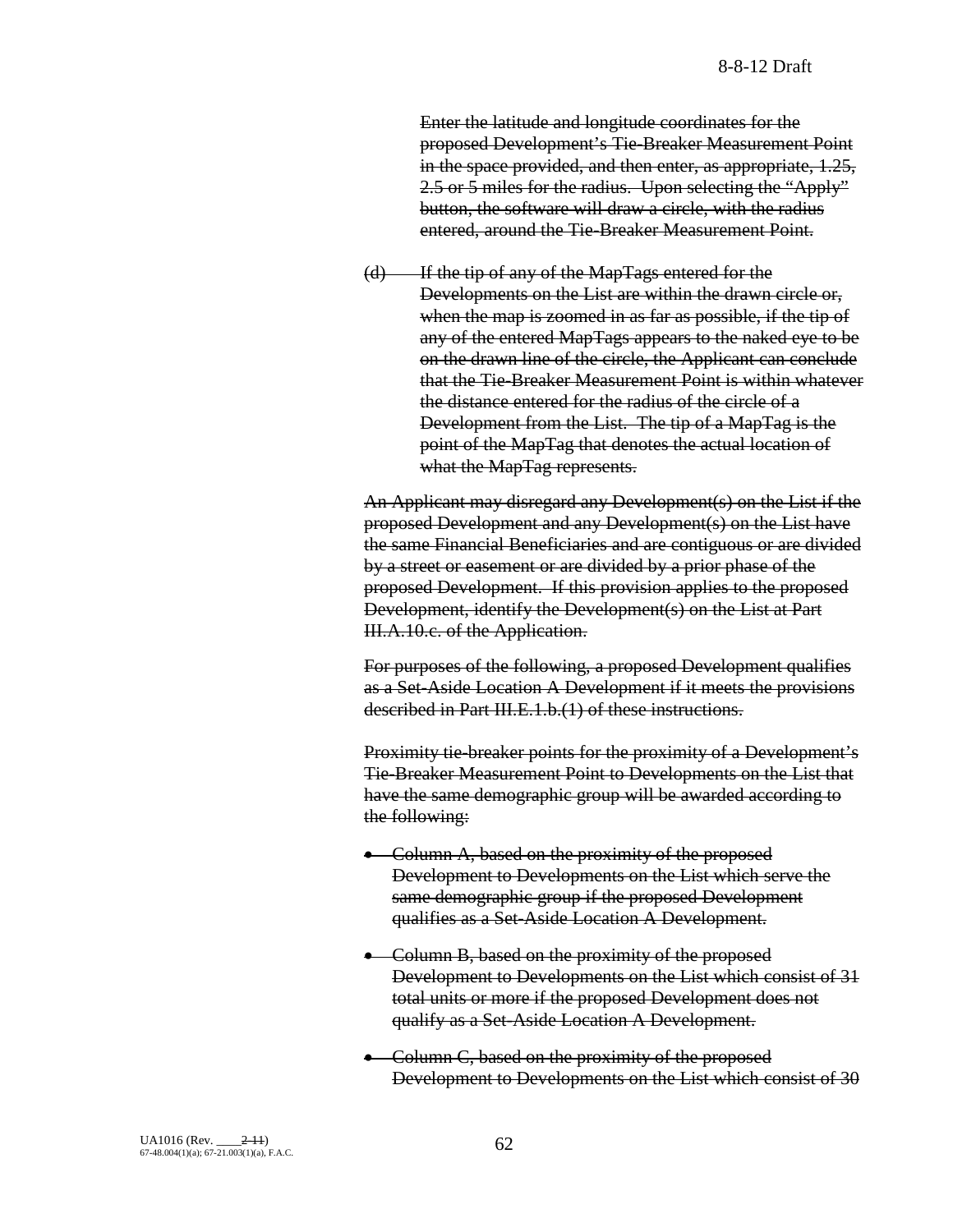Enter the latitude and longitude coordinates for the proposed Development's Tie-Breaker Measurement Point in the space provided, and then enter, as appropriate, 1.25, 2.5 or 5 miles for the radius. Upon selecting the "Apply" button, the software will draw a circle, with the radius entered, around the Tie-Breaker Measurement Point.

(d) If the tip of any of the MapTags entered for the Developments on the List are within the drawn circle or, when the map is zoomed in as far as possible, if the tip of any of the entered MapTags appears to the naked eye to be on the drawn line of the circle, the Applicant can conclude that the Tie-Breaker Measurement Point is within whatever the distance entered for the radius of the circle of a Development from the List. The tip of a MapTag is the point of the MapTag that denotes the actual location of what the MapTag represents.

An Applicant may disregard any Development(s) on the List if the proposed Development and any Development(s) on the List have the same Financial Beneficiaries and are contiguous or are divided by a street or easement or are divided by a prior phase of the proposed Development. If this provision applies to the proposed Development, identify the Development(s) on the List at Part III.A.10.c. of the Application.

For purposes of the following, a proposed Development qualifies as a Set-Aside Location A Development if it meets the provisions described in Part III.E.1.b.(1) of these instructions.

Proximity tie-breaker points for the proximity of a Development's Tie-Breaker Measurement Point to Developments on the List that have the same demographic group will be awarded according to the following:

- Column A, based on the proximity of the proposed Development to Developments on the List which serve the same demographic group if the proposed Development qualifies as a Set-Aside Location A Development.
- Column B, based on the proximity of the proposed Development to Developments on the List which consist of 31 total units or more if the proposed Development does not qualify as a Set-Aside Location A Development.
- Column C, based on the proximity of the proposed Development to Developments on the List which consist of 30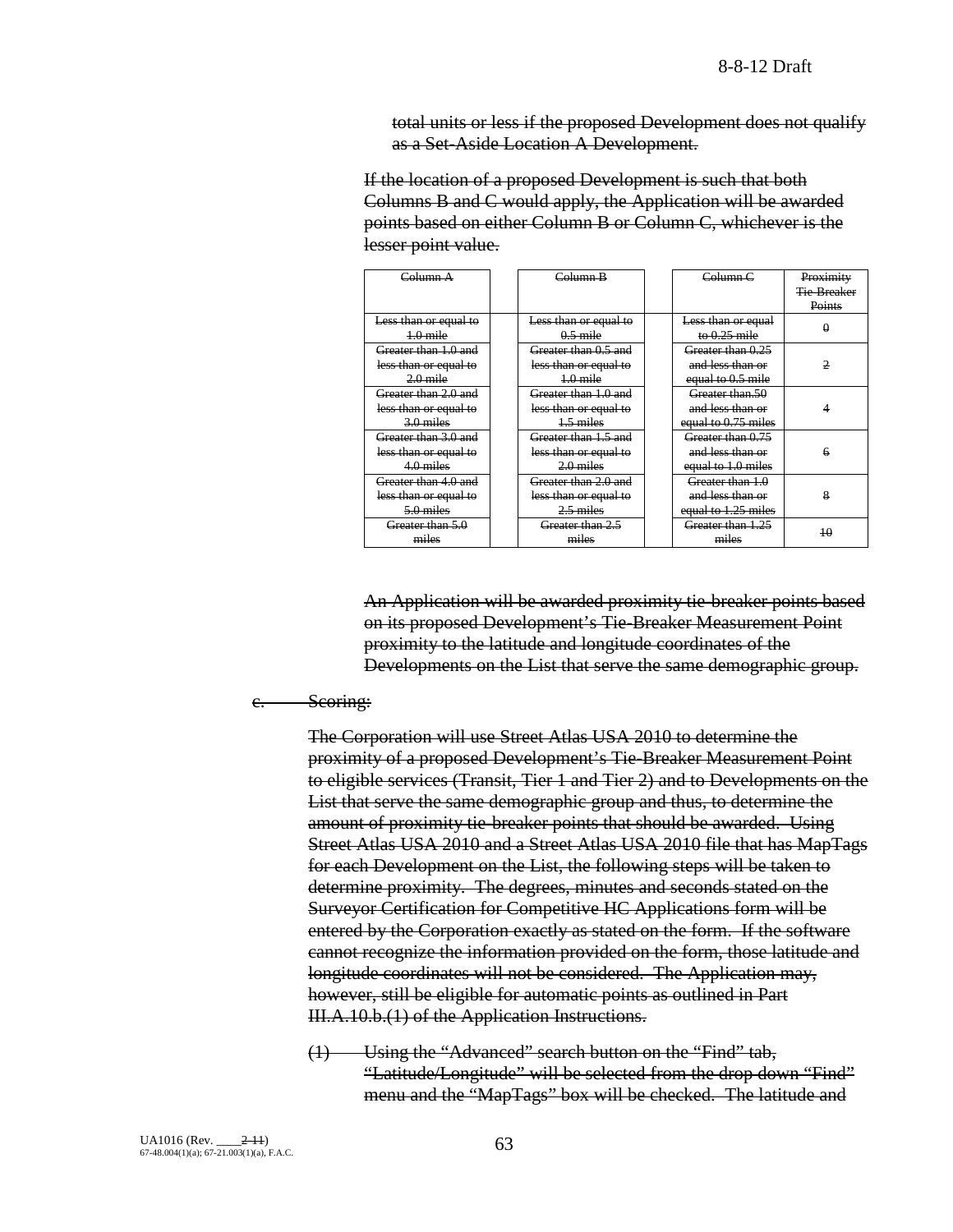total units or less if the proposed Development does not qualify as a Set-Aside Location A Development.

If the location of a proposed Development is such that both Columns B and C would apply, the Application will be awarded points based on either Column B or Column C, whichever is the lesser point value.

| Column A              | Column B              | Column <sub>C</sub> | Proximity          |
|-----------------------|-----------------------|---------------------|--------------------|
|                       |                       |                     | <b>Tie-Breaker</b> |
|                       |                       |                     | Points             |
| Less than or equal to | Less than or equal to | Less than or equal  |                    |
| $+0$ mile             | $0.5$ mile            | to $0.25$ mile      | θ                  |
| Greater than 1.0 and  | Greater than 0.5 and  | Greater than 0.25   |                    |
| less than or equal to | less than or equal to | and less than or    | 2                  |
| $2.0$ mile            | $1.0$ mile            | equal to 0.5 mile   |                    |
| Greater than 2.0 and  | Greater than 1.0 and  | Greater than 50     |                    |
| less than or equal to | less than or equal to | and less than or    |                    |
| $3.0$ miles           | 1.5 miles             | equal to 0.75 miles |                    |
| Greater than 3.0 and  | Greater than 1.5 and  | Greater than 0.75   |                    |
| less than or equal to | less than or equal to | and less than or    | 6                  |
| 4.0 miles             | $2.0$ miles           | equal to 1.0 miles  |                    |
| Greater than 4.0 and  | Greater than 2.0 and  | Greater than 1.0    |                    |
| less than or equal to | less than or equal to | and less than or    | 8                  |
| 5.0 miles             | $2.5$ miles           | equal to 1.25 miles |                    |
| Greater than 5.0      | Greater than 2.5      | Greater than 1.25   | 40                 |
| miles                 | miles                 | miles               |                    |

An Application will be awarded proximity tie-breaker points based on its proposed Development's Tie-Breaker Measurement Point proximity to the latitude and longitude coordinates of the Developments on the List that serve the same demographic group.

#### e. Seoring:

The Corporation will use Street Atlas USA 2010 to determine the proximity of a proposed Development's Tie-Breaker Measurement Point to eligible services (Transit, Tier 1 and Tier 2) and to Developments on the List that serve the same demographic group and thus, to determine the amount of proximity tie-breaker points that should be awarded. Using Street Atlas USA 2010 and a Street Atlas USA 2010 file that has MapTags for each Development on the List, the following steps will be taken to determine proximity. The degrees, minutes and seconds stated on the Surveyor Certification for Competitive HC Applications form will be entered by the Corporation exactly as stated on the form. If the software cannot recognize the information provided on the form, those latitude and longitude coordinates will not be considered. The Application may, however, still be eligible for automatic points as outlined in Part III.A.10.b.(1) of the Application Instructions.

(1) Using the "Advanced" search button on the "Find" tab, "Latitude/Longitude" will be selected from the drop down "Find" menu and the "MapTags" box will be checked. The latitude and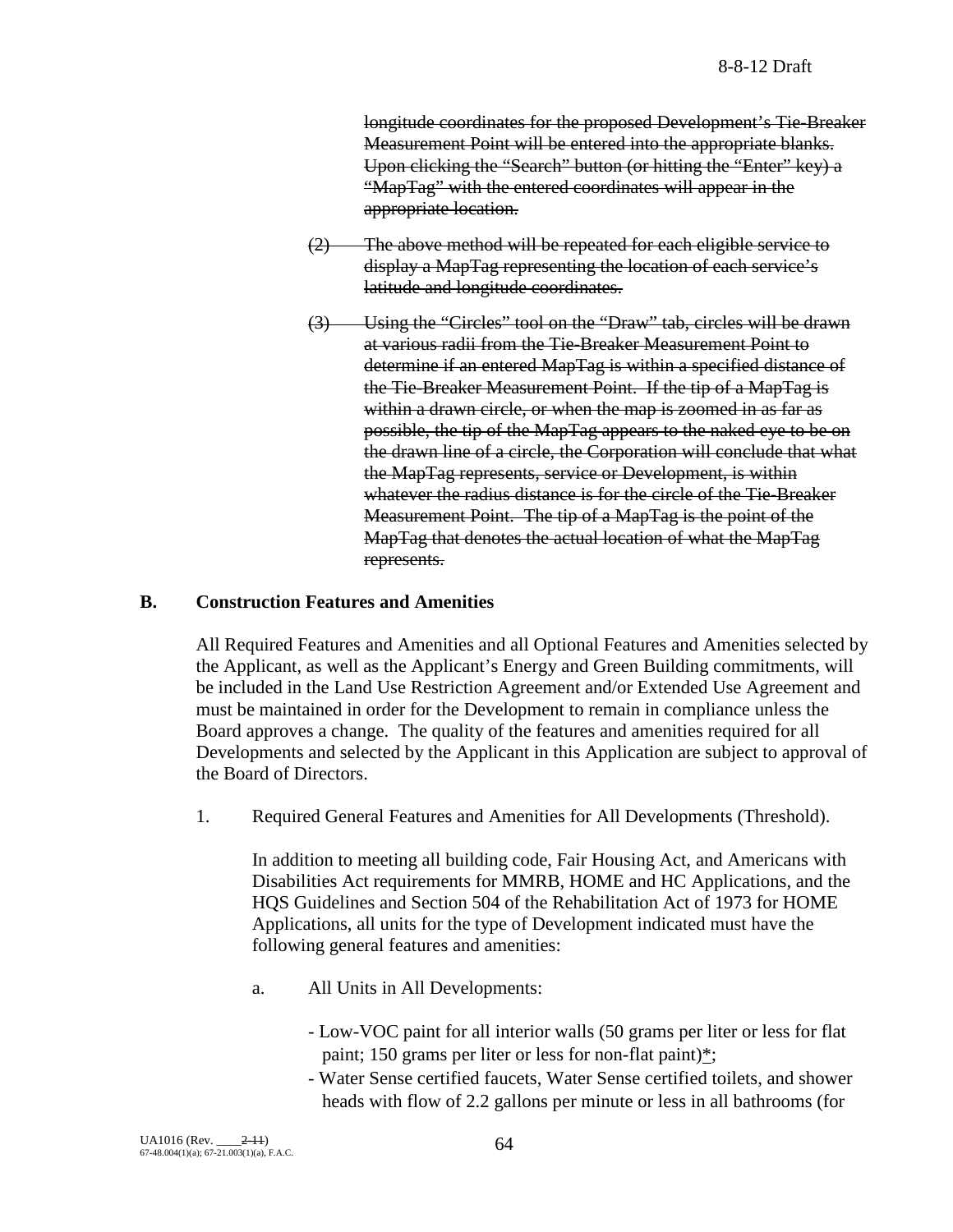longitude coordinates for the proposed Development's Tie-Breaker Measurement Point will be entered into the appropriate blanks. Upon clicking the "Search" button (or hitting the "Enter" key) a "MapTag" with the entered coordinates will appear in the appropriate location.

- (2) The above method will be repeated for each eligible service to display a MapTag representing the location of each service's latitude and longitude coordinates.
- (3) Using the "Circles" tool on the "Draw" tab, circles will be drawn at various radii from the Tie-Breaker Measurement Point to determine if an entered MapTag is within a specified distance of the Tie-Breaker Measurement Point. If the tip of a MapTag is within a drawn circle, or when the map is zoomed in as far as possible, the tip of the MapTag appears to the naked eye to be on the drawn line of a circle, the Corporation will conclude that what the MapTag represents, service or Development, is within whatever the radius distance is for the circle of the Tie-Breaker Measurement Point. The tip of a MapTag is the point of the MapTag that denotes the actual location of what the MapTag represents.

# **B. Construction Features and Amenities**

All Required Features and Amenities and all Optional Features and Amenities selected by the Applicant, as well as the Applicant's Energy and Green Building commitments, will be included in the Land Use Restriction Agreement and/or Extended Use Agreement and must be maintained in order for the Development to remain in compliance unless the Board approves a change. The quality of the features and amenities required for all Developments and selected by the Applicant in this Application are subject to approval of the Board of Directors.

1. Required General Features and Amenities for All Developments (Threshold).

In addition to meeting all building code, Fair Housing Act, and Americans with Disabilities Act requirements for MMRB, HOME and HC Applications, and the HQS Guidelines and Section 504 of the Rehabilitation Act of 1973 for HOME Applications, all units for the type of Development indicated must have the following general features and amenities:

- a. All Units in All Developments:
	- Low-VOC paint for all interior walls (50 grams per liter or less for flat paint; 150 grams per liter or less for non-flat paint)\*;
	- Water Sense certified faucets, Water Sense certified toilets, and shower heads with flow of 2.2 gallons per minute or less in all bathrooms (for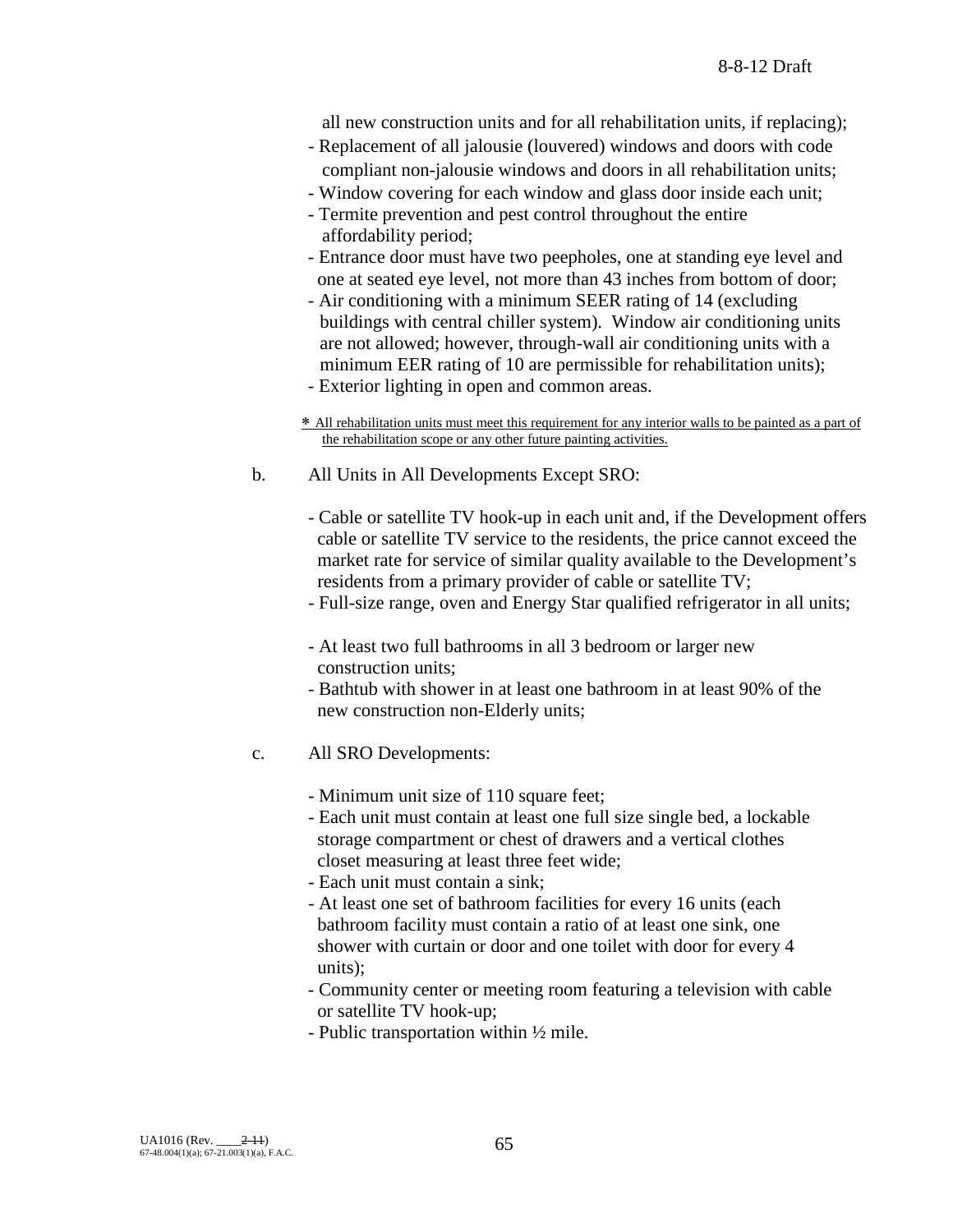all new construction units and for all rehabilitation units, if replacing);

- Replacement of all jalousie (louvered) windows and doors with code compliant non-jalousie windows and doors in all rehabilitation units;
- Window covering for each window and glass door inside each unit;
- Termite prevention and pest control throughout the entire affordability period;
- Entrance door must have two peepholes, one at standing eye level and one at seated eye level, not more than 43 inches from bottom of door;
- Air conditioning with a minimum SEER rating of 14 (excluding buildings with central chiller system). Window air conditioning units are not allowed; however, through-wall air conditioning units with a minimum EER rating of 10 are permissible for rehabilitation units); - Exterior lighting in open and common areas.
- ∗ All rehabilitation units must meet this requirement for any interior walls to be painted as a part of the rehabilitation scope or any other future painting activities.
- b. All Units in All Developments Except SRO:
	- Cable or satellite TV hook-up in each unit and, if the Development offers cable or satellite TV service to the residents, the price cannot exceed the market rate for service of similar quality available to the Development's residents from a primary provider of cable or satellite TV;
	- Full-size range, oven and Energy Star qualified refrigerator in all units;
	- At least two full bathrooms in all 3 bedroom or larger new construction units;
	- Bathtub with shower in at least one bathroom in at least 90% of the new construction non-Elderly units;
- c. All SRO Developments:
	- Minimum unit size of 110 square feet;
	- Each unit must contain at least one full size single bed, a lockable storage compartment or chest of drawers and a vertical clothes closet measuring at least three feet wide;
	- Each unit must contain a sink;
	- At least one set of bathroom facilities for every 16 units (each bathroom facility must contain a ratio of at least one sink, one shower with curtain or door and one toilet with door for every 4 units);
	- Community center or meeting room featuring a television with cable or satellite TV hook-up;
	- Public transportation within ½ mile.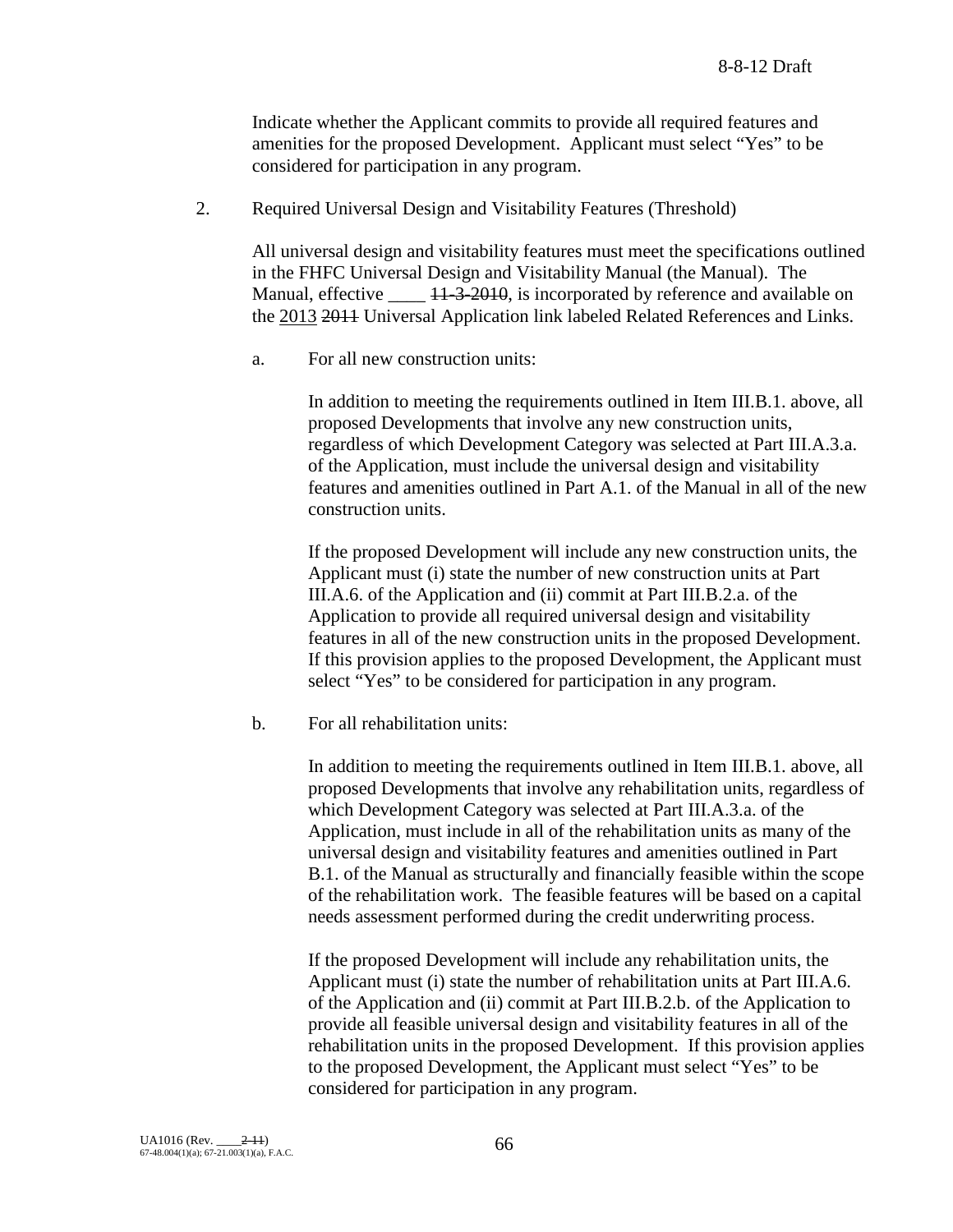Indicate whether the Applicant commits to provide all required features and amenities for the proposed Development. Applicant must select "Yes" to be considered for participation in any program.

2. Required Universal Design and Visitability Features (Threshold)

All universal design and visitability features must meet the specifications outlined in the FHFC Universal Design and Visitability Manual (the Manual). The Manual, effective  $\frac{11-3-2010}{11}$ , is incorporated by reference and available on the 2013 2011 Universal Application link labeled Related References and Links.

a. For all new construction units:

In addition to meeting the requirements outlined in Item III.B.1. above, all proposed Developments that involve any new construction units, regardless of which Development Category was selected at Part III.A.3.a. of the Application, must include the universal design and visitability features and amenities outlined in Part A.1. of the Manual in all of the new construction units.

If the proposed Development will include any new construction units, the Applicant must (i) state the number of new construction units at Part III.A.6. of the Application and (ii) commit at Part III.B.2.a. of the Application to provide all required universal design and visitability features in all of the new construction units in the proposed Development. If this provision applies to the proposed Development, the Applicant must select "Yes" to be considered for participation in any program.

b. For all rehabilitation units:

In addition to meeting the requirements outlined in Item III.B.1. above, all proposed Developments that involve any rehabilitation units, regardless of which Development Category was selected at Part III.A.3.a. of the Application, must include in all of the rehabilitation units as many of the universal design and visitability features and amenities outlined in Part B.1. of the Manual as structurally and financially feasible within the scope of the rehabilitation work. The feasible features will be based on a capital needs assessment performed during the credit underwriting process.

If the proposed Development will include any rehabilitation units, the Applicant must (i) state the number of rehabilitation units at Part III.A.6. of the Application and (ii) commit at Part III.B.2.b. of the Application to provide all feasible universal design and visitability features in all of the rehabilitation units in the proposed Development. If this provision applies to the proposed Development, the Applicant must select "Yes" to be considered for participation in any program.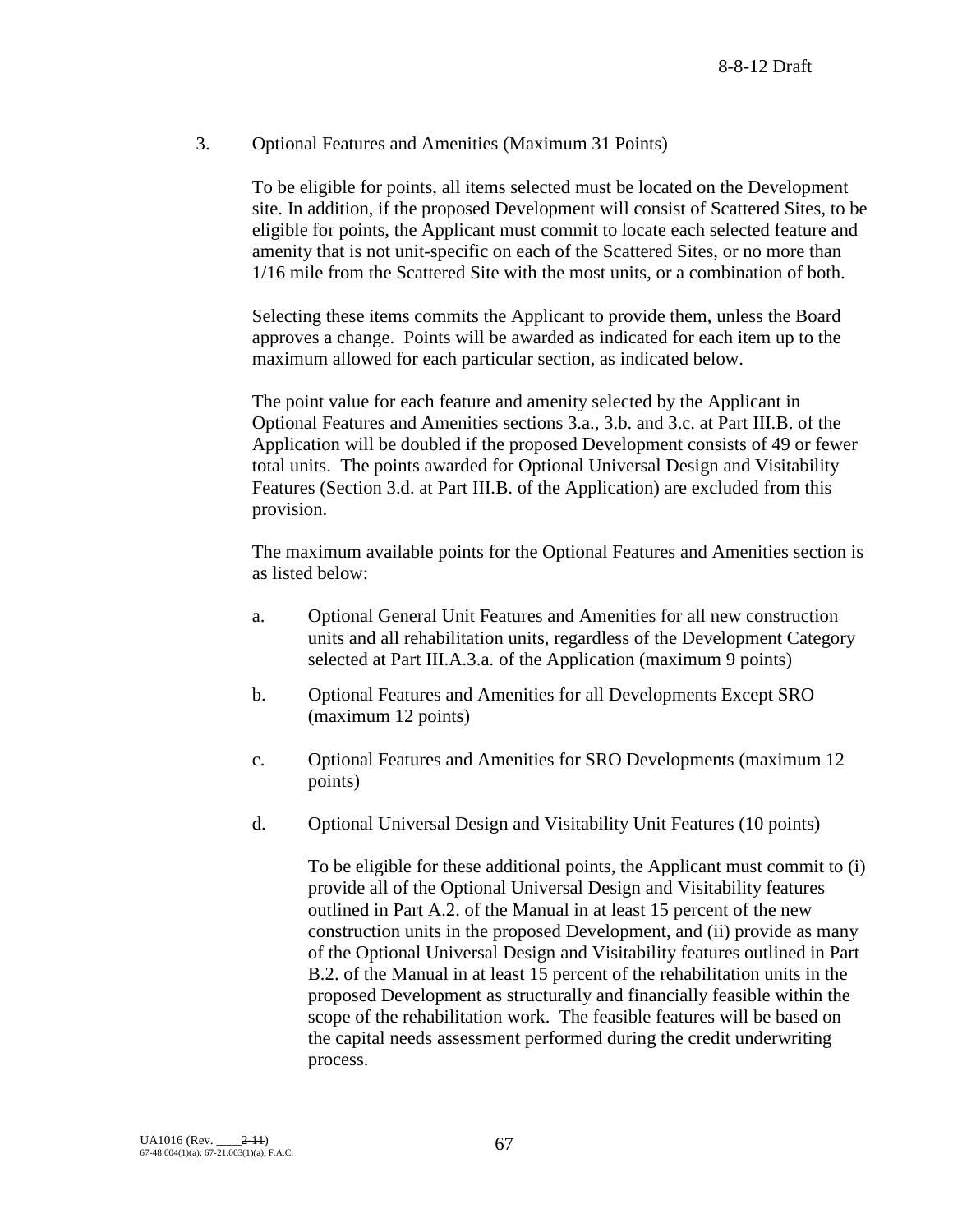# 3. Optional Features and Amenities (Maximum 31 Points)

To be eligible for points, all items selected must be located on the Development site. In addition, if the proposed Development will consist of Scattered Sites, to be eligible for points, the Applicant must commit to locate each selected feature and amenity that is not unit-specific on each of the Scattered Sites, or no more than 1/16 mile from the Scattered Site with the most units, or a combination of both.

Selecting these items commits the Applicant to provide them, unless the Board approves a change. Points will be awarded as indicated for each item up to the maximum allowed for each particular section, as indicated below.

The point value for each feature and amenity selected by the Applicant in Optional Features and Amenities sections 3.a., 3.b. and 3.c. at Part III.B. of the Application will be doubled if the proposed Development consists of 49 or fewer total units. The points awarded for Optional Universal Design and Visitability Features (Section 3.d. at Part III.B. of the Application) are excluded from this provision.

The maximum available points for the Optional Features and Amenities section is as listed below:

- a. Optional General Unit Features and Amenities for all new construction units and all rehabilitation units, regardless of the Development Category selected at Part III.A.3.a. of the Application (maximum 9 points)
- b. Optional Features and Amenities for all Developments Except SRO (maximum 12 points)
- c. Optional Features and Amenities for SRO Developments (maximum 12 points)
- d. Optional Universal Design and Visitability Unit Features (10 points)

To be eligible for these additional points, the Applicant must commit to (i) provide all of the Optional Universal Design and Visitability features outlined in Part A.2. of the Manual in at least 15 percent of the new construction units in the proposed Development, and (ii) provide as many of the Optional Universal Design and Visitability features outlined in Part B.2. of the Manual in at least 15 percent of the rehabilitation units in the proposed Development as structurally and financially feasible within the scope of the rehabilitation work. The feasible features will be based on the capital needs assessment performed during the credit underwriting process.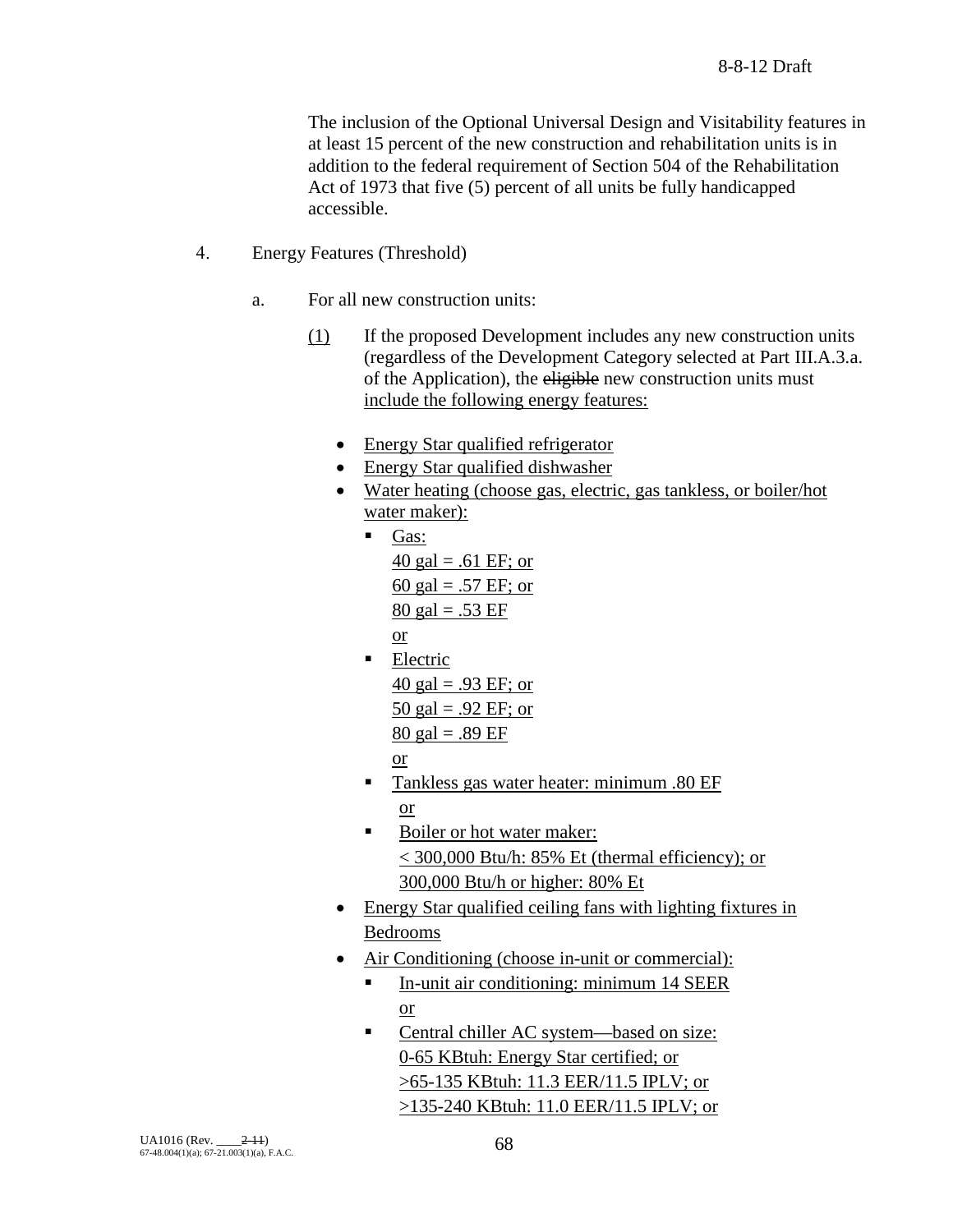The inclusion of the Optional Universal Design and Visitability features in at least 15 percent of the new construction and rehabilitation units is in addition to the federal requirement of Section 504 of the Rehabilitation Act of 1973 that five (5) percent of all units be fully handicapped accessible.

- 4. Energy Features (Threshold)
	- a. For all new construction units:
		- (1) If the proposed Development includes any new construction units (regardless of the Development Category selected at Part III.A.3.a. of the Application), the eligible new construction units must include the following energy features:
			- Energy Star qualified refrigerator
			- Energy Star qualified dishwasher
			- Water heating (choose gas, electric, gas tankless, or boiler/hot water maker):
				- $\blacksquare$  Gas: 40 gal = .61 EF; or 60 gal = .57 EF; or 80 gal = .53 EF or
				- **Electric**  $40$  gal = .93 EF; or 50 gal = .92 EF; or  $80 \text{ gal} = .89 \text{ EF}$

or

- **Tankless gas water heater: minimum .80 EF** or
- Boiler or hot water maker: < 300,000 Btu/h: 85% Et (thermal efficiency); or 300,000 Btu/h or higher: 80% Et
- Energy Star qualified ceiling fans with lighting fixtures in Bedrooms
- Air Conditioning (choose in-unit or commercial):
	- In-unit air conditioning: minimum 14 SEER or
	- Central chiller AC system—based on size: 0-65 KBtuh: Energy Star certified; or >65-135 KBtuh: 11.3 EER/11.5 IPLV; or >135-240 KBtuh: 11.0 EER/11.5 IPLV; or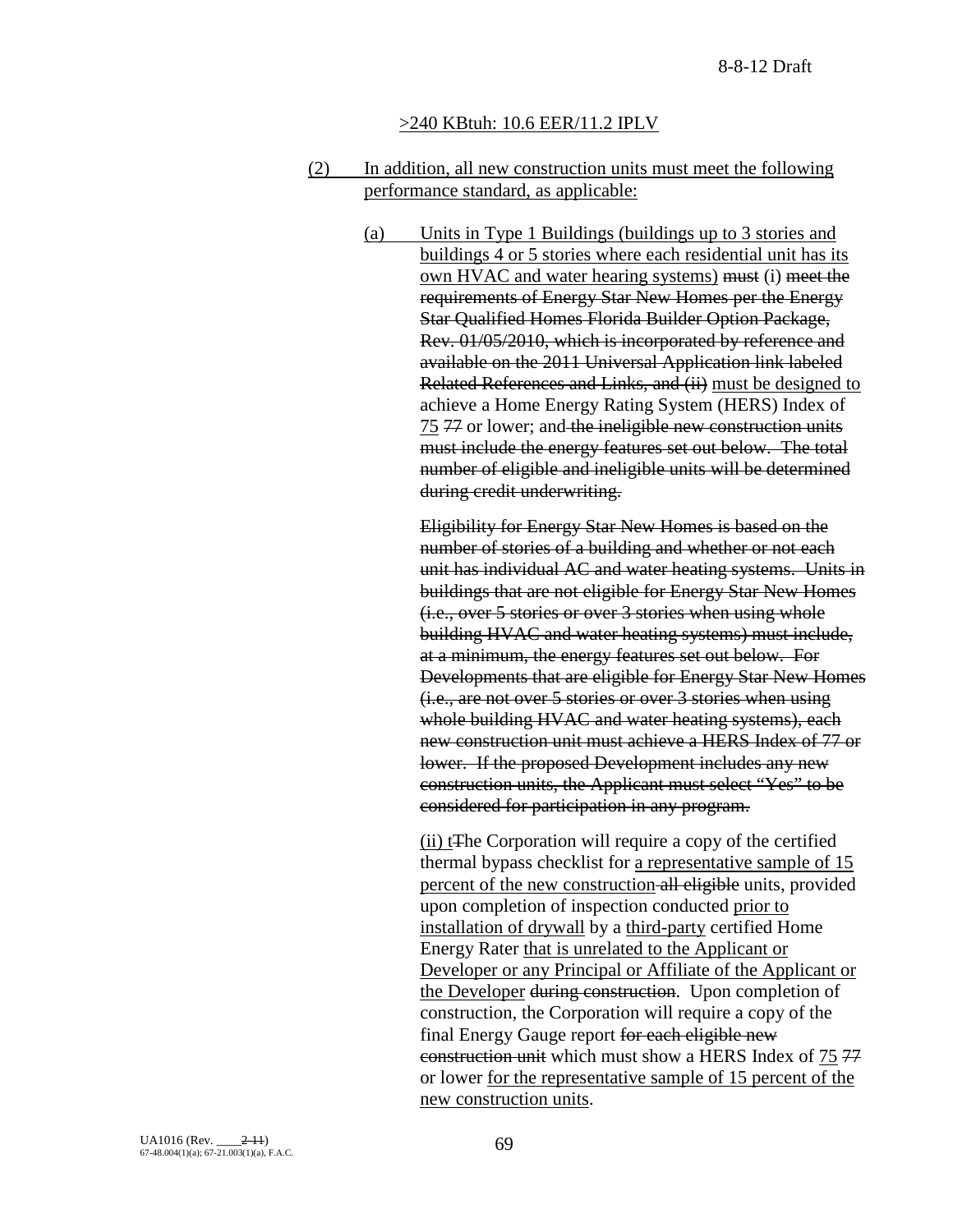## >240 KBtuh: 10.6 EER/11.2 IPLV

- (2) In addition, all new construction units must meet the following performance standard, as applicable:
	- (a) Units in Type 1 Buildings (buildings up to 3 stories and buildings 4 or 5 stories where each residential unit has its own HVAC and water hearing systems) must (i) meet the requirements of Energy Star New Homes per the Energy Star Qualified Homes Florida Builder Option Package, Rev. 01/05/2010, which is incorporated by reference and available on the 2011 Universal Application link labeled Related References and Links, and (ii) must be designed to achieve a Home Energy Rating System (HERS) Index of 75 77 or lower; and the ineligible new construction units must include the energy features set out below. The total number of eligible and ineligible units will be determined during credit underwriting.

Eligibility for Energy Star New Homes is based on the number of stories of a building and whether or not each unit has individual AC and water heating systems. Units in buildings that are not eligible for Energy Star New Homes (i.e., over 5 stories or over 3 stories when using whole building HVAC and water heating systems) must include, at a minimum, the energy features set out below. For Developments that are eligible for Energy Star New Homes (i.e., are not over 5 stories or over 3 stories when using whole building HVAC and water heating systems), each new construction unit must achieve a HERS Index of 77 or lower. If the proposed Development includes any new construction units, the Applicant must select "Yes" to be considered for participation in any program.

(ii) tThe Corporation will require a copy of the certified thermal bypass checklist for a representative sample of 15 percent of the new construction all eligible units, provided upon completion of inspection conducted prior to installation of drywall by a third-party certified Home Energy Rater that is unrelated to the Applicant or Developer or any Principal or Affiliate of the Applicant or the Developer during construction. Upon completion of construction, the Corporation will require a copy of the final Energy Gauge report for each eligible new construction unit which must show a HERS Index of 75 77 or lower for the representative sample of 15 percent of the new construction units.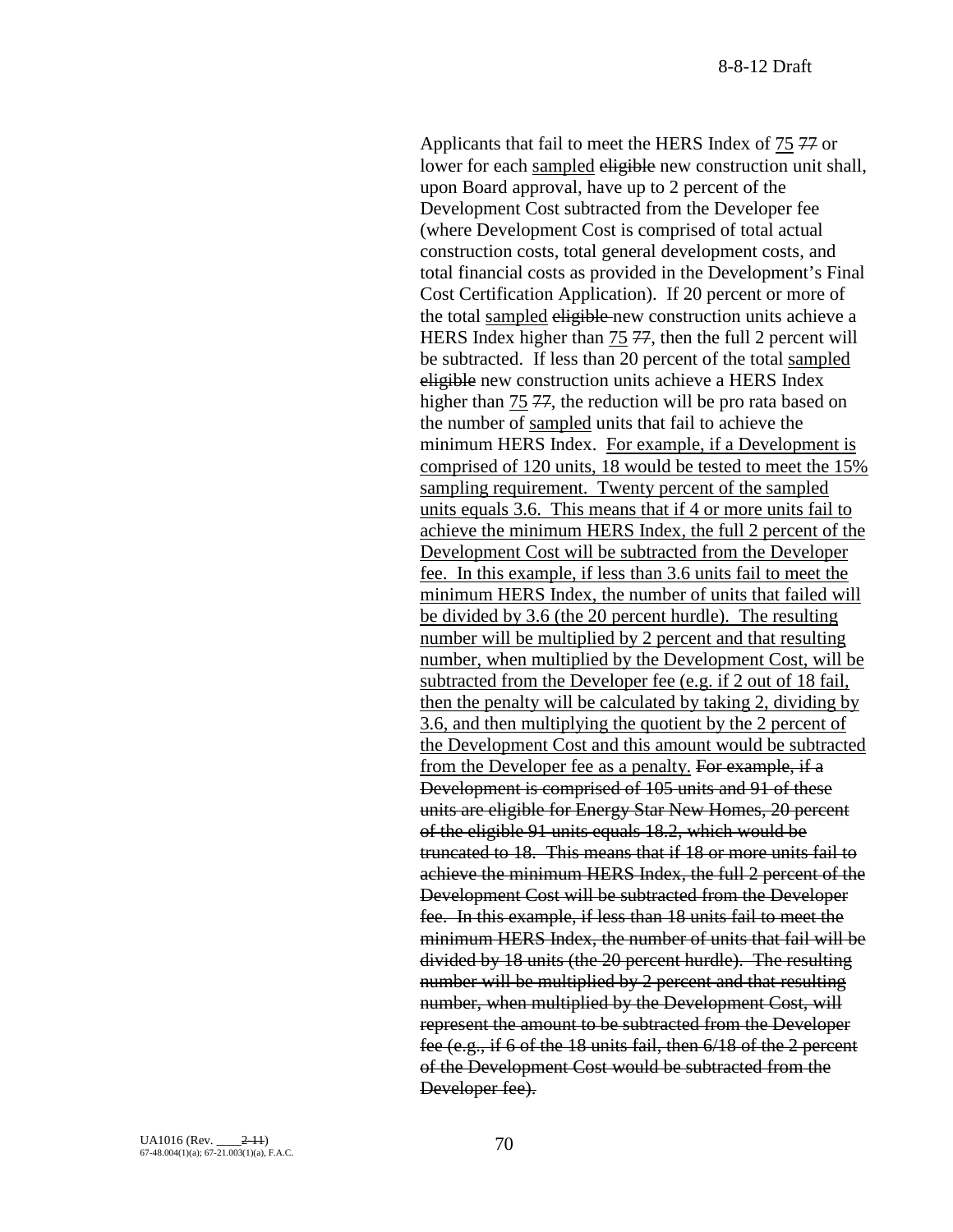Applicants that fail to meet the HERS Index of 75 77 or lower for each sampled eligible new construction unit shall, upon Board approval, have up to 2 percent of the Development Cost subtracted from the Developer fee (where Development Cost is comprised of total actual construction costs, total general development costs, and total financial costs as provided in the Development's Final Cost Certification Application). If 20 percent or more of the total sampled eligible new construction units achieve a HERS Index higher than 75 77, then the full 2 percent will be subtracted. If less than 20 percent of the total sampled eligible new construction units achieve a HERS Index higher than 75 77, the reduction will be pro rata based on the number of sampled units that fail to achieve the minimum HERS Index. For example, if a Development is comprised of 120 units, 18 would be tested to meet the 15% sampling requirement. Twenty percent of the sampled units equals 3.6. This means that if 4 or more units fail to achieve the minimum HERS Index, the full 2 percent of the Development Cost will be subtracted from the Developer fee. In this example, if less than 3.6 units fail to meet the minimum HERS Index, the number of units that failed will be divided by 3.6 (the 20 percent hurdle). The resulting number will be multiplied by 2 percent and that resulting number, when multiplied by the Development Cost, will be subtracted from the Developer fee (e.g. if 2 out of 18 fail, then the penalty will be calculated by taking 2, dividing by 3.6, and then multiplying the quotient by the 2 percent of the Development Cost and this amount would be subtracted from the Developer fee as a penalty. For example, if a Development is comprised of 105 units and 91 of these units are eligible for Energy Star New Homes, 20 percent of the eligible 91 units equals 18.2, which would be truncated to 18. This means that if 18 or more units fail to achieve the minimum HERS Index, the full 2 percent of the Development Cost will be subtracted from the Developer fee. In this example, if less than 18 units fail to meet the minimum HERS Index, the number of units that fail will be divided by 18 units (the 20 percent hurdle). The resulting number will be multiplied by 2 percent and that resulting number, when multiplied by the Development Cost, will represent the amount to be subtracted from the Developer fee (e.g., if 6 of the 18 units fail, then 6/18 of the 2 percent of the Development Cost would be subtracted from the Developer fee).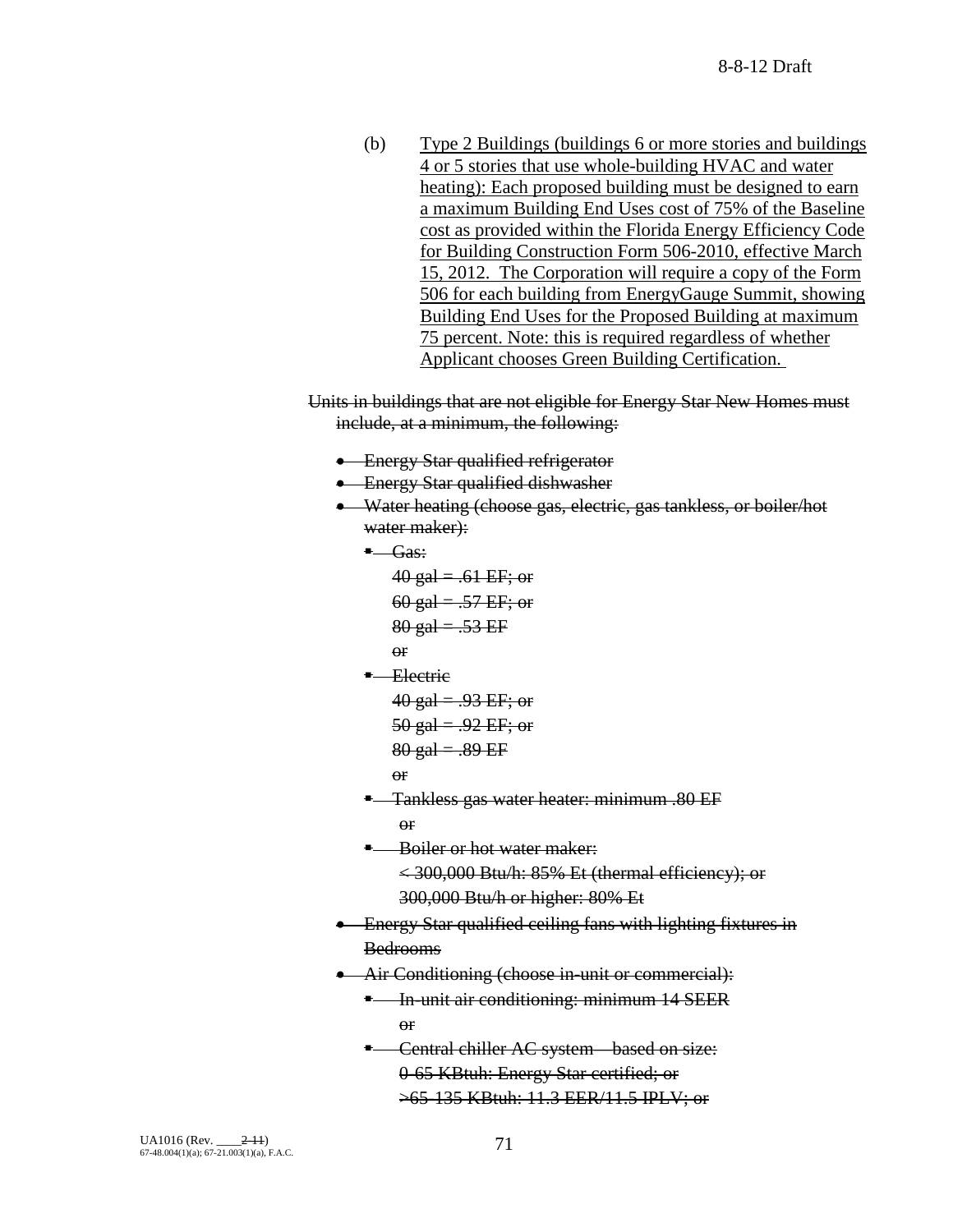- (b) Type 2 Buildings (buildings 6 or more stories and buildings 4 or 5 stories that use whole-building HVAC and water heating): Each proposed building must be designed to earn a maximum Building End Uses cost of 75% of the Baseline cost as provided within the Florida Energy Efficiency Code for Building Construction Form 506-2010, effective March 15, 2012. The Corporation will require a copy of the Form 506 for each building from EnergyGauge Summit, showing Building End Uses for the Proposed Building at maximum 75 percent. Note: this is required regardless of whether Applicant chooses Green Building Certification.
- Units in buildings that are not eligible for Energy Star New Homes must include, at a minimum, the following:
	- Energy Star qualified refrigerator
	- Energy Star qualified dishwasher
	- Water heating (choose gas, electric, gas tankless, or boiler/hot water maker):
		- **Cas:**

```
40 gal = .61 EF; or
   60 gal = .57 EF; or
   80 gal = .53 EF
   or
Electric
```

```
40 gal = .93 EF; or
50 gal = .92 EF; or
```

$$
80 \text{ gal} = .89 \text{ EF}
$$

$$
\Theta\mathbf{f}
$$

- Tankless gas water heater: minimum .80 EF or
- Boiler or hot water maker: < 300,000 Btu/h: 85% Et (thermal efficiency); or 300,000 Btu/h or higher: 80% Et
- Energy Star qualified ceiling fans with lighting fixtures in Bedrooms
- Air Conditioning (choose in-unit or commercial):
	- **E** In-unit air conditioning: minimum 14 SEER or
	- **E** Central chiller AC system—based on size: 0-65 KBtuh: Energy Star certified; or >65-135 KBtuh: 11.3 EER/11.5 IPLV; or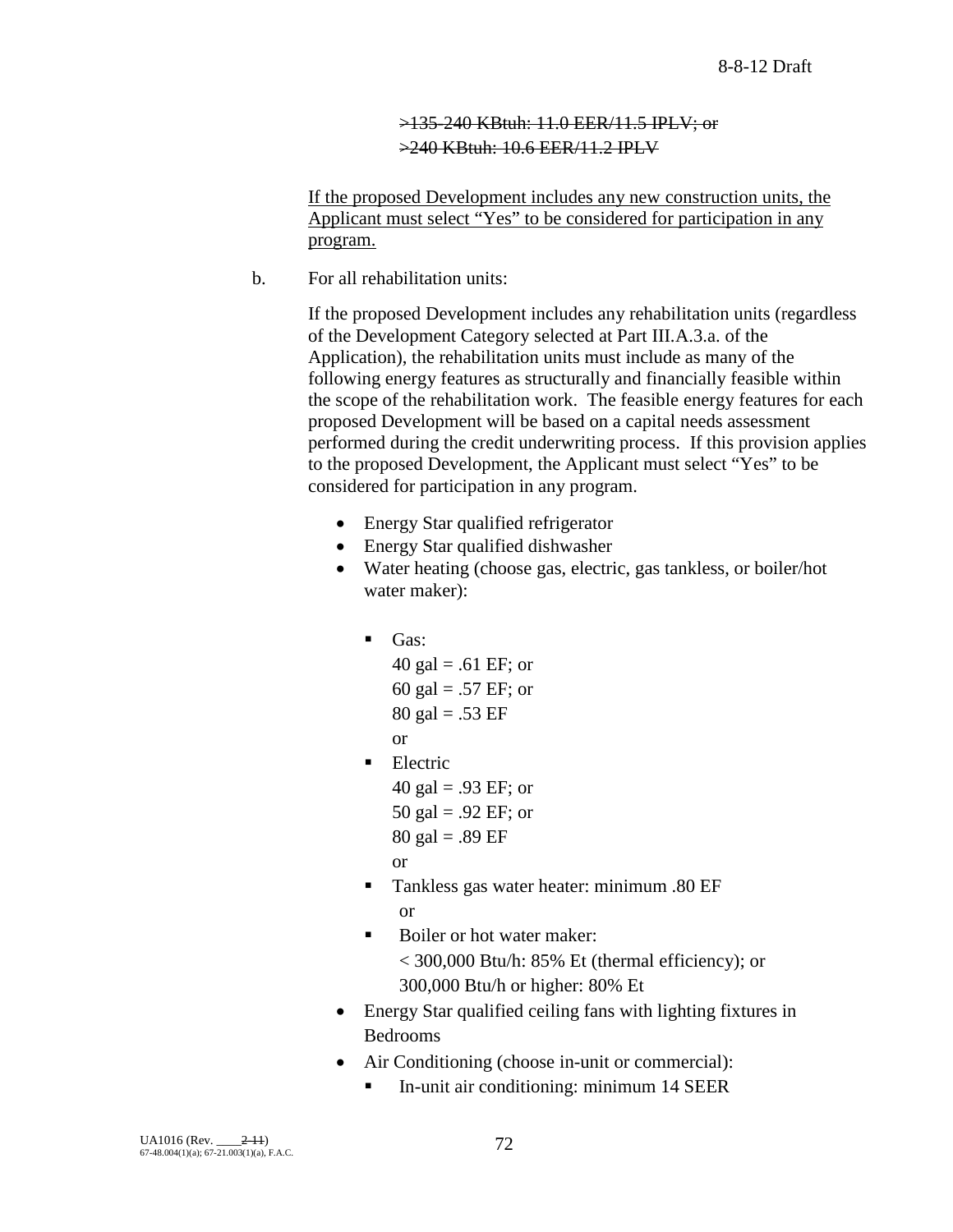# >135-240 KBtuh: 11.0 EER/11.5 IPLV; or >240 KBtuh: 10.6 EER/11.2 IPLV

If the proposed Development includes any new construction units, the Applicant must select "Yes" to be considered for participation in any program.

b. For all rehabilitation units:

If the proposed Development includes any rehabilitation units (regardless of the Development Category selected at Part III.A.3.a. of the Application), the rehabilitation units must include as many of the following energy features as structurally and financially feasible within the scope of the rehabilitation work. The feasible energy features for each proposed Development will be based on a capital needs assessment performed during the credit underwriting process. If this provision applies to the proposed Development, the Applicant must select "Yes" to be considered for participation in any program.

- Energy Star qualified refrigerator
- Energy Star qualified dishwasher
- Water heating (choose gas, electric, gas tankless, or boiler/hot water maker):
	- $\blacksquare$  Gas:
		- 40 gal = .61 EF; or 60 gal = .57 EF; or  $80 \text{ gal} = .53 \text{ EF}$
		- or
	- **Electric** 
		- 40 gal = .93 EF; or 50 gal = .92 EF; or
		- $80 \text{ gal} = .89 \text{ EF}$
		- or
	- Tankless gas water heater: minimum .80 EF or
	- Boiler or hot water maker: < 300,000 Btu/h: 85% Et (thermal efficiency); or 300,000 Btu/h or higher: 80% Et
- Energy Star qualified ceiling fans with lighting fixtures in Bedrooms
- Air Conditioning (choose in-unit or commercial):
	- In-unit air conditioning: minimum 14 SEER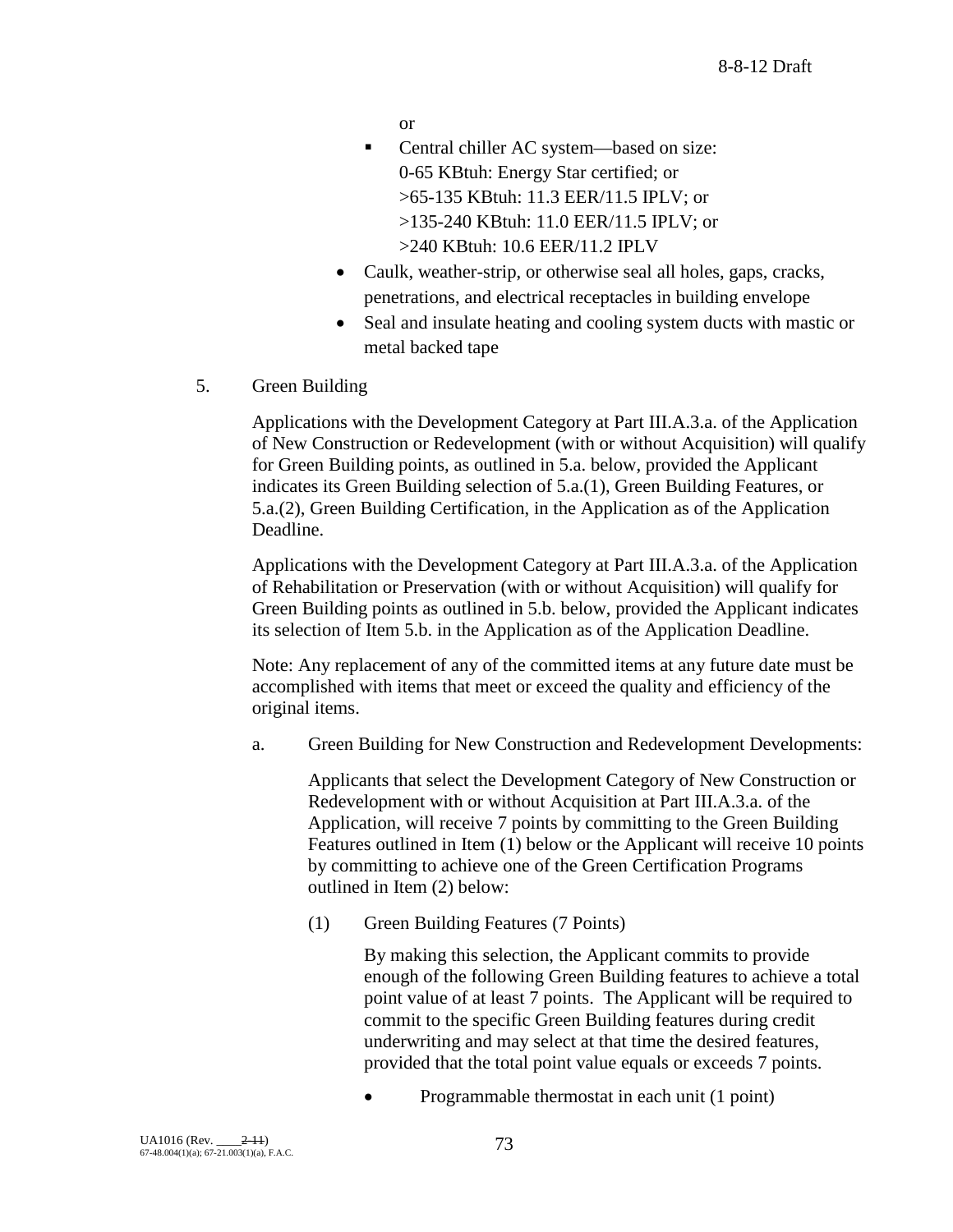or

- Central chiller AC system—based on size: 0-65 KBtuh: Energy Star certified; or >65-135 KBtuh: 11.3 EER/11.5 IPLV; or >135-240 KBtuh: 11.0 EER/11.5 IPLV; or >240 KBtuh: 10.6 EER/11.2 IPLV
- Caulk, weather-strip, or otherwise seal all holes, gaps, cracks, penetrations, and electrical receptacles in building envelope
- Seal and insulate heating and cooling system ducts with mastic or metal backed tape
- 5. Green Building

Applications with the Development Category at Part III.A.3.a. of the Application of New Construction or Redevelopment (with or without Acquisition) will qualify for Green Building points, as outlined in 5.a. below, provided the Applicant indicates its Green Building selection of 5.a.(1), Green Building Features, or 5.a.(2), Green Building Certification, in the Application as of the Application Deadline.

Applications with the Development Category at Part III.A.3.a. of the Application of Rehabilitation or Preservation (with or without Acquisition) will qualify for Green Building points as outlined in 5.b. below, provided the Applicant indicates its selection of Item 5.b. in the Application as of the Application Deadline.

Note: Any replacement of any of the committed items at any future date must be accomplished with items that meet or exceed the quality and efficiency of the original items.

a. Green Building for New Construction and Redevelopment Developments:

Applicants that select the Development Category of New Construction or Redevelopment with or without Acquisition at Part III.A.3.a. of the Application, will receive 7 points by committing to the Green Building Features outlined in Item (1) below or the Applicant will receive 10 points by committing to achieve one of the Green Certification Programs outlined in Item (2) below:

(1) Green Building Features (7 Points)

By making this selection, the Applicant commits to provide enough of the following Green Building features to achieve a total point value of at least 7 points. The Applicant will be required to commit to the specific Green Building features during credit underwriting and may select at that time the desired features, provided that the total point value equals or exceeds 7 points.

• Programmable thermostat in each unit (1 point)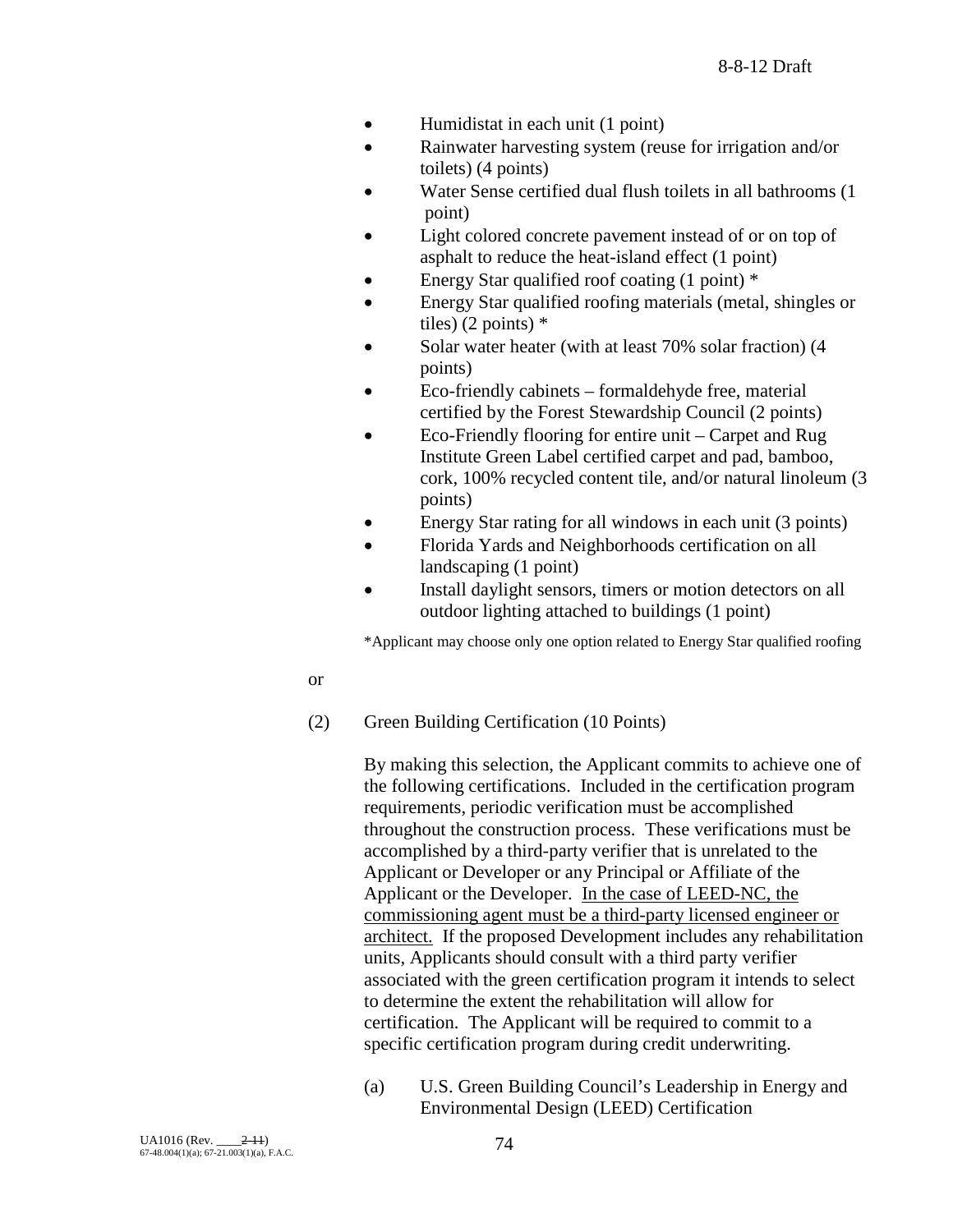- Humidistat in each unit (1 point)
- Rainwater harvesting system (reuse for irrigation and/or toilets) (4 points)
- Water Sense certified dual flush toilets in all bathrooms (1 point)
- Light colored concrete pavement instead of or on top of asphalt to reduce the heat-island effect (1 point)
- Energy Star qualified roof coating  $(1 \text{ point})$  \*
- Energy Star qualified roofing materials (metal, shingles or tiles)  $(2 \text{ points})$  \*
- Solar water heater (with at least 70% solar fraction) (4 points)
- Eco-friendly cabinets formaldehyde free, material certified by the Forest Stewardship Council (2 points)
- Eco-Friendly flooring for entire unit Carpet and Rug Institute Green Label certified carpet and pad, bamboo, cork, 100% recycled content tile, and/or natural linoleum (3 points)
- Energy Star rating for all windows in each unit (3 points)
- Florida Yards and Neighborhoods certification on all landscaping (1 point)
- Install daylight sensors, timers or motion detectors on all outdoor lighting attached to buildings (1 point)

\*Applicant may choose only one option related to Energy Star qualified roofing

### or

(2) Green Building Certification (10 Points)

By making this selection, the Applicant commits to achieve one of the following certifications. Included in the certification program requirements, periodic verification must be accomplished throughout the construction process. These verifications must be accomplished by a third-party verifier that is unrelated to the Applicant or Developer or any Principal or Affiliate of the Applicant or the Developer. In the case of LEED-NC, the commissioning agent must be a third-party licensed engineer or architect. If the proposed Development includes any rehabilitation units, Applicants should consult with a third party verifier associated with the green certification program it intends to select to determine the extent the rehabilitation will allow for certification. The Applicant will be required to commit to a specific certification program during credit underwriting.

(a) U.S. Green Building Council's Leadership in Energy and Environmental Design (LEED) Certification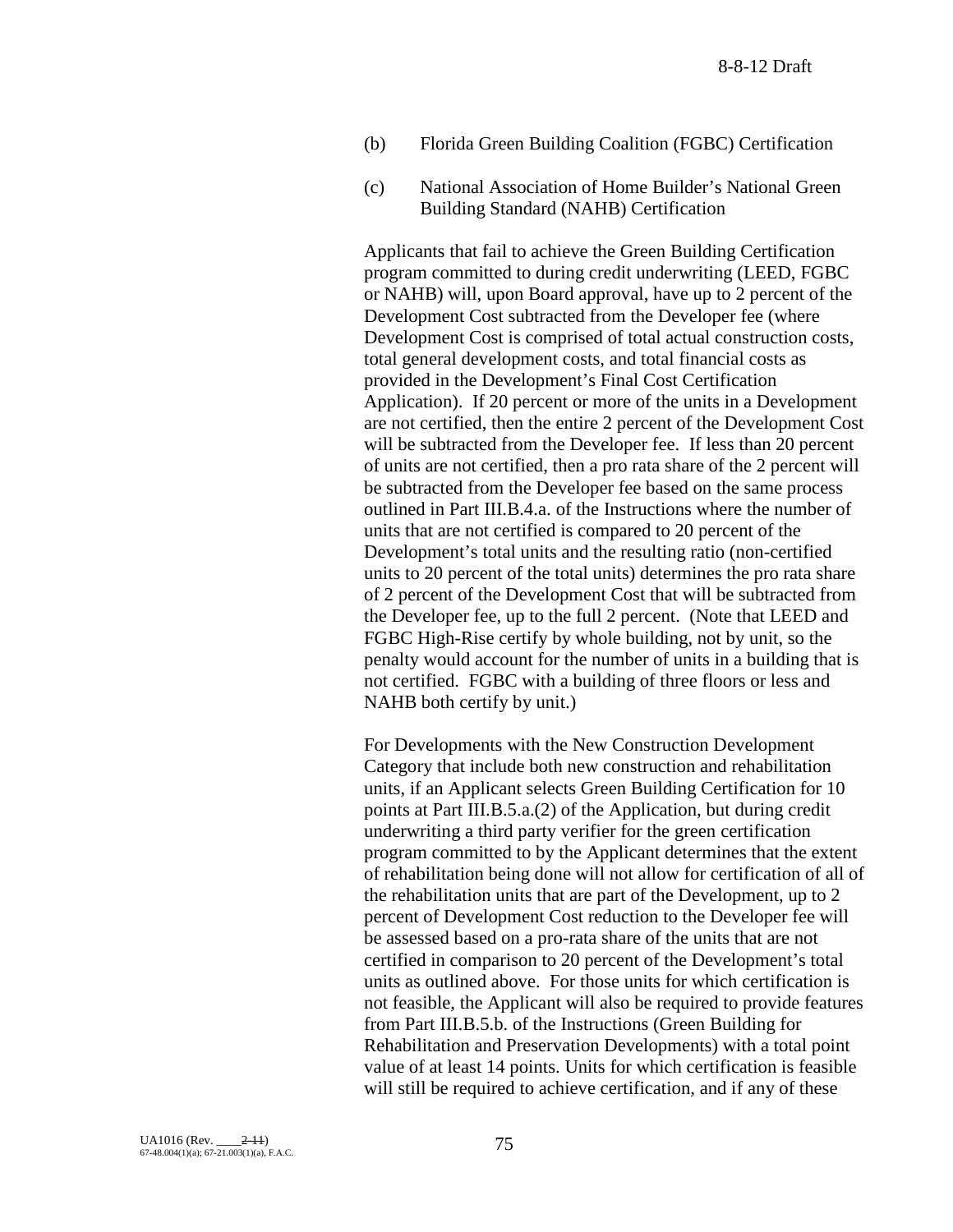- (b) Florida Green Building Coalition (FGBC) Certification
- (c) National Association of Home Builder's National Green Building Standard (NAHB) Certification

Applicants that fail to achieve the Green Building Certification program committed to during credit underwriting (LEED, FGBC or NAHB) will, upon Board approval, have up to 2 percent of the Development Cost subtracted from the Developer fee (where Development Cost is comprised of total actual construction costs, total general development costs, and total financial costs as provided in the Development's Final Cost Certification Application). If 20 percent or more of the units in a Development are not certified, then the entire 2 percent of the Development Cost will be subtracted from the Developer fee. If less than 20 percent of units are not certified, then a pro rata share of the 2 percent will be subtracted from the Developer fee based on the same process outlined in Part III.B.4.a. of the Instructions where the number of units that are not certified is compared to 20 percent of the Development's total units and the resulting ratio (non-certified units to 20 percent of the total units) determines the pro rata share of 2 percent of the Development Cost that will be subtracted from the Developer fee, up to the full 2 percent. (Note that LEED and FGBC High-Rise certify by whole building, not by unit, so the penalty would account for the number of units in a building that is not certified. FGBC with a building of three floors or less and NAHB both certify by unit.)

For Developments with the New Construction Development Category that include both new construction and rehabilitation units, if an Applicant selects Green Building Certification for 10 points at Part III.B.5.a.(2) of the Application, but during credit underwriting a third party verifier for the green certification program committed to by the Applicant determines that the extent of rehabilitation being done will not allow for certification of all of the rehabilitation units that are part of the Development, up to 2 percent of Development Cost reduction to the Developer fee will be assessed based on a pro-rata share of the units that are not certified in comparison to 20 percent of the Development's total units as outlined above. For those units for which certification is not feasible, the Applicant will also be required to provide features from Part III.B.5.b. of the Instructions (Green Building for Rehabilitation and Preservation Developments) with a total point value of at least 14 points. Units for which certification is feasible will still be required to achieve certification, and if any of these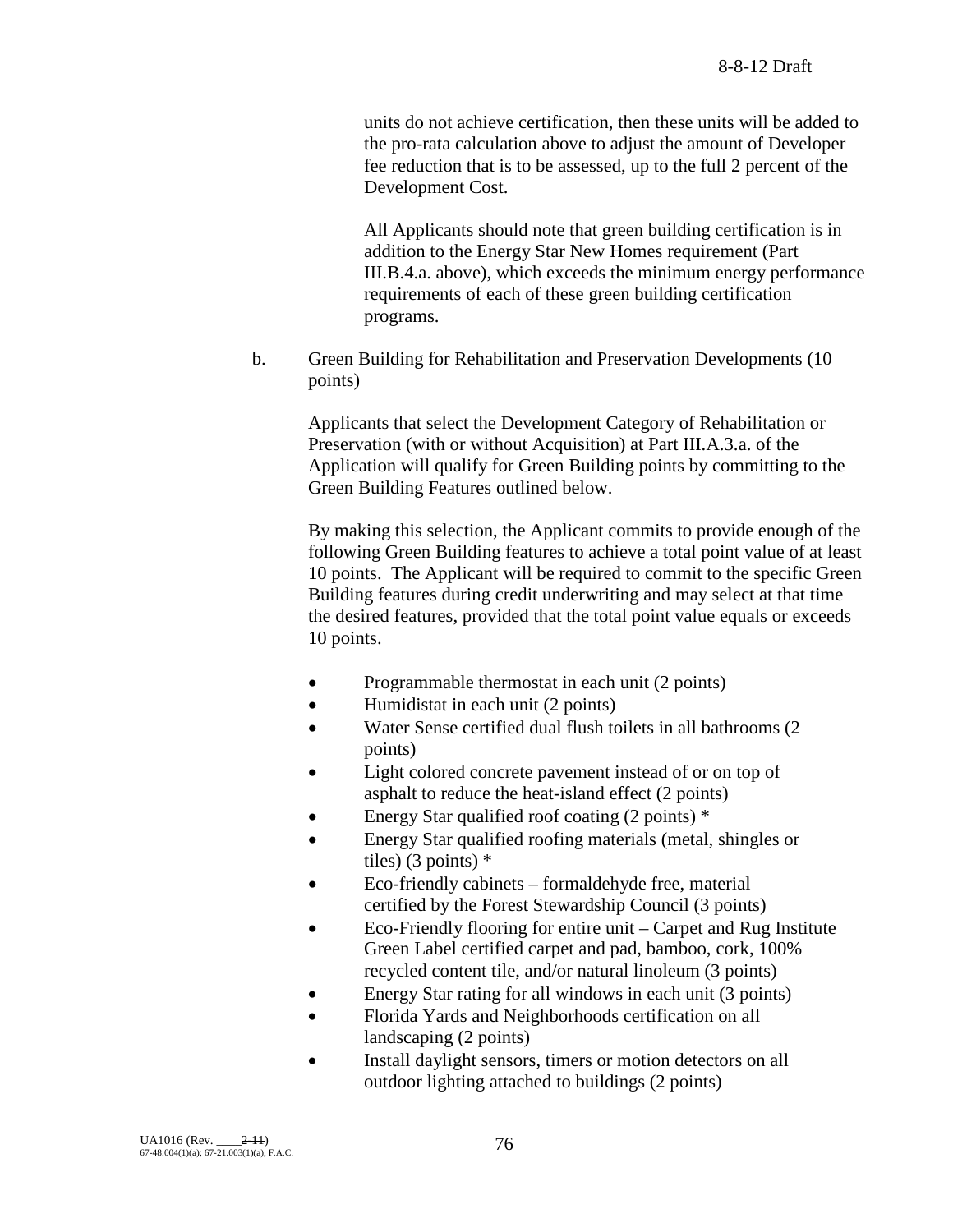units do not achieve certification, then these units will be added to the pro-rata calculation above to adjust the amount of Developer fee reduction that is to be assessed, up to the full 2 percent of the Development Cost.

All Applicants should note that green building certification is in addition to the Energy Star New Homes requirement (Part III.B.4.a. above), which exceeds the minimum energy performance requirements of each of these green building certification programs.

b. Green Building for Rehabilitation and Preservation Developments (10 points)

> Applicants that select the Development Category of Rehabilitation or Preservation (with or without Acquisition) at Part III.A.3.a. of the Application will qualify for Green Building points by committing to the Green Building Features outlined below.

By making this selection, the Applicant commits to provide enough of the following Green Building features to achieve a total point value of at least 10 points. The Applicant will be required to commit to the specific Green Building features during credit underwriting and may select at that time the desired features, provided that the total point value equals or exceeds 10 points.

- Programmable thermostat in each unit (2 points)
- Humidistat in each unit (2 points)
- Water Sense certified dual flush toilets in all bathrooms (2 points)
- Light colored concrete pavement instead of or on top of asphalt to reduce the heat-island effect (2 points)
- Energy Star qualified roof coating  $(2 \text{ points})$  \*
- Energy Star qualified roofing materials (metal, shingles or tiles) (3 points) \*
- Eco-friendly cabinets formaldehyde free, material certified by the Forest Stewardship Council (3 points)
- Eco-Friendly flooring for entire unit Carpet and Rug Institute Green Label certified carpet and pad, bamboo, cork, 100% recycled content tile, and/or natural linoleum (3 points)
- Energy Star rating for all windows in each unit (3 points)
- Florida Yards and Neighborhoods certification on all landscaping (2 points)
- Install daylight sensors, timers or motion detectors on all outdoor lighting attached to buildings (2 points)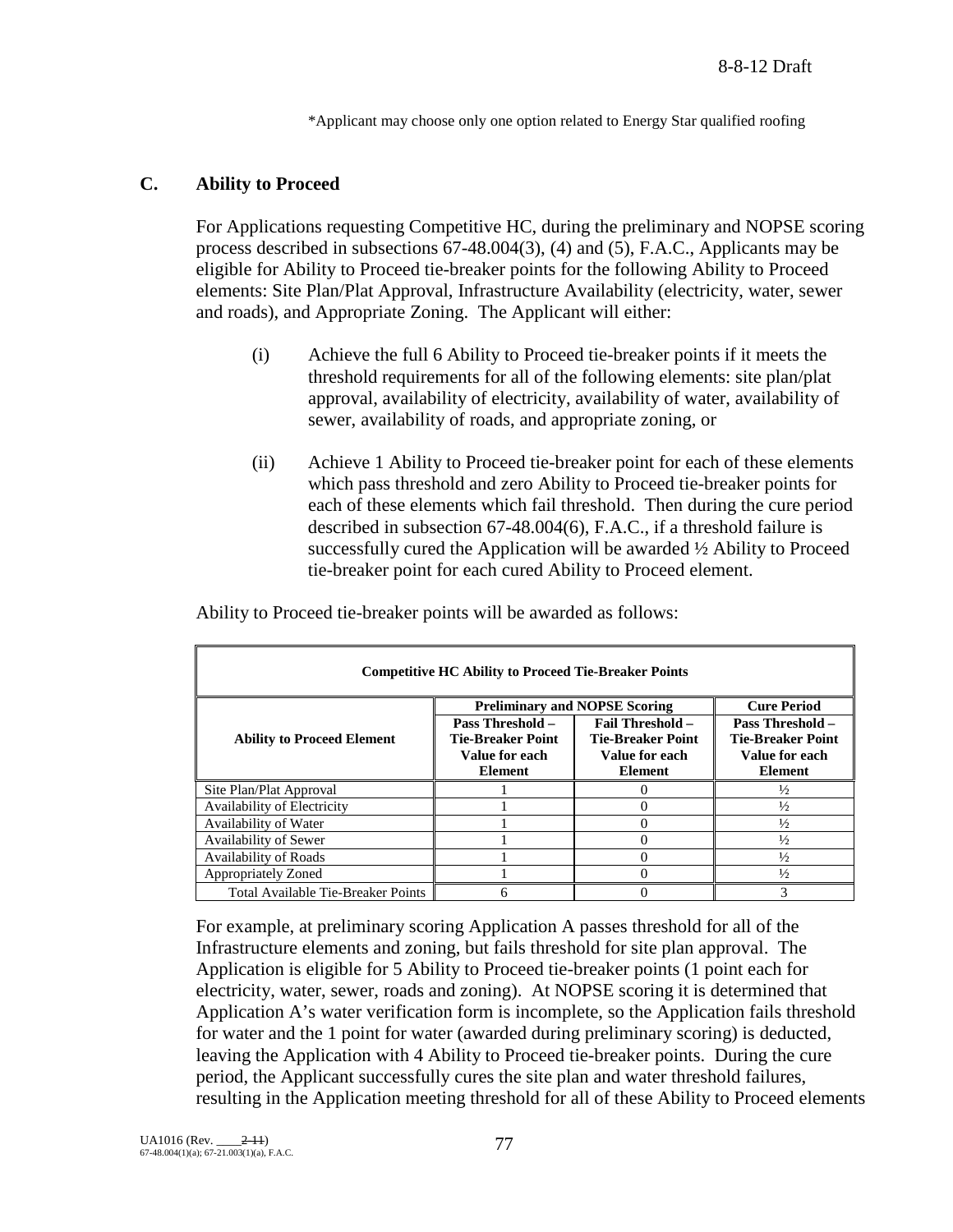\*Applicant may choose only one option related to Energy Star qualified roofing

# **C. Ability to Proceed**

For Applications requesting Competitive HC, during the preliminary and NOPSE scoring process described in subsections 67-48.004(3), (4) and (5), F.A.C., Applicants may be eligible for Ability to Proceed tie-breaker points for the following Ability to Proceed elements: Site Plan/Plat Approval, Infrastructure Availability (electricity, water, sewer and roads), and Appropriate Zoning. The Applicant will either:

- (i) Achieve the full 6 Ability to Proceed tie-breaker points if it meets the threshold requirements for all of the following elements: site plan/plat approval, availability of electricity, availability of water, availability of sewer, availability of roads, and appropriate zoning, or
- (ii) Achieve 1 Ability to Proceed tie-breaker point for each of these elements which pass threshold and zero Ability to Proceed tie-breaker points for each of these elements which fail threshold. Then during the cure period described in subsection 67-48.004(6), F.A.C., if a threshold failure is successfully cured the Application will be awarded ½ Ability to Proceed tie-breaker point for each cured Ability to Proceed element.

| <b>Competitive HC Ability to Proceed Tie-Breaker Points</b> |                                                                                         |                                                                                         |               |  |  |  |
|-------------------------------------------------------------|-----------------------------------------------------------------------------------------|-----------------------------------------------------------------------------------------|---------------|--|--|--|
|                                                             | <b>Cure Period</b><br><b>Preliminary and NOPSE Scoring</b>                              |                                                                                         |               |  |  |  |
| <b>Ability to Proceed Element</b>                           | <b>Pass Threshold –</b><br><b>Tie-Breaker Point</b><br>Value for each<br><b>Element</b> | <b>Pass Threshold –</b><br><b>Tie-Breaker Point</b><br>Value for each<br><b>Element</b> |               |  |  |  |
| Site Plan/Plat Approval                                     |                                                                                         | $\mathbf{\Omega}$                                                                       | $\frac{1}{2}$ |  |  |  |
| Availability of Electricity                                 |                                                                                         |                                                                                         | $\frac{1}{2}$ |  |  |  |
| Availability of Water                                       |                                                                                         | 0                                                                                       | $\frac{1}{2}$ |  |  |  |
| Availability of Sewer                                       |                                                                                         | 0                                                                                       | $\frac{1}{2}$ |  |  |  |
| <b>Availability of Roads</b>                                |                                                                                         | 0                                                                                       | $\frac{1}{2}$ |  |  |  |
| Appropriately Zoned                                         |                                                                                         | 0                                                                                       | $\frac{1}{2}$ |  |  |  |
| Total Available Tie-Breaker Points                          | 6                                                                                       |                                                                                         | 3             |  |  |  |

Ability to Proceed tie-breaker points will be awarded as follows:

For example, at preliminary scoring Application A passes threshold for all of the Infrastructure elements and zoning, but fails threshold for site plan approval. The Application is eligible for 5 Ability to Proceed tie-breaker points (1 point each for electricity, water, sewer, roads and zoning). At NOPSE scoring it is determined that Application A's water verification form is incomplete, so the Application fails threshold for water and the 1 point for water (awarded during preliminary scoring) is deducted, leaving the Application with 4 Ability to Proceed tie-breaker points. During the cure period, the Applicant successfully cures the site plan and water threshold failures, resulting in the Application meeting threshold for all of these Ability to Proceed elements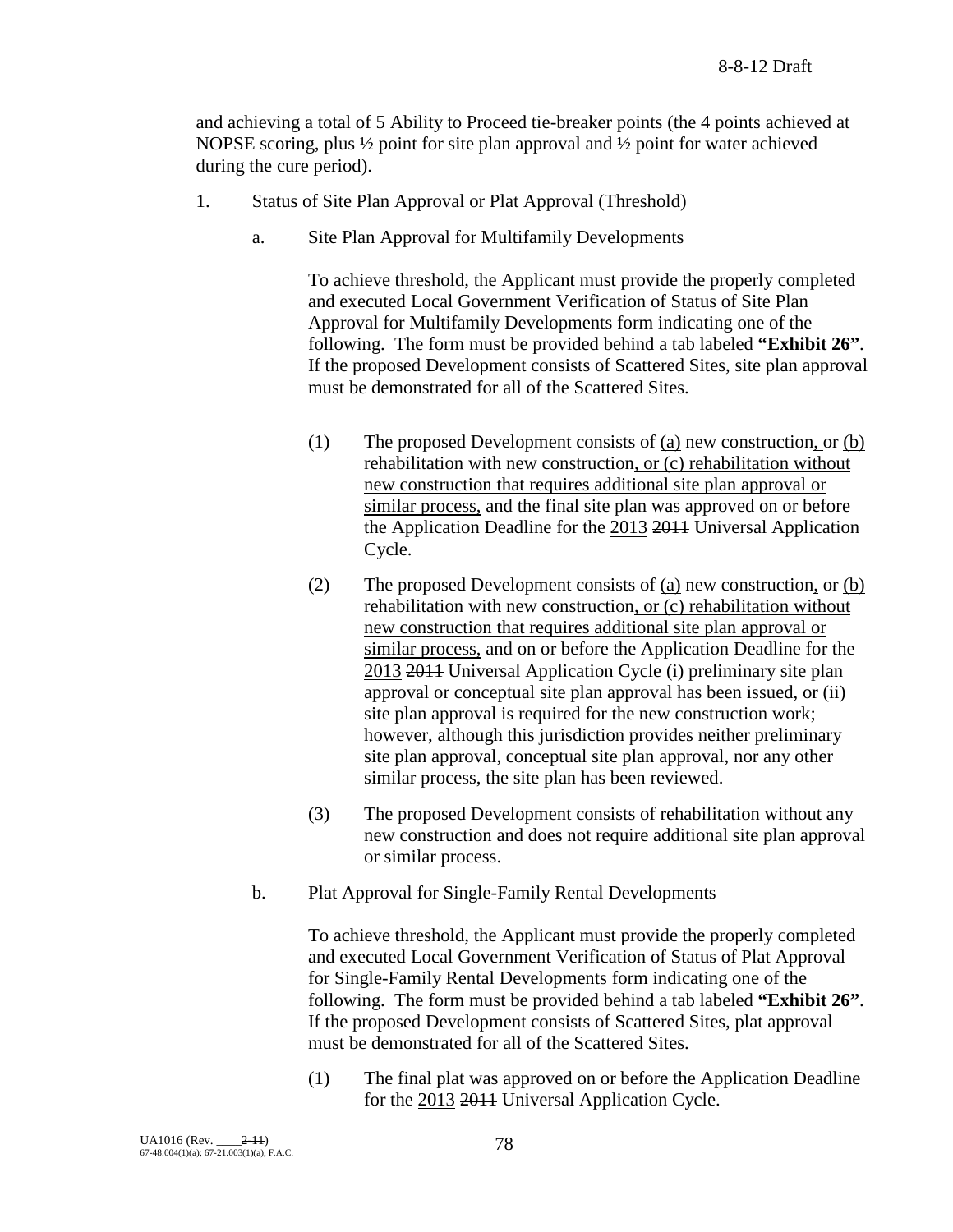and achieving a total of 5 Ability to Proceed tie-breaker points (the 4 points achieved at NOPSE scoring, plus  $\frac{1}{2}$  point for site plan approval and  $\frac{1}{2}$  point for water achieved during the cure period).

- 1. Status of Site Plan Approval or Plat Approval (Threshold)
	- a. Site Plan Approval for Multifamily Developments

To achieve threshold, the Applicant must provide the properly completed and executed Local Government Verification of Status of Site Plan Approval for Multifamily Developments form indicating one of the following. The form must be provided behind a tab labeled **"Exhibit 26"**. If the proposed Development consists of Scattered Sites, site plan approval must be demonstrated for all of the Scattered Sites.

- (1) The proposed Development consists of (a) new construction, or (b) rehabilitation with new construction, or (c) rehabilitation without new construction that requires additional site plan approval or similar process, and the final site plan was approved on or before the Application Deadline for the 2013 2011 Universal Application Cycle.
- (2) The proposed Development consists of (a) new construction, or (b) rehabilitation with new construction, or (c) rehabilitation without new construction that requires additional site plan approval or similar process, and on or before the Application Deadline for the 2013 2011 Universal Application Cycle (i) preliminary site plan approval or conceptual site plan approval has been issued, or (ii) site plan approval is required for the new construction work; however, although this jurisdiction provides neither preliminary site plan approval, conceptual site plan approval, nor any other similar process, the site plan has been reviewed.
- (3) The proposed Development consists of rehabilitation without any new construction and does not require additional site plan approval or similar process.
- b. Plat Approval for Single-Family Rental Developments

To achieve threshold, the Applicant must provide the properly completed and executed Local Government Verification of Status of Plat Approval for Single-Family Rental Developments form indicating one of the following. The form must be provided behind a tab labeled **"Exhibit 26"**. If the proposed Development consists of Scattered Sites, plat approval must be demonstrated for all of the Scattered Sites.

(1) The final plat was approved on or before the Application Deadline for the 2013 2011 Universal Application Cycle.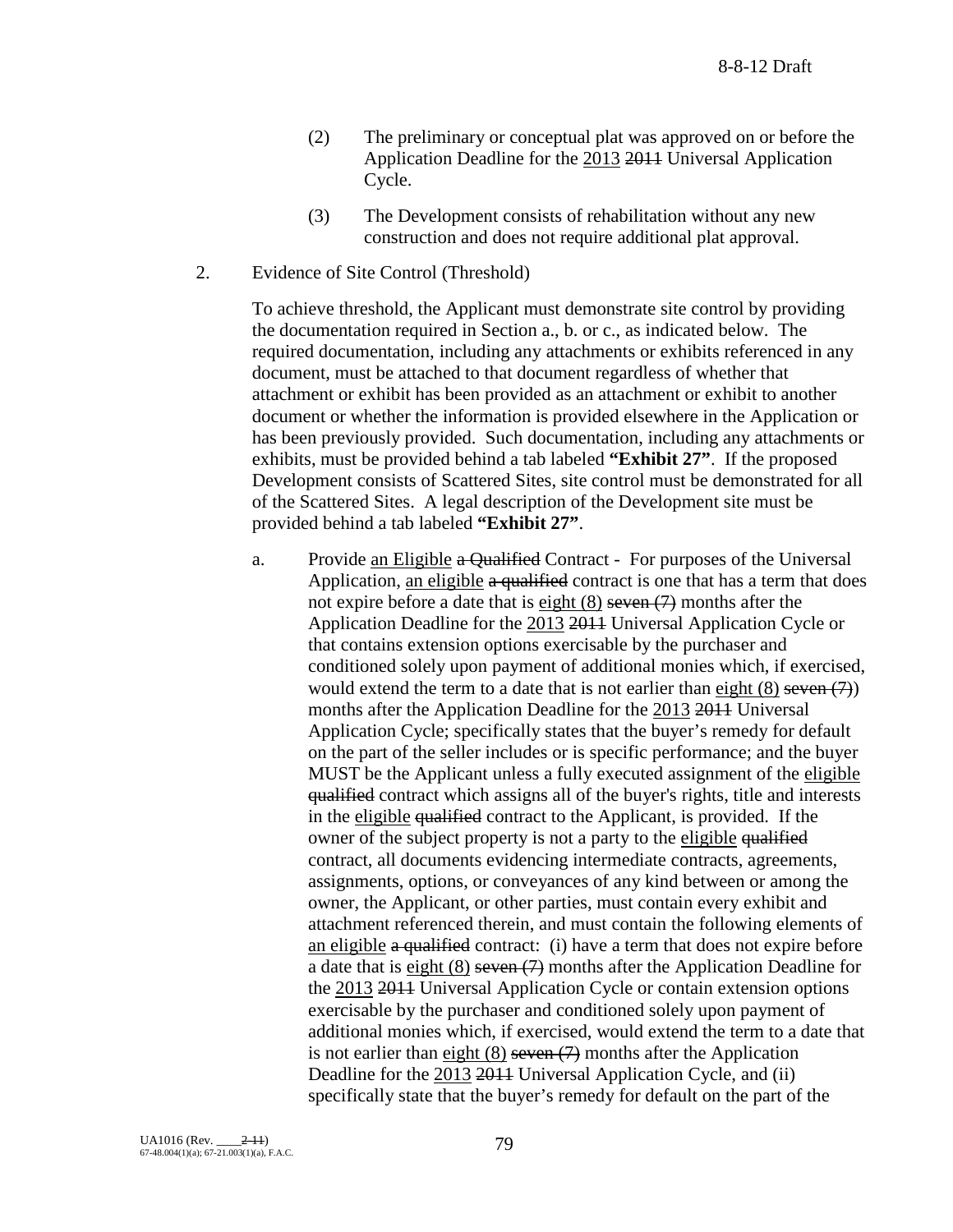- (2) The preliminary or conceptual plat was approved on or before the Application Deadline for the 2013 2011 Universal Application Cycle.
- (3) The Development consists of rehabilitation without any new construction and does not require additional plat approval.
- 2. Evidence of Site Control (Threshold)

To achieve threshold, the Applicant must demonstrate site control by providing the documentation required in Section a., b. or c., as indicated below. The required documentation, including any attachments or exhibits referenced in any document, must be attached to that document regardless of whether that attachment or exhibit has been provided as an attachment or exhibit to another document or whether the information is provided elsewhere in the Application or has been previously provided. Such documentation, including any attachments or exhibits, must be provided behind a tab labeled **"Exhibit 27"**. If the proposed Development consists of Scattered Sites, site control must be demonstrated for all of the Scattered Sites. A legal description of the Development site must be provided behind a tab labeled **"Exhibit 27"**.

a. Provide an Eligible a Qualified Contract - For purposes of the Universal Application, an eligible a qualified contract is one that has a term that does not expire before a date that is eight  $(8)$  seven  $(7)$  months after the Application Deadline for the 2013 2011 Universal Application Cycle or that contains extension options exercisable by the purchaser and conditioned solely upon payment of additional monies which, if exercised, would extend the term to a date that is not earlier than eight  $(8)$  seven  $(7)$ ) months after the Application Deadline for the 2013 2011 Universal Application Cycle; specifically states that the buyer's remedy for default on the part of the seller includes or is specific performance; and the buyer MUST be the Applicant unless a fully executed assignment of the eligible qualified contract which assigns all of the buyer's rights, title and interests in the eligible qualified contract to the Applicant, is provided. If the owner of the subject property is not a party to the eligible qualified contract, all documents evidencing intermediate contracts, agreements, assignments, options, or conveyances of any kind between or among the owner, the Applicant, or other parties, must contain every exhibit and attachment referenced therein, and must contain the following elements of an eligible a qualified contract: (i) have a term that does not expire before a date that is  $eight (8) seven (7) months after the Application Deadline for$ </u> the 2013 2011 Universal Application Cycle or contain extension options exercisable by the purchaser and conditioned solely upon payment of additional monies which, if exercised, would extend the term to a date that is not earlier than eight  $(8)$  seven  $(7)$  months after the Application Deadline for the 2013 2014 Universal Application Cycle, and (ii) specifically state that the buyer's remedy for default on the part of the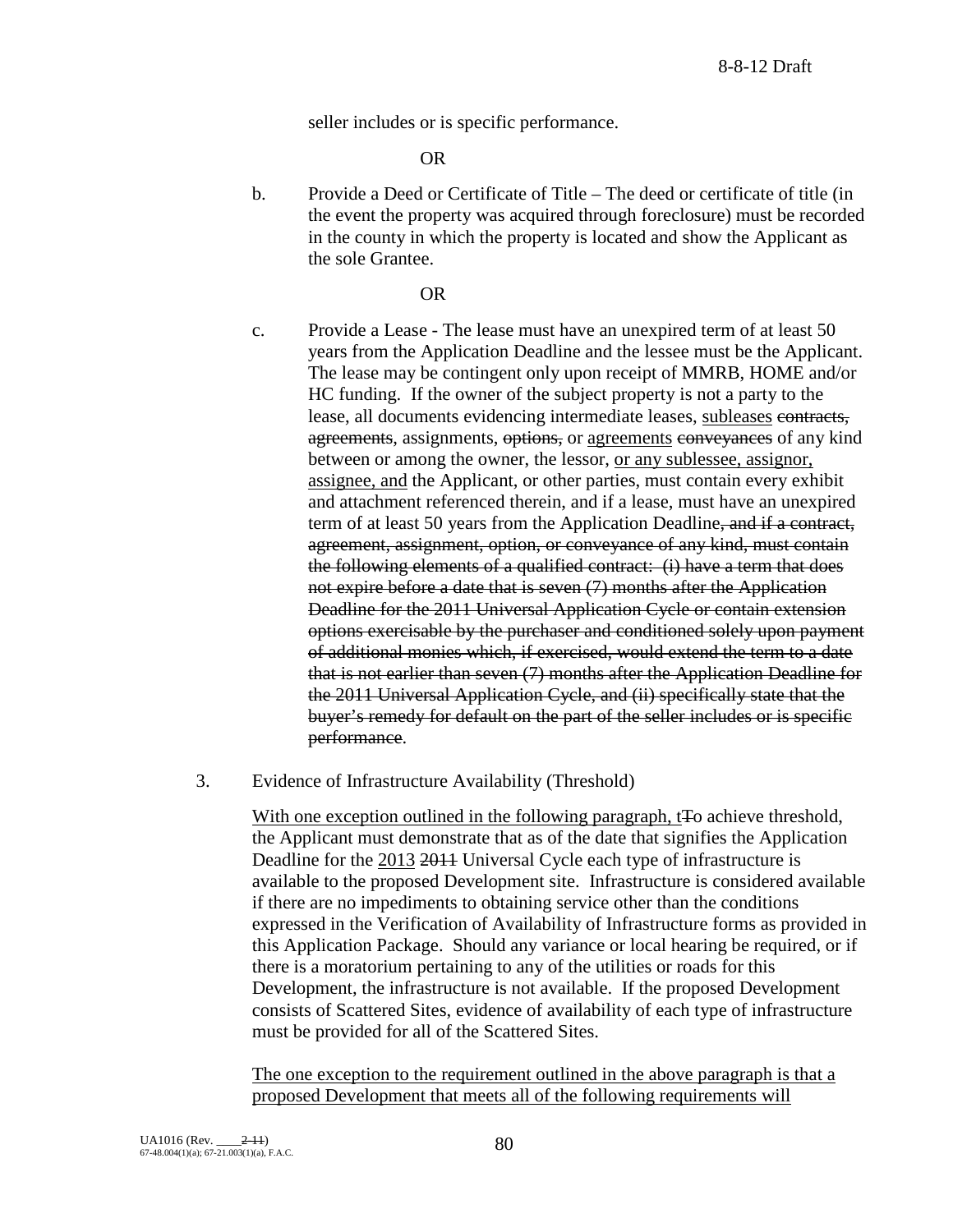seller includes or is specific performance.

OR

b. Provide a Deed or Certificate of Title – The deed or certificate of title (in the event the property was acquired through foreclosure) must be recorded in the county in which the property is located and show the Applicant as the sole Grantee.

### OR

- c. Provide a Lease The lease must have an unexpired term of at least 50 years from the Application Deadline and the lessee must be the Applicant. The lease may be contingent only upon receipt of MMRB, HOME and/or HC funding. If the owner of the subject property is not a party to the lease, all documents evidencing intermediate leases, subleases contracts, agreements, assignments, options, or agreements conveyances of any kind between or among the owner, the lessor, or any sublessee, assignor, assignee, and the Applicant, or other parties, must contain every exhibit and attachment referenced therein, and if a lease, must have an unexpired term of at least 50 years from the Application Deadline, and if a contract, agreement, assignment, option, or conveyance of any kind, must contain the following elements of a qualified contract: (i) have a term that does not expire before a date that is seven (7) months after the Application Deadline for the 2011 Universal Application Cycle or contain extension options exercisable by the purchaser and conditioned solely upon payment of additional monies which, if exercised, would extend the term to a date that is not earlier than seven (7) months after the Application Deadline for the 2011 Universal Application Cycle, and (ii) specifically state that the buyer's remedy for default on the part of the seller includes or is specific performance.
- 3. Evidence of Infrastructure Availability (Threshold)

With one exception outlined in the following paragraph, t<sub>Fo</sub> achieve threshold, the Applicant must demonstrate that as of the date that signifies the Application Deadline for the 2013 2014 Universal Cycle each type of infrastructure is available to the proposed Development site. Infrastructure is considered available if there are no impediments to obtaining service other than the conditions expressed in the Verification of Availability of Infrastructure forms as provided in this Application Package. Should any variance or local hearing be required, or if there is a moratorium pertaining to any of the utilities or roads for this Development, the infrastructure is not available. If the proposed Development consists of Scattered Sites, evidence of availability of each type of infrastructure must be provided for all of the Scattered Sites.

The one exception to the requirement outlined in the above paragraph is that a proposed Development that meets all of the following requirements will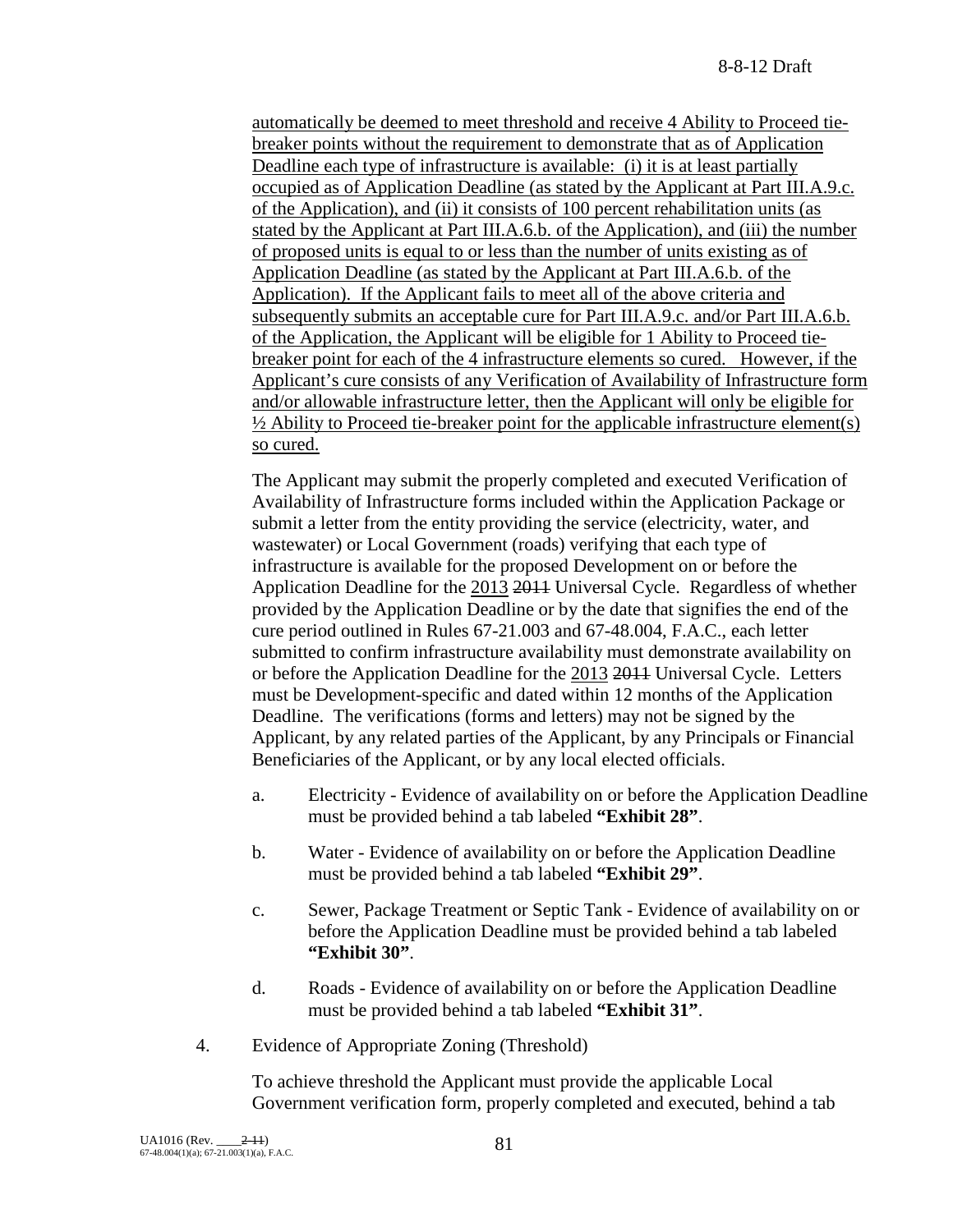automatically be deemed to meet threshold and receive 4 Ability to Proceed tiebreaker points without the requirement to demonstrate that as of Application Deadline each type of infrastructure is available: (i) it is at least partially occupied as of Application Deadline (as stated by the Applicant at Part III.A.9.c. of the Application), and (ii) it consists of 100 percent rehabilitation units (as stated by the Applicant at Part III.A.6.b. of the Application), and (iii) the number of proposed units is equal to or less than the number of units existing as of Application Deadline (as stated by the Applicant at Part III.A.6.b. of the Application). If the Applicant fails to meet all of the above criteria and subsequently submits an acceptable cure for Part III.A.9.c. and/or Part III.A.6.b. of the Application, the Applicant will be eligible for 1 Ability to Proceed tiebreaker point for each of the 4 infrastructure elements so cured. However, if the Applicant's cure consists of any Verification of Availability of Infrastructure form and/or allowable infrastructure letter, then the Applicant will only be eligible for  $\frac{1}{2}$  Ability to Proceed tie-breaker point for the applicable infrastructure element(s) so cured.

The Applicant may submit the properly completed and executed Verification of Availability of Infrastructure forms included within the Application Package or submit a letter from the entity providing the service (electricity, water, and wastewater) or Local Government (roads) verifying that each type of infrastructure is available for the proposed Development on or before the Application Deadline for the 2013 2011 Universal Cycle. Regardless of whether provided by the Application Deadline or by the date that signifies the end of the cure period outlined in Rules 67-21.003 and 67-48.004, F.A.C., each letter submitted to confirm infrastructure availability must demonstrate availability on or before the Application Deadline for the 2013 2011 Universal Cycle. Letters must be Development-specific and dated within 12 months of the Application Deadline. The verifications (forms and letters) may not be signed by the Applicant, by any related parties of the Applicant, by any Principals or Financial Beneficiaries of the Applicant, or by any local elected officials.

- a. Electricity Evidence of availability on or before the Application Deadline must be provided behind a tab labeled **"Exhibit 28"**.
- b. Water Evidence of availability on or before the Application Deadline must be provided behind a tab labeled **"Exhibit 29"**.
- c. Sewer, Package Treatment or Septic Tank Evidence of availability on or before the Application Deadline must be provided behind a tab labeled **"Exhibit 30"**.
- d. Roads Evidence of availability on or before the Application Deadline must be provided behind a tab labeled **"Exhibit 31"**.
- 4. Evidence of Appropriate Zoning (Threshold)

To achieve threshold the Applicant must provide the applicable Local Government verification form, properly completed and executed, behind a tab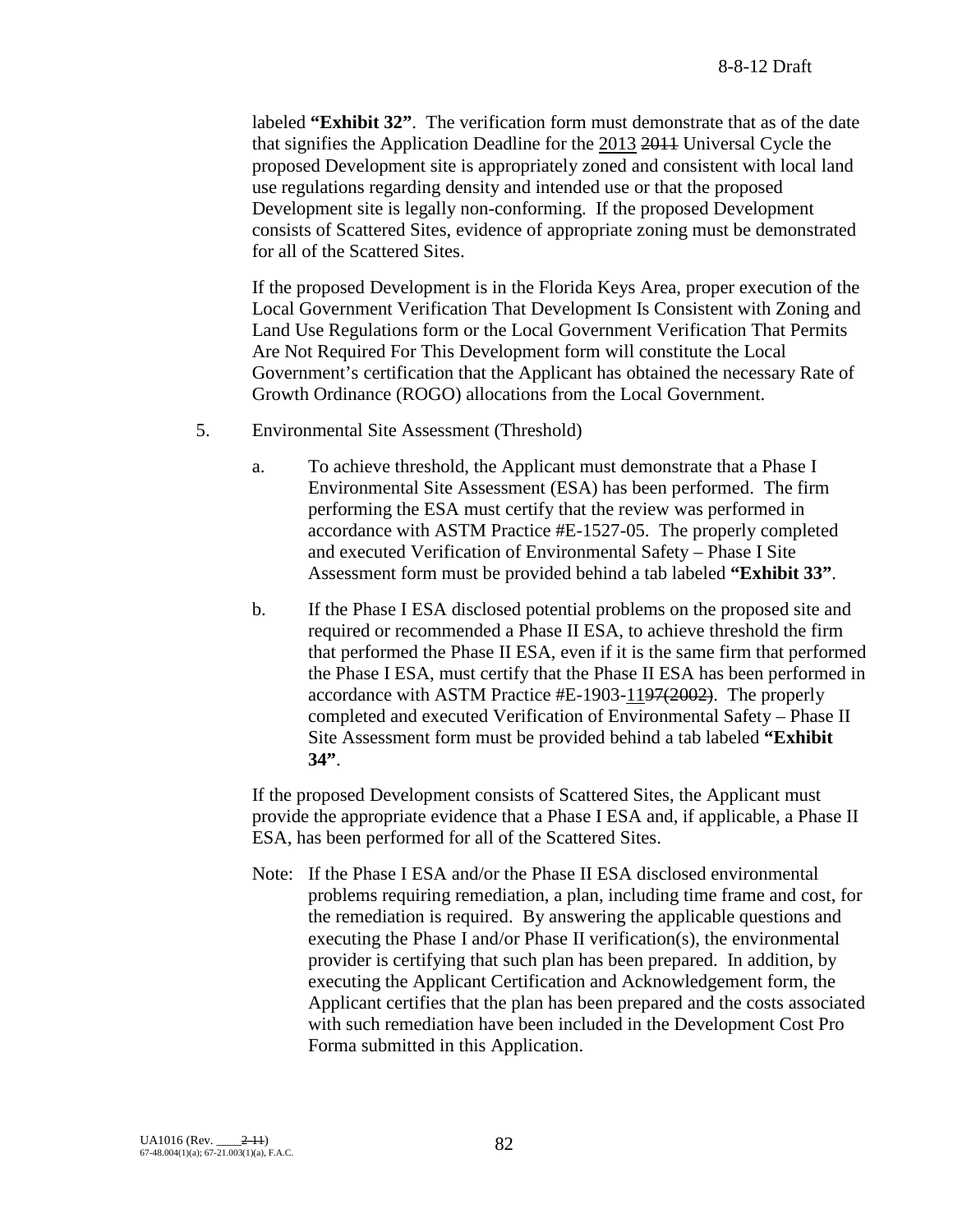labeled **"Exhibit 32"**. The verification form must demonstrate that as of the date that signifies the Application Deadline for the 2013 2011 Universal Cycle the proposed Development site is appropriately zoned and consistent with local land use regulations regarding density and intended use or that the proposed Development site is legally non-conforming. If the proposed Development consists of Scattered Sites, evidence of appropriate zoning must be demonstrated for all of the Scattered Sites.

If the proposed Development is in the Florida Keys Area, proper execution of the Local Government Verification That Development Is Consistent with Zoning and Land Use Regulations form or the Local Government Verification That Permits Are Not Required For This Development form will constitute the Local Government's certification that the Applicant has obtained the necessary Rate of Growth Ordinance (ROGO) allocations from the Local Government.

- 5. Environmental Site Assessment (Threshold)
	- a. To achieve threshold, the Applicant must demonstrate that a Phase I Environmental Site Assessment (ESA) has been performed. The firm performing the ESA must certify that the review was performed in accordance with ASTM Practice #E-1527-05. The properly completed and executed Verification of Environmental Safety – Phase I Site Assessment form must be provided behind a tab labeled **"Exhibit 33"**.
	- b. If the Phase I ESA disclosed potential problems on the proposed site and required or recommended a Phase II ESA, to achieve threshold the firm that performed the Phase II ESA, even if it is the same firm that performed the Phase I ESA, must certify that the Phase II ESA has been performed in accordance with ASTM Practice #E-1903-1197(2002). The properly completed and executed Verification of Environmental Safety – Phase II Site Assessment form must be provided behind a tab labeled **"Exhibit 34"**.

If the proposed Development consists of Scattered Sites, the Applicant must provide the appropriate evidence that a Phase I ESA and, if applicable, a Phase II ESA, has been performed for all of the Scattered Sites.

Note: If the Phase I ESA and/or the Phase II ESA disclosed environmental problems requiring remediation, a plan, including time frame and cost, for the remediation is required. By answering the applicable questions and executing the Phase I and/or Phase II verification(s), the environmental provider is certifying that such plan has been prepared. In addition, by executing the Applicant Certification and Acknowledgement form, the Applicant certifies that the plan has been prepared and the costs associated with such remediation have been included in the Development Cost Pro Forma submitted in this Application.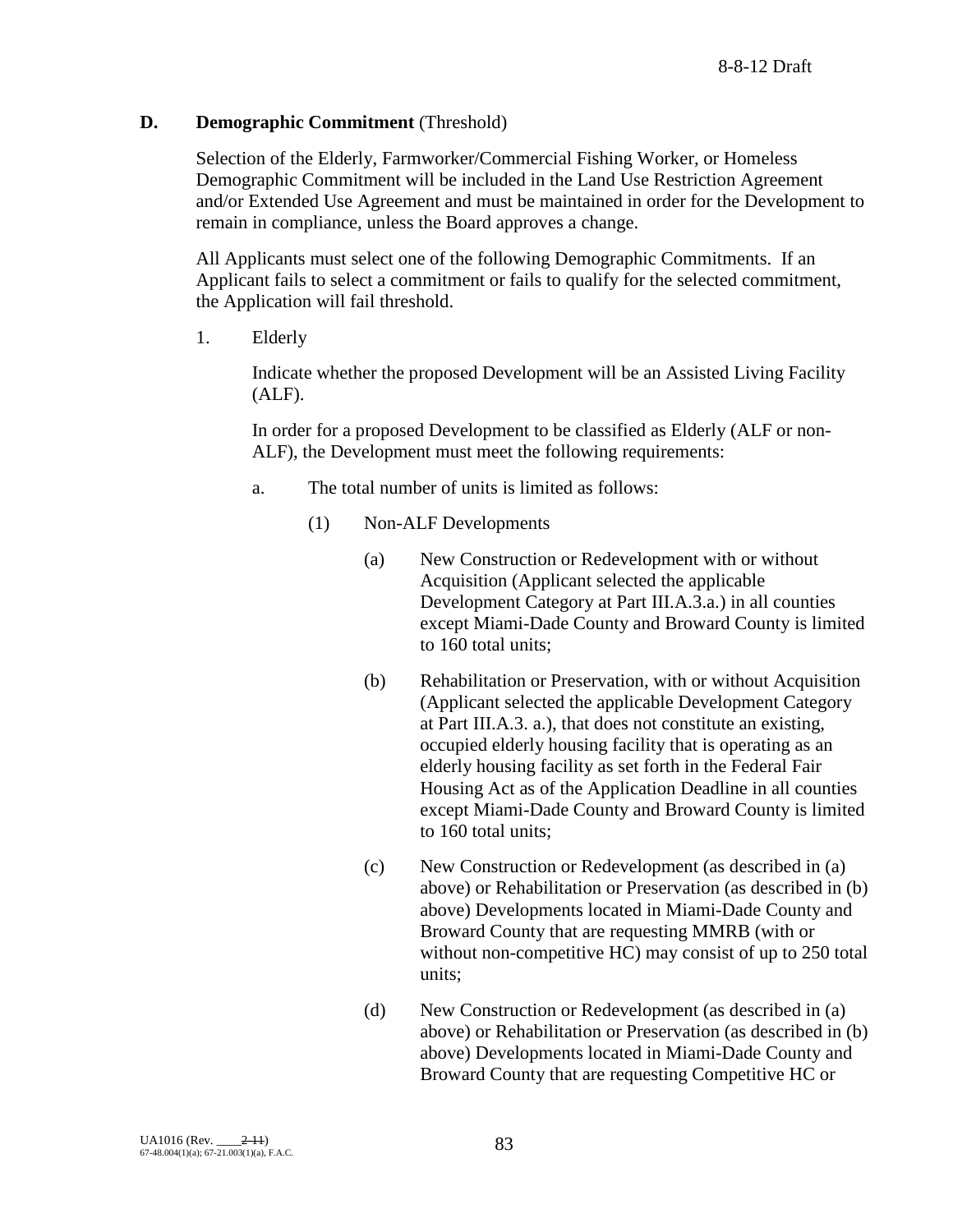# **D. Demographic Commitment** (Threshold)

Selection of the Elderly, Farmworker/Commercial Fishing Worker, or Homeless Demographic Commitment will be included in the Land Use Restriction Agreement and/or Extended Use Agreement and must be maintained in order for the Development to remain in compliance, unless the Board approves a change.

All Applicants must select one of the following Demographic Commitments. If an Applicant fails to select a commitment or fails to qualify for the selected commitment, the Application will fail threshold.

1. Elderly

Indicate whether the proposed Development will be an Assisted Living Facility (ALF).

In order for a proposed Development to be classified as Elderly (ALF or non-ALF), the Development must meet the following requirements:

- a. The total number of units is limited as follows:
	- (1) Non-ALF Developments
		- (a) New Construction or Redevelopment with or without Acquisition (Applicant selected the applicable Development Category at Part III.A.3.a.) in all counties except Miami-Dade County and Broward County is limited to 160 total units;
		- (b) Rehabilitation or Preservation, with or without Acquisition (Applicant selected the applicable Development Category at Part III.A.3. a.), that does not constitute an existing, occupied elderly housing facility that is operating as an elderly housing facility as set forth in the Federal Fair Housing Act as of the Application Deadline in all counties except Miami-Dade County and Broward County is limited to 160 total units;
		- (c) New Construction or Redevelopment (as described in (a) above) or Rehabilitation or Preservation (as described in (b) above) Developments located in Miami-Dade County and Broward County that are requesting MMRB (with or without non-competitive HC) may consist of up to 250 total units;
		- (d) New Construction or Redevelopment (as described in (a) above) or Rehabilitation or Preservation (as described in (b) above) Developments located in Miami-Dade County and Broward County that are requesting Competitive HC or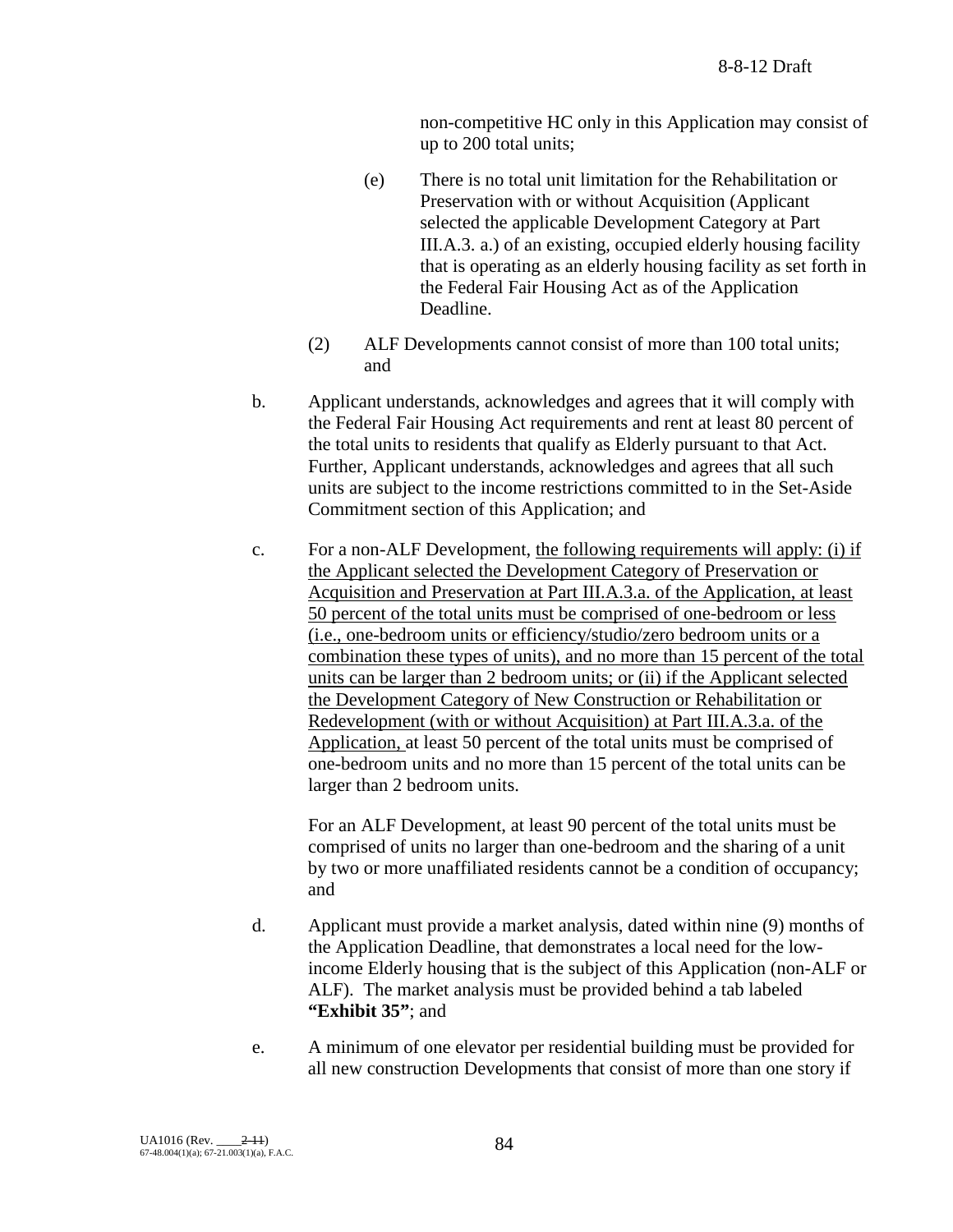non-competitive HC only in this Application may consist of up to 200 total units;

- (e) There is no total unit limitation for the Rehabilitation or Preservation with or without Acquisition (Applicant selected the applicable Development Category at Part III.A.3. a.) of an existing, occupied elderly housing facility that is operating as an elderly housing facility as set forth in the Federal Fair Housing Act as of the Application Deadline.
- (2) ALF Developments cannot consist of more than 100 total units; and
- b. Applicant understands, acknowledges and agrees that it will comply with the Federal Fair Housing Act requirements and rent at least 80 percent of the total units to residents that qualify as Elderly pursuant to that Act. Further, Applicant understands, acknowledges and agrees that all such units are subject to the income restrictions committed to in the Set-Aside Commitment section of this Application; and
- c. For a non-ALF Development, the following requirements will apply: (i) if the Applicant selected the Development Category of Preservation or Acquisition and Preservation at Part III.A.3.a. of the Application, at least 50 percent of the total units must be comprised of one-bedroom or less (i.e., one-bedroom units or efficiency/studio/zero bedroom units or a combination these types of units), and no more than 15 percent of the total units can be larger than 2 bedroom units; or (ii) if the Applicant selected the Development Category of New Construction or Rehabilitation or Redevelopment (with or without Acquisition) at Part III.A.3.a. of the Application, at least 50 percent of the total units must be comprised of one-bedroom units and no more than 15 percent of the total units can be larger than 2 bedroom units.

For an ALF Development, at least 90 percent of the total units must be comprised of units no larger than one-bedroom and the sharing of a unit by two or more unaffiliated residents cannot be a condition of occupancy; and

- d. Applicant must provide a market analysis, dated within nine (9) months of the Application Deadline, that demonstrates a local need for the lowincome Elderly housing that is the subject of this Application (non-ALF or ALF). The market analysis must be provided behind a tab labeled **"Exhibit 35"**; and
- e. A minimum of one elevator per residential building must be provided for all new construction Developments that consist of more than one story if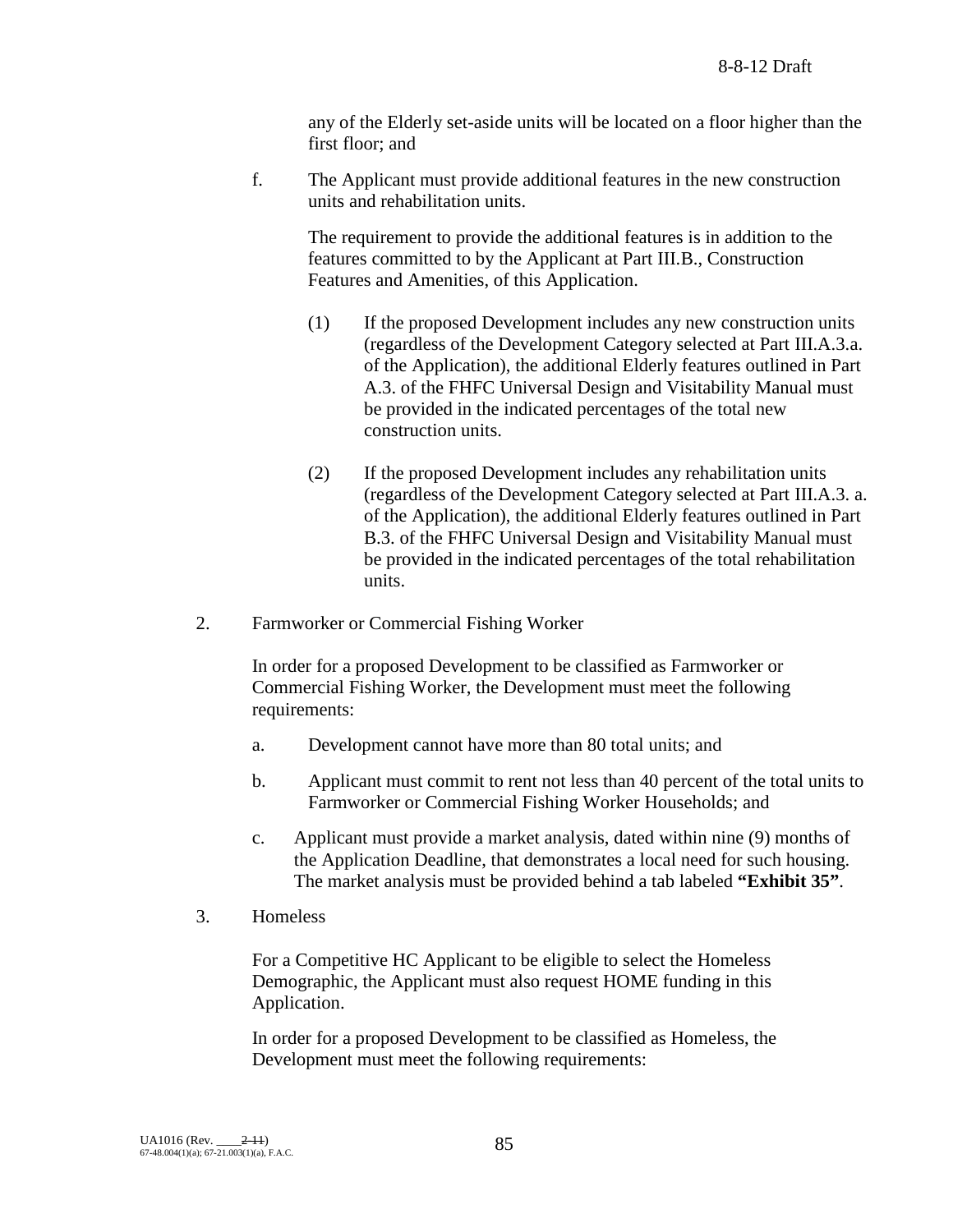any of the Elderly set-aside units will be located on a floor higher than the first floor; and

f. The Applicant must provide additional features in the new construction units and rehabilitation units.

The requirement to provide the additional features is in addition to the features committed to by the Applicant at Part III.B., Construction Features and Amenities, of this Application.

- (1) If the proposed Development includes any new construction units (regardless of the Development Category selected at Part III.A.3.a. of the Application), the additional Elderly features outlined in Part A.3. of the FHFC Universal Design and Visitability Manual must be provided in the indicated percentages of the total new construction units.
- (2) If the proposed Development includes any rehabilitation units (regardless of the Development Category selected at Part III.A.3. a. of the Application), the additional Elderly features outlined in Part B.3. of the FHFC Universal Design and Visitability Manual must be provided in the indicated percentages of the total rehabilitation units.
- 2. Farmworker or Commercial Fishing Worker

In order for a proposed Development to be classified as Farmworker or Commercial Fishing Worker, the Development must meet the following requirements:

- a. Development cannot have more than 80 total units; and
- b. Applicant must commit to rent not less than 40 percent of the total units to Farmworker or Commercial Fishing Worker Households; and
- c. Applicant must provide a market analysis, dated within nine (9) months of the Application Deadline, that demonstrates a local need for such housing. The market analysis must be provided behind a tab labeled **"Exhibit 35"**.
- 3. Homeless

For a Competitive HC Applicant to be eligible to select the Homeless Demographic, the Applicant must also request HOME funding in this Application.

In order for a proposed Development to be classified as Homeless, the Development must meet the following requirements: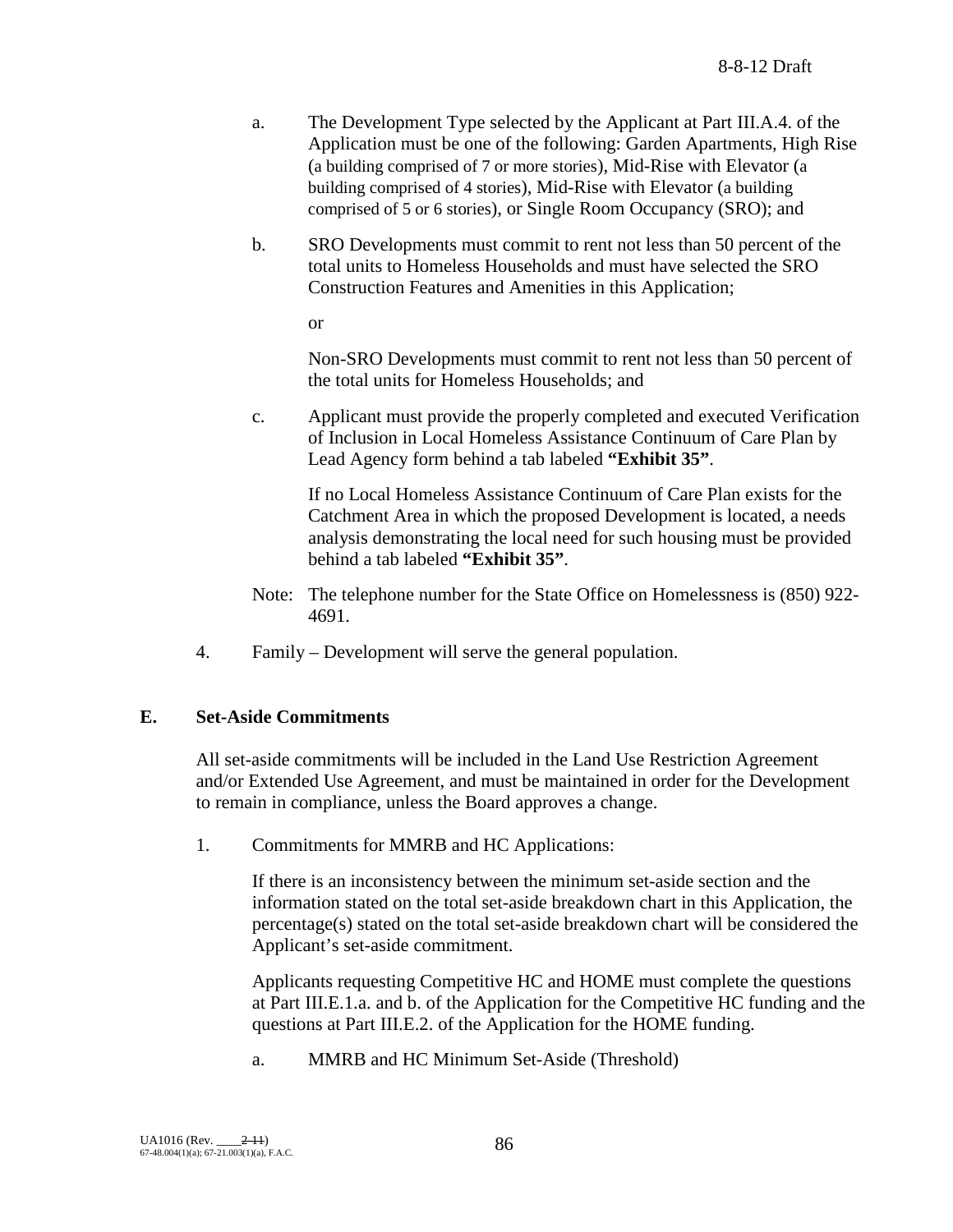- a. The Development Type selected by the Applicant at Part III.A.4. of the Application must be one of the following: Garden Apartments, High Rise (a building comprised of 7 or more stories), Mid-Rise with Elevator (a building comprised of 4 stories), Mid-Rise with Elevator (a building comprised of 5 or 6 stories), or Single Room Occupancy (SRO); and
- b. SRO Developments must commit to rent not less than 50 percent of the total units to Homeless Households and must have selected the SRO Construction Features and Amenities in this Application;

or

Non-SRO Developments must commit to rent not less than 50 percent of the total units for Homeless Households; and

c. Applicant must provide the properly completed and executed Verification of Inclusion in Local Homeless Assistance Continuum of Care Plan by Lead Agency form behind a tab labeled **"Exhibit 35"**.

If no Local Homeless Assistance Continuum of Care Plan exists for the Catchment Area in which the proposed Development is located, a needs analysis demonstrating the local need for such housing must be provided behind a tab labeled **"Exhibit 35"**.

- Note: The telephone number for the State Office on Homelessness is (850) 922- 4691.
- 4. Family Development will serve the general population.

## **E. Set-Aside Commitments**

All set-aside commitments will be included in the Land Use Restriction Agreement and/or Extended Use Agreement, and must be maintained in order for the Development to remain in compliance, unless the Board approves a change.

1. Commitments for MMRB and HC Applications:

If there is an inconsistency between the minimum set-aside section and the information stated on the total set-aside breakdown chart in this Application, the percentage(s) stated on the total set-aside breakdown chart will be considered the Applicant's set-aside commitment.

Applicants requesting Competitive HC and HOME must complete the questions at Part III.E.1.a. and b. of the Application for the Competitive HC funding and the questions at Part III.E.2. of the Application for the HOME funding.

a. MMRB and HC Minimum Set-Aside (Threshold)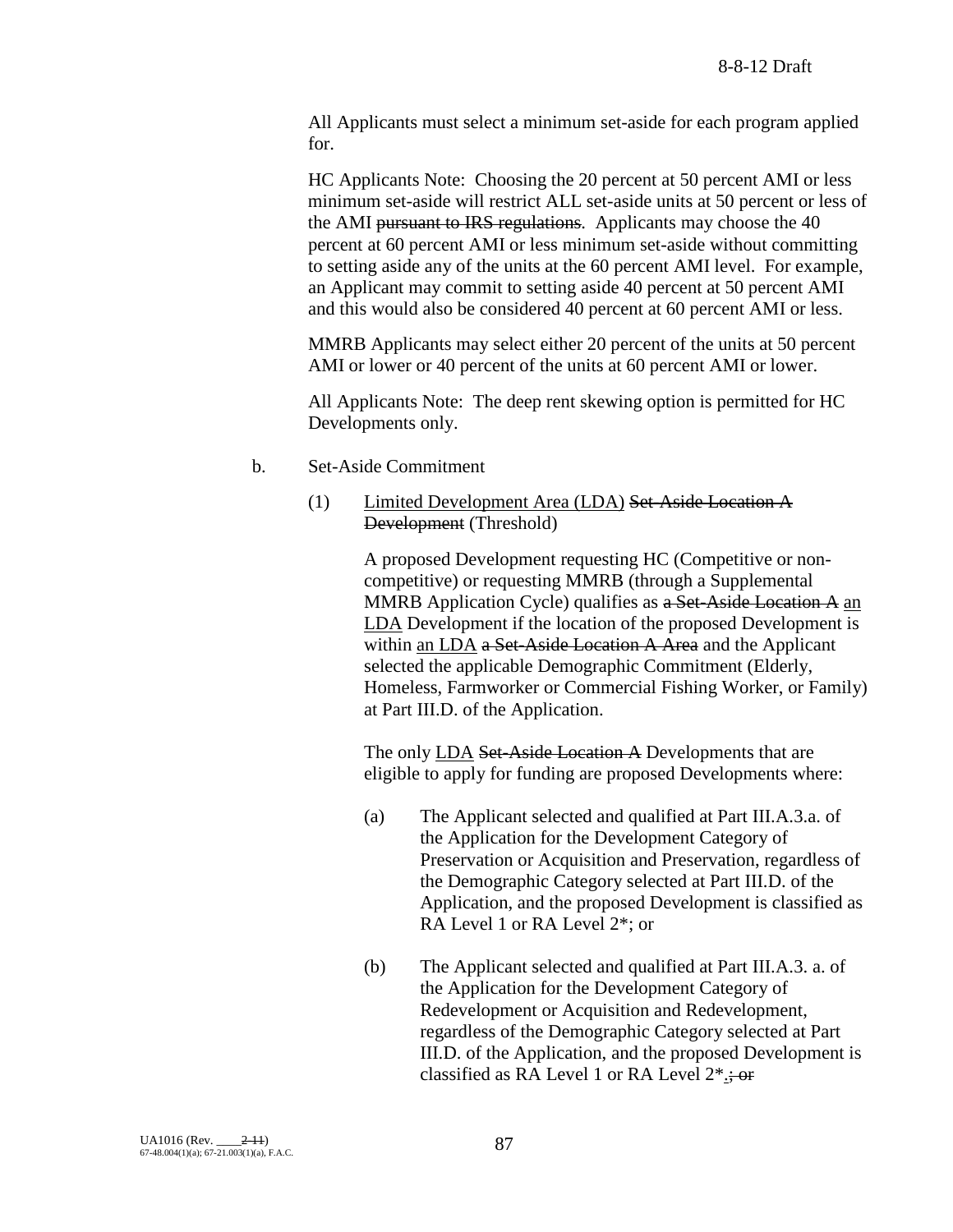All Applicants must select a minimum set-aside for each program applied for.

HC Applicants Note: Choosing the 20 percent at 50 percent AMI or less minimum set-aside will restrict ALL set-aside units at 50 percent or less of the AMI pursuant to IRS regulations. Applicants may choose the 40 percent at 60 percent AMI or less minimum set-aside without committing to setting aside any of the units at the 60 percent AMI level. For example, an Applicant may commit to setting aside 40 percent at 50 percent AMI and this would also be considered 40 percent at 60 percent AMI or less.

MMRB Applicants may select either 20 percent of the units at 50 percent AMI or lower or 40 percent of the units at 60 percent AMI or lower.

All Applicants Note: The deep rent skewing option is permitted for HC Developments only.

- b. Set-Aside Commitment
	- (1) Limited Development Area (LDA) Set-Aside Location A Development (Threshold)

A proposed Development requesting HC (Competitive or noncompetitive) or requesting MMRB (through a Supplemental MMRB Application Cycle) qualifies as a Set-Aside Location A an LDA Development if the location of the proposed Development is within an LDA a Set-Aside Location A Area and the Applicant selected the applicable Demographic Commitment (Elderly, Homeless, Farmworker or Commercial Fishing Worker, or Family) at Part III.D. of the Application.

The only LDA Set-Aside Location A Developments that are eligible to apply for funding are proposed Developments where:

- (a) The Applicant selected and qualified at Part III.A.3.a. of the Application for the Development Category of Preservation or Acquisition and Preservation, regardless of the Demographic Category selected at Part III.D. of the Application, and the proposed Development is classified as RA Level 1 or RA Level 2\*; or
- (b) The Applicant selected and qualified at Part III.A.3. a. of the Application for the Development Category of Redevelopment or Acquisition and Redevelopment, regardless of the Demographic Category selected at Part III.D. of the Application, and the proposed Development is classified as RA Level 1 or RA Level  $2^*$ :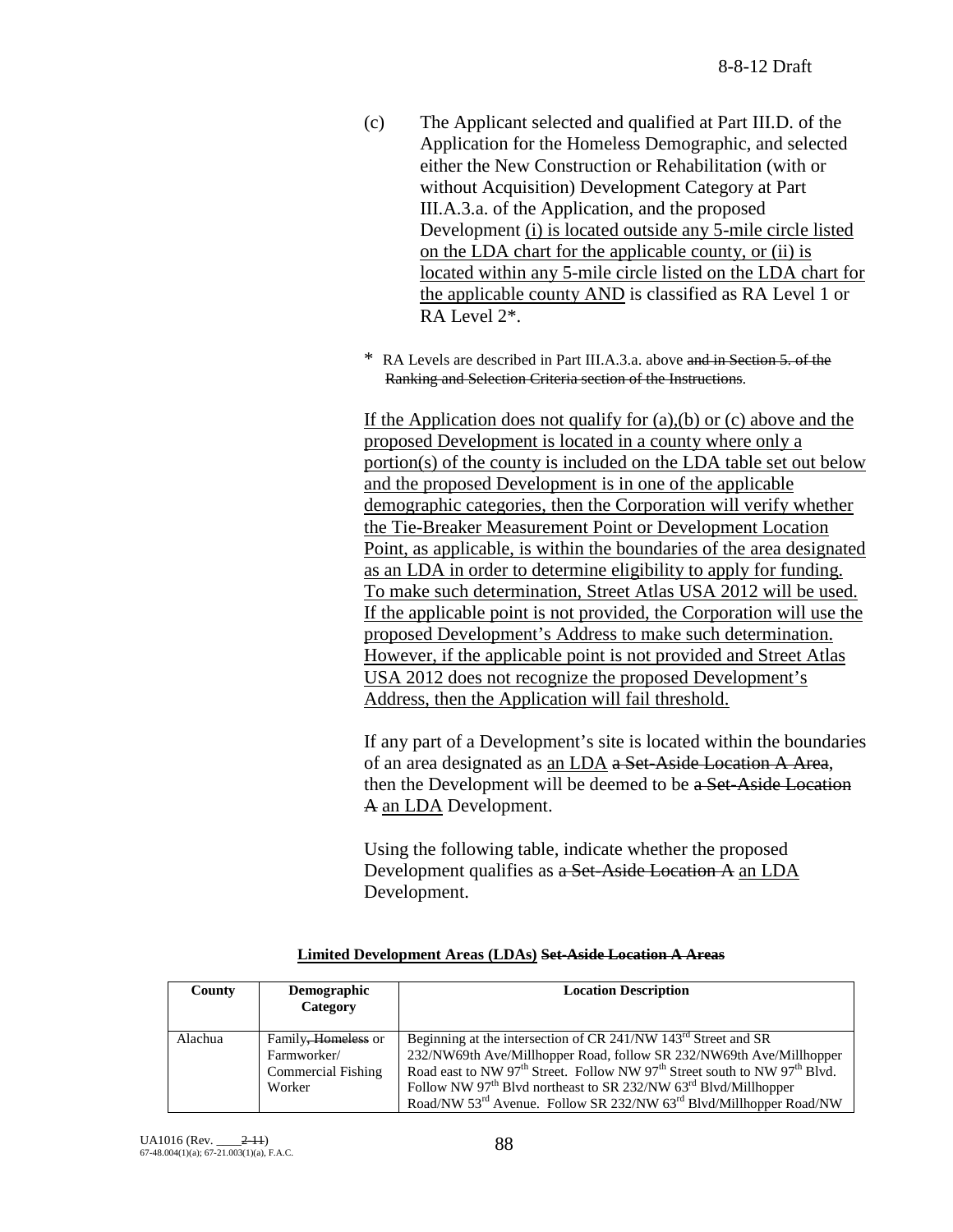- (c) The Applicant selected and qualified at Part III.D. of the Application for the Homeless Demographic, and selected either the New Construction or Rehabilitation (with or without Acquisition) Development Category at Part III.A.3.a. of the Application, and the proposed Development (i) is located outside any 5-mile circle listed on the LDA chart for the applicable county, or (ii) is located within any 5-mile circle listed on the LDA chart for the applicable county AND is classified as RA Level 1 or RA Level 2\*.
- \* RA Levels are described in Part III.A.3.a. above and in Section 5. of the Ranking and Selection Criteria section of the Instructions.

If the Application does not qualify for  $(a)$ ,  $(b)$  or  $(c)$  above and the proposed Development is located in a county where only a portion(s) of the county is included on the LDA table set out below and the proposed Development is in one of the applicable demographic categories, then the Corporation will verify whether the Tie-Breaker Measurement Point or Development Location Point, as applicable, is within the boundaries of the area designated as an LDA in order to determine eligibility to apply for funding. To make such determination, Street Atlas USA 2012 will be used. If the applicable point is not provided, the Corporation will use the proposed Development's Address to make such determination. However, if the applicable point is not provided and Street Atlas USA 2012 does not recognize the proposed Development's Address, then the Application will fail threshold.

If any part of a Development's site is located within the boundaries of an area designated as an LDA a Set-Aside Location A Area, then the Development will be deemed to be a Set-Aside Location A an LDA Development.

Using the following table, indicate whether the proposed Development qualifies as a Set-Aside Location A an LDA Development.

| County  | Demographic<br>Category                                                        | <b>Location Description</b>                                                                                                                                                                                                                                                                                                                                                                                                                                 |
|---------|--------------------------------------------------------------------------------|-------------------------------------------------------------------------------------------------------------------------------------------------------------------------------------------------------------------------------------------------------------------------------------------------------------------------------------------------------------------------------------------------------------------------------------------------------------|
| Alachua | Family <del>, Homeless</del> or<br>Farmworker/<br>Commercial Fishing<br>Worker | Beginning at the intersection of CR 241/NW 143 <sup>rd</sup> Street and SR<br>232/NW69th Ave/Millhopper Road, follow SR 232/NW69th Ave/Millhopper<br>Road east to NW 97 <sup>th</sup> Street. Follow NW 97 <sup>th</sup> Street south to NW 97 <sup>th</sup> Blvd.<br>Follow NW 97 <sup>th</sup> Blvd northeast to SR 232/NW 63 <sup>rd</sup> Blvd/Millhopper<br>Road/NW 53 <sup>rd</sup> Avenue. Follow SR 232/NW 63 <sup>rd</sup> Blvd/Millhopper Road/NW |

#### **Limited Development Areas (LDAs) Set-Aside Location A Areas**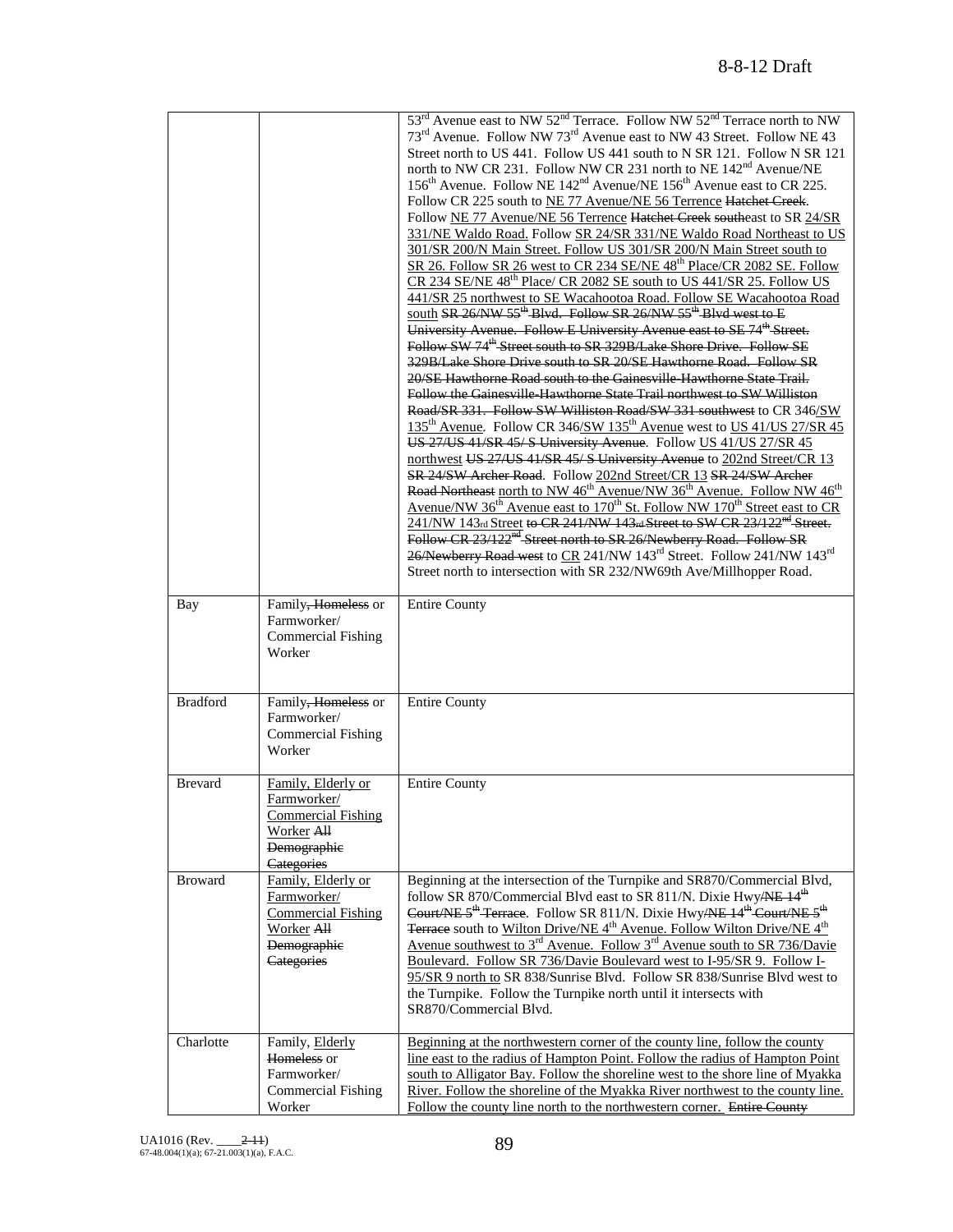|                 |                                                                                                                  | 53 <sup>rd</sup> Avenue east to NW 52 <sup>nd</sup> Terrace. Follow NW 52 <sup>nd</sup> Terrace north to NW<br>73 <sup>rd</sup> Avenue. Follow NW 73 <sup>rd</sup> Avenue east to NW 43 Street. Follow NE 43<br>Street north to US 441. Follow US 441 south to N SR 121. Follow N SR 121<br>north to NW CR 231. Follow NW CR 231 north to NE 142 <sup>nd</sup> Avenue/NE<br>156 <sup>th</sup> Avenue. Follow NE 142 <sup>nd</sup> Avenue/NE 156 <sup>th</sup> Avenue east to CR 225.<br>Follow CR 225 south to NE 77 Avenue/NE 56 Terrence Hatchet Creek.<br>Follow NE 77 Avenue/NE 56 Terrence Hatchet Creek southeast to SR 24/SR<br>331/NE Waldo Road. Follow SR 24/SR 331/NE Waldo Road Northeast to US<br>301/SR 200/N Main Street. Follow US 301/SR 200/N Main Street south to<br>SR 26. Follow SR 26 west to CR 234 SE/NE 48 <sup>th</sup> Place/CR 2082 SE. Follow<br>CR 234 SE/NE 48 <sup>th</sup> Place/ CR 2082 SE south to US 441/SR 25. Follow US<br>441/SR 25 northwest to SE Wacahootoa Road. Follow SE Wacahootoa Road<br>south SR 26/NW 55 <sup>th</sup> Blvd. Follow SR 26/NW 55 <sup>th</sup> Blvd west to E<br>University Avenue. Follow E University Avenue east to SE 74 <sup>th</sup> Street.<br>Follow SW 74 <sup>th</sup> Street south to SR 329B/Lake Shore Drive. Follow SE<br>329B/Lake Shore Drive south to SR 20/SE Hawthorne Road. Follow SR<br>20/SE Hawthorne Road south to the Gainesville-Hawthorne State Trail.<br>Follow the Gainesville Hawthorne State Trail northwest to SW Williston<br>Road/SR 331. Follow SW Williston Road/SW 331 southwest to CR 346/SW<br>135 <sup>th</sup> Avenue. Follow CR 346/SW 135 <sup>th</sup> Avenue west to US 41/US 27/SR 45<br>US 27/US 41/SR 45/S University Avenue. Follow US 41/US 27/SR 45<br>northwest US 27/US 41/SR 45/S University Avenue to 202nd Street/CR 13<br>SR 24/SW Archer Road. Follow 202nd Street/CR 13 SR 24/SW Archer<br>Road Northeast north to NW 46 <sup>th</sup> Avenue/NW 36 <sup>th</sup> Avenue. Follow NW 46 <sup>th</sup><br>Avenue/NW 36 <sup>th</sup> Avenue east to 170 <sup>th</sup> St. Follow NW 170 <sup>th</sup> Street east to CR<br>241/NW 143rd Street to CR 241/NW 143rd Street to SW CR 23/122 <sup>nd</sup> Street.<br>Follow CR 23/122 <sup>nd</sup> Street north to SR 26/Newberry Road. Follow SR<br>26/Newberry Road west to CR 241/NW 143 <sup>rd</sup> Street. Follow 241/NW 143 <sup>rd</sup><br>Street north to intersection with SR 232/NW69th Ave/Millhopper Road. |
|-----------------|------------------------------------------------------------------------------------------------------------------|----------------------------------------------------------------------------------------------------------------------------------------------------------------------------------------------------------------------------------------------------------------------------------------------------------------------------------------------------------------------------------------------------------------------------------------------------------------------------------------------------------------------------------------------------------------------------------------------------------------------------------------------------------------------------------------------------------------------------------------------------------------------------------------------------------------------------------------------------------------------------------------------------------------------------------------------------------------------------------------------------------------------------------------------------------------------------------------------------------------------------------------------------------------------------------------------------------------------------------------------------------------------------------------------------------------------------------------------------------------------------------------------------------------------------------------------------------------------------------------------------------------------------------------------------------------------------------------------------------------------------------------------------------------------------------------------------------------------------------------------------------------------------------------------------------------------------------------------------------------------------------------------------------------------------------------------------------------------------------------------------------------------------------------------------------------------------------------------------------------------------------------------------------------------------------------------------------------------------------------------------------------------------------------------------------------------------------------------------------------------------------------------------------------------------------------------------------------------------------------------------|
| Bay             | Family, Homeless or<br>Farmworker/<br><b>Commercial Fishing</b><br>Worker                                        | <b>Entire County</b>                                                                                                                                                                                                                                                                                                                                                                                                                                                                                                                                                                                                                                                                                                                                                                                                                                                                                                                                                                                                                                                                                                                                                                                                                                                                                                                                                                                                                                                                                                                                                                                                                                                                                                                                                                                                                                                                                                                                                                                                                                                                                                                                                                                                                                                                                                                                                                                                                                                                               |
| <b>Bradford</b> | Family, Homeless or<br>Farmworker/<br><b>Commercial Fishing</b><br>Worker                                        | <b>Entire County</b>                                                                                                                                                                                                                                                                                                                                                                                                                                                                                                                                                                                                                                                                                                                                                                                                                                                                                                                                                                                                                                                                                                                                                                                                                                                                                                                                                                                                                                                                                                                                                                                                                                                                                                                                                                                                                                                                                                                                                                                                                                                                                                                                                                                                                                                                                                                                                                                                                                                                               |
| <b>Brevard</b>  | Family, Elderly or<br>Farmworker/<br><b>Commercial Fishing</b><br>Worker All<br>Demographic<br>Categories        | <b>Entire County</b>                                                                                                                                                                                                                                                                                                                                                                                                                                                                                                                                                                                                                                                                                                                                                                                                                                                                                                                                                                                                                                                                                                                                                                                                                                                                                                                                                                                                                                                                                                                                                                                                                                                                                                                                                                                                                                                                                                                                                                                                                                                                                                                                                                                                                                                                                                                                                                                                                                                                               |
| <b>Broward</b>  | Family, Elderly or<br>Farmworker/<br><b>Commercial Fishing</b><br>Worker All<br><b>Demographie</b><br>Categories | Beginning at the intersection of the Turnpike and SR870/Commercial Blvd,<br>follow SR 870/Commercial Blvd east to SR 811/N. Dixie Hwy/NE 14 <sup>th</sup><br>Court/NE 5 <sup>th</sup> Terrace. Follow SR 811/N. Dixie Hwy/NE 14 <sup>th</sup> Court/NE 5 <sup>th</sup><br>Terrace south to Wilton Drive/NE 4 <sup>th</sup> Avenue. Follow Wilton Drive/NE 4 <sup>th</sup><br>Avenue southwest to 3 <sup>rd</sup> Avenue. Follow 3 <sup>rd</sup> Avenue south to SR 736/Davie<br>Boulevard. Follow SR 736/Davie Boulevard west to I-95/SR 9. Follow I-<br>95/SR 9 north to SR 838/Sunrise Blvd. Follow SR 838/Sunrise Blvd west to<br>the Turnpike. Follow the Turnpike north until it intersects with<br>SR870/Commercial Blvd.                                                                                                                                                                                                                                                                                                                                                                                                                                                                                                                                                                                                                                                                                                                                                                                                                                                                                                                                                                                                                                                                                                                                                                                                                                                                                                                                                                                                                                                                                                                                                                                                                                                                                                                                                                    |
| Charlotte       | Family, Elderly<br>Homeless or<br>Farmworker/<br><b>Commercial Fishing</b><br>Worker                             | Beginning at the northwestern corner of the county line, follow the county<br>line east to the radius of Hampton Point. Follow the radius of Hampton Point<br>south to Alligator Bay. Follow the shoreline west to the shore line of Myakka<br>River. Follow the shoreline of the Myakka River northwest to the county line.<br>Follow the county line north to the northwestern corner. Entire County                                                                                                                                                                                                                                                                                                                                                                                                                                                                                                                                                                                                                                                                                                                                                                                                                                                                                                                                                                                                                                                                                                                                                                                                                                                                                                                                                                                                                                                                                                                                                                                                                                                                                                                                                                                                                                                                                                                                                                                                                                                                                             |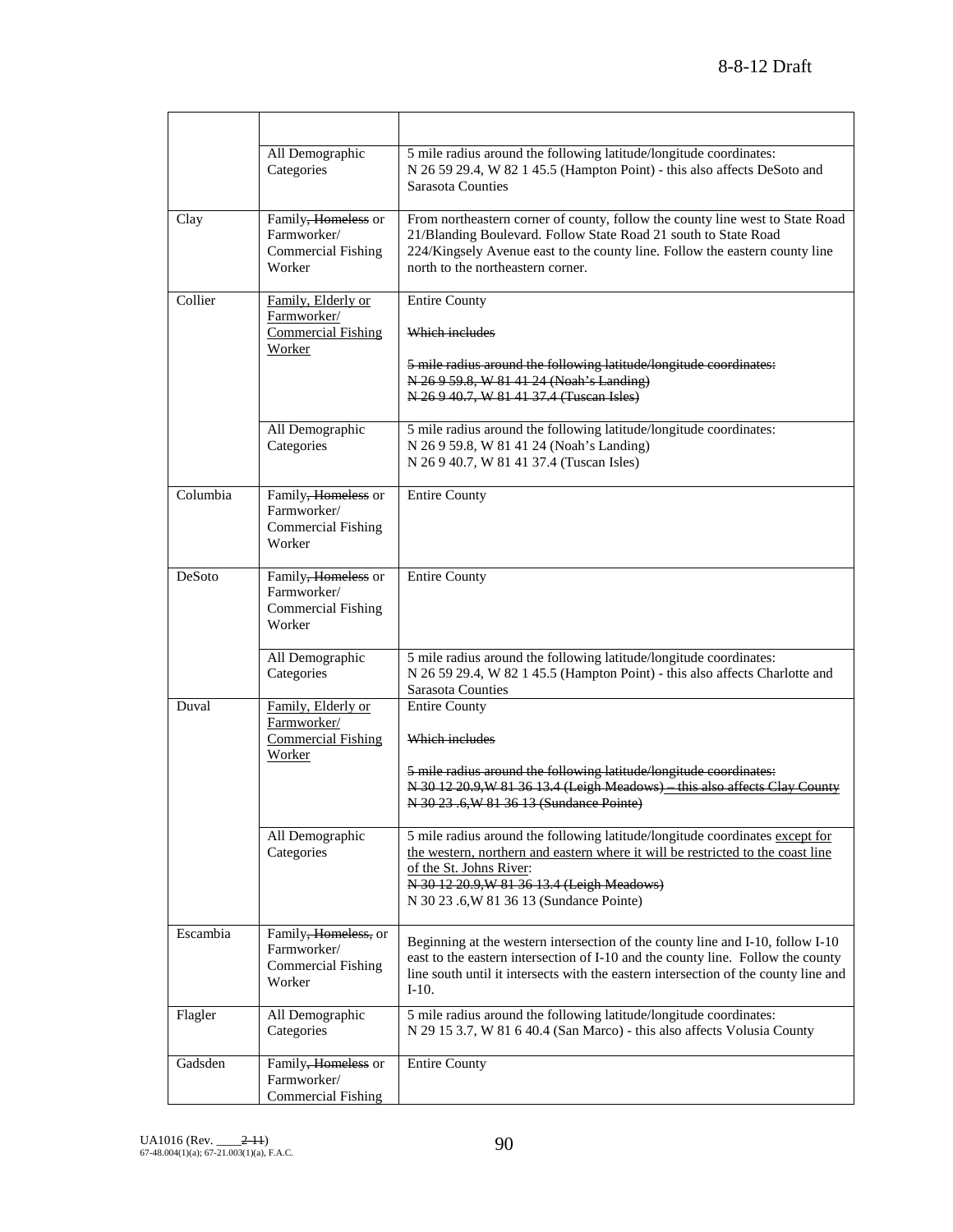|          | All Demographic<br>Categories                                              | 5 mile radius around the following latitude/longitude coordinates:<br>N 26 59 29.4, W 82 1 45.5 (Hampton Point) - this also affects DeSoto and<br>Sarasota Counties                                                                                                                  |
|----------|----------------------------------------------------------------------------|--------------------------------------------------------------------------------------------------------------------------------------------------------------------------------------------------------------------------------------------------------------------------------------|
| Clay     | Family, Homeless or<br>Farmworker/<br>Commercial Fishing<br>Worker         | From northeastern corner of county, follow the county line west to State Road<br>21/Blanding Boulevard. Follow State Road 21 south to State Road<br>224/Kingsely Avenue east to the county line. Follow the eastern county line<br>north to the northeastern corner.                 |
| Collier  | Family, Elderly or<br>Farmworker/<br><b>Commercial Fishing</b><br>Worker   | <b>Entire County</b><br>Which includes<br>5 mile radius around the following latitude/longitude coordinates:<br>N 26 9 59.8, W 81 41 24 (Noah's Landing)<br>N 26 9 40.7, W 81 41 37.4 (Tuscan Isles)                                                                                 |
|          | All Demographic<br>Categories                                              | 5 mile radius around the following latitude/longitude coordinates:<br>N 26 9 59.8, W 81 41 24 (Noah's Landing)<br>N 26 9 40.7, W 81 41 37.4 (Tuscan Isles)                                                                                                                           |
| Columbia | Family, Homeless or<br>Farmworker/<br>Commercial Fishing<br>Worker         | <b>Entire County</b>                                                                                                                                                                                                                                                                 |
| DeSoto   | Family, Homeless or<br>Farmworker/<br><b>Commercial Fishing</b><br>Worker  | <b>Entire County</b>                                                                                                                                                                                                                                                                 |
|          | All Demographic<br>Categories                                              | 5 mile radius around the following latitude/longitude coordinates:<br>N 26 59 29.4, W 82 1 45.5 (Hampton Point) - this also affects Charlotte and<br>Sarasota Counties                                                                                                               |
| Duval    | Family, Elderly or<br>Farmworker/<br><b>Commercial Fishing</b><br>Worker   | <b>Entire County</b><br>Which includes<br>5 mile radius around the following latitude/longitude coordinates:<br>N 30 12 20.9, W 81 36 13.4 (Leigh Meadows) this also affects Clay County<br>N 30 23 .6, W 81 36 13 (Sundance Pointe)                                                 |
|          | All Demographic<br>Categories                                              | 5 mile radius around the following latitude/longitude coordinates except for<br>the western, northern and eastern where it will be restricted to the coast line<br>of the St. Johns River:<br>N 30 12 20.9, W 81 36 13.4 (Leigh Meadows)<br>N 30 23 .6, W 81 36 13 (Sundance Pointe) |
| Escambia | Family, Homeless, or<br>Farmworker/<br><b>Commercial Fishing</b><br>Worker | Beginning at the western intersection of the county line and I-10, follow I-10<br>east to the eastern intersection of I-10 and the county line. Follow the county<br>line south until it intersects with the eastern intersection of the county line and<br>$I-10.$                  |
| Flagler  | All Demographic<br>Categories                                              | 5 mile radius around the following latitude/longitude coordinates:<br>N 29 15 3.7, W 81 6 40.4 (San Marco) - this also affects Volusia County                                                                                                                                        |
| Gadsden  | Family, Homeless or<br>Farmworker/<br><b>Commercial Fishing</b>            | <b>Entire County</b>                                                                                                                                                                                                                                                                 |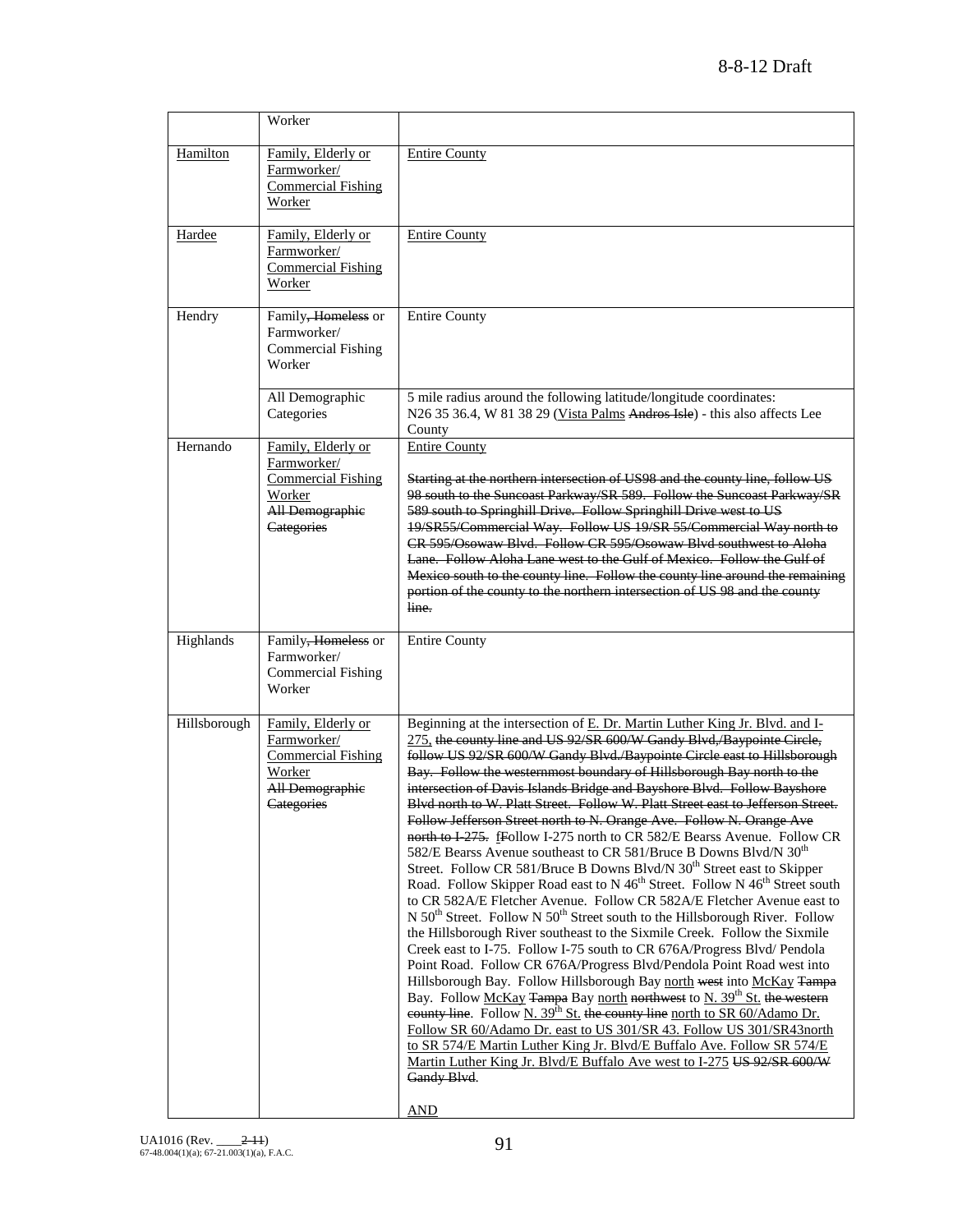|              | Worker                                                                                                                  |                                                                                                                                                                                                                                                                                                                                                                                                                                                                                                                                                                                                                                                                                                                                                                                                                                                                                                                                                                                                                                                                                                                                                                                                                                                                                                                                                                                                                                                                                                                                                                                                                                                                                                                                                                                                                       |
|--------------|-------------------------------------------------------------------------------------------------------------------------|-----------------------------------------------------------------------------------------------------------------------------------------------------------------------------------------------------------------------------------------------------------------------------------------------------------------------------------------------------------------------------------------------------------------------------------------------------------------------------------------------------------------------------------------------------------------------------------------------------------------------------------------------------------------------------------------------------------------------------------------------------------------------------------------------------------------------------------------------------------------------------------------------------------------------------------------------------------------------------------------------------------------------------------------------------------------------------------------------------------------------------------------------------------------------------------------------------------------------------------------------------------------------------------------------------------------------------------------------------------------------------------------------------------------------------------------------------------------------------------------------------------------------------------------------------------------------------------------------------------------------------------------------------------------------------------------------------------------------------------------------------------------------------------------------------------------------|
| Hamilton     | Family, Elderly or<br>Farmworker/<br><b>Commercial Fishing</b><br>Worker                                                | <b>Entire County</b>                                                                                                                                                                                                                                                                                                                                                                                                                                                                                                                                                                                                                                                                                                                                                                                                                                                                                                                                                                                                                                                                                                                                                                                                                                                                                                                                                                                                                                                                                                                                                                                                                                                                                                                                                                                                  |
| Hardee       | Family, Elderly or<br>Farmworker/<br><b>Commercial Fishing</b><br>Worker                                                | <b>Entire County</b>                                                                                                                                                                                                                                                                                                                                                                                                                                                                                                                                                                                                                                                                                                                                                                                                                                                                                                                                                                                                                                                                                                                                                                                                                                                                                                                                                                                                                                                                                                                                                                                                                                                                                                                                                                                                  |
| Hendry       | Family, Homeless or<br>Farmworker/<br>Commercial Fishing<br>Worker                                                      | <b>Entire County</b>                                                                                                                                                                                                                                                                                                                                                                                                                                                                                                                                                                                                                                                                                                                                                                                                                                                                                                                                                                                                                                                                                                                                                                                                                                                                                                                                                                                                                                                                                                                                                                                                                                                                                                                                                                                                  |
|              | All Demographic<br>Categories                                                                                           | 5 mile radius around the following latitude/longitude coordinates:<br>N26 35 36.4, W 81 38 29 (Vista Palms Andros Isle) - this also affects Lee<br>County                                                                                                                                                                                                                                                                                                                                                                                                                                                                                                                                                                                                                                                                                                                                                                                                                                                                                                                                                                                                                                                                                                                                                                                                                                                                                                                                                                                                                                                                                                                                                                                                                                                             |
| Hernando     | Family, Elderly or<br>Farmworker/<br><b>Commercial Fishing</b><br>Worker<br><b>All Demographic</b><br><b>Categories</b> | <b>Entire County</b><br>Starting at the northern intersection of US98 and the county line, follow US<br>98 south to the Suncoast Parkway/SR 589. Follow the Suncoast Parkway/SR<br>589 south to Springhill Drive. Follow Springhill Drive west to US<br>19/SR55/Commercial Way. Follow US 19/SR 55/Commercial Way north to<br>CR 595/Osowaw Blvd. Follow CR 595/Osowaw Blvd southwest to Aloha<br>Lane. Follow Aloha Lane west to the Gulf of Mexico. Follow the Gulf of<br>Mexico south to the county line. Follow the county line around the remaining<br>portion of the county to the northern intersection of US 98 and the county<br>line.                                                                                                                                                                                                                                                                                                                                                                                                                                                                                                                                                                                                                                                                                                                                                                                                                                                                                                                                                                                                                                                                                                                                                                       |
| Highlands    | Family <del>, Homeless</del> or<br>Farmworker/<br>Commercial Fishing<br>Worker                                          | <b>Entire County</b>                                                                                                                                                                                                                                                                                                                                                                                                                                                                                                                                                                                                                                                                                                                                                                                                                                                                                                                                                                                                                                                                                                                                                                                                                                                                                                                                                                                                                                                                                                                                                                                                                                                                                                                                                                                                  |
| Hillsborough | Family, Elderly or<br>Farmworker/<br><b>Commercial Fishing</b><br>Worker<br>All Demographic<br>Categories               | Beginning at the intersection of E. Dr. Martin Luther King Jr. Blvd. and I-<br>275, the county line and US 92/SR 600/W Gandy Blvd,/Baypointe Circle,<br>follow US 92/SR 600/W Gandy Blvd./Baypointe Circle east to Hillsborough<br>Bay. Follow the westernmost boundary of Hillsborough Bay north to the<br>intersection of Davis Islands Bridge and Bayshore Blvd. Follow Bayshore<br>Blvd north to W. Platt Street. Follow W. Platt Street east to Jefferson Street.<br>Follow Jefferson Street north to N. Orange Ave. Follow N. Orange Ave<br>north to I-275. fFollow I-275 north to CR 582/E Bearss Avenue. Follow CR<br>582/E Bearss Avenue southeast to CR 581/Bruce B Downs Blvd/N 30 <sup>th</sup><br>Street. Follow CR 581/Bruce B Downs Blvd/N 30 <sup>th</sup> Street east to Skipper<br>Road. Follow Skipper Road east to N 46 <sup>th</sup> Street. Follow N 46 <sup>th</sup> Street south<br>to CR 582A/E Fletcher Avenue. Follow CR 582A/E Fletcher Avenue east to<br>N $50^{th}$ Street. Follow N $50^{th}$ Street south to the Hillsborough River. Follow<br>the Hillsborough River southeast to the Sixmile Creek. Follow the Sixmile<br>Creek east to I-75. Follow I-75 south to CR 676A/Progress Blvd/ Pendola<br>Point Road. Follow CR 676A/Progress Blvd/Pendola Point Road west into<br>Hillsborough Bay. Follow Hillsborough Bay north west into McKay Tampa<br>Bay. Follow McKay Tampa Bay north northwest to N. 39 <sup>th</sup> St. the western<br>county line. Follow N. $39^{th}$ St. the county line north to SR 60/Adamo Dr.<br>Follow SR 60/Adamo Dr. east to US 301/SR 43. Follow US 301/SR43north<br>to SR 574/E Martin Luther King Jr. Blvd/E Buffalo Ave. Follow SR 574/E<br>Martin Luther King Jr. Blvd/E Buffalo Ave west to I-275 US 92/SR 600/W<br>Gandy Blvd.<br><b>AND</b> |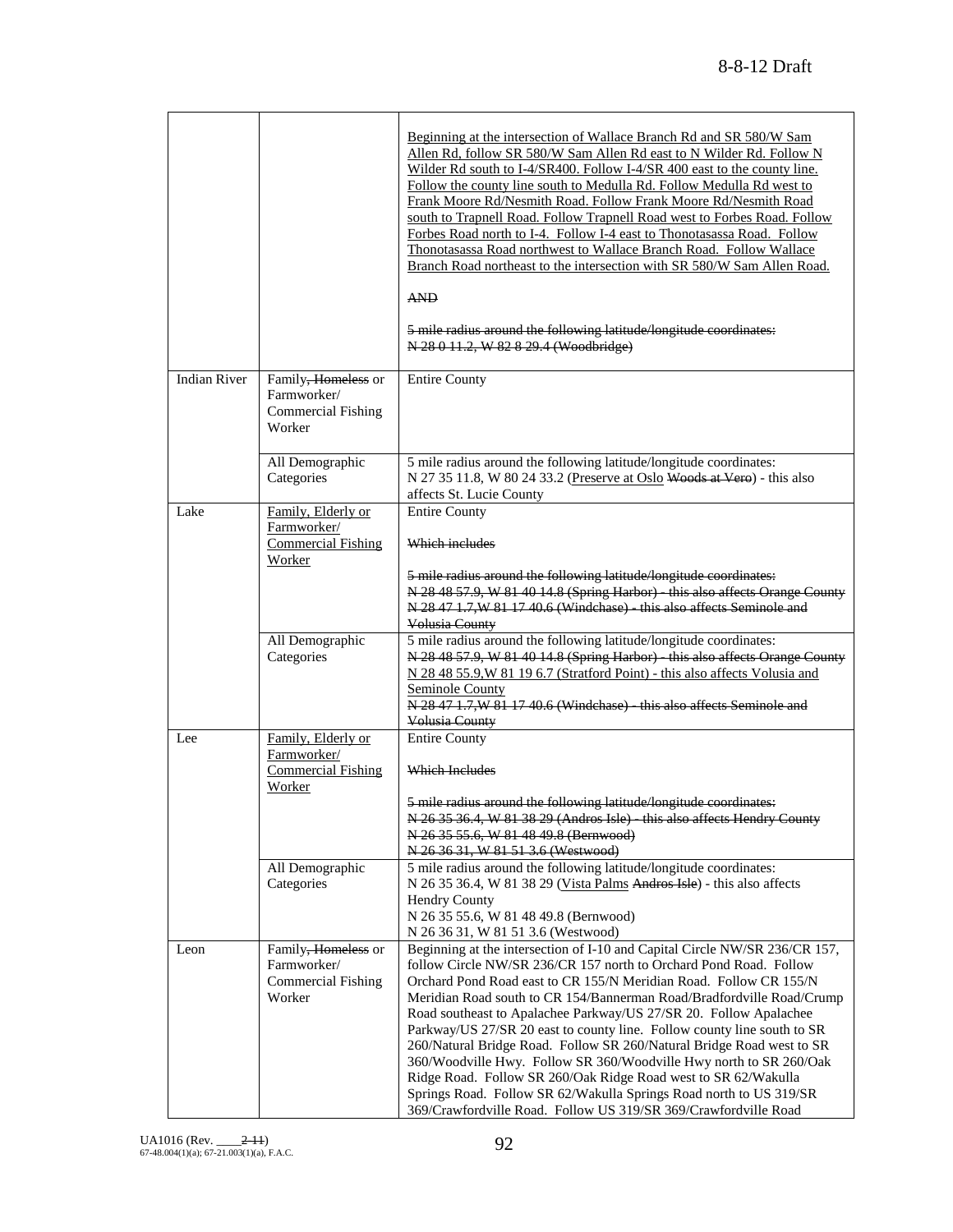|                     |                                                                           | Beginning at the intersection of Wallace Branch Rd and SR 580/W Sam<br>Allen Rd, follow SR 580/W Sam Allen Rd east to N Wilder Rd. Follow N<br>Wilder Rd south to I-4/SR400. Follow I-4/SR 400 east to the county line.<br>Follow the county line south to Medulla Rd. Follow Medulla Rd west to<br>Frank Moore Rd/Nesmith Road. Follow Frank Moore Rd/Nesmith Road<br>south to Trapnell Road. Follow Trapnell Road west to Forbes Road. Follow<br>Forbes Road north to I-4. Follow I-4 east to Thonotasassa Road. Follow<br>Thonotasassa Road northwest to Wallace Branch Road. Follow Wallace<br>Branch Road northeast to the intersection with SR 580/W Sam Allen Road.<br><b>AND</b><br>5 mile radius around the following latitude/longitude coordinates:<br>N 28 0 11.2, W 82 8 29.4 (Woodbridge) |
|---------------------|---------------------------------------------------------------------------|---------------------------------------------------------------------------------------------------------------------------------------------------------------------------------------------------------------------------------------------------------------------------------------------------------------------------------------------------------------------------------------------------------------------------------------------------------------------------------------------------------------------------------------------------------------------------------------------------------------------------------------------------------------------------------------------------------------------------------------------------------------------------------------------------------|
| <b>Indian River</b> | Family, Homeless or<br>Farmworker/<br><b>Commercial Fishing</b><br>Worker | <b>Entire County</b>                                                                                                                                                                                                                                                                                                                                                                                                                                                                                                                                                                                                                                                                                                                                                                                    |
|                     | All Demographic<br>Categories                                             | 5 mile radius around the following latitude/longitude coordinates:<br>N 27 35 11.8, W 80 24 33.2 (Preserve at Oslo Woods at Vero) - this also<br>affects St. Lucie County                                                                                                                                                                                                                                                                                                                                                                                                                                                                                                                                                                                                                               |
| Lake                | Family, Elderly or<br>Farmworker/<br><b>Commercial Fishing</b><br>Worker  | <b>Entire County</b><br>Which includes                                                                                                                                                                                                                                                                                                                                                                                                                                                                                                                                                                                                                                                                                                                                                                  |
|                     |                                                                           | 5 mile radius around the following latitude/longitude coordinates:<br>N 28 48 57.9, W 81 40 14.8 (Spring Harbor) - this also affects Orange County<br>N 28 47 1.7, W 81 17 40.6 (Windchase) - this also affects Seminole and<br>Volusia County                                                                                                                                                                                                                                                                                                                                                                                                                                                                                                                                                          |
|                     | All Demographic<br>Categories                                             | 5 mile radius around the following latitude/longitude coordinates:<br>N 28 48 57.9, W 81 40 14.8 (Spring Harbor) - this also affects Orange County<br>N 28 48 55.9, W 81 19 6.7 (Stratford Point) - this also affects Volusia and<br>Seminole County<br>N 28 47 1.7, W 81 17 40.6 (Windchase) - this also affects Seminole and<br>Volusia County                                                                                                                                                                                                                                                                                                                                                                                                                                                        |
| Lee                 | Family, Elderly or<br>Farmworker/<br><b>Commercial Fishing</b><br>Worker  | <b>Entire County</b><br><b>Which Includes</b>                                                                                                                                                                                                                                                                                                                                                                                                                                                                                                                                                                                                                                                                                                                                                           |
|                     |                                                                           | 5 mile radius around the following latitude/longitude coordinates:<br>N 26 35 36.4, W 81 38 29 (Andros Isle) - this also affects Hendry County<br>N 26 35 55.6, W 81 48 49.8 (Bernwood)<br>N 26 36 31, W 81 51 3.6 (Westwood)                                                                                                                                                                                                                                                                                                                                                                                                                                                                                                                                                                           |
|                     | All Demographic<br>Categories                                             | 5 mile radius around the following latitude/longitude coordinates:<br>N 26 35 36.4, W 81 38 29 (Vista Palms Andros Isle) - this also affects<br><b>Hendry County</b><br>N 26 35 55.6, W 81 48 49.8 (Bernwood)<br>N 26 36 31, W 81 51 3.6 (Westwood)                                                                                                                                                                                                                                                                                                                                                                                                                                                                                                                                                     |
| Leon                | Family, Homeless or<br>Farmworker/<br><b>Commercial Fishing</b><br>Worker | Beginning at the intersection of I-10 and Capital Circle NW/SR 236/CR 157,<br>follow Circle NW/SR 236/CR 157 north to Orchard Pond Road. Follow<br>Orchard Pond Road east to CR 155/N Meridian Road. Follow CR 155/N<br>Meridian Road south to CR 154/Bannerman Road/Bradfordville Road/Crump<br>Road southeast to Apalachee Parkway/US 27/SR 20. Follow Apalachee<br>Parkway/US 27/SR 20 east to county line. Follow county line south to SR<br>260/Natural Bridge Road. Follow SR 260/Natural Bridge Road west to SR<br>360/Woodville Hwy. Follow SR 360/Woodville Hwy north to SR 260/Oak<br>Ridge Road. Follow SR 260/Oak Ridge Road west to SR 62/Wakulla<br>Springs Road. Follow SR 62/Wakulla Springs Road north to US 319/SR<br>369/Crawfordville Road. Follow US 319/SR 369/Crawfordville Road |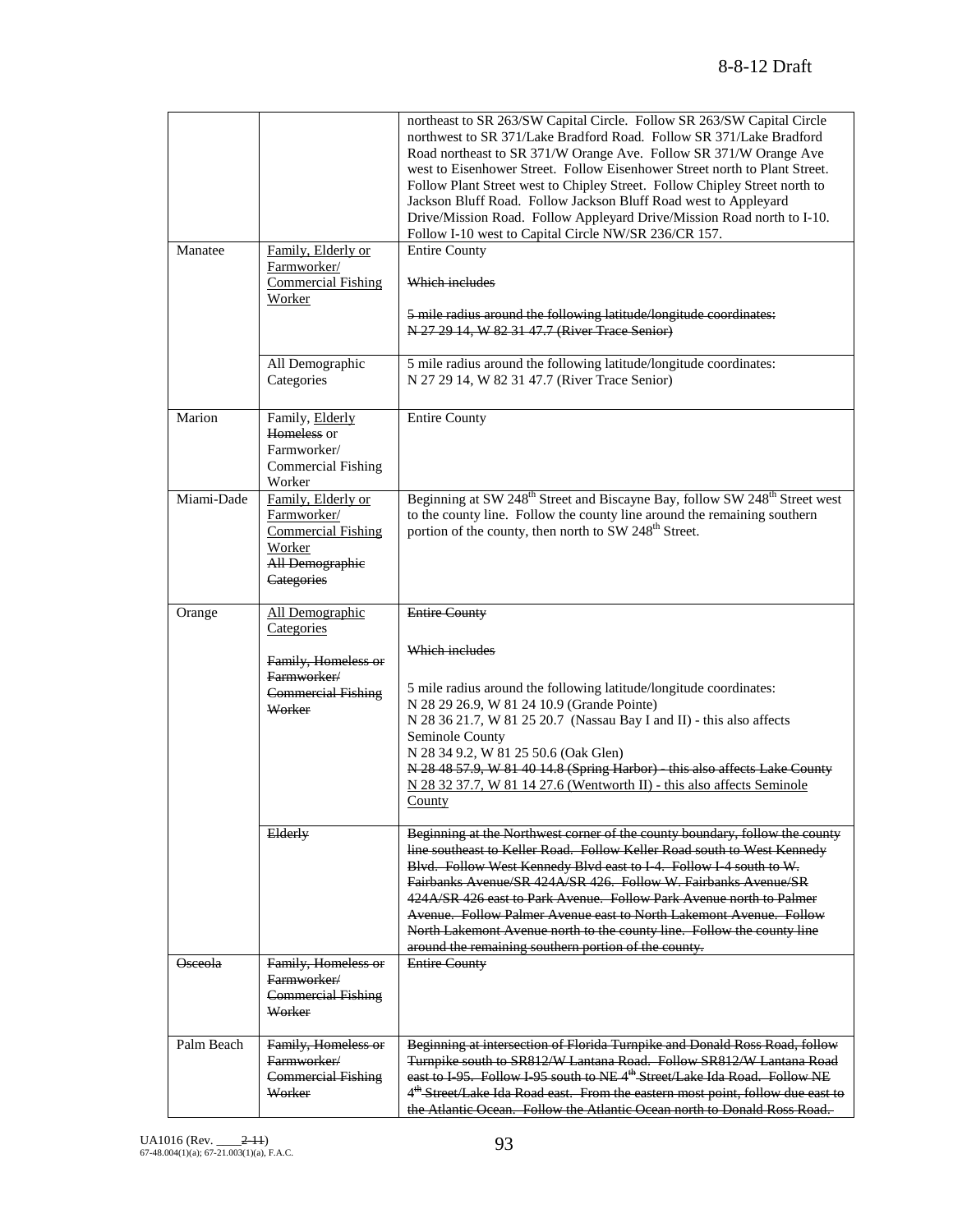| Manatee        | Family, Elderly or                                                                                               | northeast to SR 263/SW Capital Circle. Follow SR 263/SW Capital Circle<br>northwest to SR 371/Lake Bradford Road. Follow SR 371/Lake Bradford<br>Road northeast to SR 371/W Orange Ave. Follow SR 371/W Orange Ave<br>west to Eisenhower Street. Follow Eisenhower Street north to Plant Street.<br>Follow Plant Street west to Chipley Street. Follow Chipley Street north to<br>Jackson Bluff Road. Follow Jackson Bluff Road west to Appleyard<br>Drive/Mission Road. Follow Appleyard Drive/Mission Road north to I-10.<br>Follow I-10 west to Capital Circle NW/SR 236/CR 157.<br><b>Entire County</b> |
|----------------|------------------------------------------------------------------------------------------------------------------|-------------------------------------------------------------------------------------------------------------------------------------------------------------------------------------------------------------------------------------------------------------------------------------------------------------------------------------------------------------------------------------------------------------------------------------------------------------------------------------------------------------------------------------------------------------------------------------------------------------|
|                | Farmworker/<br><b>Commercial Fishing</b><br>Worker                                                               | Which includes<br>5 mile radius around the following latitude/longitude coordinates:<br>N 27 29 14, W 82 31 47.7 (River Trace Senior)                                                                                                                                                                                                                                                                                                                                                                                                                                                                       |
|                | All Demographic<br>Categories                                                                                    | 5 mile radius around the following latitude/longitude coordinates:<br>N 27 29 14, W 82 31 47.7 (River Trace Senior)                                                                                                                                                                                                                                                                                                                                                                                                                                                                                         |
| Marion         | Family, Elderly<br>Homeless or<br>Farmworker/<br><b>Commercial Fishing</b><br>Worker                             | <b>Entire County</b>                                                                                                                                                                                                                                                                                                                                                                                                                                                                                                                                                                                        |
| Miami-Dade     | Family, Elderly or<br>Farmworker/<br><b>Commercial Fishing</b><br>Worker<br><b>All Demographie</b><br>Categories | Beginning at SW 248 <sup>th</sup> Street and Biscayne Bay, follow SW 248 <sup>th</sup> Street west<br>to the county line. Follow the county line around the remaining southern<br>portion of the county, then north to SW 248 <sup>th</sup> Street.                                                                                                                                                                                                                                                                                                                                                         |
| Orange         | All Demographic<br>Categories                                                                                    | <b>Entire County</b>                                                                                                                                                                                                                                                                                                                                                                                                                                                                                                                                                                                        |
|                | Family, Homeless or<br>Farmworker/                                                                               | Which includes                                                                                                                                                                                                                                                                                                                                                                                                                                                                                                                                                                                              |
|                | <b>Commercial Fishing</b><br>Worker                                                                              | 5 mile radius around the following latitude/longitude coordinates:<br>N 28 29 26.9, W 81 24 10.9 (Grande Pointe)<br>N 28 36 21.7, W 81 25 20.7 (Nassau Bay I and II) - this also affects<br>Seminole County<br>N 28 34 9.2, W 81 25 50.6 (Oak Glen)<br>N 28 48 57.9, W 81 40 14.8 (Spring Harbor) - this also affects Lake County<br>N 28 32 37.7, W 81 14 27.6 (Wentworth II) - this also affects Seminole<br>County                                                                                                                                                                                       |
|                | Elderly                                                                                                          | Beginning at the Northwest corner of the county boundary, follow the county<br>line southeast to Keller Road. Follow Keller Road south to West Kennedy<br>Blvd. Follow West Kennedy Blvd east to I-4. Follow I-4 south to W.<br>Fairbanks Avenue/SR 424A/SR 426. Follow W. Fairbanks Avenue/SR<br>424A/SR 426 east to Park Avenue. Follow Park Avenue north to Palmer<br><b>Avenue. Follow Palmer Avenue east to North Lakemont Avenue. Follow</b><br>North Lakemont Avenue north to the county line. Follow the county line<br>around the remaining southern portion of the county.                        |
| <b>Osceola</b> | Family, Homeless or<br>Farmworker/<br><b>Commercial Fishing</b><br>Worker                                        | <b>Entire County</b>                                                                                                                                                                                                                                                                                                                                                                                                                                                                                                                                                                                        |
| Palm Beach     | Family, Homeless or<br>Farmworker/<br><b>Commercial Fishing</b><br>Worker                                        | Beginning at intersection of Florida Turnpike and Donald Ross Road, follow<br>Turnpike south to SR812/W Lantana Road. Follow SR812/W Lantana Road<br>east to I 95. Follow I 95 south to NE4 <sup>th</sup> Street/Lake Ida Road. Follow NE<br>4 <sup>th</sup> Street/Lake Ida Road east. From the eastern most point, follow due east to<br>the Atlantic Ocean. Follow the Atlantic Ocean north to Donald Ross Road.                                                                                                                                                                                         |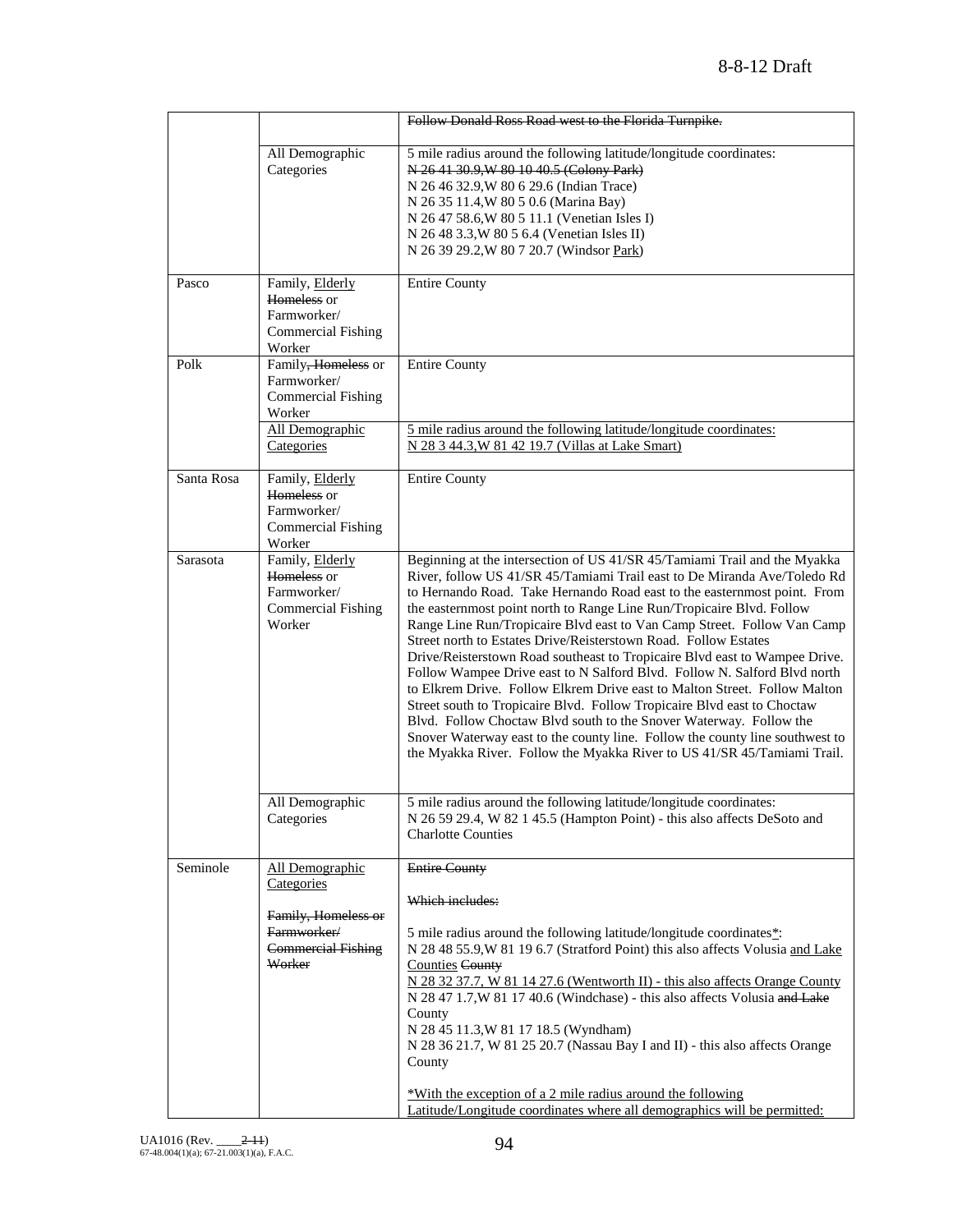|            |                                                                                                            | Follow Donald Ross Road west to the Florida Turnpike.                                                                                                                                                                                                                                                                                                                                                                                                                                                                                                                                                                                                                                                                                                                                                                                                                                                                                                                                                       |
|------------|------------------------------------------------------------------------------------------------------------|-------------------------------------------------------------------------------------------------------------------------------------------------------------------------------------------------------------------------------------------------------------------------------------------------------------------------------------------------------------------------------------------------------------------------------------------------------------------------------------------------------------------------------------------------------------------------------------------------------------------------------------------------------------------------------------------------------------------------------------------------------------------------------------------------------------------------------------------------------------------------------------------------------------------------------------------------------------------------------------------------------------|
|            | All Demographic<br>Categories                                                                              | 5 mile radius around the following latitude/longitude coordinates:<br>N 26 41 30.9, W 80 10 40.5 (Colony Park)<br>N 26 46 32.9, W 80 6 29.6 (Indian Trace)<br>N 26 35 11.4, W 80 5 0.6 (Marina Bay)<br>N 26 47 58.6, W 80 5 11.1 (Venetian Isles I)<br>N 26 48 3.3, W 80 5 6.4 (Venetian Isles II)<br>N 26 39 29.2, W 80 7 20.7 (Windsor Park)                                                                                                                                                                                                                                                                                                                                                                                                                                                                                                                                                                                                                                                              |
| Pasco      | Family, Elderly<br>Homeless or<br>Farmworker/<br><b>Commercial Fishing</b><br>Worker                       | <b>Entire County</b>                                                                                                                                                                                                                                                                                                                                                                                                                                                                                                                                                                                                                                                                                                                                                                                                                                                                                                                                                                                        |
| Polk       | Family, Homeless or<br>Farmworker/<br><b>Commercial Fishing</b><br>Worker<br>All Demographic               | <b>Entire County</b><br>5 mile radius around the following latitude/longitude coordinates:                                                                                                                                                                                                                                                                                                                                                                                                                                                                                                                                                                                                                                                                                                                                                                                                                                                                                                                  |
|            | Categories                                                                                                 | N 28 3 44.3, W 81 42 19.7 (Villas at Lake Smart)                                                                                                                                                                                                                                                                                                                                                                                                                                                                                                                                                                                                                                                                                                                                                                                                                                                                                                                                                            |
| Santa Rosa | Family, Elderly<br>Homeless or<br>Farmworker/<br><b>Commercial Fishing</b><br>Worker                       | <b>Entire County</b>                                                                                                                                                                                                                                                                                                                                                                                                                                                                                                                                                                                                                                                                                                                                                                                                                                                                                                                                                                                        |
| Sarasota   | Family, Elderly<br>Homeless or<br>Farmworker/<br><b>Commercial Fishing</b><br>Worker                       | Beginning at the intersection of US 41/SR 45/Tamiami Trail and the Myakka<br>River, follow US 41/SR 45/Tamiami Trail east to De Miranda Ave/Toledo Rd<br>to Hernando Road. Take Hernando Road east to the easternmost point. From<br>the easternmost point north to Range Line Run/Tropicaire Blvd. Follow<br>Range Line Run/Tropicaire Blvd east to Van Camp Street. Follow Van Camp<br>Street north to Estates Drive/Reisterstown Road. Follow Estates<br>Drive/Reisterstown Road southeast to Tropicaire Blvd east to Wampee Drive.<br>Follow Wampee Drive east to N Salford Blvd. Follow N. Salford Blvd north<br>to Elkrem Drive. Follow Elkrem Drive east to Malton Street. Follow Malton<br>Street south to Tropicaire Blvd. Follow Tropicaire Blvd east to Choctaw<br>Blvd. Follow Choctaw Blvd south to the Snover Waterway. Follow the<br>Snover Waterway east to the county line. Follow the county line southwest to<br>the Myakka River. Follow the Myakka River to US 41/SR 45/Tamiami Trail. |
|            | All Demographic<br>Categories                                                                              | 5 mile radius around the following latitude/longitude coordinates:<br>N 26 59 29.4, W 82 1 45.5 (Hampton Point) - this also affects DeSoto and<br><b>Charlotte Counties</b>                                                                                                                                                                                                                                                                                                                                                                                                                                                                                                                                                                                                                                                                                                                                                                                                                                 |
| Seminole   | All Demographic<br>Categories<br>Family, Homeless or<br>Farmworker/<br><b>Commercial Fishing</b><br>Worker | <b>Entire County</b><br>Which includes:<br>5 mile radius around the following latitude/longitude coordinates*:<br>N 28 48 55.9, W 81 19 6.7 (Stratford Point) this also affects Volusia and Lake<br><b>Counties County</b><br>$N$ 28 32 37.7, W 81 14 27.6 (Wentworth II) - this also affects Orange County<br>N 28 47 1.7, W 81 17 40.6 (Windchase) - this also affects Volusia and Lake<br>County<br>N 28 45 11.3, W 81 17 18.5 (Wyndham)<br>N 28 36 21.7, W 81 25 20.7 (Nassau Bay I and II) - this also affects Orange<br>County<br>*With the exception of a 2 mile radius around the following<br>Latitude/Longitude coordinates where all demographics will be permitted:                                                                                                                                                                                                                                                                                                                             |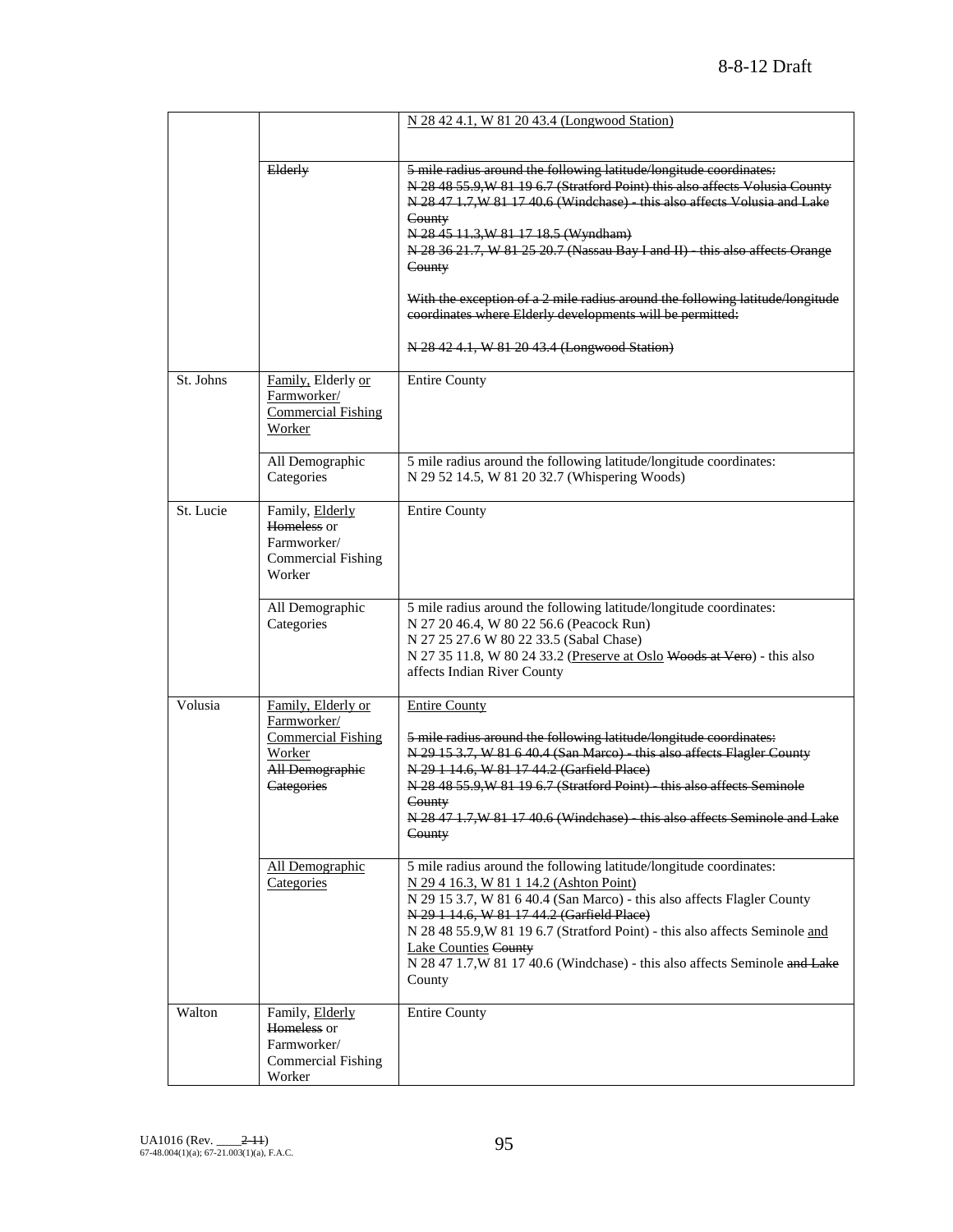|           |                                                                                                                  | N 28 42 4.1, W 81 20 43.4 (Longwood Station)                                                                                                                                                                                                                                                                                                                                                                                                   |
|-----------|------------------------------------------------------------------------------------------------------------------|------------------------------------------------------------------------------------------------------------------------------------------------------------------------------------------------------------------------------------------------------------------------------------------------------------------------------------------------------------------------------------------------------------------------------------------------|
|           |                                                                                                                  |                                                                                                                                                                                                                                                                                                                                                                                                                                                |
|           | Elderly                                                                                                          | 5 mile radius around the following latitude/longitude coordinates:<br>N 28 48 55.9, W 81 19 6.7 (Stratford Point) this also affects Volusia County<br>N 28 47 1.7, W 81 17 40.6 (Windchase) - this also affects Volusia and Lake<br>County<br>N 28 45 11.3, W 81 17 18.5 (Wyndham)<br>N 28 36 21.7, W 81 25 20.7 (Nassau Bay I and II) - this also affects Orange<br>County                                                                    |
|           |                                                                                                                  | With the exception of a 2 mile radius around the following latitude/longitude<br>coordinates where Elderly developments will be permitted.<br>N 28 42 4.1, W 81 20 43.4 (Longwood Station)                                                                                                                                                                                                                                                     |
| St. Johns | Family, Elderly or<br>Farmworker/<br><b>Commercial Fishing</b><br>Worker                                         | <b>Entire County</b>                                                                                                                                                                                                                                                                                                                                                                                                                           |
|           | All Demographic<br>Categories                                                                                    | 5 mile radius around the following latitude/longitude coordinates:<br>N 29 52 14.5, W 81 20 32.7 (Whispering Woods)                                                                                                                                                                                                                                                                                                                            |
| St. Lucie | Family, Elderly<br>Homeless or<br>Farmworker/<br><b>Commercial Fishing</b><br>Worker                             | <b>Entire County</b>                                                                                                                                                                                                                                                                                                                                                                                                                           |
|           | All Demographic<br>Categories                                                                                    | 5 mile radius around the following latitude/longitude coordinates:<br>N 27 20 46.4, W 80 22 56.6 (Peacock Run)<br>N 27 25 27.6 W 80 22 33.5 (Sabal Chase)<br>N 27 35 11.8, W 80 24 33.2 (Preserve at Oslo Woods at Vero) - this also<br>affects Indian River County                                                                                                                                                                            |
| Volusia   | Family, Elderly or<br>Farmworker/<br><b>Commercial Fishing</b><br>Worker<br><b>All Demographic</b><br>Categories | <b>Entire County</b><br>5 mile radius around the following latitude/longitude coordinates:<br>N 29 15 3.7, W 81 6 40.4 (San Marco) - this also affects Flagler County<br>N 29 1 14.6, W 81 17 44.2 (Garfield Place)<br>N 28 48 55.9, W 81 19 6.7 (Stratford Point) - this also affects Seminole<br>County<br>N 28 47 1.7, W 81 17 40.6 (Windehase) - this also affects Seminole and Lake<br>County                                             |
|           | All Demographic<br>Categories                                                                                    | 5 mile radius around the following latitude/longitude coordinates:<br>N 29 4 16.3, W 81 1 14.2 (Ashton Point)<br>N 29 15 3.7, W 81 6 40.4 (San Marco) - this also affects Flagler County<br>N 29 1 14.6, W 81 17 44.2 (Garfield Place)<br>N 28 48 55.9, W 81 19 6.7 (Stratford Point) - this also affects Seminole and<br><b>Lake Counties County</b><br>N 28 47 1.7, W 81 17 40.6 (Windchase) - this also affects Seminole and Lake<br>County |
| Walton    | Family, Elderly<br>Homeless or<br>Farmworker/<br><b>Commercial Fishing</b><br>Worker                             | <b>Entire County</b>                                                                                                                                                                                                                                                                                                                                                                                                                           |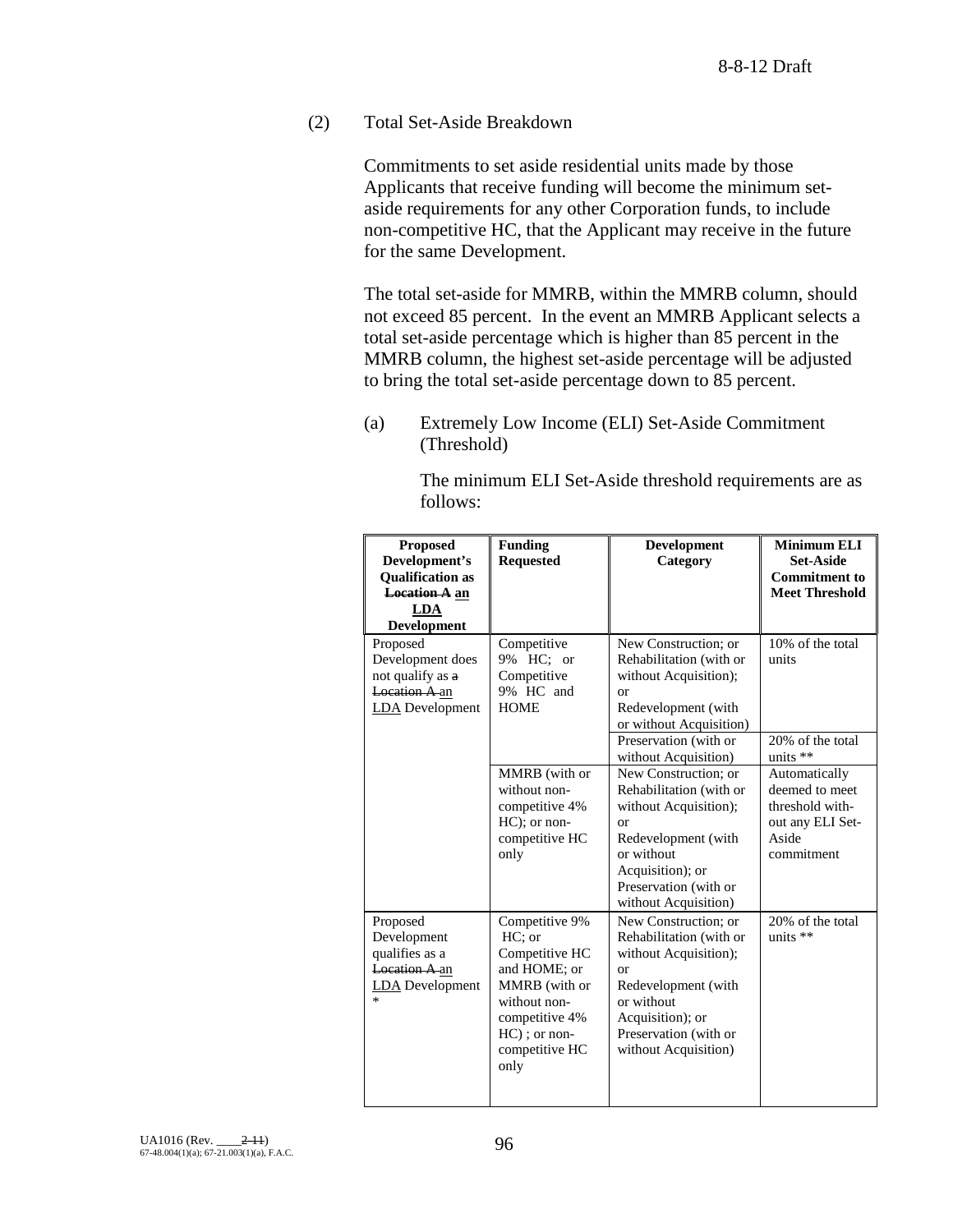(2) Total Set-Aside Breakdown

Commitments to set aside residential units made by those Applicants that receive funding will become the minimum setaside requirements for any other Corporation funds, to include non-competitive HC, that the Applicant may receive in the future for the same Development.

The total set-aside for MMRB, within the MMRB column, should not exceed 85 percent. In the event an MMRB Applicant selects a total set-aside percentage which is higher than 85 percent in the MMRB column, the highest set-aside percentage will be adjusted to bring the total set-aside percentage down to 85 percent.

(a) Extremely Low Income (ELI) Set-Aside Commitment (Threshold)

> The minimum ELI Set-Aside threshold requirements are as follows:

| <b>Proposed</b>         | <b>Funding</b>   | <b>Development</b>      | <b>Minimum ELI</b>    |
|-------------------------|------------------|-------------------------|-----------------------|
| Development's           | <b>Requested</b> | Category                | <b>Set-Aside</b>      |
| <b>Qualification as</b> |                  |                         | <b>Commitment to</b>  |
| <b>Location A</b> an    |                  |                         | <b>Meet Threshold</b> |
| <b>LDA</b>              |                  |                         |                       |
| <b>Development</b>      |                  |                         |                       |
| Proposed                | Competitive      | New Construction; or    | 10% of the total      |
| Development does        | 9% HC; or        | Rehabilitation (with or | units                 |
| not qualify as a        | Competitive      | without Acquisition);   |                       |
| Location A an           | 9% HC and        | or                      |                       |
| <b>LDA</b> Development  | <b>HOME</b>      | Redevelopment (with     |                       |
|                         |                  | or without Acquisition) |                       |
|                         |                  | Preservation (with or   | 20% of the total      |
|                         |                  | without Acquisition)    | units $**$            |
|                         | MMRB (with or    | New Construction; or    | Automatically         |
|                         | without non-     | Rehabilitation (with or | deemed to meet        |
|                         | competitive 4%   | without Acquisition);   | threshold with-       |
|                         | $HC$ ); or non-  | or                      | out any ELI Set-      |
|                         | competitive HC   | Redevelopment (with     | Aside                 |
|                         | only             | or without              | commitment            |
|                         |                  | Acquisition); or        |                       |
|                         |                  | Preservation (with or   |                       |
|                         |                  | without Acquisition)    |                       |
| Proposed                | Competitive 9%   | New Construction; or    | 20% of the total      |
| Development             | $HC:$ or         | Rehabilitation (with or | units $**$            |
| qualifies as a          | Competitive HC   | without Acquisition);   |                       |
| Location A an           | and HOME; or     | or                      |                       |
| <b>LDA</b> Development  | MMRB (with or    | Redevelopment (with     |                       |
| *                       | without non-     | or without              |                       |
|                         | competitive 4%   | Acquisition); or        |                       |
|                         | $HC$ ); or non-  | Preservation (with or   |                       |
|                         | competitive HC   | without Acquisition)    |                       |
|                         | only             |                         |                       |
|                         |                  |                         |                       |
|                         |                  |                         |                       |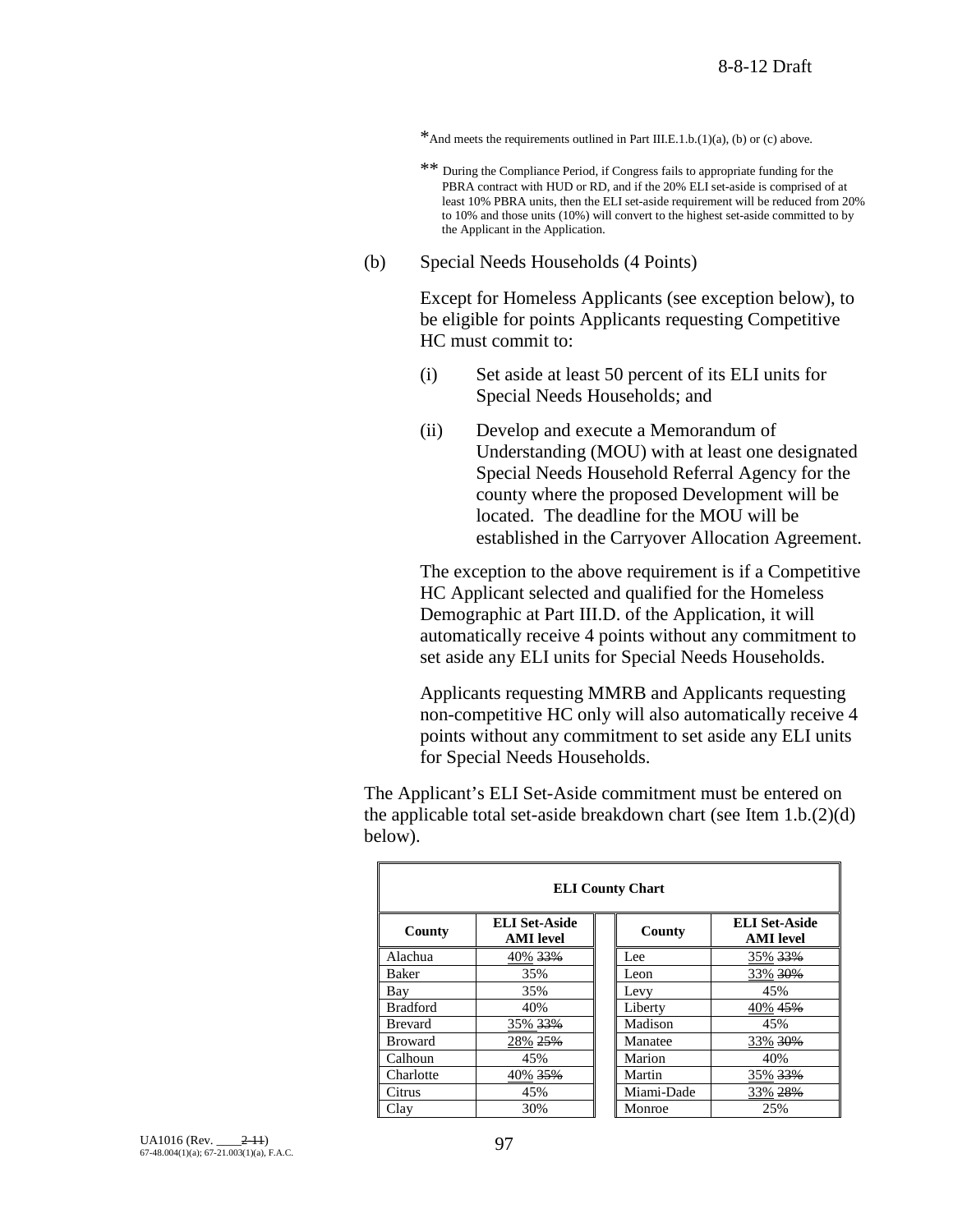- \*And meets the requirements outlined in Part III.E.1.b.(1)(a), (b) or (c) above.
- \*\* During the Compliance Period, if Congress fails to appropriate funding for the PBRA contract with HUD or RD, and if the 20% ELI set-aside is comprised of at least 10% PBRA units, then the ELI set-aside requirement will be reduced from 20% to 10% and those units (10%) will convert to the highest set-aside committed to by the Applicant in the Application.
- (b) Special Needs Households (4 Points)

Except for Homeless Applicants (see exception below), to be eligible for points Applicants requesting Competitive HC must commit to:

- (i) Set aside at least 50 percent of its ELI units for Special Needs Households; and
- (ii) Develop and execute a Memorandum of Understanding (MOU) with at least one designated Special Needs Household Referral Agency for the county where the proposed Development will be located. The deadline for the MOU will be established in the Carryover Allocation Agreement.

The exception to the above requirement is if a Competitive HC Applicant selected and qualified for the Homeless Demographic at Part III.D. of the Application, it will automatically receive 4 points without any commitment to set aside any ELI units for Special Needs Households.

Applicants requesting MMRB and Applicants requesting non-competitive HC only will also automatically receive 4 points without any commitment to set aside any ELI units for Special Needs Households.

The Applicant's ELI Set-Aside commitment must be entered on the applicable total set-aside breakdown chart (see Item 1.b.(2)(d) below).

| <b>ELI County Chart</b> |                                          |  |            |                                          |  |
|-------------------------|------------------------------------------|--|------------|------------------------------------------|--|
| County                  | <b>ELI Set-Aside</b><br><b>AMI</b> level |  | County     | <b>ELI Set-Aside</b><br><b>AMI</b> level |  |
| Alachua                 | 40% 33%                                  |  | Lee.       | 35% 33%                                  |  |
| Baker                   | 35%                                      |  | Leon       | 33% 30%                                  |  |
| Bay                     | 35%                                      |  | Levy       | 45%                                      |  |
| <b>Bradford</b>         | 40%                                      |  | Liberty    | 40% 45%                                  |  |
| <b>Brevard</b>          | 35% 33%                                  |  | Madison    | 45%                                      |  |
| <b>Broward</b>          | 28% 25%                                  |  | Manatee    | 33% 30%                                  |  |
| Calhoun                 | 45%                                      |  | Marion     | 40%                                      |  |
| Charlotte               | 40% 35%                                  |  | Martin     | 35% 33%                                  |  |
| Citrus                  | 45%                                      |  | Miami-Dade | 33% 28%                                  |  |
| Clay                    | 30%                                      |  | Monroe     | 25%                                      |  |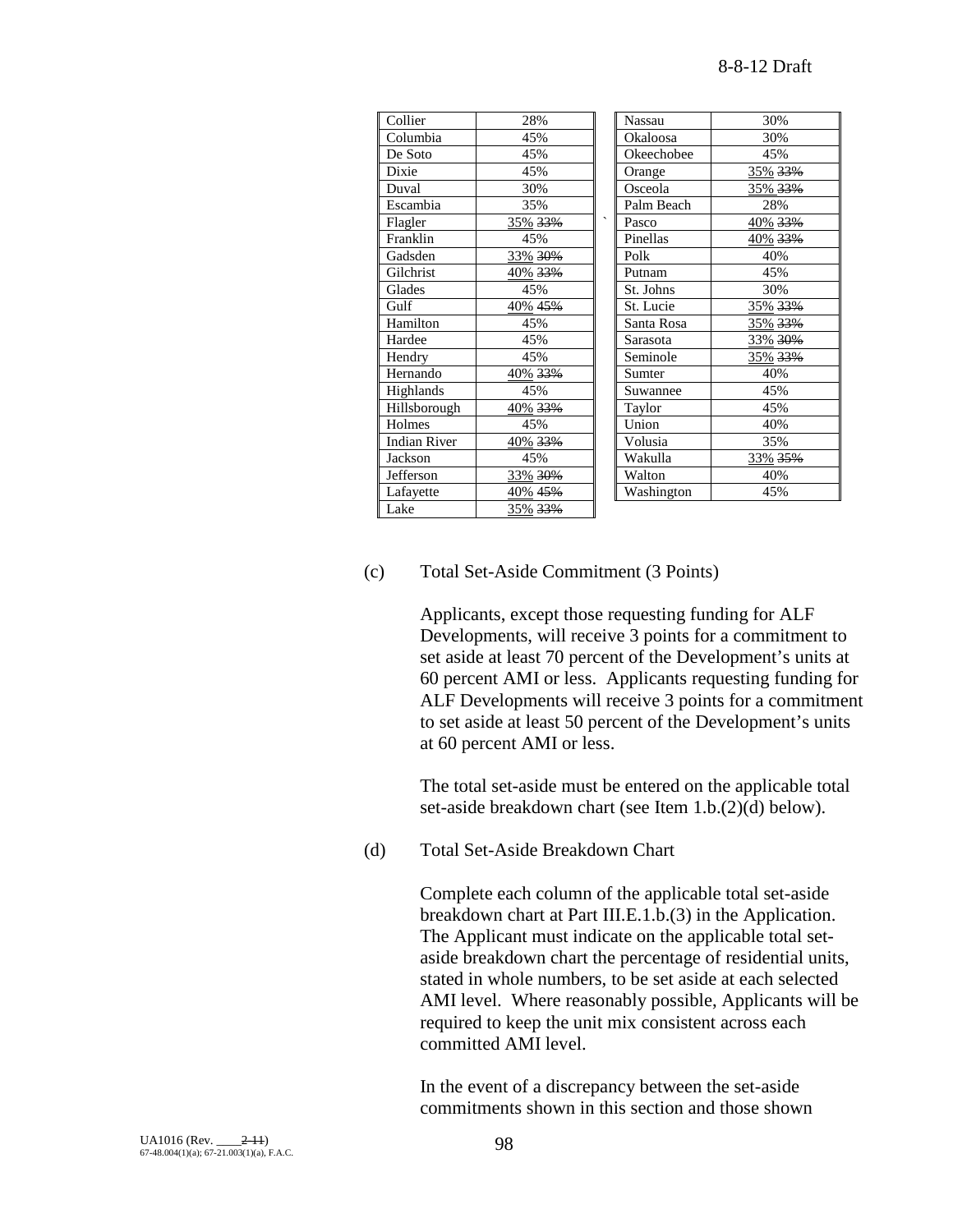| Collier             | 28%                | <b>Nassau</b>         | 30%     |
|---------------------|--------------------|-----------------------|---------|
| Columbia            | 45%                | Okaloosa              | 30%     |
| De Soto             | 45%                | Okeechobee            | 45%     |
| Dixie               | 45%                | Orange                | 35% 33% |
| Duval               | 30%                | Osceola               | 35% 33% |
| Escambia            | 35%                | Palm Beach            | 28%     |
| Flagler             | 35% <del>33%</del> | $\checkmark$<br>Pasco | 40% 33% |
| Franklin            | 45%                | Pinellas              | 40% 33% |
| Gadsden             | 33% 30%            | Polk                  | 40%     |
| Gilchrist           | <u>40% 33%</u>     | Putnam                | 45%     |
| Glades              | 45%                | St. Johns             | 30%     |
| Gulf                | 40% 45%            | St. Lucie             | 35% 33% |
| Hamilton            | 45%                | Santa Rosa            | 35% 33% |
| Hardee              | 45%                | Sarasota              | 33% 30% |
| Hendry              | 45%                | Seminole              | 35% 33% |
| Hernando            | 40% 33%            | Sumter                | 40%     |
| Highlands           | 45%                | Suwannee              | 45%     |
| Hillsborough        | 40% 33%            | Taylor                | 45%     |
| Holmes              | 45%                | Union                 | 40%     |
| <b>Indian River</b> | 40% 33%            | Volusia               | 35%     |
| Jackson             | 45%                | Wakulla               | 33% 35% |
| Jefferson           | 33% 30%            | Walton                | 40%     |
| Lafayette           | 40% <del>45%</del> | Washington            | 45%     |
| Lake                | 35% 33%            |                       |         |

| Nassau     | 30%     |
|------------|---------|
| Okaloosa   | 30%     |
|            |         |
| Okeechobee | 45%     |
| Orange     | 35% 33% |
| Osceola    | 35% 33% |
| Palm Beach | 28%     |
| Pasco      | 40% 33% |
| Pinellas   | 40% 33% |
| Polk       | 40%     |
| Putnam     | 45%     |
| St. Johns  | 30%     |
| St. Lucie  | 35% 33% |
| Santa Rosa | 35% 33% |
| Sarasota   | 33% 30% |
| Seminole   | 35% 33% |
| Sumter     | 40%     |
| Suwannee   | 45%     |
| Taylor     | 45%     |
| Union      | 40%     |
| Volusia    | 35%     |
| Wakulla    | 33% 35% |
| Walton     | 40%     |
| Washington | 45%     |

## (c) Total Set-Aside Commitment (3 Points)

Applicants, except those requesting funding for ALF Developments, will receive 3 points for a commitment to set aside at least 70 percent of the Development's units at 60 percent AMI or less. Applicants requesting funding for ALF Developments will receive 3 points for a commitment to set aside at least 50 percent of the Development's units at 60 percent AMI or less.

The total set-aside must be entered on the applicable total set-aside breakdown chart (see Item 1.b.(2)(d) below).

(d) Total Set-Aside Breakdown Chart

Complete each column of the applicable total set-aside breakdown chart at Part III.E.1.b.(3) in the Application. The Applicant must indicate on the applicable total setaside breakdown chart the percentage of residential units, stated in whole numbers, to be set aside at each selected AMI level. Where reasonably possible, Applicants will be required to keep the unit mix consistent across each committed AMI level.

In the event of a discrepancy between the set-aside commitments shown in this section and those shown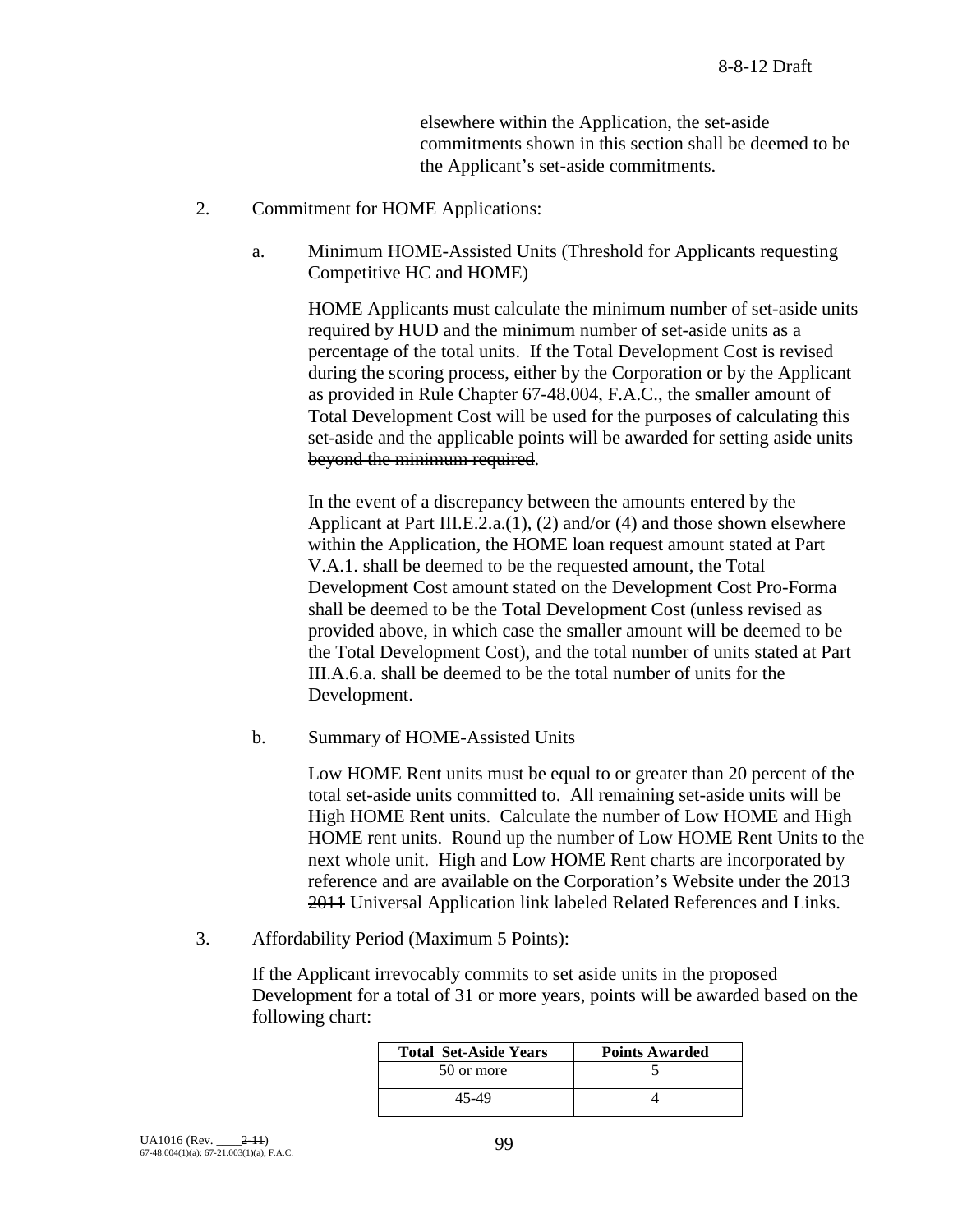elsewhere within the Application, the set-aside commitments shown in this section shall be deemed to be the Applicant's set-aside commitments.

- 2. Commitment for HOME Applications:
	- a. Minimum HOME-Assisted Units (Threshold for Applicants requesting Competitive HC and HOME)

HOME Applicants must calculate the minimum number of set-aside units required by HUD and the minimum number of set-aside units as a percentage of the total units. If the Total Development Cost is revised during the scoring process, either by the Corporation or by the Applicant as provided in Rule Chapter 67-48.004, F.A.C., the smaller amount of Total Development Cost will be used for the purposes of calculating this set-aside and the applicable points will be awarded for setting aside units beyond the minimum required.

In the event of a discrepancy between the amounts entered by the Applicant at Part III.E.2.a.(1), (2) and/or (4) and those shown elsewhere within the Application, the HOME loan request amount stated at Part V.A.1. shall be deemed to be the requested amount, the Total Development Cost amount stated on the Development Cost Pro-Forma shall be deemed to be the Total Development Cost (unless revised as provided above, in which case the smaller amount will be deemed to be the Total Development Cost), and the total number of units stated at Part III.A.6.a. shall be deemed to be the total number of units for the Development.

b. Summary of HOME-Assisted Units

Low HOME Rent units must be equal to or greater than 20 percent of the total set-aside units committed to. All remaining set-aside units will be High HOME Rent units. Calculate the number of Low HOME and High HOME rent units. Round up the number of Low HOME Rent Units to the next whole unit. High and Low HOME Rent charts are incorporated by reference and are available on the Corporation's Website under the 2013 2011 Universal Application link labeled Related References and Links.

3. Affordability Period (Maximum 5 Points):

If the Applicant irrevocably commits to set aside units in the proposed Development for a total of 31 or more years, points will be awarded based on the following chart:

| <b>Total Set-Aside Years</b> | <b>Points Awarded</b> |
|------------------------------|-----------------------|
| 50 or more                   |                       |
| 45-49                        |                       |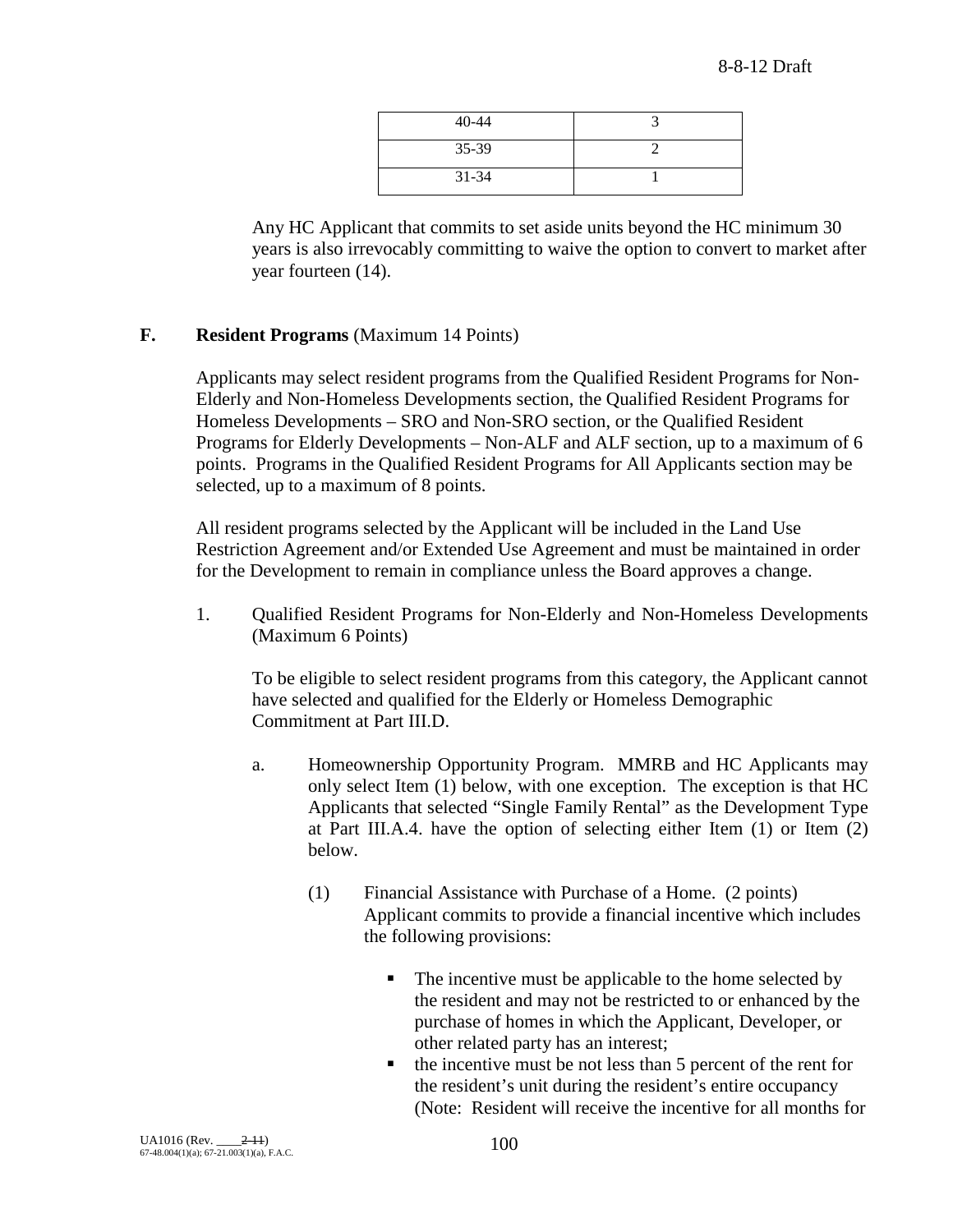| $40 - 44$ |  |
|-----------|--|
| $35-39$   |  |
| $31 - 34$ |  |

Any HC Applicant that commits to set aside units beyond the HC minimum 30 years is also irrevocably committing to waive the option to convert to market after year fourteen (14).

# **F. Resident Programs** (Maximum 14 Points)

Applicants may select resident programs from the Qualified Resident Programs for Non-Elderly and Non-Homeless Developments section, the Qualified Resident Programs for Homeless Developments – SRO and Non-SRO section, or the Qualified Resident Programs for Elderly Developments – Non-ALF and ALF section, up to a maximum of 6 points. Programs in the Qualified Resident Programs for All Applicants section may be selected, up to a maximum of 8 points.

All resident programs selected by the Applicant will be included in the Land Use Restriction Agreement and/or Extended Use Agreement and must be maintained in order for the Development to remain in compliance unless the Board approves a change.

1. Qualified Resident Programs for Non-Elderly and Non-Homeless Developments (Maximum 6 Points)

To be eligible to select resident programs from this category, the Applicant cannot have selected and qualified for the Elderly or Homeless Demographic Commitment at Part III.D.

- a. Homeownership Opportunity Program. MMRB and HC Applicants may only select Item (1) below, with one exception. The exception is that HC Applicants that selected "Single Family Rental" as the Development Type at Part III.A.4. have the option of selecting either Item (1) or Item (2) below.
	- (1) Financial Assistance with Purchase of a Home. (2 points) Applicant commits to provide a financial incentive which includes the following provisions:
		- The incentive must be applicable to the home selected by the resident and may not be restricted to or enhanced by the purchase of homes in which the Applicant, Developer, or other related party has an interest;
		- $\blacksquare$  the incentive must be not less than 5 percent of the rent for the resident's unit during the resident's entire occupancy (Note: Resident will receive the incentive for all months for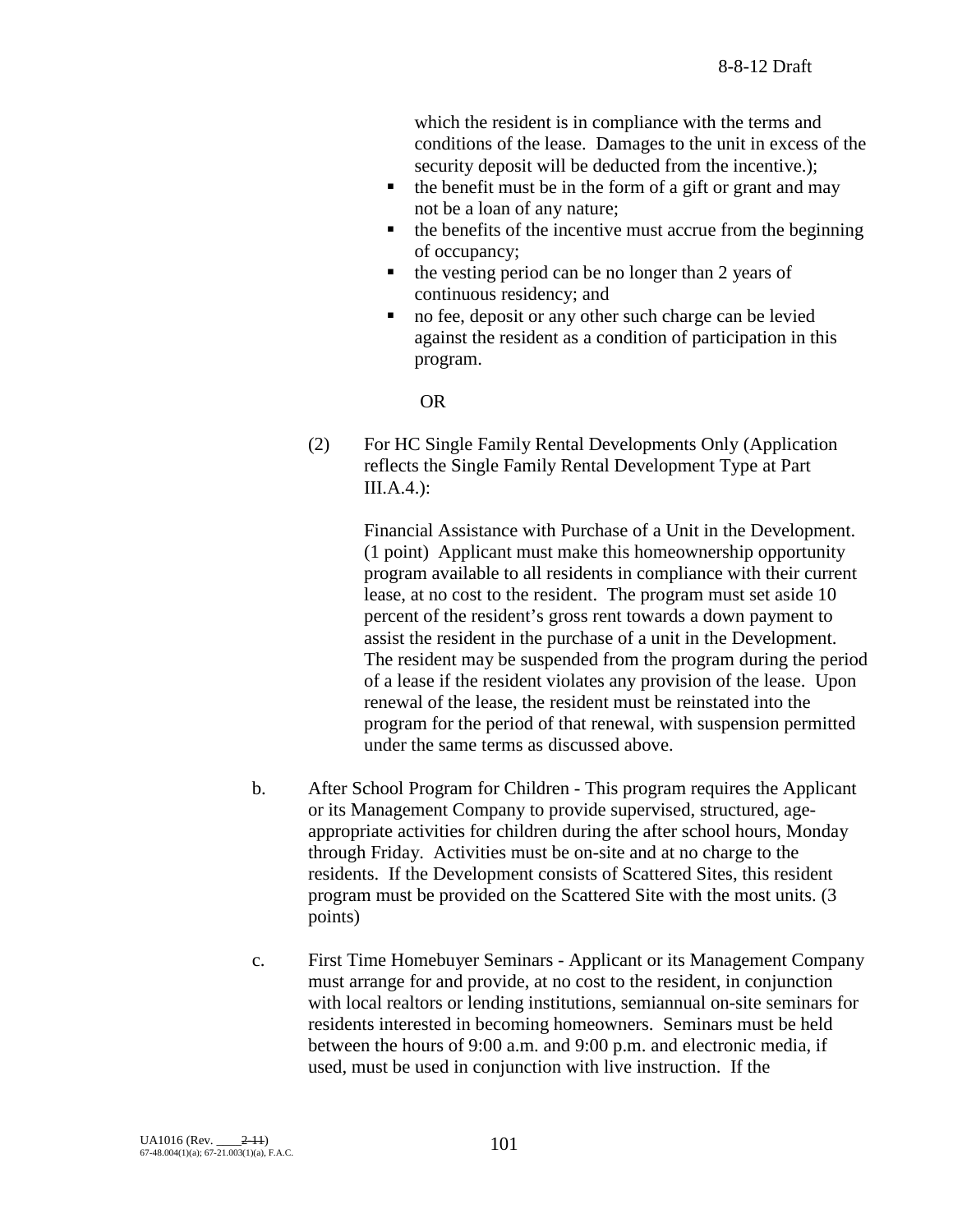which the resident is in compliance with the terms and conditions of the lease. Damages to the unit in excess of the security deposit will be deducted from the incentive.);

- $\blacksquare$  the benefit must be in the form of a gift or grant and may not be a loan of any nature;
- $\blacksquare$  the benefits of the incentive must accrue from the beginning of occupancy;
- $\blacksquare$  the vesting period can be no longer than 2 years of continuous residency; and
- no fee, deposit or any other such charge can be levied against the resident as a condition of participation in this program.

OR

(2) For HC Single Family Rental Developments Only (Application reflects the Single Family Rental Development Type at Part III.A.4.):

> Financial Assistance with Purchase of a Unit in the Development. (1 point) Applicant must make this homeownership opportunity program available to all residents in compliance with their current lease, at no cost to the resident. The program must set aside 10 percent of the resident's gross rent towards a down payment to assist the resident in the purchase of a unit in the Development. The resident may be suspended from the program during the period of a lease if the resident violates any provision of the lease. Upon renewal of the lease, the resident must be reinstated into the program for the period of that renewal, with suspension permitted under the same terms as discussed above.

- b. After School Program for Children This program requires the Applicant or its Management Company to provide supervised, structured, ageappropriate activities for children during the after school hours, Monday through Friday. Activities must be on-site and at no charge to the residents. If the Development consists of Scattered Sites, this resident program must be provided on the Scattered Site with the most units. (3 points)
- c. First Time Homebuyer Seminars Applicant or its Management Company must arrange for and provide, at no cost to the resident, in conjunction with local realtors or lending institutions, semiannual on-site seminars for residents interested in becoming homeowners. Seminars must be held between the hours of 9:00 a.m. and 9:00 p.m. and electronic media, if used, must be used in conjunction with live instruction. If the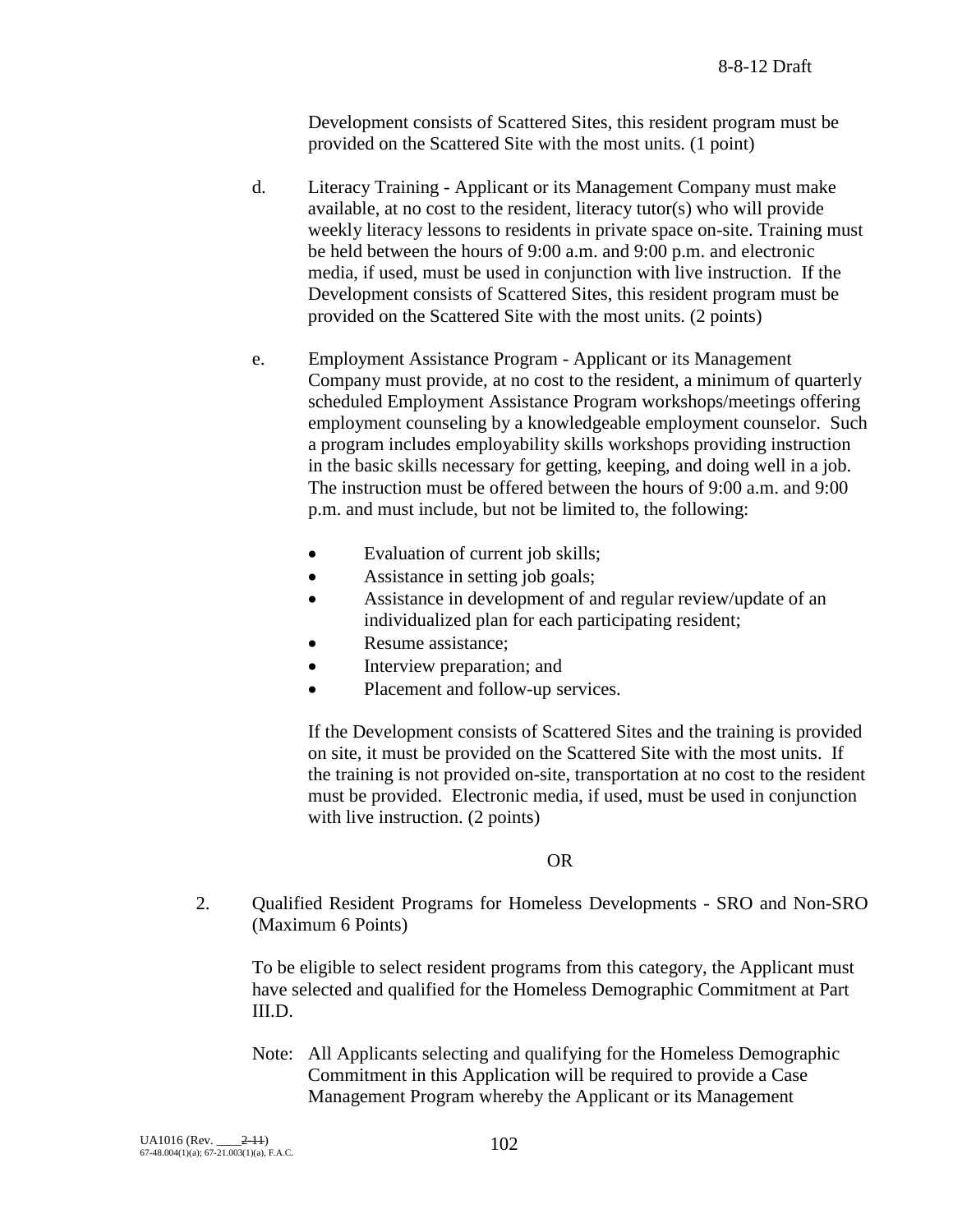Development consists of Scattered Sites, this resident program must be provided on the Scattered Site with the most units. (1 point)

- d. Literacy Training Applicant or its Management Company must make available, at no cost to the resident, literacy tutor(s) who will provide weekly literacy lessons to residents in private space on-site. Training must be held between the hours of 9:00 a.m. and 9:00 p.m. and electronic media, if used, must be used in conjunction with live instruction. If the Development consists of Scattered Sites, this resident program must be provided on the Scattered Site with the most units. (2 points)
- e. Employment Assistance Program Applicant or its Management Company must provide, at no cost to the resident, a minimum of quarterly scheduled Employment Assistance Program workshops/meetings offering employment counseling by a knowledgeable employment counselor. Such a program includes employability skills workshops providing instruction in the basic skills necessary for getting, keeping, and doing well in a job. The instruction must be offered between the hours of 9:00 a.m. and 9:00 p.m. and must include, but not be limited to, the following:
	- Evaluation of current job skills;
	- Assistance in setting job goals;
	- Assistance in development of and regular review/update of an individualized plan for each participating resident;
	- Resume assistance;
	- Interview preparation; and
	- Placement and follow-up services.

If the Development consists of Scattered Sites and the training is provided on site, it must be provided on the Scattered Site with the most units. If the training is not provided on-site, transportation at no cost to the resident must be provided. Electronic media, if used, must be used in conjunction with live instruction. (2 points)

### OR

2. Qualified Resident Programs for Homeless Developments - SRO and Non-SRO (Maximum 6 Points)

To be eligible to select resident programs from this category, the Applicant must have selected and qualified for the Homeless Demographic Commitment at Part III.D.

Note: All Applicants selecting and qualifying for the Homeless Demographic Commitment in this Application will be required to provide a Case Management Program whereby the Applicant or its Management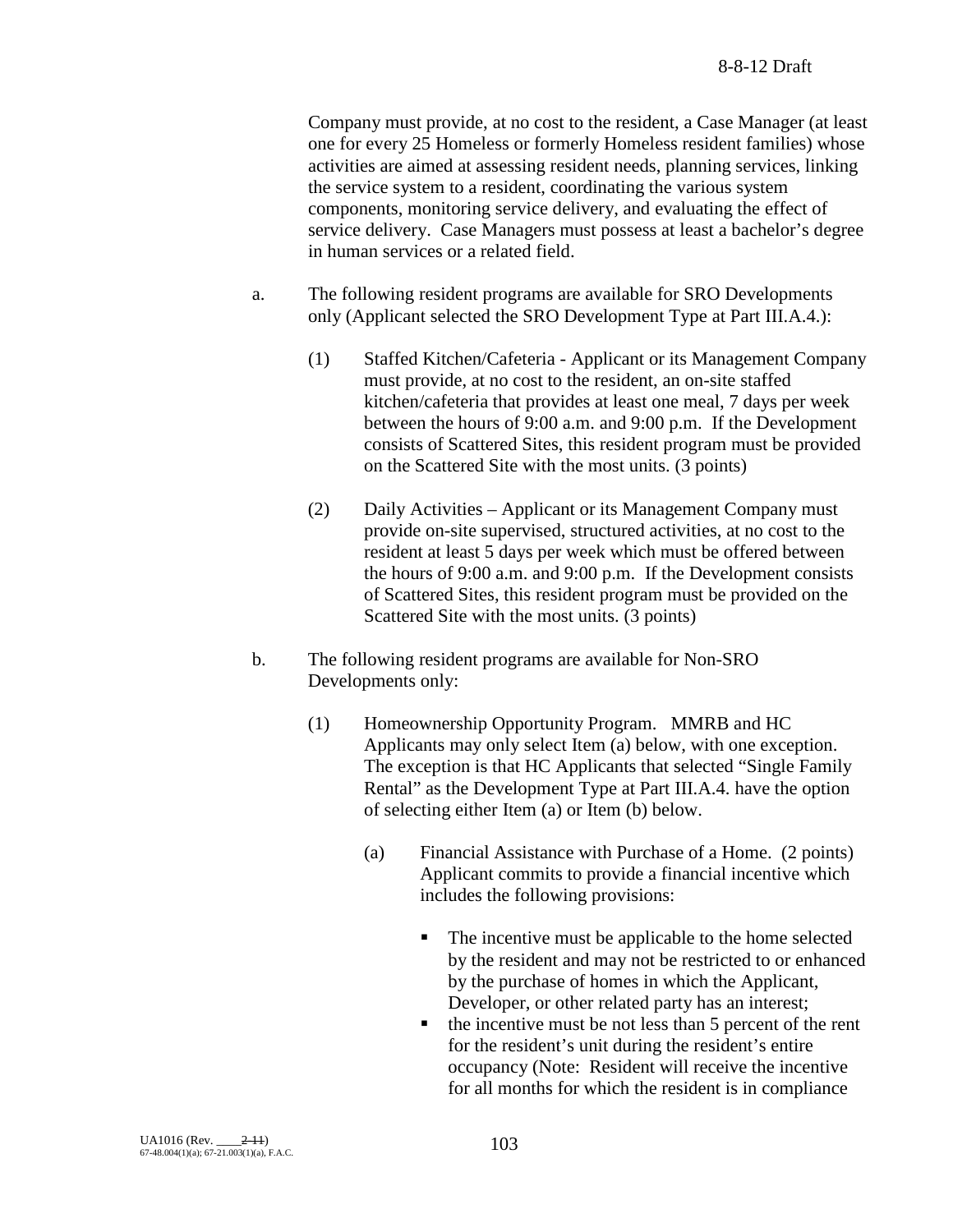Company must provide, at no cost to the resident, a Case Manager (at least one for every 25 Homeless or formerly Homeless resident families) whose activities are aimed at assessing resident needs, planning services, linking the service system to a resident, coordinating the various system components, monitoring service delivery, and evaluating the effect of service delivery. Case Managers must possess at least a bachelor's degree in human services or a related field.

- a. The following resident programs are available for SRO Developments only (Applicant selected the SRO Development Type at Part III.A.4.):
	- (1) Staffed Kitchen/Cafeteria Applicant or its Management Company must provide, at no cost to the resident, an on-site staffed kitchen/cafeteria that provides at least one meal, 7 days per week between the hours of 9:00 a.m. and 9:00 p.m. If the Development consists of Scattered Sites, this resident program must be provided on the Scattered Site with the most units. (3 points)
	- (2) Daily Activities Applicant or its Management Company must provide on-site supervised, structured activities, at no cost to the resident at least 5 days per week which must be offered between the hours of 9:00 a.m. and 9:00 p.m. If the Development consists of Scattered Sites, this resident program must be provided on the Scattered Site with the most units. (3 points)
- b. The following resident programs are available for Non-SRO Developments only:
	- (1) Homeownership Opportunity Program. MMRB and HC Applicants may only select Item (a) below, with one exception. The exception is that HC Applicants that selected "Single Family Rental" as the Development Type at Part III.A.4. have the option of selecting either Item (a) or Item (b) below.
		- (a) Financial Assistance with Purchase of a Home. (2 points) Applicant commits to provide a financial incentive which includes the following provisions:
			- The incentive must be applicable to the home selected by the resident and may not be restricted to or enhanced by the purchase of homes in which the Applicant, Developer, or other related party has an interest;
			- $\blacksquare$  the incentive must be not less than 5 percent of the rent for the resident's unit during the resident's entire occupancy (Note: Resident will receive the incentive for all months for which the resident is in compliance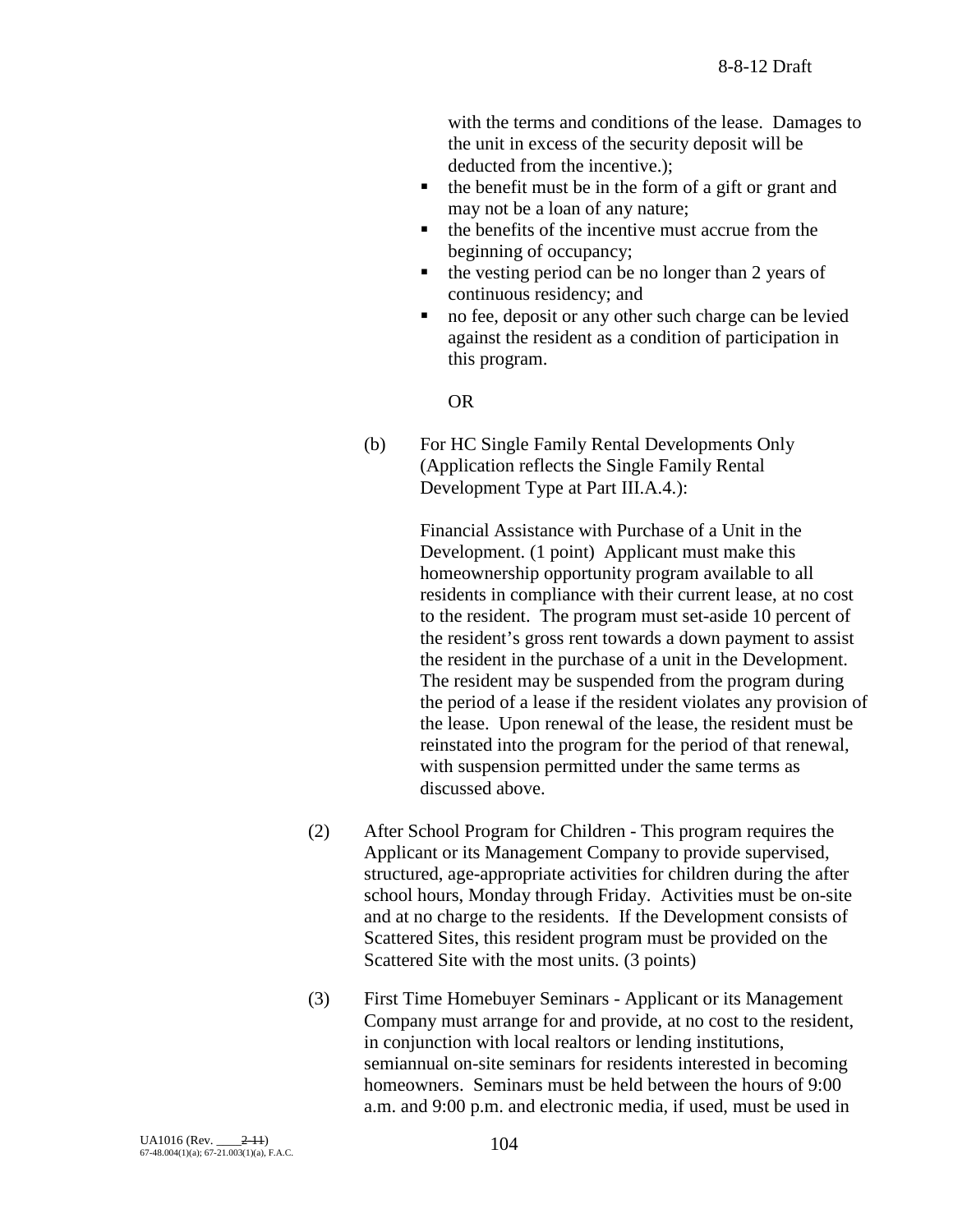with the terms and conditions of the lease. Damages to the unit in excess of the security deposit will be deducted from the incentive.);

- $\bullet$  the benefit must be in the form of a gift or grant and may not be a loan of any nature;
- $\blacksquare$  the benefits of the incentive must accrue from the beginning of occupancy;
- $\blacksquare$  the vesting period can be no longer than 2 years of continuous residency; and
- no fee, deposit or any other such charge can be levied against the resident as a condition of participation in this program.

OR

(b) For HC Single Family Rental Developments Only (Application reflects the Single Family Rental Development Type at Part III.A.4.):

> Financial Assistance with Purchase of a Unit in the Development. (1 point) Applicant must make this homeownership opportunity program available to all residents in compliance with their current lease, at no cost to the resident. The program must set-aside 10 percent of the resident's gross rent towards a down payment to assist the resident in the purchase of a unit in the Development. The resident may be suspended from the program during the period of a lease if the resident violates any provision of the lease. Upon renewal of the lease, the resident must be reinstated into the program for the period of that renewal, with suspension permitted under the same terms as discussed above.

- (2) After School Program for Children This program requires the Applicant or its Management Company to provide supervised, structured, age-appropriate activities for children during the after school hours, Monday through Friday. Activities must be on-site and at no charge to the residents. If the Development consists of Scattered Sites, this resident program must be provided on the Scattered Site with the most units. (3 points)
- (3) First Time Homebuyer Seminars Applicant or its Management Company must arrange for and provide, at no cost to the resident, in conjunction with local realtors or lending institutions, semiannual on-site seminars for residents interested in becoming homeowners. Seminars must be held between the hours of 9:00 a.m. and 9:00 p.m. and electronic media, if used, must be used in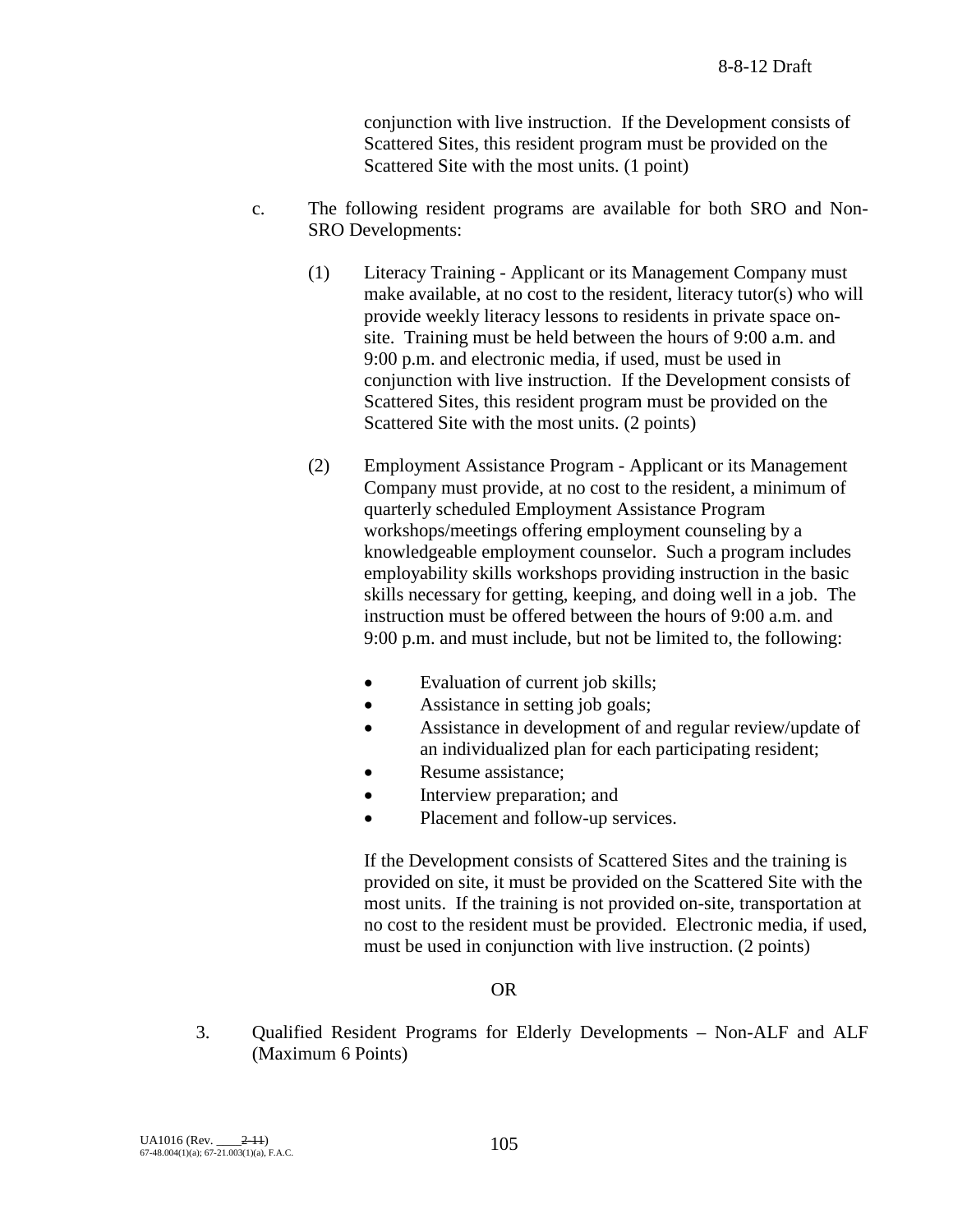conjunction with live instruction. If the Development consists of Scattered Sites, this resident program must be provided on the Scattered Site with the most units. (1 point)

- c. The following resident programs are available for both SRO and Non-SRO Developments:
	- (1) Literacy Training Applicant or its Management Company must make available, at no cost to the resident, literacy tutor(s) who will provide weekly literacy lessons to residents in private space onsite. Training must be held between the hours of 9:00 a.m. and 9:00 p.m. and electronic media, if used, must be used in conjunction with live instruction. If the Development consists of Scattered Sites, this resident program must be provided on the Scattered Site with the most units. (2 points)
	- (2) Employment Assistance Program Applicant or its Management Company must provide, at no cost to the resident, a minimum of quarterly scheduled Employment Assistance Program workshops/meetings offering employment counseling by a knowledgeable employment counselor. Such a program includes employability skills workshops providing instruction in the basic skills necessary for getting, keeping, and doing well in a job. The instruction must be offered between the hours of 9:00 a.m. and 9:00 p.m. and must include, but not be limited to, the following:
		- Evaluation of current job skills;
		- Assistance in setting job goals;
		- Assistance in development of and regular review/update of an individualized plan for each participating resident;
		- Resume assistance:
		- Interview preparation; and
		- Placement and follow-up services.

If the Development consists of Scattered Sites and the training is provided on site, it must be provided on the Scattered Site with the most units. If the training is not provided on-site, transportation at no cost to the resident must be provided. Electronic media, if used, must be used in conjunction with live instruction. (2 points)

#### OR

3. Qualified Resident Programs for Elderly Developments – Non-ALF and ALF (Maximum 6 Points)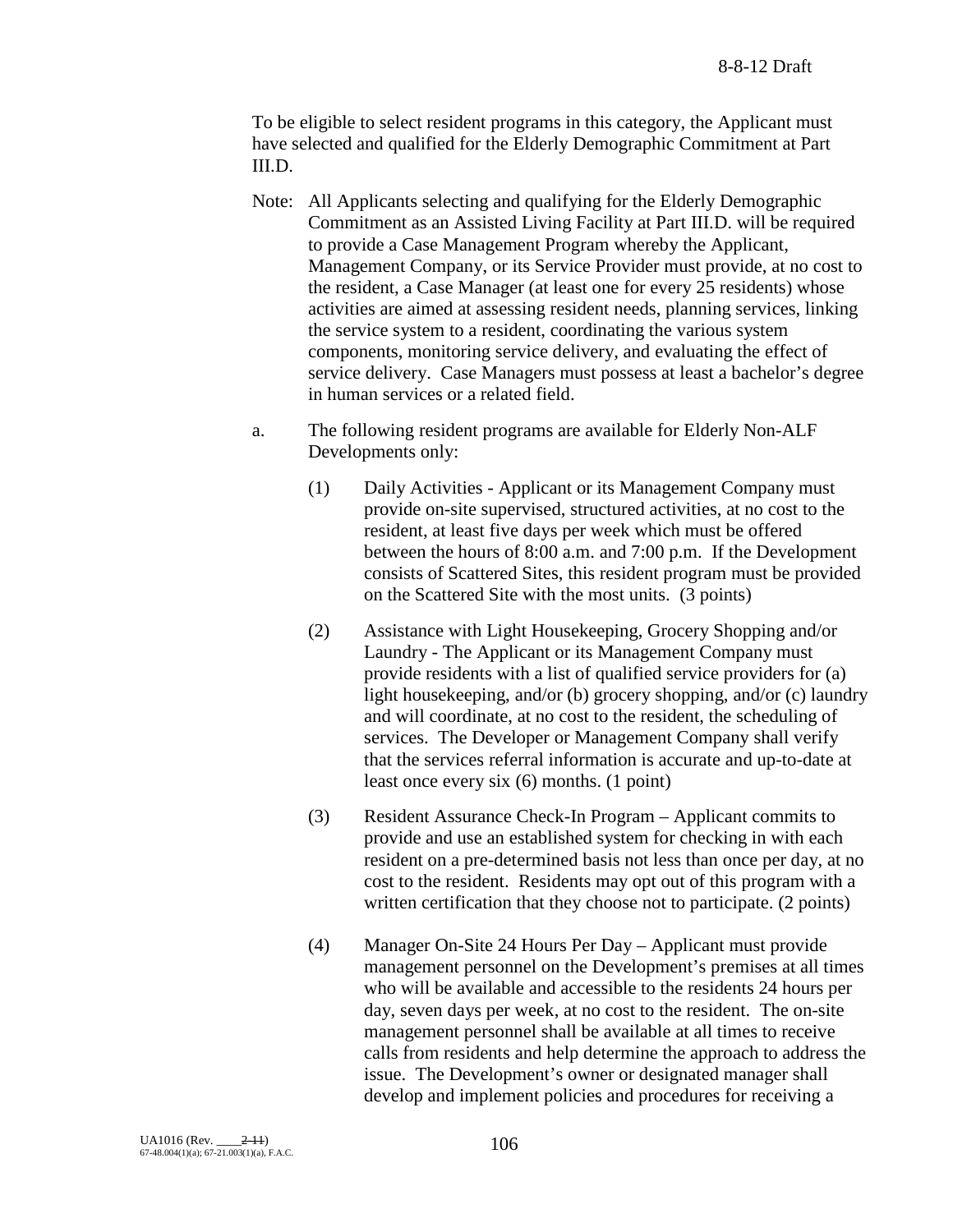To be eligible to select resident programs in this category, the Applicant must have selected and qualified for the Elderly Demographic Commitment at Part III.D.

- Note: All Applicants selecting and qualifying for the Elderly Demographic Commitment as an Assisted Living Facility at Part III.D. will be required to provide a Case Management Program whereby the Applicant, Management Company, or its Service Provider must provide, at no cost to the resident, a Case Manager (at least one for every 25 residents) whose activities are aimed at assessing resident needs, planning services, linking the service system to a resident, coordinating the various system components, monitoring service delivery, and evaluating the effect of service delivery. Case Managers must possess at least a bachelor's degree in human services or a related field.
- a. The following resident programs are available for Elderly Non-ALF Developments only:
	- (1) Daily Activities Applicant or its Management Company must provide on-site supervised, structured activities, at no cost to the resident, at least five days per week which must be offered between the hours of 8:00 a.m. and 7:00 p.m. If the Development consists of Scattered Sites, this resident program must be provided on the Scattered Site with the most units. (3 points)
	- (2) Assistance with Light Housekeeping, Grocery Shopping and/or Laundry - The Applicant or its Management Company must provide residents with a list of qualified service providers for (a) light housekeeping, and/or (b) grocery shopping, and/or (c) laundry and will coordinate, at no cost to the resident, the scheduling of services. The Developer or Management Company shall verify that the services referral information is accurate and up-to-date at least once every six (6) months. (1 point)
	- (3) Resident Assurance Check-In Program Applicant commits to provide and use an established system for checking in with each resident on a pre-determined basis not less than once per day, at no cost to the resident. Residents may opt out of this program with a written certification that they choose not to participate. (2 points)
	- (4) Manager On-Site 24 Hours Per Day Applicant must provide management personnel on the Development's premises at all times who will be available and accessible to the residents 24 hours per day, seven days per week, at no cost to the resident. The on-site management personnel shall be available at all times to receive calls from residents and help determine the approach to address the issue. The Development's owner or designated manager shall develop and implement policies and procedures for receiving a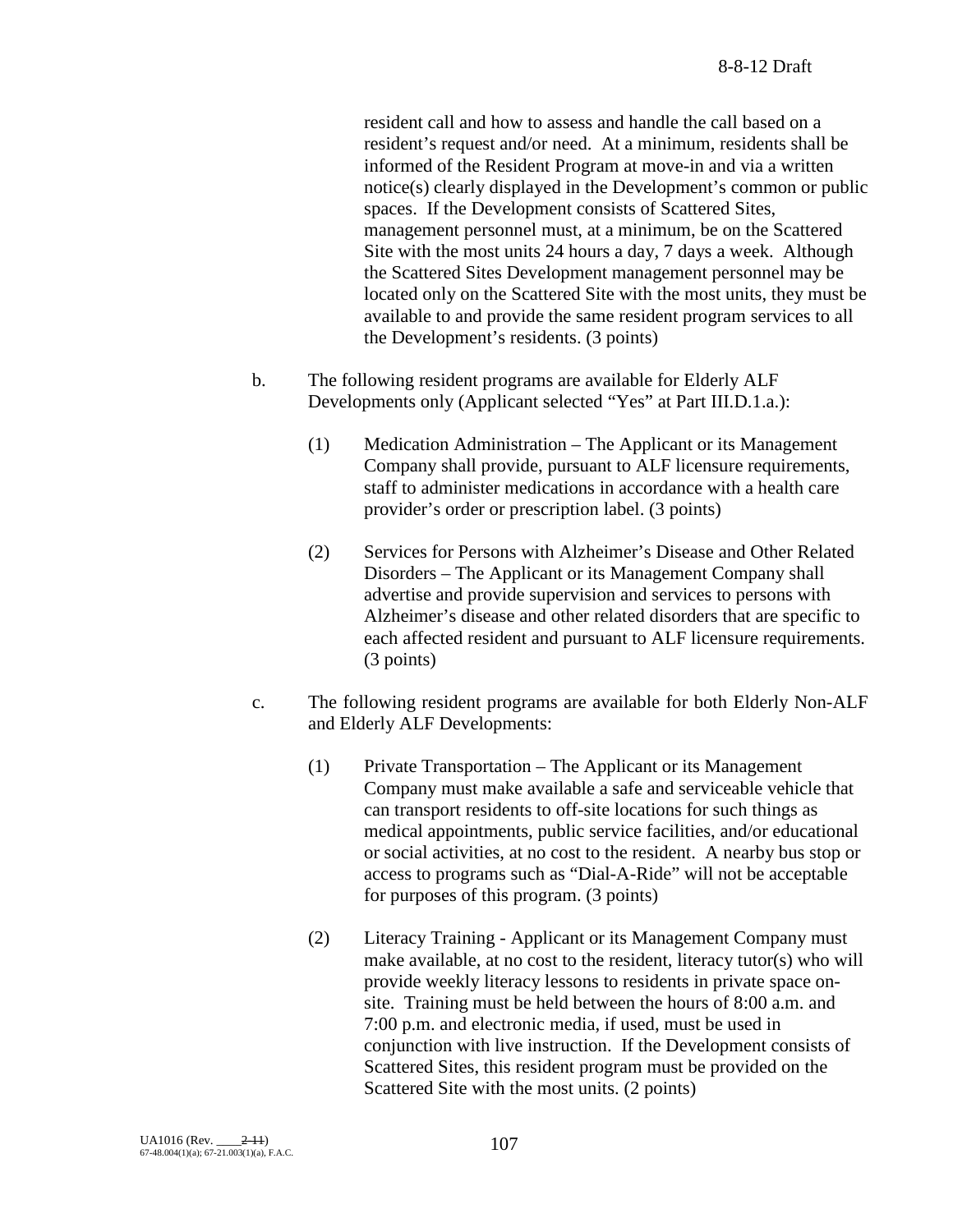resident call and how to assess and handle the call based on a resident's request and/or need. At a minimum, residents shall be informed of the Resident Program at move-in and via a written notice(s) clearly displayed in the Development's common or public spaces. If the Development consists of Scattered Sites, management personnel must, at a minimum, be on the Scattered Site with the most units 24 hours a day, 7 days a week. Although the Scattered Sites Development management personnel may be located only on the Scattered Site with the most units, they must be available to and provide the same resident program services to all the Development's residents. (3 points)

- b. The following resident programs are available for Elderly ALF Developments only (Applicant selected "Yes" at Part III.D.1.a.):
	- (1) Medication Administration The Applicant or its Management Company shall provide, pursuant to ALF licensure requirements, staff to administer medications in accordance with a health care provider's order or prescription label. (3 points)
	- (2) Services for Persons with Alzheimer's Disease and Other Related Disorders – The Applicant or its Management Company shall advertise and provide supervision and services to persons with Alzheimer's disease and other related disorders that are specific to each affected resident and pursuant to ALF licensure requirements. (3 points)
- c. The following resident programs are available for both Elderly Non-ALF and Elderly ALF Developments:
	- (1) Private Transportation The Applicant or its Management Company must make available a safe and serviceable vehicle that can transport residents to off-site locations for such things as medical appointments, public service facilities, and/or educational or social activities, at no cost to the resident. A nearby bus stop or access to programs such as "Dial-A-Ride" will not be acceptable for purposes of this program. (3 points)
	- (2) Literacy Training Applicant or its Management Company must make available, at no cost to the resident, literacy tutor(s) who will provide weekly literacy lessons to residents in private space onsite. Training must be held between the hours of 8:00 a.m. and 7:00 p.m. and electronic media, if used, must be used in conjunction with live instruction. If the Development consists of Scattered Sites, this resident program must be provided on the Scattered Site with the most units. (2 points)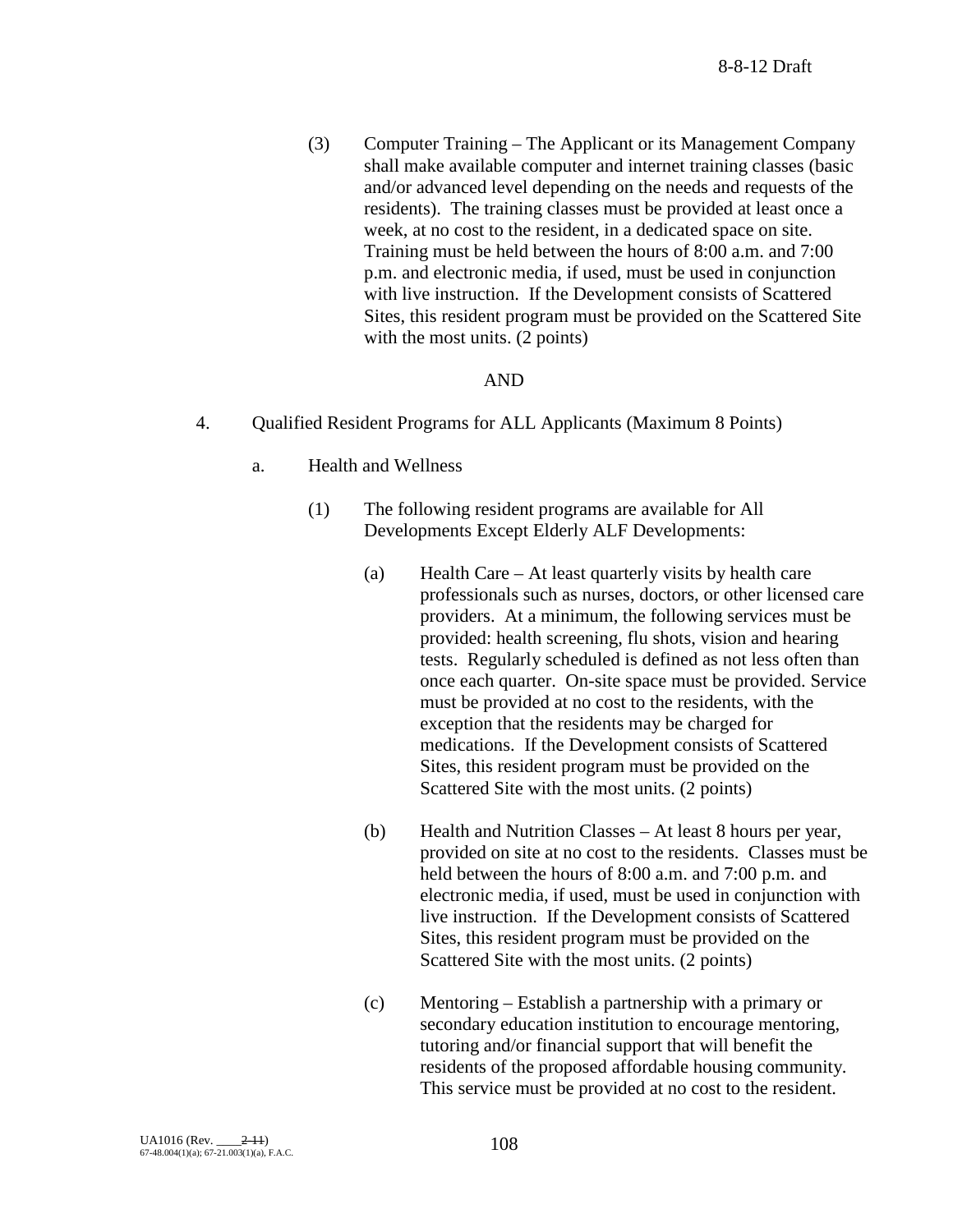(3) Computer Training – The Applicant or its Management Company shall make available computer and internet training classes (basic and/or advanced level depending on the needs and requests of the residents). The training classes must be provided at least once a week, at no cost to the resident, in a dedicated space on site. Training must be held between the hours of 8:00 a.m. and 7:00 p.m. and electronic media, if used, must be used in conjunction with live instruction. If the Development consists of Scattered Sites, this resident program must be provided on the Scattered Site with the most units. (2 points)

#### AND

- 4. Qualified Resident Programs for ALL Applicants (Maximum 8 Points)
	- a. Health and Wellness
		- (1) The following resident programs are available for All Developments Except Elderly ALF Developments:
			- (a) Health Care At least quarterly visits by health care professionals such as nurses, doctors, or other licensed care providers. At a minimum, the following services must be provided: health screening, flu shots, vision and hearing tests. Regularly scheduled is defined as not less often than once each quarter. On-site space must be provided. Service must be provided at no cost to the residents, with the exception that the residents may be charged for medications. If the Development consists of Scattered Sites, this resident program must be provided on the Scattered Site with the most units. (2 points)
			- (b) Health and Nutrition Classes At least 8 hours per year, provided on site at no cost to the residents. Classes must be held between the hours of 8:00 a.m. and 7:00 p.m. and electronic media, if used, must be used in conjunction with live instruction. If the Development consists of Scattered Sites, this resident program must be provided on the Scattered Site with the most units. (2 points)
			- (c) Mentoring Establish a partnership with a primary or secondary education institution to encourage mentoring, tutoring and/or financial support that will benefit the residents of the proposed affordable housing community. This service must be provided at no cost to the resident.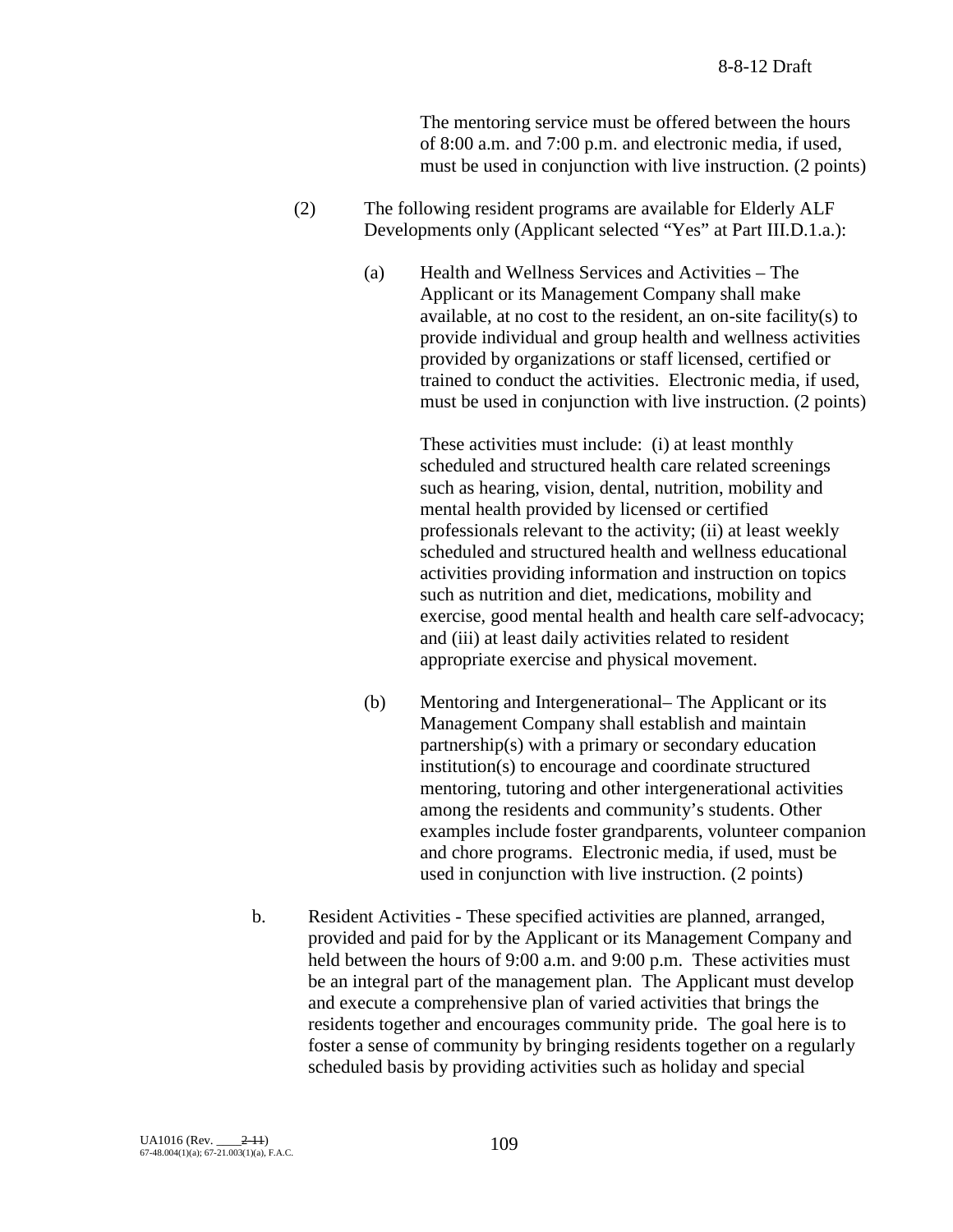The mentoring service must be offered between the hours of 8:00 a.m. and 7:00 p.m. and electronic media, if used, must be used in conjunction with live instruction. (2 points)

- (2) The following resident programs are available for Elderly ALF Developments only (Applicant selected "Yes" at Part III.D.1.a.):
	- (a) Health and Wellness Services and Activities The Applicant or its Management Company shall make available, at no cost to the resident, an on-site facility(s) to provide individual and group health and wellness activities provided by organizations or staff licensed, certified or trained to conduct the activities. Electronic media, if used, must be used in conjunction with live instruction. (2 points)

These activities must include: (i) at least monthly scheduled and structured health care related screenings such as hearing, vision, dental, nutrition, mobility and mental health provided by licensed or certified professionals relevant to the activity; (ii) at least weekly scheduled and structured health and wellness educational activities providing information and instruction on topics such as nutrition and diet, medications, mobility and exercise, good mental health and health care self-advocacy; and (iii) at least daily activities related to resident appropriate exercise and physical movement.

- (b) Mentoring and Intergenerational– The Applicant or its Management Company shall establish and maintain partnership(s) with a primary or secondary education institution(s) to encourage and coordinate structured mentoring, tutoring and other intergenerational activities among the residents and community's students. Other examples include foster grandparents, volunteer companion and chore programs. Electronic media, if used, must be used in conjunction with live instruction. (2 points)
- b. Resident Activities These specified activities are planned, arranged, provided and paid for by the Applicant or its Management Company and held between the hours of 9:00 a.m. and 9:00 p.m. These activities must be an integral part of the management plan. The Applicant must develop and execute a comprehensive plan of varied activities that brings the residents together and encourages community pride. The goal here is to foster a sense of community by bringing residents together on a regularly scheduled basis by providing activities such as holiday and special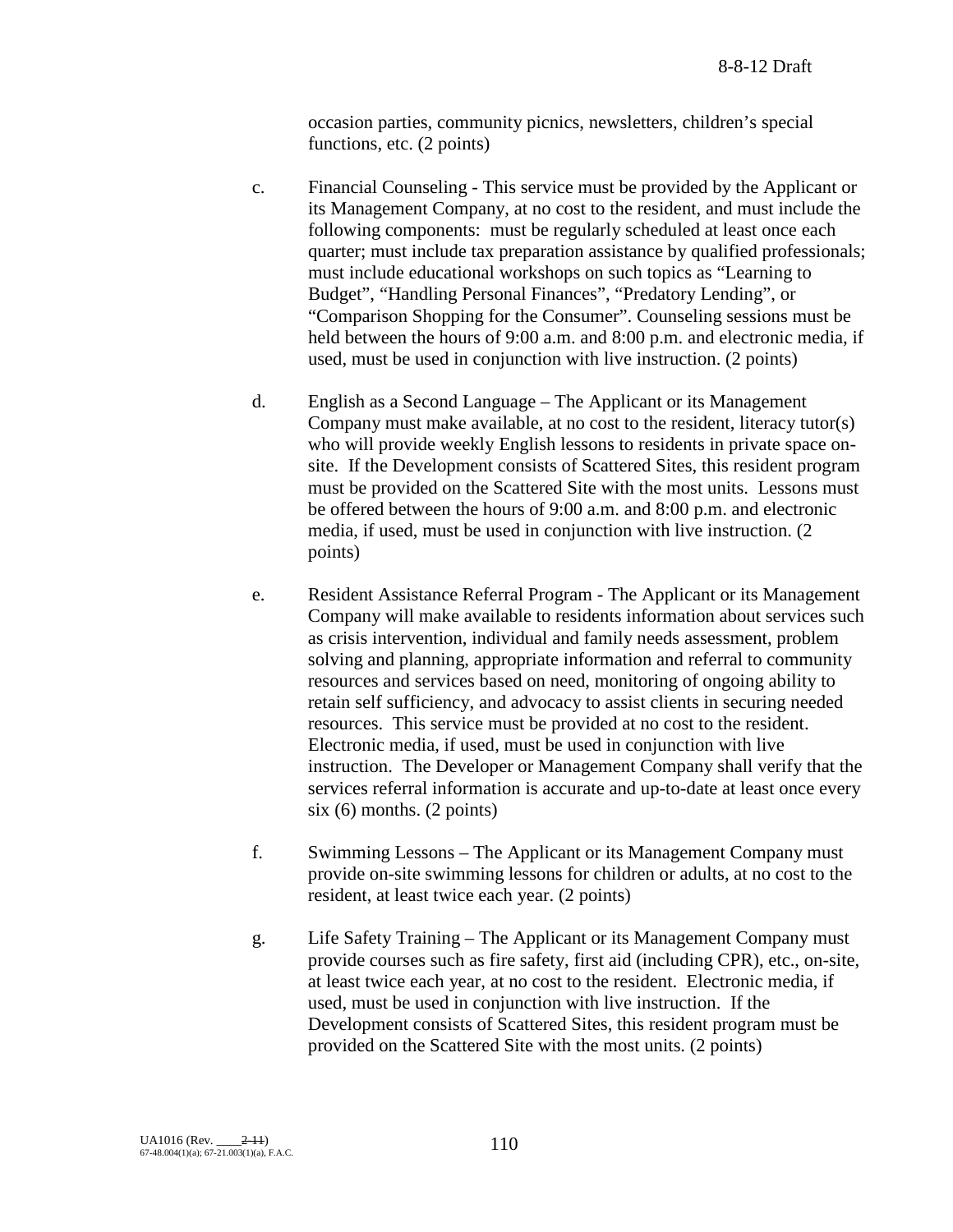occasion parties, community picnics, newsletters, children's special functions, etc. (2 points)

- c. Financial Counseling This service must be provided by the Applicant or its Management Company, at no cost to the resident, and must include the following components: must be regularly scheduled at least once each quarter; must include tax preparation assistance by qualified professionals; must include educational workshops on such topics as "Learning to Budget", "Handling Personal Finances", "Predatory Lending", or "Comparison Shopping for the Consumer". Counseling sessions must be held between the hours of 9:00 a.m. and 8:00 p.m. and electronic media, if used, must be used in conjunction with live instruction. (2 points)
- d. English as a Second Language The Applicant or its Management Company must make available, at no cost to the resident, literacy tutor(s) who will provide weekly English lessons to residents in private space onsite. If the Development consists of Scattered Sites, this resident program must be provided on the Scattered Site with the most units. Lessons must be offered between the hours of 9:00 a.m. and 8:00 p.m. and electronic media, if used, must be used in conjunction with live instruction. (2 points)
- e. Resident Assistance Referral Program The Applicant or its Management Company will make available to residents information about services such as crisis intervention, individual and family needs assessment, problem solving and planning, appropriate information and referral to community resources and services based on need, monitoring of ongoing ability to retain self sufficiency, and advocacy to assist clients in securing needed resources. This service must be provided at no cost to the resident. Electronic media, if used, must be used in conjunction with live instruction. The Developer or Management Company shall verify that the services referral information is accurate and up-to-date at least once every six (6) months. (2 points)
- f. Swimming Lessons The Applicant or its Management Company must provide on-site swimming lessons for children or adults, at no cost to the resident, at least twice each year. (2 points)
- g. Life Safety Training The Applicant or its Management Company must provide courses such as fire safety, first aid (including CPR), etc., on-site, at least twice each year, at no cost to the resident. Electronic media, if used, must be used in conjunction with live instruction. If the Development consists of Scattered Sites, this resident program must be provided on the Scattered Site with the most units. (2 points)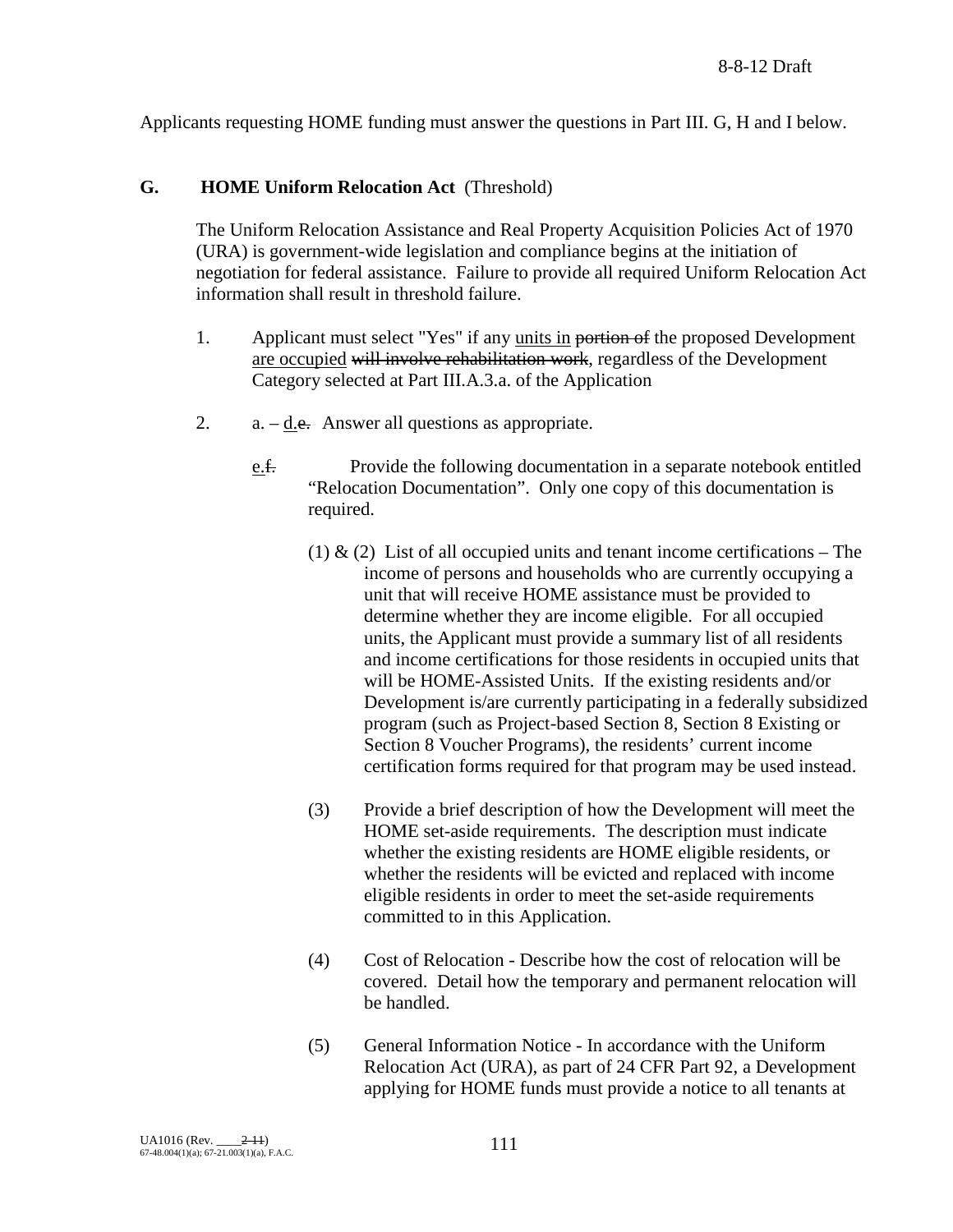Applicants requesting HOME funding must answer the questions in Part III. G, H and I below.

## **G. HOME Uniform Relocation Act** (Threshold)

The Uniform Relocation Assistance and Real Property Acquisition Policies Act of 1970 (URA) is government-wide legislation and compliance begins at the initiation of negotiation for federal assistance. Failure to provide all required Uniform Relocation Act information shall result in threshold failure.

- 1. Applicant must select "Yes" if any units in portion of the proposed Development are occupied will involve rehabilitation work, regardless of the Development Category selected at Part III.A.3.a. of the Application
- 2.  $a. d.e.$  Answer all questions as appropriate.
	- e.f. Provide the following documentation in a separate notebook entitled "Relocation Documentation". Only one copy of this documentation is required.
		- (1)  $\&$  (2) List of all occupied units and tenant income certifications The income of persons and households who are currently occupying a unit that will receive HOME assistance must be provided to determine whether they are income eligible. For all occupied units, the Applicant must provide a summary list of all residents and income certifications for those residents in occupied units that will be HOME-Assisted Units. If the existing residents and/or Development is/are currently participating in a federally subsidized program (such as Project-based Section 8, Section 8 Existing or Section 8 Voucher Programs), the residents' current income certification forms required for that program may be used instead.
		- (3) Provide a brief description of how the Development will meet the HOME set-aside requirements. The description must indicate whether the existing residents are HOME eligible residents, or whether the residents will be evicted and replaced with income eligible residents in order to meet the set-aside requirements committed to in this Application.
		- (4) Cost of Relocation Describe how the cost of relocation will be covered. Detail how the temporary and permanent relocation will be handled.
		- (5) General Information Notice In accordance with the Uniform Relocation Act (URA), as part of 24 CFR Part 92, a Development applying for HOME funds must provide a notice to all tenants at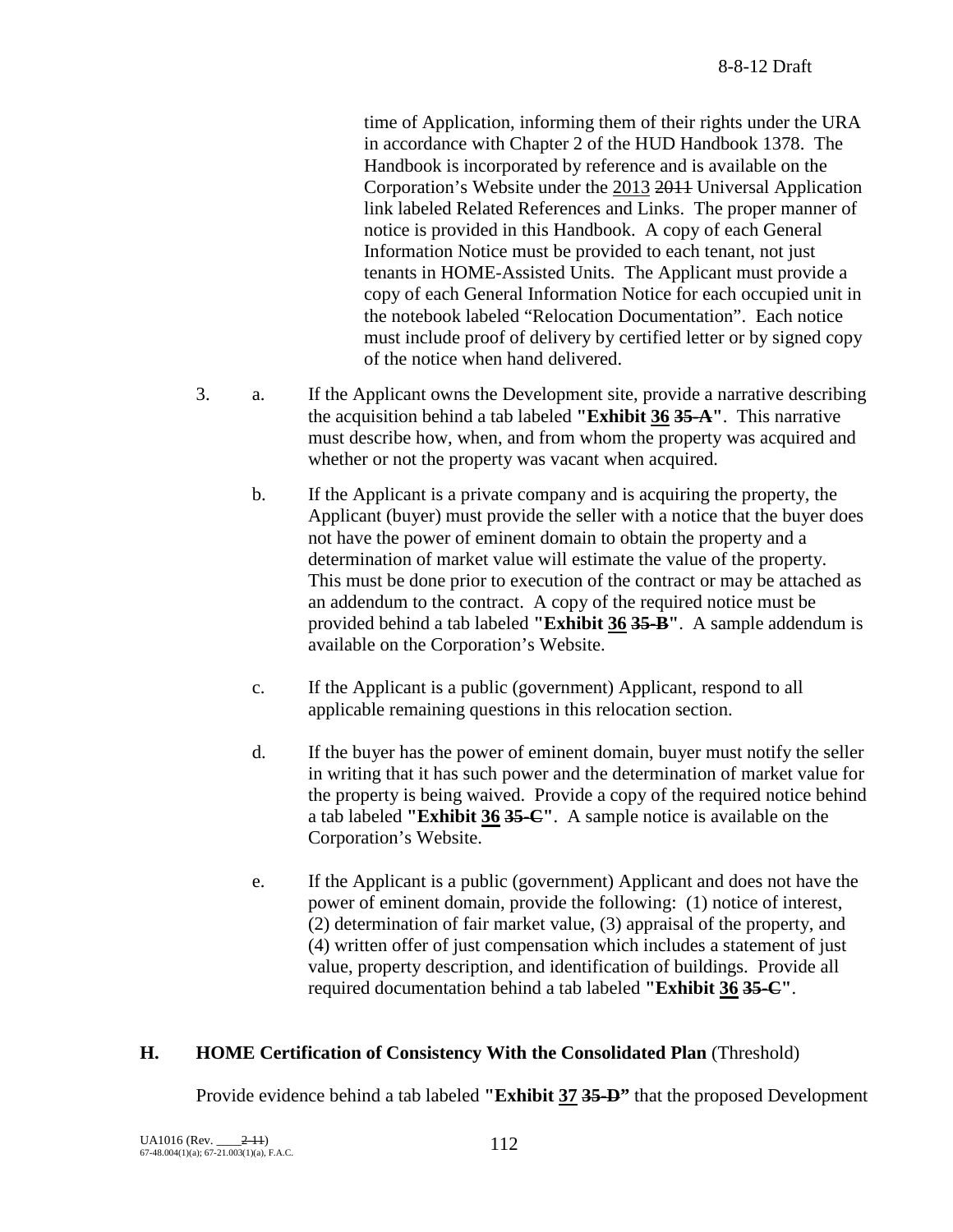time of Application, informing them of their rights under the URA in accordance with Chapter 2 of the HUD Handbook 1378. The Handbook is incorporated by reference and is available on the Corporation's Website under the 2013 2011 Universal Application link labeled Related References and Links. The proper manner of notice is provided in this Handbook. A copy of each General Information Notice must be provided to each tenant, not just tenants in HOME-Assisted Units. The Applicant must provide a copy of each General Information Notice for each occupied unit in the notebook labeled "Relocation Documentation". Each notice must include proof of delivery by certified letter or by signed copy of the notice when hand delivered.

- 3. a. If the Applicant owns the Development site, provide a narrative describing the acquisition behind a tab labeled **"Exhibit 36 35-A"**. This narrative must describe how, when, and from whom the property was acquired and whether or not the property was vacant when acquired.
	- b. If the Applicant is a private company and is acquiring the property, the Applicant (buyer) must provide the seller with a notice that the buyer does not have the power of eminent domain to obtain the property and a determination of market value will estimate the value of the property. This must be done prior to execution of the contract or may be attached as an addendum to the contract. A copy of the required notice must be provided behind a tab labeled **"Exhibit 36 35-B"**. A sample addendum is available on the Corporation's Website.
	- c. If the Applicant is a public (government) Applicant, respond to all applicable remaining questions in this relocation section.
	- d. If the buyer has the power of eminent domain, buyer must notify the seller in writing that it has such power and the determination of market value for the property is being waived. Provide a copy of the required notice behind a tab labeled **"Exhibit 36 35-C"**. A sample notice is available on the Corporation's Website.
	- e. If the Applicant is a public (government) Applicant and does not have the power of eminent domain, provide the following: (1) notice of interest, (2) determination of fair market value, (3) appraisal of the property, and (4) written offer of just compensation which includes a statement of just value, property description, and identification of buildings. Provide all required documentation behind a tab labeled **"Exhibit 36 35-C"**.

### **H. HOME Certification of Consistency With the Consolidated Plan** (Threshold)

Provide evidence behind a tab labeled **"Exhibit 37 35-D"** that the proposed Development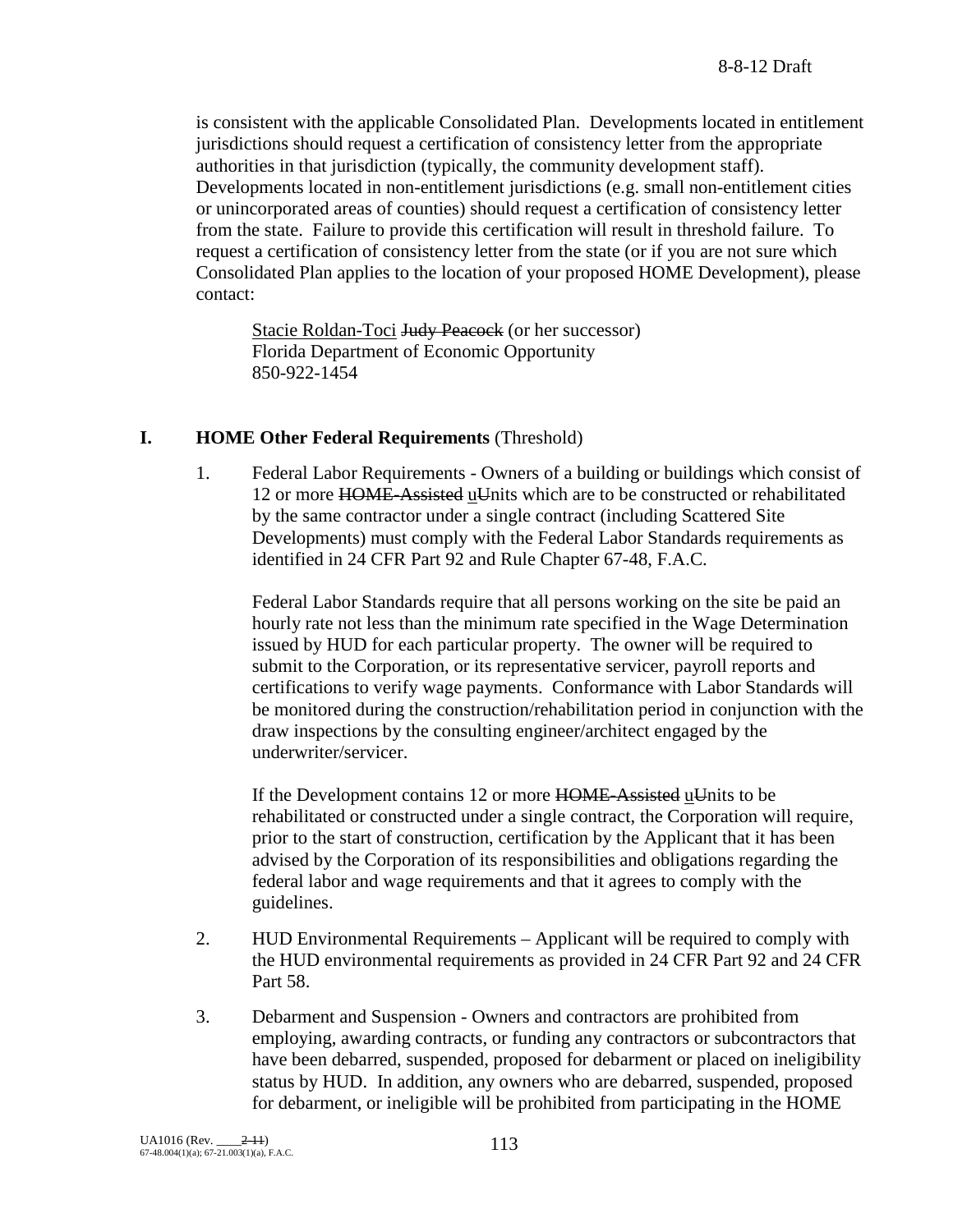is consistent with the applicable Consolidated Plan. Developments located in entitlement jurisdictions should request a certification of consistency letter from the appropriate authorities in that jurisdiction (typically, the community development staff). Developments located in non-entitlement jurisdictions (e.g. small non-entitlement cities or unincorporated areas of counties) should request a certification of consistency letter from the state. Failure to provide this certification will result in threshold failure. To request a certification of consistency letter from the state (or if you are not sure which Consolidated Plan applies to the location of your proposed HOME Development), please contact:

Stacie Roldan-Toci <del>Judy Peacock</del> (or her successor) Florida Department of Economic Opportunity 850-922-1454

### **I. HOME Other Federal Requirements** (Threshold)

1. Federal Labor Requirements - Owners of a building or buildings which consist of 12 or more HOME-Assisted uUnits which are to be constructed or rehabilitated by the same contractor under a single contract (including Scattered Site Developments) must comply with the Federal Labor Standards requirements as identified in 24 CFR Part 92 and Rule Chapter 67-48, F.A.C.

Federal Labor Standards require that all persons working on the site be paid an hourly rate not less than the minimum rate specified in the Wage Determination issued by HUD for each particular property. The owner will be required to submit to the Corporation, or its representative servicer, payroll reports and certifications to verify wage payments. Conformance with Labor Standards will be monitored during the construction/rehabilitation period in conjunction with the draw inspections by the consulting engineer/architect engaged by the underwriter/servicer.

If the Development contains 12 or more  $HOME-Assisted \underline{u}$ Units to be rehabilitated or constructed under a single contract, the Corporation will require, prior to the start of construction, certification by the Applicant that it has been advised by the Corporation of its responsibilities and obligations regarding the federal labor and wage requirements and that it agrees to comply with the guidelines.

- 2. HUD Environmental Requirements Applicant will be required to comply with the HUD environmental requirements as provided in 24 CFR Part 92 and 24 CFR Part 58.
- 3. Debarment and Suspension Owners and contractors are prohibited from employing, awarding contracts, or funding any contractors or subcontractors that have been debarred, suspended, proposed for debarment or placed on ineligibility status by HUD. In addition, any owners who are debarred, suspended, proposed for debarment, or ineligible will be prohibited from participating in the HOME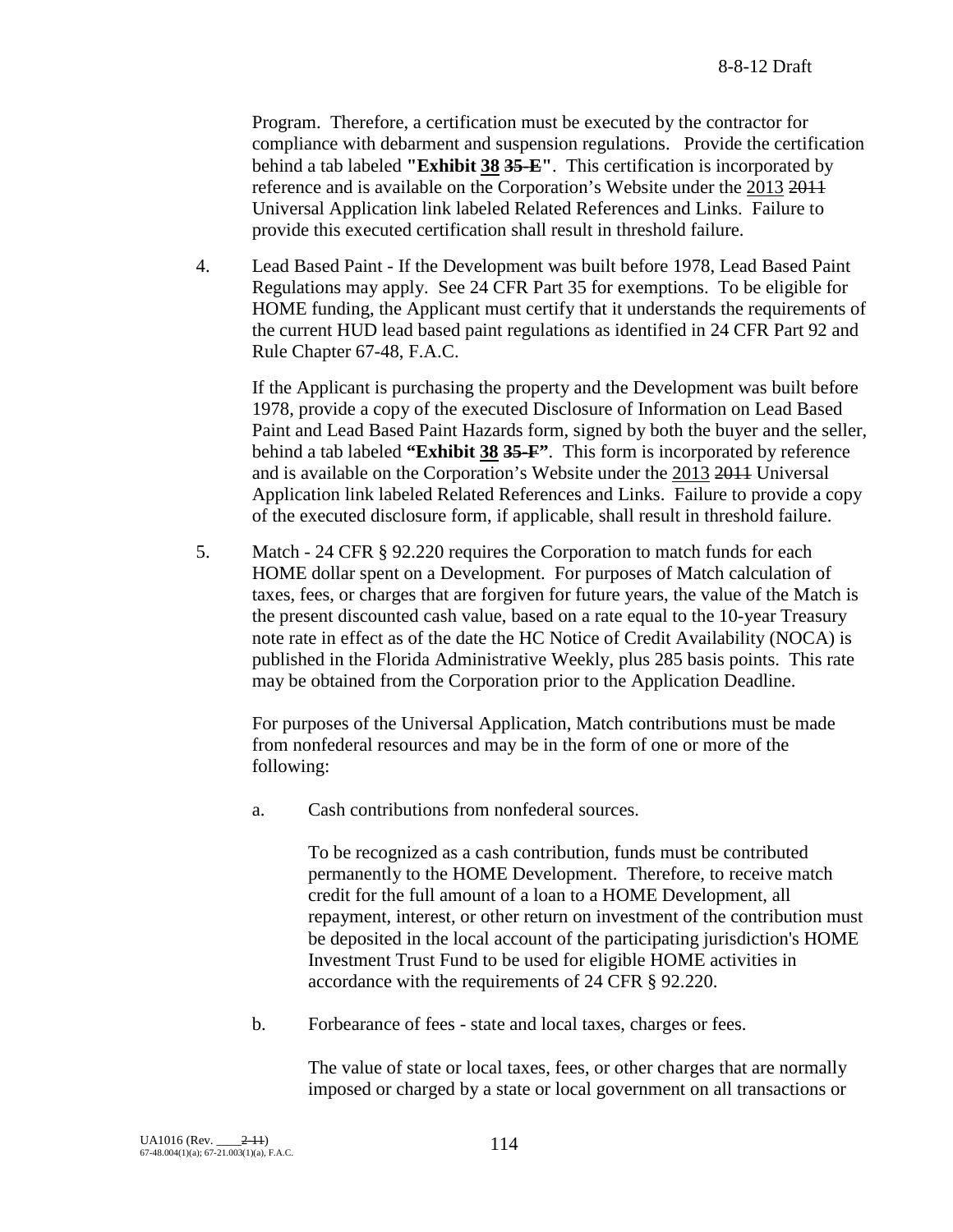Program. Therefore, a certification must be executed by the contractor for compliance with debarment and suspension regulations. Provide the certification behind a tab labeled **"Exhibit 38 35-E"**. This certification is incorporated by reference and is available on the Corporation's Website under the 2013 2011 Universal Application link labeled Related References and Links. Failure to provide this executed certification shall result in threshold failure.

4. Lead Based Paint - If the Development was built before 1978, Lead Based Paint Regulations may apply. See 24 CFR Part 35 for exemptions. To be eligible for HOME funding, the Applicant must certify that it understands the requirements of the current HUD lead based paint regulations as identified in 24 CFR Part 92 and Rule Chapter 67-48, F.A.C.

If the Applicant is purchasing the property and the Development was built before 1978, provide a copy of the executed Disclosure of Information on Lead Based Paint and Lead Based Paint Hazards form, signed by both the buyer and the seller, behind a tab labeled **"Exhibit 38 35-F"**. This form is incorporated by reference and is available on the Corporation's Website under the 2013 2011 Universal Application link labeled Related References and Links. Failure to provide a copy of the executed disclosure form, if applicable, shall result in threshold failure.

5. Match - 24 CFR § 92.220 requires the Corporation to match funds for each HOME dollar spent on a Development. For purposes of Match calculation of taxes, fees, or charges that are forgiven for future years, the value of the Match is the present discounted cash value, based on a rate equal to the 10-year Treasury note rate in effect as of the date the HC Notice of Credit Availability (NOCA) is published in the Florida Administrative Weekly, plus 285 basis points. This rate may be obtained from the Corporation prior to the Application Deadline.

For purposes of the Universal Application, Match contributions must be made from nonfederal resources and may be in the form of one or more of the following:

a. Cash contributions from nonfederal sources.

To be recognized as a cash contribution, funds must be contributed permanently to the HOME Development. Therefore, to receive match credit for the full amount of a loan to a HOME Development, all repayment, interest, or other return on investment of the contribution must be deposited in the local account of the participating jurisdiction's HOME Investment Trust Fund to be used for eligible HOME activities in accordance with the requirements of 24 CFR § 92.220.

b. Forbearance of fees - state and local taxes, charges or fees.

The value of state or local taxes, fees, or other charges that are normally imposed or charged by a state or local government on all transactions or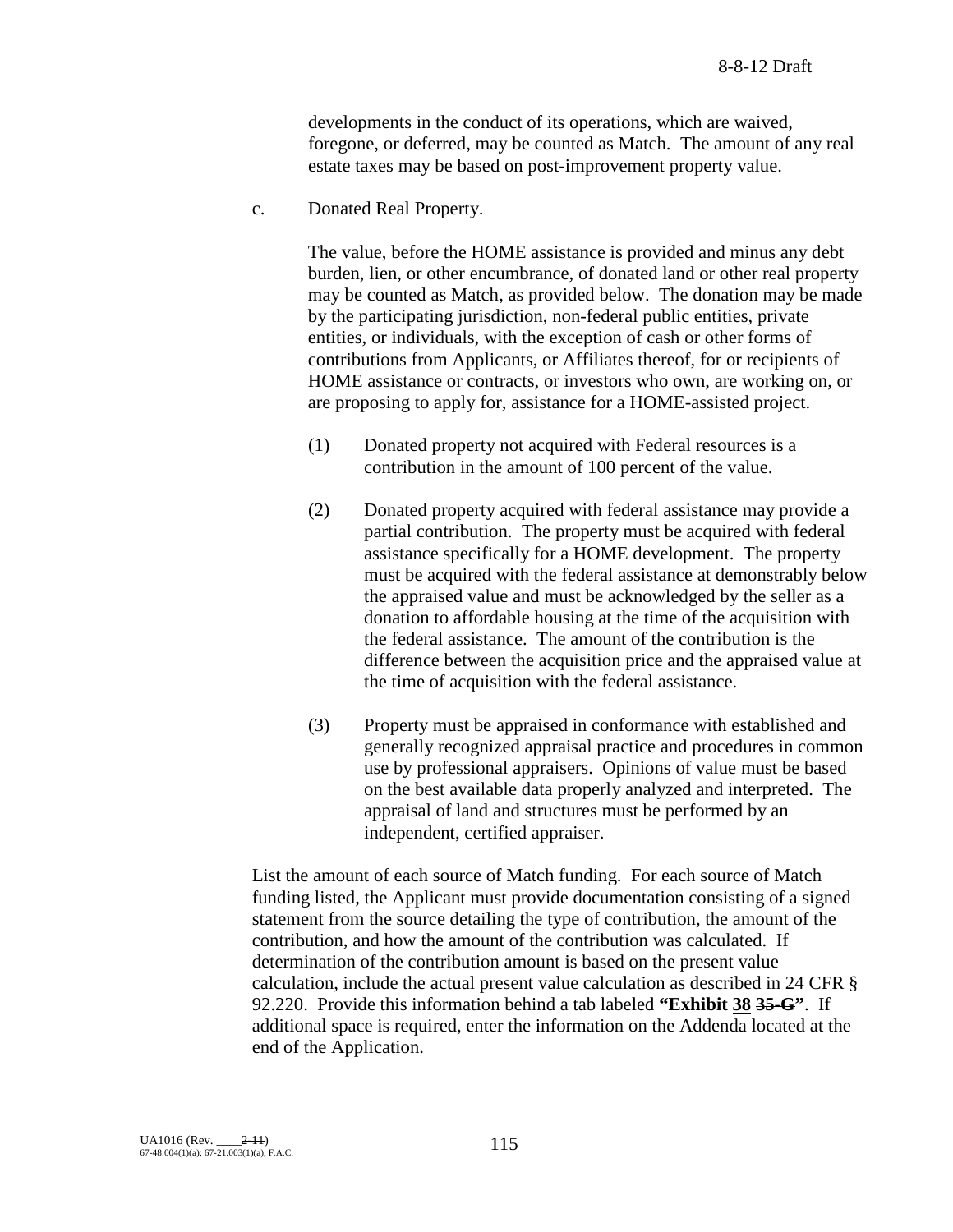developments in the conduct of its operations, which are waived, foregone, or deferred, may be counted as Match. The amount of any real estate taxes may be based on post-improvement property value.

c. Donated Real Property.

The value, before the HOME assistance is provided and minus any debt burden, lien, or other encumbrance, of donated land or other real property may be counted as Match, as provided below. The donation may be made by the participating jurisdiction, non-federal public entities, private entities, or individuals, with the exception of cash or other forms of contributions from Applicants, or Affiliates thereof, for or recipients of HOME assistance or contracts, or investors who own, are working on, or are proposing to apply for, assistance for a HOME-assisted project.

- (1) Donated property not acquired with Federal resources is a contribution in the amount of 100 percent of the value.
- (2) Donated property acquired with federal assistance may provide a partial contribution. The property must be acquired with federal assistance specifically for a HOME development. The property must be acquired with the federal assistance at demonstrably below the appraised value and must be acknowledged by the seller as a donation to affordable housing at the time of the acquisition with the federal assistance. The amount of the contribution is the difference between the acquisition price and the appraised value at the time of acquisition with the federal assistance.
- (3) Property must be appraised in conformance with established and generally recognized appraisal practice and procedures in common use by professional appraisers. Opinions of value must be based on the best available data properly analyzed and interpreted. The appraisal of land and structures must be performed by an independent, certified appraiser.

List the amount of each source of Match funding. For each source of Match funding listed, the Applicant must provide documentation consisting of a signed statement from the source detailing the type of contribution, the amount of the contribution, and how the amount of the contribution was calculated. If determination of the contribution amount is based on the present value calculation, include the actual present value calculation as described in 24 CFR § 92.220. Provide this information behind a tab labeled **"Exhibit 38 35-G"**. If additional space is required, enter the information on the Addenda located at the end of the Application.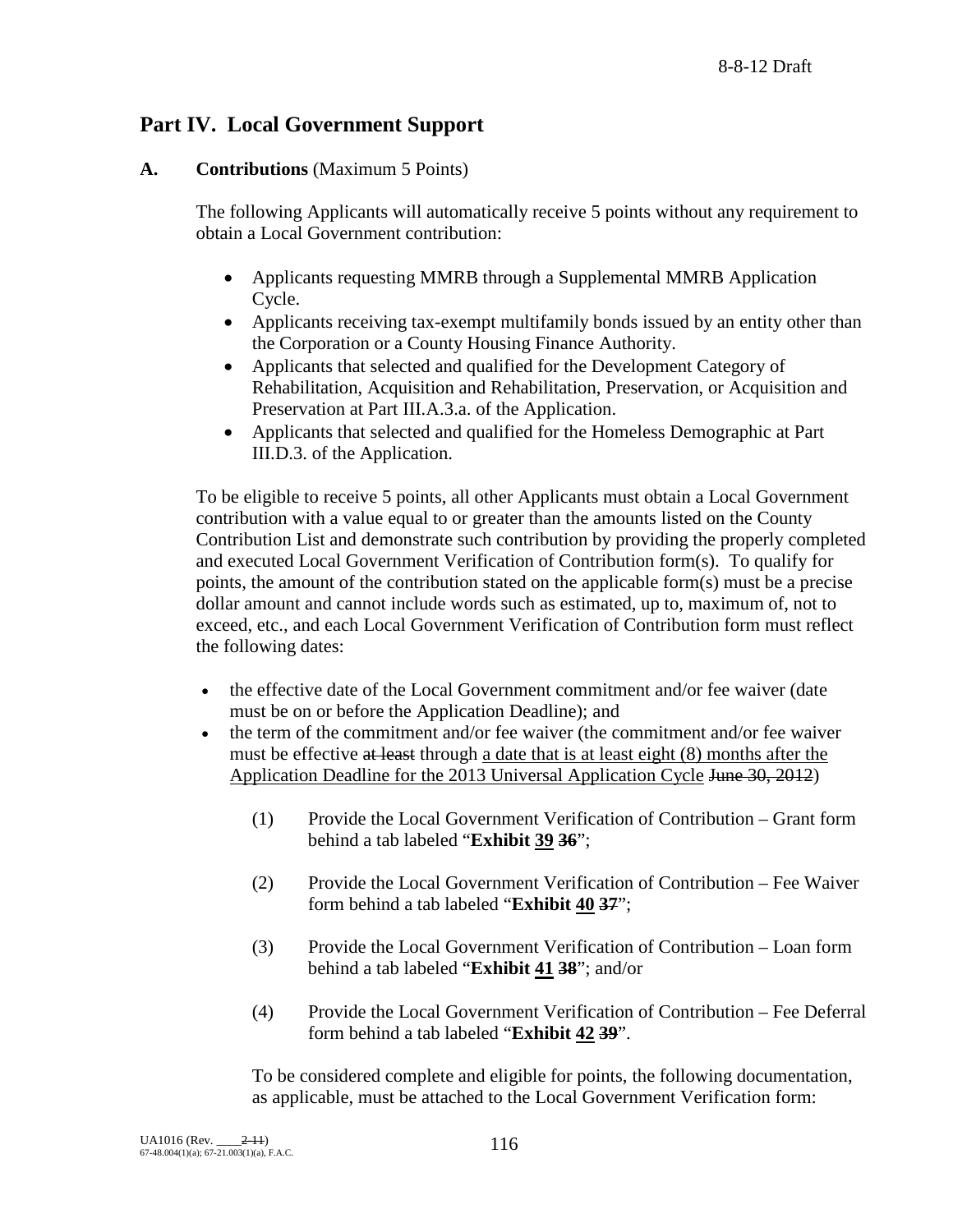# **Part IV. Local Government Support**

### **A. Contributions** (Maximum 5 Points)

The following Applicants will automatically receive 5 points without any requirement to obtain a Local Government contribution:

- Applicants requesting MMRB through a Supplemental MMRB Application Cycle.
- Applicants receiving tax-exempt multifamily bonds issued by an entity other than the Corporation or a County Housing Finance Authority.
- Applicants that selected and qualified for the Development Category of Rehabilitation, Acquisition and Rehabilitation, Preservation, or Acquisition and Preservation at Part III.A.3.a. of the Application.
- Applicants that selected and qualified for the Homeless Demographic at Part III.D.3. of the Application.

To be eligible to receive 5 points, all other Applicants must obtain a Local Government contribution with a value equal to or greater than the amounts listed on the County Contribution List and demonstrate such contribution by providing the properly completed and executed Local Government Verification of Contribution form(s). To qualify for points, the amount of the contribution stated on the applicable form(s) must be a precise dollar amount and cannot include words such as estimated, up to, maximum of, not to exceed, etc., and each Local Government Verification of Contribution form must reflect the following dates:

- the effective date of the Local Government commitment and/or fee waiver (date must be on or before the Application Deadline); and
- the term of the commitment and/or fee waiver (the commitment and/or fee waiver must be effective at least through a date that is at least eight (8) months after the Application Deadline for the 2013 Universal Application Cycle June 30, 2012)
	- (1) Provide the Local Government Verification of Contribution Grant form behind a tab labeled "**Exhibit 39 36**";
	- (2) Provide the Local Government Verification of Contribution Fee Waiver form behind a tab labeled "**Exhibit 40 37**";
	- (3) Provide the Local Government Verification of Contribution Loan form behind a tab labeled "**Exhibit 41 38**"; and/or
	- (4) Provide the Local Government Verification of Contribution Fee Deferral form behind a tab labeled "**Exhibit 42 39**".

To be considered complete and eligible for points, the following documentation, as applicable, must be attached to the Local Government Verification form: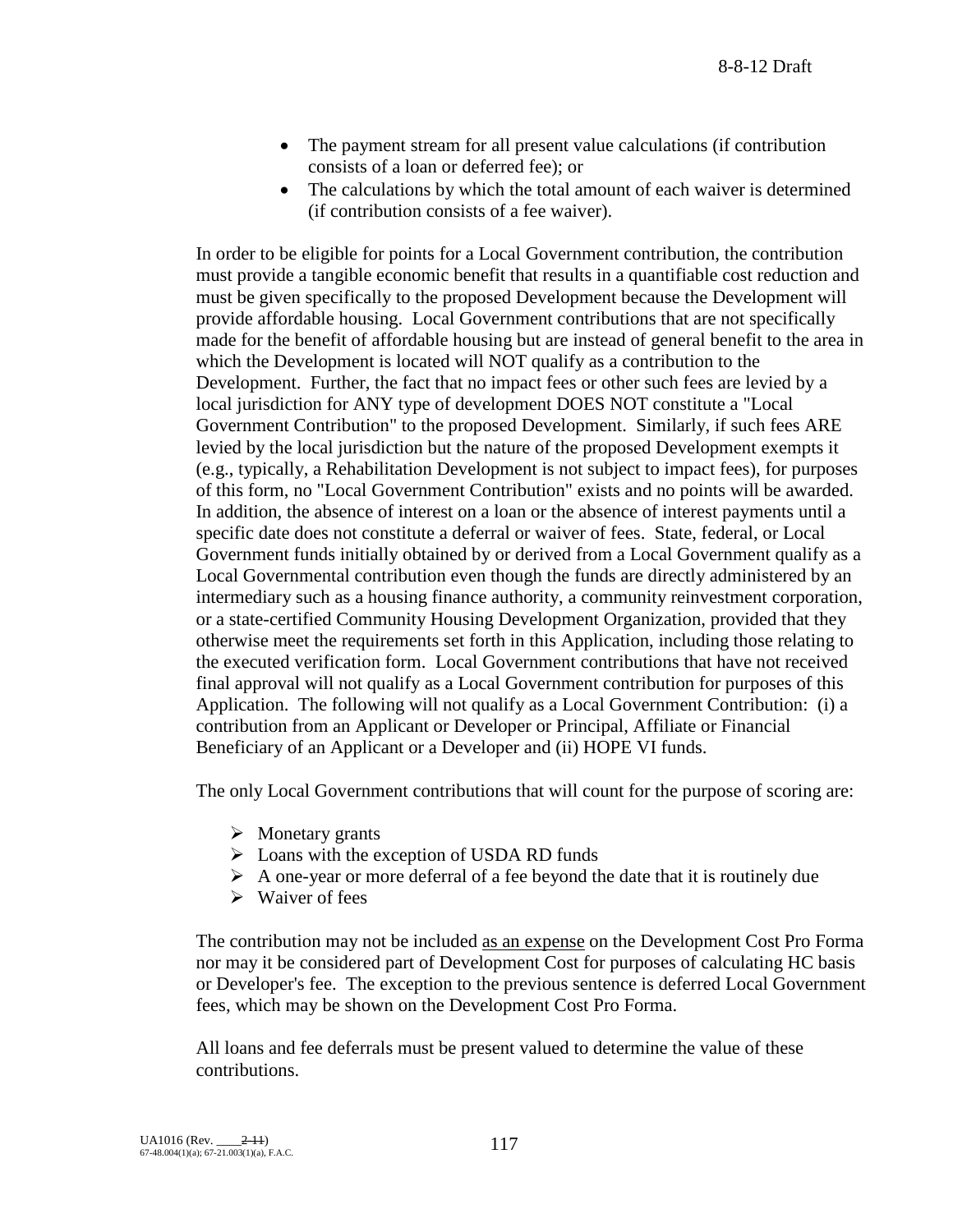- The payment stream for all present value calculations (if contribution consists of a loan or deferred fee); or
- The calculations by which the total amount of each waiver is determined (if contribution consists of a fee waiver).

In order to be eligible for points for a Local Government contribution, the contribution must provide a tangible economic benefit that results in a quantifiable cost reduction and must be given specifically to the proposed Development because the Development will provide affordable housing. Local Government contributions that are not specifically made for the benefit of affordable housing but are instead of general benefit to the area in which the Development is located will NOT qualify as a contribution to the Development. Further, the fact that no impact fees or other such fees are levied by a local jurisdiction for ANY type of development DOES NOT constitute a "Local Government Contribution" to the proposed Development. Similarly, if such fees ARE levied by the local jurisdiction but the nature of the proposed Development exempts it (e.g., typically, a Rehabilitation Development is not subject to impact fees), for purposes of this form, no "Local Government Contribution" exists and no points will be awarded. In addition, the absence of interest on a loan or the absence of interest payments until a specific date does not constitute a deferral or waiver of fees. State, federal, or Local Government funds initially obtained by or derived from a Local Government qualify as a Local Governmental contribution even though the funds are directly administered by an intermediary such as a housing finance authority, a community reinvestment corporation, or a state-certified Community Housing Development Organization, provided that they otherwise meet the requirements set forth in this Application, including those relating to the executed verification form. Local Government contributions that have not received final approval will not qualify as a Local Government contribution for purposes of this Application. The following will not qualify as a Local Government Contribution: (i) a contribution from an Applicant or Developer or Principal, Affiliate or Financial Beneficiary of an Applicant or a Developer and (ii) HOPE VI funds.

The only Local Government contributions that will count for the purpose of scoring are:

- $\triangleright$  Monetary grants
- $\triangleright$  Loans with the exception of USDA RD funds
- $\triangleright$  A one-year or more deferral of a fee beyond the date that it is routinely due
- $\triangleright$  Waiver of fees

The contribution may not be included as an expense on the Development Cost Pro Forma nor may it be considered part of Development Cost for purposes of calculating HC basis or Developer's fee. The exception to the previous sentence is deferred Local Government fees, which may be shown on the Development Cost Pro Forma.

All loans and fee deferrals must be present valued to determine the value of these contributions.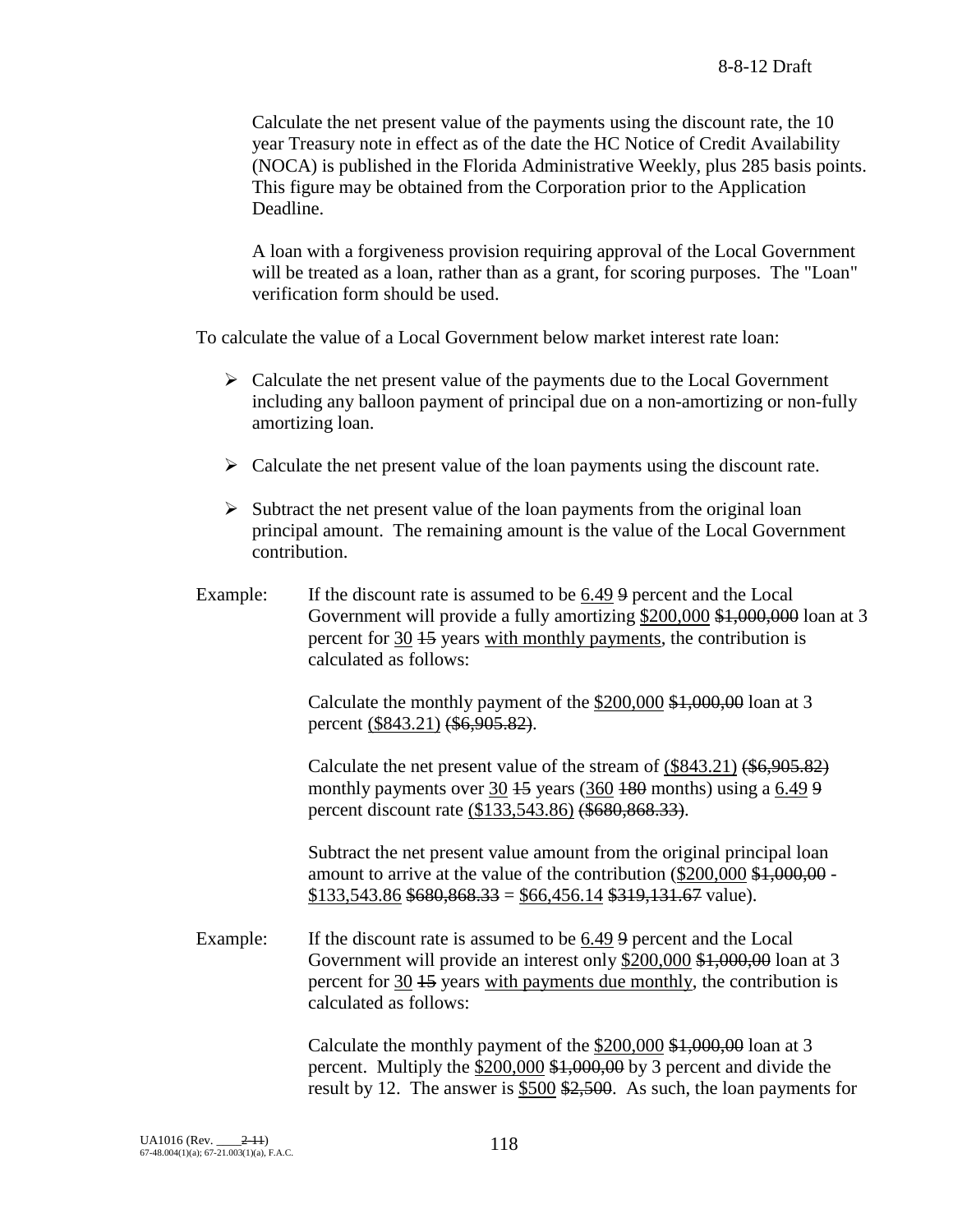Calculate the net present value of the payments using the discount rate, the 10 year Treasury note in effect as of the date the HC Notice of Credit Availability (NOCA) is published in the Florida Administrative Weekly, plus 285 basis points. This figure may be obtained from the Corporation prior to the Application Deadline.

A loan with a forgiveness provision requiring approval of the Local Government will be treated as a loan, rather than as a grant, for scoring purposes. The "Loan" verification form should be used.

To calculate the value of a Local Government below market interest rate loan:

- $\triangleright$  Calculate the net present value of the payments due to the Local Government including any balloon payment of principal due on a non-amortizing or non-fully amortizing loan.
- $\triangleright$  Calculate the net present value of the loan payments using the discount rate.
- $\triangleright$  Subtract the net present value of the loan payments from the original loan principal amount. The remaining amount is the value of the Local Government contribution.
- Example: If the discount rate is assumed to be 6.49 9 percent and the Local Government will provide a fully amortizing \$200,000 \$1,000,000 loan at 3 percent for 30 15 years with monthly payments, the contribution is calculated as follows:

Calculate the monthly payment of the \$200,000 \$1,000,00 loan at 3 percent (\$843.21) (\$6,905.82).

Calculate the net present value of the stream of (\$843.21) (\$6,905.82) monthly payments over  $30 + 5$  years (360  $+80$  months) using a 6.49 9 percent discount rate (\$133,543.86) (\$680,868.33).

Subtract the net present value amount from the original principal loan amount to arrive at the value of the contribution (\$200,000 \$1,000,00 - $$133,543.86$   $$680,868.33 = $66,456.14$   $$319,131.67$  value).

Example: If the discount rate is assumed to be 6.49 9 percent and the Local Government will provide an interest only \$200,000 \$1,000,00 loan at 3 percent for 30 15 years with payments due monthly, the contribution is calculated as follows:

> Calculate the monthly payment of the \$200,000 \$1,000,00 loan at 3 percent. Multiply the \$200,000 \$1,000,00 by 3 percent and divide the result by 12. The answer is \$500 \$2,500. As such, the loan payments for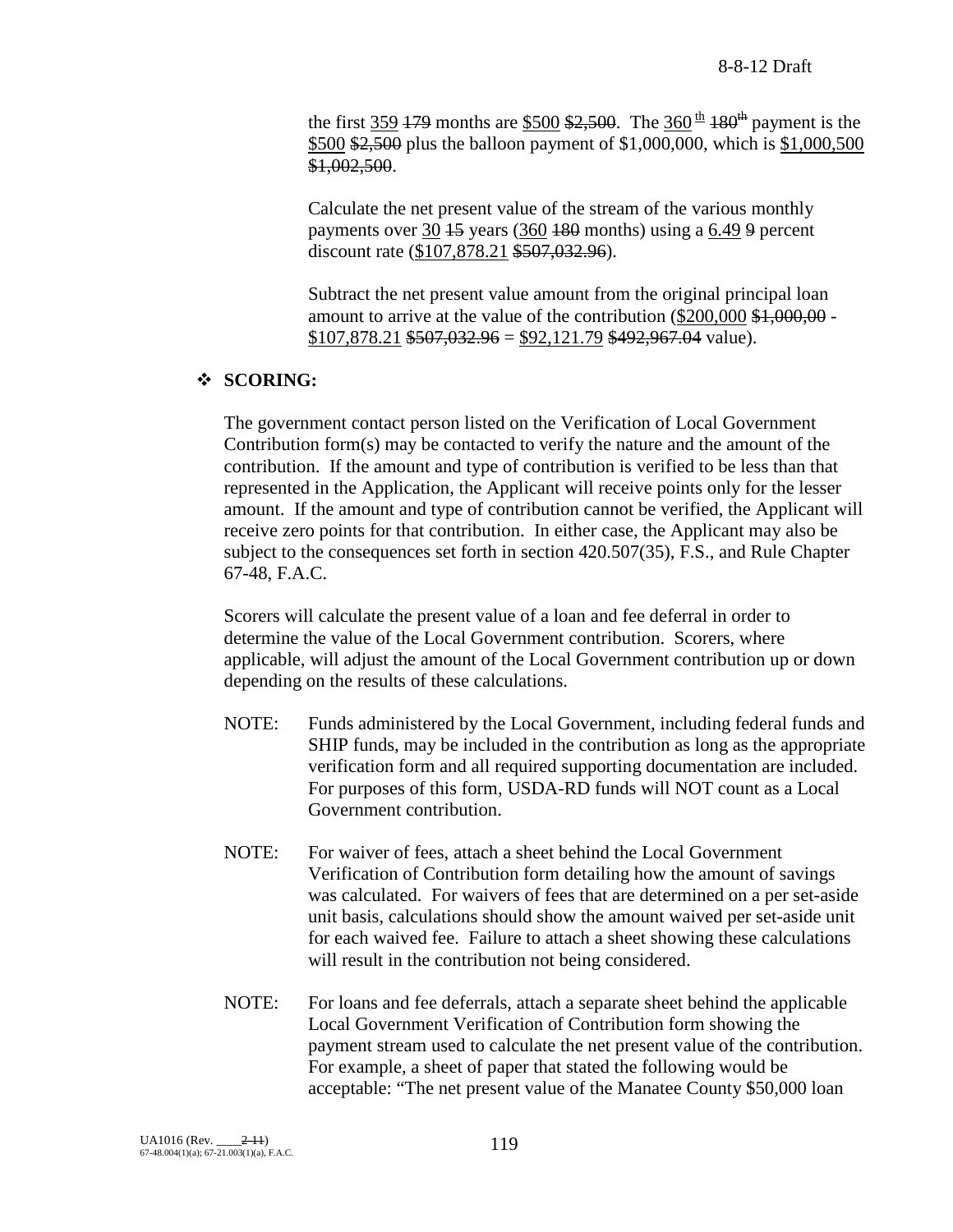the first 359 179 months are \$500 \$2,500. The 360<sup>th</sup> 180<sup>th</sup> payment is the \$500 \$2,500 plus the balloon payment of \$1,000,000, which is \$1,000,500 \$1,002,500.

Calculate the net present value of the stream of the various monthly payments over 30 <del>15</del> years (360 <del>180</del> months) using a 6.49 9 percent discount rate (\$107,878.21 \$507,032.96).

Subtract the net present value amount from the original principal loan amount to arrive at the value of the contribution (\$200,000 \$1,000,00 -  $$107,878.21$  \$507,032.96 = \$92,121.79 \$492,967.04 value).

## **SCORING:**

The government contact person listed on the Verification of Local Government Contribution form(s) may be contacted to verify the nature and the amount of the contribution. If the amount and type of contribution is verified to be less than that represented in the Application, the Applicant will receive points only for the lesser amount. If the amount and type of contribution cannot be verified, the Applicant will receive zero points for that contribution. In either case, the Applicant may also be subject to the consequences set forth in section 420.507(35), F.S., and Rule Chapter 67-48, F.A.C.

Scorers will calculate the present value of a loan and fee deferral in order to determine the value of the Local Government contribution. Scorers, where applicable, will adjust the amount of the Local Government contribution up or down depending on the results of these calculations.

- NOTE: Funds administered by the Local Government, including federal funds and SHIP funds, may be included in the contribution as long as the appropriate verification form and all required supporting documentation are included. For purposes of this form, USDA-RD funds will NOT count as a Local Government contribution.
- NOTE: For waiver of fees, attach a sheet behind the Local Government Verification of Contribution form detailing how the amount of savings was calculated. For waivers of fees that are determined on a per set-aside unit basis, calculations should show the amount waived per set-aside unit for each waived fee. Failure to attach a sheet showing these calculations will result in the contribution not being considered.
- NOTE: For loans and fee deferrals, attach a separate sheet behind the applicable Local Government Verification of Contribution form showing the payment stream used to calculate the net present value of the contribution. For example, a sheet of paper that stated the following would be acceptable: "The net present value of the Manatee County \$50,000 loan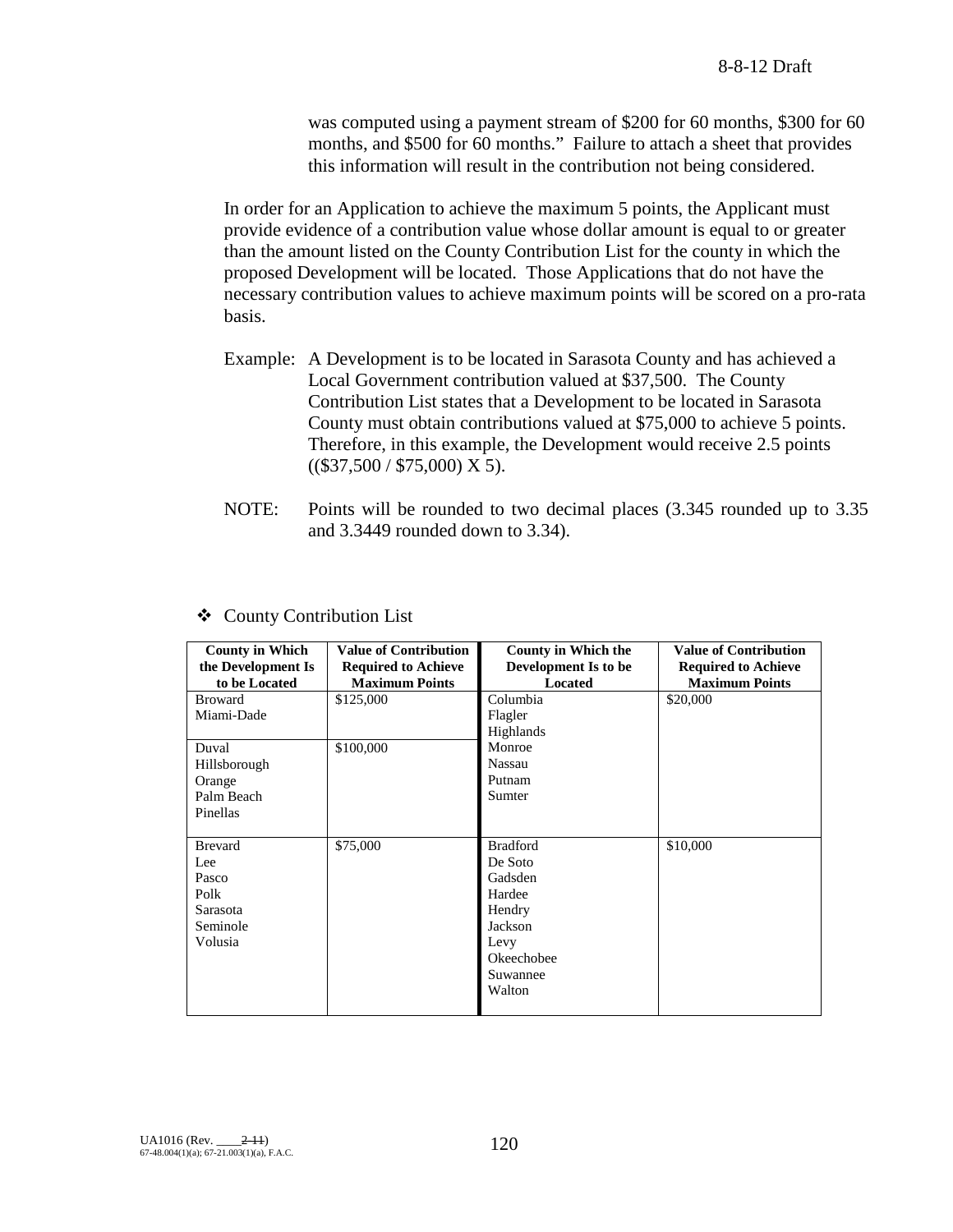was computed using a payment stream of \$200 for 60 months, \$300 for 60 months, and \$500 for 60 months." Failure to attach a sheet that provides this information will result in the contribution not being considered.

In order for an Application to achieve the maximum 5 points, the Applicant must provide evidence of a contribution value whose dollar amount is equal to or greater than the amount listed on the County Contribution List for the county in which the proposed Development will be located. Those Applications that do not have the necessary contribution values to achieve maximum points will be scored on a pro-rata basis.

- Example: A Development is to be located in Sarasota County and has achieved a Local Government contribution valued at \$37,500. The County Contribution List states that a Development to be located in Sarasota County must obtain contributions valued at \$75,000 to achieve 5 points. Therefore, in this example, the Development would receive 2.5 points  $((\$37,500 / \$75,000)$  X 5).
- NOTE: Points will be rounded to two decimal places (3.345 rounded up to 3.35 and 3.3449 rounded down to 3.34).

| <b>County in Which</b><br>the Development Is | <b>Value of Contribution</b><br><b>Required to Achieve</b> | <b>County in Which the</b><br>Development Is to be | <b>Value of Contribution</b><br><b>Required to Achieve</b> |
|----------------------------------------------|------------------------------------------------------------|----------------------------------------------------|------------------------------------------------------------|
| to be Located                                | <b>Maximum Points</b>                                      | <b>Located</b>                                     | <b>Maximum Points</b>                                      |
| <b>Broward</b>                               | \$125,000                                                  | Columbia                                           | \$20,000                                                   |
| Miami-Dade                                   |                                                            | Flagler                                            |                                                            |
|                                              |                                                            | Highlands                                          |                                                            |
| Duval                                        | \$100,000                                                  | Monroe                                             |                                                            |
| Hillsborough                                 |                                                            | Nassau                                             |                                                            |
| Orange                                       |                                                            | Putnam                                             |                                                            |
| Palm Beach                                   |                                                            | Sumter                                             |                                                            |
| Pinellas                                     |                                                            |                                                    |                                                            |
|                                              |                                                            |                                                    |                                                            |
| <b>Brevard</b>                               | \$75,000                                                   | <b>Bradford</b>                                    | \$10,000                                                   |
| Lee                                          |                                                            | De Soto                                            |                                                            |
| Pasco                                        |                                                            | Gadsden                                            |                                                            |
| Polk                                         |                                                            | Hardee                                             |                                                            |
| Sarasota                                     |                                                            | Hendry                                             |                                                            |
| Seminole                                     |                                                            | Jackson                                            |                                                            |
| Volusia                                      |                                                            | Levy                                               |                                                            |
|                                              |                                                            | Okeechobee                                         |                                                            |
|                                              |                                                            | Suwannee                                           |                                                            |
|                                              |                                                            | Walton                                             |                                                            |
|                                              |                                                            |                                                    |                                                            |

#### County Contribution List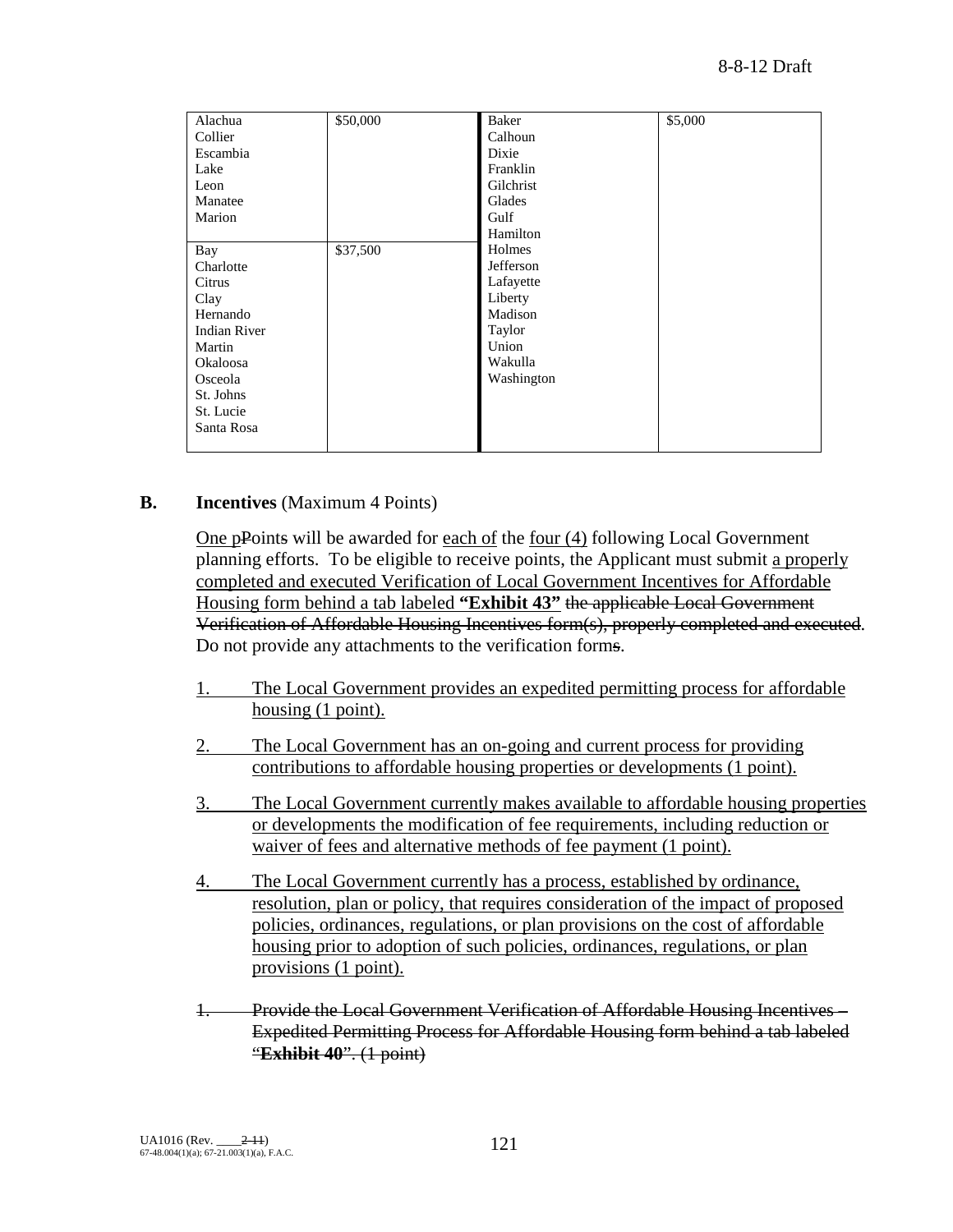| Alachua<br>Collier<br>Escambia<br>Lake<br>Leon<br>Manatee<br>Marion<br>Bay<br>Charlotte<br>Citrus<br>Clay<br>Hernando | \$50,000<br>\$37,500 | Baker<br>Calhoun<br>Dixie<br>Franklin<br>Gilchrist<br>Glades<br>Gulf<br>Hamilton<br>Holmes<br>Jefferson<br>Lafayette<br>Liberty<br>Madison | \$5,000 |
|-----------------------------------------------------------------------------------------------------------------------|----------------------|--------------------------------------------------------------------------------------------------------------------------------------------|---------|
|                                                                                                                       |                      |                                                                                                                                            |         |
|                                                                                                                       |                      |                                                                                                                                            |         |
|                                                                                                                       |                      |                                                                                                                                            |         |
|                                                                                                                       |                      |                                                                                                                                            |         |
| <b>Indian River</b>                                                                                                   |                      | Taylor                                                                                                                                     |         |
| Martin                                                                                                                |                      | Union                                                                                                                                      |         |
| Okaloosa                                                                                                              |                      | Wakulla                                                                                                                                    |         |
| Osceola                                                                                                               |                      | Washington                                                                                                                                 |         |
| St. Johns                                                                                                             |                      |                                                                                                                                            |         |
| St. Lucie                                                                                                             |                      |                                                                                                                                            |         |
| Santa Rosa                                                                                                            |                      |                                                                                                                                            |         |
|                                                                                                                       |                      |                                                                                                                                            |         |

### **B. Incentives** (Maximum 4 Points)

One pPoints will be awarded for each of the four (4) following Local Government planning efforts. To be eligible to receive points, the Applicant must submit a properly completed and executed Verification of Local Government Incentives for Affordable Housing form behind a tab labeled **"Exhibit 43"** the applicable Local Government Verification of Affordable Housing Incentives form(s), properly completed and executed. Do not provide any attachments to the verification forms.

- 1. The Local Government provides an expedited permitting process for affordable housing (1 point).
- 2. The Local Government has an on-going and current process for providing contributions to affordable housing properties or developments (1 point).
- 3. The Local Government currently makes available to affordable housing properties or developments the modification of fee requirements, including reduction or waiver of fees and alternative methods of fee payment (1 point).
- 4. The Local Government currently has a process, established by ordinance, resolution, plan or policy, that requires consideration of the impact of proposed policies, ordinances, regulations, or plan provisions on the cost of affordable housing prior to adoption of such policies, ordinances, regulations, or plan provisions (1 point).
- 1. Provide the Local Government Verification of Affordable Housing Incentives Expedited Permitting Process for Affordable Housing form behind a tab labeled "**Exhibit 40**". (1 point)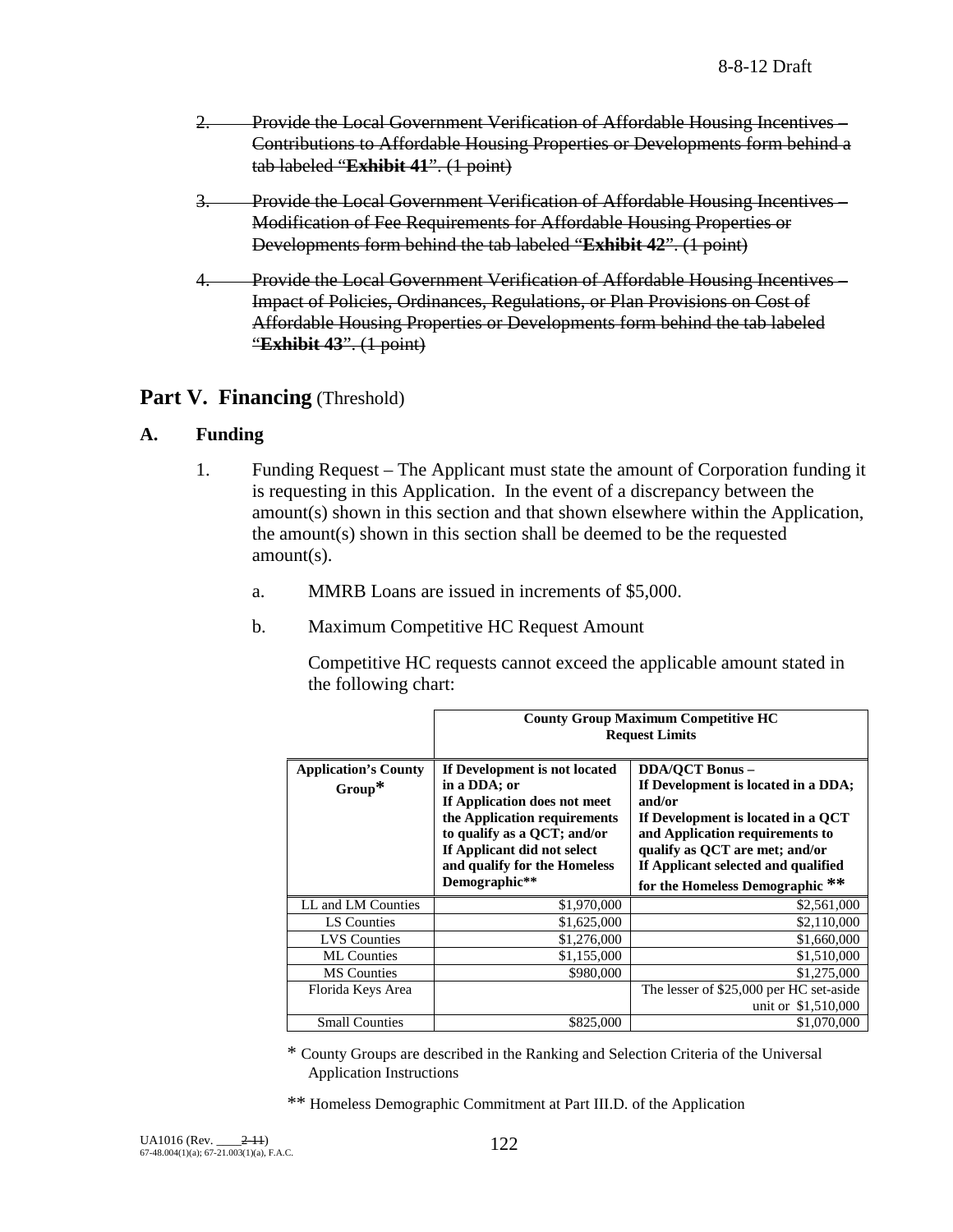- 2. Provide the Local Government Verification of Affordable Housing Incentives Contributions to Affordable Housing Properties or Developments form behind a tab labeled "**Exhibit 41**". (1 point)
- 3. Provide the Local Government Verification of Affordable Housing Incentives Modification of Fee Requirements for Affordable Housing Properties or Developments form behind the tab labeled "**Exhibit 42**". (1 point)
- 4. Provide the Local Government Verification of Affordable Housing Incentives Impact of Policies, Ordinances, Regulations, or Plan Provisions on Cost of Affordable Housing Properties or Developments form behind the tab labeled "**Exhibit 43**". (1 point)

## **Part V. Financing** (Threshold)

## **A. Funding**

- 1. Funding Request The Applicant must state the amount of Corporation funding it is requesting in this Application. In the event of a discrepancy between the amount(s) shown in this section and that shown elsewhere within the Application, the amount(s) shown in this section shall be deemed to be the requested amount(s).
	- a. MMRB Loans are issued in increments of \$5,000.
	- b. Maximum Competitive HC Request Amount

Competitive HC requests cannot exceed the applicable amount stated in the following chart:

|                                          | <b>County Group Maximum Competitive HC</b><br><b>Request Limits</b>                                                                                                                                                          |                                                                                                                                                                                                                                                              |  |
|------------------------------------------|------------------------------------------------------------------------------------------------------------------------------------------------------------------------------------------------------------------------------|--------------------------------------------------------------------------------------------------------------------------------------------------------------------------------------------------------------------------------------------------------------|--|
| <b>Application's County</b><br>$Group^*$ | If Development is not located<br>in a DDA; or<br>If Application does not meet<br>the Application requirements<br>to qualify as a QCT; and/or<br>If Applicant did not select<br>and qualify for the Homeless<br>Demographic** | <b>DDA/OCT Bonus -</b><br>If Development is located in a DDA;<br>and/or<br>If Development is located in a QCT<br>and Application requirements to<br>qualify as QCT are met; and/or<br>If Applicant selected and qualified<br>for the Homeless Demographic ** |  |
| LL and LM Counties                       | \$1,970,000                                                                                                                                                                                                                  | \$2,561,000                                                                                                                                                                                                                                                  |  |
| LS Counties                              | \$1,625,000                                                                                                                                                                                                                  | \$2,110,000                                                                                                                                                                                                                                                  |  |
| <b>LVS</b> Counties                      | \$1,276,000                                                                                                                                                                                                                  | \$1,660,000                                                                                                                                                                                                                                                  |  |
| <b>ML</b> Counties                       | \$1,155,000                                                                                                                                                                                                                  | \$1,510,000                                                                                                                                                                                                                                                  |  |
| <b>MS</b> Counties                       | \$980,000                                                                                                                                                                                                                    | \$1,275,000                                                                                                                                                                                                                                                  |  |
| Florida Keys Area                        |                                                                                                                                                                                                                              | The lesser of \$25,000 per HC set-aside<br>unit or \$1,510,000                                                                                                                                                                                               |  |
| <b>Small Counties</b>                    | \$825,000                                                                                                                                                                                                                    | \$1,070,000                                                                                                                                                                                                                                                  |  |

\* County Groups are described in the Ranking and Selection Criteria of the Universal Application Instructions

\*\* Homeless Demographic Commitment at Part III.D. of the Application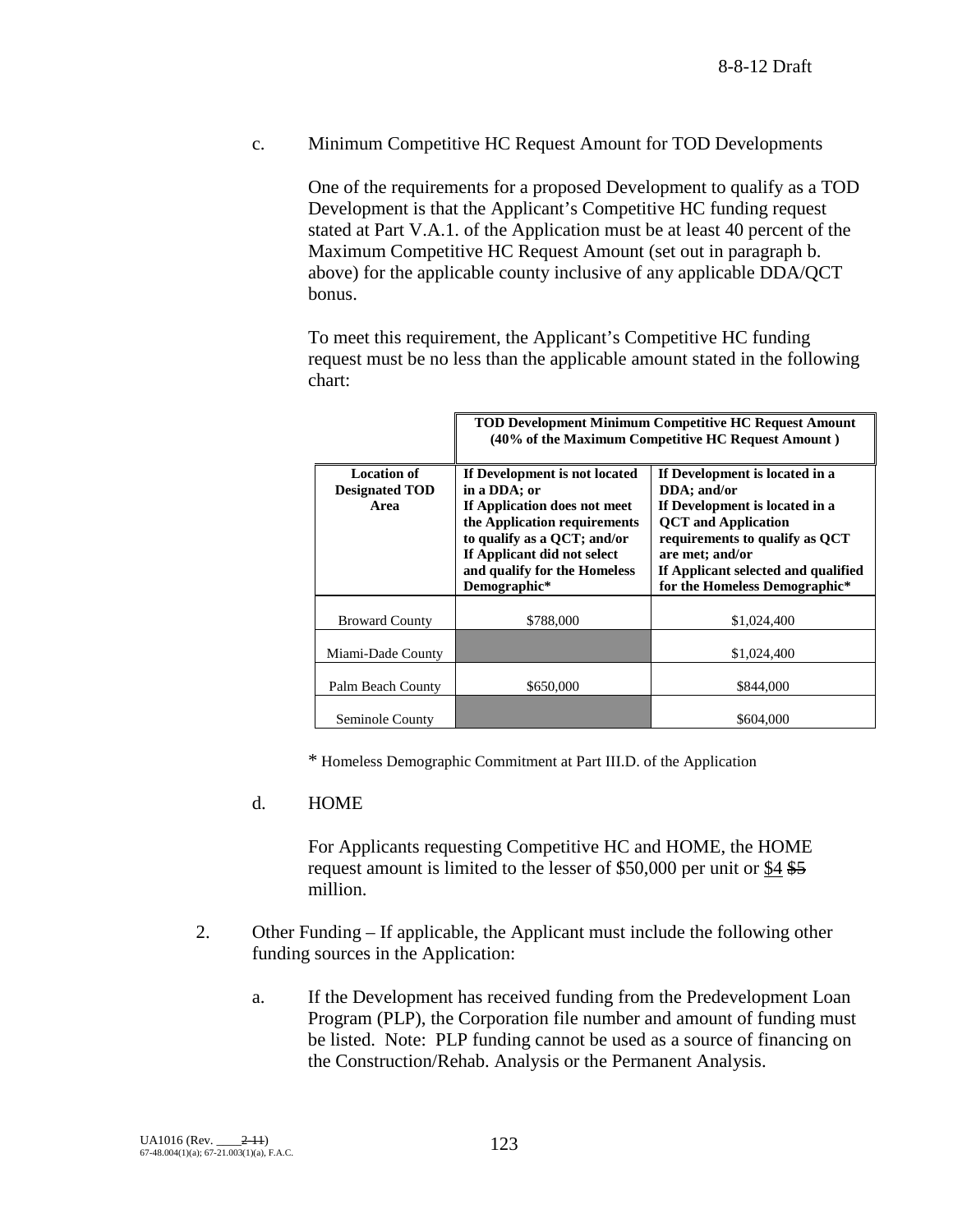c. Minimum Competitive HC Request Amount for TOD Developments

One of the requirements for a proposed Development to qualify as a TOD Development is that the Applicant's Competitive HC funding request stated at Part V.A.1. of the Application must be at least 40 percent of the Maximum Competitive HC Request Amount (set out in paragraph b. above) for the applicable county inclusive of any applicable DDA/QCT bonus.

To meet this requirement, the Applicant's Competitive HC funding request must be no less than the applicable amount stated in the following chart:

|                                                     | <b>TOD Development Minimum Competitive HC Request Amount</b><br>(40% of the Maximum Competitive HC Request Amount)                                                                                                          |                                                                                                                                                                                                                                            |  |
|-----------------------------------------------------|-----------------------------------------------------------------------------------------------------------------------------------------------------------------------------------------------------------------------------|--------------------------------------------------------------------------------------------------------------------------------------------------------------------------------------------------------------------------------------------|--|
| <b>Location of</b><br><b>Designated TOD</b><br>Area | If Development is not located<br>in a DDA; or<br>If Application does not meet<br>the Application requirements<br>to qualify as a QCT; and/or<br>If Applicant did not select<br>and qualify for the Homeless<br>Demographic* | If Development is located in a<br>DDA; and/or<br>If Development is located in a<br><b>QCT</b> and Application<br>requirements to qualify as QCT<br>are met; and/or<br>If Applicant selected and qualified<br>for the Homeless Demographic* |  |
| <b>Broward County</b>                               | \$788,000                                                                                                                                                                                                                   | \$1,024,400                                                                                                                                                                                                                                |  |
| Miami-Dade County                                   |                                                                                                                                                                                                                             | \$1,024,400                                                                                                                                                                                                                                |  |
| Palm Beach County                                   | \$650,000                                                                                                                                                                                                                   | \$844,000                                                                                                                                                                                                                                  |  |
| Seminole County                                     |                                                                                                                                                                                                                             | \$604,000                                                                                                                                                                                                                                  |  |

\* Homeless Demographic Commitment at Part III.D. of the Application

### d. HOME

For Applicants requesting Competitive HC and HOME, the HOME request amount is limited to the lesser of \$50,000 per unit or \$4 \$5 million.

- 2. Other Funding If applicable, the Applicant must include the following other funding sources in the Application:
	- a. If the Development has received funding from the Predevelopment Loan Program (PLP), the Corporation file number and amount of funding must be listed. Note: PLP funding cannot be used as a source of financing on the Construction/Rehab. Analysis or the Permanent Analysis.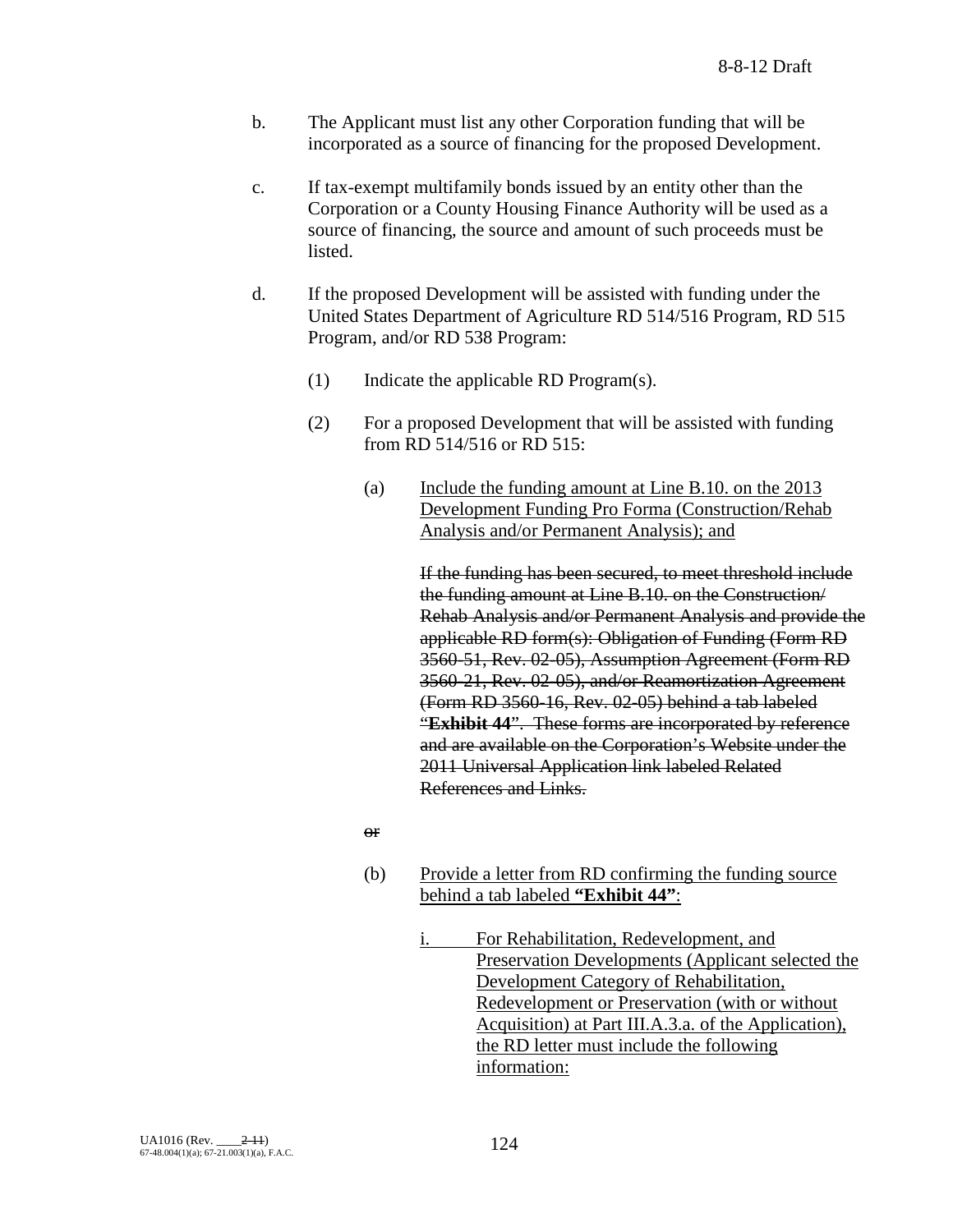- b. The Applicant must list any other Corporation funding that will be incorporated as a source of financing for the proposed Development.
- c. If tax-exempt multifamily bonds issued by an entity other than the Corporation or a County Housing Finance Authority will be used as a source of financing, the source and amount of such proceeds must be listed.
- d. If the proposed Development will be assisted with funding under the United States Department of Agriculture RD 514/516 Program, RD 515 Program, and/or RD 538 Program:
	- (1) Indicate the applicable RD Program(s).
	- (2) For a proposed Development that will be assisted with funding from RD 514/516 or RD 515:
		- (a) Include the funding amount at Line B.10. on the 2013 Development Funding Pro Forma (Construction/Rehab Analysis and/or Permanent Analysis); and

If the funding has been secured, to meet threshold include the funding amount at Line B.10. on the Construction/ Rehab Analysis and/or Permanent Analysis and provide the applicable RD form(s): Obligation of Funding (Form RD 3560-51, Rev. 02-05), Assumption Agreement (Form RD 3560-21, Rev. 02-05), and/or Reamortization Agreement (Form RD 3560-16, Rev. 02-05) behind a tab labeled "**Exhibit 44**". These forms are incorporated by reference and are available on the Corporation's Website under the 2011 Universal Application link labeled Related References and Links.

or

- (b) Provide a letter from RD confirming the funding source behind a tab labeled **"Exhibit 44"**:
	- i. For Rehabilitation, Redevelopment, and Preservation Developments (Applicant selected the Development Category of Rehabilitation, Redevelopment or Preservation (with or without Acquisition) at Part III.A.3.a. of the Application), the RD letter must include the following information: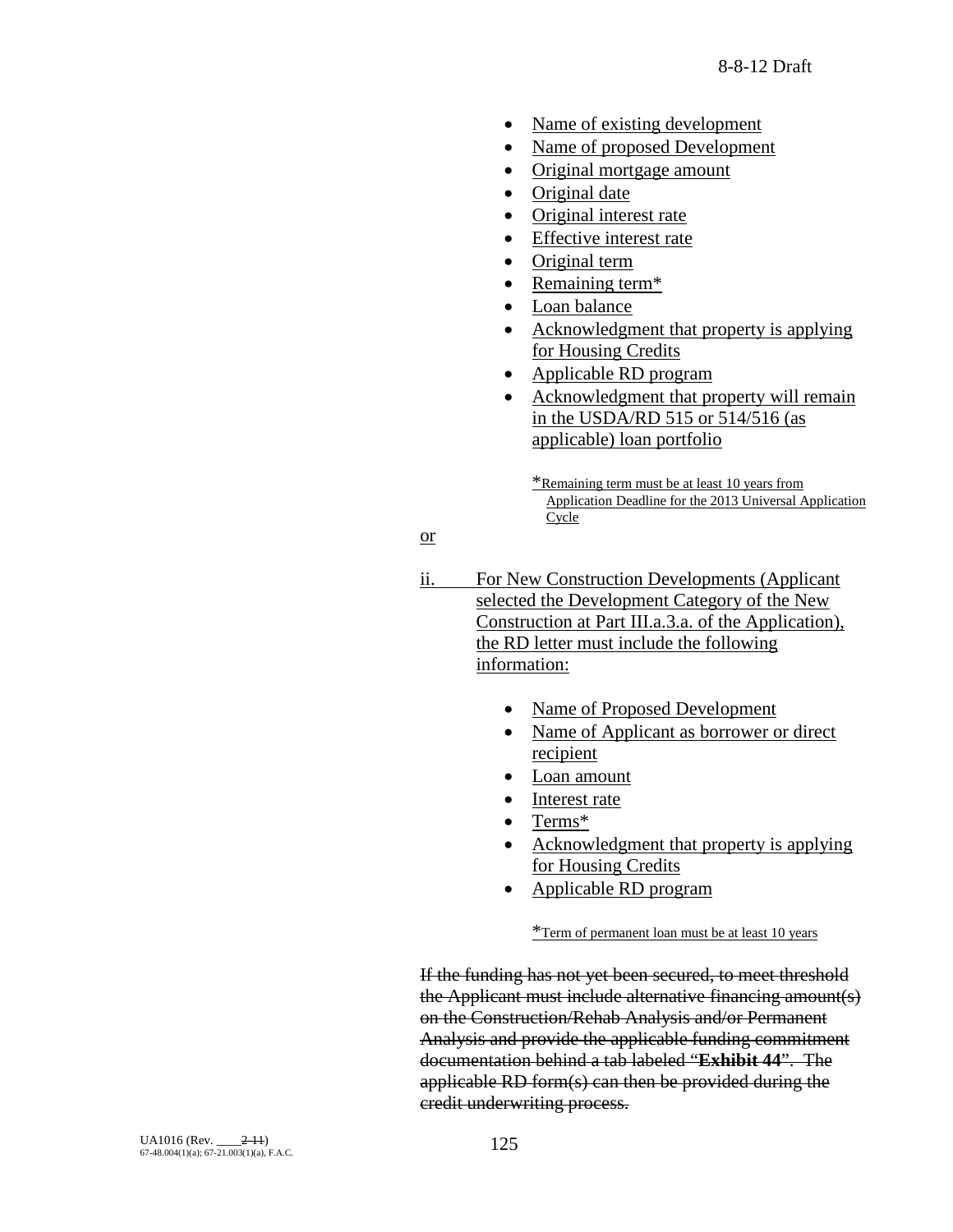- Name of existing development
- Name of proposed Development
- Original mortgage amount
- Original date
- Original interest rate
- Effective interest rate
- Original term
- Remaining term\*
- Loan balance
- Acknowledgment that property is applying for Housing Credits
- Applicable RD program
- Acknowledgment that property will remain in the USDA/RD 515 or 514/516 (as applicable) loan portfolio

\*Remaining term must be at least 10 years from Application Deadline for the 2013 Universal Application Cycle

or

- ii. For New Construction Developments (Applicant selected the Development Category of the New Construction at Part III.a.3.a. of the Application), the RD letter must include the following information:
	- Name of Proposed Development
	- Name of Applicant as borrower or direct recipient
	- Loan amount
	- Interest rate
	- Terms\*
	- Acknowledgment that property is applying for Housing Credits
	- Applicable RD program

\*Term of permanent loan must be at least 10 years

If the funding has not yet been secured, to meet threshold the Applicant must include alternative financing amount(s) on the Construction/Rehab Analysis and/or Permanent Analysis and provide the applicable funding commitment documentation behind a tab labeled "**Exhibit 44**". The applicable RD form(s) can then be provided during the credit underwriting process.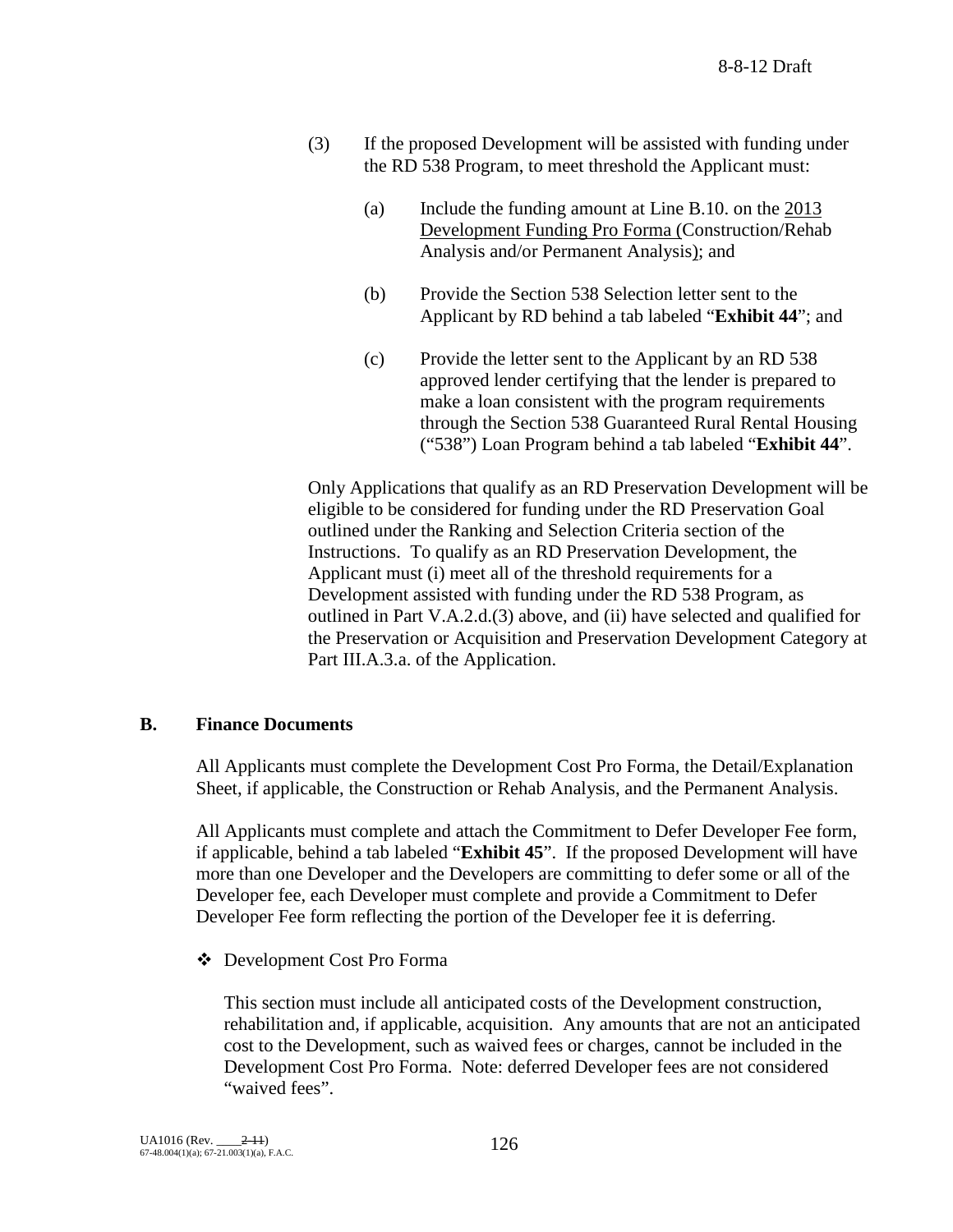- (3) If the proposed Development will be assisted with funding under the RD 538 Program, to meet threshold the Applicant must:
	- (a) Include the funding amount at Line B.10. on the 2013 Development Funding Pro Forma (Construction/Rehab Analysis and/or Permanent Analysis); and
	- (b) Provide the Section 538 Selection letter sent to the Applicant by RD behind a tab labeled "**Exhibit 44**"; and
	- (c) Provide the letter sent to the Applicant by an RD 538 approved lender certifying that the lender is prepared to make a loan consistent with the program requirements through the Section 538 Guaranteed Rural Rental Housing ("538") Loan Program behind a tab labeled "**Exhibit 44**".

Only Applications that qualify as an RD Preservation Development will be eligible to be considered for funding under the RD Preservation Goal outlined under the Ranking and Selection Criteria section of the Instructions. To qualify as an RD Preservation Development, the Applicant must (i) meet all of the threshold requirements for a Development assisted with funding under the RD 538 Program, as outlined in Part V.A.2.d.(3) above, and (ii) have selected and qualified for the Preservation or Acquisition and Preservation Development Category at Part III.A.3.a. of the Application.

### **B. Finance Documents**

All Applicants must complete the Development Cost Pro Forma, the Detail/Explanation Sheet, if applicable, the Construction or Rehab Analysis, and the Permanent Analysis.

All Applicants must complete and attach the Commitment to Defer Developer Fee form, if applicable, behind a tab labeled "**Exhibit 45**". If the proposed Development will have more than one Developer and the Developers are committing to defer some or all of the Developer fee, each Developer must complete and provide a Commitment to Defer Developer Fee form reflecting the portion of the Developer fee it is deferring.

Development Cost Pro Forma

 This section must include all anticipated costs of the Development construction, rehabilitation and, if applicable, acquisition. Any amounts that are not an anticipated cost to the Development, such as waived fees or charges, cannot be included in the Development Cost Pro Forma. Note: deferred Developer fees are not considered "waived fees".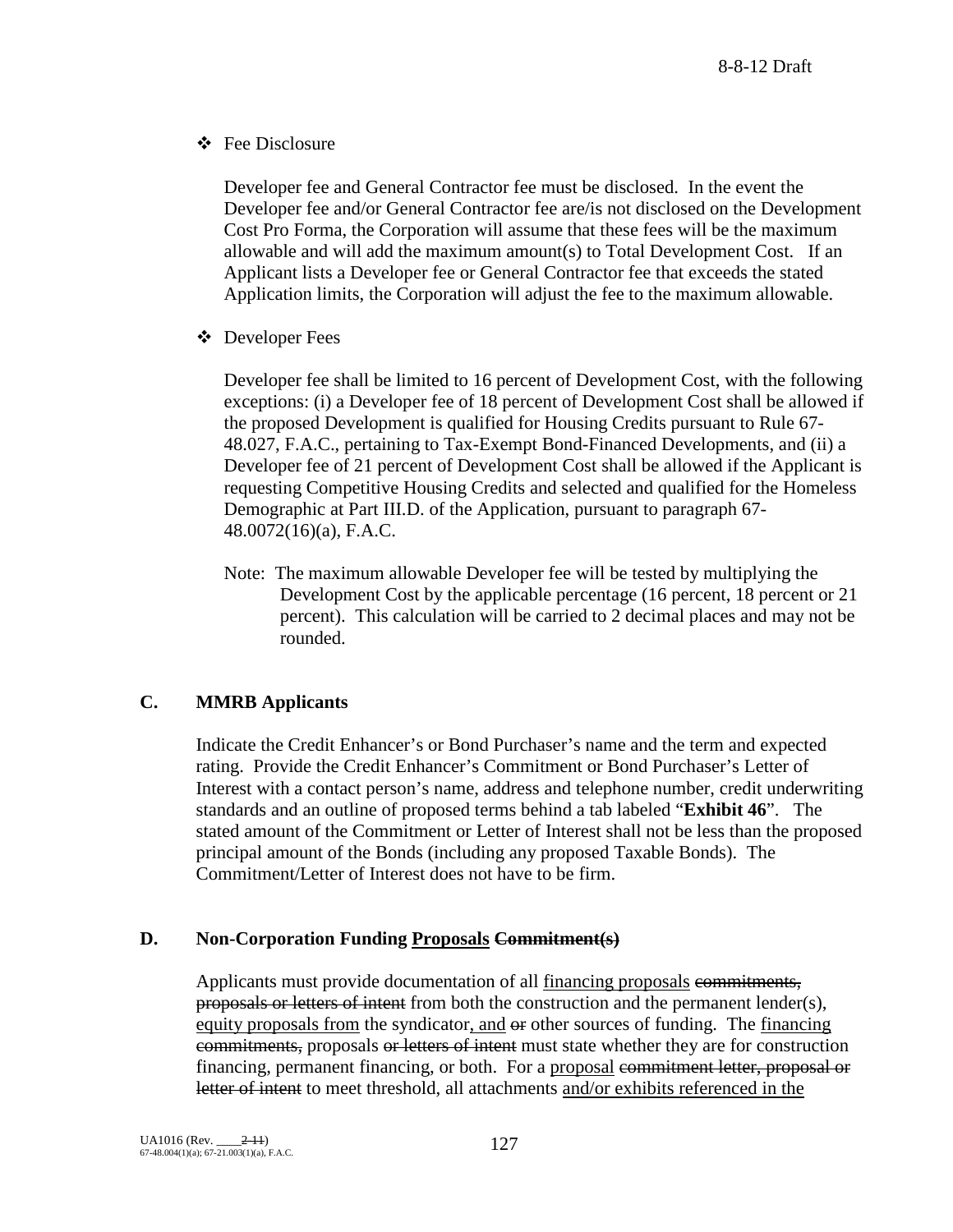Fee Disclosure

Developer fee and General Contractor fee must be disclosed. In the event the Developer fee and/or General Contractor fee are/is not disclosed on the Development Cost Pro Forma, the Corporation will assume that these fees will be the maximum allowable and will add the maximum amount(s) to Total Development Cost. If an Applicant lists a Developer fee or General Contractor fee that exceeds the stated Application limits, the Corporation will adjust the fee to the maximum allowable.

Developer Fees

Developer fee shall be limited to 16 percent of Development Cost, with the following exceptions: (i) a Developer fee of 18 percent of Development Cost shall be allowed if the proposed Development is qualified for Housing Credits pursuant to Rule 67- 48.027, F.A.C., pertaining to Tax-Exempt Bond-Financed Developments, and (ii) a Developer fee of 21 percent of Development Cost shall be allowed if the Applicant is requesting Competitive Housing Credits and selected and qualified for the Homeless Demographic at Part III.D. of the Application, pursuant to paragraph 67- 48.0072(16)(a), F.A.C.

Note: The maximum allowable Developer fee will be tested by multiplying the Development Cost by the applicable percentage (16 percent, 18 percent or 21 percent). This calculation will be carried to 2 decimal places and may not be rounded.

## **C. MMRB Applicants**

Indicate the Credit Enhancer's or Bond Purchaser's name and the term and expected rating. Provide the Credit Enhancer's Commitment or Bond Purchaser's Letter of Interest with a contact person's name, address and telephone number, credit underwriting standards and an outline of proposed terms behind a tab labeled "**Exhibit 46**". The stated amount of the Commitment or Letter of Interest shall not be less than the proposed principal amount of the Bonds (including any proposed Taxable Bonds). The Commitment/Letter of Interest does not have to be firm.

## **D. Non-Corporation Funding Proposals Commitment(s)**

Applicants must provide documentation of all financing proposals commitments, proposals or letters of intent from both the construction and the permanent lender(s), equity proposals from the syndicator, and or other sources of funding. The financing commitments, proposals or letters of intent must state whether they are for construction financing, permanent financing, or both. For a proposal commitment letter, proposal or letter of intent to meet threshold, all attachments and/or exhibits referenced in the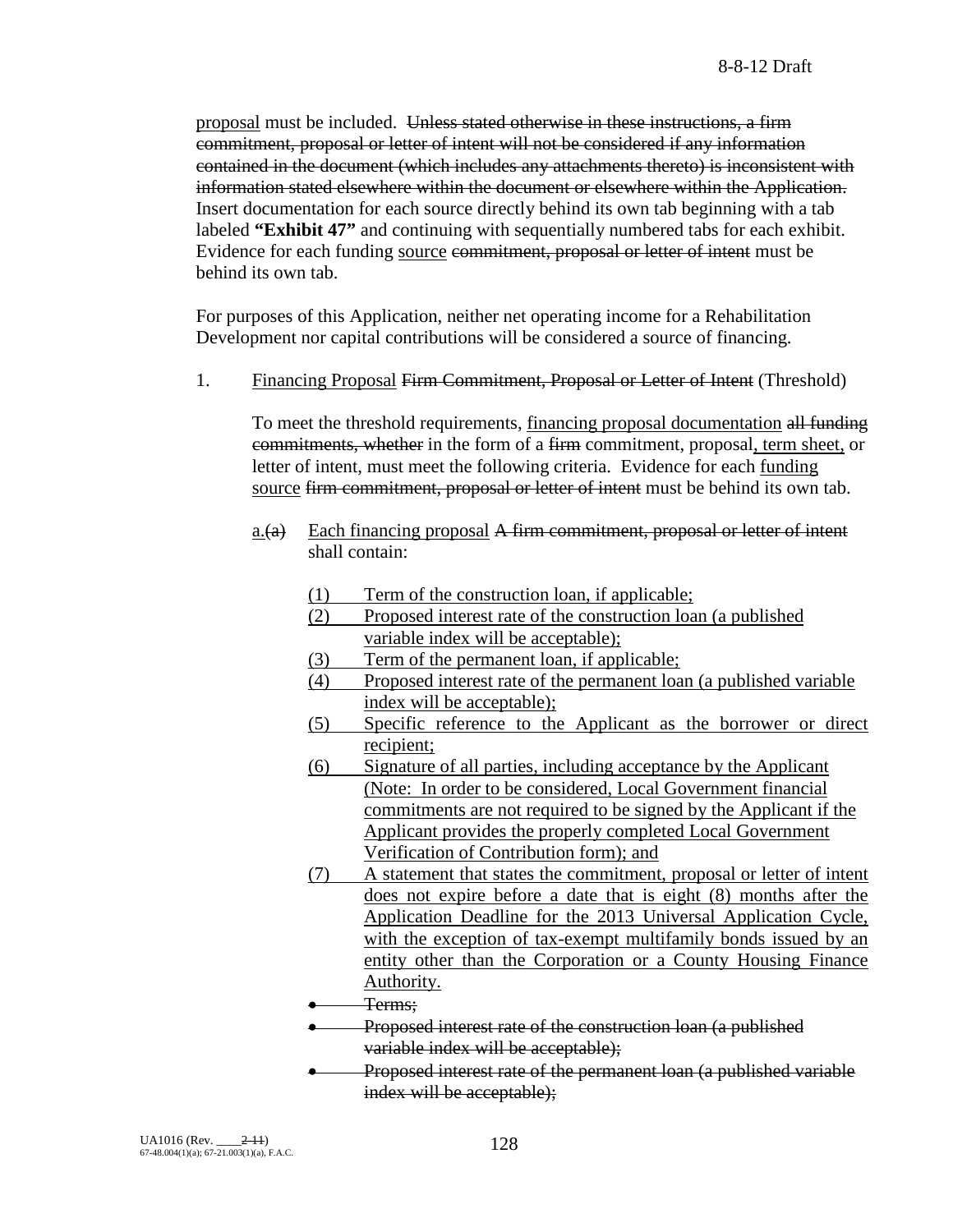proposal must be included. Unless stated otherwise in these instructions, a firm commitment, proposal or letter of intent will not be considered if any information contained in the document (which includes any attachments thereto) is inconsistent with information stated elsewhere within the document or elsewhere within the Application. Insert documentation for each source directly behind its own tab beginning with a tab labeled **"Exhibit 47"** and continuing with sequentially numbered tabs for each exhibit. Evidence for each funding source commitment, proposal or letter of intent must be behind its own tab.

For purposes of this Application, neither net operating income for a Rehabilitation Development nor capital contributions will be considered a source of financing.

1. Financing Proposal Firm Commitment, Proposal or Letter of Intent (Threshold)

To meet the threshold requirements, financing proposal documentation all funding commitments, whether in the form of a firm commitment, proposal, term sheet, or letter of intent, must meet the following criteria. Evidence for each funding source firm commitment, proposal or letter of intent must be behind its own tab.

- $\underline{a}$ .(a) Each financing proposal A firm commitment, proposal or letter of intent shall contain:
	- (1) Term of the construction loan, if applicable;
	- (2) Proposed interest rate of the construction loan (a published variable index will be acceptable);
	- (3) Term of the permanent loan, if applicable;
	- (4) Proposed interest rate of the permanent loan (a published variable index will be acceptable);
	- (5) Specific reference to the Applicant as the borrower or direct recipient;
	- (6) Signature of all parties, including acceptance by the Applicant (Note: In order to be considered, Local Government financial commitments are not required to be signed by the Applicant if the Applicant provides the properly completed Local Government Verification of Contribution form); and
	- (7) A statement that states the commitment, proposal or letter of intent does not expire before a date that is eight (8) months after the Application Deadline for the 2013 Universal Application Cycle, with the exception of tax-exempt multifamily bonds issued by an entity other than the Corporation or a County Housing Finance Authority.
	- Terms;
	- Proposed interest rate of the construction loan (a published variable index will be acceptable);
	- Proposed interest rate of the permanent loan (a published variable index will be acceptable);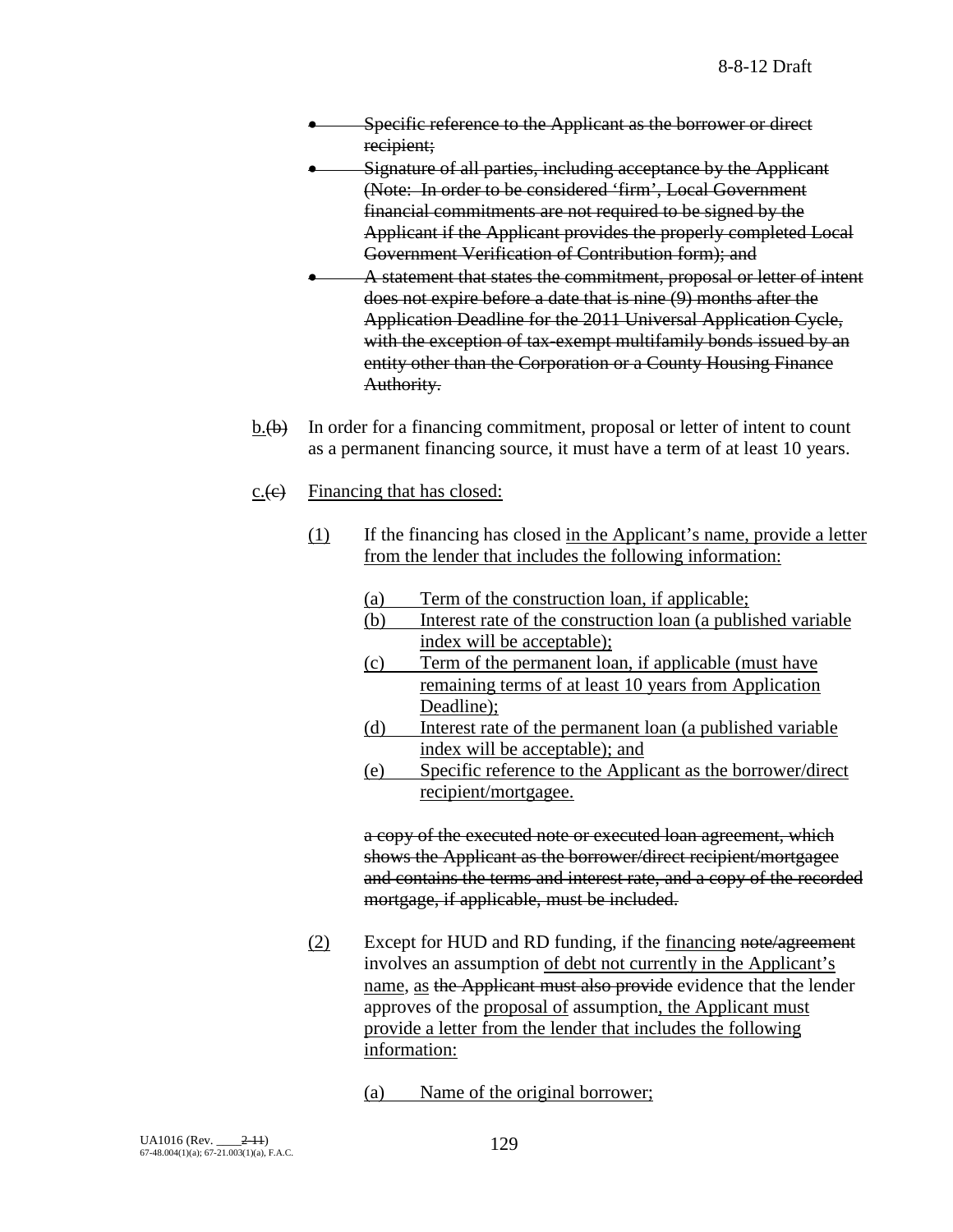- Specific reference to the Applicant as the borrower or direct recipient;
- Signature of all parties, including acceptance by the Applicant (Note: In order to be considered 'firm', Local Government financial commitments are not required to be signed by the Applicant if the Applicant provides the properly completed Local Government Verification of Contribution form); and
- A statement that states the commitment, proposal or letter of intent does not expire before a date that is nine (9) months after the Application Deadline for the 2011 Universal Application Cycle, with the exception of tax-exempt multifamily bonds issued by an entity other than the Corporation or a County Housing Finance Authority.
- $b.\langle b \rangle$  In order for a financing commitment, proposal or letter of intent to count as a permanent financing source, it must have a term of at least 10 years.
- $c.$  (e) Financing that has closed:
	- (1) If the financing has closed in the Applicant's name, provide a letter from the lender that includes the following information:
		- (a) Term of the construction loan, if applicable;
		- (b) Interest rate of the construction loan (a published variable index will be acceptable);
		- (c) Term of the permanent loan, if applicable (must have remaining terms of at least 10 years from Application Deadline);
		- (d) Interest rate of the permanent loan (a published variable index will be acceptable); and
		- (e) Specific reference to the Applicant as the borrower/direct recipient/mortgagee.

a copy of the executed note or executed loan agreement, which shows the Applicant as the borrower/direct recipient/mortgagee and contains the terms and interest rate, and a copy of the recorded mortgage, if applicable, must be included.

- (2) Except for HUD and RD funding, if the financing note/agreement involves an assumption of debt not currently in the Applicant's name, as the Applicant must also provide evidence that the lender approves of the proposal of assumption, the Applicant must provide a letter from the lender that includes the following information:
	- (a) Name of the original borrower;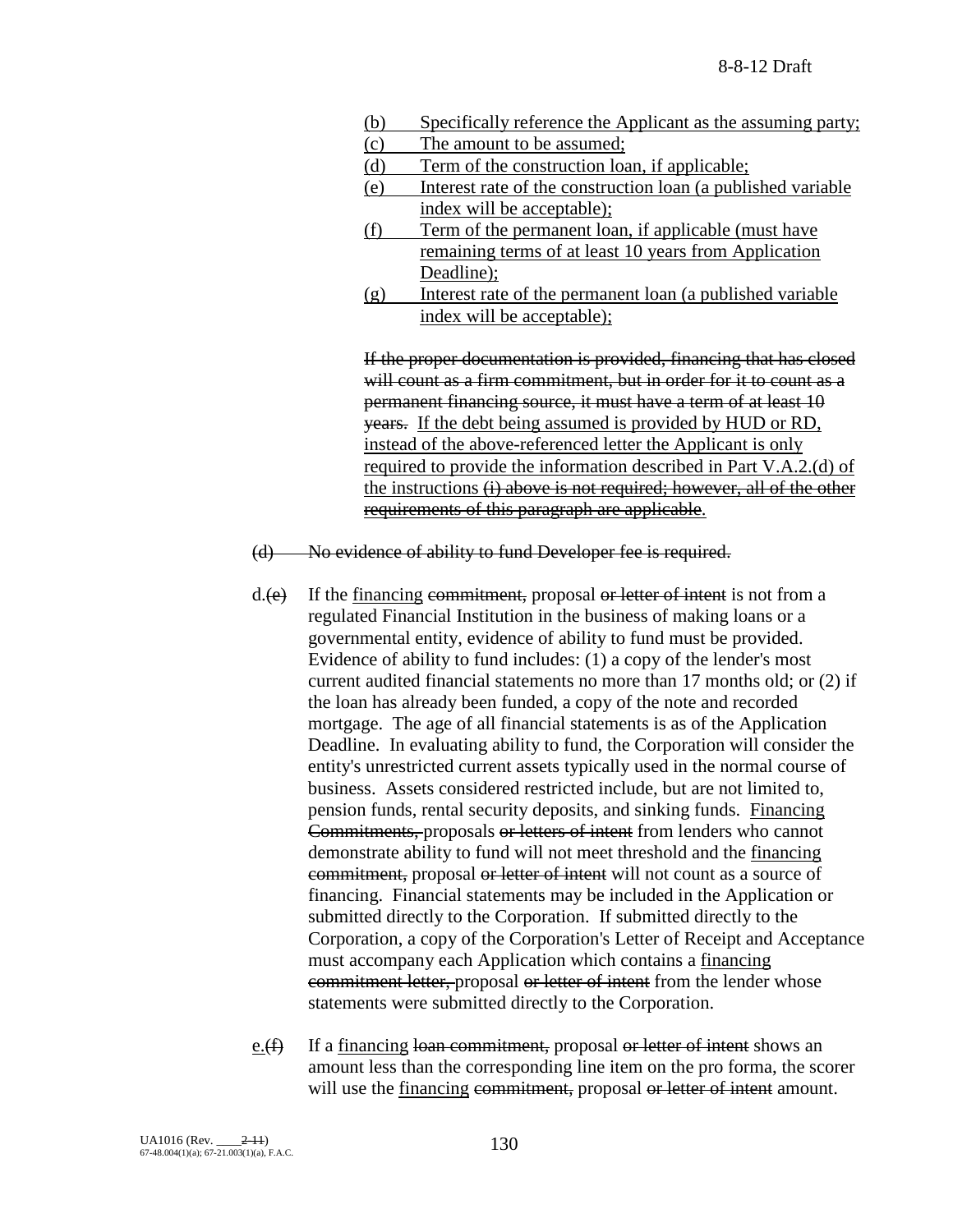- (b) Specifically reference the Applicant as the assuming party;
- (c) The amount to be assumed;
- (d) Term of the construction loan, if applicable;
- (e) Interest rate of the construction loan (a published variable index will be acceptable);
- (f) Term of the permanent loan, if applicable (must have remaining terms of at least 10 years from Application Deadline);
- (g) Interest rate of the permanent loan (a published variable index will be acceptable);

If the proper documentation is provided, financing that has closed will count as a firm commitment, but in order for it to count as a permanent financing source, it must have a term of at least 10 years. If the debt being assumed is provided by HUD or RD, instead of the above-referenced letter the Applicant is only required to provide the information described in Part V.A.2.(d) of the instructions (i) above is not required; however, all of the other requirements of this paragraph are applicable.

(d) No evidence of ability to fund Developer fee is required.

- $d(\epsilon)$  If the financing commitment, proposal or letter of intent is not from a regulated Financial Institution in the business of making loans or a governmental entity, evidence of ability to fund must be provided. Evidence of ability to fund includes: (1) a copy of the lender's most current audited financial statements no more than 17 months old; or (2) if the loan has already been funded, a copy of the note and recorded mortgage. The age of all financial statements is as of the Application Deadline. In evaluating ability to fund, the Corporation will consider the entity's unrestricted current assets typically used in the normal course of business. Assets considered restricted include, but are not limited to, pension funds, rental security deposits, and sinking funds. Financing Commitments, proposals or letters of intent from lenders who cannot demonstrate ability to fund will not meet threshold and the financing commitment, proposal or letter of intent will not count as a source of financing. Financial statements may be included in the Application or submitted directly to the Corporation. If submitted directly to the Corporation, a copy of the Corporation's Letter of Receipt and Acceptance must accompany each Application which contains a financing commitment letter, proposal or letter of intent from the lender whose statements were submitted directly to the Corporation.
- e. $(f)$  If a financing loan commitment, proposal or letter of intent shows an amount less than the corresponding line item on the pro forma, the scorer will use the financing commitment, proposal or letter of intent amount.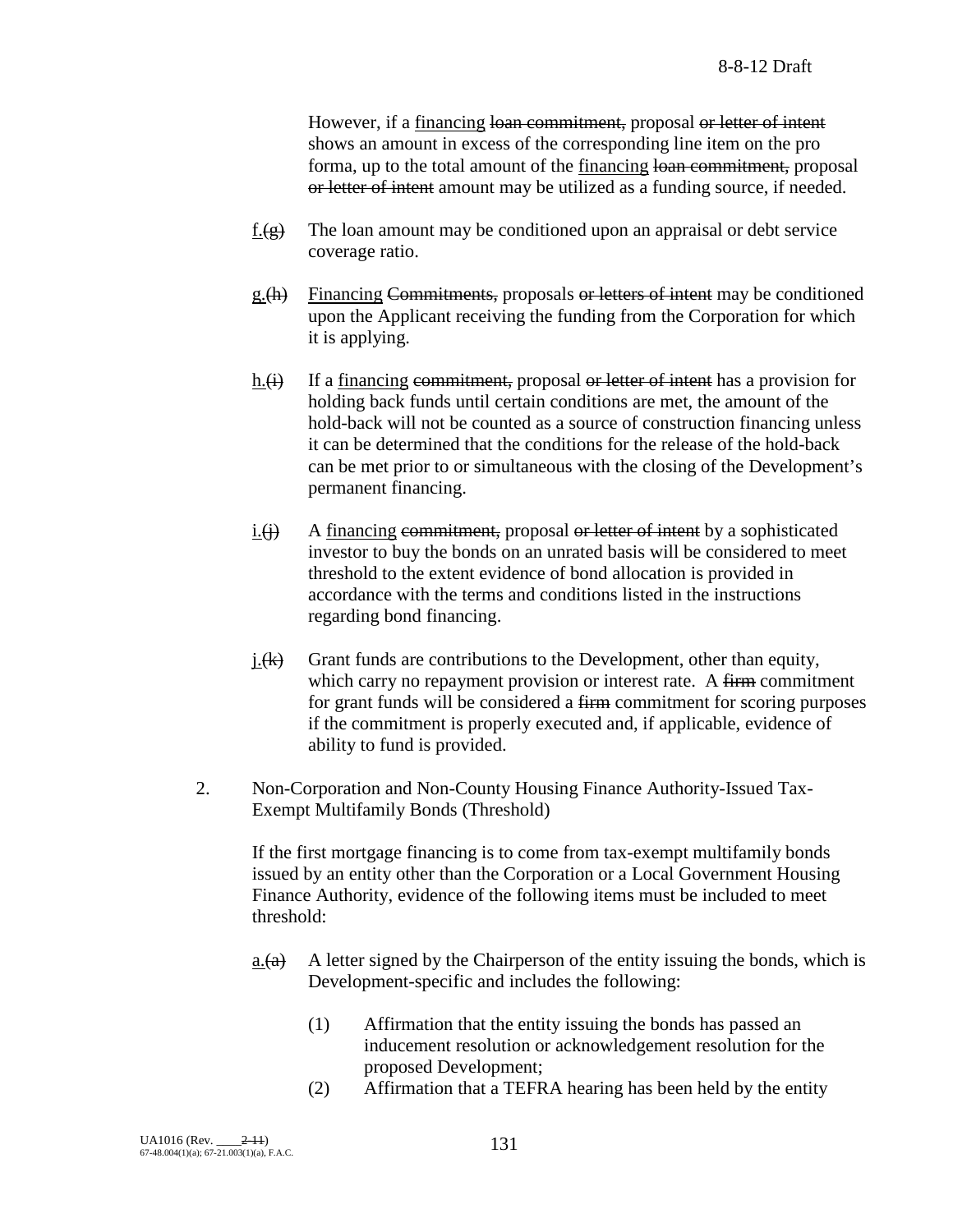However, if a financing loan commitment, proposal or letter of intent shows an amount in excess of the corresponding line item on the pro forma, up to the total amount of the financing loan commitment, proposal or letter of intent amount may be utilized as a funding source, if needed.

- f. $(\frac{g}{g})$  The loan amount may be conditioned upon an appraisal or debt service coverage ratio.
- g.(h) Financing Commitments, proposals or letters of intent may be conditioned upon the Applicant receiving the funding from the Corporation for which it is applying.
- h.(i) If a financing commitment, proposal or letter of intent has a provision for holding back funds until certain conditions are met, the amount of the hold-back will not be counted as a source of construction financing unless it can be determined that the conditions for the release of the hold-back can be met prior to or simultaneous with the closing of the Development's permanent financing.
- $i.$ (i) A financing commitment, proposal or letter of intent by a sophisticated investor to buy the bonds on an unrated basis will be considered to meet threshold to the extent evidence of bond allocation is provided in accordance with the terms and conditions listed in the instructions regarding bond financing.
- $i.(k)$  Grant funds are contributions to the Development, other than equity, which carry no repayment provision or interest rate. A firm commitment for grant funds will be considered a firm commitment for scoring purposes if the commitment is properly executed and, if applicable, evidence of ability to fund is provided.
- 2. Non-Corporation and Non-County Housing Finance Authority-Issued Tax-Exempt Multifamily Bonds (Threshold)

If the first mortgage financing is to come from tax-exempt multifamily bonds issued by an entity other than the Corporation or a Local Government Housing Finance Authority, evidence of the following items must be included to meet threshold:

- a. $(a)$  A letter signed by the Chairperson of the entity issuing the bonds, which is Development-specific and includes the following:
	- (1) Affirmation that the entity issuing the bonds has passed an inducement resolution or acknowledgement resolution for the proposed Development;
	- (2) Affirmation that a TEFRA hearing has been held by the entity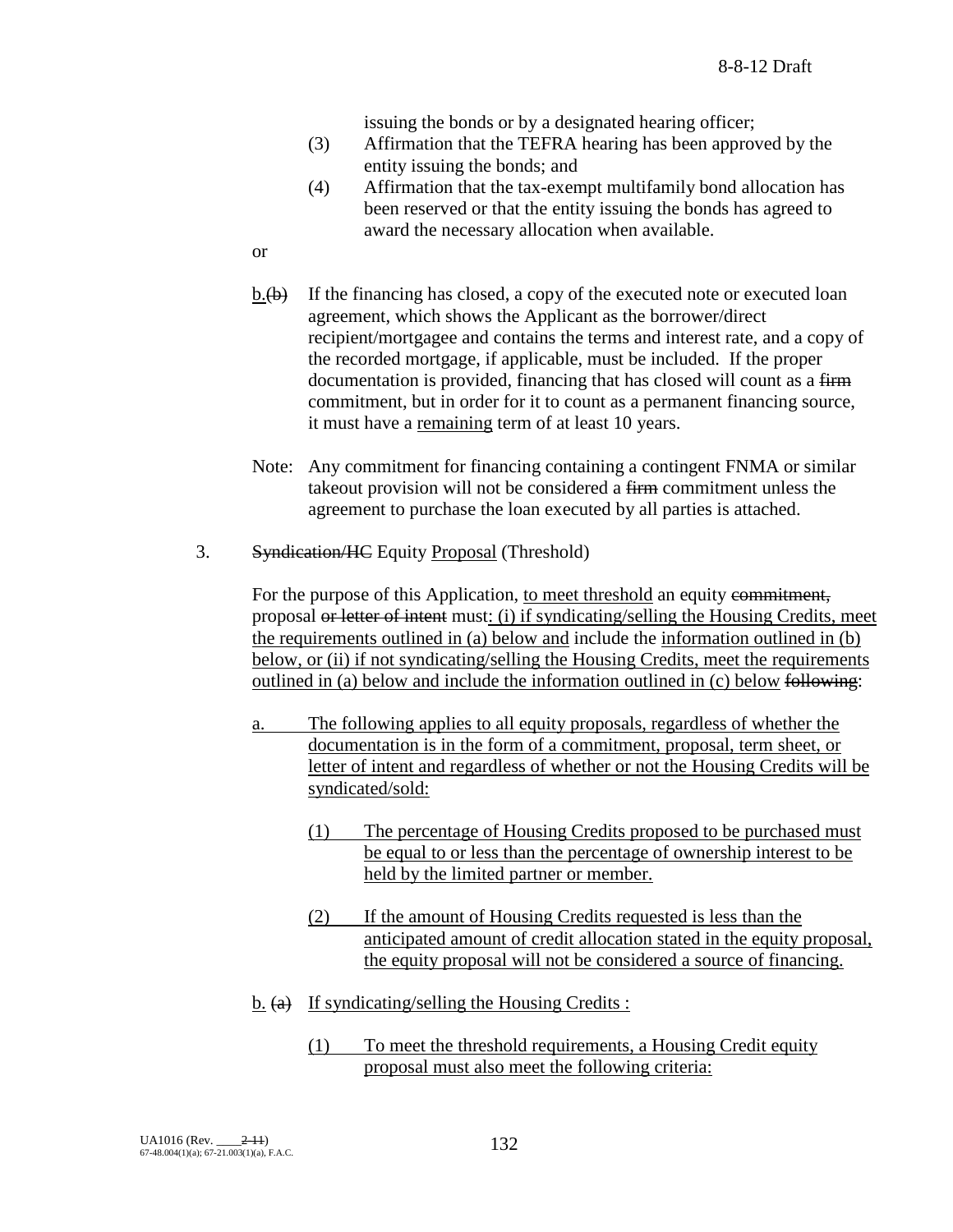issuing the bonds or by a designated hearing officer;

- (3) Affirmation that the TEFRA hearing has been approved by the entity issuing the bonds; and
- (4) Affirmation that the tax-exempt multifamily bond allocation has been reserved or that the entity issuing the bonds has agreed to award the necessary allocation when available.
- or
- $b.\langle b \rangle$  If the financing has closed, a copy of the executed note or executed loan agreement, which shows the Applicant as the borrower/direct recipient/mortgagee and contains the terms and interest rate, and a copy of the recorded mortgage, if applicable, must be included. If the proper documentation is provided, financing that has closed will count as a firm commitment, but in order for it to count as a permanent financing source, it must have a remaining term of at least 10 years.
- Note: Any commitment for financing containing a contingent FNMA or similar takeout provision will not be considered a firm commitment unless the agreement to purchase the loan executed by all parties is attached.
- 3. Syndication/HC Equity Proposal (Threshold)

For the purpose of this Application, to meet threshold an equity commitment, proposal or letter of intent must: (i) if syndicating/selling the Housing Credits, meet the requirements outlined in (a) below and include the information outlined in (b) below, or (ii) if not syndicating/selling the Housing Credits, meet the requirements outlined in (a) below and include the information outlined in (c) below following:

- a. The following applies to all equity proposals, regardless of whether the documentation is in the form of a commitment, proposal, term sheet, or letter of intent and regardless of whether or not the Housing Credits will be syndicated/sold:
	- (1) The percentage of Housing Credits proposed to be purchased must be equal to or less than the percentage of ownership interest to be held by the limited partner or member.
	- (2) If the amount of Housing Credits requested is less than the anticipated amount of credit allocation stated in the equity proposal, the equity proposal will not be considered a source of financing.
- $\underline{b}$ . (a) If syndicating/selling the Housing Credits :
	- (1) To meet the threshold requirements, a Housing Credit equity proposal must also meet the following criteria: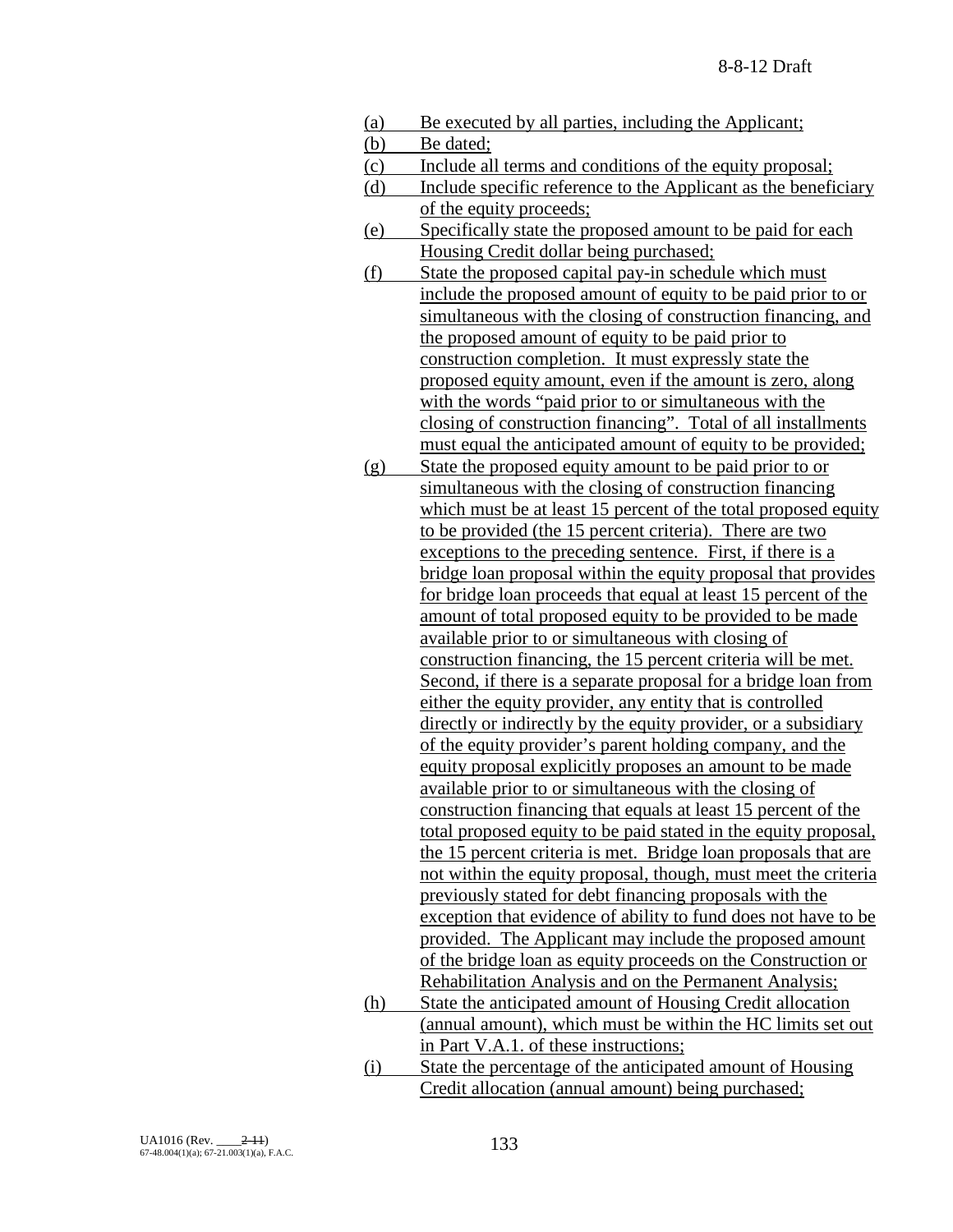| (a) | Be executed by all parties, including the Applicant;            |
|-----|-----------------------------------------------------------------|
| (b) | Be dated;                                                       |
| (c) | Include all terms and conditions of the equity proposal;        |
| (d) | Include specific reference to the Applicant as the beneficiary  |
|     | of the equity proceeds;                                         |
| (e) | Specifically state the proposed amount to be paid for each      |
|     | Housing Credit dollar being purchased;                          |
| (f) | State the proposed capital pay-in schedule which must           |
|     | include the proposed amount of equity to be paid prior to or    |
|     | simultaneous with the closing of construction financing, and    |
|     | the proposed amount of equity to be paid prior to               |
|     | construction completion. It must expressly state the            |
|     | proposed equity amount, even if the amount is zero, along       |
|     | with the words "paid prior to or simultaneous with the          |
|     | closing of construction financing". Total of all installments   |
|     | must equal the anticipated amount of equity to be provided;     |
| (g) | State the proposed equity amount to be paid prior to or         |
|     | simultaneous with the closing of construction financing         |
|     | which must be at least 15 percent of the total proposed equity  |
|     | to be provided (the 15 percent criteria). There are two         |
|     | exceptions to the preceding sentence. First, if there is a      |
|     | bridge loan proposal within the equity proposal that provides   |
|     | for bridge loan proceeds that equal at least 15 percent of the  |
|     | amount of total proposed equity to be provided to be made       |
|     | available prior to or simultaneous with closing of              |
|     | construction financing, the 15 percent criteria will be met.    |
|     | Second, if there is a separate proposal for a bridge loan from  |
|     | either the equity provider, any entity that is controlled       |
|     | directly or indirectly by the equity provider, or a subsidiary  |
|     | of the equity provider's parent holding company, and the        |
|     | equity proposal explicitly proposes an amount to be made        |
|     | available prior to or simultaneous with the closing of          |
|     | construction financing that equals at least 15 percent of the   |
|     | total proposed equity to be paid stated in the equity proposal, |
|     | the 15 percent criteria is met. Bridge loan proposals that are  |
|     | not within the equity proposal, though, must meet the criteria  |
|     | previously stated for debt financing proposals with the         |
|     | exception that evidence of ability to fund does not have to be  |
|     | provided. The Applicant may include the proposed amount         |
|     | of the bridge loan as equity proceeds on the Construction or    |
|     | Rehabilitation Analysis and on the Permanent Analysis;          |
| (h) | State the anticipated amount of Housing Credit allocation       |
|     | (annual amount), which must be within the HC limits set out     |
|     | in Part V.A.1. of these instructions;                           |
| (i) | State the percentage of the anticipated amount of Housing       |
|     | Credit allocation (annual amount) being purchased;              |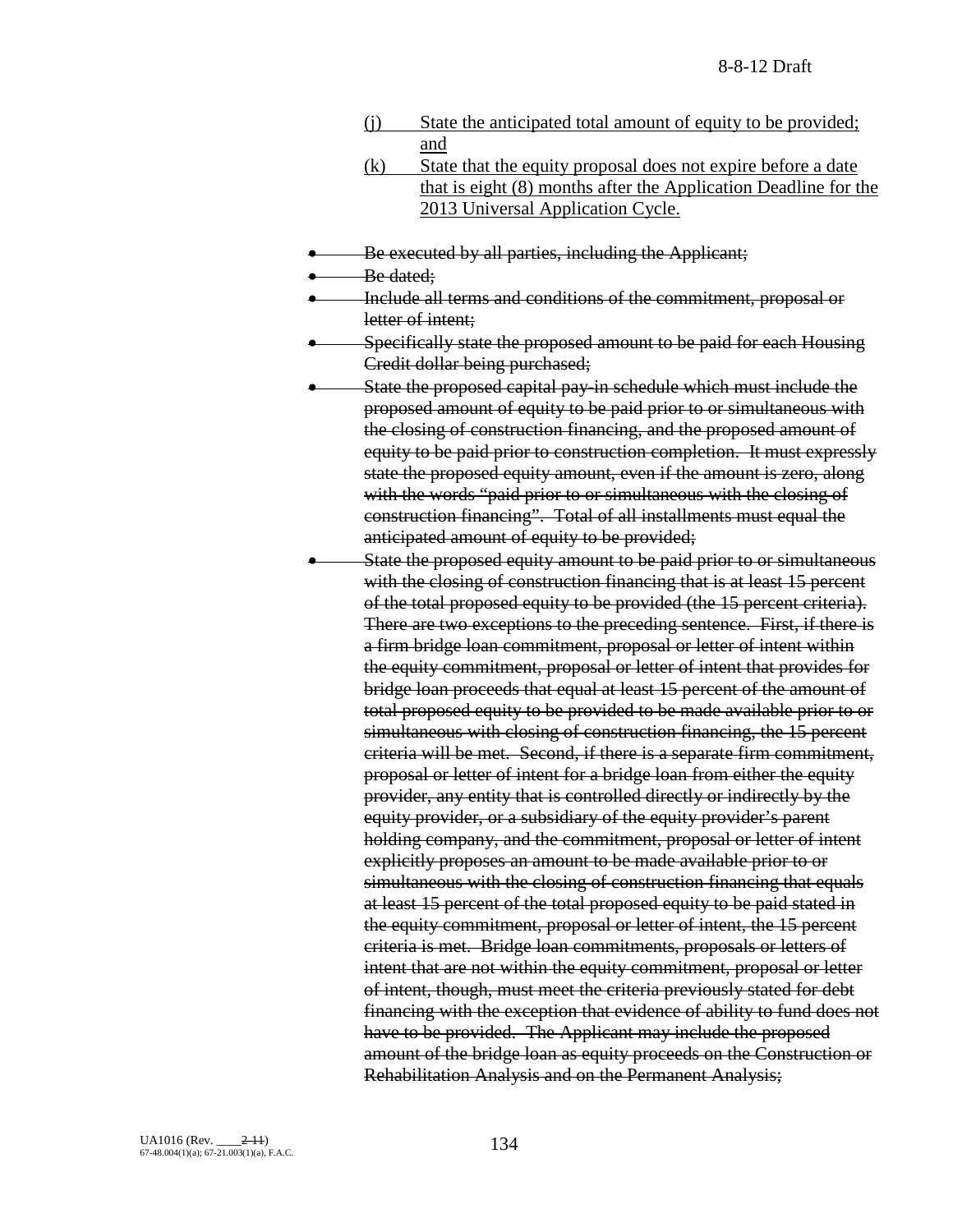- (j) State the anticipated total amount of equity to be provided; and
- (k) State that the equity proposal does not expire before a date that is eight (8) months after the Application Deadline for the 2013 Universal Application Cycle.
- Be executed by all parties, including the Applicant;

Be dated;

- Include all terms and conditions of the commitment, proposal or letter of intent:
- Specifically state the proposed amount to be paid for each Housing Credit dollar being purchased;
- State the proposed capital pay-in schedule which must include the proposed amount of equity to be paid prior to or simultaneous with the closing of construction financing, and the proposed amount of equity to be paid prior to construction completion. It must expressly state the proposed equity amount, even if the amount is zero, along with the words "paid prior to or simultaneous with the closing of construction financing". Total of all installments must equal the anticipated amount of equity to be provided;
- State the proposed equity amount to be paid prior to or simultaneous with the closing of construction financing that is at least 15 percent of the total proposed equity to be provided (the 15 percent criteria). There are two exceptions to the preceding sentence. First, if there is a firm bridge loan commitment, proposal or letter of intent within the equity commitment, proposal or letter of intent that provides for bridge loan proceeds that equal at least 15 percent of the amount of total proposed equity to be provided to be made available prior to or simultaneous with closing of construction financing, the 15 percent criteria will be met. Second, if there is a separate firm commitment, proposal or letter of intent for a bridge loan from either the equity provider, any entity that is controlled directly or indirectly by the equity provider, or a subsidiary of the equity provider's parent holding company, and the commitment, proposal or letter of intent explicitly proposes an amount to be made available prior to or simultaneous with the closing of construction financing that equals at least 15 percent of the total proposed equity to be paid stated in the equity commitment, proposal or letter of intent, the 15 percent criteria is met. Bridge loan commitments, proposals or letters of intent that are not within the equity commitment, proposal or letter of intent, though, must meet the criteria previously stated for debt financing with the exception that evidence of ability to fund does not have to be provided. The Applicant may include the proposed amount of the bridge loan as equity proceeds on the Construction or Rehabilitation Analysis and on the Permanent Analysis;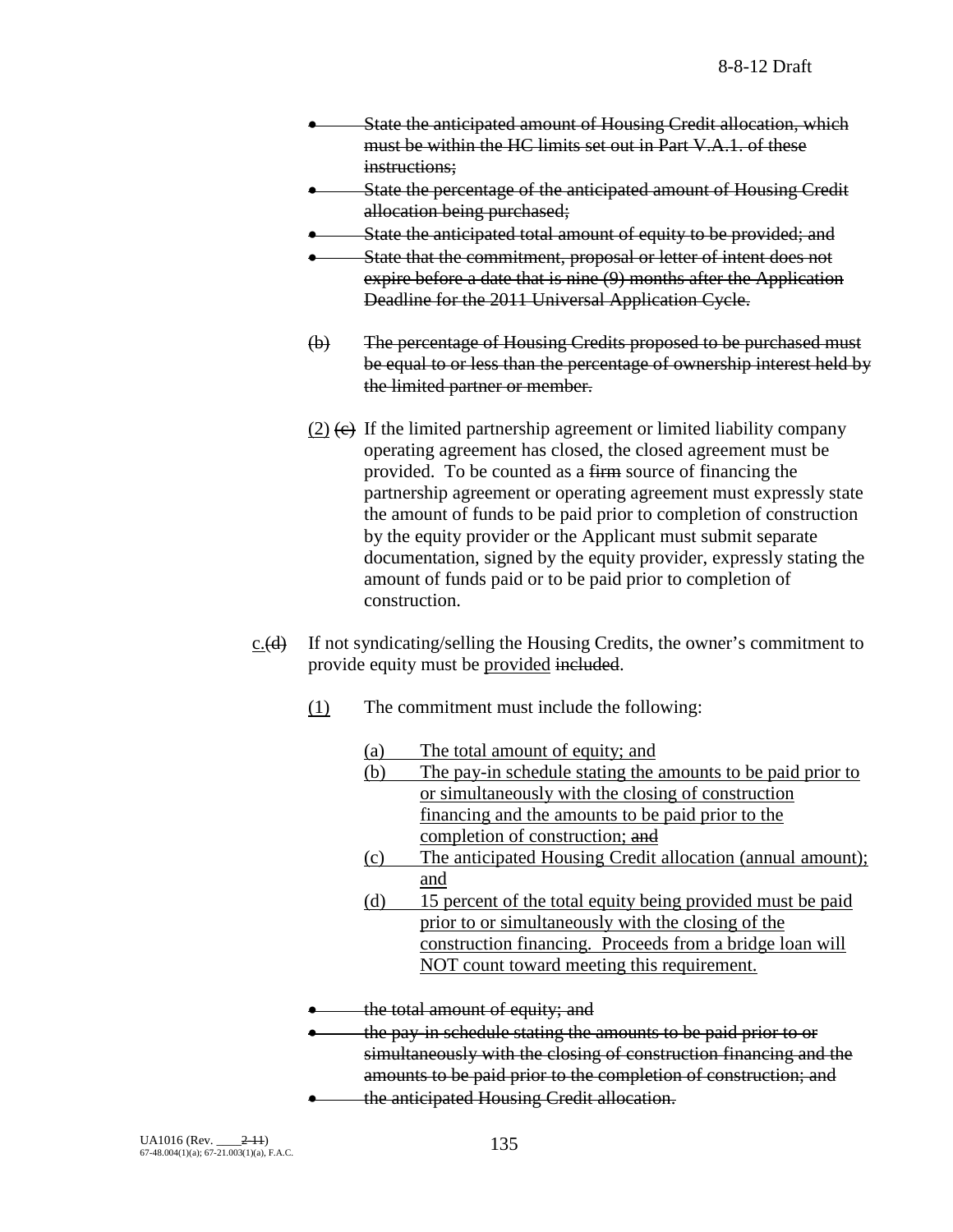- State the anticipated amount of Housing Credit allocation, which must be within the HC limits set out in Part V.A.1. of these instructions;
- State the percentage of the anticipated amount of Housing Credit allocation being purchased;
- State the anticipated total amount of equity to be provided; and
- State that the commitment, proposal or letter of intent does not expire before a date that is nine (9) months after the Application Deadline for the 2011 Universal Application Cycle.
- (b) The percentage of Housing Credits proposed to be purchased must be equal to or less than the percentage of ownership interest held by the limited partner or member.
- (2)  $\left(\epsilon\right)$  If the limited partnership agreement or limited liability company operating agreement has closed, the closed agreement must be provided. To be counted as a firm source of financing the partnership agreement or operating agreement must expressly state the amount of funds to be paid prior to completion of construction by the equity provider or the Applicant must submit separate documentation, signed by the equity provider, expressly stating the amount of funds paid or to be paid prior to completion of construction.
- $c.$  (d) If not syndicating/selling the Housing Credits, the owner's commitment to provide equity must be provided included.
	- (1) The commitment must include the following:
		- (a) The total amount of equity; and
		- (b) The pay-in schedule stating the amounts to be paid prior to or simultaneously with the closing of construction financing and the amounts to be paid prior to the completion of construction; and
		- (c) The anticipated Housing Credit allocation (annual amount); and
		- (d) 15 percent of the total equity being provided must be paid prior to or simultaneously with the closing of the construction financing. Proceeds from a bridge loan will NOT count toward meeting this requirement.
	- the total amount of equity; and
	- the pay-in schedule stating the amounts to be paid prior to or simultaneously with the closing of construction financing and the
	- amounts to be paid prior to the completion of construction; and
	- the anticipated Housing Credit allocation.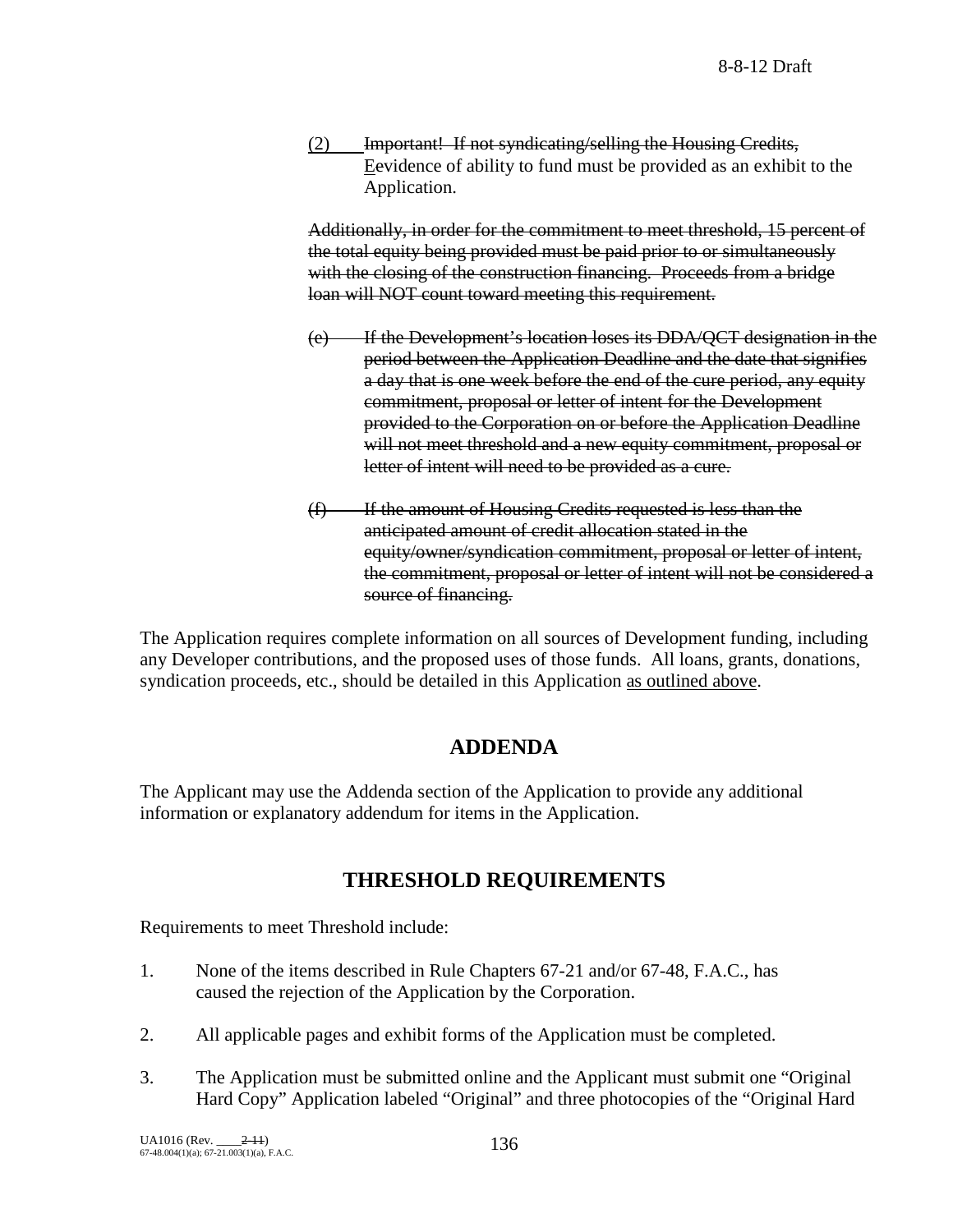(2) Important! If not syndicating/selling the Housing Credits, Eevidence of ability to fund must be provided as an exhibit to the Application.

Additionally, in order for the commitment to meet threshold, 15 percent of the total equity being provided must be paid prior to or simultaneously with the closing of the construction financing. Proceeds from a bridge loan will NOT count toward meeting this requirement.

- (e) If the Development's location loses its DDA/QCT designation in the period between the Application Deadline and the date that signifies a day that is one week before the end of the cure period, any equity commitment, proposal or letter of intent for the Development provided to the Corporation on or before the Application Deadline will not meet threshold and a new equity commitment, proposal or letter of intent will need to be provided as a cure.
- $(f)$  If the amount of Housing Credits requested is less than the anticipated amount of credit allocation stated in the equity/owner/syndication commitment, proposal or letter of intent, the commitment, proposal or letter of intent will not be considered a source of financing.

The Application requires complete information on all sources of Development funding, including any Developer contributions, and the proposed uses of those funds. All loans, grants, donations, syndication proceeds, etc., should be detailed in this Application as outlined above.

# **ADDENDA**

The Applicant may use the Addenda section of the Application to provide any additional information or explanatory addendum for items in the Application.

# **THRESHOLD REQUIREMENTS**

Requirements to meet Threshold include:

- 1. None of the items described in Rule Chapters 67-21 and/or 67-48, F.A.C., has caused the rejection of the Application by the Corporation.
- 2. All applicable pages and exhibit forms of the Application must be completed.
- 3. The Application must be submitted online and the Applicant must submit one "Original Hard Copy" Application labeled "Original" and three photocopies of the "Original Hard

UA1016 (Rev.  $\frac{2-11}{67-48.004(1)(a)}$ ; 67-21.003(1)(a), F.A.C. 1366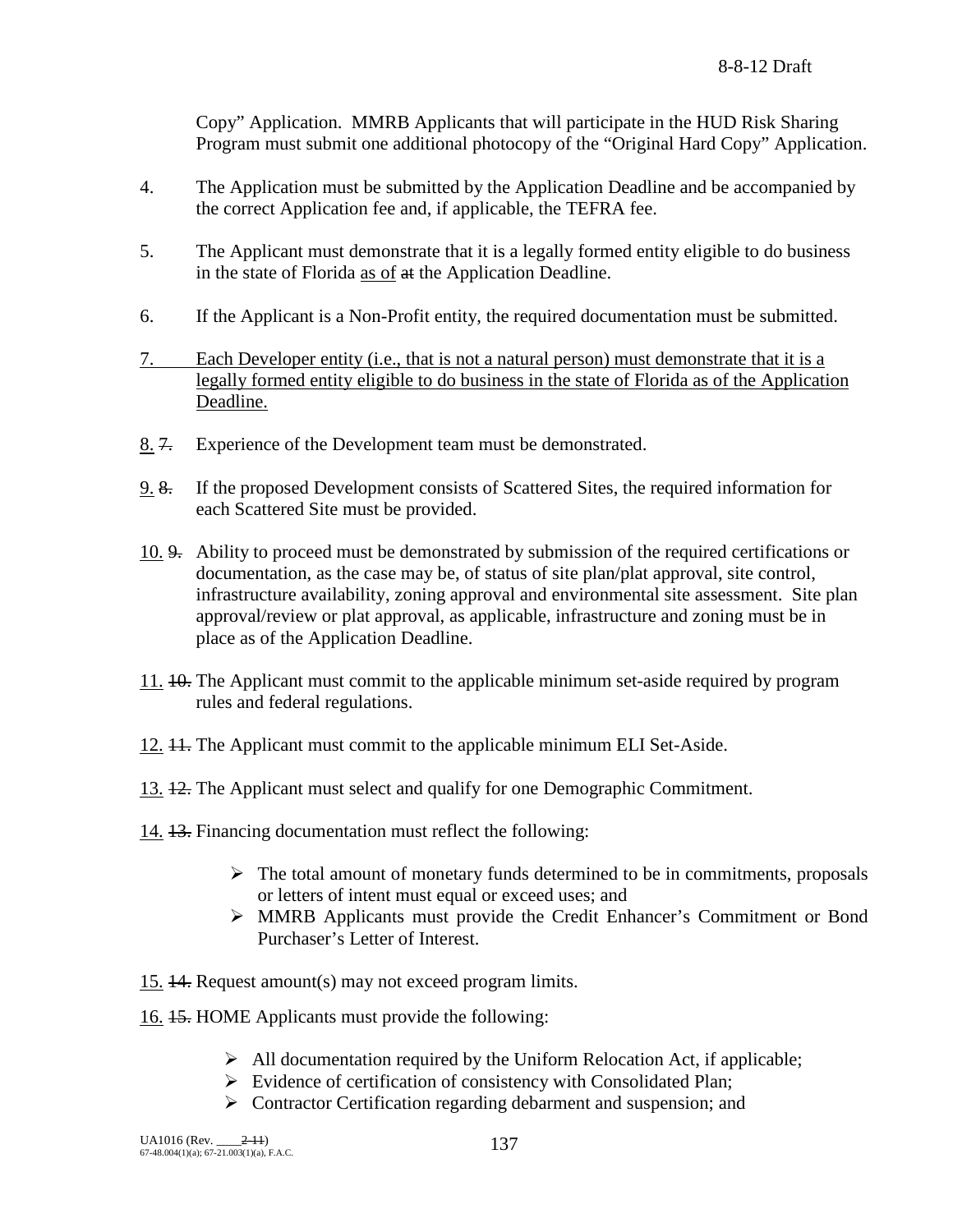Copy" Application. MMRB Applicants that will participate in the HUD Risk Sharing Program must submit one additional photocopy of the "Original Hard Copy" Application.

- 4. The Application must be submitted by the Application Deadline and be accompanied by the correct Application fee and, if applicable, the TEFRA fee.
- 5. The Applicant must demonstrate that it is a legally formed entity eligible to do business in the state of Florida as of at the Application Deadline.
- 6. If the Applicant is a Non-Profit entity, the required documentation must be submitted.
- 7. Each Developer entity (i.e., that is not a natural person) must demonstrate that it is a legally formed entity eligible to do business in the state of Florida as of the Application Deadline.
- 8. 7. Experience of the Development team must be demonstrated.
- 9. 8. If the proposed Development consists of Scattered Sites, the required information for each Scattered Site must be provided.
- 10. 9. Ability to proceed must be demonstrated by submission of the required certifications or documentation, as the case may be, of status of site plan/plat approval, site control, infrastructure availability, zoning approval and environmental site assessment. Site plan approval/review or plat approval, as applicable, infrastructure and zoning must be in place as of the Application Deadline.
- 11. 10. The Applicant must commit to the applicable minimum set-aside required by program rules and federal regulations.
- 12. 11. The Applicant must commit to the applicable minimum ELI Set-Aside.
- 13. 12. The Applicant must select and qualify for one Demographic Commitment.
- 14. 13. Financing documentation must reflect the following:
	- $\triangleright$  The total amount of monetary funds determined to be in commitments, proposals or letters of intent must equal or exceed uses; and
	- MMRB Applicants must provide the Credit Enhancer's Commitment or Bond Purchaser's Letter of Interest.
- 15. 14. Request amount(s) may not exceed program limits.
- 16. 15. HOME Applicants must provide the following:
	- $\triangleright$  All documentation required by the Uniform Relocation Act, if applicable;
	- $\triangleright$  Evidence of certification of consistency with Consolidated Plan;
	- $\triangleright$  Contractor Certification regarding debarment and suspension; and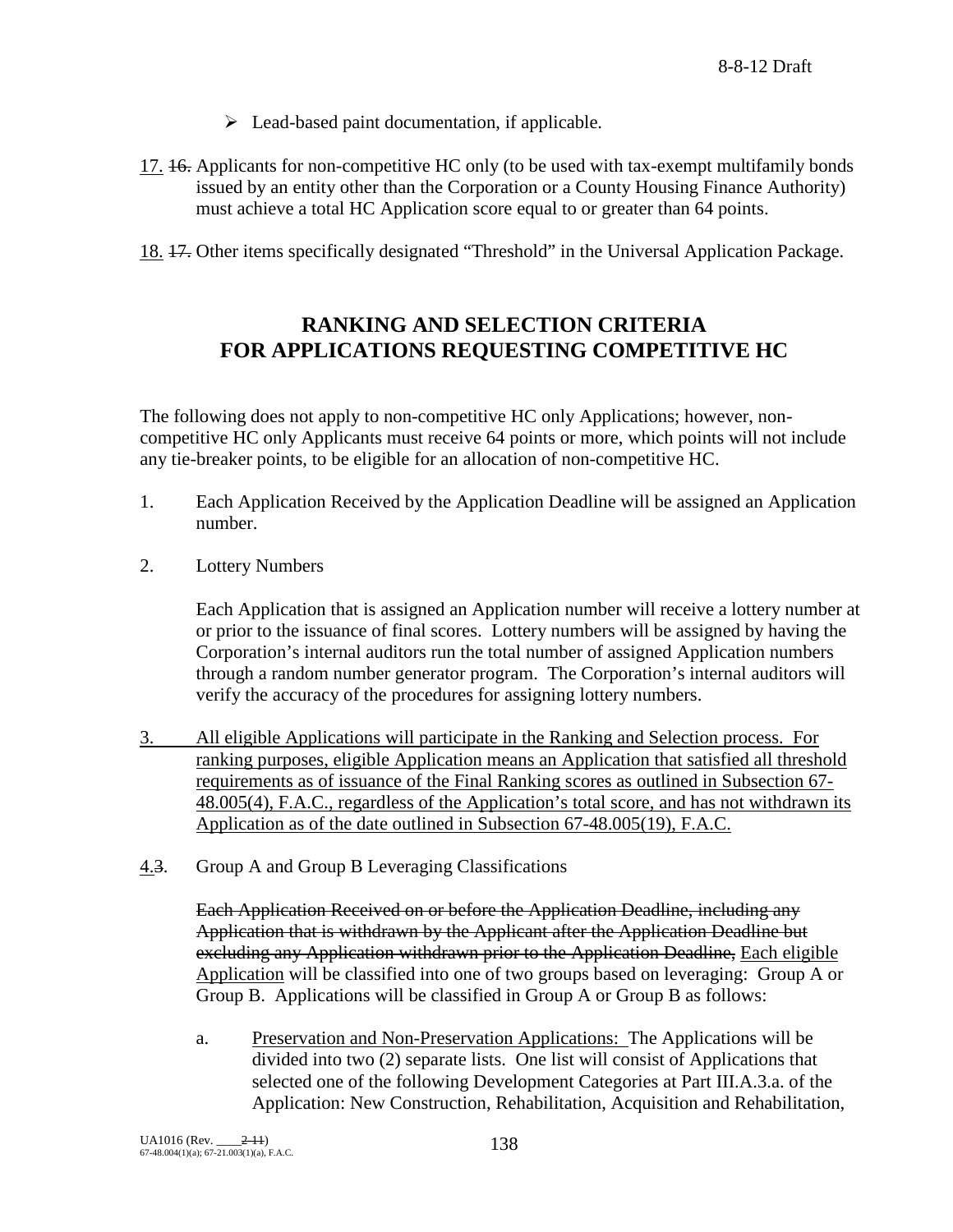- $\triangleright$  Lead-based paint documentation, if applicable.
- 17. 16. Applicants for non-competitive HC only (to be used with tax-exempt multifamily bonds issued by an entity other than the Corporation or a County Housing Finance Authority) must achieve a total HC Application score equal to or greater than 64 points.
- 18. 17. Other items specifically designated "Threshold" in the Universal Application Package.

# **RANKING AND SELECTION CRITERIA FOR APPLICATIONS REQUESTING COMPETITIVE HC**

The following does not apply to non-competitive HC only Applications; however, noncompetitive HC only Applicants must receive 64 points or more, which points will not include any tie-breaker points, to be eligible for an allocation of non-competitive HC.

- 1. Each Application Received by the Application Deadline will be assigned an Application number.
- 2. Lottery Numbers

Each Application that is assigned an Application number will receive a lottery number at or prior to the issuance of final scores. Lottery numbers will be assigned by having the Corporation's internal auditors run the total number of assigned Application numbers through a random number generator program. The Corporation's internal auditors will verify the accuracy of the procedures for assigning lottery numbers.

- 3. All eligible Applications will participate in the Ranking and Selection process. For ranking purposes, eligible Application means an Application that satisfied all threshold requirements as of issuance of the Final Ranking scores as outlined in Subsection 67- 48.005(4), F.A.C., regardless of the Application's total score, and has not withdrawn its Application as of the date outlined in Subsection 67-48.005(19), F.A.C.
- 4.3. Group A and Group B Leveraging Classifications

Each Application Received on or before the Application Deadline, including any Application that is withdrawn by the Applicant after the Application Deadline but excluding any Application withdrawn prior to the Application Deadline, Each eligible Application will be classified into one of two groups based on leveraging: Group A or Group B. Applications will be classified in Group A or Group B as follows:

a. Preservation and Non-Preservation Applications: The Applications will be divided into two (2) separate lists. One list will consist of Applications that selected one of the following Development Categories at Part III.A.3.a. of the Application: New Construction, Rehabilitation, Acquisition and Rehabilitation,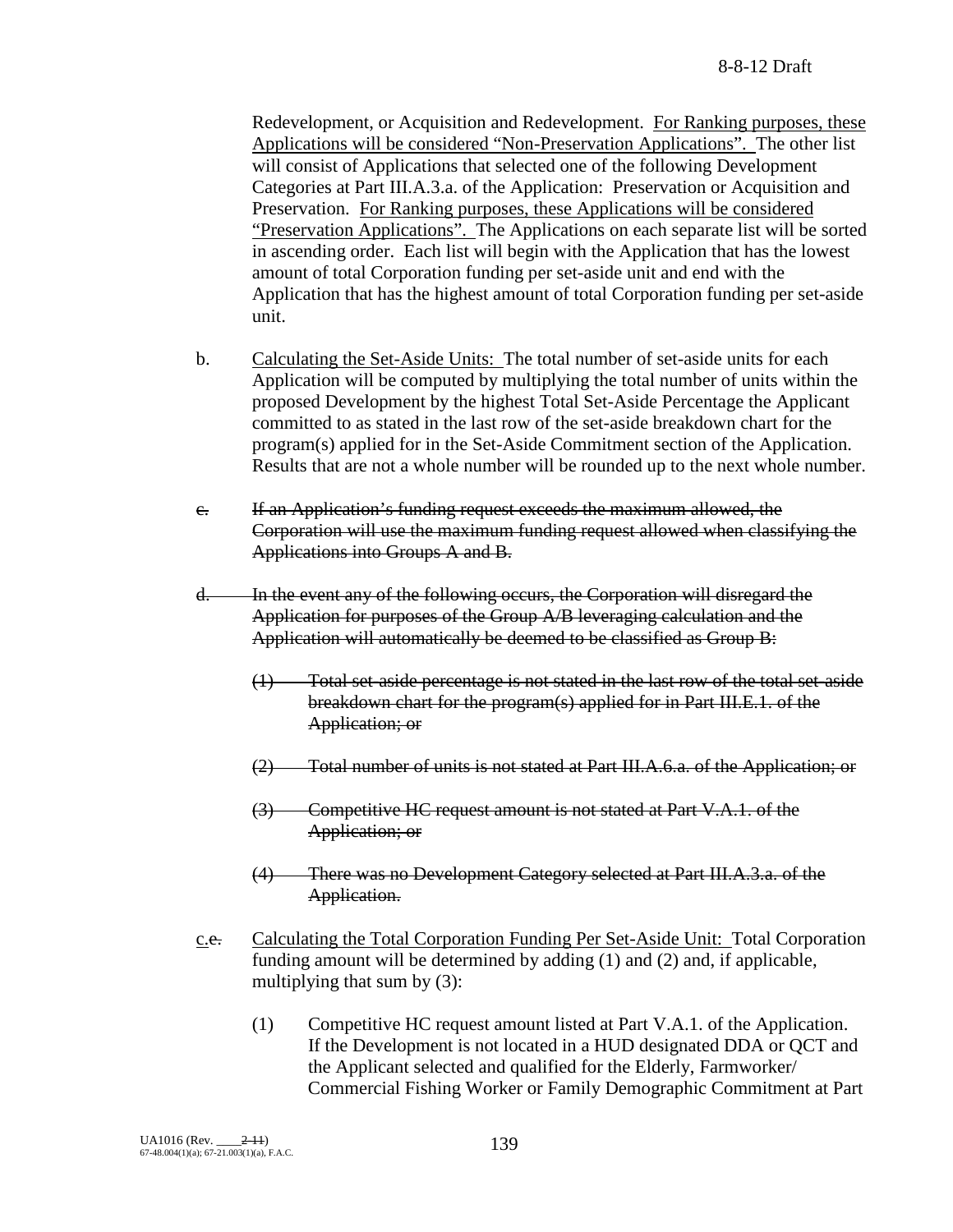Redevelopment, or Acquisition and Redevelopment. For Ranking purposes, these Applications will be considered "Non-Preservation Applications". The other list will consist of Applications that selected one of the following Development Categories at Part III.A.3.a. of the Application: Preservation or Acquisition and Preservation. For Ranking purposes, these Applications will be considered "Preservation Applications". The Applications on each separate list will be sorted in ascending order. Each list will begin with the Application that has the lowest amount of total Corporation funding per set-aside unit and end with the Application that has the highest amount of total Corporation funding per set-aside unit.

- b. Calculating the Set-Aside Units: The total number of set-aside units for each Application will be computed by multiplying the total number of units within the proposed Development by the highest Total Set-Aside Percentage the Applicant committed to as stated in the last row of the set-aside breakdown chart for the program(s) applied for in the Set-Aside Commitment section of the Application. Results that are not a whole number will be rounded up to the next whole number.
- c. If an Application's funding request exceeds the maximum allowed, the Corporation will use the maximum funding request allowed when classifying the Applications into Groups A and B.
- d. In the event any of the following occurs, the Corporation will disregard the Application for purposes of the Group A/B leveraging calculation and the Application will automatically be deemed to be classified as Group B:
	- (1) Total set-aside percentage is not stated in the last row of the total set-aside breakdown chart for the program(s) applied for in Part III.E.1. of the Application; or
	- (2) Total number of units is not stated at Part III.A.6.a. of the Application; or
	- (3) Competitive HC request amount is not stated at Part V.A.1. of the Application; or
	- (4) There was no Development Category selected at Part III.A.3.a. of the Application.
- c.e. Calculating the Total Corporation Funding Per Set-Aside Unit: Total Corporation funding amount will be determined by adding (1) and (2) and, if applicable, multiplying that sum by (3):
	- (1) Competitive HC request amount listed at Part V.A.1. of the Application. If the Development is not located in a HUD designated DDA or QCT and the Applicant selected and qualified for the Elderly, Farmworker/ Commercial Fishing Worker or Family Demographic Commitment at Part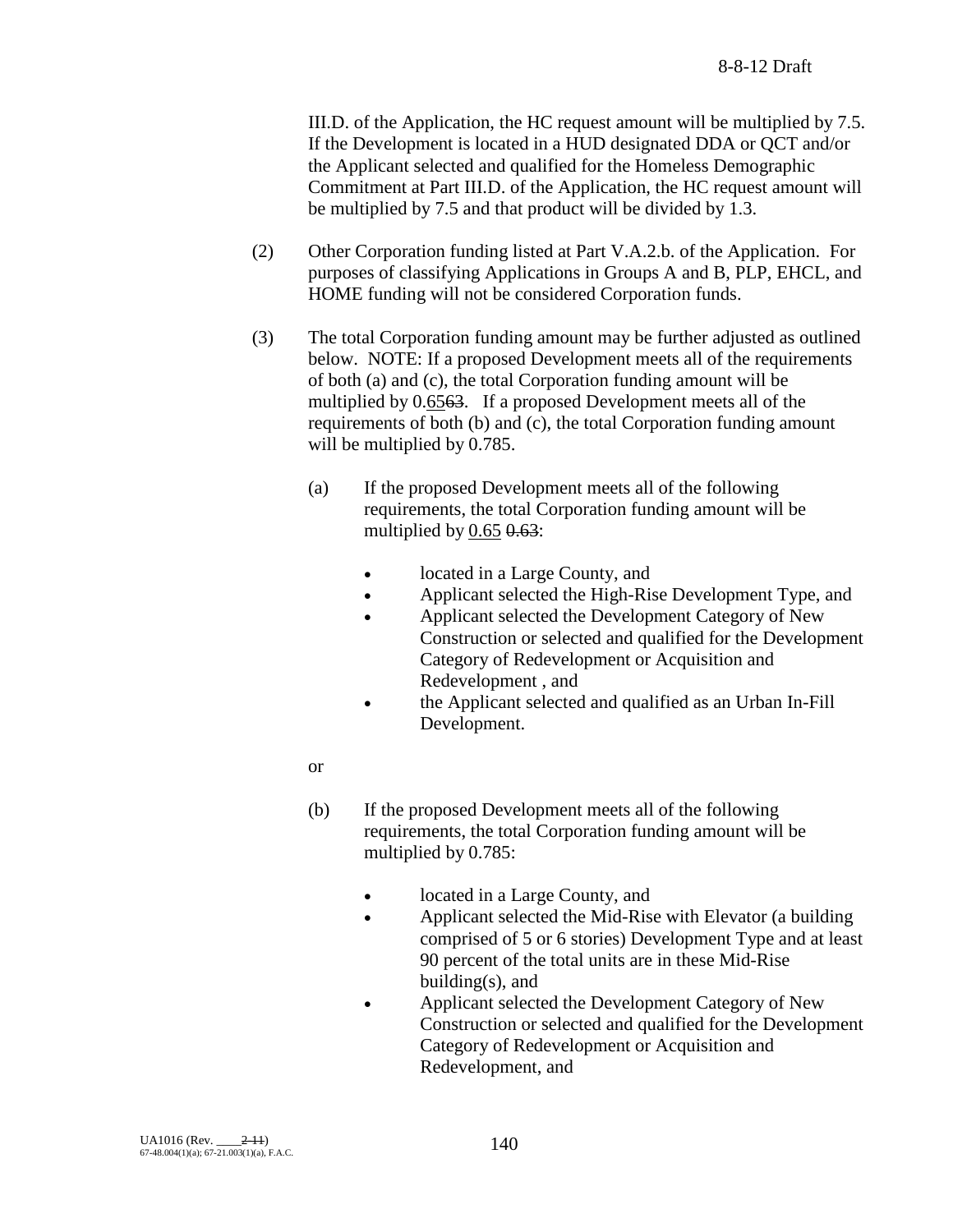III.D. of the Application, the HC request amount will be multiplied by 7.5. If the Development is located in a HUD designated DDA or QCT and/or the Applicant selected and qualified for the Homeless Demographic Commitment at Part III.D. of the Application, the HC request amount will be multiplied by 7.5 and that product will be divided by 1.3.

- (2) Other Corporation funding listed at Part V.A.2.b. of the Application. For purposes of classifying Applications in Groups A and B, PLP, EHCL, and HOME funding will not be considered Corporation funds.
- (3) The total Corporation funding amount may be further adjusted as outlined below. NOTE: If a proposed Development meets all of the requirements of both (a) and (c), the total Corporation funding amount will be multiplied by 0.65<del>63</del>. If a proposed Development meets all of the requirements of both (b) and (c), the total Corporation funding amount will be multiplied by 0.785.
	- (a) If the proposed Development meets all of the following requirements, the total Corporation funding amount will be multiplied by  $0.65$   $0.63$ :
		- located in a Large County, and
		- Applicant selected the High-Rise Development Type, and
		- Applicant selected the Development Category of New Construction or selected and qualified for the Development Category of Redevelopment or Acquisition and Redevelopment , and
		- the Applicant selected and qualified as an Urban In-Fill Development.
	- or
	- (b) If the proposed Development meets all of the following requirements, the total Corporation funding amount will be multiplied by 0.785:
		- located in a Large County, and
		- Applicant selected the Mid-Rise with Elevator (a building comprised of 5 or 6 stories) Development Type and at least 90 percent of the total units are in these Mid-Rise building $(s)$ , and
		- Applicant selected the Development Category of New Construction or selected and qualified for the Development Category of Redevelopment or Acquisition and Redevelopment, and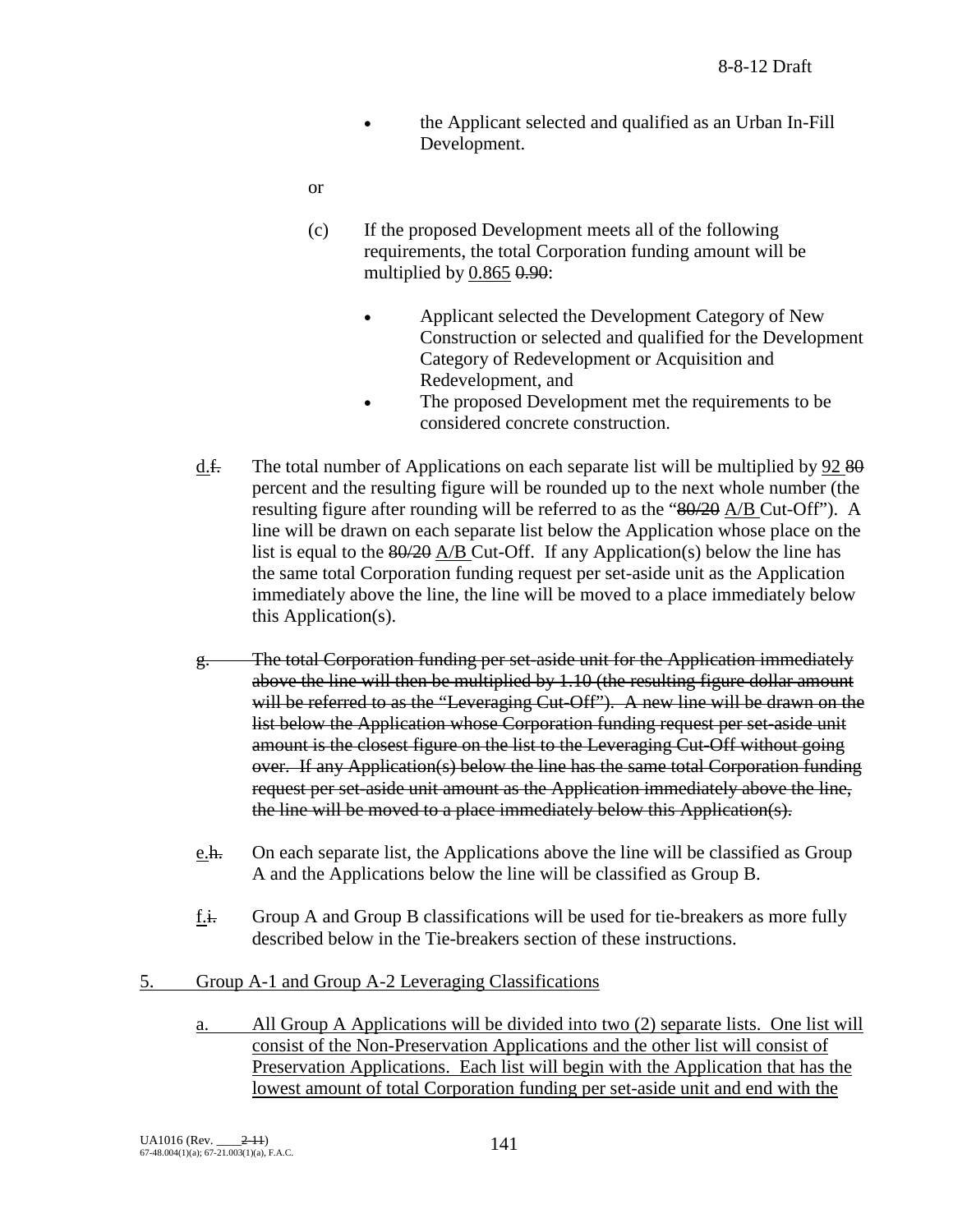- the Applicant selected and qualified as an Urban In-Fill Development.
- or
- (c) If the proposed Development meets all of the following requirements, the total Corporation funding amount will be multiplied by  $0.865$   $0.90$ :
	- Applicant selected the Development Category of New Construction or selected and qualified for the Development Category of Redevelopment or Acquisition and Redevelopment, and
	- The proposed Development met the requirements to be considered concrete construction.
- d.f. The total number of Applications on each separate list will be multiplied by  $92\,80$ percent and the resulting figure will be rounded up to the next whole number (the resulting figure after rounding will be referred to as the "80/20 A/B Cut-Off"). A line will be drawn on each separate list below the Application whose place on the list is equal to the 80/20 A/B Cut-Off. If any Application(s) below the line has the same total Corporation funding request per set-aside unit as the Application immediately above the line, the line will be moved to a place immediately below this Application(s).
- g. The total Corporation funding per set-aside unit for the Application immediately above the line will then be multiplied by 1.10 (the resulting figure dollar amount will be referred to as the "Leveraging Cut-Off"). A new line will be drawn on the list below the Application whose Corporation funding request per set-aside unit amount is the closest figure on the list to the Leveraging Cut-Off without going over. If any Application(s) below the line has the same total Corporation funding request per set-aside unit amount as the Application immediately above the line, the line will be moved to a place immediately below this Application(s).
- e.h. On each separate list, the Applications above the line will be classified as Group A and the Applications below the line will be classified as Group B.
- f.i. Group A and Group B classifications will be used for tie-breakers as more fully described below in the Tie-breakers section of these instructions.
- 5. Group A-1 and Group A-2 Leveraging Classifications
	- a. All Group A Applications will be divided into two (2) separate lists. One list will consist of the Non-Preservation Applications and the other list will consist of Preservation Applications. Each list will begin with the Application that has the lowest amount of total Corporation funding per set-aside unit and end with the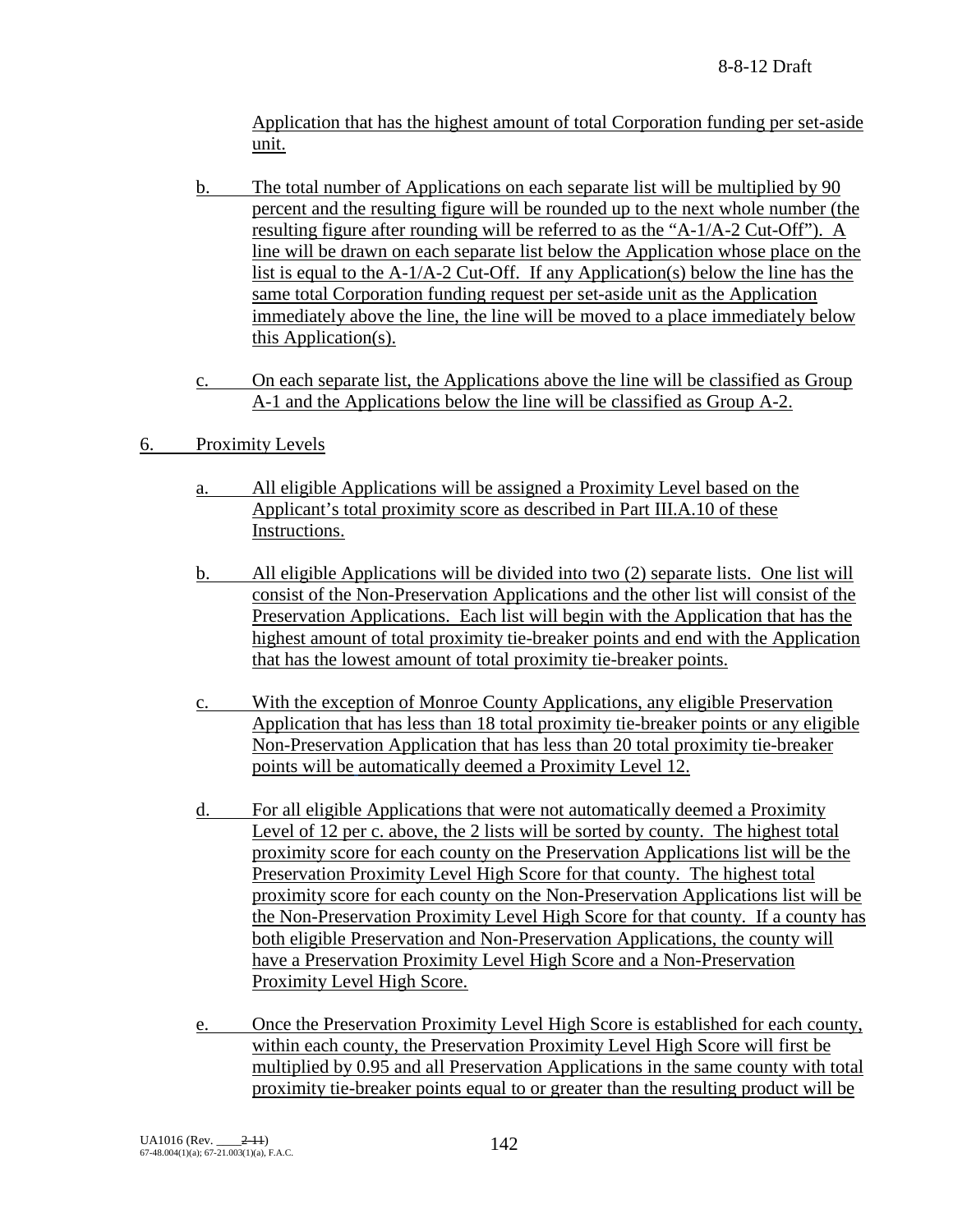Application that has the highest amount of total Corporation funding per set-aside unit.

- b. The total number of Applications on each separate list will be multiplied by 90 percent and the resulting figure will be rounded up to the next whole number (the resulting figure after rounding will be referred to as the "A-1/A-2 Cut-Off"). A line will be drawn on each separate list below the Application whose place on the list is equal to the A-1/A-2 Cut-Off. If any Application(s) below the line has the same total Corporation funding request per set-aside unit as the Application immediately above the line, the line will be moved to a place immediately below this Application(s).
- c. On each separate list, the Applications above the line will be classified as Group A-1 and the Applications below the line will be classified as Group A-2.
- 6. Proximity Levels
	- a. All eligible Applications will be assigned a Proximity Level based on the Applicant's total proximity score as described in Part III.A.10 of these Instructions.
	- b. All eligible Applications will be divided into two (2) separate lists. One list will consist of the Non-Preservation Applications and the other list will consist of the Preservation Applications. Each list will begin with the Application that has the highest amount of total proximity tie-breaker points and end with the Application that has the lowest amount of total proximity tie-breaker points.
	- c. With the exception of Monroe County Applications, any eligible Preservation Application that has less than 18 total proximity tie-breaker points or any eligible Non-Preservation Application that has less than 20 total proximity tie-breaker points will be automatically deemed a Proximity Level 12.
	- d. For all eligible Applications that were not automatically deemed a Proximity Level of 12 per c. above, the 2 lists will be sorted by county. The highest total proximity score for each county on the Preservation Applications list will be the Preservation Proximity Level High Score for that county. The highest total proximity score for each county on the Non-Preservation Applications list will be the Non-Preservation Proximity Level High Score for that county. If a county has both eligible Preservation and Non-Preservation Applications, the county will have a Preservation Proximity Level High Score and a Non-Preservation Proximity Level High Score.
	- e. Once the Preservation Proximity Level High Score is established for each county, within each county, the Preservation Proximity Level High Score will first be multiplied by 0.95 and all Preservation Applications in the same county with total proximity tie-breaker points equal to or greater than the resulting product will be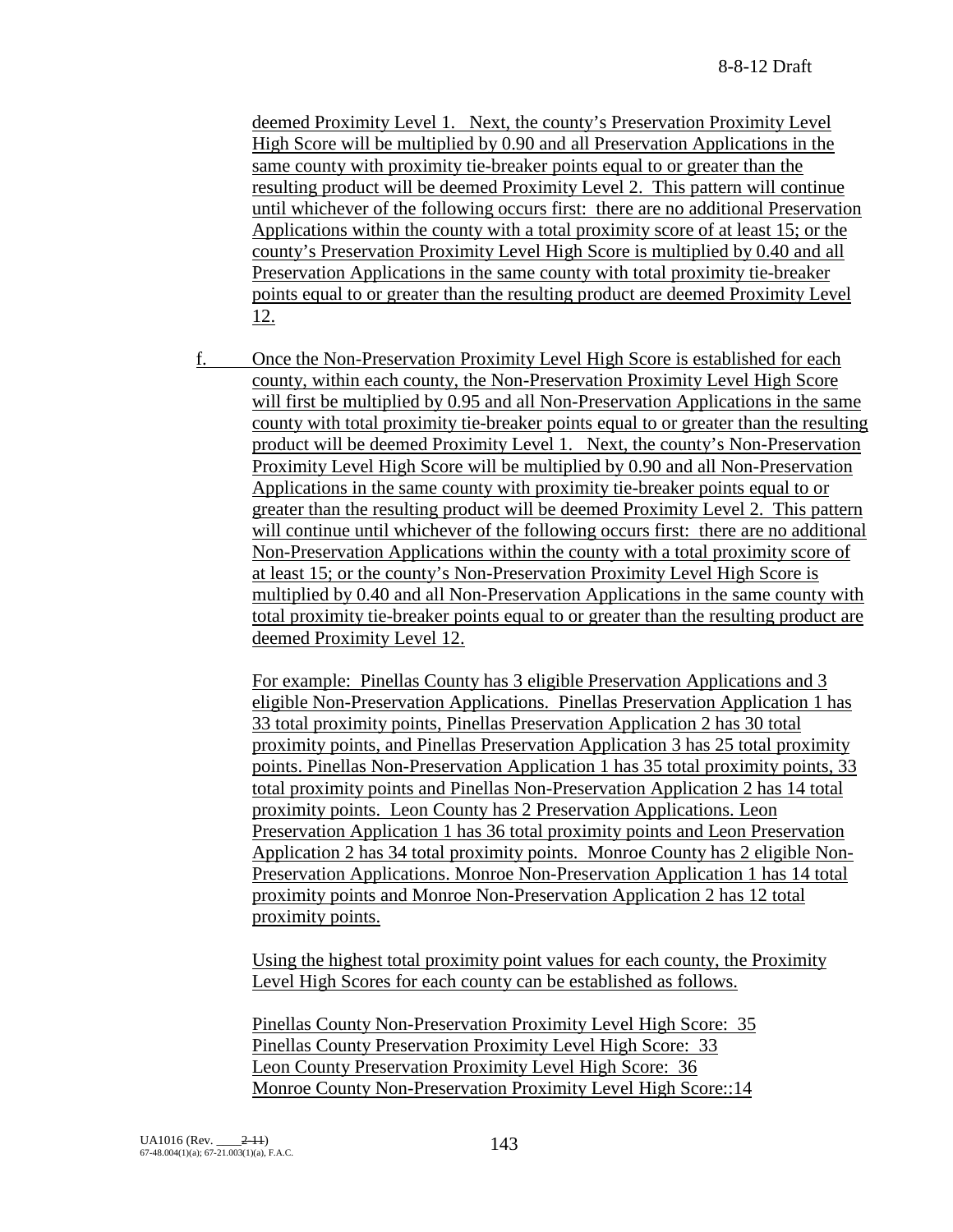deemed Proximity Level 1. Next, the county's Preservation Proximity Level High Score will be multiplied by 0.90 and all Preservation Applications in the same county with proximity tie-breaker points equal to or greater than the resulting product will be deemed Proximity Level 2. This pattern will continue until whichever of the following occurs first: there are no additional Preservation Applications within the county with a total proximity score of at least 15; or the county's Preservation Proximity Level High Score is multiplied by 0.40 and all Preservation Applications in the same county with total proximity tie-breaker points equal to or greater than the resulting product are deemed Proximity Level 12.

f. Once the Non-Preservation Proximity Level High Score is established for each county, within each county, the Non-Preservation Proximity Level High Score will first be multiplied by 0.95 and all Non-Preservation Applications in the same county with total proximity tie-breaker points equal to or greater than the resulting product will be deemed Proximity Level 1. Next, the county's Non-Preservation Proximity Level High Score will be multiplied by 0.90 and all Non-Preservation Applications in the same county with proximity tie-breaker points equal to or greater than the resulting product will be deemed Proximity Level 2. This pattern will continue until whichever of the following occurs first: there are no additional Non-Preservation Applications within the county with a total proximity score of at least 15; or the county's Non-Preservation Proximity Level High Score is multiplied by 0.40 and all Non-Preservation Applications in the same county with total proximity tie-breaker points equal to or greater than the resulting product are deemed Proximity Level 12.

For example: Pinellas County has 3 eligible Preservation Applications and 3 eligible Non-Preservation Applications. Pinellas Preservation Application 1 has 33 total proximity points, Pinellas Preservation Application 2 has 30 total proximity points, and Pinellas Preservation Application 3 has 25 total proximity points. Pinellas Non-Preservation Application 1 has 35 total proximity points, 33 total proximity points and Pinellas Non-Preservation Application 2 has 14 total proximity points. Leon County has 2 Preservation Applications. Leon Preservation Application 1 has 36 total proximity points and Leon Preservation Application 2 has 34 total proximity points. Monroe County has 2 eligible Non-Preservation Applications. Monroe Non-Preservation Application 1 has 14 total proximity points and Monroe Non-Preservation Application 2 has 12 total proximity points.

Using the highest total proximity point values for each county, the Proximity Level High Scores for each county can be established as follows.

Pinellas County Non-Preservation Proximity Level High Score: 35 Pinellas County Preservation Proximity Level High Score: 33 Leon County Preservation Proximity Level High Score: 36 Monroe County Non-Preservation Proximity Level High Score::14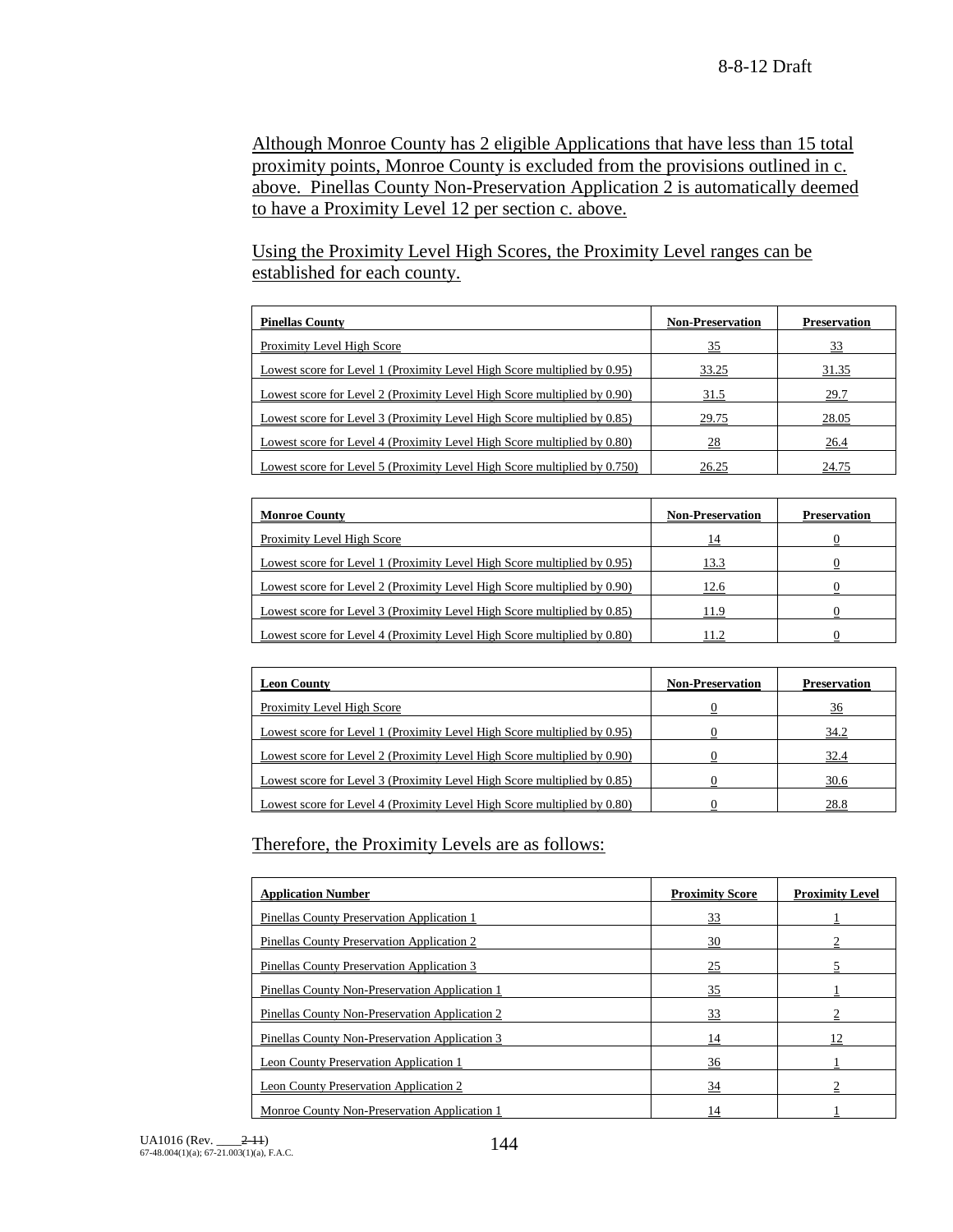Although Monroe County has 2 eligible Applications that have less than 15 total proximity points, Monroe County is excluded from the provisions outlined in c. above. Pinellas County Non-Preservation Application 2 is automatically deemed to have a Proximity Level 12 per section c. above.

Using the Proximity Level High Scores, the Proximity Level ranges can be established for each county.

| <b>Pinellas County</b>                                                    | <b>Non-Preservation</b> | <b>Preservation</b> |
|---------------------------------------------------------------------------|-------------------------|---------------------|
| Proximity Level High Score                                                | 35                      | 33                  |
| Lowest score for Level 1 (Proximity Level High Score multiplied by 0.95)  | 33.25                   | 31.35               |
| Lowest score for Level 2 (Proximity Level High Score multiplied by 0.90)  | 31.5                    | 29.7                |
| Lowest score for Level 3 (Proximity Level High Score multiplied by 0.85)  | 29.75                   | 28.05               |
| Lowest score for Level 4 (Proximity Level High Score multiplied by 0.80)  | 28                      | 26.4                |
| Lowest score for Level 5 (Proximity Level High Score multiplied by 0.750) | 26.25                   | 24.75               |

| <b>Monroe County</b>                                                     | <b>Non-Preservation</b> | <b>Preservation</b> |
|--------------------------------------------------------------------------|-------------------------|---------------------|
| <b>Proximity Level High Score</b>                                        | 14                      |                     |
| Lowest score for Level 1 (Proximity Level High Score multiplied by 0.95) | 13.3                    |                     |
| Lowest score for Level 2 (Proximity Level High Score multiplied by 0.90) | 12.6                    |                     |
| Lowest score for Level 3 (Proximity Level High Score multiplied by 0.85) | 11.9                    |                     |
| Lowest score for Level 4 (Proximity Level High Score multiplied by 0.80) | 1.2                     |                     |

| <b>Leon County</b>                                                       | <b>Non-Preservation</b> | <b>Preservation</b> |
|--------------------------------------------------------------------------|-------------------------|---------------------|
| Proximity Level High Score                                               |                         | 36                  |
| Lowest score for Level 1 (Proximity Level High Score multiplied by 0.95) |                         | 34.2                |
| Lowest score for Level 2 (Proximity Level High Score multiplied by 0.90) |                         | 32.4                |
| Lowest score for Level 3 (Proximity Level High Score multiplied by 0.85) |                         | 30.6                |
| Lowest score for Level 4 (Proximity Level High Score multiplied by 0.80) |                         | 28.8                |

Therefore, the Proximity Levels are as follows:

| <b>Application Number</b>                      | <b>Proximity Score</b> | <b>Proximity Level</b> |
|------------------------------------------------|------------------------|------------------------|
| Pinellas County Preservation Application 1     | 33                     |                        |
| Pinellas County Preservation Application 2     | 30                     |                        |
| Pinellas County Preservation Application 3     | 25                     |                        |
| Pinellas County Non-Preservation Application 1 | 35                     |                        |
| Pinellas County Non-Preservation Application 2 | 33                     |                        |
| Pinellas County Non-Preservation Application 3 | 14                     |                        |
| Leon County Preservation Application 1         | 36                     |                        |
| Leon County Preservation Application 2         | 34                     |                        |
| Monroe County Non-Preservation Application 1   | 14                     |                        |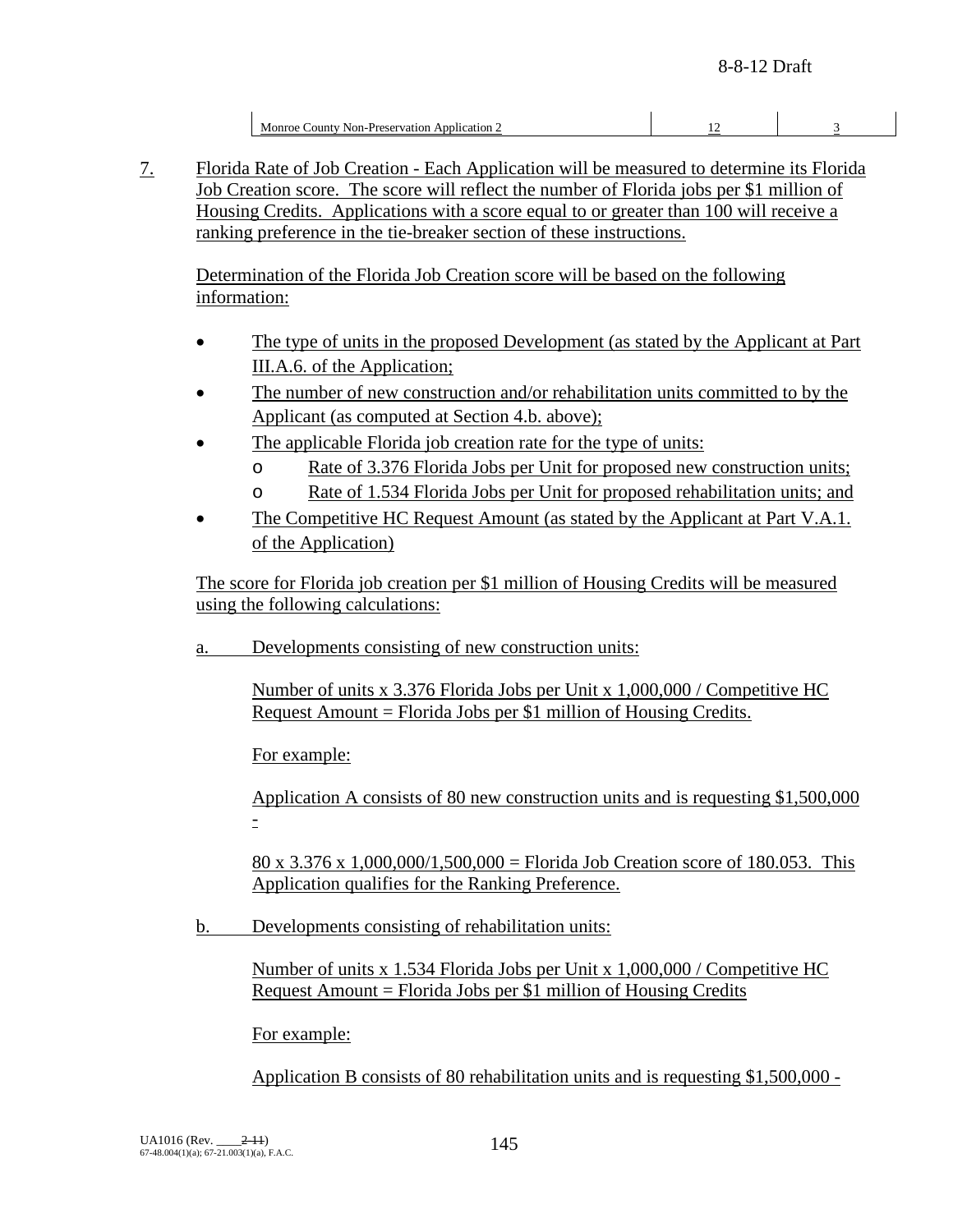| Monroe County Non-Preservation Application 2 |  |
|----------------------------------------------|--|
|                                              |  |

7. Florida Rate of Job Creation - Each Application will be measured to determine its Florida Job Creation score. The score will reflect the number of Florida jobs per \$1 million of Housing Credits. Applications with a score equal to or greater than 100 will receive a ranking preference in the tie-breaker section of these instructions.

Determination of the Florida Job Creation score will be based on the following information:

- The type of units in the proposed Development (as stated by the Applicant at Part III.A.6. of the Application;
- The number of new construction and/or rehabilitation units committed to by the Applicant (as computed at Section 4.b. above);
- The applicable Florida job creation rate for the type of units:
	- o Rate of 3.376 Florida Jobs per Unit for proposed new construction units;
	- o Rate of 1.534 Florida Jobs per Unit for proposed rehabilitation units; and
- The Competitive HC Request Amount (as stated by the Applicant at Part V.A.1. of the Application)

The score for Florida job creation per \$1 million of Housing Credits will be measured using the following calculations:

a. Developments consisting of new construction units:

Number of units x 3.376 Florida Jobs per Unit x 1,000,000 / Competitive HC Request Amount = Florida Jobs per \$1 million of Housing Credits.

For example:

Application A consists of 80 new construction units and is requesting \$1,500,000 -

80 x 3.376 x 1,000,000/1,500,000 = Florida Job Creation score of 180.053. This Application qualifies for the Ranking Preference.

b. Developments consisting of rehabilitation units:

Number of units x 1.534 Florida Jobs per Unit x 1,000,000 / Competitive HC Request Amount = Florida Jobs per \$1 million of Housing Credits

For example:

Application B consists of 80 rehabilitation units and is requesting \$1,500,000 -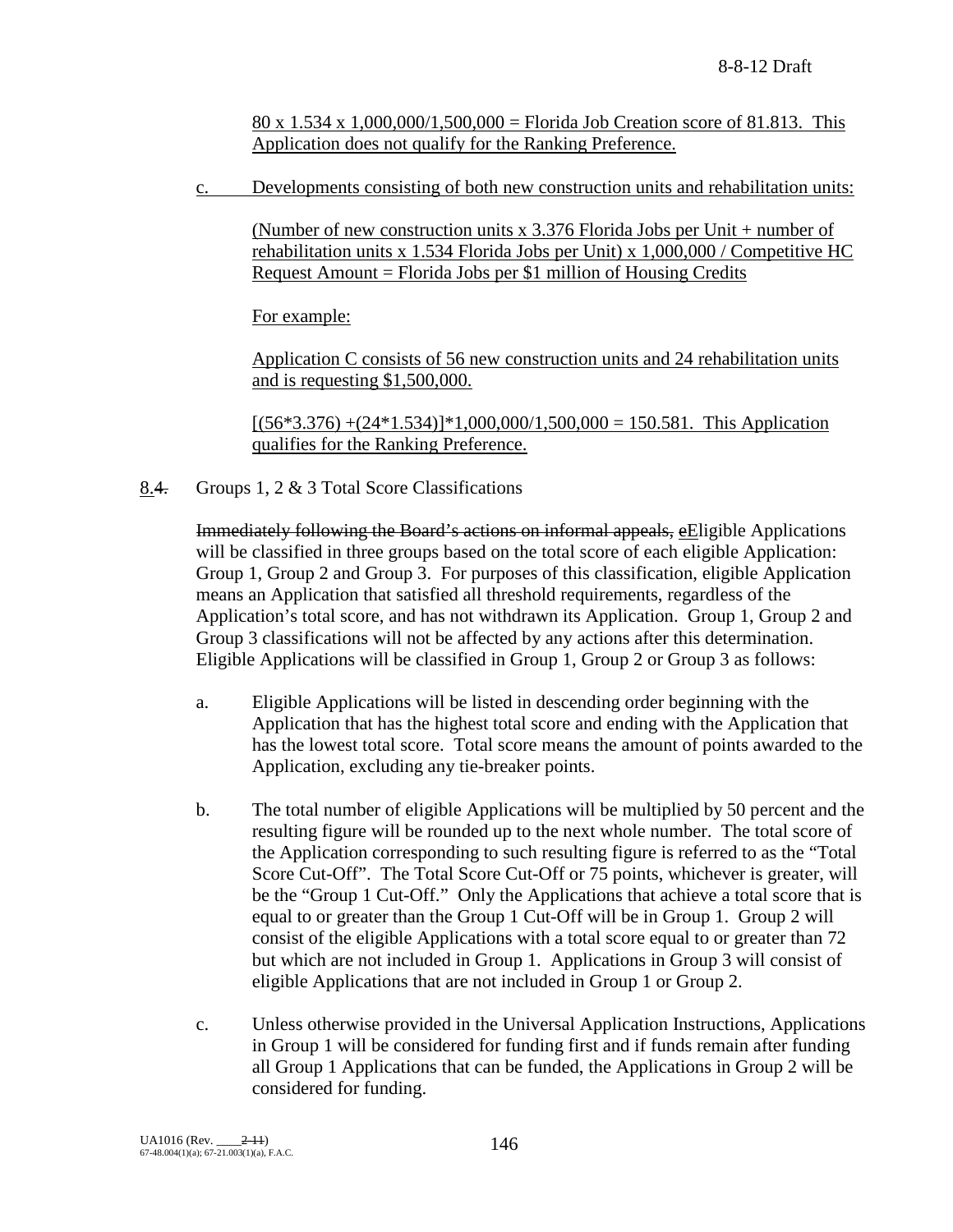80 x  $1.534$  x  $1,000,000/1,500,000 =$  Florida Job Creation score of 81.813. This Application does not qualify for the Ranking Preference.

c. Developments consisting of both new construction units and rehabilitation units:

(Number of new construction units x 3.376 Florida Jobs per Unit + number of rehabilitation units x 1.534 Florida Jobs per Unit) x 1,000,000 / Competitive HC Request Amount = Florida Jobs per \$1 million of Housing Credits

For example:

Application C consists of 56 new construction units and 24 rehabilitation units and is requesting \$1,500,000.

 $[(56*3.376) + (24*1.534)]*1,000,000/1,500,000 = 150.581$ . This Application qualifies for the Ranking Preference.

8.4. Groups 1, 2 & 3 Total Score Classifications

Immediately following the Board's actions on informal appeals, eEligible Applications will be classified in three groups based on the total score of each eligible Application: Group 1, Group 2 and Group 3. For purposes of this classification, eligible Application means an Application that satisfied all threshold requirements, regardless of the Application's total score, and has not withdrawn its Application. Group 1, Group 2 and Group 3 classifications will not be affected by any actions after this determination. Eligible Applications will be classified in Group 1, Group 2 or Group 3 as follows:

- a. Eligible Applications will be listed in descending order beginning with the Application that has the highest total score and ending with the Application that has the lowest total score. Total score means the amount of points awarded to the Application, excluding any tie-breaker points.
- b. The total number of eligible Applications will be multiplied by 50 percent and the resulting figure will be rounded up to the next whole number. The total score of the Application corresponding to such resulting figure is referred to as the "Total Score Cut-Off". The Total Score Cut-Off or 75 points, whichever is greater, will be the "Group 1 Cut-Off." Only the Applications that achieve a total score that is equal to or greater than the Group 1 Cut-Off will be in Group 1. Group 2 will consist of the eligible Applications with a total score equal to or greater than 72 but which are not included in Group 1. Applications in Group 3 will consist of eligible Applications that are not included in Group 1 or Group 2.
- c. Unless otherwise provided in the Universal Application Instructions, Applications in Group 1 will be considered for funding first and if funds remain after funding all Group 1 Applications that can be funded, the Applications in Group 2 will be considered for funding.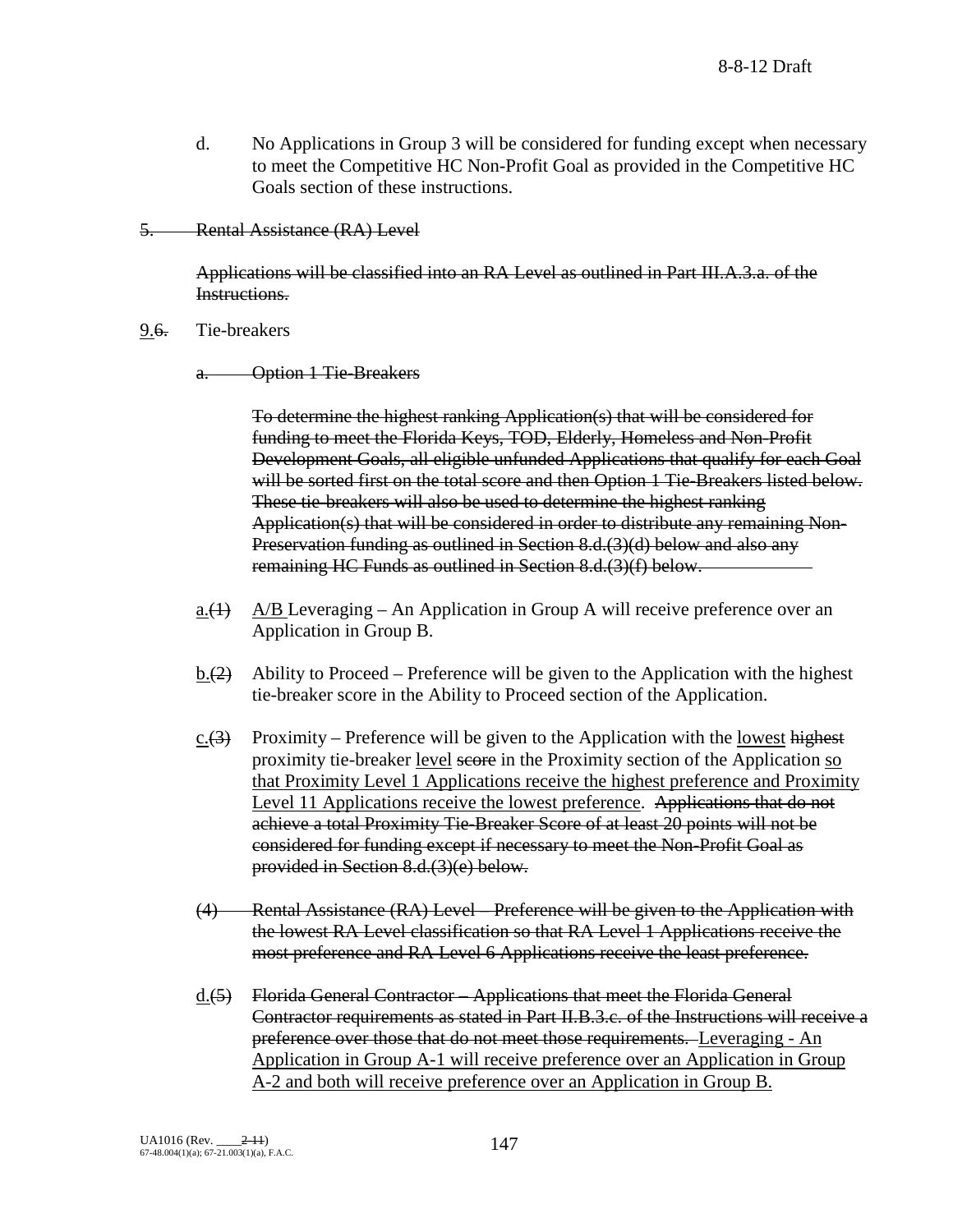- d. No Applications in Group 3 will be considered for funding except when necessary to meet the Competitive HC Non-Profit Goal as provided in the Competitive HC Goals section of these instructions.
- 5. Rental Assistance (RA) Level

Applications will be classified into an RA Level as outlined in Part III.A.3.a. of the Instructions.

9.<del>6.</del> Tie-breakers

a. Option 1 Tie-Breakers

To determine the highest ranking Application(s) that will be considered for funding to meet the Florida Keys, TOD, Elderly, Homeless and Non-Profit Development Goals, all eligible unfunded Applications that qualify for each Goal will be sorted first on the total score and then Option 1 Tie-Breakers listed below. These tie-breakers will also be used to determine the highest ranking Application(s) that will be considered in order to distribute any remaining Non-Preservation funding as outlined in Section 8.d.(3)(d) below and also any remaining HC Funds as outlined in Section 8.d.(3)(f) below.

- a. $(1)$  A/B Leveraging An Application in Group A will receive preference over an Application in Group B.
- $\underline{b.(2)}$  Ability to Proceed Preference will be given to the Application with the highest tie-breaker score in the Ability to Proceed section of the Application.
- c. $(3)$  Proximity Preference will be given to the Application with the lowest highest proximity tie-breaker level score in the Proximity section of the Application so that Proximity Level 1 Applications receive the highest preference and Proximity Level 11 Applications receive the lowest preference. Applications that do not achieve a total Proximity Tie-Breaker Score of at least 20 points will not be considered for funding except if necessary to meet the Non-Profit Goal as provided in Section 8.d.(3)(e) below.
- (4) Rental Assistance (RA) Level Preference will be given to the Application with the lowest RA Level classification so that RA Level 1 Applications receive the most preference and RA Level 6 Applications receive the least preference.
- d.(5) Florida General Contractor Applications that meet the Florida General Contractor requirements as stated in Part II.B.3.c. of the Instructions will receive a preference over those that do not meet those requirements. Leveraging - An Application in Group A-1 will receive preference over an Application in Group A-2 and both will receive preference over an Application in Group B.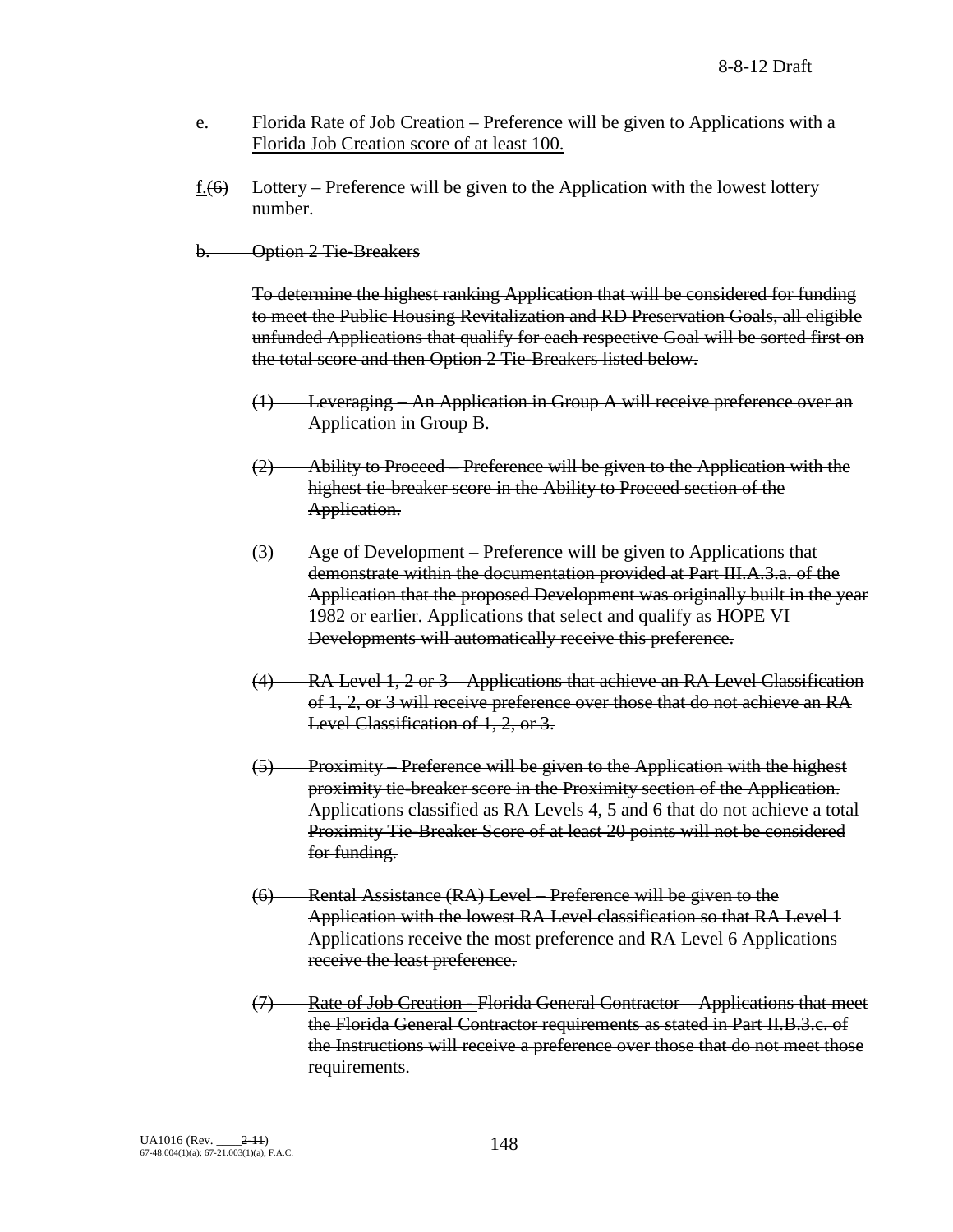- e. Florida Rate of Job Creation Preference will be given to Applications with a Florida Job Creation score of at least 100.
- <u>f.</u>(6) Lottery Preference will be given to the Application with the lowest lottery number.
- b. Option 2 Tie-Breakers

To determine the highest ranking Application that will be considered for funding to meet the Public Housing Revitalization and RD Preservation Goals, all eligible unfunded Applications that qualify for each respective Goal will be sorted first on the total score and then Option 2 Tie-Breakers listed below.

- (1) Leveraging An Application in Group A will receive preference over an Application in Group B.
- (2) Ability to Proceed Preference will be given to the Application with the highest tie-breaker score in the Ability to Proceed section of the Application.
- (3) Age of Development Preference will be given to Applications that demonstrate within the documentation provided at Part III.A.3.a. of the Application that the proposed Development was originally built in the year 1982 or earlier. Applications that select and qualify as HOPE VI Developments will automatically receive this preference.
- (4) RA Level 1, 2 or 3 Applications that achieve an RA Level Classification of 1, 2, or 3 will receive preference over those that do not achieve an RA Level Classification of 1, 2, or 3.
- (5) Proximity Preference will be given to the Application with the highest proximity tie-breaker score in the Proximity section of the Application. Applications classified as RA Levels 4, 5 and 6 that do not achieve a total Proximity Tie-Breaker Score of at least 20 points will not be considered for funding.
- (6) Rental Assistance (RA) Level Preference will be given to the Application with the lowest RA Level classification so that RA Level 1 Applications receive the most preference and RA Level 6 Applications receive the least preference.
- (7) Rate of Job Creation Florida General Contractor Applications that meet the Florida General Contractor requirements as stated in Part II.B.3.c. of the Instructions will receive a preference over those that do not meet those requirements.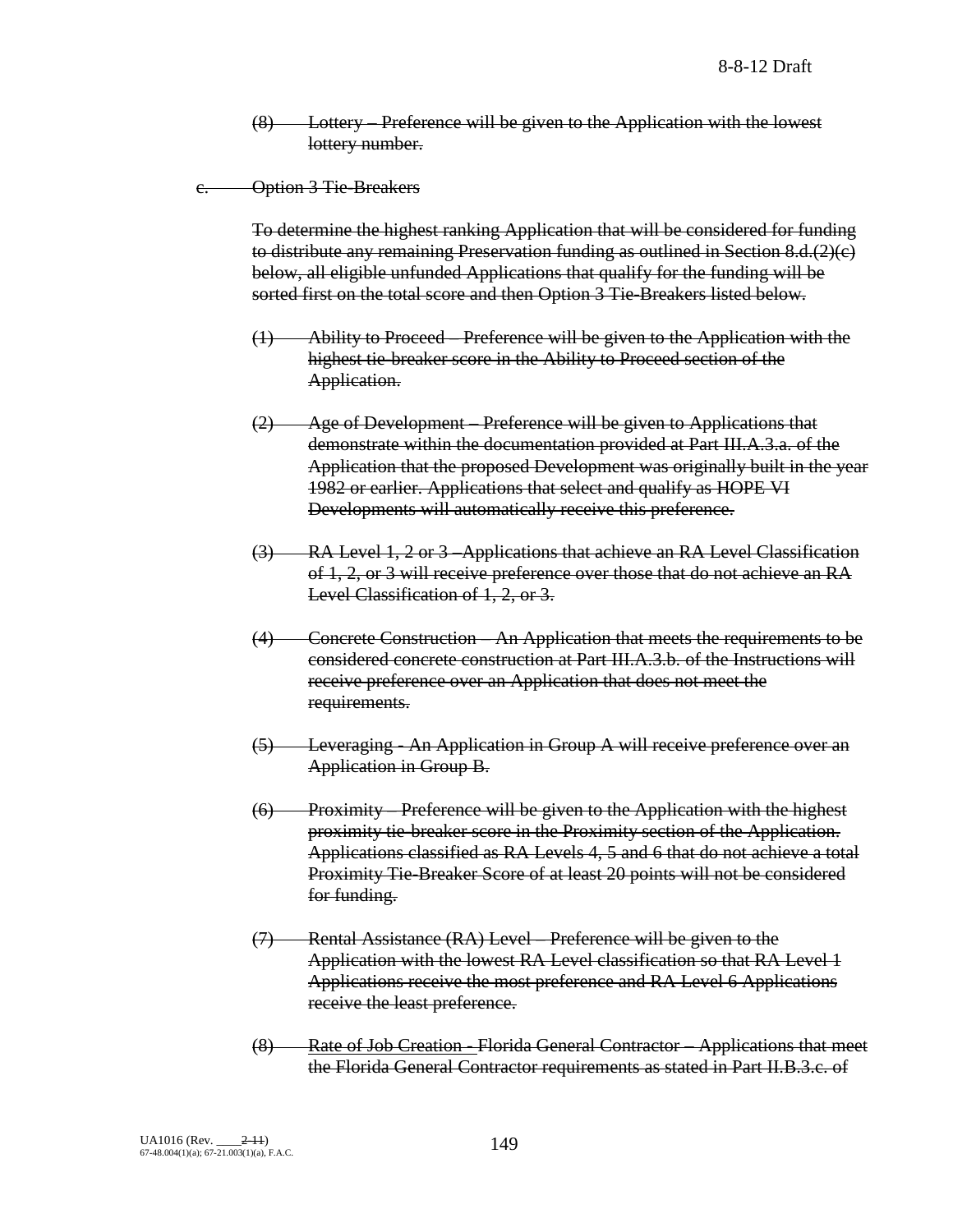Lottery – Preference will be given to the Application with the lowest lottery number.

c. Option 3 Tie-Breakers

To determine the highest ranking Application that will be considered for funding to distribute any remaining Preservation funding as outlined in Section 8.d.(2)(c) below, all eligible unfunded Applications that qualify for the funding will be sorted first on the total score and then Option 3 Tie-Breakers listed below.

- (1) Ability to Proceed Preference will be given to the Application with the highest tie-breaker score in the Ability to Proceed section of the Application.
- (2) Age of Development Preference will be given to Applications that demonstrate within the documentation provided at Part III.A.3.a. of the Application that the proposed Development was originally built in the year 1982 or earlier. Applications that select and qualify as HOPE VI Developments will automatically receive this preference.
- (3) RA Level 1, 2 or 3 –Applications that achieve an RA Level Classification of 1, 2, or 3 will receive preference over those that do not achieve an RA Level Classification of 1, 2, or 3.
- (4) Concrete Construction An Application that meets the requirements to be considered concrete construction at Part III.A.3.b. of the Instructions will receive preference over an Application that does not meet the requirements.
- (5) Leveraging An Application in Group A will receive preference over an Application in Group B.
- (6) Proximity Preference will be given to the Application with the highest proximity tie-breaker score in the Proximity section of the Application. Applications classified as RA Levels 4, 5 and 6 that do not achieve a total Proximity Tie-Breaker Score of at least 20 points will not be considered for funding.
- (7) Rental Assistance (RA) Level Preference will be given to the Application with the lowest RA Level classification so that RA Level 1 Applications receive the most preference and RA Level 6 Applications receive the least preference.
- (8) Rate of Job Creation Florida General Contractor Applications that meet the Florida General Contractor requirements as stated in Part II.B.3.c. of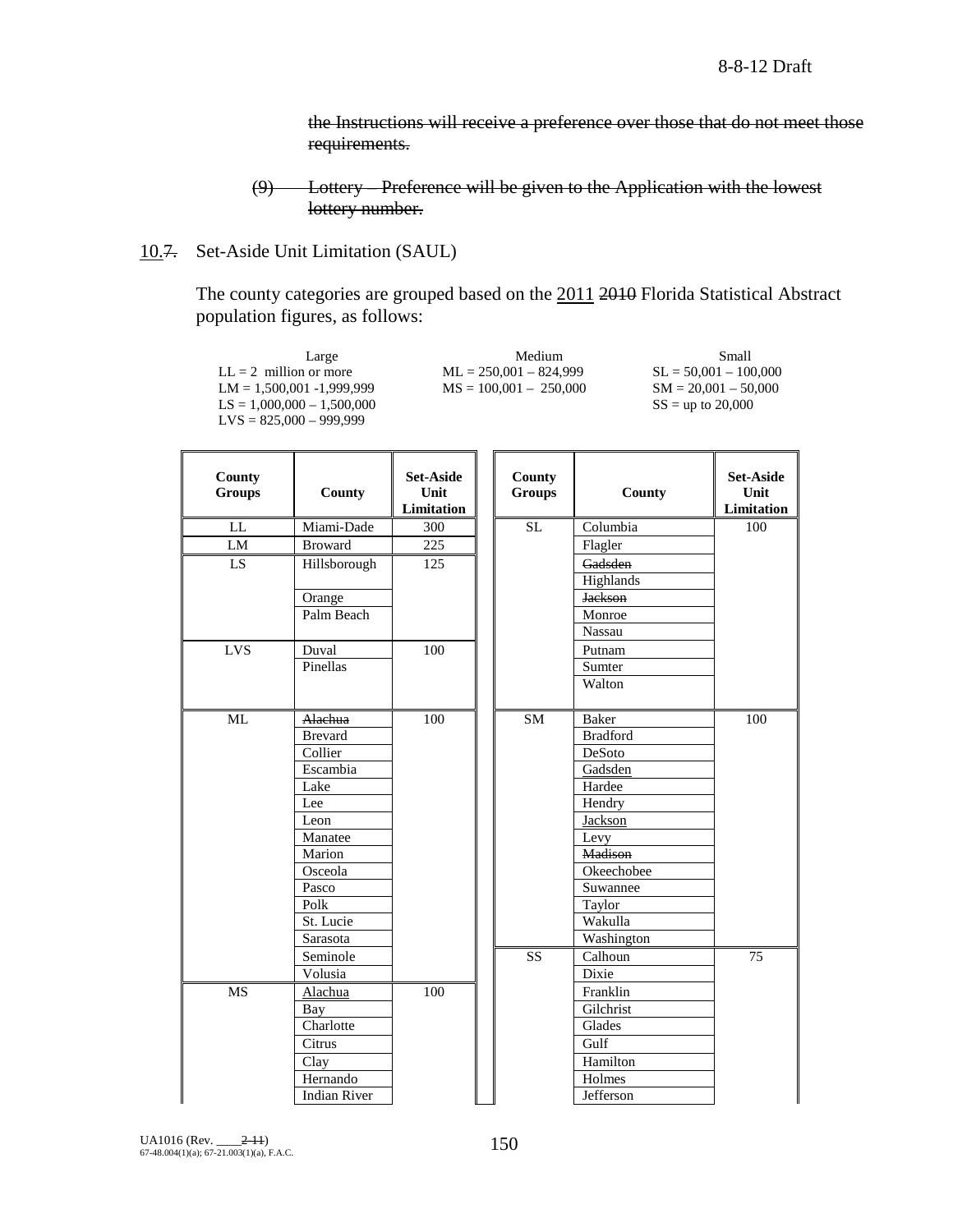the Instructions will receive a preference over those that do not meet those requirements.

10.7. Set-Aside Unit Limitation (SAUL)

The county categories are grouped based on the 2011 2010 Florida Statistical Abstract population figures, as follows:

|                         | Large<br>$LL = 2$ million or more<br>$LM = 1,500,001 - 1,999,999$<br>$LS = 1,000,000 - 1,500,000$<br>$LVS = 825,000 - 999,999$ |                                               | Medium<br>$ML = 250,001 - 824,999$<br>$MS = 100,001 - 250,000$ |                 | Small<br>$SL = 50,001 - 100,000$<br>$SM = 20,001 - 50,000$<br>$SS =$ up to 20,000 |
|-------------------------|--------------------------------------------------------------------------------------------------------------------------------|-----------------------------------------------|----------------------------------------------------------------|-----------------|-----------------------------------------------------------------------------------|
| County<br><b>Groups</b> | County                                                                                                                         | <b>Set-Aside</b><br>Unit<br><b>Limitation</b> | County<br><b>Groups</b>                                        | County          | <b>Set-Aside</b><br>Unit<br>Limitation                                            |
| LL                      | Miami-Dade                                                                                                                     | 300                                           | $\overline{\text{SL}}$                                         | Columbia        | 100                                                                               |
| LM                      | <b>Broward</b>                                                                                                                 | $\overline{225}$                              |                                                                | Flagler         |                                                                                   |
| LS                      | Hillsborough                                                                                                                   | 125                                           |                                                                | Gadsden         |                                                                                   |
|                         |                                                                                                                                |                                               |                                                                | Highlands       |                                                                                   |
|                         | Orange                                                                                                                         |                                               |                                                                | <b>Jackson</b>  |                                                                                   |
|                         | Palm Beach                                                                                                                     |                                               |                                                                | Monroe          |                                                                                   |
|                         |                                                                                                                                |                                               |                                                                | Nassau          |                                                                                   |
| <b>LVS</b>              | Duval                                                                                                                          | 100                                           |                                                                | Putnam          |                                                                                   |
|                         | Pinellas                                                                                                                       |                                               |                                                                | Sumter          |                                                                                   |
|                         |                                                                                                                                |                                               |                                                                | Walton          |                                                                                   |
| ML                      | Alachua                                                                                                                        | 100                                           | <b>SM</b>                                                      | Baker           | 100                                                                               |
|                         | <b>Brevard</b>                                                                                                                 |                                               |                                                                | <b>Bradford</b> |                                                                                   |
|                         | Collier                                                                                                                        |                                               |                                                                | DeSoto          |                                                                                   |
|                         | Escambia                                                                                                                       |                                               |                                                                | Gadsden         |                                                                                   |
|                         | Lake                                                                                                                           |                                               |                                                                | Hardee          |                                                                                   |
|                         | Lee                                                                                                                            |                                               |                                                                | Hendry          |                                                                                   |
|                         | Leon                                                                                                                           |                                               |                                                                | Jackson         |                                                                                   |
|                         | Manatee                                                                                                                        |                                               |                                                                | Levy            |                                                                                   |
|                         | Marion                                                                                                                         |                                               |                                                                | Madison         |                                                                                   |
|                         | Osceola                                                                                                                        |                                               |                                                                | Okeechobee      |                                                                                   |
|                         | Pasco                                                                                                                          |                                               |                                                                | Suwannee        |                                                                                   |
|                         | Polk                                                                                                                           |                                               |                                                                | Taylor          |                                                                                   |
|                         | St. Lucie                                                                                                                      |                                               |                                                                | Wakulla         |                                                                                   |
|                         | Sarasota                                                                                                                       |                                               |                                                                | Washington      |                                                                                   |
|                         | Seminole                                                                                                                       |                                               | <b>SS</b>                                                      | Calhoun         | 75                                                                                |
|                         | Volusia                                                                                                                        |                                               |                                                                | Dixie           |                                                                                   |
| <b>MS</b>               | Alachua                                                                                                                        | 100                                           |                                                                | Franklin        |                                                                                   |
|                         | Bay                                                                                                                            |                                               |                                                                | Gilchrist       |                                                                                   |
|                         | Charlotte                                                                                                                      |                                               |                                                                | Glades          |                                                                                   |
|                         | Citrus                                                                                                                         |                                               |                                                                | Gulf            |                                                                                   |
|                         | Clay                                                                                                                           |                                               |                                                                | Hamilton        |                                                                                   |
|                         | Hernando                                                                                                                       |                                               |                                                                | Holmes          |                                                                                   |
|                         | <b>Indian River</b>                                                                                                            |                                               |                                                                | Jefferson       |                                                                                   |

<sup>(9)</sup> Lottery – Preference will be given to the Application with the lowest lottery number.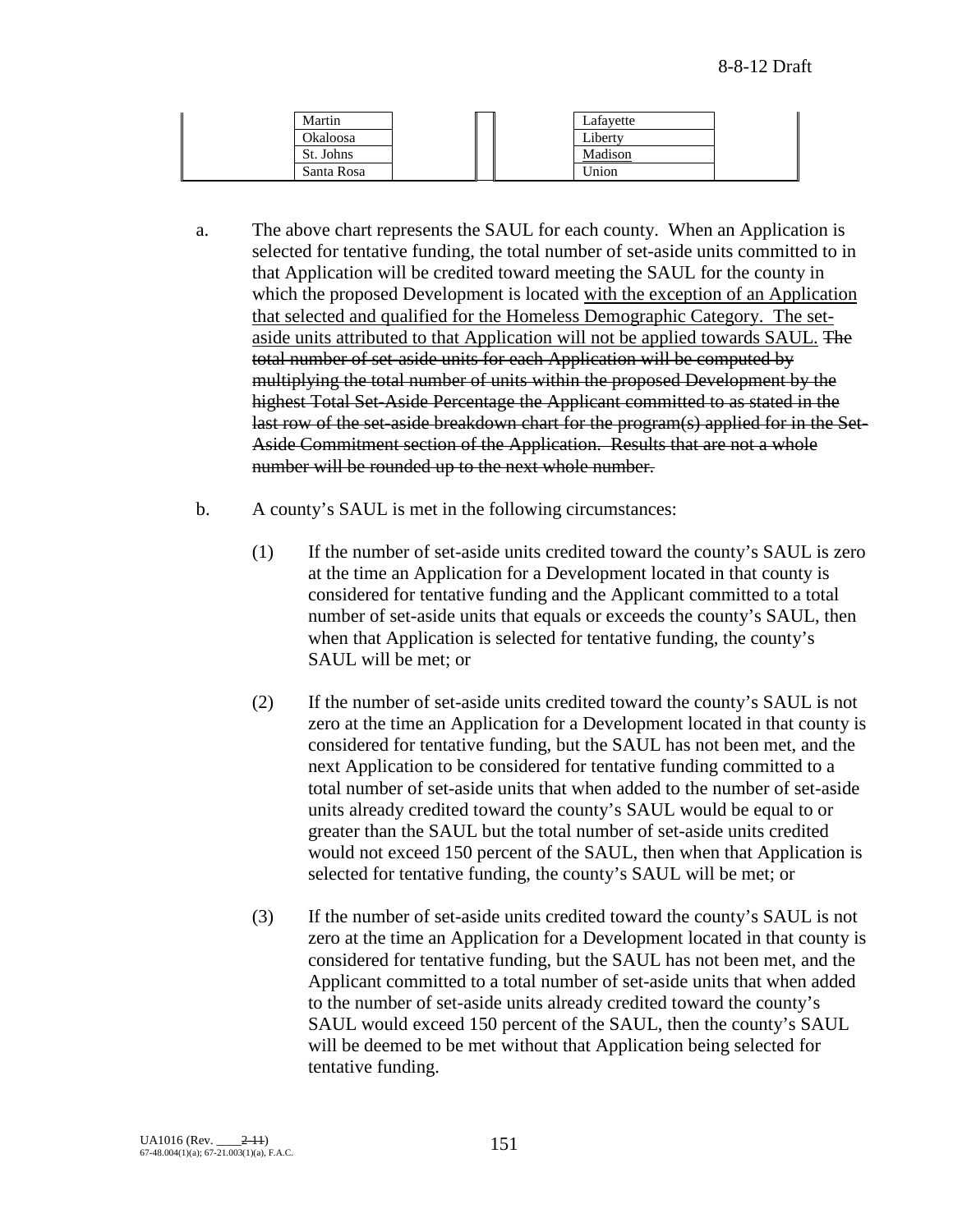| Martin     |  | Lafayette |  |
|------------|--|-----------|--|
| Okaloosa   |  | Liberty   |  |
| St. Johns  |  | Madison   |  |
| Santa Rosa |  | Union     |  |

- a. The above chart represents the SAUL for each county. When an Application is selected for tentative funding, the total number of set-aside units committed to in that Application will be credited toward meeting the SAUL for the county in which the proposed Development is located with the exception of an Application that selected and qualified for the Homeless Demographic Category. The setaside units attributed to that Application will not be applied towards SAUL. The total number of set-aside units for each Application will be computed by multiplying the total number of units within the proposed Development by the highest Total Set-Aside Percentage the Applicant committed to as stated in the last row of the set-aside breakdown chart for the program(s) applied for in the Set-Aside Commitment section of the Application. Results that are not a whole number will be rounded up to the next whole number.
- b. A county's SAUL is met in the following circumstances:
	- (1) If the number of set-aside units credited toward the county's SAUL is zero at the time an Application for a Development located in that county is considered for tentative funding and the Applicant committed to a total number of set-aside units that equals or exceeds the county's SAUL, then when that Application is selected for tentative funding, the county's SAUL will be met; or
	- (2) If the number of set-aside units credited toward the county's SAUL is not zero at the time an Application for a Development located in that county is considered for tentative funding, but the SAUL has not been met, and the next Application to be considered for tentative funding committed to a total number of set-aside units that when added to the number of set-aside units already credited toward the county's SAUL would be equal to or greater than the SAUL but the total number of set-aside units credited would not exceed 150 percent of the SAUL, then when that Application is selected for tentative funding, the county's SAUL will be met; or
	- (3) If the number of set-aside units credited toward the county's SAUL is not zero at the time an Application for a Development located in that county is considered for tentative funding, but the SAUL has not been met, and the Applicant committed to a total number of set-aside units that when added to the number of set-aside units already credited toward the county's SAUL would exceed 150 percent of the SAUL, then the county's SAUL will be deemed to be met without that Application being selected for tentative funding.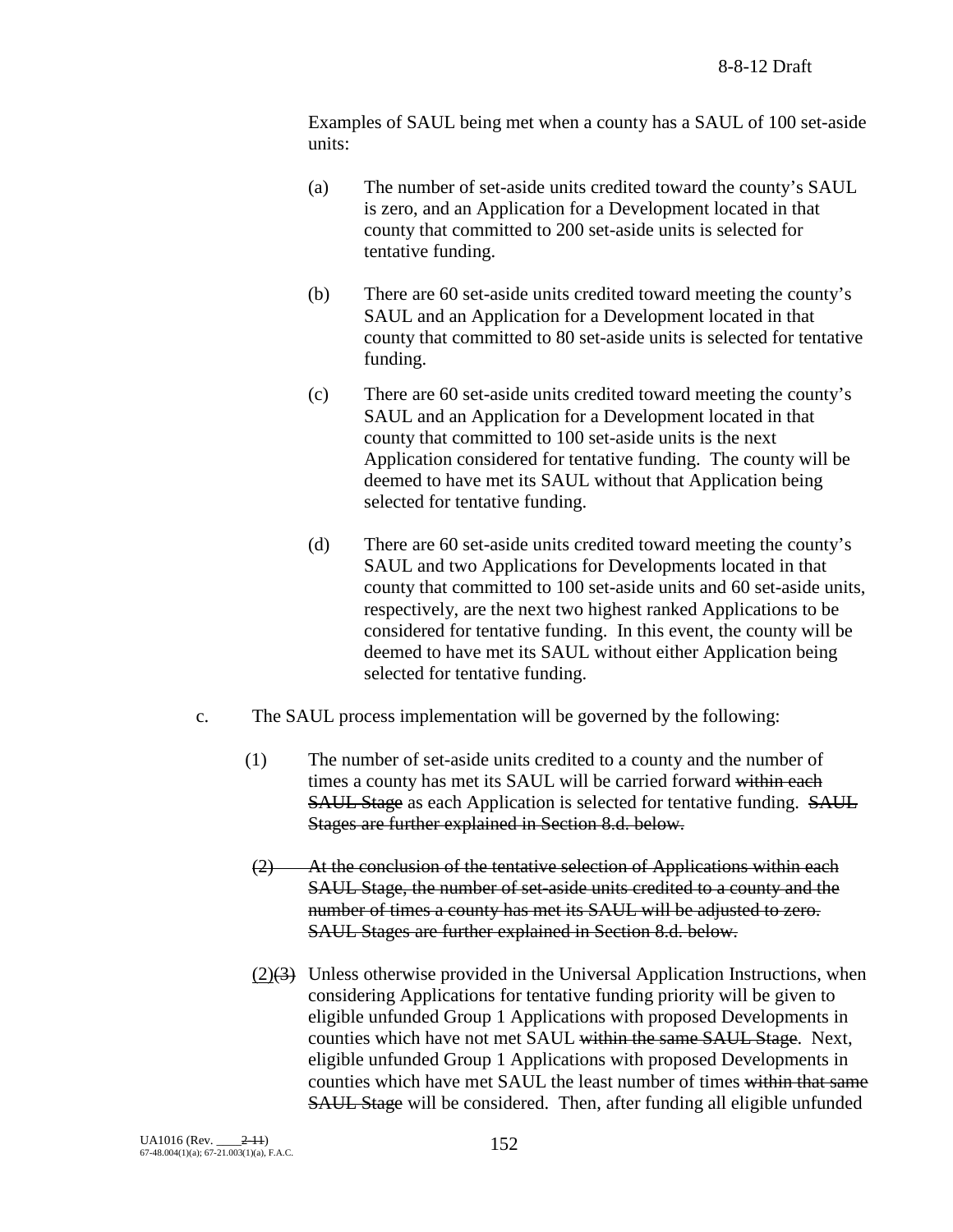Examples of SAUL being met when a county has a SAUL of 100 set-aside units:

- (a) The number of set-aside units credited toward the county's SAUL is zero, and an Application for a Development located in that county that committed to 200 set-aside units is selected for tentative funding.
- (b) There are 60 set-aside units credited toward meeting the county's SAUL and an Application for a Development located in that county that committed to 80 set-aside units is selected for tentative funding.
- (c) There are 60 set-aside units credited toward meeting the county's SAUL and an Application for a Development located in that county that committed to 100 set-aside units is the next Application considered for tentative funding. The county will be deemed to have met its SAUL without that Application being selected for tentative funding.
- (d) There are 60 set-aside units credited toward meeting the county's SAUL and two Applications for Developments located in that county that committed to 100 set-aside units and 60 set-aside units, respectively, are the next two highest ranked Applications to be considered for tentative funding. In this event, the county will be deemed to have met its SAUL without either Application being selected for tentative funding.
- c. The SAUL process implementation will be governed by the following:
	- (1) The number of set-aside units credited to a county and the number of times a county has met its SAUL will be carried forward within each SAUL Stage as each Application is selected for tentative funding. SAUL Stages are further explained in Section 8.d. below.
	- (2) At the conclusion of the tentative selection of Applications within each SAUL Stage, the number of set-aside units credited to a county and the number of times a county has met its SAUL will be adjusted to zero. SAUL Stages are further explained in Section 8.d. below.
	- $(2)(3)$  Unless otherwise provided in the Universal Application Instructions, when considering Applications for tentative funding priority will be given to eligible unfunded Group 1 Applications with proposed Developments in counties which have not met SAUL within the same SAUL Stage. Next, eligible unfunded Group 1 Applications with proposed Developments in counties which have met SAUL the least number of times within that same SAUL Stage will be considered. Then, after funding all eligible unfunded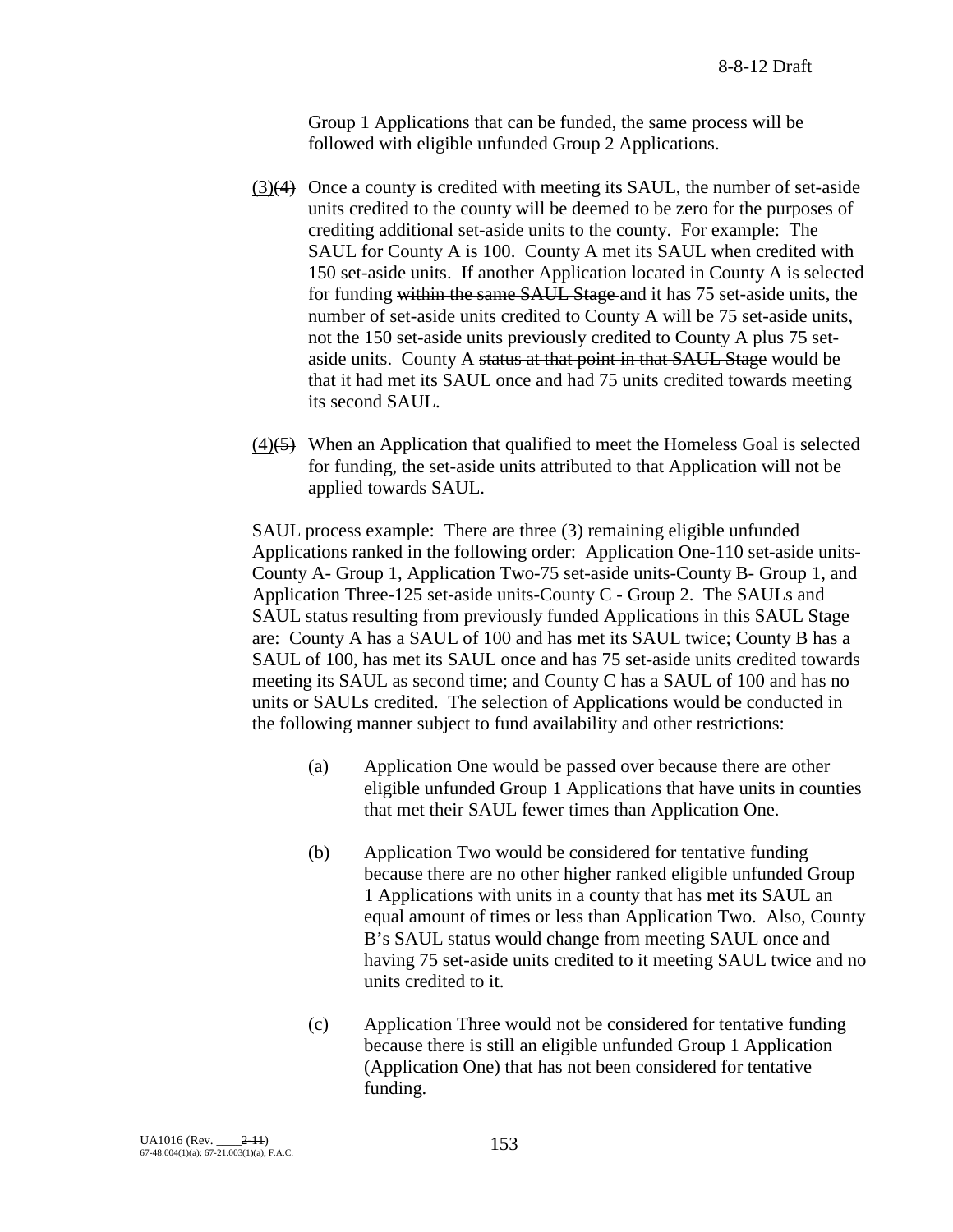Group 1 Applications that can be funded, the same process will be followed with eligible unfunded Group 2 Applications.

- (3)(4) Once a county is credited with meeting its SAUL, the number of set-aside units credited to the county will be deemed to be zero for the purposes of crediting additional set-aside units to the county. For example: The SAUL for County A is 100. County A met its SAUL when credited with 150 set-aside units. If another Application located in County A is selected for funding within the same SAUL Stage and it has 75 set-aside units, the number of set-aside units credited to County A will be 75 set-aside units, not the 150 set-aside units previously credited to County A plus 75 setaside units. County A status at that point in that SAUL Stage would be that it had met its SAUL once and had 75 units credited towards meeting its second SAUL.
- $(4)$ (5) When an Application that qualified to meet the Homeless Goal is selected for funding, the set-aside units attributed to that Application will not be applied towards SAUL.

SAUL process example: There are three (3) remaining eligible unfunded Applications ranked in the following order: Application One-110 set-aside units-County A- Group 1, Application Two-75 set-aside units-County B- Group 1, and Application Three-125 set-aside units-County C - Group 2. The SAULs and SAUL status resulting from previously funded Applications in this SAUL Stage are: County A has a SAUL of 100 and has met its SAUL twice; County B has a SAUL of 100, has met its SAUL once and has 75 set-aside units credited towards meeting its SAUL as second time; and County C has a SAUL of 100 and has no units or SAULs credited. The selection of Applications would be conducted in the following manner subject to fund availability and other restrictions:

- (a) Application One would be passed over because there are other eligible unfunded Group 1 Applications that have units in counties that met their SAUL fewer times than Application One.
- (b) Application Two would be considered for tentative funding because there are no other higher ranked eligible unfunded Group 1 Applications with units in a county that has met its SAUL an equal amount of times or less than Application Two. Also, County B's SAUL status would change from meeting SAUL once and having 75 set-aside units credited to it meeting SAUL twice and no units credited to it.
- (c) Application Three would not be considered for tentative funding because there is still an eligible unfunded Group 1 Application (Application One) that has not been considered for tentative funding.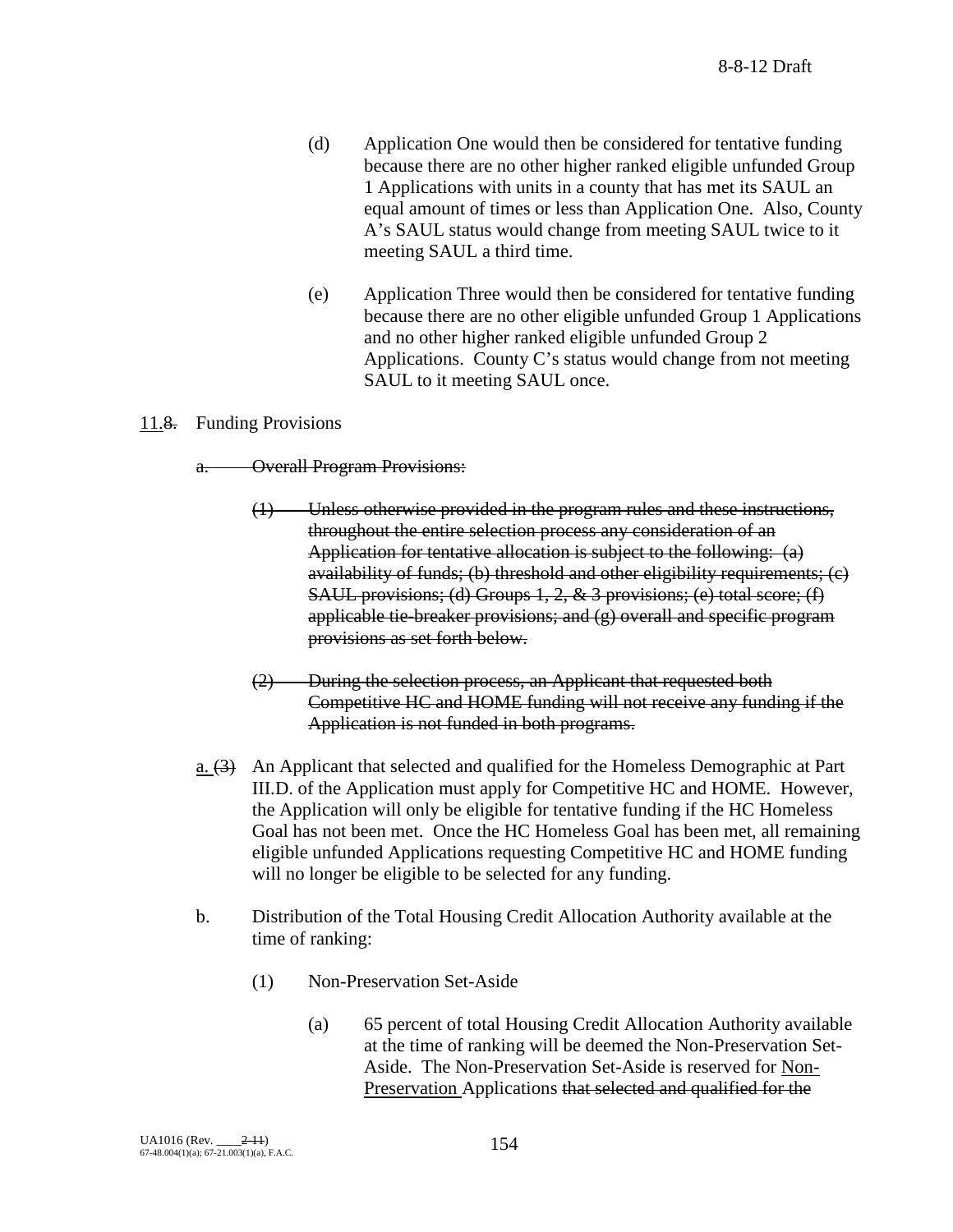- (d) Application One would then be considered for tentative funding because there are no other higher ranked eligible unfunded Group 1 Applications with units in a county that has met its SAUL an equal amount of times or less than Application One. Also, County A's SAUL status would change from meeting SAUL twice to it meeting SAUL a third time.
- (e) Application Three would then be considered for tentative funding because there are no other eligible unfunded Group 1 Applications and no other higher ranked eligible unfunded Group 2 Applications. County C's status would change from not meeting SAUL to it meeting SAUL once.

#### 11.8. Funding Provisions

a. Overall Program Provisions:

- (1) Unless otherwise provided in the program rules and these instructions, throughout the entire selection process any consideration of an Application for tentative allocation is subject to the following: (a) availability of funds; (b) threshold and other eligibility requirements; (c) SAUL provisions; (d) Groups 1, 2, & 3 provisions; (e) total score; (f) applicable tie-breaker provisions; and  $(g)$  overall and specific program provisions as set forth below.
- (2) During the selection process, an Applicant that requested both Competitive HC and HOME funding will not receive any funding if the Application is not funded in both programs.
- a. (3) An Applicant that selected and qualified for the Homeless Demographic at Part III.D. of the Application must apply for Competitive HC and HOME. However, the Application will only be eligible for tentative funding if the HC Homeless Goal has not been met. Once the HC Homeless Goal has been met, all remaining eligible unfunded Applications requesting Competitive HC and HOME funding will no longer be eligible to be selected for any funding.
- b. Distribution of the Total Housing Credit Allocation Authority available at the time of ranking:
	- (1) Non-Preservation Set-Aside
		- (a) 65 percent of total Housing Credit Allocation Authority available at the time of ranking will be deemed the Non-Preservation Set-Aside. The Non-Preservation Set-Aside is reserved for Non-Preservation Applications that selected and qualified for the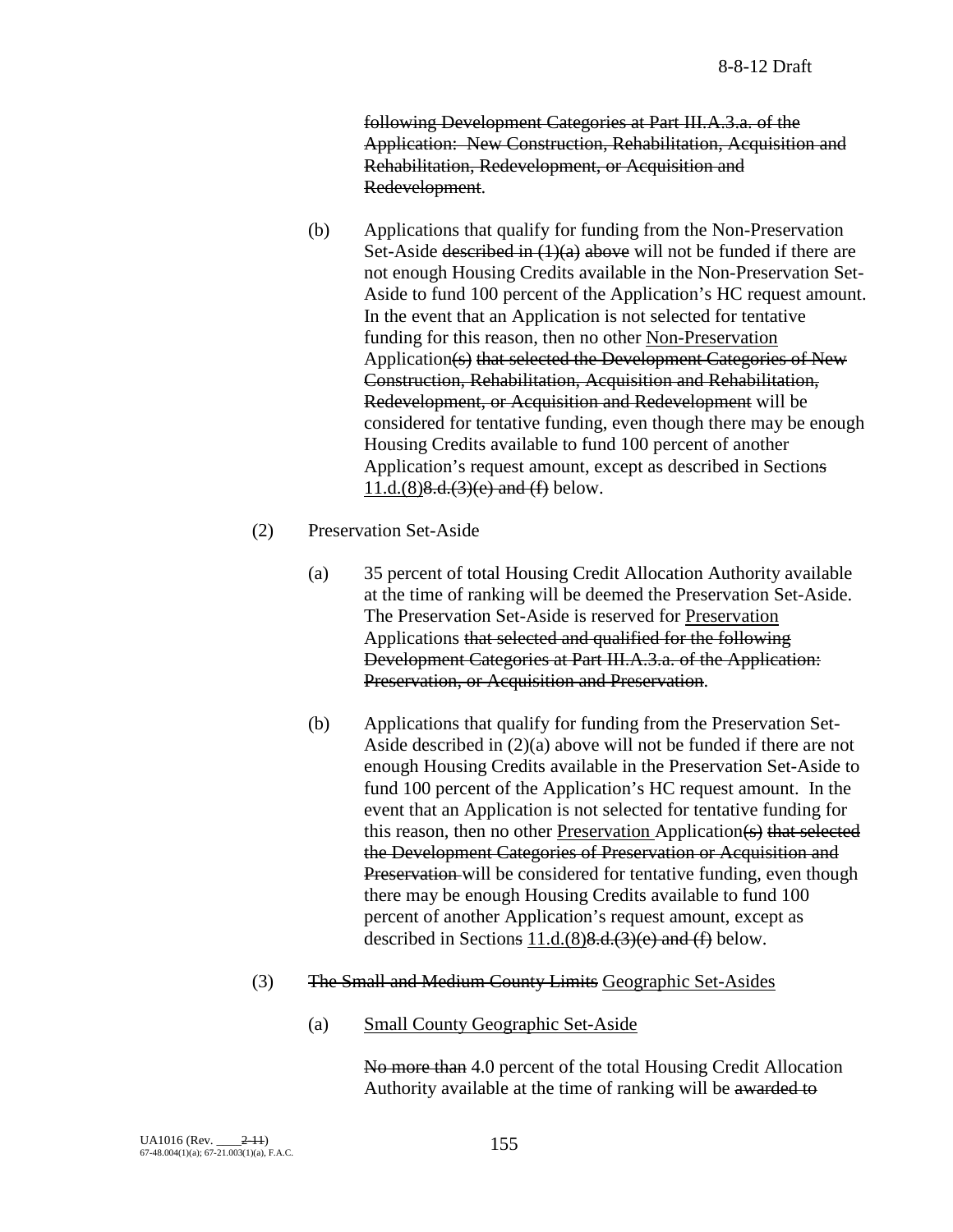8-8-12 Draft

following Development Categories at Part III.A.3.a. of the Application: New Construction, Rehabilitation, Acquisition and Rehabilitation, Redevelopment, or Acquisition and Redevelopment.

- (b) Applications that qualify for funding from the Non-Preservation Set-Aside described in  $(1)(a)$  above will not be funded if there are not enough Housing Credits available in the Non-Preservation Set-Aside to fund 100 percent of the Application's HC request amount. In the event that an Application is not selected for tentative funding for this reason, then no other Non-Preservation Application(s) that selected the Development Categories of New Construction, Rehabilitation, Acquisition and Rehabilitation, Redevelopment, or Acquisition and Redevelopment will be considered for tentative funding, even though there may be enough Housing Credits available to fund 100 percent of another Application's request amount, except as described in Sections  $11.d.(8)8.d.(3)(e)$  and  $(f)$  below.
- (2) Preservation Set-Aside
	- (a) 35 percent of total Housing Credit Allocation Authority available at the time of ranking will be deemed the Preservation Set-Aside. The Preservation Set-Aside is reserved for Preservation Applications that selected and qualified for the following Development Categories at Part III.A.3.a. of the Application: Preservation, or Acquisition and Preservation.
	- (b) Applications that qualify for funding from the Preservation Set-Aside described in (2)(a) above will not be funded if there are not enough Housing Credits available in the Preservation Set-Aside to fund 100 percent of the Application's HC request amount. In the event that an Application is not selected for tentative funding for this reason, then no other Preservation Application(s) that selected the Development Categories of Preservation or Acquisition and Preservation will be considered for tentative funding, even though there may be enough Housing Credits available to fund 100 percent of another Application's request amount, except as described in Sections  $11.d.(8)8.d.(3)(e)$  and  $(f)$  below.
- (3) The Small and Medium County Limits Geographic Set-Asides
	- (a) Small County Geographic Set-Aside

No more than 4.0 percent of the total Housing Credit Allocation Authority available at the time of ranking will be awarded to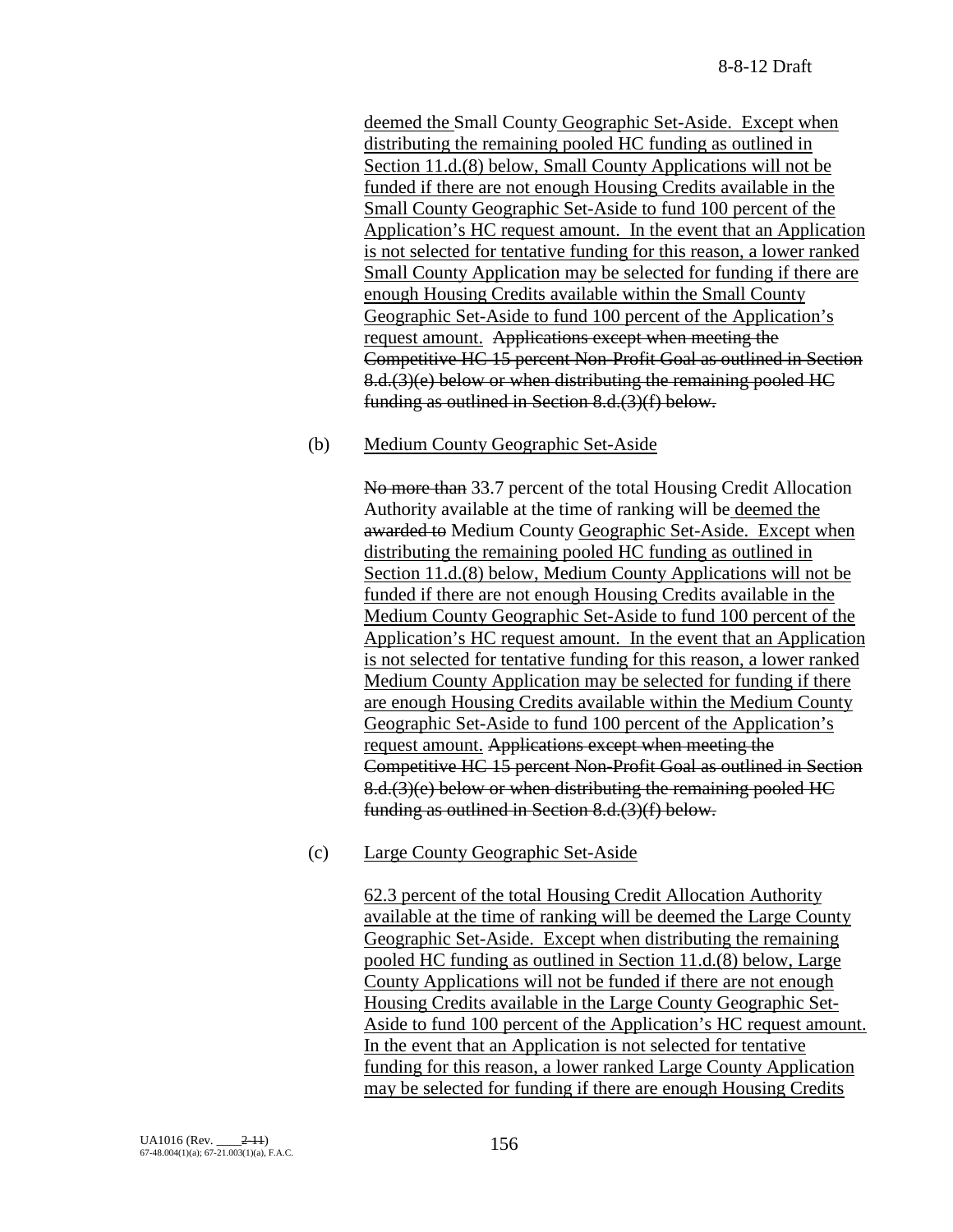deemed the Small County Geographic Set-Aside. Except when distributing the remaining pooled HC funding as outlined in Section 11.d.(8) below, Small County Applications will not be funded if there are not enough Housing Credits available in the Small County Geographic Set-Aside to fund 100 percent of the Application's HC request amount. In the event that an Application is not selected for tentative funding for this reason, a lower ranked Small County Application may be selected for funding if there are enough Housing Credits available within the Small County Geographic Set-Aside to fund 100 percent of the Application's request amount. Applications except when meeting the Competitive HC 15 percent Non-Profit Goal as outlined in Section 8.d.(3)(e) below or when distributing the remaining pooled HC funding as outlined in Section 8.d.(3)(f) below.

### (b) Medium County Geographic Set-Aside

No more than 33.7 percent of the total Housing Credit Allocation Authority available at the time of ranking will be deemed the awarded to Medium County Geographic Set-Aside. Except when distributing the remaining pooled HC funding as outlined in Section 11.d.(8) below, Medium County Applications will not be funded if there are not enough Housing Credits available in the Medium County Geographic Set-Aside to fund 100 percent of the Application's HC request amount. In the event that an Application is not selected for tentative funding for this reason, a lower ranked Medium County Application may be selected for funding if there are enough Housing Credits available within the Medium County Geographic Set-Aside to fund 100 percent of the Application's request amount. Applications except when meeting the Competitive HC 15 percent Non-Profit Goal as outlined in Section 8.d.(3)(e) below or when distributing the remaining pooled HC funding as outlined in Section 8.d.(3)(f) below.

### (c) Large County Geographic Set-Aside

62.3 percent of the total Housing Credit Allocation Authority available at the time of ranking will be deemed the Large County Geographic Set-Aside. Except when distributing the remaining pooled HC funding as outlined in Section 11.d.(8) below, Large County Applications will not be funded if there are not enough Housing Credits available in the Large County Geographic Set-Aside to fund 100 percent of the Application's HC request amount. In the event that an Application is not selected for tentative funding for this reason, a lower ranked Large County Application may be selected for funding if there are enough Housing Credits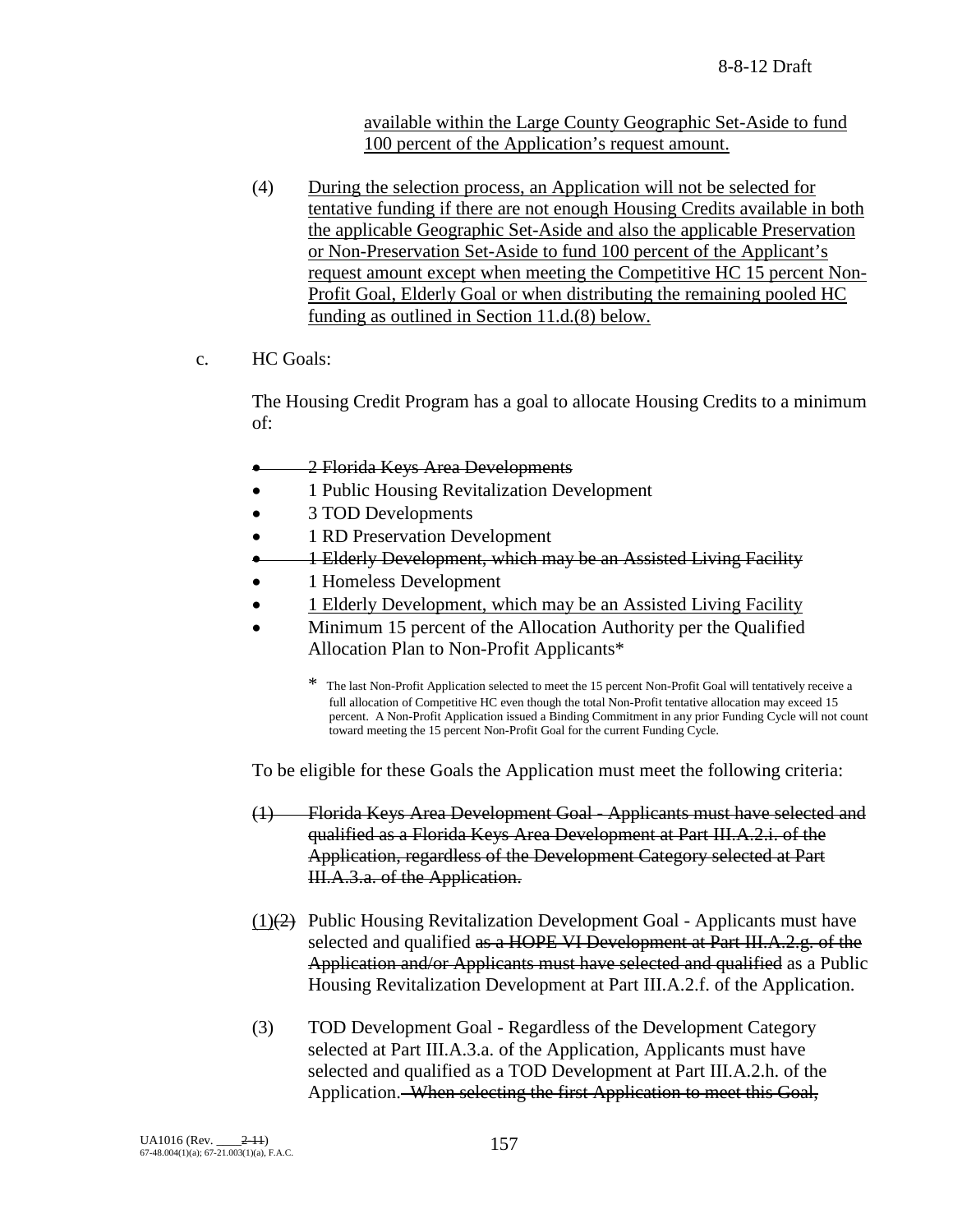available within the Large County Geographic Set-Aside to fund 100 percent of the Application's request amount.

- (4) During the selection process, an Application will not be selected for tentative funding if there are not enough Housing Credits available in both the applicable Geographic Set-Aside and also the applicable Preservation or Non-Preservation Set-Aside to fund 100 percent of the Applicant's request amount except when meeting the Competitive HC 15 percent Non-Profit Goal, Elderly Goal or when distributing the remaining pooled HC funding as outlined in Section 11.d.(8) below.
- c. HC Goals:

The Housing Credit Program has a goal to allocate Housing Credits to a minimum of:

- 2 Florida Keys Area Developments
- 1 Public Housing Revitalization Development
- 3 TOD Developments
- 1 RD Preservation Development
- 1 Elderly Development, which may be an Assisted Living Facility
- 1 Homeless Development
- 1 Elderly Development, which may be an Assisted Living Facility
- Minimum 15 percent of the Allocation Authority per the Qualified Allocation Plan to Non-Profit Applicants\*
	- \* The last Non-Profit Application selected to meet the 15 percent Non-Profit Goal will tentatively receive a full allocation of Competitive HC even though the total Non-Profit tentative allocation may exceed 15 percent. A Non-Profit Application issued a Binding Commitment in any prior Funding Cycle will not count toward meeting the 15 percent Non-Profit Goal for the current Funding Cycle.

To be eligible for these Goals the Application must meet the following criteria:

- (1) Florida Keys Area Development Goal Applicants must have selected and qualified as a Florida Keys Area Development at Part III.A.2.i. of the Application, regardless of the Development Category selected at Part III.A.3.a. of the Application.
- $(1)(2)$  Public Housing Revitalization Development Goal Applicants must have selected and qualified as a HOPE VI Development at Part III.A.2.g. of the Application and/or Applicants must have selected and qualified as a Public Housing Revitalization Development at Part III.A.2.f. of the Application.
- (3) TOD Development Goal Regardless of the Development Category selected at Part III.A.3.a. of the Application, Applicants must have selected and qualified as a TOD Development at Part III.A.2.h. of the Application. When selecting the first Application to meet this Goal,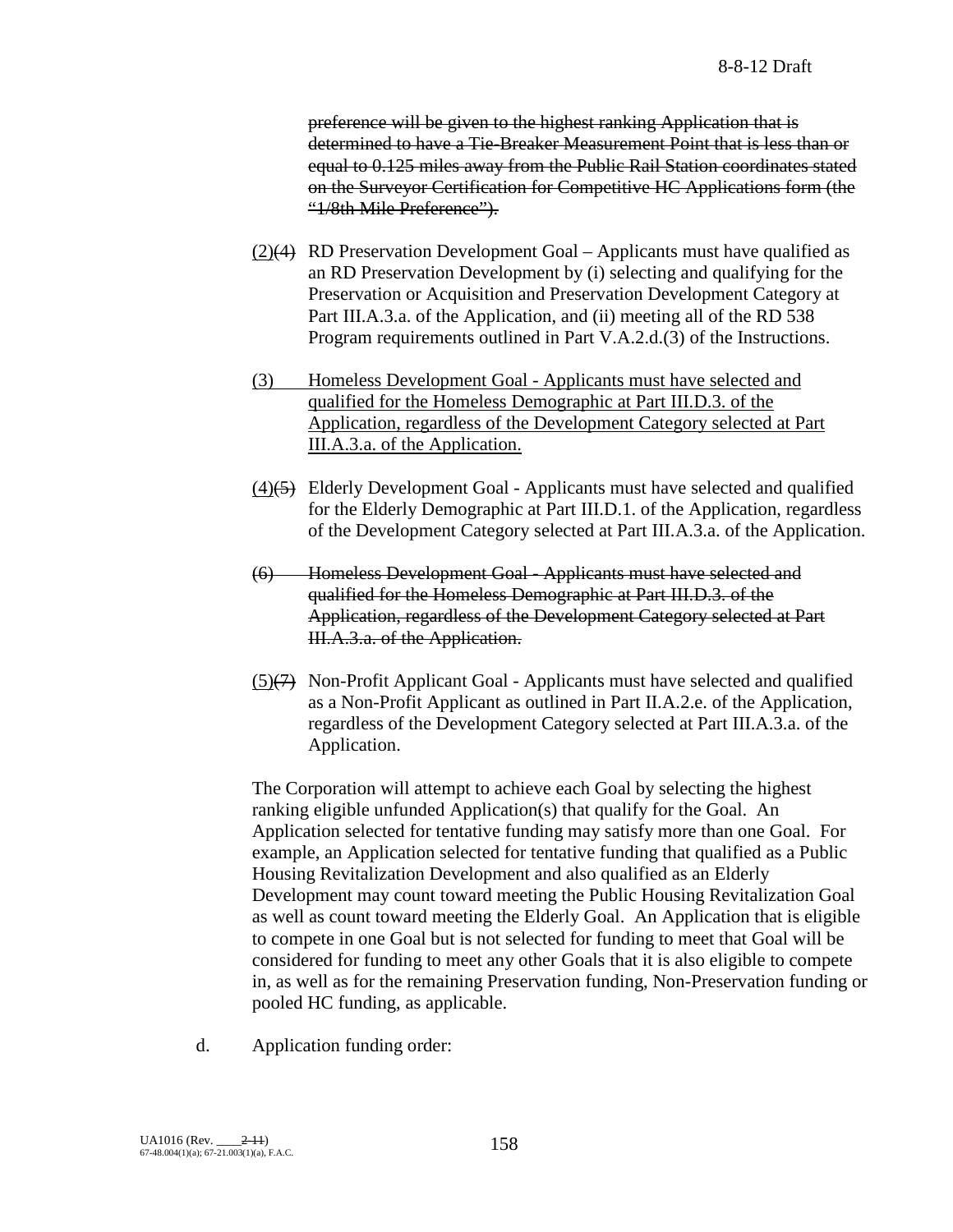preference will be given to the highest ranking Application that is determined to have a Tie-Breaker Measurement Point that is less than or equal to 0.125 miles away from the Public Rail Station coordinates stated on the Surveyor Certification for Competitive HC Applications form (the "1/8th Mile Preference").

- $(2)(4)$  RD Preservation Development Goal Applicants must have qualified as an RD Preservation Development by (i) selecting and qualifying for the Preservation or Acquisition and Preservation Development Category at Part III.A.3.a. of the Application, and (ii) meeting all of the RD 538 Program requirements outlined in Part V.A.2.d.(3) of the Instructions.
- (3) Homeless Development Goal Applicants must have selected and qualified for the Homeless Demographic at Part III.D.3. of the Application, regardless of the Development Category selected at Part III.A.3.a. of the Application.
- (4)(5) Elderly Development Goal Applicants must have selected and qualified for the Elderly Demographic at Part III.D.1. of the Application, regardless of the Development Category selected at Part III.A.3.a. of the Application.
- (6) Homeless Development Goal Applicants must have selected and qualified for the Homeless Demographic at Part III.D.3. of the Application, regardless of the Development Category selected at Part III.A.3.a. of the Application.
- (5)(7) Non-Profit Applicant Goal Applicants must have selected and qualified as a Non-Profit Applicant as outlined in Part II.A.2.e. of the Application, regardless of the Development Category selected at Part III.A.3.a. of the Application.

The Corporation will attempt to achieve each Goal by selecting the highest ranking eligible unfunded Application(s) that qualify for the Goal. An Application selected for tentative funding may satisfy more than one Goal. For example, an Application selected for tentative funding that qualified as a Public Housing Revitalization Development and also qualified as an Elderly Development may count toward meeting the Public Housing Revitalization Goal as well as count toward meeting the Elderly Goal. An Application that is eligible to compete in one Goal but is not selected for funding to meet that Goal will be considered for funding to meet any other Goals that it is also eligible to compete in, as well as for the remaining Preservation funding, Non-Preservation funding or pooled HC funding, as applicable.

d. Application funding order: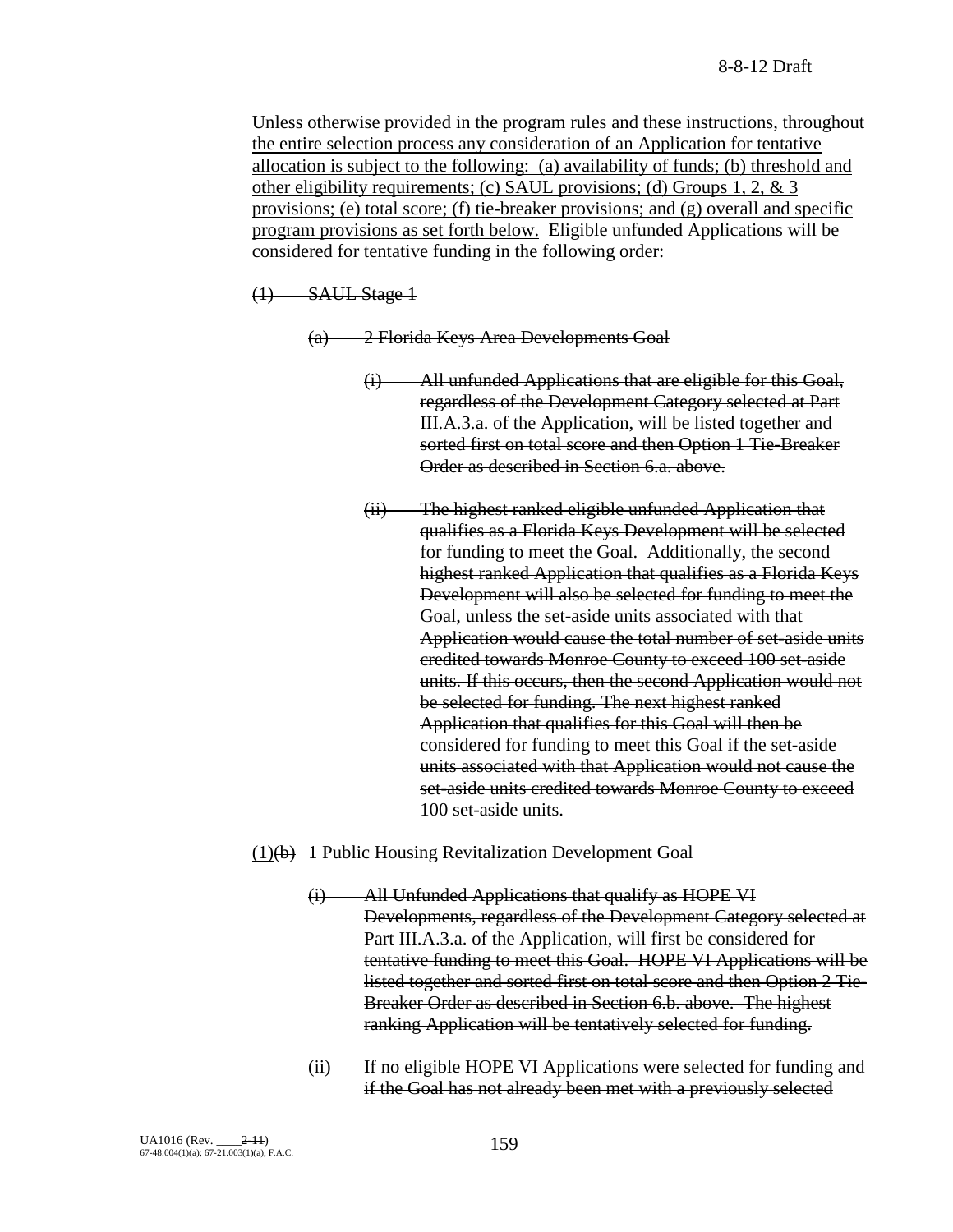Unless otherwise provided in the program rules and these instructions, throughout the entire selection process any consideration of an Application for tentative allocation is subject to the following: (a) availability of funds; (b) threshold and other eligibility requirements; (c) SAUL provisions; (d) Groups 1, 2, & 3 provisions; (e) total score; (f) tie-breaker provisions; and (g) overall and specific program provisions as set forth below. Eligible unfunded Applications will be considered for tentative funding in the following order:

 $(1)$  SAUL Stage 1

(a) 2 Florida Keys Area Developments Goal

- (i) All unfunded Applications that are eligible for this Goal, regardless of the Development Category selected at Part III.A.3.a. of the Application, will be listed together and sorted first on total score and then Option 1 Tie-Breaker Order as described in Section 6.a. above.
- (ii) The highest ranked eligible unfunded Application that qualifies as a Florida Keys Development will be selected for funding to meet the Goal. Additionally, the second highest ranked Application that qualifies as a Florida Keys Development will also be selected for funding to meet the Goal, unless the set-aside units associated with that Application would cause the total number of set-aside units credited towards Monroe County to exceed 100 set-aside units. If this occurs, then the second Application would not be selected for funding. The next highest ranked Application that qualifies for this Goal will then be considered for funding to meet this Goal if the set-aside units associated with that Application would not cause the set-aside units credited towards Monroe County to exceed 100 set-aside units.
- $(1)(b)$  1 Public Housing Revitalization Development Goal
	- (i) All Unfunded Applications that qualify as HOPE VI Developments, regardless of the Development Category selected at Part III.A.3.a. of the Application, will first be considered for tentative funding to meet this Goal. HOPE VI Applications will be listed together and sorted first on total score and then Option 2 Tie-Breaker Order as described in Section 6.b. above. The highest ranking Application will be tentatively selected for funding.
	- (ii) If no eligible HOPE VI Applications were selected for funding and if the Goal has not already been met with a previously selected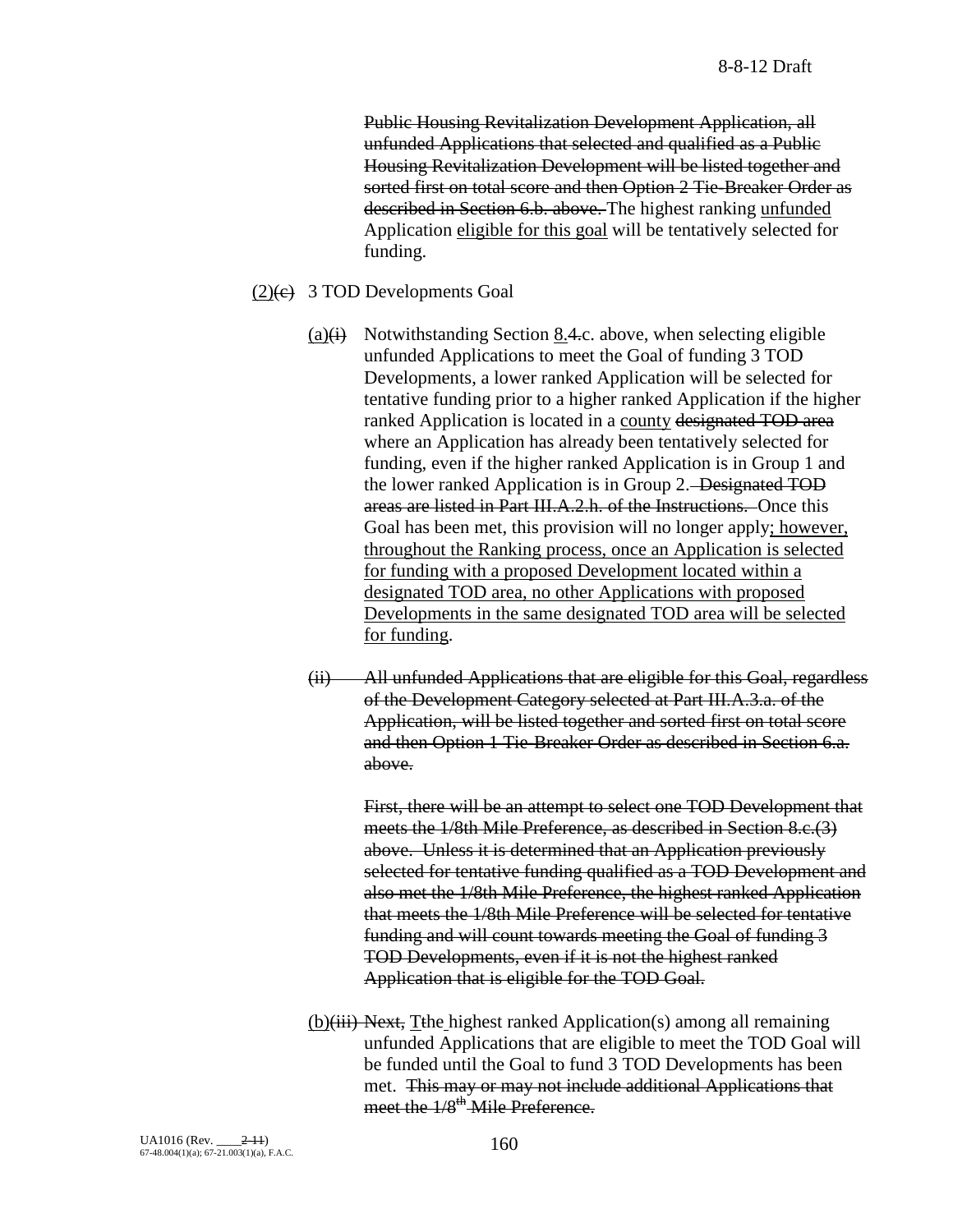Public Housing Revitalization Development Application, all unfunded Applications that selected and qualified as a Public Housing Revitalization Development will be listed together and sorted first on total score and then Option 2 Tie-Breaker Order as described in Section 6.b. above. The highest ranking unfunded Application eligible for this goal will be tentatively selected for funding.

#### $(2)(e)$  3 TOD Developments Goal

- (a) $\leftrightarrow$  Notwithstanding Section 8.4.c. above, when selecting eligible unfunded Applications to meet the Goal of funding 3 TOD Developments, a lower ranked Application will be selected for tentative funding prior to a higher ranked Application if the higher ranked Application is located in a county designated TOD area where an Application has already been tentatively selected for funding, even if the higher ranked Application is in Group 1 and the lower ranked Application is in Group 2. Designated TOD areas are listed in Part III.A.2.h. of the Instructions. Once this Goal has been met, this provision will no longer apply; however, throughout the Ranking process, once an Application is selected for funding with a proposed Development located within a designated TOD area, no other Applications with proposed Developments in the same designated TOD area will be selected for funding.
- (ii) All unfunded Applications that are eligible for this Goal, regardless of the Development Category selected at Part III.A.3.a. of the Application, will be listed together and sorted first on total score and then Option 1 Tie-Breaker Order as described in Section 6.a. above.

First, there will be an attempt to select one TOD Development that meets the 1/8th Mile Preference, as described in Section 8.c.(3) above. Unless it is determined that an Application previously selected for tentative funding qualified as a TOD Development and also met the 1/8th Mile Preference, the highest ranked Application that meets the 1/8th Mile Preference will be selected for tentative funding and will count towards meeting the Goal of funding 3 TOD Developments, even if it is not the highest ranked Application that is eligible for the TOD Goal.

(b)(iii) Next, Tthe highest ranked Application(s) among all remaining unfunded Applications that are eligible to meet the TOD Goal will be funded until the Goal to fund 3 TOD Developments has been met. This may or may not include additional Applications that meet the  $1/8$ <sup>th</sup> Mile Preference.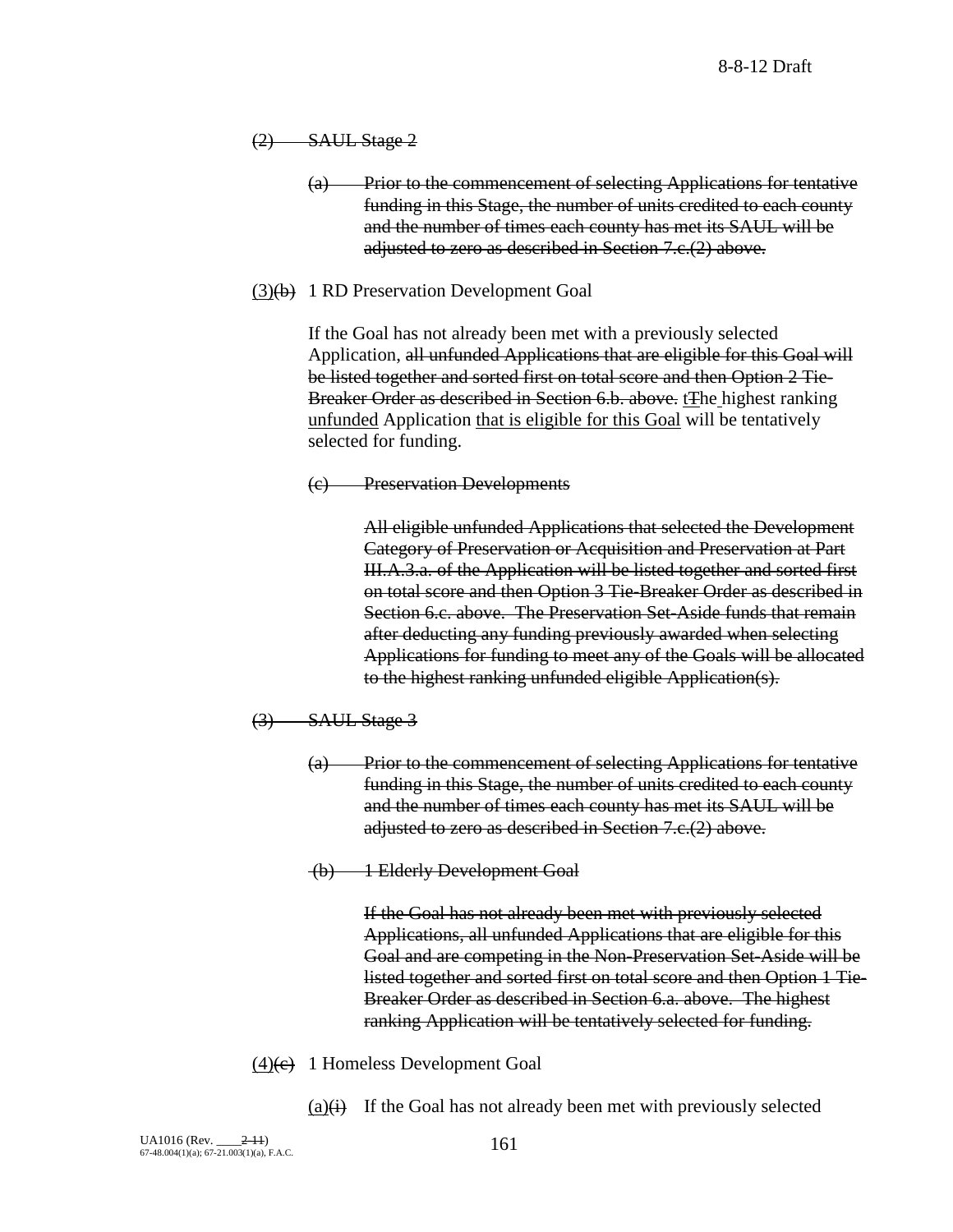$(2)$  SAUL Stage 2

- (a) Prior to the commencement of selecting Applications for tentative funding in this Stage, the number of units credited to each county and the number of times each county has met its SAUL will be adjusted to zero as described in Section 7.c.(2) above.
- $(3)(b)$  1 RD Preservation Development Goal

If the Goal has not already been met with a previously selected Application, all unfunded Applications that are eligible for this Goal will be listed together and sorted first on total score and then Option 2 Tie-Breaker Order as described in Section 6.b. above. tThe highest ranking unfunded Application that is eligible for this Goal will be tentatively selected for funding.

(c) Preservation Developments

All eligible unfunded Applications that selected the Development Category of Preservation or Acquisition and Preservation at Part III.A.3.a. of the Application will be listed together and sorted first on total score and then Option 3 Tie-Breaker Order as described in Section 6.c. above. The Preservation Set-Aside funds that remain after deducting any funding previously awarded when selecting Applications for funding to meet any of the Goals will be allocated to the highest ranking unfunded eligible Application(s).

- $(3)$  SAUL Stage 3
	- (a) Prior to the commencement of selecting Applications for tentative funding in this Stage, the number of units credited to each county and the number of times each county has met its SAUL will be adjusted to zero as described in Section 7.c.(2) above.
	- (b) 1 Elderly Development Goal

If the Goal has not already been met with previously selected Applications, all unfunded Applications that are eligible for this Goal and are competing in the Non-Preservation Set-Aside will be listed together and sorted first on total score and then Option 1 Tie-Breaker Order as described in Section 6.a. above. The highest ranking Application will be tentatively selected for funding.

- $(4)$ (e) 1 Homeless Development Goal
	- $(a)(i)$  If the Goal has not already been met with previously selected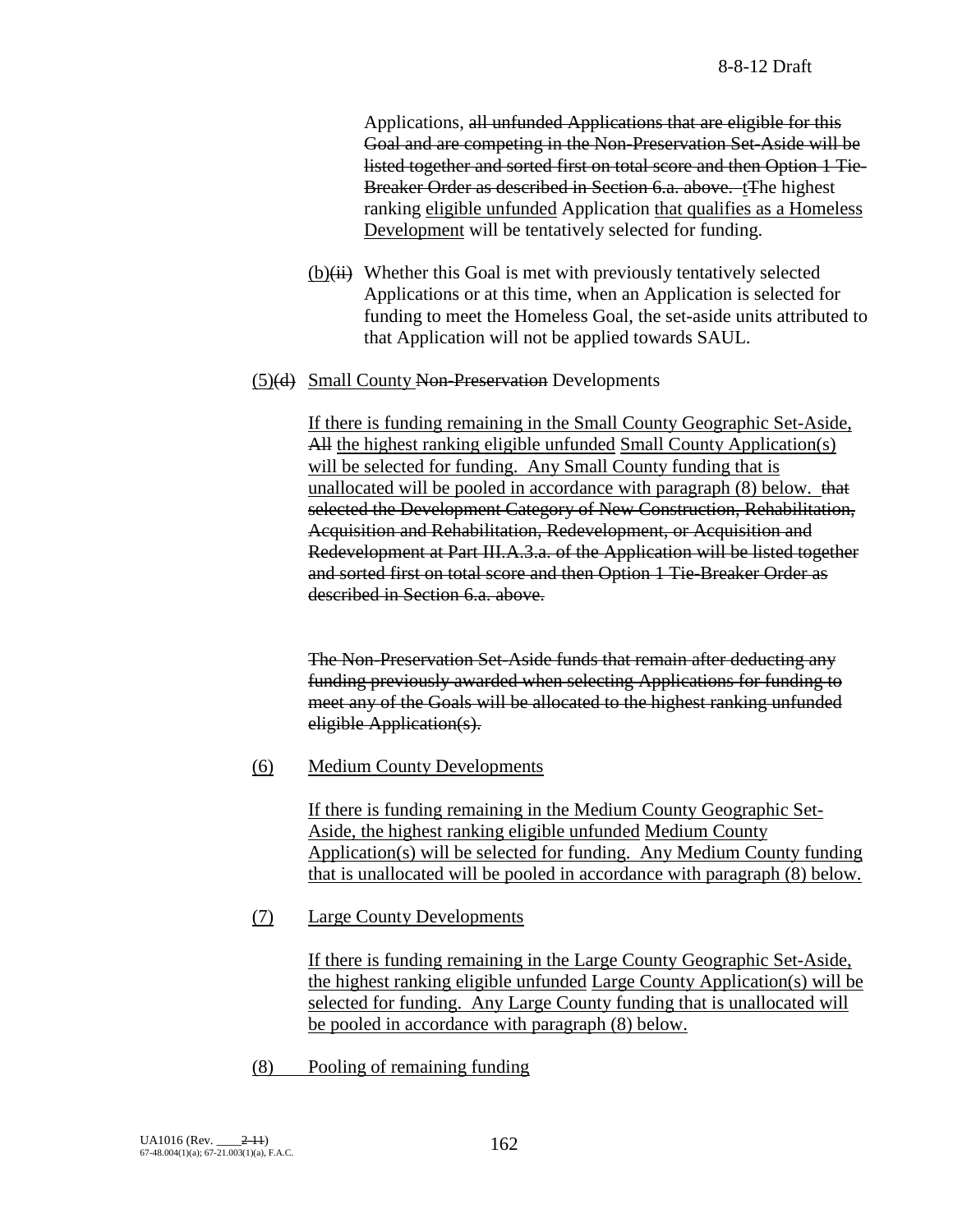Applications, all unfunded Applications that are eligible for this Goal and are competing in the Non-Preservation Set-Aside will be listed together and sorted first on total score and then Option 1 Tie-Breaker Order as described in Section 6.a. above. tThe highest ranking eligible unfunded Application that qualifies as a Homeless Development will be tentatively selected for funding.

- $(b)(ii)$  Whether this Goal is met with previously tentatively selected Applications or at this time, when an Application is selected for funding to meet the Homeless Goal, the set-aside units attributed to that Application will not be applied towards SAUL.
- (5)(d) Small County Non-Preservation Developments

If there is funding remaining in the Small County Geographic Set-Aside, All the highest ranking eligible unfunded Small County Application(s) will be selected for funding. Any Small County funding that is unallocated will be pooled in accordance with paragraph (8) below. that selected the Development Category of New Construction, Rehabilitation, Acquisition and Rehabilitation, Redevelopment, or Acquisition and Redevelopment at Part III.A.3.a. of the Application will be listed together and sorted first on total score and then Option 1 Tie-Breaker Order as described in Section 6.a. above.

The Non-Preservation Set-Aside funds that remain after deducting any funding previously awarded when selecting Applications for funding to meet any of the Goals will be allocated to the highest ranking unfunded eligible Application(s).

(6) Medium County Developments

If there is funding remaining in the Medium County Geographic Set-Aside, the highest ranking eligible unfunded Medium County Application(s) will be selected for funding. Any Medium County funding that is unallocated will be pooled in accordance with paragraph (8) below.

(7) Large County Developments

If there is funding remaining in the Large County Geographic Set-Aside, the highest ranking eligible unfunded Large County Application(s) will be selected for funding. Any Large County funding that is unallocated will be pooled in accordance with paragraph (8) below.

(8) Pooling of remaining funding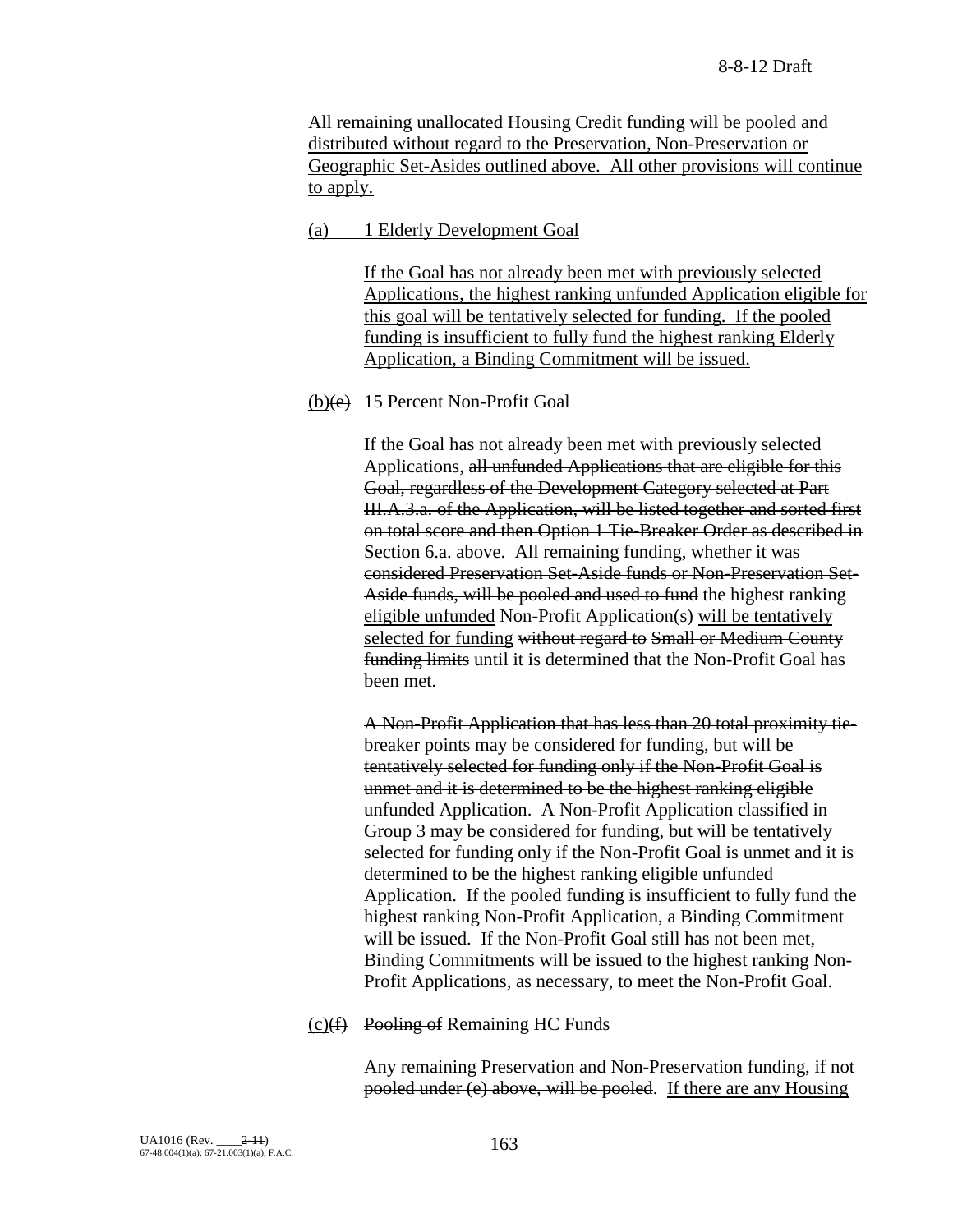All remaining unallocated Housing Credit funding will be pooled and distributed without regard to the Preservation, Non-Preservation or Geographic Set-Asides outlined above. All other provisions will continue to apply.

### (a) 1 Elderly Development Goal

If the Goal has not already been met with previously selected Applications, the highest ranking unfunded Application eligible for this goal will be tentatively selected for funding. If the pooled funding is insufficient to fully fund the highest ranking Elderly Application, a Binding Commitment will be issued.

### $(b)(e)$  15 Percent Non-Profit Goal

If the Goal has not already been met with previously selected Applications, all unfunded Applications that are eligible for this Goal, regardless of the Development Category selected at Part III.A.3.a. of the Application, will be listed together and sorted first on total score and then Option 1 Tie-Breaker Order as described in Section 6.a. above. All remaining funding, whether it was considered Preservation Set-Aside funds or Non-Preservation Set-Aside funds, will be pooled and used to fund the highest ranking eligible unfunded Non-Profit Application(s) will be tentatively selected for funding without regard to Small or Medium County funding limits until it is determined that the Non-Profit Goal has been met.

A Non-Profit Application that has less than 20 total proximity tiebreaker points may be considered for funding, but will be tentatively selected for funding only if the Non-Profit Goal is unmet and it is determined to be the highest ranking eligible unfunded Application. A Non-Profit Application classified in Group 3 may be considered for funding, but will be tentatively selected for funding only if the Non-Profit Goal is unmet and it is determined to be the highest ranking eligible unfunded Application. If the pooled funding is insufficient to fully fund the highest ranking Non-Profit Application, a Binding Commitment will be issued. If the Non-Profit Goal still has not been met, Binding Commitments will be issued to the highest ranking Non-Profit Applications, as necessary, to meet the Non-Profit Goal.

 $(c)(f)$  Pooling of Remaining HC Funds

Any remaining Preservation and Non-Preservation funding, if not pooled under (e) above, will be pooled. If there are any Housing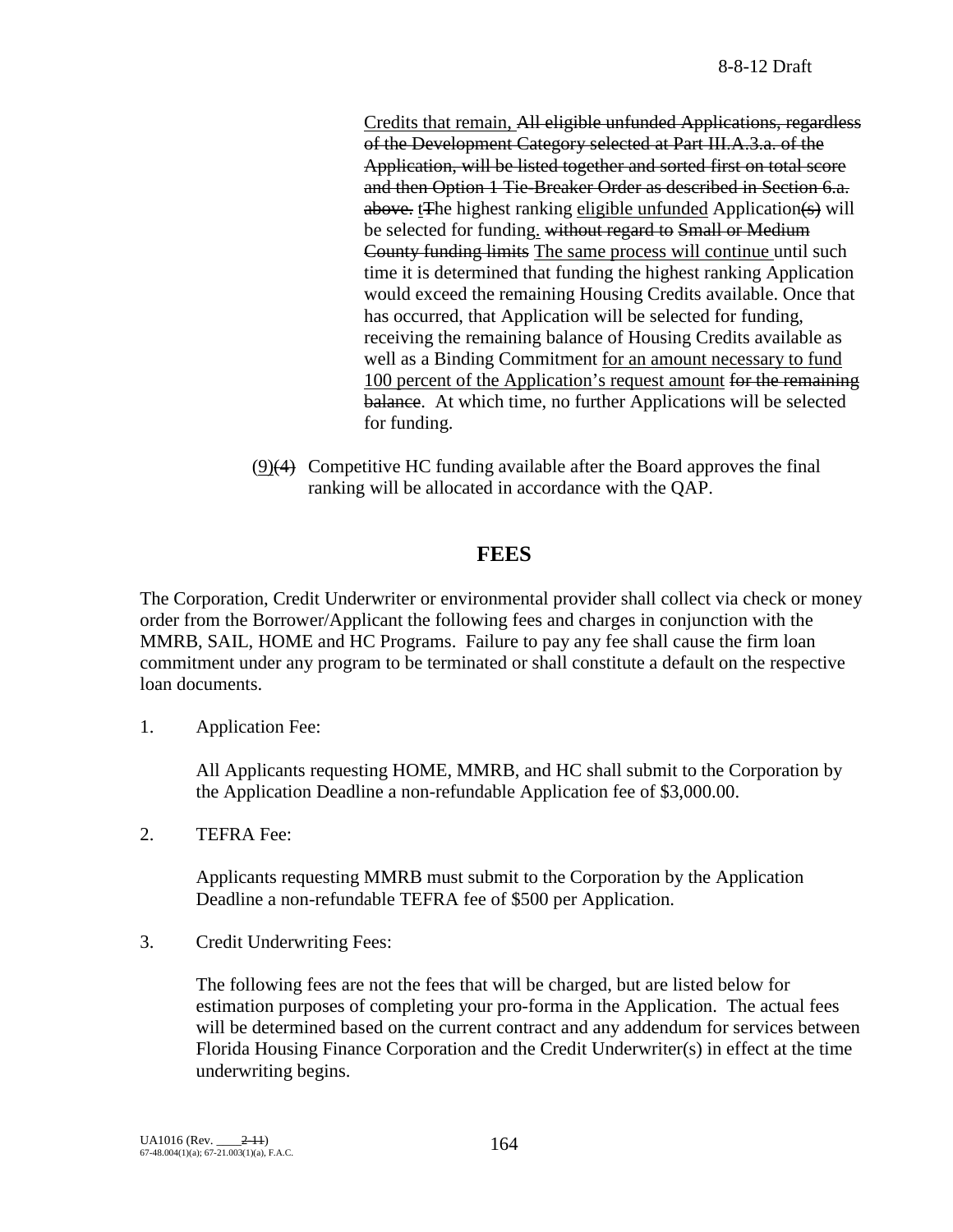Credits that remain, All eligible unfunded Applications, regardless of the Development Category selected at Part III.A.3.a. of the Application, will be listed together and sorted first on total score and then Option 1 Tie-Breaker Order as described in Section 6.a. above. tThe highest ranking eligible unfunded Application(s) will be selected for funding. without regard to Small or Medium County funding limits The same process will continue until such time it is determined that funding the highest ranking Application would exceed the remaining Housing Credits available. Once that has occurred, that Application will be selected for funding, receiving the remaining balance of Housing Credits available as well as a Binding Commitment for an amount necessary to fund 100 percent of the Application's request amount for the remaining balance. At which time, no further Applications will be selected for funding.

(9)(4) Competitive HC funding available after the Board approves the final ranking will be allocated in accordance with the QAP.

## **FEES**

The Corporation, Credit Underwriter or environmental provider shall collect via check or money order from the Borrower/Applicant the following fees and charges in conjunction with the MMRB, SAIL, HOME and HC Programs. Failure to pay any fee shall cause the firm loan commitment under any program to be terminated or shall constitute a default on the respective loan documents.

1. Application Fee:

All Applicants requesting HOME, MMRB, and HC shall submit to the Corporation by the Application Deadline a non-refundable Application fee of \$3,000.00.

2. TEFRA Fee:

Applicants requesting MMRB must submit to the Corporation by the Application Deadline a non-refundable TEFRA fee of \$500 per Application.

3. Credit Underwriting Fees:

The following fees are not the fees that will be charged, but are listed below for estimation purposes of completing your pro-forma in the Application. The actual fees will be determined based on the current contract and any addendum for services between Florida Housing Finance Corporation and the Credit Underwriter(s) in effect at the time underwriting begins.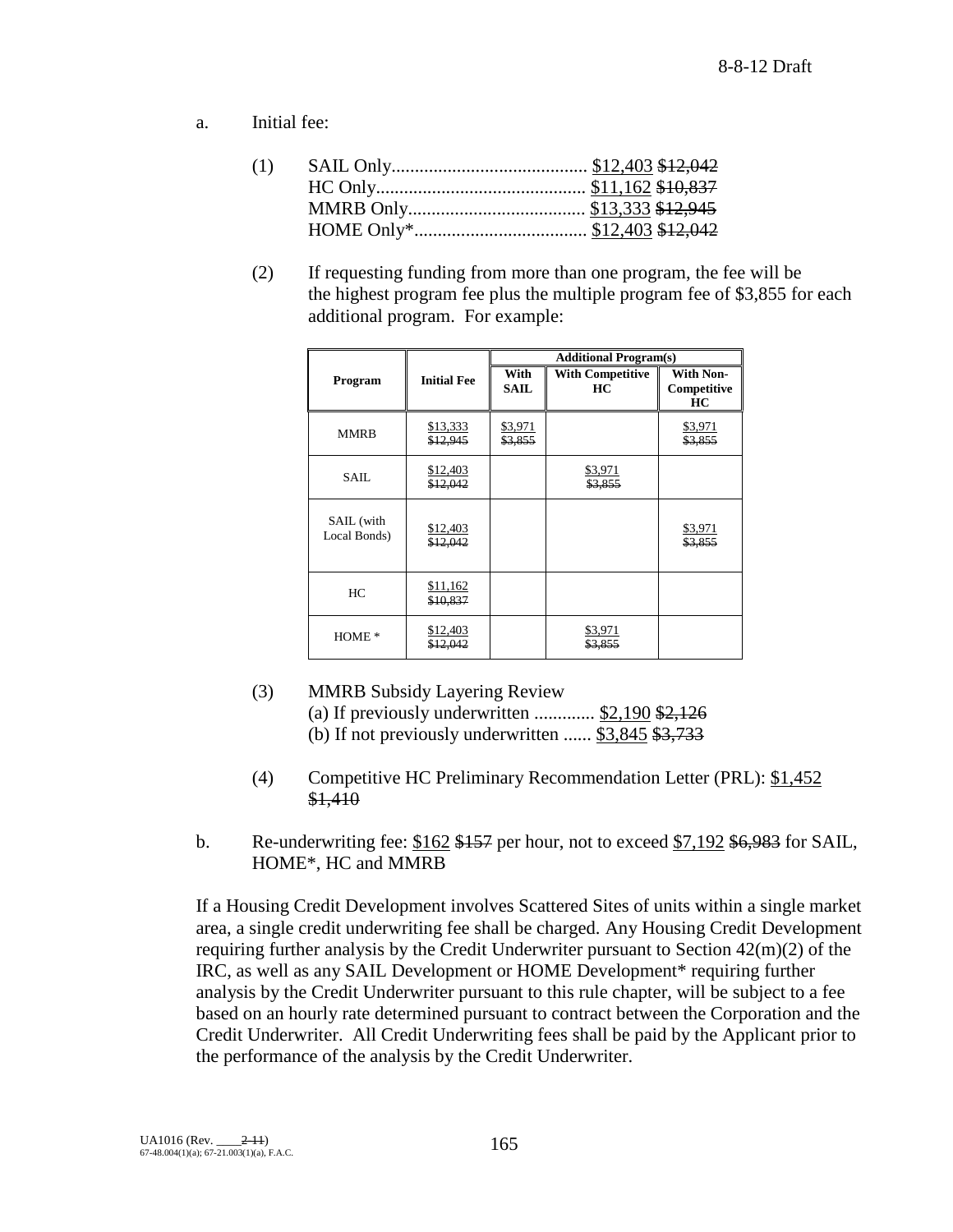a. Initial fee:

(2) If requesting funding from more than one program, the fee will be the highest program fee plus the multiple program fee of \$3,855 for each additional program. For example:

|                            |                      | <b>Additional Program(s)</b> |                               |                                       |
|----------------------------|----------------------|------------------------------|-------------------------------|---------------------------------------|
| Program                    | <b>Initial Fee</b>   | With<br><b>SAIL</b>          | <b>With Competitive</b><br>HC | <b>With Non-</b><br>Competitive<br>HC |
| <b>MMRB</b>                | \$13,333<br>\$12,945 | \$3,971<br>\$3,855           |                               | \$3,971<br>\$3,855                    |
| SAIL.                      | \$12,403<br>\$12,042 |                              | \$3,971<br>\$3,855            |                                       |
| SAIL (with<br>Local Bonds) | \$12,403<br>\$12,042 |                              |                               | \$3,971<br>\$3,855                    |
| HC                         | \$11,162<br>\$10,837 |                              |                               |                                       |
| $HOME*$                    | \$12,403<br>\$12,042 |                              | \$3,971<br>\$3,855            |                                       |

- (3) MMRB Subsidy Layering Review (a) If previously underwritten  $\ldots$  \$2,190 \$2,126 (b) If not previously underwritten ......  $$3,845$   $$3,733$
- (4) Competitive HC Preliminary Recommendation Letter (PRL): \$1,452 \$1,410
- b. Re-underwriting fee:  $$162$  \$157 per hour, not to exceed  $$7,192$  \$6,983 for SAIL, HOME\*, HC and MMRB

If a Housing Credit Development involves Scattered Sites of units within a single market area, a single credit underwriting fee shall be charged. Any Housing Credit Development requiring further analysis by the Credit Underwriter pursuant to Section 42(m)(2) of the IRC, as well as any SAIL Development or HOME Development\* requiring further analysis by the Credit Underwriter pursuant to this rule chapter, will be subject to a fee based on an hourly rate determined pursuant to contract between the Corporation and the Credit Underwriter. All Credit Underwriting fees shall be paid by the Applicant prior to the performance of the analysis by the Credit Underwriter.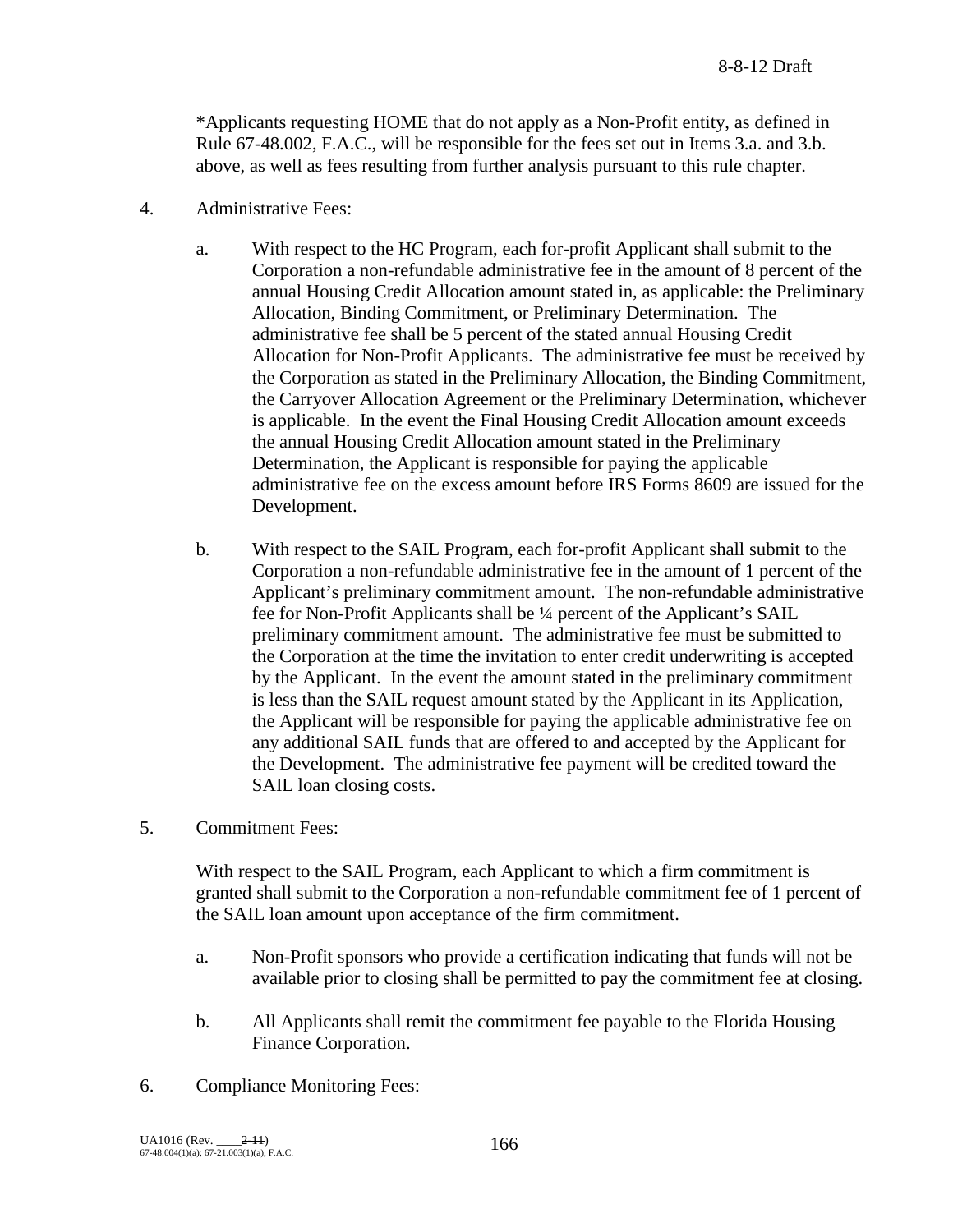\*Applicants requesting HOME that do not apply as a Non-Profit entity, as defined in Rule 67-48.002, F.A.C., will be responsible for the fees set out in Items 3.a. and 3.b. above, as well as fees resulting from further analysis pursuant to this rule chapter.

- 4. Administrative Fees:
	- a. With respect to the HC Program, each for-profit Applicant shall submit to the Corporation a non-refundable administrative fee in the amount of 8 percent of the annual Housing Credit Allocation amount stated in, as applicable: the Preliminary Allocation, Binding Commitment, or Preliminary Determination. The administrative fee shall be 5 percent of the stated annual Housing Credit Allocation for Non-Profit Applicants. The administrative fee must be received by the Corporation as stated in the Preliminary Allocation, the Binding Commitment, the Carryover Allocation Agreement or the Preliminary Determination, whichever is applicable. In the event the Final Housing Credit Allocation amount exceeds the annual Housing Credit Allocation amount stated in the Preliminary Determination, the Applicant is responsible for paying the applicable administrative fee on the excess amount before IRS Forms 8609 are issued for the Development.
	- b. With respect to the SAIL Program, each for-profit Applicant shall submit to the Corporation a non-refundable administrative fee in the amount of 1 percent of the Applicant's preliminary commitment amount. The non-refundable administrative fee for Non-Profit Applicants shall be ¼ percent of the Applicant's SAIL preliminary commitment amount. The administrative fee must be submitted to the Corporation at the time the invitation to enter credit underwriting is accepted by the Applicant. In the event the amount stated in the preliminary commitment is less than the SAIL request amount stated by the Applicant in its Application, the Applicant will be responsible for paying the applicable administrative fee on any additional SAIL funds that are offered to and accepted by the Applicant for the Development. The administrative fee payment will be credited toward the SAIL loan closing costs.
- 5. Commitment Fees:

With respect to the SAIL Program, each Applicant to which a firm commitment is granted shall submit to the Corporation a non-refundable commitment fee of 1 percent of the SAIL loan amount upon acceptance of the firm commitment.

- a. Non-Profit sponsors who provide a certification indicating that funds will not be available prior to closing shall be permitted to pay the commitment fee at closing.
- b. All Applicants shall remit the commitment fee payable to the Florida Housing Finance Corporation.
- 6. Compliance Monitoring Fees: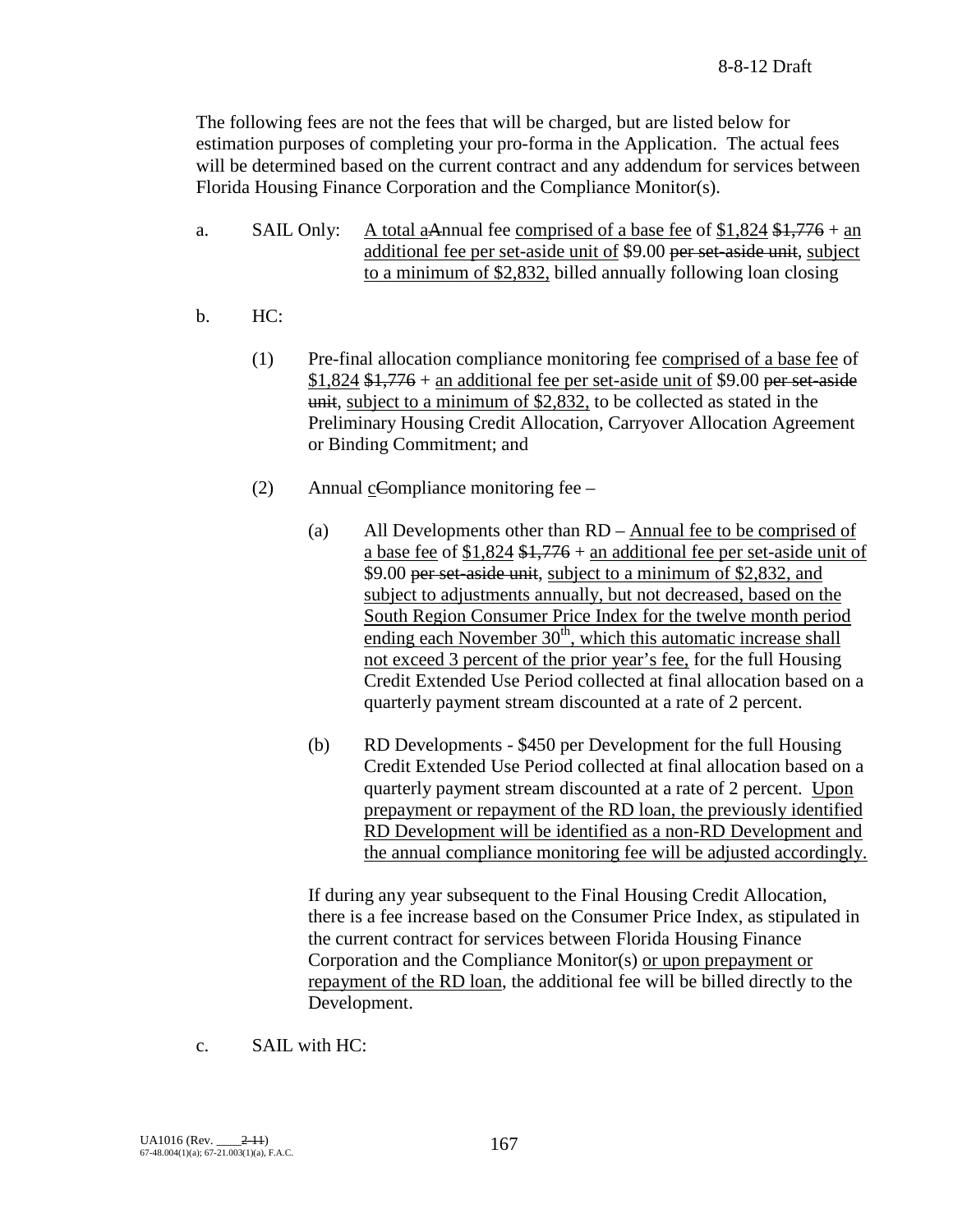The following fees are not the fees that will be charged, but are listed below for estimation purposes of completing your pro-forma in the Application. The actual fees will be determined based on the current contract and any addendum for services between Florida Housing Finance Corporation and the Compliance Monitor(s).

- a. SAIL Only: A total aAnnual fee comprised of a base fee of  $$1,824$   $$1,776$  + an additional fee per set-aside unit of \$9.00 per set-aside unit, subject to a minimum of \$2,832, billed annually following loan closing
- b. HC:
	- (1) Pre-final allocation compliance monitoring fee comprised of a base fee of  $$1,824$   $$1,776$  + an additional fee per set-aside unit of \$9.00 per set-aside unit, subject to a minimum of \$2,832, to be collected as stated in the Preliminary Housing Credit Allocation, Carryover Allocation Agreement or Binding Commitment; and
	- (2) Annual cCompliance monitoring fee
		- (a) All Developments other than RD Annual fee to be comprised of a base fee of  $$1,824$   $$1,776$  + an additional fee per set-aside unit of \$9.00 per set-aside unit, subject to a minimum of \$2,832, and subject to adjustments annually, but not decreased, based on the South Region Consumer Price Index for the twelve month period ending each November  $30<sup>th</sup>$ , which this automatic increase shall not exceed 3 percent of the prior year's fee, for the full Housing Credit Extended Use Period collected at final allocation based on a quarterly payment stream discounted at a rate of 2 percent.
		- (b) RD Developments \$450 per Development for the full Housing Credit Extended Use Period collected at final allocation based on a quarterly payment stream discounted at a rate of 2 percent. Upon prepayment or repayment of the RD loan, the previously identified RD Development will be identified as a non-RD Development and the annual compliance monitoring fee will be adjusted accordingly.

If during any year subsequent to the Final Housing Credit Allocation, there is a fee increase based on the Consumer Price Index, as stipulated in the current contract for services between Florida Housing Finance Corporation and the Compliance Monitor(s) or upon prepayment or repayment of the RD loan, the additional fee will be billed directly to the Development.

c. SAIL with HC: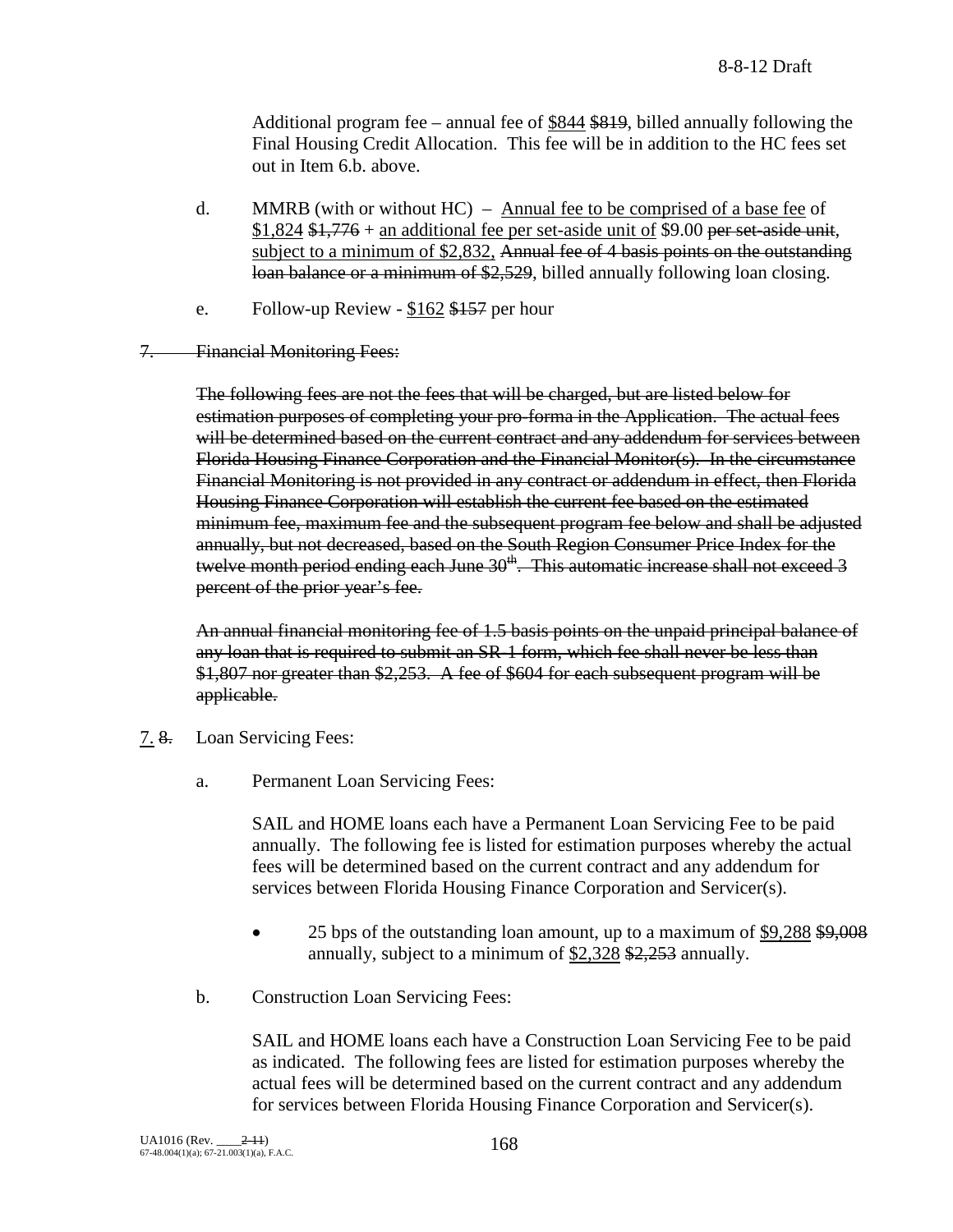Additional program fee – annual fee of \$844 \$819, billed annually following the Final Housing Credit Allocation. This fee will be in addition to the HC fees set out in Item 6.b. above.

- d. MMRB (with or without  $HC$ ) Annual fee to be comprised of a base fee of  $$1,824$  \$1,776 + an additional fee per set-aside unit of \$9.00 per set-aside unit, subject to a minimum of \$2,832, Annual fee of 4 basis points on the outstanding loan balance or a minimum of \$2,529, billed annually following loan closing.
- e. Follow-up Review \$162 \$157 per hour
- 7. Financial Monitoring Fees:

The following fees are not the fees that will be charged, but are listed below for estimation purposes of completing your pro-forma in the Application. The actual fees will be determined based on the current contract and any addendum for services between Florida Housing Finance Corporation and the Financial Monitor(s). In the circumstance Financial Monitoring is not provided in any contract or addendum in effect, then Florida Housing Finance Corporation will establish the current fee based on the estimated minimum fee, maximum fee and the subsequent program fee below and shall be adjusted annually, but not decreased, based on the South Region Consumer Price Index for the twelve month period ending each June  $30<sup>th</sup>$ . This automatic increase shall not exceed 3 percent of the prior year's fee.

An annual financial monitoring fee of 1.5 basis points on the unpaid principal balance of any loan that is required to submit an SR-1 form, which fee shall never be less than \$1,807 nor greater than \$2,253. A fee of \$604 for each subsequent program will be applicable.

- 7. 8. Loan Servicing Fees:
	- a. Permanent Loan Servicing Fees:

SAIL and HOME loans each have a Permanent Loan Servicing Fee to be paid annually. The following fee is listed for estimation purposes whereby the actual fees will be determined based on the current contract and any addendum for services between Florida Housing Finance Corporation and Servicer(s).

- 25 bps of the outstanding loan amount, up to a maximum of \$9,288 \$9,008 annually, subject to a minimum of  $$2,328$   $$2,253$  annually.
- b. Construction Loan Servicing Fees:

SAIL and HOME loans each have a Construction Loan Servicing Fee to be paid as indicated. The following fees are listed for estimation purposes whereby the actual fees will be determined based on the current contract and any addendum for services between Florida Housing Finance Corporation and Servicer(s).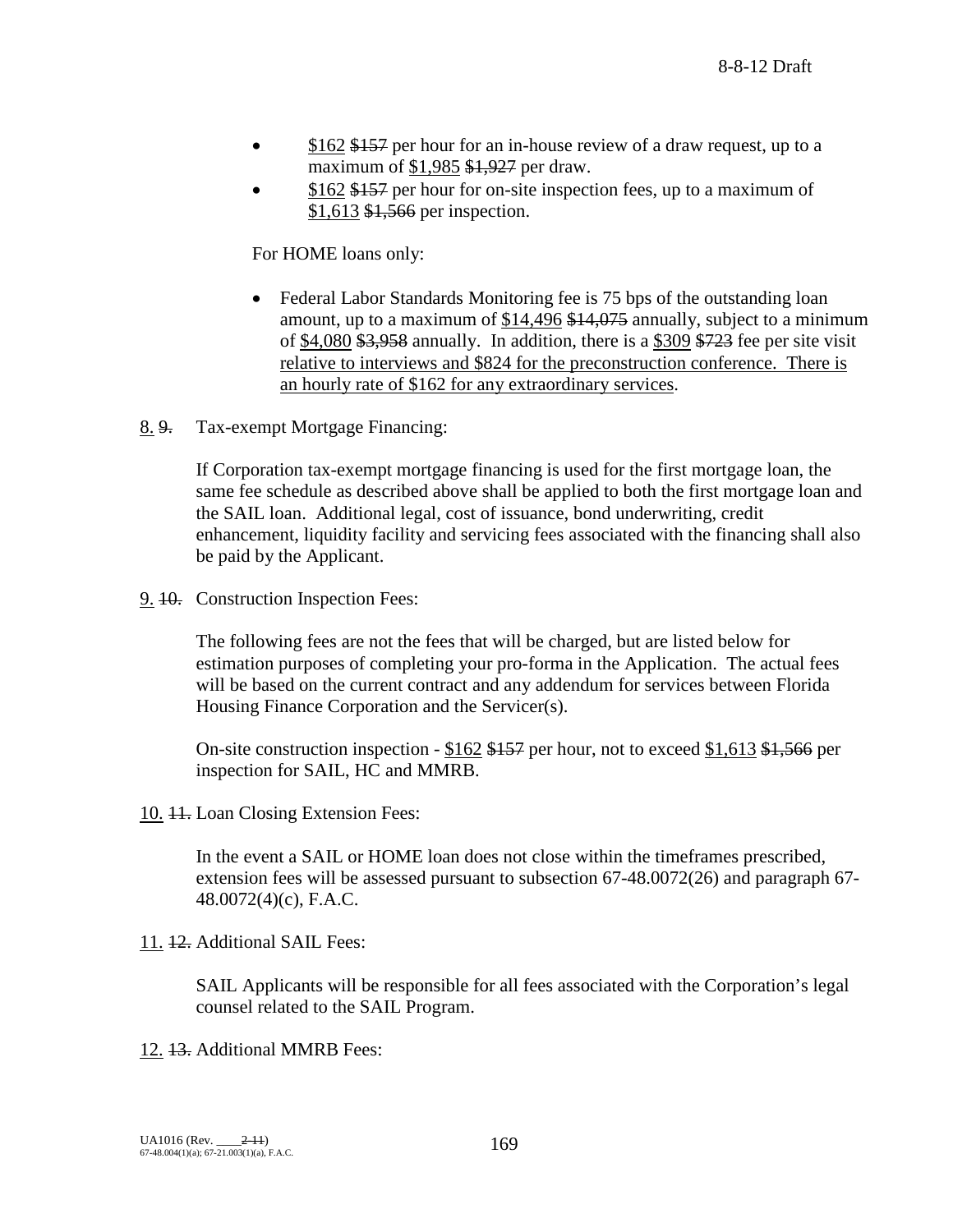- \$162 \$157 per hour for an in-house review of a draw request, up to a maximum of \$1,985 \$1,927 per draw.
- \$162 \$157 per hour for on-site inspection fees, up to a maximum of \$1,613 \$1,566 per inspection.

For HOME loans only:

- Federal Labor Standards Monitoring fee is 75 bps of the outstanding loan amount, up to a maximum of \$14,496 \$14,075 annually, subject to a minimum of  $$4,080$  \$3,958 annually. In addition, there is a \$309 \$723 fee per site visit relative to interviews and \$824 for the preconstruction conference. There is an hourly rate of \$162 for any extraordinary services.
- 8. 9. Tax-exempt Mortgage Financing:

If Corporation tax-exempt mortgage financing is used for the first mortgage loan, the same fee schedule as described above shall be applied to both the first mortgage loan and the SAIL loan. Additional legal, cost of issuance, bond underwriting, credit enhancement, liquidity facility and servicing fees associated with the financing shall also be paid by the Applicant.

9. 10. Construction Inspection Fees:

The following fees are not the fees that will be charged, but are listed below for estimation purposes of completing your pro-forma in the Application. The actual fees will be based on the current contract and any addendum for services between Florida Housing Finance Corporation and the Servicer(s).

On-site construction inspection -  $$162$  \$157 per hour, not to exceed \$1,613 \$1,566 per inspection for SAIL, HC and MMRB.

10. 11. Loan Closing Extension Fees:

In the event a SAIL or HOME loan does not close within the timeframes prescribed, extension fees will be assessed pursuant to subsection 67-48.0072(26) and paragraph 67- 48.0072(4)(c), F.A.C.

11. 12. Additional SAIL Fees:

SAIL Applicants will be responsible for all fees associated with the Corporation's legal counsel related to the SAIL Program.

12. 13. Additional MMRB Fees: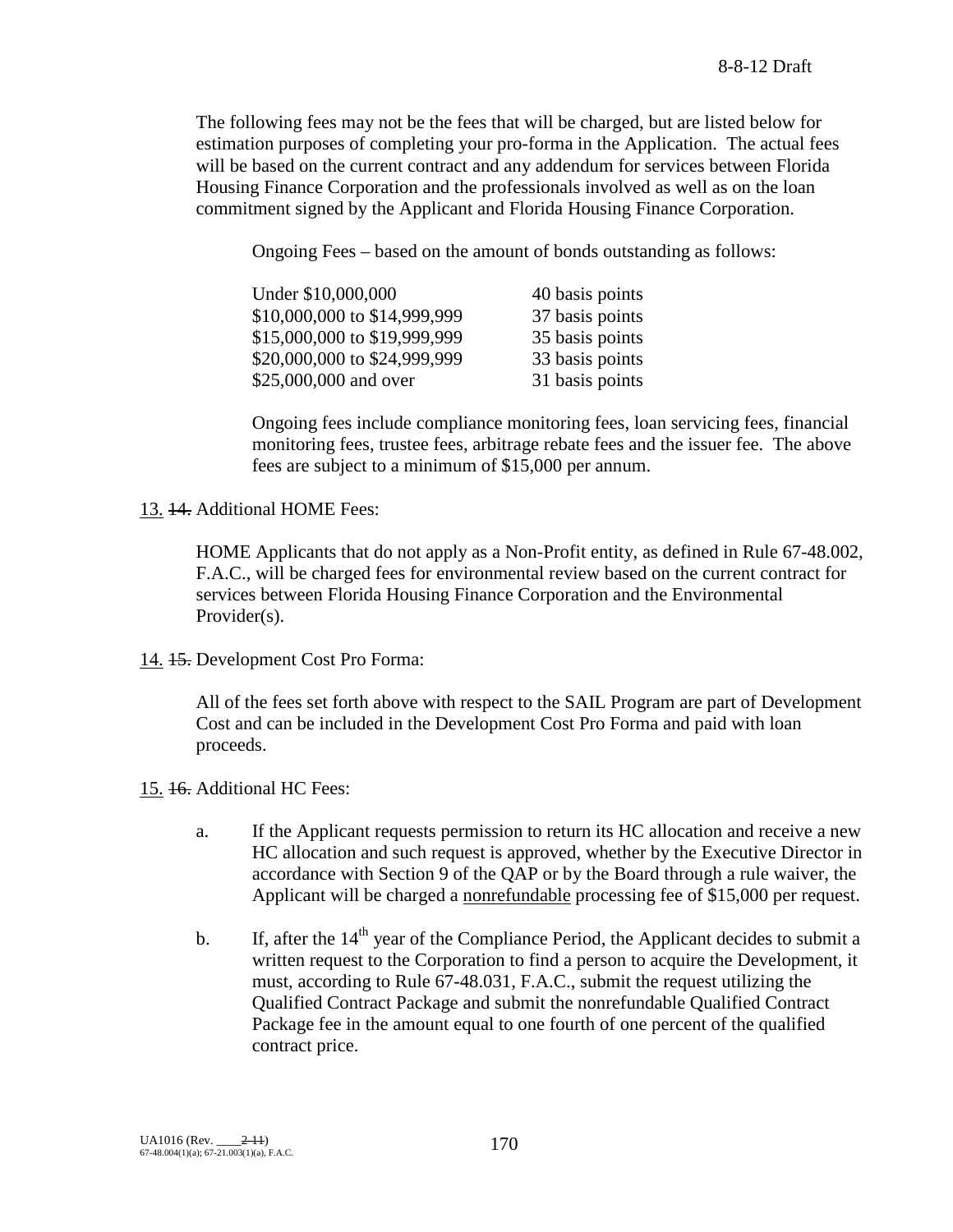The following fees may not be the fees that will be charged, but are listed below for estimation purposes of completing your pro-forma in the Application. The actual fees will be based on the current contract and any addendum for services between Florida Housing Finance Corporation and the professionals involved as well as on the loan commitment signed by the Applicant and Florida Housing Finance Corporation.

Ongoing Fees – based on the amount of bonds outstanding as follows:

| Under \$10,000,000           | 40 basis points |
|------------------------------|-----------------|
| \$10,000,000 to \$14,999,999 | 37 basis points |
| \$15,000,000 to \$19,999,999 | 35 basis points |
| \$20,000,000 to \$24,999,999 | 33 basis points |
| \$25,000,000 and over        | 31 basis points |

Ongoing fees include compliance monitoring fees, loan servicing fees, financial monitoring fees, trustee fees, arbitrage rebate fees and the issuer fee. The above fees are subject to a minimum of \$15,000 per annum.

13. 14. Additional HOME Fees:

HOME Applicants that do not apply as a Non-Profit entity, as defined in Rule 67-48.002, F.A.C., will be charged fees for environmental review based on the current contract for services between Florida Housing Finance Corporation and the Environmental Provider(s).

14. 15. Development Cost Pro Forma:

All of the fees set forth above with respect to the SAIL Program are part of Development Cost and can be included in the Development Cost Pro Forma and paid with loan proceeds.

- 15. 16. Additional HC Fees:
	- a. If the Applicant requests permission to return its HC allocation and receive a new HC allocation and such request is approved, whether by the Executive Director in accordance with Section 9 of the QAP or by the Board through a rule waiver, the Applicant will be charged a nonrefundable processing fee of \$15,000 per request.
	- b. If, after the  $14<sup>th</sup>$  year of the Compliance Period, the Applicant decides to submit a written request to the Corporation to find a person to acquire the Development, it must, according to Rule 67-48.031, F.A.C., submit the request utilizing the Qualified Contract Package and submit the nonrefundable Qualified Contract Package fee in the amount equal to one fourth of one percent of the qualified contract price.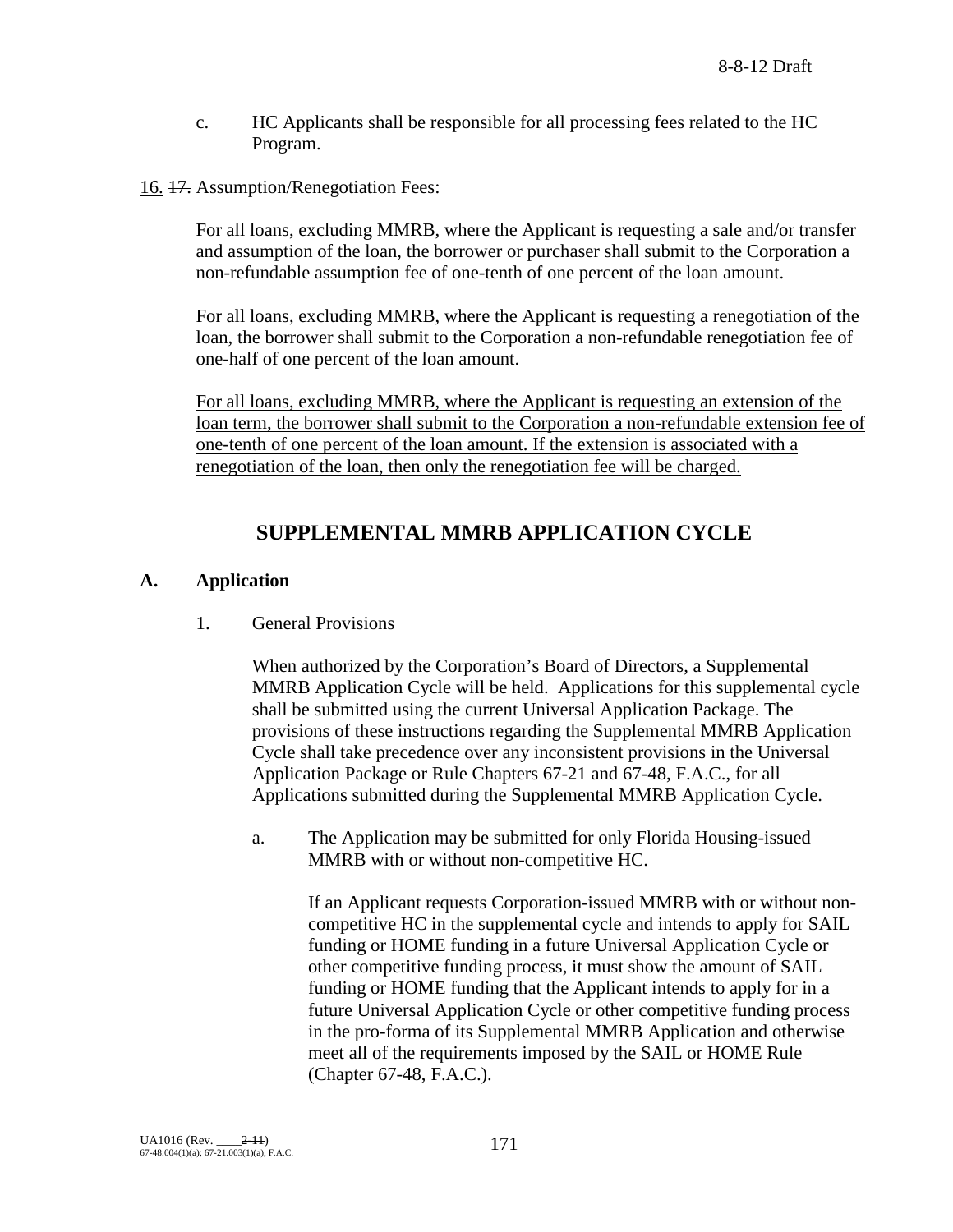- c. HC Applicants shall be responsible for all processing fees related to the HC Program.
- 16. 17. Assumption/Renegotiation Fees:

For all loans, excluding MMRB, where the Applicant is requesting a sale and/or transfer and assumption of the loan, the borrower or purchaser shall submit to the Corporation a non-refundable assumption fee of one-tenth of one percent of the loan amount.

For all loans, excluding MMRB, where the Applicant is requesting a renegotiation of the loan, the borrower shall submit to the Corporation a non-refundable renegotiation fee of one-half of one percent of the loan amount.

For all loans, excluding MMRB, where the Applicant is requesting an extension of the loan term, the borrower shall submit to the Corporation a non-refundable extension fee of one-tenth of one percent of the loan amount. If the extension is associated with a renegotiation of the loan, then only the renegotiation fee will be charged.

# **SUPPLEMENTAL MMRB APPLICATION CYCLE**

### **A. Application**

1. General Provisions

When authorized by the Corporation's Board of Directors, a Supplemental MMRB Application Cycle will be held. Applications for this supplemental cycle shall be submitted using the current Universal Application Package. The provisions of these instructions regarding the Supplemental MMRB Application Cycle shall take precedence over any inconsistent provisions in the Universal Application Package or Rule Chapters 67-21 and 67-48, F.A.C., for all Applications submitted during the Supplemental MMRB Application Cycle.

a. The Application may be submitted for only Florida Housing-issued MMRB with or without non-competitive HC.

If an Applicant requests Corporation-issued MMRB with or without noncompetitive HC in the supplemental cycle and intends to apply for SAIL funding or HOME funding in a future Universal Application Cycle or other competitive funding process, it must show the amount of SAIL funding or HOME funding that the Applicant intends to apply for in a future Universal Application Cycle or other competitive funding process in the pro-forma of its Supplemental MMRB Application and otherwise meet all of the requirements imposed by the SAIL or HOME Rule (Chapter 67-48, F.A.C.).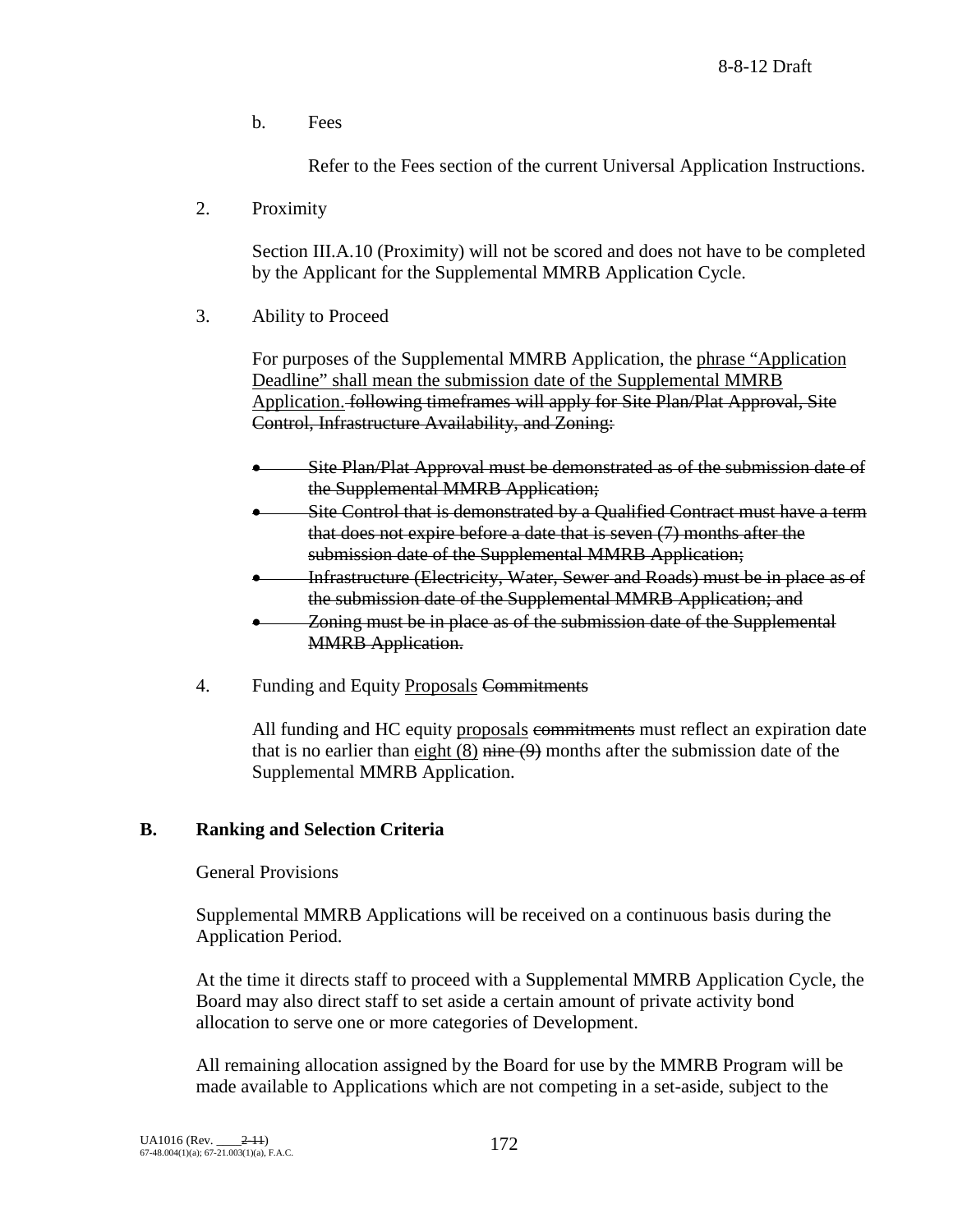b. Fees

Refer to the Fees section of the current Universal Application Instructions.

2. Proximity

Section III.A.10 (Proximity) will not be scored and does not have to be completed by the Applicant for the Supplemental MMRB Application Cycle.

3. Ability to Proceed

For purposes of the Supplemental MMRB Application, the phrase "Application Deadline" shall mean the submission date of the Supplemental MMRB Application. following timeframes will apply for Site Plan/Plat Approval, Site Control, Infrastructure Availability, and Zoning:

- Site Plan/Plat Approval must be demonstrated as of the submission date of the Supplemental MMRB Application;
- Site Control that is demonstrated by a Qualified Contract must have a term that does not expire before a date that is seven (7) months after the submission date of the Supplemental MMRB Application;
- Infrastructure (Electricity, Water, Sewer and Roads) must be in place as of the submission date of the Supplemental MMRB Application; and
- Zoning must be in place as of the submission date of the Supplemental MMRB Application.
- 4. Funding and Equity Proposals Commitments

All funding and HC equity proposals commitments must reflect an expiration date that is no earlier than eight  $(8)$  nine  $(9)$  months after the submission date of the Supplemental MMRB Application.

## **B. Ranking and Selection Criteria**

### General Provisions

Supplemental MMRB Applications will be received on a continuous basis during the Application Period.

At the time it directs staff to proceed with a Supplemental MMRB Application Cycle, the Board may also direct staff to set aside a certain amount of private activity bond allocation to serve one or more categories of Development.

All remaining allocation assigned by the Board for use by the MMRB Program will be made available to Applications which are not competing in a set-aside, subject to the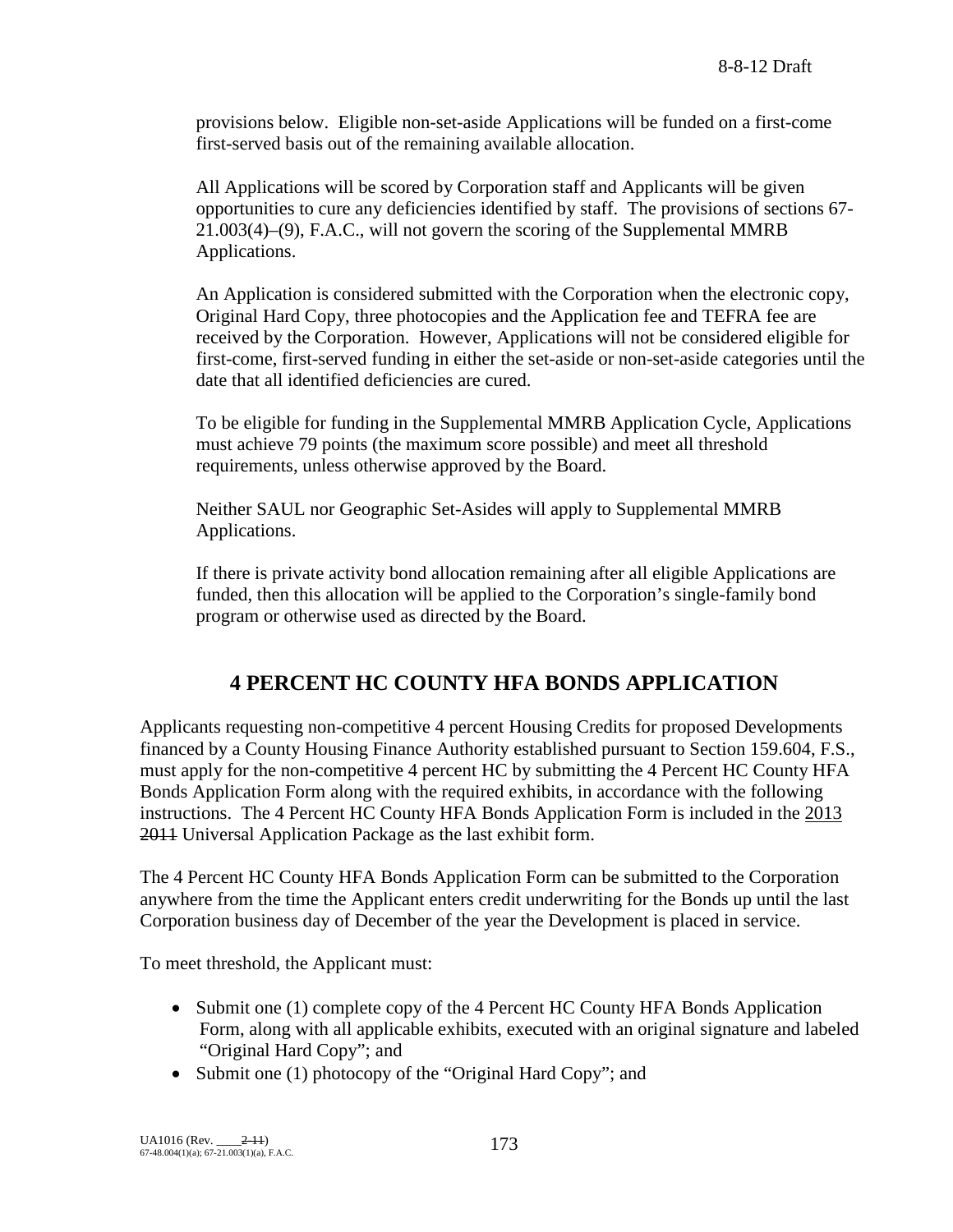provisions below. Eligible non-set-aside Applications will be funded on a first-come first-served basis out of the remaining available allocation.

All Applications will be scored by Corporation staff and Applicants will be given opportunities to cure any deficiencies identified by staff. The provisions of sections 67- 21.003(4)–(9), F.A.C., will not govern the scoring of the Supplemental MMRB Applications.

An Application is considered submitted with the Corporation when the electronic copy, Original Hard Copy, three photocopies and the Application fee and TEFRA fee are received by the Corporation. However, Applications will not be considered eligible for first-come, first-served funding in either the set-aside or non-set-aside categories until the date that all identified deficiencies are cured.

To be eligible for funding in the Supplemental MMRB Application Cycle, Applications must achieve 79 points (the maximum score possible) and meet all threshold requirements, unless otherwise approved by the Board.

Neither SAUL nor Geographic Set-Asides will apply to Supplemental MMRB Applications.

If there is private activity bond allocation remaining after all eligible Applications are funded, then this allocation will be applied to the Corporation's single-family bond program or otherwise used as directed by the Board.

# **4 PERCENT HC COUNTY HFA BONDS APPLICATION**

Applicants requesting non-competitive 4 percent Housing Credits for proposed Developments financed by a County Housing Finance Authority established pursuant to Section 159.604, F.S., must apply for the non-competitive 4 percent HC by submitting the 4 Percent HC County HFA Bonds Application Form along with the required exhibits, in accordance with the following instructions. The 4 Percent HC County HFA Bonds Application Form is included in the 2013 2011 Universal Application Package as the last exhibit form.

The 4 Percent HC County HFA Bonds Application Form can be submitted to the Corporation anywhere from the time the Applicant enters credit underwriting for the Bonds up until the last Corporation business day of December of the year the Development is placed in service.

To meet threshold, the Applicant must:

- Submit one (1) complete copy of the 4 Percent HC County HFA Bonds Application Form, along with all applicable exhibits, executed with an original signature and labeled "Original Hard Copy"; and
- Submit one (1) photocopy of the "Original Hard Copy"; and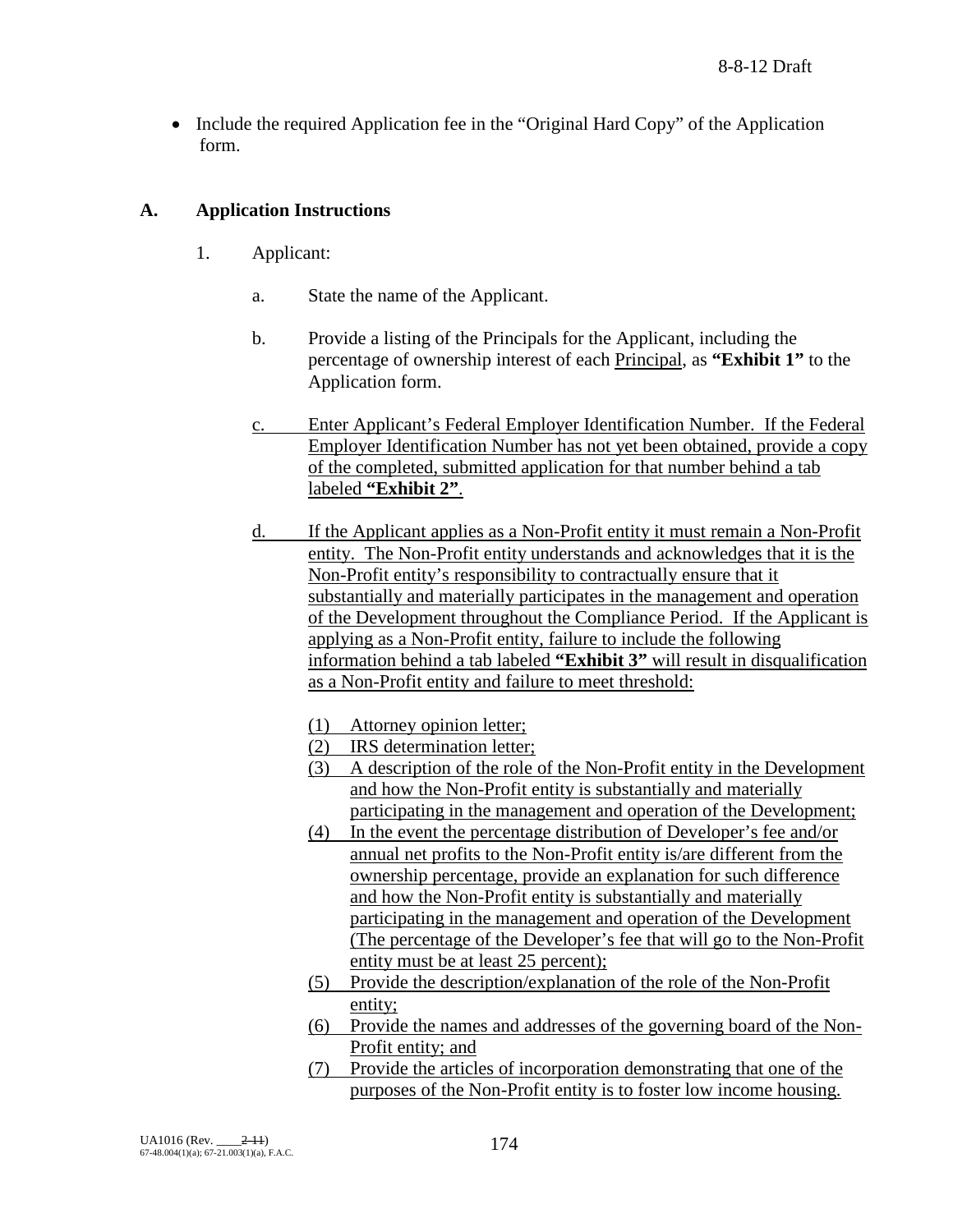• Include the required Application fee in the "Original Hard Copy" of the Application form.

## **A. Application Instructions**

- 1. Applicant:
	- a. State the name of the Applicant.
	- b. Provide a listing of the Principals for the Applicant, including the percentage of ownership interest of each Principal, as **"Exhibit 1"** to the Application form.
	- c. Enter Applicant's Federal Employer Identification Number. If the Federal Employer Identification Number has not yet been obtained, provide a copy of the completed, submitted application for that number behind a tab labeled **"Exhibit 2"**.
	- d. If the Applicant applies as a Non-Profit entity it must remain a Non-Profit entity. The Non-Profit entity understands and acknowledges that it is the Non-Profit entity's responsibility to contractually ensure that it substantially and materially participates in the management and operation of the Development throughout the Compliance Period. If the Applicant is applying as a Non-Profit entity, failure to include the following information behind a tab labeled **"Exhibit 3"** will result in disqualification as a Non-Profit entity and failure to meet threshold:
		- (1) Attorney opinion letter;
		- (2) IRS determination letter;
		- (3) A description of the role of the Non-Profit entity in the Development and how the Non-Profit entity is substantially and materially participating in the management and operation of the Development;
		- (4) In the event the percentage distribution of Developer's fee and/or annual net profits to the Non-Profit entity is/are different from the ownership percentage, provide an explanation for such difference and how the Non-Profit entity is substantially and materially participating in the management and operation of the Development (The percentage of the Developer's fee that will go to the Non-Profit entity must be at least 25 percent);
		- (5) Provide the description/explanation of the role of the Non-Profit entity;
		- (6) Provide the names and addresses of the governing board of the Non-Profit entity; and
		- (7) Provide the articles of incorporation demonstrating that one of the purposes of the Non-Profit entity is to foster low income housing.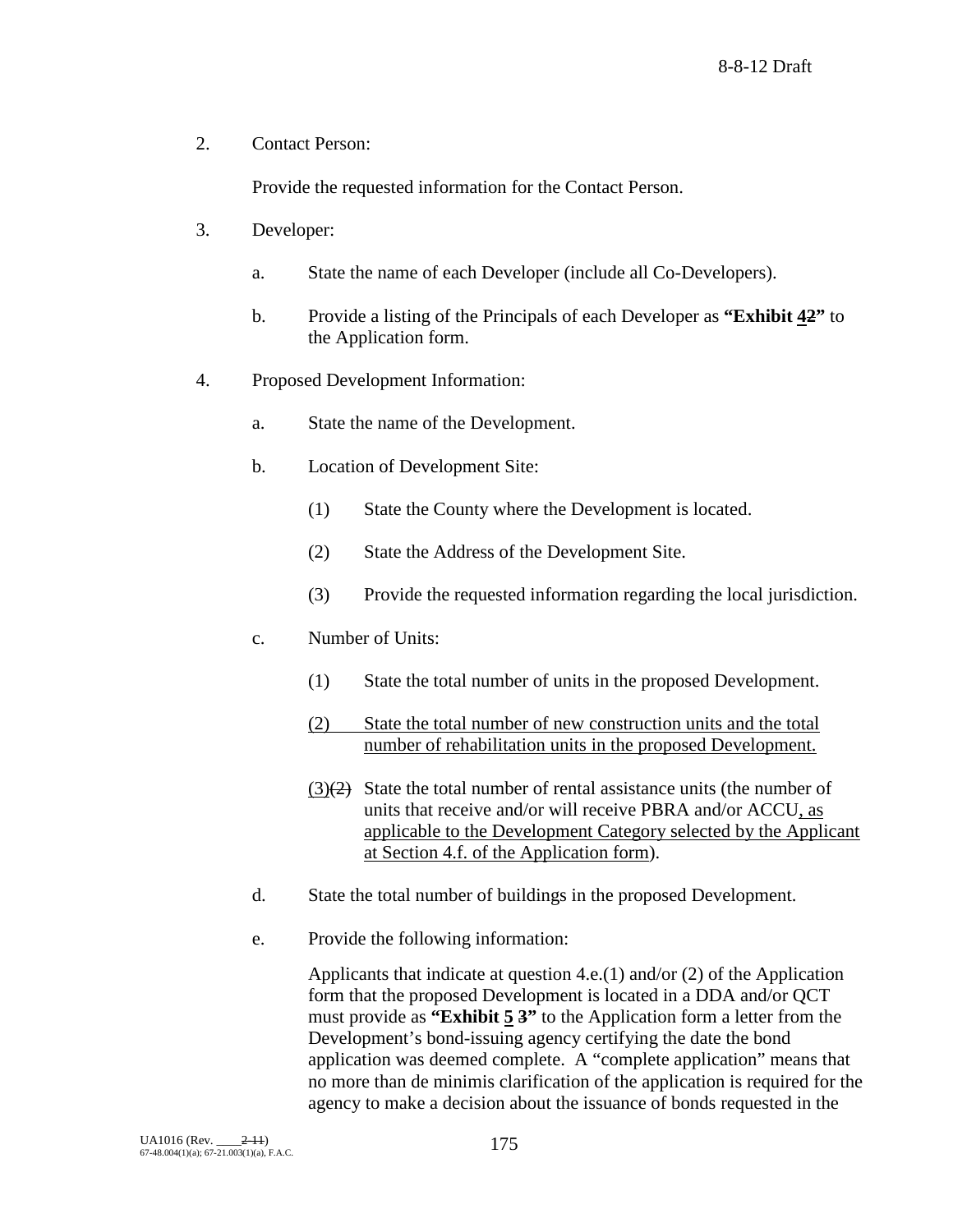2. Contact Person:

Provide the requested information for the Contact Person.

- 3. Developer:
	- a. State the name of each Developer (include all Co-Developers).
	- b. Provide a listing of the Principals of each Developer as **"Exhibit 42"** to the Application form.
- 4. Proposed Development Information:
	- a. State the name of the Development.
	- b. Location of Development Site:
		- (1) State the County where the Development is located.
		- (2) State the Address of the Development Site.
		- (3) Provide the requested information regarding the local jurisdiction.
	- c. Number of Units:
		- (1) State the total number of units in the proposed Development.
		- (2) State the total number of new construction units and the total number of rehabilitation units in the proposed Development.
		- $(3)(2)$  State the total number of rental assistance units (the number of units that receive and/or will receive PBRA and/or ACCU, as applicable to the Development Category selected by the Applicant at Section 4.f. of the Application form).
	- d. State the total number of buildings in the proposed Development.
	- e. Provide the following information:

Applicants that indicate at question 4.e.(1) and/or (2) of the Application form that the proposed Development is located in a DDA and/or QCT must provide as **"Exhibit 5 3"** to the Application form a letter from the Development's bond-issuing agency certifying the date the bond application was deemed complete. A "complete application" means that no more than de minimis clarification of the application is required for the agency to make a decision about the issuance of bonds requested in the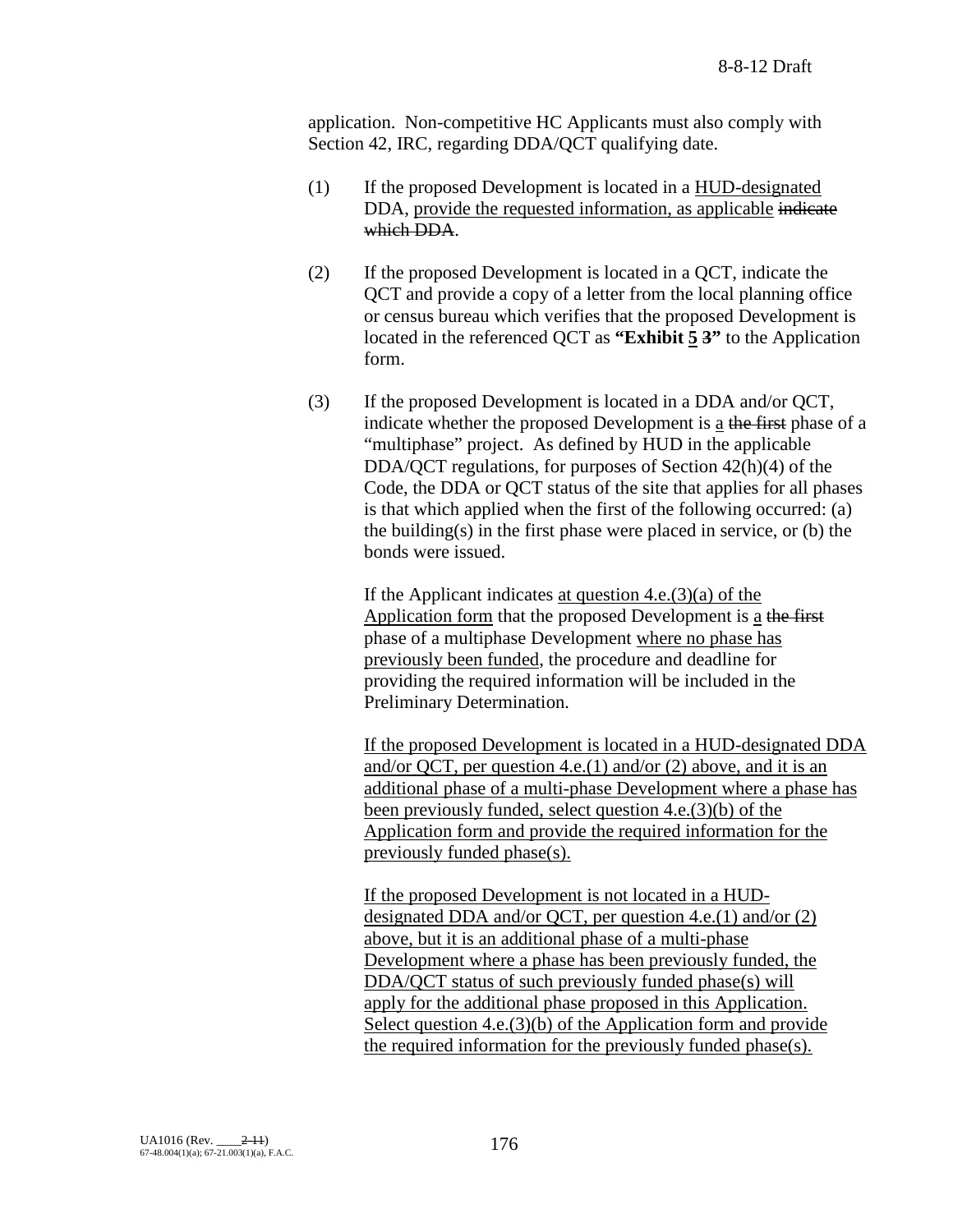application. Non-competitive HC Applicants must also comply with Section 42, IRC, regarding DDA/QCT qualifying date.

- (1) If the proposed Development is located in a HUD-designated DDA, provide the requested information, as applicable indicate which DDA.
- (2) If the proposed Development is located in a QCT, indicate the QCT and provide a copy of a letter from the local planning office or census bureau which verifies that the proposed Development is located in the referenced QCT as **"Exhibit 5 3"** to the Application form.
- (3) If the proposed Development is located in a DDA and/or QCT, indicate whether the proposed Development is  $\underline{a}$  the first phase of a "multiphase" project. As defined by HUD in the applicable DDA/QCT regulations, for purposes of Section 42(h)(4) of the Code, the DDA or QCT status of the site that applies for all phases is that which applied when the first of the following occurred: (a) the building $(s)$  in the first phase were placed in service, or  $(b)$  the bonds were issued.

If the Applicant indicates at question  $4.e.(3)(a)$  of the Application form that the proposed Development is a the first phase of a multiphase Development where no phase has previously been funded, the procedure and deadline for providing the required information will be included in the Preliminary Determination.

If the proposed Development is located in a HUD-designated DDA and/or QCT, per question 4.e.(1) and/or (2) above, and it is an additional phase of a multi-phase Development where a phase has been previously funded, select question 4.e.(3)(b) of the Application form and provide the required information for the previously funded phase(s).

If the proposed Development is not located in a HUDdesignated DDA and/or QCT, per question 4.e.(1) and/or (2) above, but it is an additional phase of a multi-phase Development where a phase has been previously funded, the DDA/QCT status of such previously funded phase(s) will apply for the additional phase proposed in this Application. Select question 4.e.(3)(b) of the Application form and provide the required information for the previously funded phase(s).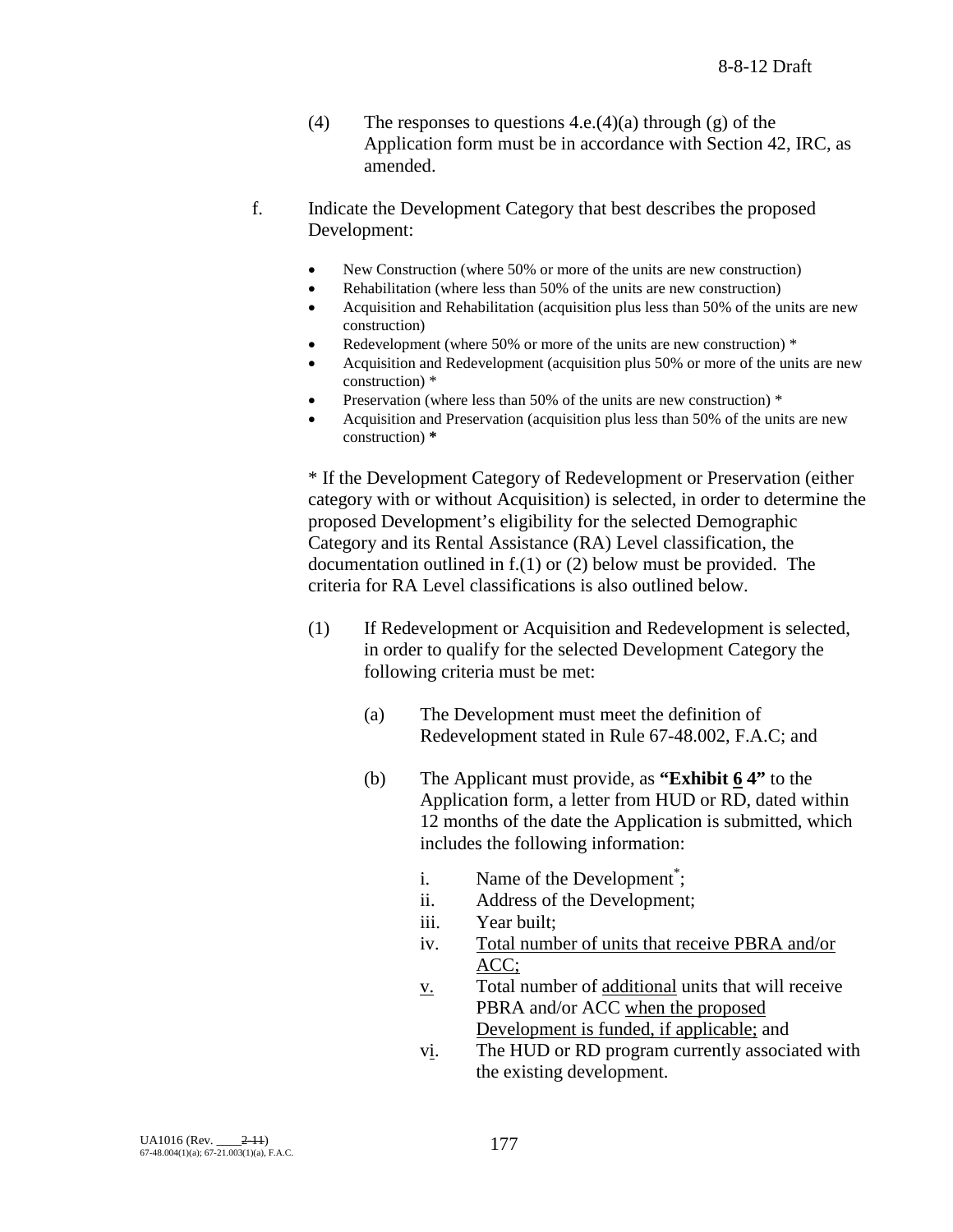- (4) The responses to questions  $4.e.(4)(a)$  through (g) of the Application form must be in accordance with Section 42, IRC, as amended.
- f. Indicate the Development Category that best describes the proposed Development:
	- New Construction (where 50% or more of the units are new construction)
	- Rehabilitation (where less than 50% of the units are new construction)
	- Acquisition and Rehabilitation (acquisition plus less than 50% of the units are new construction)
	- Redevelopment (where 50% or more of the units are new construction) \*
	- Acquisition and Redevelopment (acquisition plus 50% or more of the units are new construction) \*
	- Preservation (where less than 50% of the units are new construction) \*
	- Acquisition and Preservation (acquisition plus less than 50% of the units are new construction) **\***

\* If the Development Category of Redevelopment or Preservation (either category with or without Acquisition) is selected, in order to determine the proposed Development's eligibility for the selected Demographic Category and its Rental Assistance (RA) Level classification, the documentation outlined in f.(1) or (2) below must be provided. The criteria for RA Level classifications is also outlined below.

- (1) If Redevelopment or Acquisition and Redevelopment is selected, in order to qualify for the selected Development Category the following criteria must be met:
	- (a) The Development must meet the definition of Redevelopment stated in Rule 67-48.002, F.A.C; and
	- (b) The Applicant must provide, as **"Exhibit 6 4"** to the Application form, a letter from HUD or RD, dated within 12 months of the date the Application is submitted, which includes the following information:
		- i. Name of the Development<sup>\*</sup>;
		- ii. Address of the Development;
		- iii. Year built;
		- iv. Total number of units that receive PBRA and/or ACC;
		- $\underline{v}$ . Total number of <u>additional</u> units that will receive PBRA and/or ACC when the proposed Development is funded, if applicable; and
		- vi. The HUD or RD program currently associated with the existing development.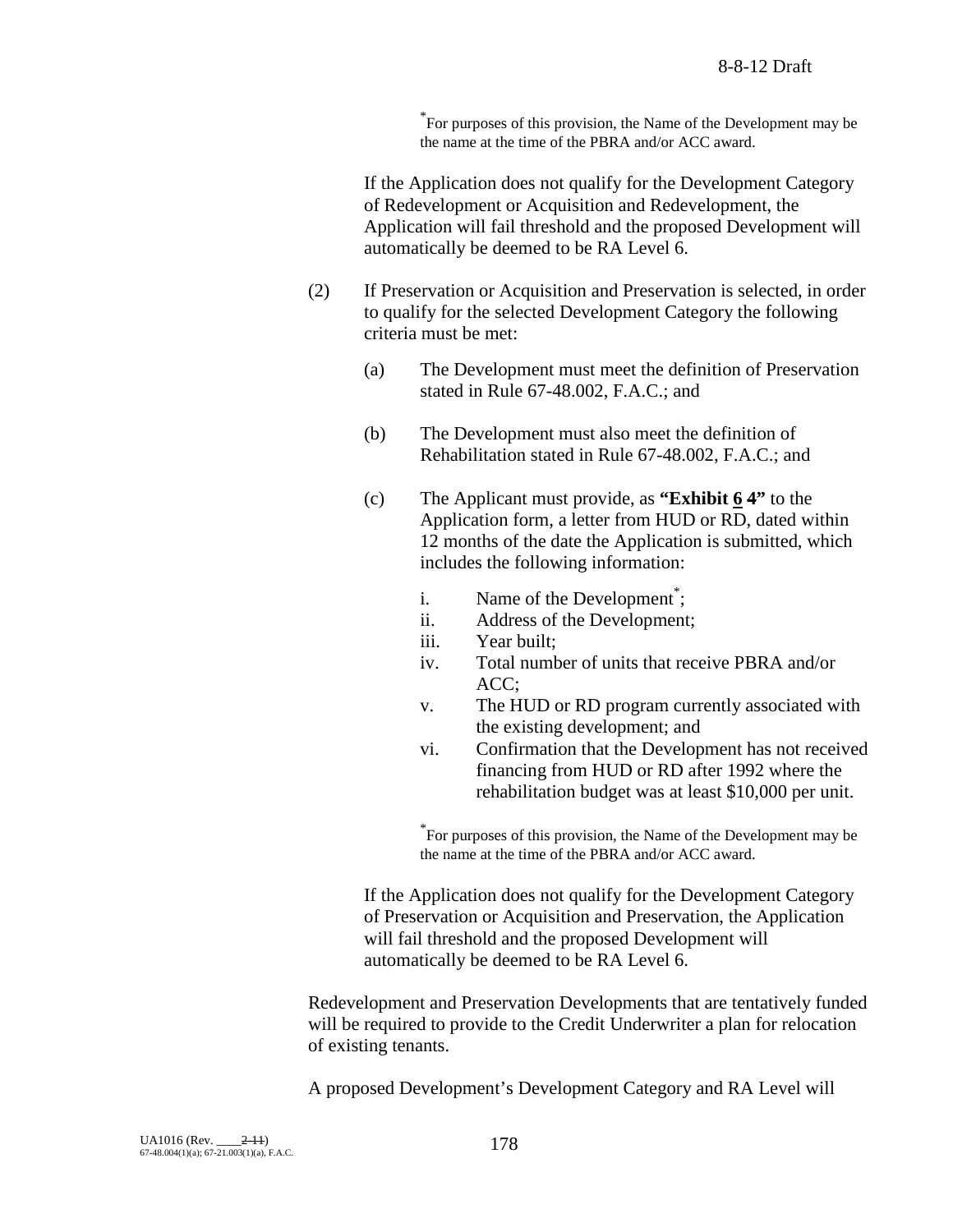\* For purposes of this provision, the Name of the Development may be the name at the time of the PBRA and/or ACC award.

If the Application does not qualify for the Development Category of Redevelopment or Acquisition and Redevelopment, the Application will fail threshold and the proposed Development will automatically be deemed to be RA Level 6.

- (2) If Preservation or Acquisition and Preservation is selected, in order to qualify for the selected Development Category the following criteria must be met:
	- (a) The Development must meet the definition of Preservation stated in Rule 67-48.002, F.A.C.; and
	- (b) The Development must also meet the definition of Rehabilitation stated in Rule 67-48.002, F.A.C.; and
	- (c) The Applicant must provide, as **"Exhibit 6 4"** to the Application form, a letter from HUD or RD, dated within 12 months of the date the Application is submitted, which includes the following information:
		- i. Name of the Development<sup>\*</sup>;
		- ii. Address of the Development;
		- iii. Year built;
		- iv. Total number of units that receive PBRA and/or ACC;
		- v. The HUD or RD program currently associated with the existing development; and
		- vi. Confirmation that the Development has not received financing from HUD or RD after 1992 where the rehabilitation budget was at least \$10,000 per unit.

\* For purposes of this provision, the Name of the Development may be the name at the time of the PBRA and/or ACC award.

If the Application does not qualify for the Development Category of Preservation or Acquisition and Preservation, the Application will fail threshold and the proposed Development will automatically be deemed to be RA Level 6.

Redevelopment and Preservation Developments that are tentatively funded will be required to provide to the Credit Underwriter a plan for relocation of existing tenants.

A proposed Development's Development Category and RA Level will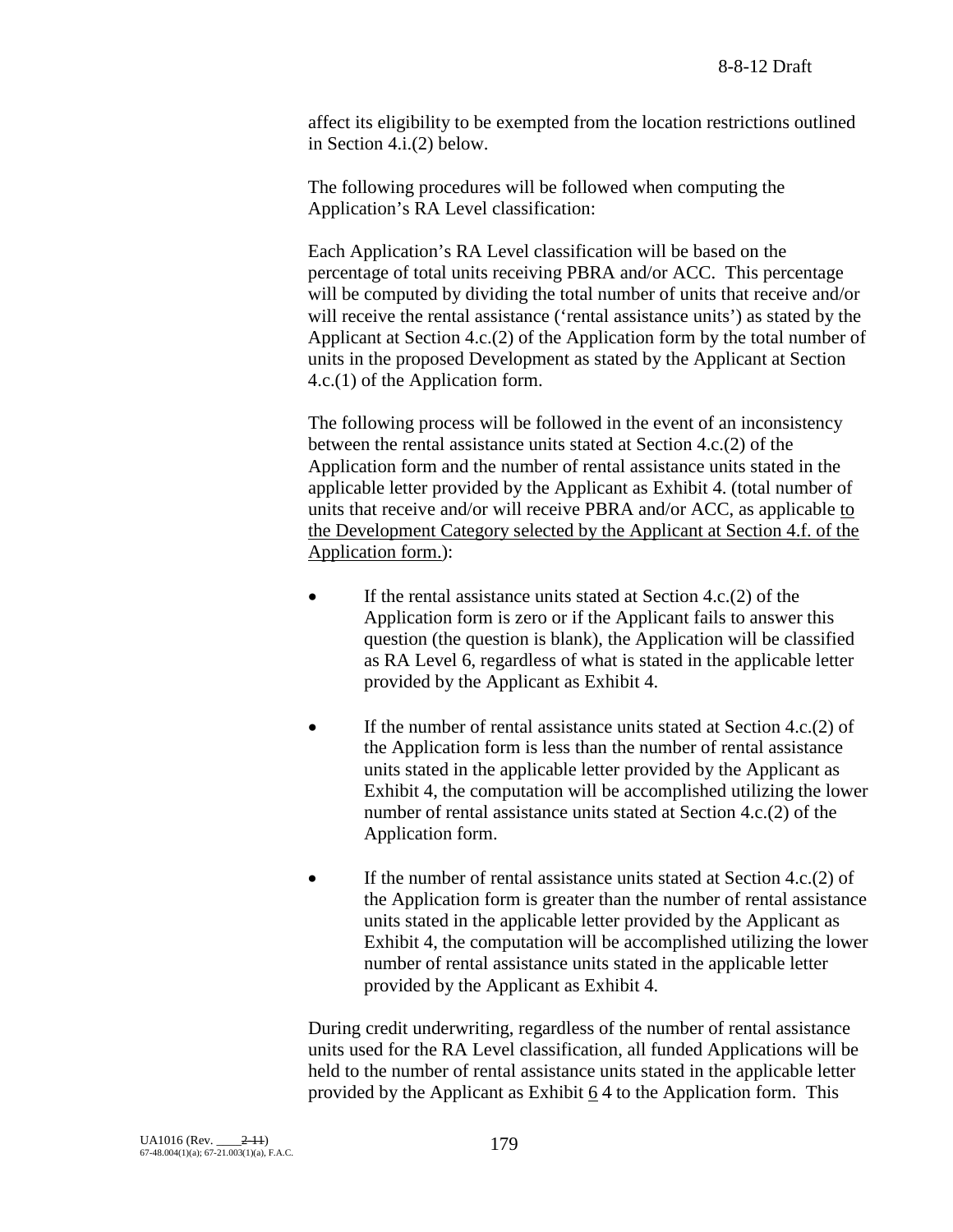affect its eligibility to be exempted from the location restrictions outlined in Section 4.i.(2) below.

The following procedures will be followed when computing the Application's RA Level classification:

Each Application's RA Level classification will be based on the percentage of total units receiving PBRA and/or ACC. This percentage will be computed by dividing the total number of units that receive and/or will receive the rental assistance ('rental assistance units') as stated by the Applicant at Section 4.c.(2) of the Application form by the total number of units in the proposed Development as stated by the Applicant at Section 4.c.(1) of the Application form.

The following process will be followed in the event of an inconsistency between the rental assistance units stated at Section 4.c.(2) of the Application form and the number of rental assistance units stated in the applicable letter provided by the Applicant as Exhibit 4. (total number of units that receive and/or will receive PBRA and/or ACC, as applicable to the Development Category selected by the Applicant at Section 4.f. of the Application form.):

- If the rental assistance units stated at Section  $4.c.(2)$  of the Application form is zero or if the Applicant fails to answer this question (the question is blank), the Application will be classified as RA Level 6, regardless of what is stated in the applicable letter provided by the Applicant as Exhibit 4.
- If the number of rental assistance units stated at Section  $4.c.(2)$  of the Application form is less than the number of rental assistance units stated in the applicable letter provided by the Applicant as Exhibit 4, the computation will be accomplished utilizing the lower number of rental assistance units stated at Section 4.c.(2) of the Application form.
- If the number of rental assistance units stated at Section 4.c.(2) of the Application form is greater than the number of rental assistance units stated in the applicable letter provided by the Applicant as Exhibit 4, the computation will be accomplished utilizing the lower number of rental assistance units stated in the applicable letter provided by the Applicant as Exhibit 4.

During credit underwriting, regardless of the number of rental assistance units used for the RA Level classification, all funded Applications will be held to the number of rental assistance units stated in the applicable letter provided by the Applicant as Exhibit  $64$  to the Application form. This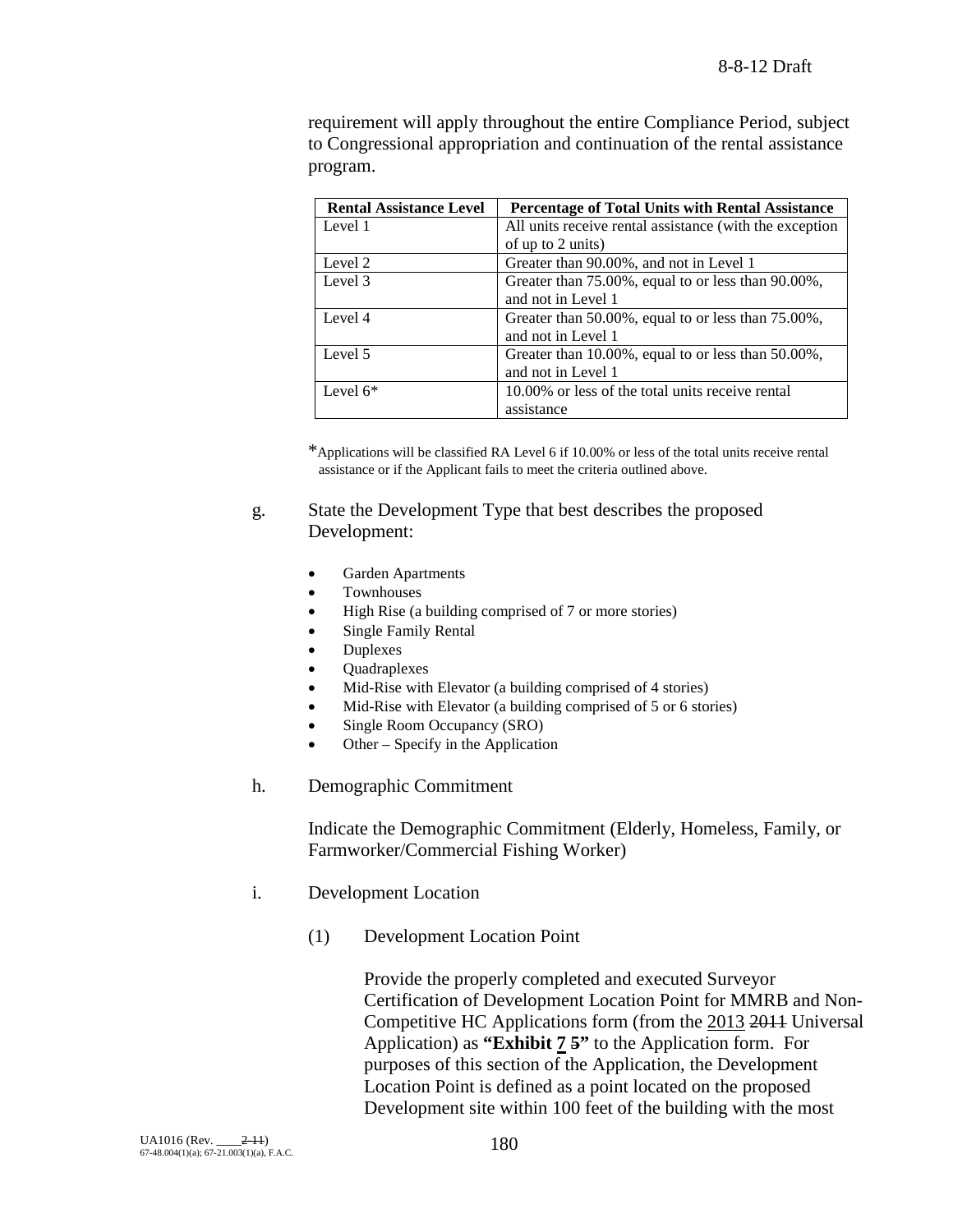requirement will apply throughout the entire Compliance Period, subject to Congressional appropriation and continuation of the rental assistance program.

| <b>Rental Assistance Level</b> | <b>Percentage of Total Units with Rental Assistance</b> |
|--------------------------------|---------------------------------------------------------|
| Level 1                        | All units receive rental assistance (with the exception |
|                                | of up to 2 units)                                       |
| Level 2                        | Greater than 90.00%, and not in Level 1                 |
| Level 3                        | Greater than 75.00%, equal to or less than 90.00%,      |
|                                | and not in Level 1                                      |
| Level 4                        | Greater than 50.00%, equal to or less than 75.00%,      |
|                                | and not in Level 1                                      |
| Level 5                        | Greater than 10.00%, equal to or less than 50.00%,      |
|                                | and not in Level 1                                      |
| Level $6*$                     | 10.00% or less of the total units receive rental        |
|                                | assistance                                              |

\*Applications will be classified RA Level 6 if 10.00% or less of the total units receive rental assistance or if the Applicant fails to meet the criteria outlined above.

## g. State the Development Type that best describes the proposed Development:

- Garden Apartments
- **Townhouses**
- High Rise (a building comprised of 7 or more stories)
- Single Family Rental
- Duplexes
- Quadraplexes
- Mid-Rise with Elevator (a building comprised of 4 stories)
- Mid-Rise with Elevator (a building comprised of 5 or 6 stories)
- Single Room Occupancy (SRO)
- Other Specify in the Application
- h. Demographic Commitment

Indicate the Demographic Commitment (Elderly, Homeless, Family, or Farmworker/Commercial Fishing Worker)

- i. Development Location
	- (1) Development Location Point

Provide the properly completed and executed Surveyor Certification of Development Location Point for MMRB and Non-Competitive HC Applications form (from the 2013 2011 Universal Application) as **"Exhibit 7 5"** to the Application form. For purposes of this section of the Application, the Development Location Point is defined as a point located on the proposed Development site within 100 feet of the building with the most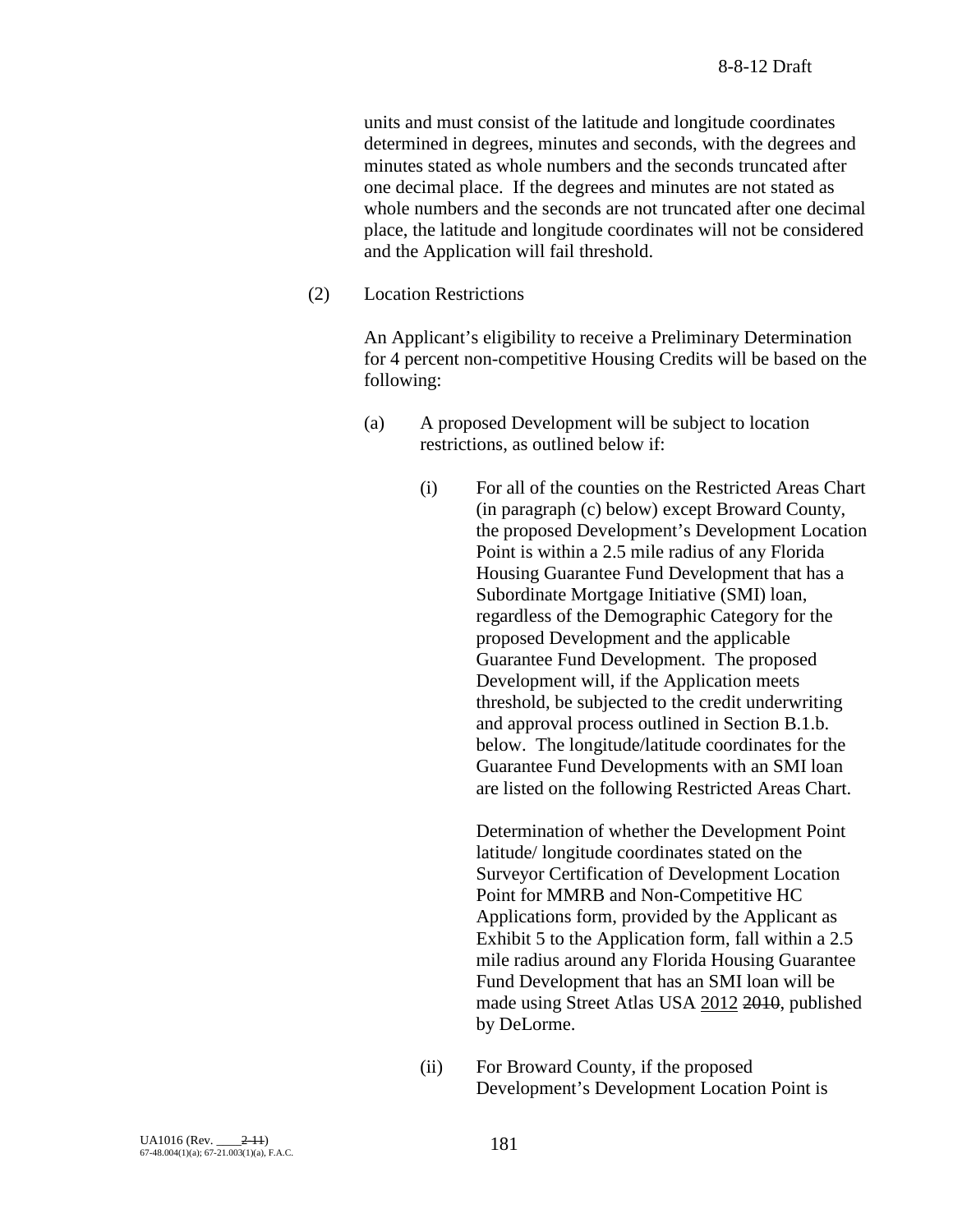units and must consist of the latitude and longitude coordinates determined in degrees, minutes and seconds, with the degrees and minutes stated as whole numbers and the seconds truncated after one decimal place. If the degrees and minutes are not stated as whole numbers and the seconds are not truncated after one decimal place, the latitude and longitude coordinates will not be considered and the Application will fail threshold.

(2) Location Restrictions

An Applicant's eligibility to receive a Preliminary Determination for 4 percent non-competitive Housing Credits will be based on the following:

- (a) A proposed Development will be subject to location restrictions, as outlined below if:
	- (i) For all of the counties on the Restricted Areas Chart (in paragraph (c) below) except Broward County, the proposed Development's Development Location Point is within a 2.5 mile radius of any Florida Housing Guarantee Fund Development that has a Subordinate Mortgage Initiative (SMI) loan, regardless of the Demographic Category for the proposed Development and the applicable Guarantee Fund Development. The proposed Development will, if the Application meets threshold, be subjected to the credit underwriting and approval process outlined in Section B.1.b. below. The longitude/latitude coordinates for the Guarantee Fund Developments with an SMI loan are listed on the following Restricted Areas Chart.

Determination of whether the Development Point latitude/ longitude coordinates stated on the Surveyor Certification of Development Location Point for MMRB and Non-Competitive HC Applications form, provided by the Applicant as Exhibit 5 to the Application form, fall within a 2.5 mile radius around any Florida Housing Guarantee Fund Development that has an SMI loan will be made using Street Atlas USA 2012 2010, published by DeLorme.

(ii) For Broward County, if the proposed Development's Development Location Point is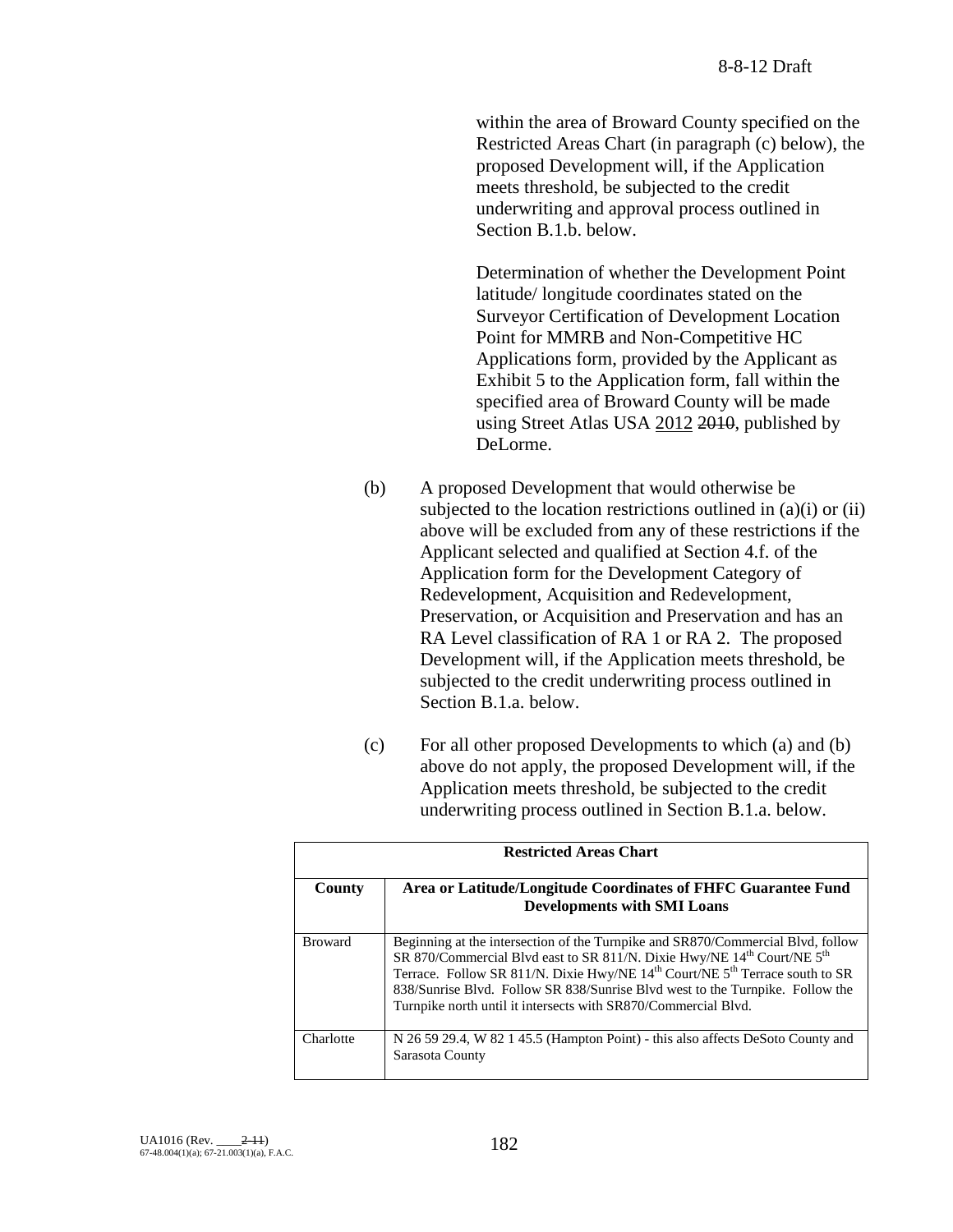within the area of Broward County specified on the Restricted Areas Chart (in paragraph (c) below), the proposed Development will, if the Application meets threshold, be subjected to the credit underwriting and approval process outlined in Section B.1.b. below.

Determination of whether the Development Point latitude/ longitude coordinates stated on the Surveyor Certification of Development Location Point for MMRB and Non-Competitive HC Applications form, provided by the Applicant as Exhibit 5 to the Application form, fall within the specified area of Broward County will be made using Street Atlas USA 2012 2010, published by DeLorme.

- (b) A proposed Development that would otherwise be subjected to the location restrictions outlined in (a)(i) or (ii) above will be excluded from any of these restrictions if the Applicant selected and qualified at Section 4.f. of the Application form for the Development Category of Redevelopment, Acquisition and Redevelopment, Preservation, or Acquisition and Preservation and has an RA Level classification of RA 1 or RA 2. The proposed Development will, if the Application meets threshold, be subjected to the credit underwriting process outlined in Section B.1.a. below.
- (c) For all other proposed Developments to which (a) and (b) above do not apply, the proposed Development will, if the Application meets threshold, be subjected to the credit underwriting process outlined in Section B.1.a. below.

| <b>Restricted Areas Chart</b> |                                                                                                                                                                                                                                                                                                                                                                                                                                               |
|-------------------------------|-----------------------------------------------------------------------------------------------------------------------------------------------------------------------------------------------------------------------------------------------------------------------------------------------------------------------------------------------------------------------------------------------------------------------------------------------|
| County                        | Area or Latitude/Longitude Coordinates of FHFC Guarantee Fund<br><b>Developments with SMI Loans</b>                                                                                                                                                                                                                                                                                                                                           |
| <b>Broward</b>                | Beginning at the intersection of the Turnpike and SR870/Commercial Blvd, follow<br>SR 870/Commercial Blvd east to SR 811/N. Dixie Hwy/NE 14 <sup>th</sup> Court/NE 5 <sup>th</sup><br>Terrace. Follow SR 811/N. Dixie Hwy/NE 14 <sup>th</sup> Court/NE 5 <sup>th</sup> Terrace south to SR<br>838/Sunrise Blvd. Follow SR 838/Sunrise Blvd west to the Turnpike. Follow the<br>Turnpike north until it intersects with SR870/Commercial Blvd. |
| Charlotte                     | N 26 59 29.4, W 82 1 45.5 (Hampton Point) - this also affects DeSoto County and<br>Sarasota County                                                                                                                                                                                                                                                                                                                                            |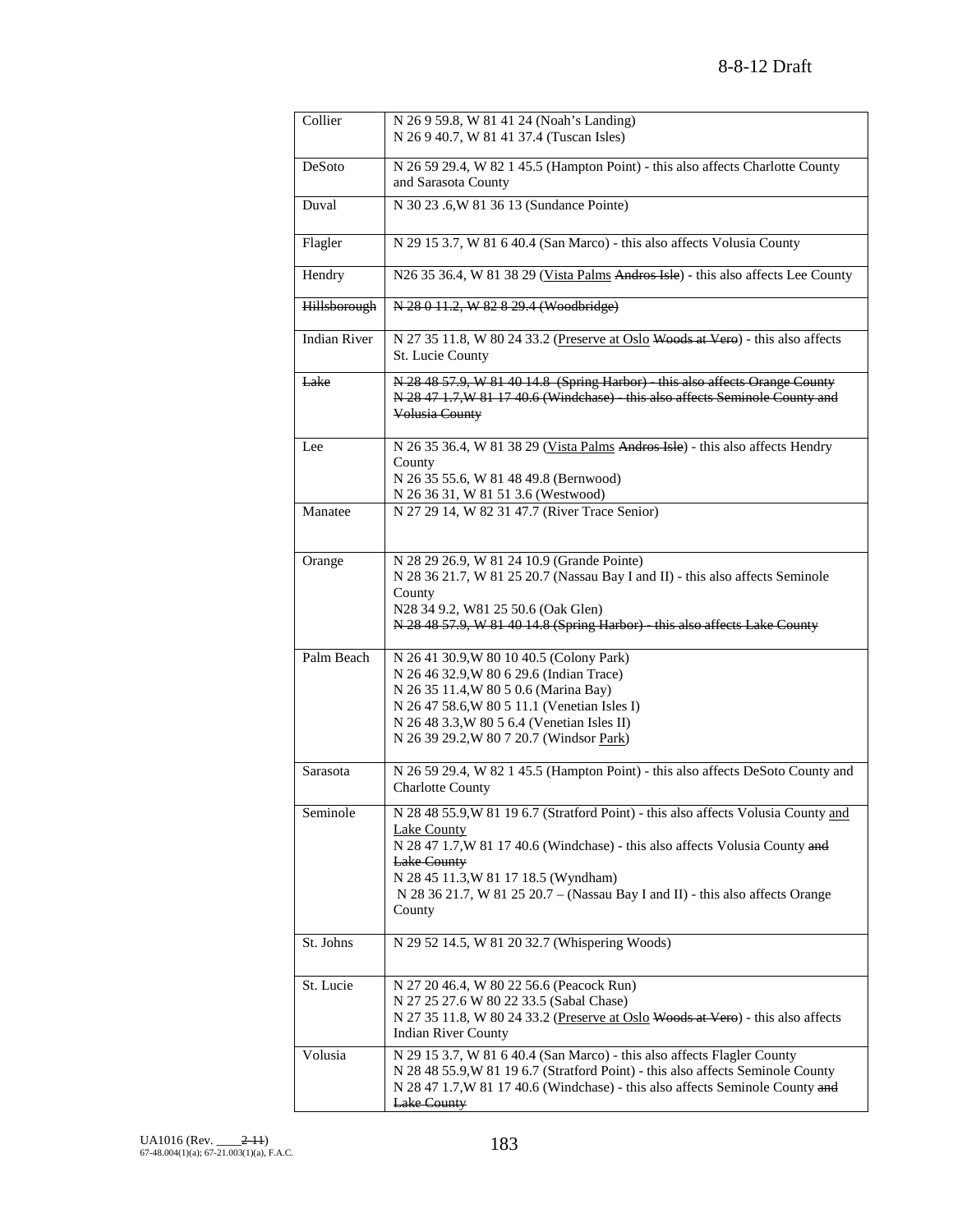| Collier             | N 26 9 59.8, W 81 41 24 (Noah's Landing)<br>N 26 9 40.7, W 81 41 37.4 (Tuscan Isles)                                                                                                                                                                                                                                                |
|---------------------|-------------------------------------------------------------------------------------------------------------------------------------------------------------------------------------------------------------------------------------------------------------------------------------------------------------------------------------|
| DeSoto              | N 26 59 29.4, W 82 1 45.5 (Hampton Point) - this also affects Charlotte County<br>and Sarasota County                                                                                                                                                                                                                               |
| Duval               | N 30 23 .6, W 81 36 13 (Sundance Pointe)                                                                                                                                                                                                                                                                                            |
| Flagler             | N 29 15 3.7, W 81 6 40.4 (San Marco) - this also affects Volusia County                                                                                                                                                                                                                                                             |
| Hendry              | N26 35 36.4, W 81 38 29 (Vista Palms Andres Isle) - this also affects Lee County                                                                                                                                                                                                                                                    |
| Hillsborough        | N 28 0 11.2, W 82 8 29.4 (Woodbridge)                                                                                                                                                                                                                                                                                               |
| <b>Indian River</b> | N 27 35 11.8, W 80 24 33.2 (Preserve at Oslo Woods at Vero) - this also affects<br>St. Lucie County                                                                                                                                                                                                                                 |
| Lake                | N 28 48 57.9, W 81 40 14.8 (Spring Harbor) - this also affects Orange County<br>N 28 47 1.7, W 81 17 40.6 (Windchase) - this also affects Seminole County and<br>Volusia County                                                                                                                                                     |
| Lee                 | N 26 35 36.4, W 81 38 29 (Vista Palms Andros Isle) - this also affects Hendry<br>County<br>N 26 35 55.6, W 81 48 49.8 (Bernwood)                                                                                                                                                                                                    |
| Manatee             | N 26 36 31, W 81 51 3.6 (Westwood)<br>N 27 29 14, W 82 31 47.7 (River Trace Senior)                                                                                                                                                                                                                                                 |
| Orange              | N 28 29 26.9, W 81 24 10.9 (Grande Pointe)<br>N 28 36 21.7, W 81 25 20.7 (Nassau Bay I and II) - this also affects Seminole<br>County<br>N28 34 9.2, W81 25 50.6 (Oak Glen)<br>N 28 48 57.9, W 81 40 14.8 (Spring Harbor) - this also affects Lake County                                                                           |
| Palm Beach          | N 26 41 30.9, W 80 10 40.5 (Colony Park)<br>N 26 46 32.9, W 80 6 29.6 (Indian Trace)<br>N 26 35 11.4, W 80 5 0.6 (Marina Bay)<br>N 26 47 58.6, W 80 5 11.1 (Venetian Isles I)<br>N 26 48 3.3, W 80 5 6.4 (Venetian Isles II)<br>N 26 39 29.2, W 80 7 20.7 (Windsor Park)                                                            |
| Sarasota            | N 26 59 29.4, W 82 1 45.5 (Hampton Point) - this also affects DeSoto County and<br><b>Charlotte County</b>                                                                                                                                                                                                                          |
| Seminole            | N 28 48 55.9, W 81 19 6.7 (Stratford Point) - this also affects Volusia County and<br>Lake County<br>N 28 47 1.7, W 81 17 40.6 (Windchase) - this also affects Volusia County and<br>Lake County<br>N 28 45 11.3, W 81 17 18.5 (Wyndham)<br>N 28 36 21.7, W 81 25 20.7 - (Nassau Bay I and II) - this also affects Orange<br>County |
| St. Johns           | N 29 52 14.5, W 81 20 32.7 (Whispering Woods)                                                                                                                                                                                                                                                                                       |
| St. Lucie           | N 27 20 46.4, W 80 22 56.6 (Peacock Run)<br>N 27 25 27.6 W 80 22 33.5 (Sabal Chase)<br>N 27 35 11.8, W 80 24 33.2 (Preserve at Oslo Woods at Vero) - this also affects<br><b>Indian River County</b>                                                                                                                                |
| Volusia             | N 29 15 3.7, W 81 6 40.4 (San Marco) - this also affects Flagler County<br>N 28 48 55.9, W 81 19 6.7 (Stratford Point) - this also affects Seminole County<br>N 28 47 1.7, W 81 17 40.6 (Windchase) - this also affects Seminole County and<br><b>Lake County</b>                                                                   |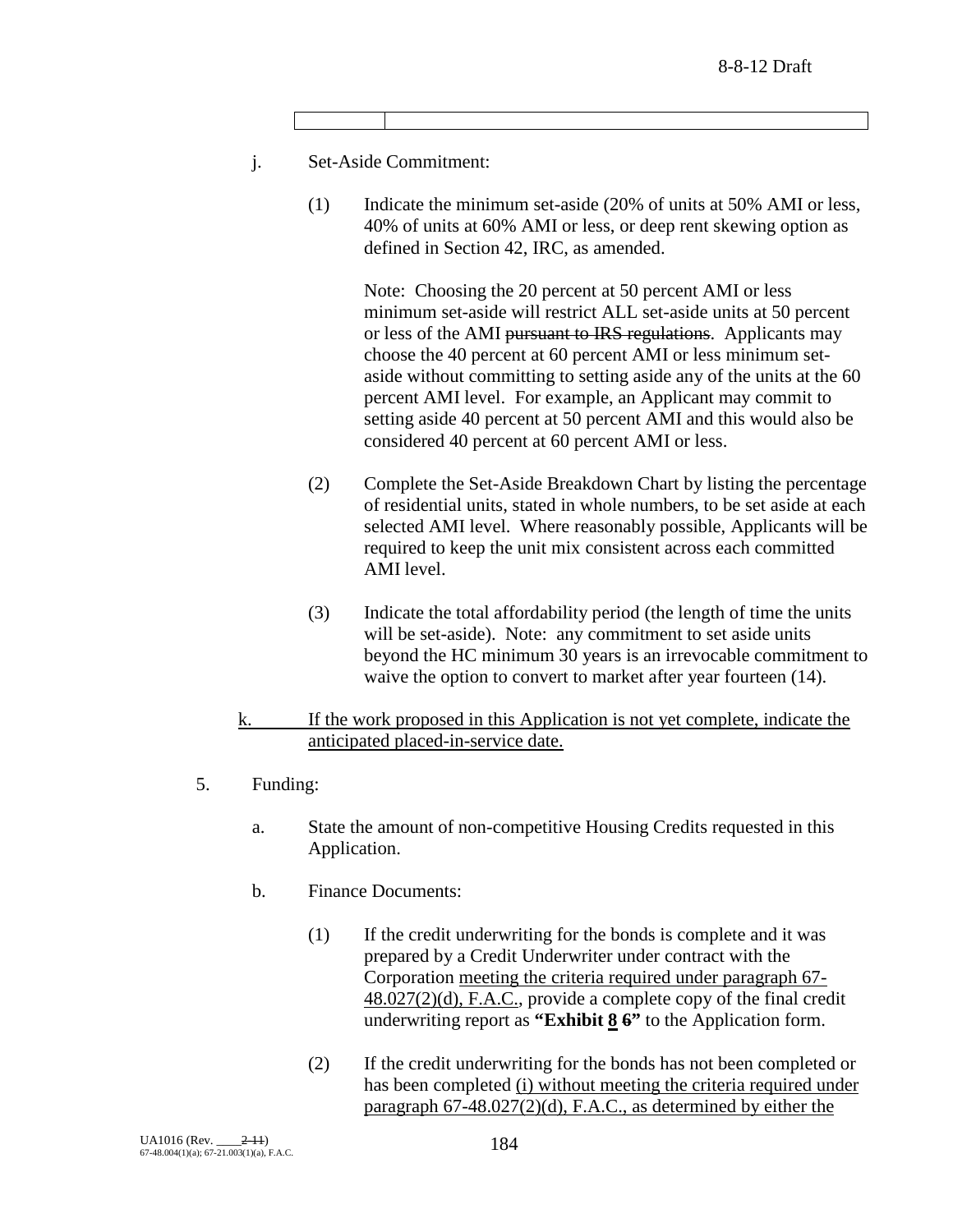- j. Set-Aside Commitment:
	- (1) Indicate the minimum set-aside (20% of units at 50% AMI or less, 40% of units at 60% AMI or less, or deep rent skewing option as defined in Section 42, IRC, as amended.

Note: Choosing the 20 percent at 50 percent AMI or less minimum set-aside will restrict ALL set-aside units at 50 percent or less of the AMI pursuant to IRS regulations. Applicants may choose the 40 percent at 60 percent AMI or less minimum setaside without committing to setting aside any of the units at the 60 percent AMI level. For example, an Applicant may commit to setting aside 40 percent at 50 percent AMI and this would also be considered 40 percent at 60 percent AMI or less.

- (2) Complete the Set-Aside Breakdown Chart by listing the percentage of residential units, stated in whole numbers, to be set aside at each selected AMI level. Where reasonably possible, Applicants will be required to keep the unit mix consistent across each committed AMI level.
- (3) Indicate the total affordability period (the length of time the units will be set-aside). Note: any commitment to set aside units beyond the HC minimum 30 years is an irrevocable commitment to waive the option to convert to market after year fourteen (14).

## k. If the work proposed in this Application is not yet complete, indicate the anticipated placed-in-service date.

- 5. Funding:
	- a. State the amount of non-competitive Housing Credits requested in this Application.
	- b. Finance Documents:
		- (1) If the credit underwriting for the bonds is complete and it was prepared by a Credit Underwriter under contract with the Corporation meeting the criteria required under paragraph 67- 48.027(2)(d), F.A.C., provide a complete copy of the final credit underwriting report as **"Exhibit 8 6"** to the Application form.
		- (2) If the credit underwriting for the bonds has not been completed or has been completed (i) without meeting the criteria required under paragraph 67-48.027(2)(d), F.A.C., as determined by either the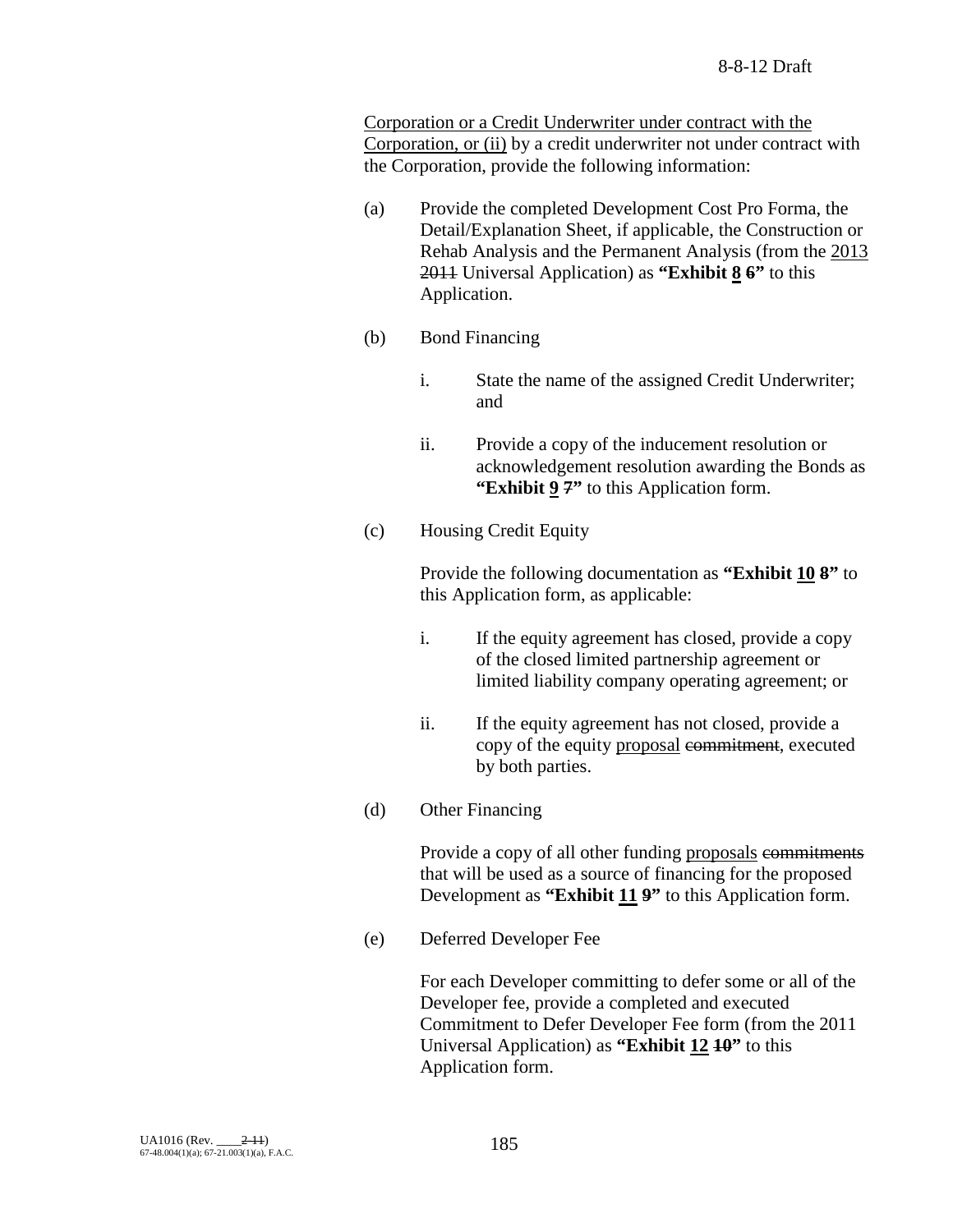Corporation or a Credit Underwriter under contract with the Corporation, or (ii) by a credit underwriter not under contract with the Corporation, provide the following information:

- (a) Provide the completed Development Cost Pro Forma, the Detail/Explanation Sheet, if applicable, the Construction or Rehab Analysis and the Permanent Analysis (from the 2013 2011 Universal Application) as **"Exhibit 8 6"** to this Application.
- (b) Bond Financing
	- i. State the name of the assigned Credit Underwriter; and
	- ii. Provide a copy of the inducement resolution or acknowledgement resolution awarding the Bonds as **"Exhibit 9 7"** to this Application form.
- (c) Housing Credit Equity

Provide the following documentation as **"Exhibit 10 8"** to this Application form, as applicable:

- i. If the equity agreement has closed, provide a copy of the closed limited partnership agreement or limited liability company operating agreement; or
- ii. If the equity agreement has not closed, provide a copy of the equity proposal commitment, executed by both parties.
- (d) Other Financing

Provide a copy of all other funding proposals commitments that will be used as a source of financing for the proposed Development as **"Exhibit 11 9"** to this Application form.

(e) Deferred Developer Fee

For each Developer committing to defer some or all of the Developer fee, provide a completed and executed Commitment to Defer Developer Fee form (from the 2011 Universal Application) as **"Exhibit 12 10"** to this Application form.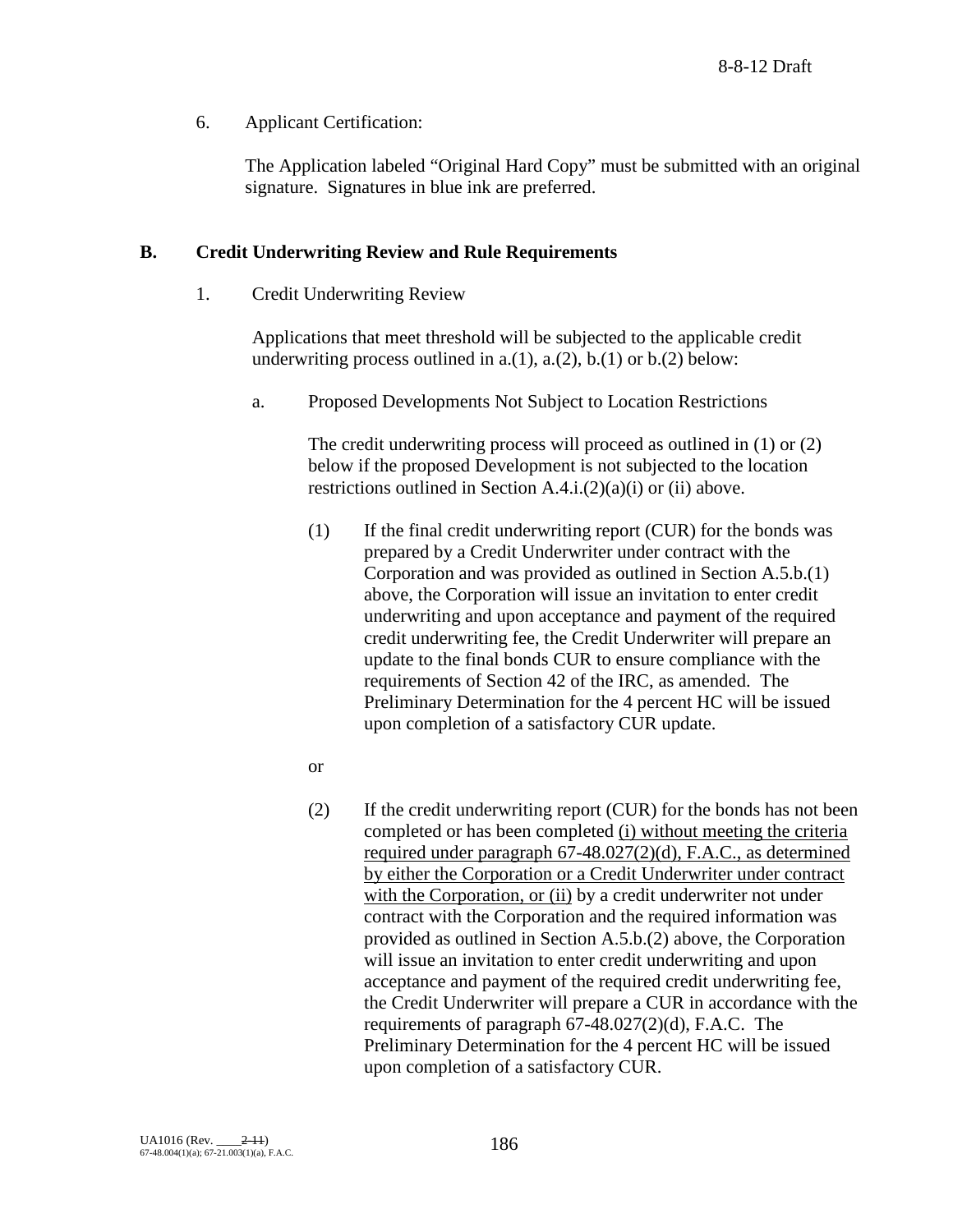6. Applicant Certification:

The Application labeled "Original Hard Copy" must be submitted with an original signature. Signatures in blue ink are preferred.

## **B. Credit Underwriting Review and Rule Requirements**

1. Credit Underwriting Review

Applications that meet threshold will be subjected to the applicable credit underwriting process outlined in a.(1), a.(2), b.(1) or b.(2) below:

a. Proposed Developments Not Subject to Location Restrictions

The credit underwriting process will proceed as outlined in (1) or (2) below if the proposed Development is not subjected to the location restrictions outlined in Section A.4.i.(2)(a)(i) or (ii) above.

- (1) If the final credit underwriting report (CUR) for the bonds was prepared by a Credit Underwriter under contract with the Corporation and was provided as outlined in Section A.5.b.(1) above, the Corporation will issue an invitation to enter credit underwriting and upon acceptance and payment of the required credit underwriting fee, the Credit Underwriter will prepare an update to the final bonds CUR to ensure compliance with the requirements of Section 42 of the IRC, as amended. The Preliminary Determination for the 4 percent HC will be issued upon completion of a satisfactory CUR update.
- or
- (2) If the credit underwriting report (CUR) for the bonds has not been completed or has been completed (i) without meeting the criteria required under paragraph 67-48.027(2)(d), F.A.C., as determined by either the Corporation or a Credit Underwriter under contract with the Corporation, or (ii) by a credit underwriter not under contract with the Corporation and the required information was provided as outlined in Section A.5.b.(2) above, the Corporation will issue an invitation to enter credit underwriting and upon acceptance and payment of the required credit underwriting fee, the Credit Underwriter will prepare a CUR in accordance with the requirements of paragraph 67-48.027(2)(d), F.A.C. The Preliminary Determination for the 4 percent HC will be issued upon completion of a satisfactory CUR.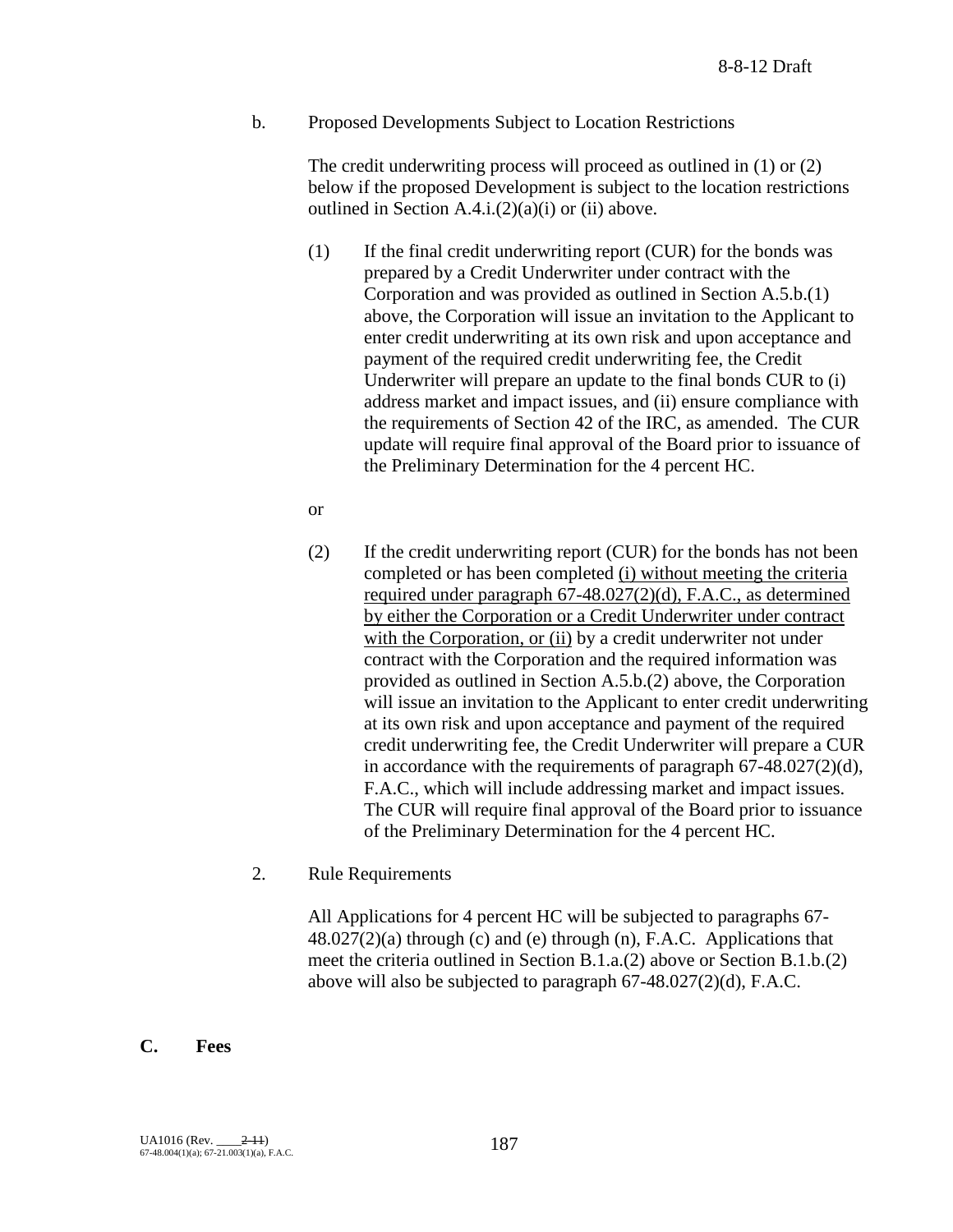b. Proposed Developments Subject to Location Restrictions

The credit underwriting process will proceed as outlined in (1) or (2) below if the proposed Development is subject to the location restrictions outlined in Section  $A.4.i.(2)(a)(i)$  or (ii) above.

- (1) If the final credit underwriting report (CUR) for the bonds was prepared by a Credit Underwriter under contract with the Corporation and was provided as outlined in Section A.5.b.(1) above, the Corporation will issue an invitation to the Applicant to enter credit underwriting at its own risk and upon acceptance and payment of the required credit underwriting fee, the Credit Underwriter will prepare an update to the final bonds CUR to (i) address market and impact issues, and (ii) ensure compliance with the requirements of Section 42 of the IRC, as amended. The CUR update will require final approval of the Board prior to issuance of the Preliminary Determination for the 4 percent HC.
- or
- (2) If the credit underwriting report (CUR) for the bonds has not been completed or has been completed (i) without meeting the criteria required under paragraph 67-48.027(2)(d), F.A.C., as determined by either the Corporation or a Credit Underwriter under contract with the Corporation, or (ii) by a credit underwriter not under contract with the Corporation and the required information was provided as outlined in Section A.5.b.(2) above, the Corporation will issue an invitation to the Applicant to enter credit underwriting at its own risk and upon acceptance and payment of the required credit underwriting fee, the Credit Underwriter will prepare a CUR in accordance with the requirements of paragraph 67-48.027(2)(d), F.A.C., which will include addressing market and impact issues. The CUR will require final approval of the Board prior to issuance of the Preliminary Determination for the 4 percent HC.
- 2. Rule Requirements

All Applications for 4 percent HC will be subjected to paragraphs 67-  $48.027(2)(a)$  through (c) and (e) through (n), F.A.C. Applications that meet the criteria outlined in Section B.1.a.(2) above or Section B.1.b.(2) above will also be subjected to paragraph 67-48.027(2)(d), F.A.C.

## **C. Fees**